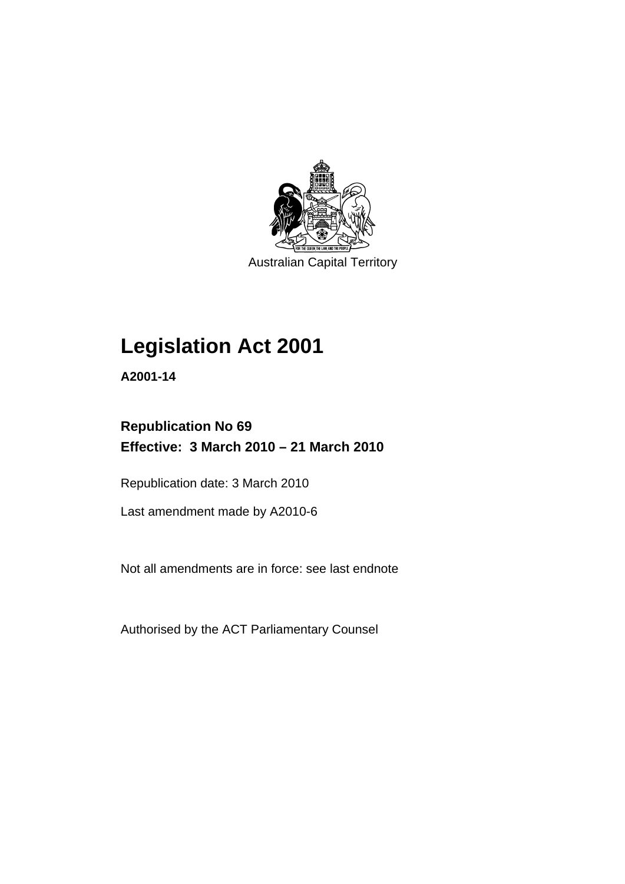

Australian Capital Territory

## **[Legislation Act 2001](#page-16-0)**

**A2001-14** 

## **Republication No 69 Effective: 3 March 2010 – 21 March 2010**

Republication date: 3 March 2010

Last amendment made by A2010-6

Not all amendments are in force: see last endnote

Authorised by the ACT Parliamentary Counsel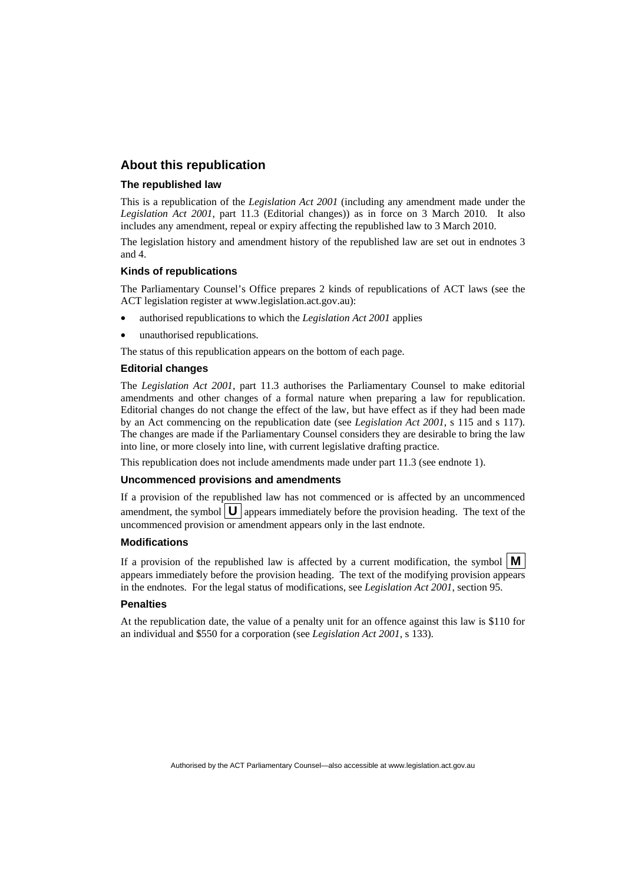## **About this republication**

#### **The republished law**

This is a republication of the *Legislation Act 2001* (including any amendment made under the *Legislation Act 2001*, part 11.3 (Editorial changes)) as in force on 3 March 2010*.* It also includes any amendment, repeal or expiry affecting the republished law to 3 March 2010.

The legislation history and amendment history of the republished law are set out in endnotes 3 and 4.

#### **Kinds of republications**

The Parliamentary Counsel's Office prepares 2 kinds of republications of ACT laws (see the ACT legislation register at www.legislation.act.gov.au):

- authorised republications to which the *Legislation Act 2001* applies
- unauthorised republications.

The status of this republication appears on the bottom of each page.

#### **Editorial changes**

The *Legislation Act 2001*, part 11.3 authorises the Parliamentary Counsel to make editorial amendments and other changes of a formal nature when preparing a law for republication. Editorial changes do not change the effect of the law, but have effect as if they had been made by an Act commencing on the republication date (see *Legislation Act 2001*, s 115 and s 117). The changes are made if the Parliamentary Counsel considers they are desirable to bring the law into line, or more closely into line, with current legislative drafting practice.

This republication does not include amendments made under part 11.3 (see endnote 1).

#### **Uncommenced provisions and amendments**

If a provision of the republished law has not commenced or is affected by an uncommenced amendment, the symbol  $\mathbf{U}$  appears immediately before the provision heading. The text of the uncommenced provision or amendment appears only in the last endnote.

#### **Modifications**

If a provision of the republished law is affected by a current modification, the symbol  $\mathbf{M}$ appears immediately before the provision heading. The text of the modifying provision appears in the endnotes. For the legal status of modifications, see *Legislation Act 2001*, section 95.

#### **Penalties**

At the republication date, the value of a penalty unit for an offence against this law is \$110 for an individual and \$550 for a corporation (see *Legislation Act 2001*, s 133).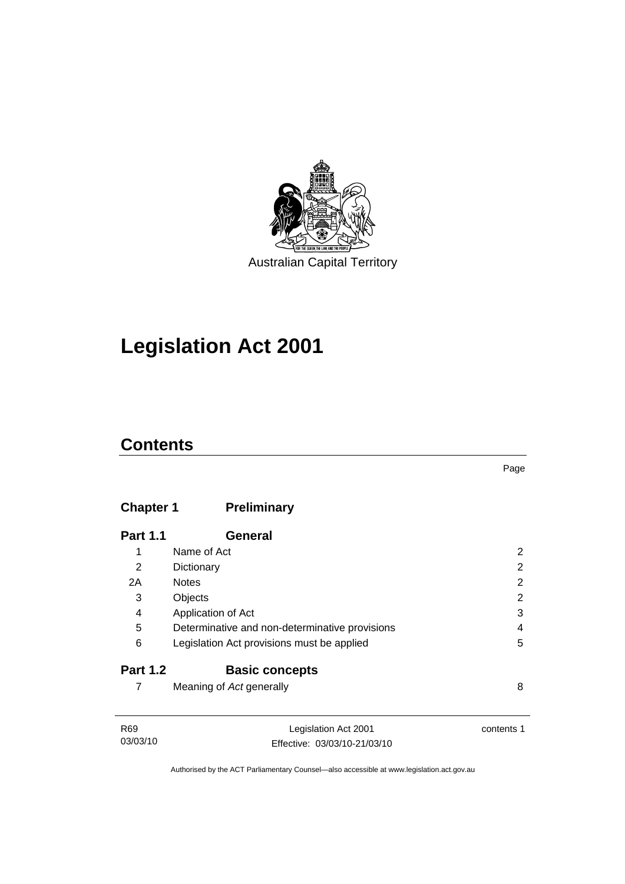

## **[Legislation Act 2001](#page-16-0)**

## **Contents**

## **Chapter 1 Preliminary**

| <b>Part 1.1</b> | <b>General</b>                                 |   |
|-----------------|------------------------------------------------|---|
| 1               | Name of Act                                    | 2 |
| 2               | Dictionary                                     | 2 |
| 2A              | <b>Notes</b>                                   | 2 |
| 3               | Objects                                        | 2 |
| 4               | Application of Act                             | 3 |
| 5               | Determinative and non-determinative provisions | 4 |
| 6               | Legislation Act provisions must be applied     | 5 |
| <b>Part 1.2</b> | <b>Basic concepts</b>                          |   |
|                 | Meaning of Act generally                       | 8 |

| R69      | Legislation Act 2001         | contents 1 |
|----------|------------------------------|------------|
| 03/03/10 | Effective: 03/03/10-21/03/10 |            |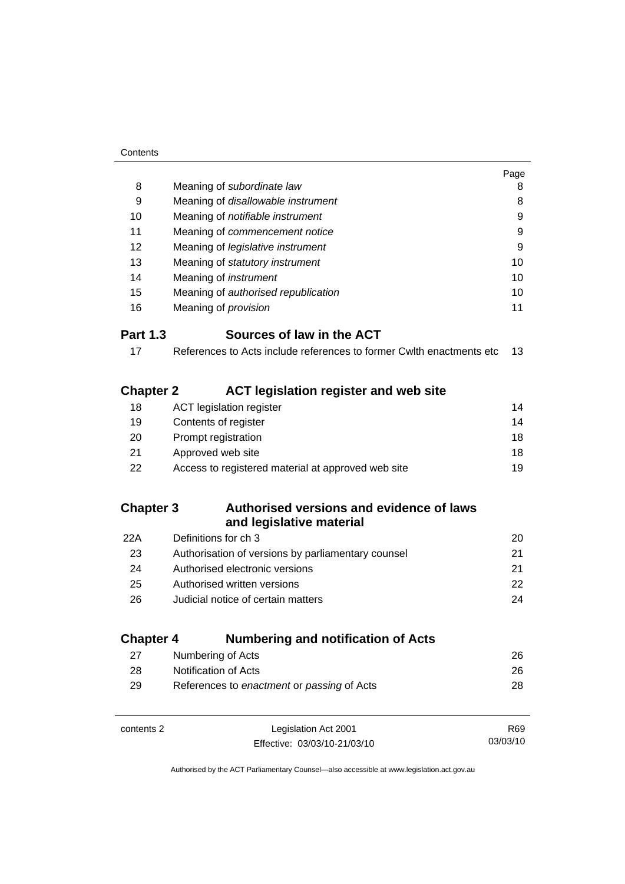|                  |                                                                      | Page |
|------------------|----------------------------------------------------------------------|------|
| 8                | Meaning of subordinate law                                           | 8    |
| 9                | Meaning of disallowable instrument                                   | 8    |
| 10               | Meaning of notifiable instrument                                     | 9    |
| 11               | Meaning of commencement notice                                       | 9    |
| 12               | Meaning of legislative instrument                                    | 9    |
| 13               | Meaning of statutory instrument                                      | 10   |
| 14               | Meaning of <i>instrument</i>                                         | 10   |
| 15               | Meaning of authorised republication                                  | 10   |
| 16               | Meaning of <i>provision</i>                                          | 11   |
| <b>Part 1.3</b>  | Sources of law in the ACT                                            |      |
| 17               | References to Acts include references to former Cwlth enactments etc | 13   |
| <b>Chapter 2</b> | ACT legislation register and web site                                |      |
| 18               | <b>ACT legislation register</b>                                      | 14   |
| 19               | Contents of register                                                 | 14   |
| 20               | Prompt registration                                                  | 18   |
| 21               | Approved web site                                                    | 18   |
| 22               | Access to registered material at approved web site                   | 19   |
| <b>Chapter 3</b> | Authorised versions and evidence of laws<br>and legislative material |      |
| 22A              | Definitions for ch 3                                                 | 20   |
| 23               | Authorisation of versions by parliamentary counsel                   | 21   |
| 24               | Authorised electronic versions                                       | 21   |
| 25               | Authorised written versions                                          | 22   |
| 26               | Judicial notice of certain matters                                   | 24   |
| <b>Chapter 4</b> | <b>Numbering and notification of Acts</b>                            |      |
| 27               | Numbering of Acts                                                    | 26   |
| 28               | Notification of Acts                                                 | 26   |
| 29               | References to enactment or passing of Acts                           | 28   |
|                  |                                                                      |      |

| contents 2 | Legislation Act 2001         | R69      |
|------------|------------------------------|----------|
|            | Effective: 03/03/10-21/03/10 | 03/03/10 |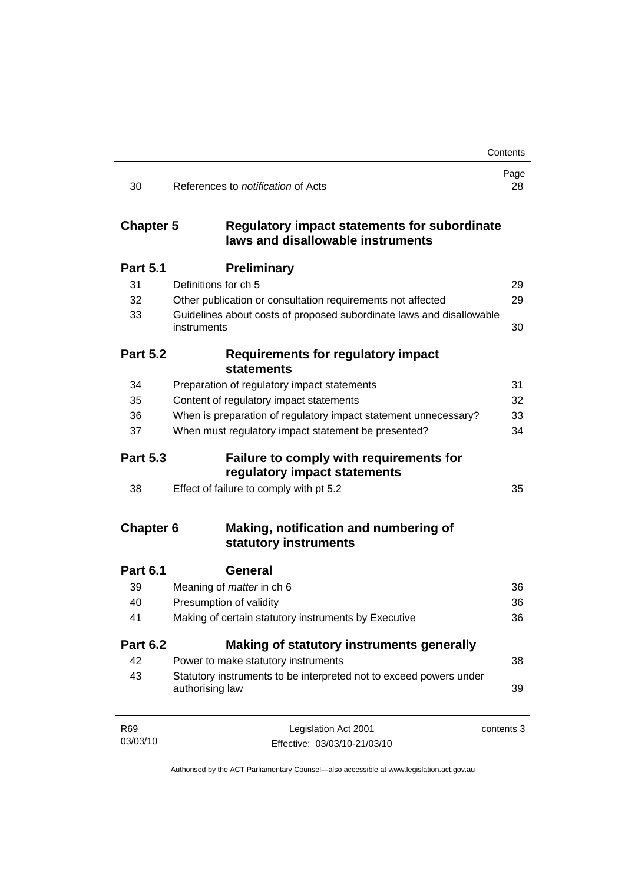|                  |                                                                                       | Contents   |
|------------------|---------------------------------------------------------------------------------------|------------|
| 30               | References to <i>notification</i> of Acts                                             | Page<br>28 |
| <b>Chapter 5</b> | Regulatory impact statements for subordinate<br>laws and disallowable instruments     |            |
| <b>Part 5.1</b>  | <b>Preliminary</b>                                                                    |            |
| 31               | Definitions for ch 5                                                                  | 29         |
| 32               | Other publication or consultation requirements not affected                           | 29         |
| 33               | Guidelines about costs of proposed subordinate laws and disallowable<br>instruments   | 30         |
| <b>Part 5.2</b>  | <b>Requirements for regulatory impact</b><br><b>statements</b>                        |            |
| 34               | Preparation of regulatory impact statements                                           | 31         |
| 35               | Content of regulatory impact statements                                               | 32         |
| 36               | When is preparation of regulatory impact statement unnecessary?                       | 33         |
| 37               | When must regulatory impact statement be presented?                                   | 34         |
| <b>Part 5.3</b>  | <b>Failure to comply with requirements for</b><br>regulatory impact statements        |            |
| 38               | Effect of failure to comply with pt 5.2                                               | 35         |
| <b>Chapter 6</b> | Making, notification and numbering of<br>statutory instruments                        |            |
| <b>Part 6.1</b>  | <b>General</b>                                                                        |            |
| 39               | Meaning of <i>matter</i> in ch 6                                                      | 36         |
| 40               | Presumption of validity                                                               | 36         |
| 41               | Making of certain statutory instruments by Executive                                  | 36         |
| <b>Part 6.2</b>  | <b>Making of statutory instruments generally</b>                                      |            |
| 42               | Power to make statutory instruments                                                   | 38         |
| 43               | Statutory instruments to be interpreted not to exceed powers under<br>authorising law | 39         |
| R69              | Legislation Act 2001                                                                  | contents 3 |
| 03/03/10         | Effective: 03/03/10-21/03/10                                                          |            |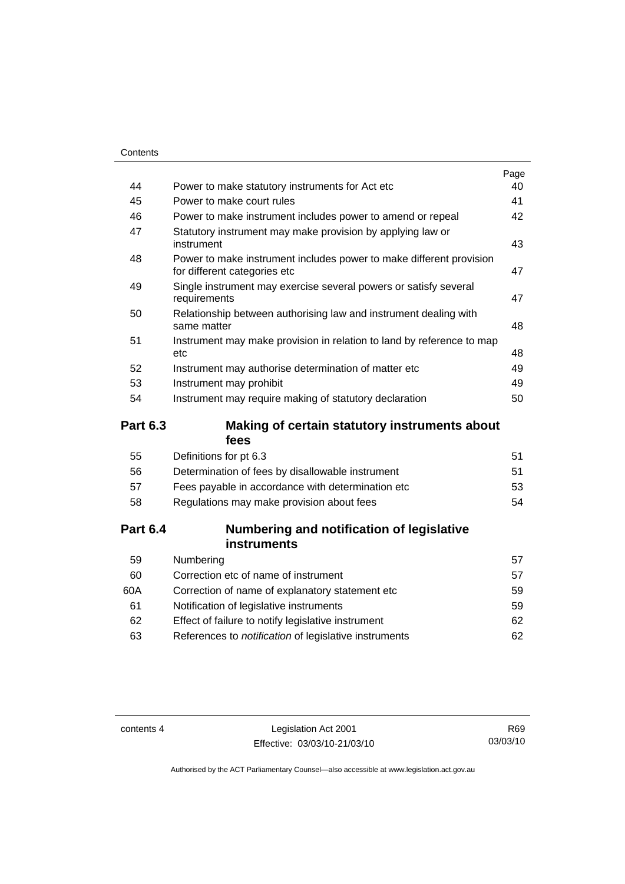|    |                                                                                                     | Page |
|----|-----------------------------------------------------------------------------------------------------|------|
| 44 | Power to make statutory instruments for Act etc                                                     | 40   |
| 45 | Power to make court rules                                                                           | 41   |
| 46 | Power to make instrument includes power to amend or repeal                                          | 42   |
| 47 | Statutory instrument may make provision by applying law or<br>instrument                            | 43   |
| 48 | Power to make instrument includes power to make different provision<br>for different categories etc | 47   |
| 49 | Single instrument may exercise several powers or satisfy several<br>requirements                    | 47   |
| 50 | Relationship between authorising law and instrument dealing with<br>same matter                     | 48   |
| 51 | Instrument may make provision in relation to land by reference to map<br>etc                        | 48   |
| 52 | Instrument may authorise determination of matter etc                                                | 49   |
| 53 | Instrument may prohibit                                                                             | 49   |
| 54 | Instrument may require making of statutory declaration                                              | 50   |
|    |                                                                                                     |      |

## **Part 6.3 Making of certain statutory instruments about fees**

| 55 | Definitions for pt 6.3                             | 51 |
|----|----------------------------------------------------|----|
| 56 | Determination of fees by disallowable instrument   | 51 |
| 57 | Fees payable in accordance with determination etc. | 53 |
| 58 | Regulations may make provision about fees          | 54 |
|    |                                                    |    |

## **Part 6.4 Numbering and notification of legislative instruments**

| Numbering                                                    | 57  |
|--------------------------------------------------------------|-----|
| Correction etc of name of instrument                         | 57  |
| Correction of name of explanatory statement etc.             | 59  |
| Notification of legislative instruments                      | 59  |
| Effect of failure to notify legislative instrument           | 62. |
| References to <i>notification</i> of legislative instruments | 62. |
|                                                              |     |

contents 4 Legislation Act 2001 Effective: 03/03/10-21/03/10

R69 03/03/10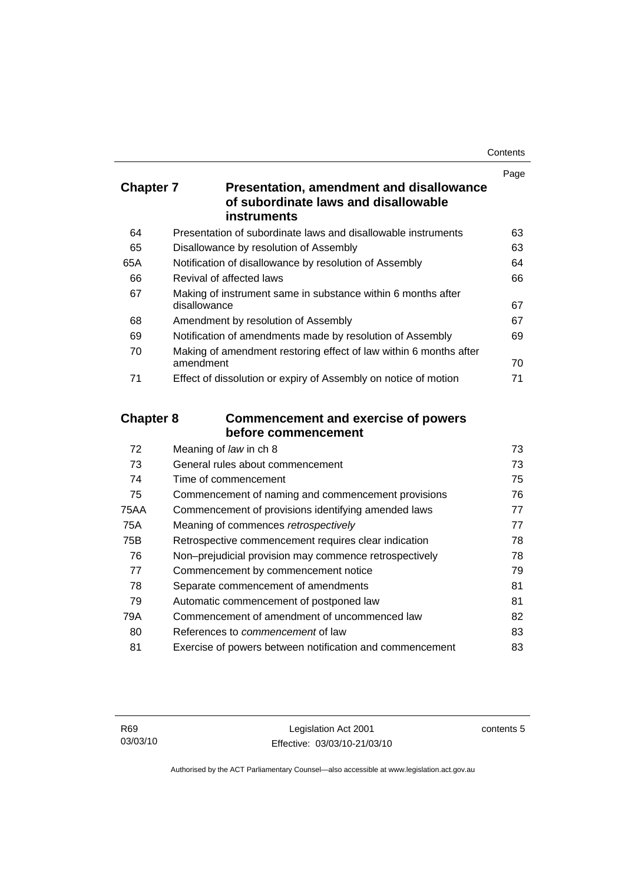| Contents |
|----------|
|----------|

|                  |                                                                                                               | Page |  |
|------------------|---------------------------------------------------------------------------------------------------------------|------|--|
| <b>Chapter 7</b> | <b>Presentation, amendment and disallowance</b><br>of subordinate laws and disallowable<br><b>instruments</b> |      |  |
|                  |                                                                                                               |      |  |
| 64               | Presentation of subordinate laws and disallowable instruments                                                 | 63   |  |
| 65               | Disallowance by resolution of Assembly                                                                        | 63   |  |
| 65A              | Notification of disallowance by resolution of Assembly                                                        | 64   |  |
| 66               | Revival of affected laws                                                                                      | 66   |  |
| 67               | Making of instrument same in substance within 6 months after<br>disallowance                                  | 67   |  |
| 68               | Amendment by resolution of Assembly                                                                           | 67   |  |
| 69               | Notification of amendments made by resolution of Assembly                                                     | 69   |  |
| 70               | Making of amendment restoring effect of law within 6 months after<br>amendment                                | 70   |  |
| 71               | Effect of dissolution or expiry of Assembly on notice of motion                                               | 71   |  |
|                  | <b>Chapter 8</b><br><b>Commencement and exercise of powers</b><br>before commencement                         |      |  |
| 72               | Meaning of law in ch 8                                                                                        | 73   |  |
| 73               | General rules about commencement                                                                              | 73   |  |
| 74               | Time of commencement                                                                                          | 75   |  |
| 75               | Commencement of naming and commencement provisions                                                            | 76   |  |
| <b>75AA</b>      | Commencement of provisions identifying amended laws                                                           | 77   |  |
| 75A              | Meaning of commences retrospectively                                                                          | 77   |  |
| 75B              | Retrospective commencement requires clear indication                                                          | 78   |  |
| 76               | Non-prejudicial provision may commence retrospectively                                                        | 78   |  |
| 77               | Commencement by commencement notice                                                                           | 79   |  |
| 78               | Separate commencement of amendments                                                                           | 81   |  |
| 79               | Automatic commencement of postponed law                                                                       | 81   |  |
| 79A              | Commencement of amendment of uncommenced law                                                                  | 82   |  |
| 80               | References to commencement of law                                                                             | 83   |  |

81 Exercise of powers between notification and commencement [83](#page-98-0)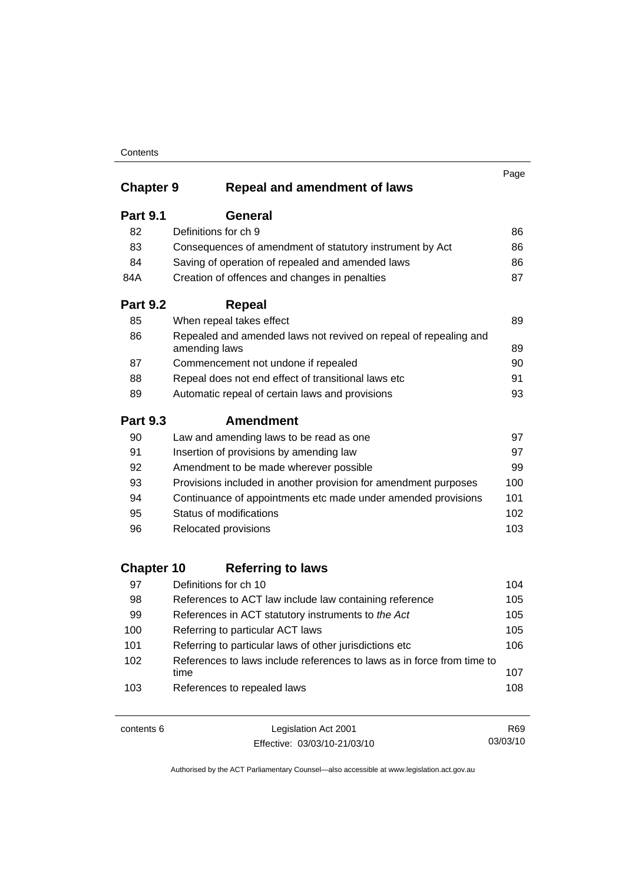|                   |                                                                                   | Page |
|-------------------|-----------------------------------------------------------------------------------|------|
| <b>Chapter 9</b>  | <b>Repeal and amendment of laws</b>                                               |      |
| <b>Part 9.1</b>   | <b>General</b>                                                                    |      |
| 82                | Definitions for ch 9                                                              | 86   |
| 83                | Consequences of amendment of statutory instrument by Act                          | 86   |
| 84                | Saving of operation of repealed and amended laws                                  | 86   |
| 84A               | Creation of offences and changes in penalties                                     | 87   |
| <b>Part 9.2</b>   | <b>Repeal</b>                                                                     |      |
| 85                | When repeal takes effect                                                          | 89   |
| 86                | Repealed and amended laws not revived on repeal of repealing and<br>amending laws | 89   |
| 87                | Commencement not undone if repealed                                               | 90   |
| 88                | Repeal does not end effect of transitional laws etc                               | 91   |
| 89                | Automatic repeal of certain laws and provisions                                   | 93   |
| <b>Part 9.3</b>   | <b>Amendment</b>                                                                  |      |
| 90                | Law and amending laws to be read as one                                           | 97   |
| 91                | Insertion of provisions by amending law                                           | 97   |
| 92                | Amendment to be made wherever possible                                            | 99   |
| 93                | Provisions included in another provision for amendment purposes                   | 100  |
| 94                | Continuance of appointments etc made under amended provisions                     | 101  |
| 95                | Status of modifications                                                           | 102  |
| 96                | Relocated provisions                                                              | 103  |
| <b>Chapter 10</b> | <b>Referring to laws</b>                                                          |      |
| 97                | Definitions for ch 10                                                             | 104  |
| 98                | References to ACT law include law containing reference                            | 105  |
| 99                | References in ACT statutory instruments to the Act                                | 105  |
| 100               | Referring to particular ACT laws                                                  | 105  |
| 101               | Referring to particular laws of other jurisdictions etc                           | 106  |
| 102               | References to laws include references to laws as in force from time to<br>time    | 107  |
| 103               | References to repealed laws                                                       | 108  |

contents 6 Legislation Act 2001 Effective: 03/03/10-21/03/10

R69 03/03/10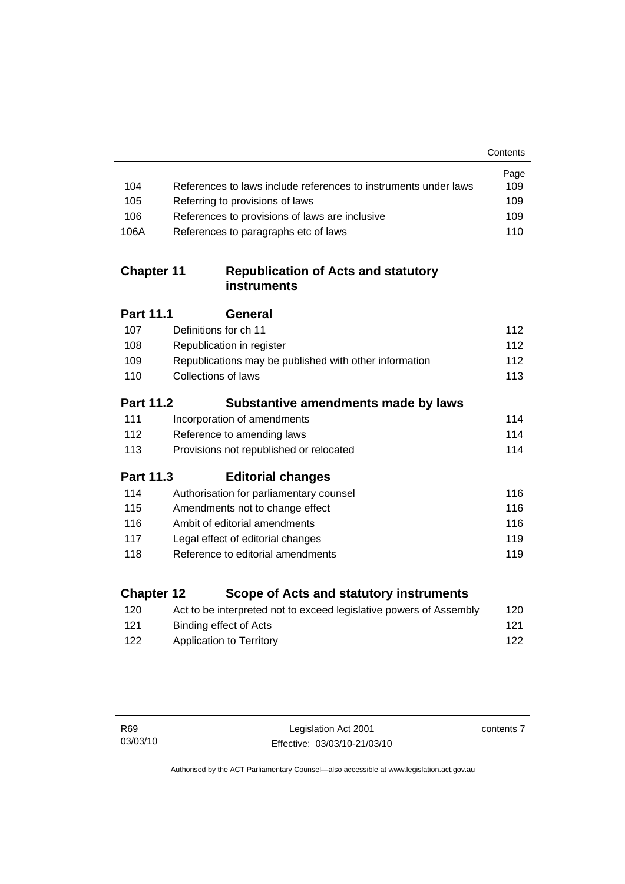|                   |                                                                    | Contents |
|-------------------|--------------------------------------------------------------------|----------|
|                   |                                                                    | Page     |
| 104               | References to laws include references to instruments under laws    | 109      |
| 105               | Referring to provisions of laws                                    | 109      |
| 106               | References to provisions of laws are inclusive                     | 109      |
| 106A              | References to paragraphs etc of laws                               | 110      |
| <b>Chapter 11</b> | <b>Republication of Acts and statutory</b><br><b>instruments</b>   |          |
| Part 11.1         | General                                                            |          |
| 107               | Definitions for ch 11                                              | 112      |
| 108               | Republication in register                                          | 112      |
| 109               | Republications may be published with other information             | 112      |
| 110               | <b>Collections of laws</b>                                         | 113      |
| <b>Part 11.2</b>  | Substantive amendments made by laws                                |          |
| 111               | Incorporation of amendments                                        | 114      |
| 112               | Reference to amending laws                                         | 114      |
| 113               | Provisions not republished or relocated                            | 114      |
| <b>Part 11.3</b>  | <b>Editorial changes</b>                                           |          |
| 114               | Authorisation for parliamentary counsel                            | 116      |
| 115               | Amendments not to change effect                                    | 116      |
| 116               | Ambit of editorial amendments                                      | 116      |
| 117               | Legal effect of editorial changes                                  | 119      |
| 118               | Reference to editorial amendments                                  | 119      |
| <b>Chapter 12</b> | Scope of Acts and statutory instruments                            |          |
| 120               | Act to be interpreted not to exceed legislative powers of Assembly | 120      |

[121](#page-136-0) Binding effect of Acts 121 [122](#page-137-0) Application to Territory **122** 

contents 7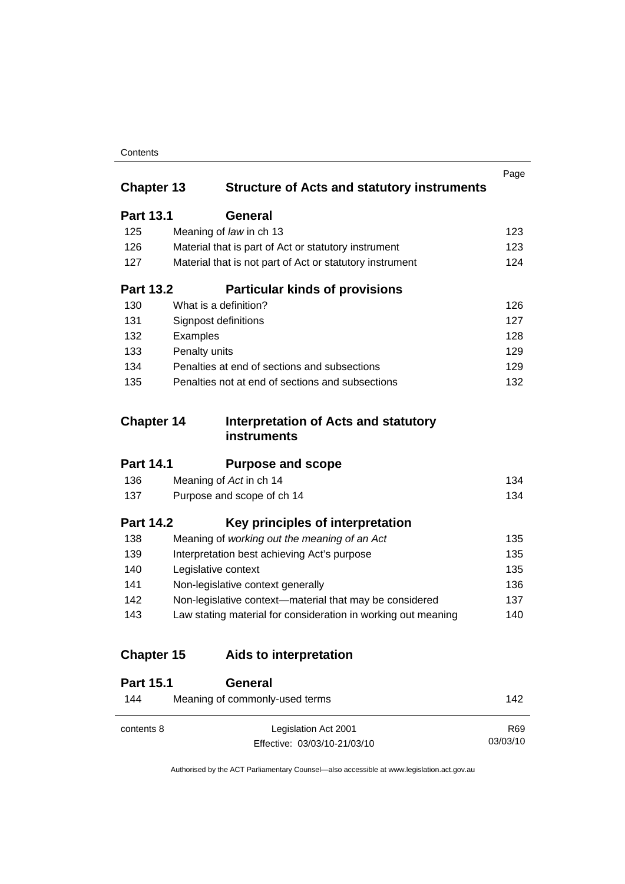|                   |                                                               | Page |
|-------------------|---------------------------------------------------------------|------|
| <b>Chapter 13</b> | <b>Structure of Acts and statutory instruments</b>            |      |
| <b>Part 13.1</b>  | General                                                       |      |
| 125               | Meaning of law in ch 13                                       | 123  |
| 126               | Material that is part of Act or statutory instrument          | 123  |
| 127               | Material that is not part of Act or statutory instrument      | 124  |
| <b>Part 13.2</b>  | <b>Particular kinds of provisions</b>                         |      |
| 130               | What is a definition?                                         | 126  |
| 131               | Signpost definitions                                          | 127  |
| 132               | Examples                                                      | 128  |
| 133               | Penalty units                                                 | 129  |
| 134               | Penalties at end of sections and subsections                  | 129  |
| 135               | Penalties not at end of sections and subsections              | 132  |
| <b>Chapter 14</b> |                                                               |      |
|                   | Interpretation of Acts and statutory<br><b>instruments</b>    |      |
| <b>Part 14.1</b>  | <b>Purpose and scope</b>                                      |      |
| 136               | Meaning of Act in ch 14                                       | 134  |
| 137               | Purpose and scope of ch 14                                    | 134  |
| <b>Part 14.2</b>  | Key principles of interpretation                              |      |
| 138               | Meaning of working out the meaning of an Act                  | 135  |
| 139               | Interpretation best achieving Act's purpose                   | 135  |
| 140               | Legislative context                                           | 135  |
| 141               | Non-legislative context generally                             | 136  |
| 142               | Non-legislative context-material that may be considered       | 137  |
| 143               | Law stating material for consideration in working out meaning | 140  |
| <b>Chapter 15</b> | Aids to interpretation                                        |      |
| <b>Part 15.1</b>  | General                                                       |      |
| 144               | Meaning of commonly-used terms                                | 142  |

Authorised by the ACT Parliamentary Counsel—also accessible at www.legislation.act.gov.au

R69 03/03/10

Effective: 03/03/10-21/03/10

contents 8 Legislation Act 2001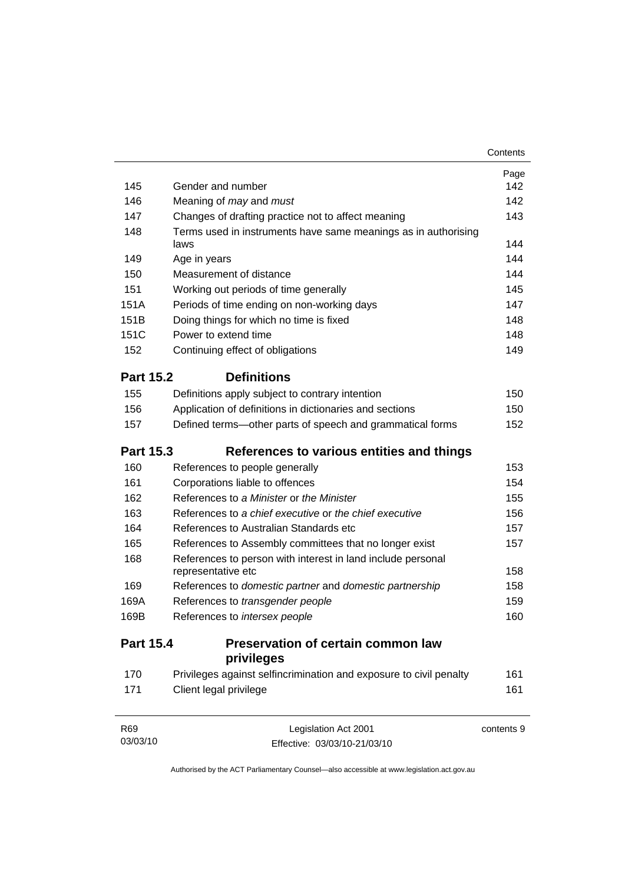|                  |                                                                    | Page       |
|------------------|--------------------------------------------------------------------|------------|
| 145              | Gender and number                                                  | 142        |
| 146              | Meaning of <i>may</i> and <i>must</i>                              | 142        |
| 147              | Changes of drafting practice not to affect meaning                 | 143        |
| 148              | Terms used in instruments have same meanings as in authorising     | 144        |
|                  | laws                                                               | 144        |
| 149              | Age in years                                                       |            |
| 150              | Measurement of distance                                            | 144        |
| 151              | Working out periods of time generally                              | 145        |
| 151A             | Periods of time ending on non-working days                         | 147        |
| 151B             | Doing things for which no time is fixed                            | 148        |
| 151C             | Power to extend time                                               | 148        |
| 152              | Continuing effect of obligations                                   | 149        |
| <b>Part 15.2</b> | <b>Definitions</b>                                                 |            |
| 155              | Definitions apply subject to contrary intention                    | 150        |
| 156              | Application of definitions in dictionaries and sections            | 150        |
| 157              | Defined terms-other parts of speech and grammatical forms          | 152        |
| <b>Part 15.3</b> | References to various entities and things                          |            |
| 160              | References to people generally                                     | 153        |
| 161              | Corporations liable to offences                                    | 154        |
| 162              | References to a Minister or the Minister                           | 155        |
| 163              | References to a chief executive or the chief executive             | 156        |
| 164              | References to Australian Standards etc                             | 157        |
| 165              | References to Assembly committees that no longer exist             | 157        |
| 168              | References to person with interest in land include personal        |            |
|                  | representative etc                                                 | 158        |
| 169              | References to domestic partner and domestic partnership            | 158        |
| 169A             | References to transgender people                                   | 159        |
| 169B             | References to intersex people                                      | 160        |
| <b>Part 15.4</b> | Preservation of certain common law                                 |            |
|                  | privileges                                                         |            |
| 170              | Privileges against selfincrimination and exposure to civil penalty | 161        |
| 171              | Client legal privilege                                             | 161        |
| R69              | Legislation Act 2001                                               | contents 9 |

Authorised by the ACT Parliamentary Counsel—also accessible at www.legislation.act.gov.au

Effective: 03/03/10-21/03/10

03/03/10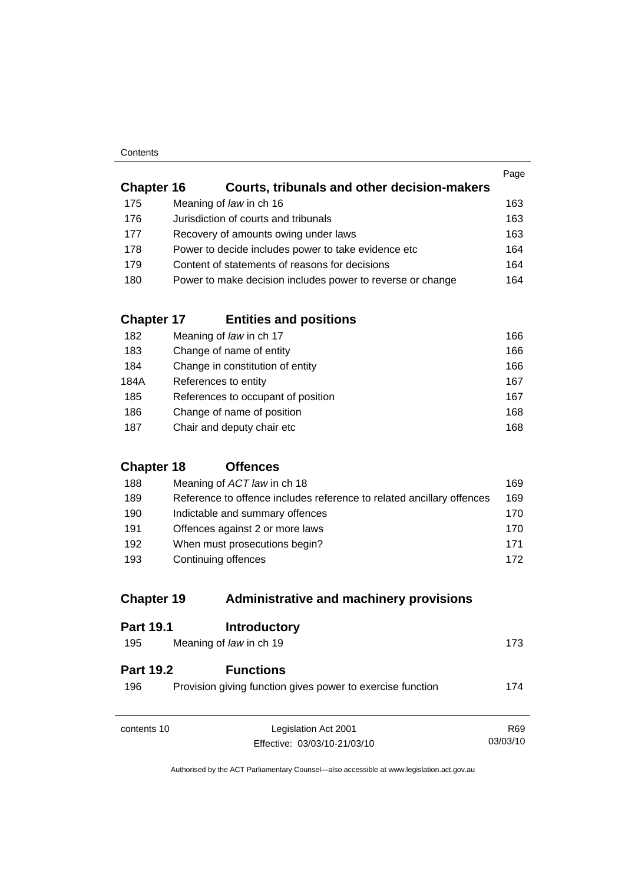|                   |                                                            | Page |
|-------------------|------------------------------------------------------------|------|
| <b>Chapter 16</b> | Courts, tribunals and other decision-makers                |      |
| 175               | Meaning of law in ch 16                                    | 163  |
| 176               | Jurisdiction of courts and tribunals                       | 163  |
| 177               | Recovery of amounts owing under laws                       | 163  |
| 178               | Power to decide includes power to take evidence etc        | 164  |
| 179               | Content of statements of reasons for decisions             | 164  |
| 180               | Power to make decision includes power to reverse or change | 164  |
|                   |                                                            |      |

## **Chapter 17 Entities and positions**

| 182  | Meaning of law in ch 17            | 166 |
|------|------------------------------------|-----|
| 183  | Change of name of entity           | 166 |
| 184  | Change in constitution of entity   | 166 |
| 184A | References to entity               | 167 |
| 185  | References to occupant of position | 167 |
| 186  | Change of name of position         | 168 |
| 187  | Chair and deputy chair etc         | 168 |

## **Chapter 18 Offences**

| 188 | Meaning of ACT law in ch 18                                           | 169. |
|-----|-----------------------------------------------------------------------|------|
| 189 | Reference to offence includes reference to related ancillary offences | 169  |
| 190 | Indictable and summary offences                                       | 170. |
| 191 | Offences against 2 or more laws                                       | 170. |
| 192 | When must prosecutions begin?                                         | 171  |
| 193 | Continuing offences                                                   | 172  |

## **Chapter 19 Administrative and machinery provisions**

| <b>Part 19.1</b>        | <b>Introductory</b>                                                            |                 |
|-------------------------|--------------------------------------------------------------------------------|-----------------|
| 195                     | Meaning of law in ch 19                                                        | 173             |
| <b>Part 19.2</b><br>196 | <b>Functions</b><br>Provision giving function gives power to exercise function | 174             |
| contents 10             | Legislation Act 2001                                                           | R <sub>69</sub> |
|                         | Effective: 03/03/10-21/03/10                                                   | 03/03/10        |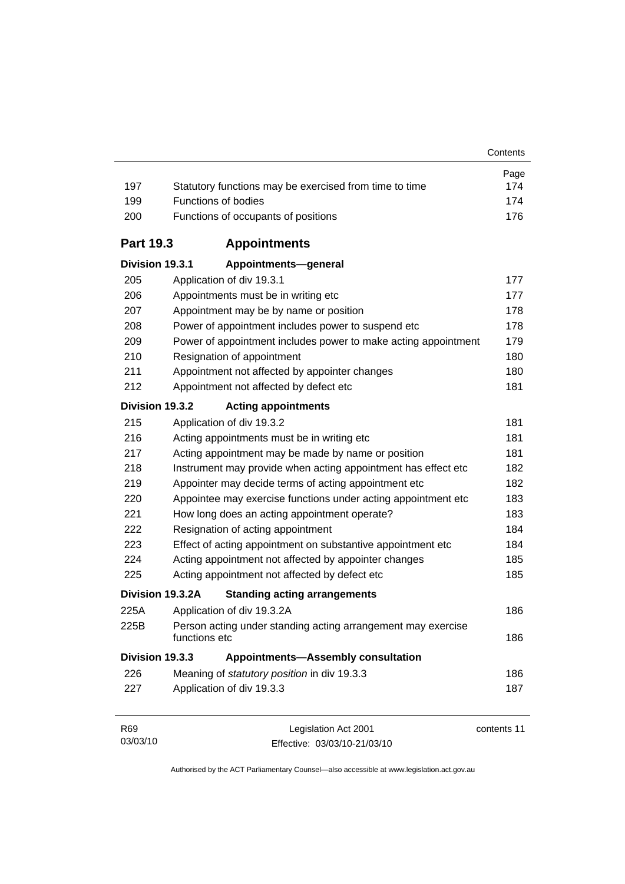| 197              | Statutory functions may be exercised from time to time                        | Page<br>174 |
|------------------|-------------------------------------------------------------------------------|-------------|
| 199              | Functions of bodies                                                           | 174         |
| 200              | Functions of occupants of positions                                           | 176         |
| <b>Part 19.3</b> | <b>Appointments</b>                                                           |             |
| Division 19.3.1  | Appointments-general                                                          |             |
| 205              | Application of div 19.3.1                                                     | 177         |
| 206              | Appointments must be in writing etc                                           | 177         |
| 207              | Appointment may be by name or position                                        | 178         |
| 208              | Power of appointment includes power to suspend etc                            | 178         |
| 209              | Power of appointment includes power to make acting appointment                | 179         |
| 210              | Resignation of appointment                                                    | 180         |
| 211              | Appointment not affected by appointer changes                                 | 180         |
| 212              | Appointment not affected by defect etc                                        | 181         |
| Division 19.3.2  | <b>Acting appointments</b>                                                    |             |
| 215              | Application of div 19.3.2                                                     | 181         |
| 216              | Acting appointments must be in writing etc                                    | 181         |
| 217              | Acting appointment may be made by name or position                            | 181         |
| 218              | Instrument may provide when acting appointment has effect etc                 | 182         |
| 219              | Appointer may decide terms of acting appointment etc                          | 182         |
| 220              | Appointee may exercise functions under acting appointment etc                 | 183         |
| 221              | How long does an acting appointment operate?                                  | 183         |
| 222              | Resignation of acting appointment                                             | 184         |
| 223              | Effect of acting appointment on substantive appointment etc                   | 184         |
| 224              | Acting appointment not affected by appointer changes                          | 185         |
| 225              | Acting appointment not affected by defect etc                                 | 185         |
|                  | Division 19.3.2A<br><b>Standing acting arrangements</b>                       |             |
| 225A             | Application of div 19.3.2A                                                    | 186         |
| 225B             | Person acting under standing acting arrangement may exercise<br>functions etc | 186         |
| Division 19.3.3  | <b>Appointments-Assembly consultation</b>                                     |             |
| 226              | Meaning of statutory position in div 19.3.3                                   | 186         |
| 227              | Application of div 19.3.3                                                     | 187         |
| R69              | Legislation Act 2001                                                          | contents 11 |

Authorised by the ACT Parliamentary Counsel—also accessible at www.legislation.act.gov.au

Effective: 03/03/10-21/03/10

03/03/10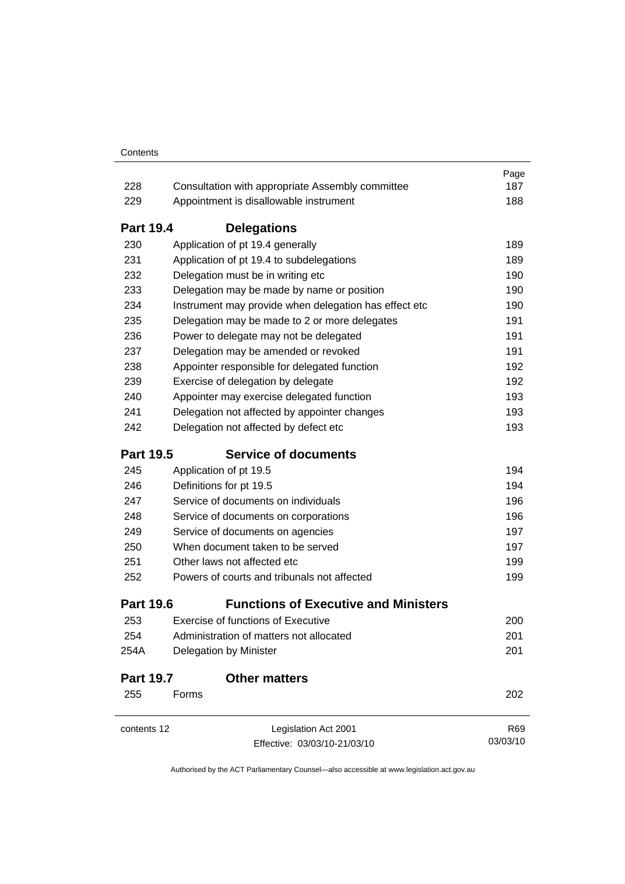|                  |                                                       | Page     |
|------------------|-------------------------------------------------------|----------|
| 228              | Consultation with appropriate Assembly committee      | 187      |
| 229              | Appointment is disallowable instrument                | 188      |
| <b>Part 19.4</b> | <b>Delegations</b>                                    |          |
| 230              | Application of pt 19.4 generally                      | 189      |
| 231              | Application of pt 19.4 to subdelegations              | 189      |
| 232              | Delegation must be in writing etc                     | 190      |
| 233              | Delegation may be made by name or position            | 190      |
| 234              | Instrument may provide when delegation has effect etc | 190      |
| 235              | Delegation may be made to 2 or more delegates         | 191      |
| 236              | Power to delegate may not be delegated                | 191      |
| 237              | Delegation may be amended or revoked                  | 191      |
| 238              | Appointer responsible for delegated function          | 192      |
| 239              | Exercise of delegation by delegate                    | 192      |
| 240              | Appointer may exercise delegated function             | 193      |
| 241              | Delegation not affected by appointer changes          | 193      |
| 242              | Delegation not affected by defect etc                 | 193      |
| <b>Part 19.5</b> | <b>Service of documents</b>                           |          |
| 245              | Application of pt 19.5                                | 194      |
| 246              | Definitions for pt 19.5                               | 194      |
| 247              | Service of documents on individuals                   | 196      |
| 248              | Service of documents on corporations                  | 196      |
| 249              | Service of documents on agencies                      | 197      |
| 250              | When document taken to be served                      | 197      |
| 251              | Other laws not affected etc.                          | 199      |
| 252              | Powers of courts and tribunals not affected           | 199      |
| <b>Part 19.6</b> | <b>Functions of Executive and Ministers</b>           |          |
| 253              | <b>Exercise of functions of Executive</b>             | 200      |
| 254              | Administration of matters not allocated               | 201      |
| 254A             | Delegation by Minister                                | 201      |
| <b>Part 19.7</b> | <b>Other matters</b>                                  |          |
| 255              | Forms                                                 | 202      |
| contents 12      | Legislation Act 2001                                  | R69      |
|                  | Effective: 03/03/10-21/03/10                          | 03/03/10 |
|                  |                                                       |          |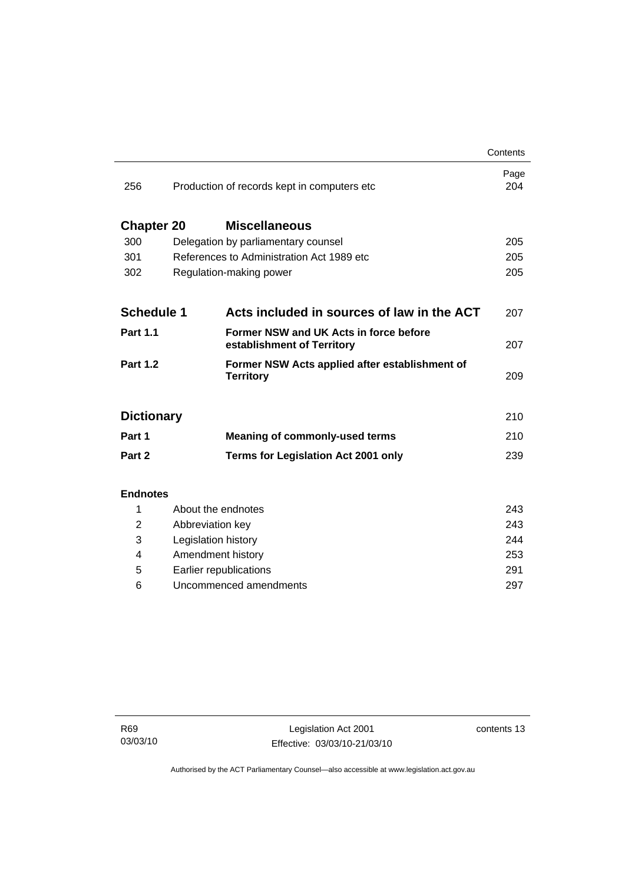|                          |                                                                      | Contents    |
|--------------------------|----------------------------------------------------------------------|-------------|
| 256                      | Production of records kept in computers etc                          | Page<br>204 |
| <b>Chapter 20</b>        | <b>Miscellaneous</b>                                                 |             |
| 300                      | Delegation by parliamentary counsel                                  | 205         |
| 301                      | References to Administration Act 1989 etc                            | 205         |
| 302                      | Regulation-making power                                              | 205         |
|                          |                                                                      |             |
| <b>Schedule 1</b>        | Acts included in sources of law in the ACT                           | 207         |
| <b>Part 1.1</b>          | Former NSW and UK Acts in force before<br>establishment of Territory | 207         |
| <b>Part 1.2</b>          | Former NSW Acts applied after establishment of<br><b>Territory</b>   | 209         |
| <b>Dictionary</b><br>210 |                                                                      |             |
| Part 1                   | <b>Meaning of commonly-used terms</b>                                | 210         |
| Part 2                   | <b>Terms for Legislation Act 2001 only</b>                           | 239         |
|                          |                                                                      |             |
| <b>Endnotes</b>          |                                                                      |             |
| 1                        | About the endnotes                                                   | 243         |
| $\overline{2}$           | Abbreviation key                                                     | 243         |
| 3                        | Legislation history                                                  | 244         |
| 4                        | Amendment history                                                    | 253         |
| 5                        | Earlier republications                                               | 291         |

6 Uncommenced amendments [297](#page-312-0)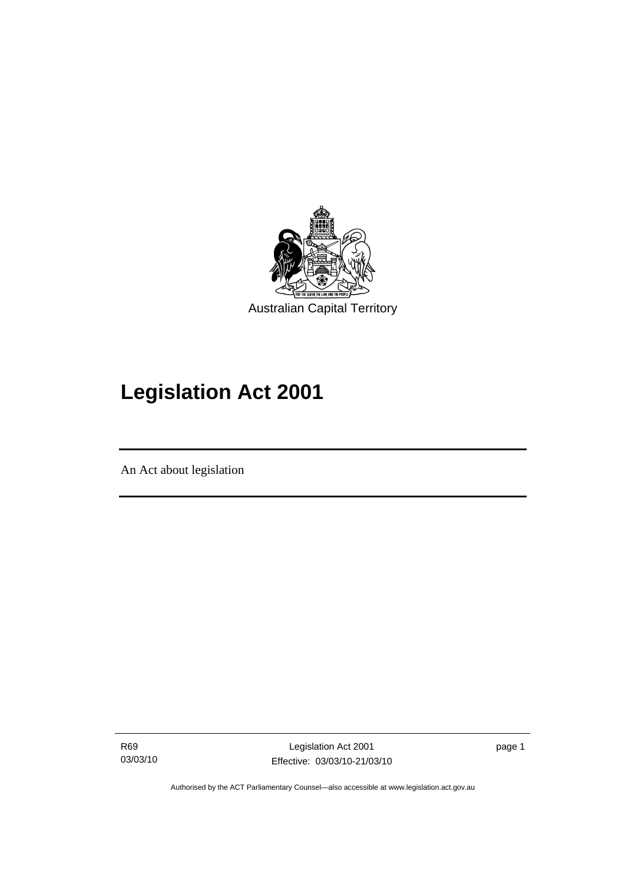<span id="page-16-0"></span>

# **Legislation Act 2001**

An Act about legislation

I

R69 03/03/10

Legislation Act 2001 Effective: 03/03/10-21/03/10 page 1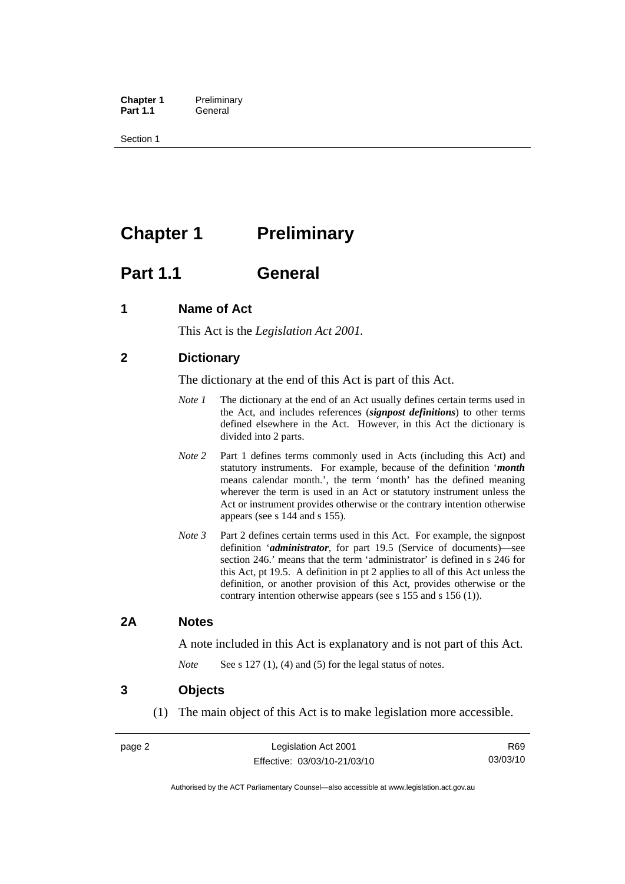<span id="page-17-0"></span>**Chapter 1** Preliminary<br>**Part 1.1** General General

Section 1

## **Chapter 1** Preliminary

## **Part 1.1 General**

## **1 Name of Act**

This Act is the *Legislation Act 2001.* 

## **2 Dictionary**

The dictionary at the end of this Act is part of this Act.

- *Note 1* The dictionary at the end of an Act usually defines certain terms used in the Act, and includes references (*signpost definitions*) to other terms defined elsewhere in the Act. However, in this Act the dictionary is divided into 2 parts.
- *Note* 2 Part 1 defines terms commonly used in Acts (including this Act) and statutory instruments. For example, because of the definition '*month* means calendar month.', the term 'month' has the defined meaning wherever the term is used in an Act or statutory instrument unless the Act or instrument provides otherwise or the contrary intention otherwise appears (see s 144 and s 155).
- *Note 3* Part 2 defines certain terms used in this Act. For example, the signpost definition '*administrator*, for part 19.5 (Service of documents)—see section 246.' means that the term 'administrator' is defined in s 246 for this Act, pt 19.5. A definition in pt 2 applies to all of this Act unless the definition, or another provision of this Act, provides otherwise or the contrary intention otherwise appears (see s 155 and s 156 (1)).

## **2A Notes**

A note included in this Act is explanatory and is not part of this Act.

*Note* See s 127 (1), (4) and (5) for the legal status of notes.

### **3 Objects**

(1) The main object of this Act is to make legislation more accessible.

R69 03/03/10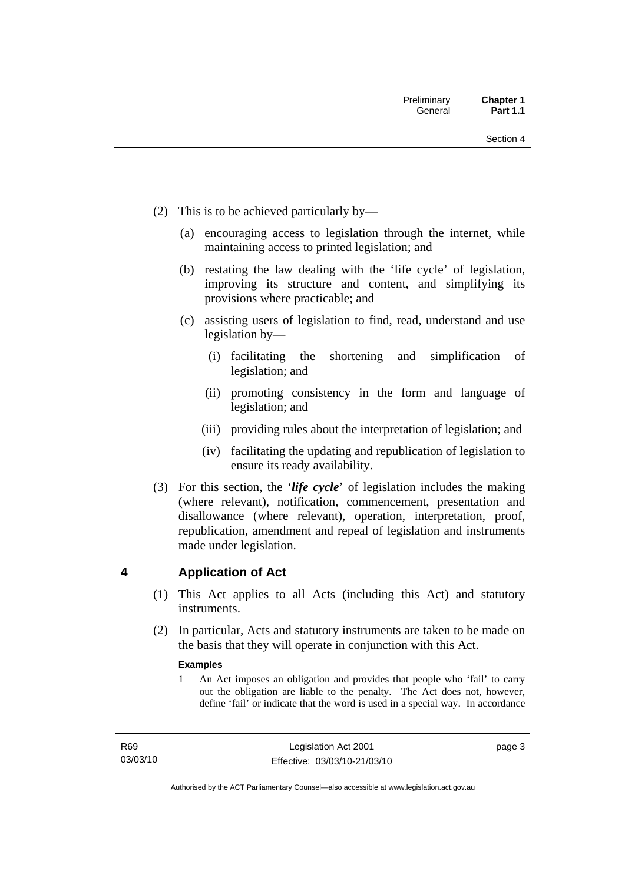- <span id="page-18-0"></span> (2) This is to be achieved particularly by—
	- (a) encouraging access to legislation through the internet, while maintaining access to printed legislation; and
	- (b) restating the law dealing with the 'life cycle' of legislation, improving its structure and content, and simplifying its provisions where practicable; and
	- (c) assisting users of legislation to find, read, understand and use legislation by—
		- (i) facilitating the shortening and simplification of legislation; and
		- (ii) promoting consistency in the form and language of legislation; and
		- (iii) providing rules about the interpretation of legislation; and
		- (iv) facilitating the updating and republication of legislation to ensure its ready availability.
- (3) For this section, the '*life cycle*' of legislation includes the making (where relevant), notification, commencement, presentation and disallowance (where relevant), operation, interpretation, proof, republication, amendment and repeal of legislation and instruments made under legislation.

## **4 Application of Act**

- (1) This Act applies to all Acts (including this Act) and statutory **instruments**
- (2) In particular, Acts and statutory instruments are taken to be made on the basis that they will operate in conjunction with this Act.

#### **Examples**

1 An Act imposes an obligation and provides that people who 'fail' to carry out the obligation are liable to the penalty. The Act does not, however, define 'fail' or indicate that the word is used in a special way. In accordance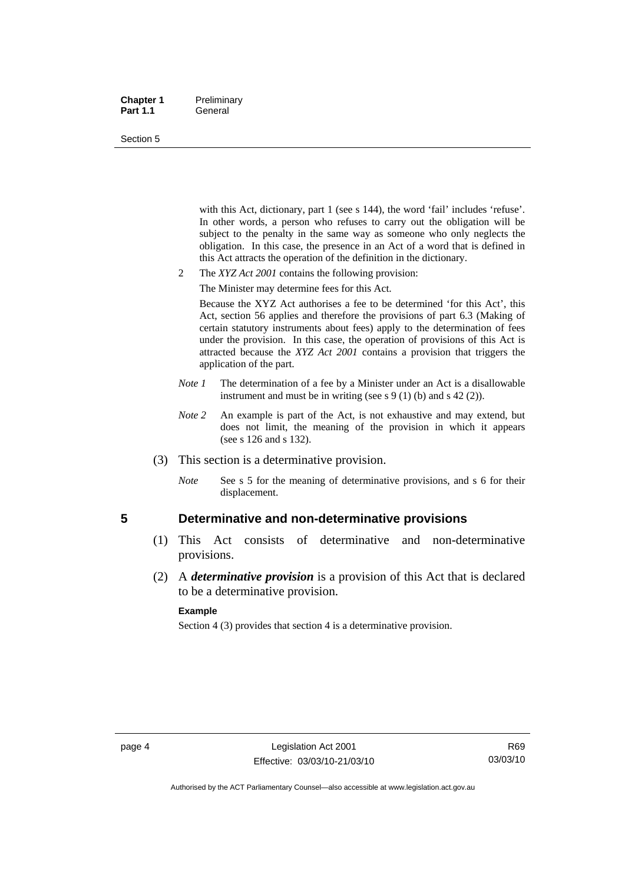#### <span id="page-19-0"></span>**Chapter 1** Preliminary Part 1.1 **General**

#### Section 5

with this Act, dictionary, part 1 (see s 144), the word 'fail' includes 'refuse'. In other words, a person who refuses to carry out the obligation will be subject to the penalty in the same way as someone who only neglects the obligation. In this case, the presence in an Act of a word that is defined in this Act attracts the operation of the definition in the dictionary.

- 2 The *XYZ Act 2001* contains the following provision:
	- The Minister may determine fees for this Act.

Because the XYZ Act authorises a fee to be determined 'for this Act', this Act, section 56 applies and therefore the provisions of part 6.3 (Making of certain statutory instruments about fees) apply to the determination of fees under the provision. In this case, the operation of provisions of this Act is attracted because the *XYZ Act 2001* contains a provision that triggers the application of the part.

- *Note 1* The determination of a fee by a Minister under an Act is a disallowable instrument and must be in writing (see s 9 (1) (b) and s 42 (2)).
- *Note* 2 An example is part of the Act, is not exhaustive and may extend, but does not limit, the meaning of the provision in which it appears (see s 126 and s 132).
- (3) This section is a determinative provision.
	- *Note* See s 5 for the meaning of determinative provisions, and s 6 for their displacement.

### **5 Determinative and non-determinative provisions**

- (1) This Act consists of determinative and non-determinative provisions.
- (2) A *determinative provision* is a provision of this Act that is declared to be a determinative provision.

#### **Example**

Section 4 (3) provides that section 4 is a determinative provision.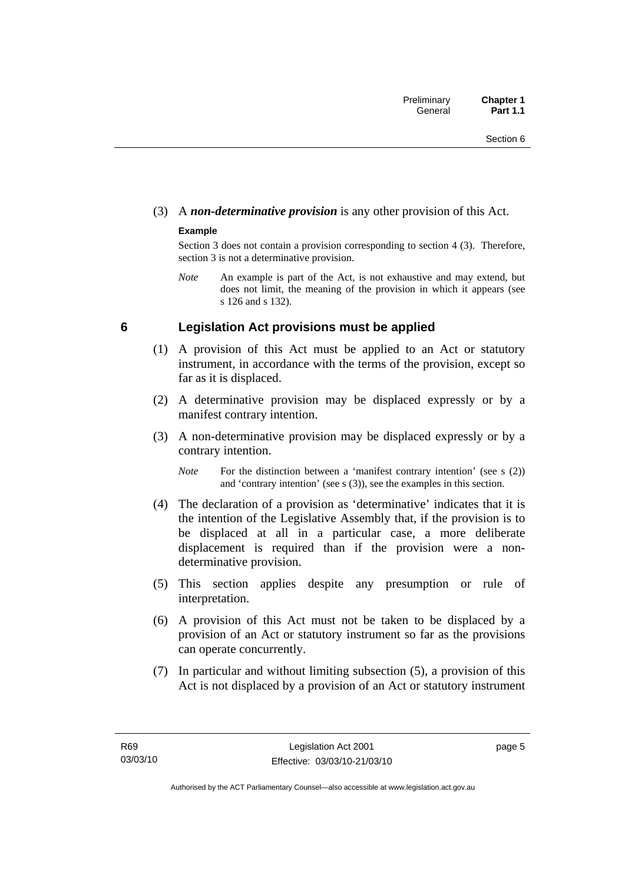## <span id="page-20-0"></span>(3) A *non-determinative provision* is any other provision of this Act.

### **Example**

Section 3 does not contain a provision corresponding to section 4 (3). Therefore, section 3 is not a determinative provision.

*Note* An example is part of the Act, is not exhaustive and may extend, but does not limit, the meaning of the provision in which it appears (see s 126 and s 132).

## **6 Legislation Act provisions must be applied**

- (1) A provision of this Act must be applied to an Act or statutory instrument, in accordance with the terms of the provision, except so far as it is displaced.
- (2) A determinative provision may be displaced expressly or by a manifest contrary intention.
- (3) A non-determinative provision may be displaced expressly or by a contrary intention.

*Note* For the distinction between a 'manifest contrary intention' (see s (2)) and 'contrary intention' (see s (3)), see the examples in this section.

- (4) The declaration of a provision as 'determinative' indicates that it is the intention of the Legislative Assembly that, if the provision is to be displaced at all in a particular case, a more deliberate displacement is required than if the provision were a nondeterminative provision.
- (5) This section applies despite any presumption or rule of interpretation.
- (6) A provision of this Act must not be taken to be displaced by a provision of an Act or statutory instrument so far as the provisions can operate concurrently.
- (7) In particular and without limiting subsection (5), a provision of this Act is not displaced by a provision of an Act or statutory instrument

page 5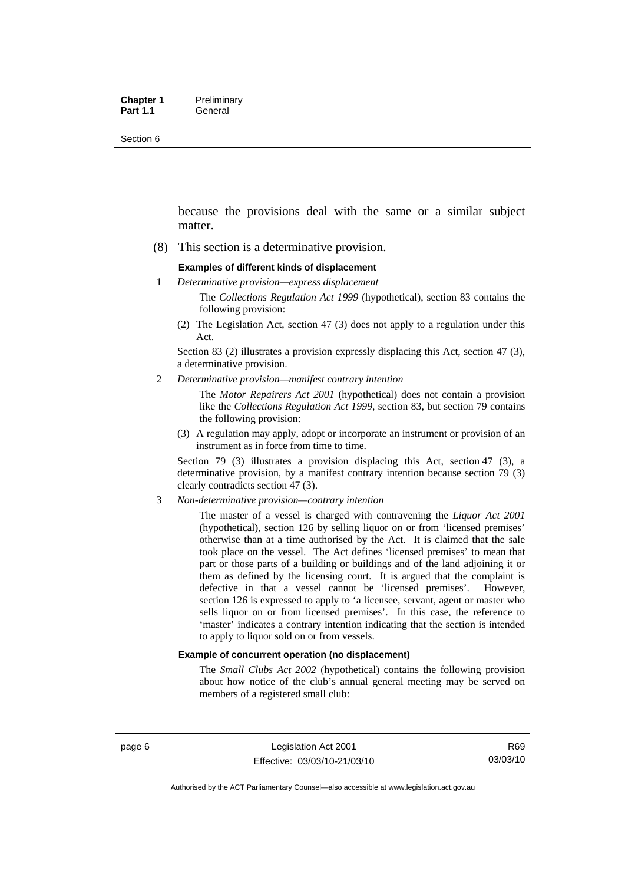Section 6

because the provisions deal with the same or a similar subject matter.

(8) This section is a determinative provision.

#### **Examples of different kinds of displacement**

1 *Determinative provision—express displacement*

The *Collections Regulation Act 1999* (hypothetical), section 83 contains the following provision:

(2) The Legislation Act, section 47 (3) does not apply to a regulation under this Act.

Section 83 (2) illustrates a provision expressly displacing this Act, section 47 (3), a determinative provision.

2 *Determinative provision—manifest contrary intention*

The *Motor Repairers Act 2001* (hypothetical) does not contain a provision like the *Collections Regulation Act 1999*, section 83, but section 79 contains the following provision:

(3) A regulation may apply, adopt or incorporate an instrument or provision of an instrument as in force from time to time.

Section 79 (3) illustrates a provision displacing this Act, section 47 (3), a determinative provision, by a manifest contrary intention because section 79 (3) clearly contradicts section 47 (3).

3 *Non-determinative provision—contrary intention*

The master of a vessel is charged with contravening the *Liquor Act 2001* (hypothetical), section 126 by selling liquor on or from 'licensed premises' otherwise than at a time authorised by the Act. It is claimed that the sale took place on the vessel. The Act defines 'licensed premises' to mean that part or those parts of a building or buildings and of the land adjoining it or them as defined by the licensing court. It is argued that the complaint is defective in that a vessel cannot be 'licensed premises'. However, section 126 is expressed to apply to 'a licensee, servant, agent or master who sells liquor on or from licensed premises'. In this case, the reference to 'master' indicates a contrary intention indicating that the section is intended to apply to liquor sold on or from vessels.

#### **Example of concurrent operation (no displacement)**

The *Small Clubs Act 2002* (hypothetical) contains the following provision about how notice of the club's annual general meeting may be served on members of a registered small club: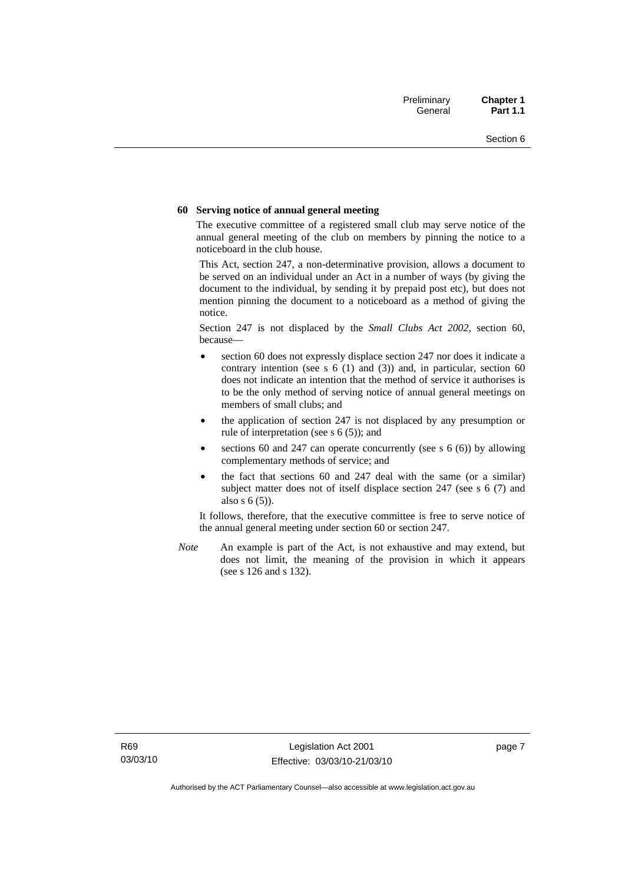#### **60 Serving notice of annual general meeting**

The executive committee of a registered small club may serve notice of the annual general meeting of the club on members by pinning the notice to a noticeboard in the club house.

This Act, section 247, a non-determinative provision, allows a document to be served on an individual under an Act in a number of ways (by giving the document to the individual, by sending it by prepaid post etc), but does not mention pinning the document to a noticeboard as a method of giving the notice.

Section 247 is not displaced by the *Small Clubs Act 2002*, section 60, because—

- section 60 does not expressly displace section 247 nor does it indicate a contrary intention (see s  $6(1)$  and  $(3)$ ) and, in particular, section  $60$ does not indicate an intention that the method of service it authorises is to be the only method of serving notice of annual general meetings on members of small clubs; and
- the application of section 247 is not displaced by any presumption or rule of interpretation (see s 6 (5)); and
- sections 60 and 247 can operate concurrently (see s  $6(6)$ ) by allowing complementary methods of service; and
- the fact that sections 60 and 247 deal with the same (or a similar) subject matter does not of itself displace section 247 (see s 6 (7) and also s 6 (5)).

It follows, therefore, that the executive committee is free to serve notice of the annual general meeting under section 60 or section 247.

*Note* An example is part of the Act, is not exhaustive and may extend, but does not limit, the meaning of the provision in which it appears (see s 126 and s 132).

page 7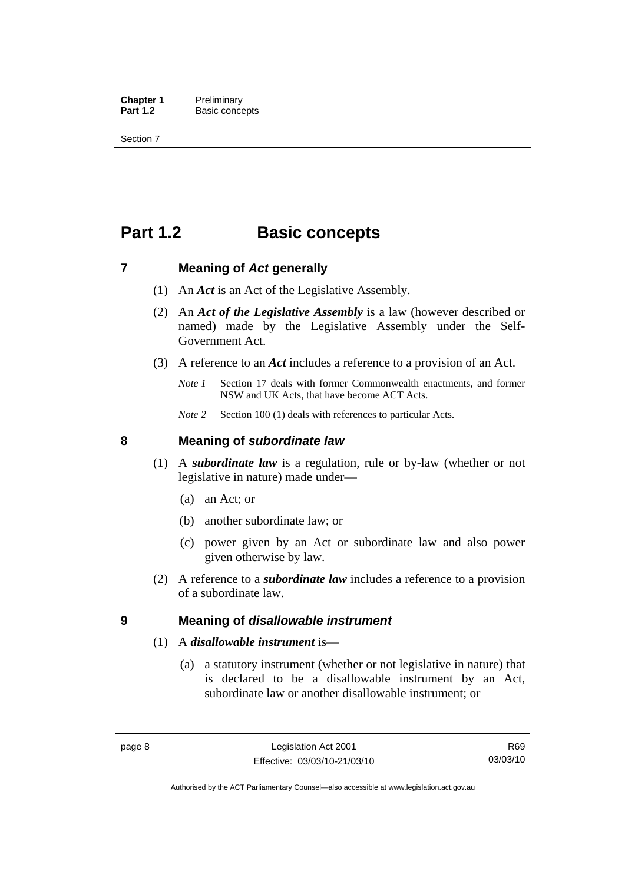<span id="page-23-0"></span>**Chapter 1** Preliminary<br>**Part 1.2** Basic conce **Basic concepts** 

Section 7

## **Part 1.2 Basic concepts**

### **7 Meaning of** *Act* **generally**

- (1) An *Act* is an Act of the Legislative Assembly.
- (2) An *Act of the Legislative Assembly* is a law (however described or named) made by the Legislative Assembly under the Self-Government Act.
- (3) A reference to an *Act* includes a reference to a provision of an Act.
	- *Note 1* Section 17 deals with former Commonwealth enactments, and former NSW and UK Acts, that have become ACT Acts.
	- *Note 2* Section 100 (1) deals with references to particular Acts.

### **8 Meaning of** *subordinate law*

- (1) A *subordinate law* is a regulation, rule or by-law (whether or not legislative in nature) made under—
	- (a) an Act; or
	- (b) another subordinate law; or
	- (c) power given by an Act or subordinate law and also power given otherwise by law.
- (2) A reference to a *subordinate law* includes a reference to a provision of a subordinate law.

### **9 Meaning of** *disallowable instrument*

### (1) A *disallowable instrument* is—

 (a) a statutory instrument (whether or not legislative in nature) that is declared to be a disallowable instrument by an Act, subordinate law or another disallowable instrument; or

Authorised by the ACT Parliamentary Counsel—also accessible at www.legislation.act.gov.au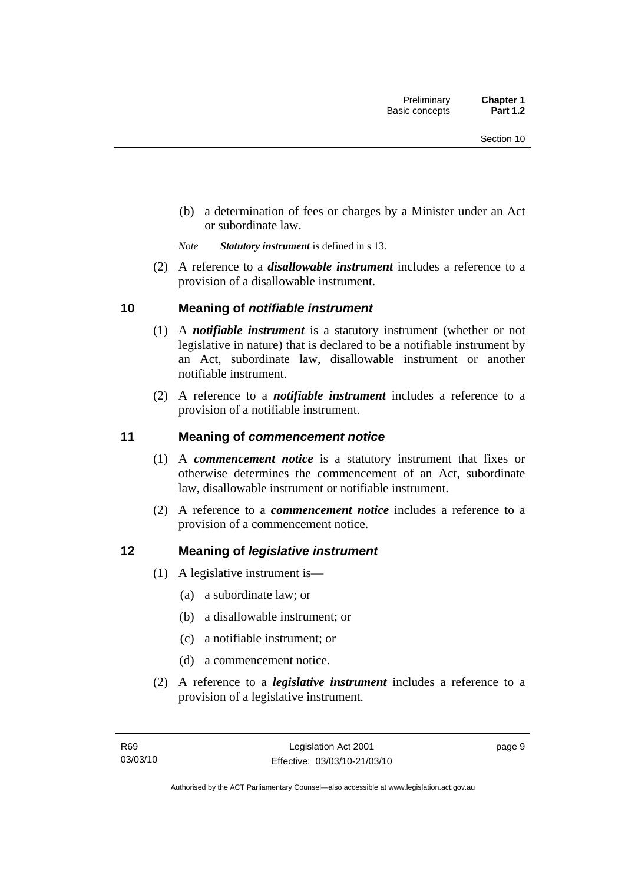<span id="page-24-0"></span> (b) a determination of fees or charges by a Minister under an Act or subordinate law.

*Note Statutory instrument* is defined in s 13.

 (2) A reference to a *disallowable instrument* includes a reference to a provision of a disallowable instrument.

## **10 Meaning of** *notifiable instrument*

- (1) A *notifiable instrument* is a statutory instrument (whether or not legislative in nature) that is declared to be a notifiable instrument by an Act, subordinate law, disallowable instrument or another notifiable instrument.
- (2) A reference to a *notifiable instrument* includes a reference to a provision of a notifiable instrument.

## **11 Meaning of** *commencement notice*

- (1) A *commencement notice* is a statutory instrument that fixes or otherwise determines the commencement of an Act, subordinate law, disallowable instrument or notifiable instrument.
- (2) A reference to a *commencement notice* includes a reference to a provision of a commencement notice.

## **12 Meaning of** *legislative instrument*

- (1) A legislative instrument is—
	- (a) a subordinate law; or
	- (b) a disallowable instrument; or
	- (c) a notifiable instrument; or
	- (d) a commencement notice.
- (2) A reference to a *legislative instrument* includes a reference to a provision of a legislative instrument.

page 9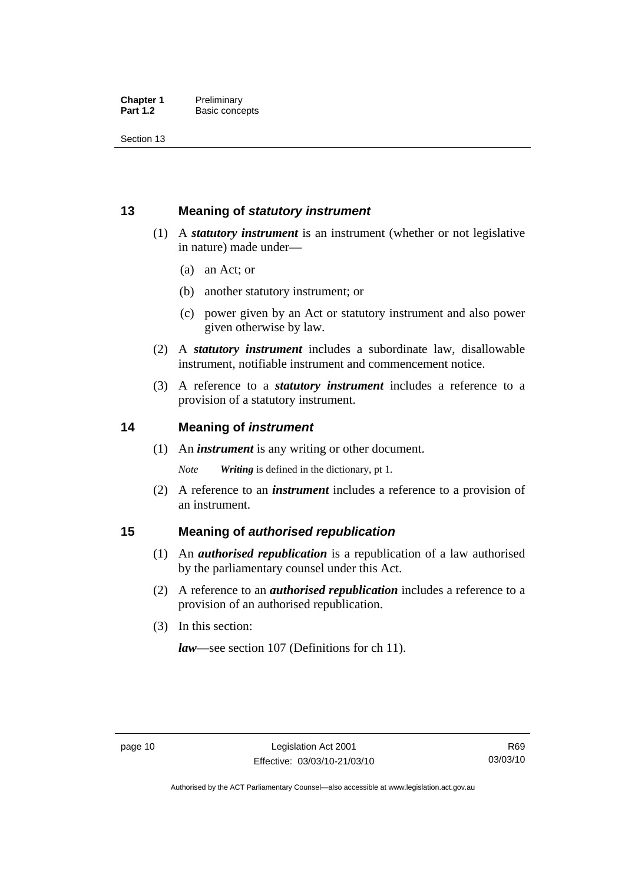<span id="page-25-0"></span>Section 13

## **13 Meaning of** *statutory instrument*

- (1) A *statutory instrument* is an instrument (whether or not legislative in nature) made under—
	- (a) an Act; or
	- (b) another statutory instrument; or
	- (c) power given by an Act or statutory instrument and also power given otherwise by law.
- (2) A *statutory instrument* includes a subordinate law, disallowable instrument, notifiable instrument and commencement notice.
- (3) A reference to a *statutory instrument* includes a reference to a provision of a statutory instrument.

## **14 Meaning of** *instrument*

(1) An *instrument* is any writing or other document.

*Note Writing* is defined in the dictionary, pt 1.

 (2) A reference to an *instrument* includes a reference to a provision of an instrument.

## **15 Meaning of** *authorised republication*

- (1) An *authorised republication* is a republication of a law authorised by the parliamentary counsel under this Act.
- (2) A reference to an *authorised republication* includes a reference to a provision of an authorised republication.
- (3) In this section:

*law*—see section 107 (Definitions for ch 11).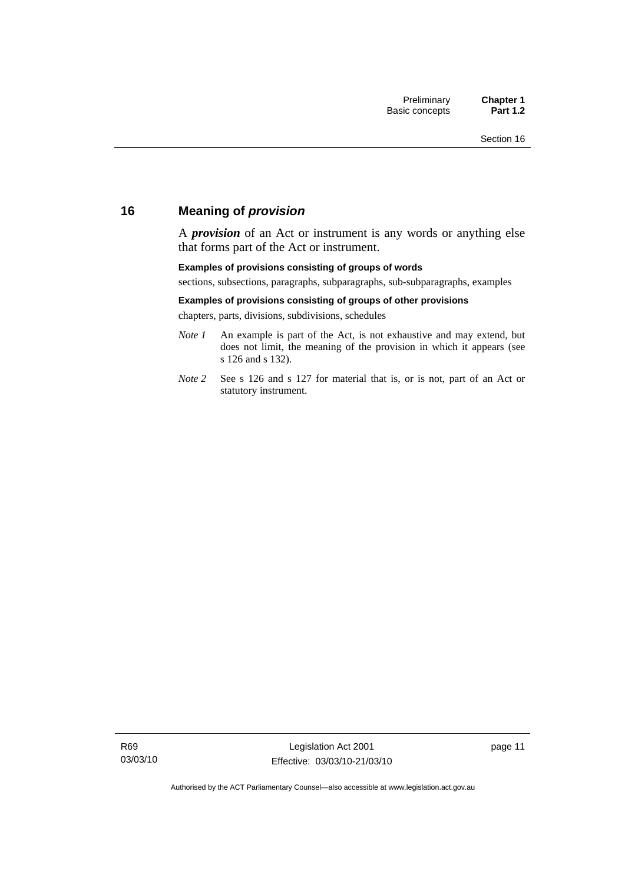## <span id="page-26-0"></span>**16 Meaning of** *provision*

A *provision* of an Act or instrument is any words or anything else that forms part of the Act or instrument.

#### **Examples of provisions consisting of groups of words**

sections, subsections, paragraphs, subparagraphs, sub-subparagraphs, examples

#### **Examples of provisions consisting of groups of other provisions**

chapters, parts, divisions, subdivisions, schedules

- *Note 1* An example is part of the Act, is not exhaustive and may extend, but does not limit, the meaning of the provision in which it appears (see s 126 and s 132).
- *Note 2* See s 126 and s 127 for material that is, or is not, part of an Act or statutory instrument.

page 11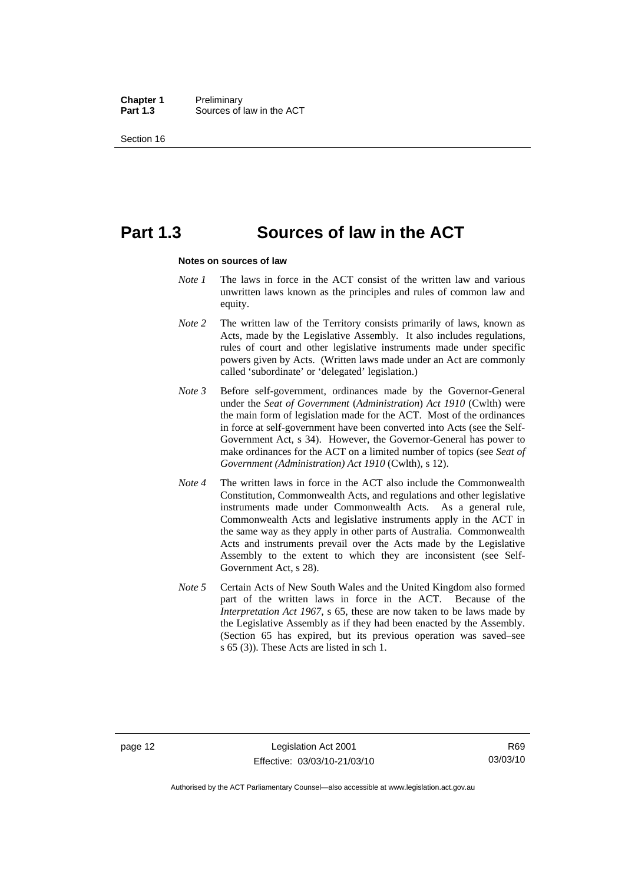**Chapter 1** Preliminary<br>**Part 1.3** Sources of Sources of law in the ACT

Section 16

## **Part 1.3 Sources of law in the ACT**

#### **Notes on sources of law**

- *Note 1* The laws in force in the ACT consist of the written law and various unwritten laws known as the principles and rules of common law and equity.
- *Note* 2 The written law of the Territory consists primarily of laws, known as Acts, made by the Legislative Assembly. It also includes regulations, rules of court and other legislative instruments made under specific powers given by Acts. (Written laws made under an Act are commonly called 'subordinate' or 'delegated' legislation.)
- *Note 3* Before self-government, ordinances made by the Governor-General under the *Seat of Government* (*Administration*) *Act 1910* (Cwlth) were the main form of legislation made for the ACT. Most of the ordinances in force at self-government have been converted into Acts (see the Self-Government Act, s 34). However, the Governor-General has power to make ordinances for the ACT on a limited number of topics (see *Seat of Government (Administration) Act 1910* (Cwlth), s 12).
- *Note 4* The written laws in force in the ACT also include the Commonwealth Constitution, Commonwealth Acts, and regulations and other legislative instruments made under Commonwealth Acts. As a general rule, Commonwealth Acts and legislative instruments apply in the ACT in the same way as they apply in other parts of Australia. Commonwealth Acts and instruments prevail over the Acts made by the Legislative Assembly to the extent to which they are inconsistent (see Self-Government Act, s 28).
- *Note 5* Certain Acts of New South Wales and the United Kingdom also formed part of the written laws in force in the ACT. Because of the *Interpretation Act 1967*, s 65, these are now taken to be laws made by the Legislative Assembly as if they had been enacted by the Assembly. (Section 65 has expired, but its previous operation was saved–see s 65 (3)). These Acts are listed in sch 1.

Authorised by the ACT Parliamentary Counsel—also accessible at www.legislation.act.gov.au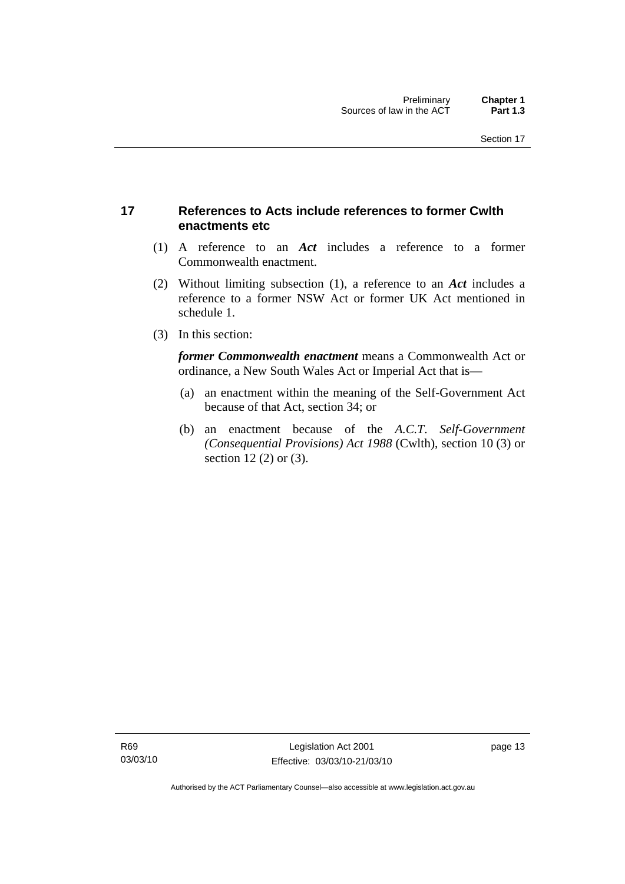## <span id="page-28-0"></span>**17 References to Acts include references to former Cwlth enactments etc**

- (1) A reference to an *Act* includes a reference to a former Commonwealth enactment.
- (2) Without limiting subsection (1), a reference to an *Act* includes a reference to a former NSW Act or former UK Act mentioned in schedule 1.
- (3) In this section:

*former Commonwealth enactment* means a Commonwealth Act or ordinance, a New South Wales Act or Imperial Act that is—

- (a) an enactment within the meaning of the Self-Government Act because of that Act, section 34; or
- (b) an enactment because of the *A.C.T*. *Self-Government (Consequential Provisions) Act 1988* (Cwlth), section 10 (3) or section 12 (2) or (3).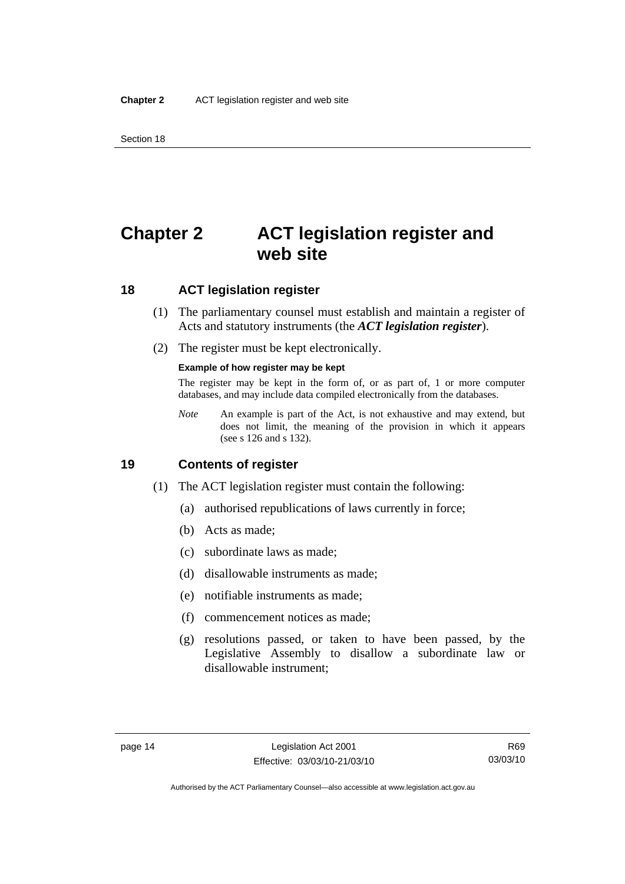<span id="page-29-0"></span>Section 18

## **Chapter 2 ACT legislation register and web site**

## **18 ACT legislation register**

- (1) The parliamentary counsel must establish and maintain a register of Acts and statutory instruments (the *ACT legislation register*).
- (2) The register must be kept electronically.

#### **Example of how register may be kept**

The register may be kept in the form of, or as part of, 1 or more computer databases, and may include data compiled electronically from the databases.

*Note* An example is part of the Act, is not exhaustive and may extend, but does not limit, the meaning of the provision in which it appears (see s 126 and s 132).

### **19 Contents of register**

- (1) The ACT legislation register must contain the following:
	- (a) authorised republications of laws currently in force;
	- (b) Acts as made;
	- (c) subordinate laws as made;
	- (d) disallowable instruments as made;
	- (e) notifiable instruments as made;
	- (f) commencement notices as made;
	- (g) resolutions passed, or taken to have been passed, by the Legislative Assembly to disallow a subordinate law or disallowable instrument;

Authorised by the ACT Parliamentary Counsel—also accessible at www.legislation.act.gov.au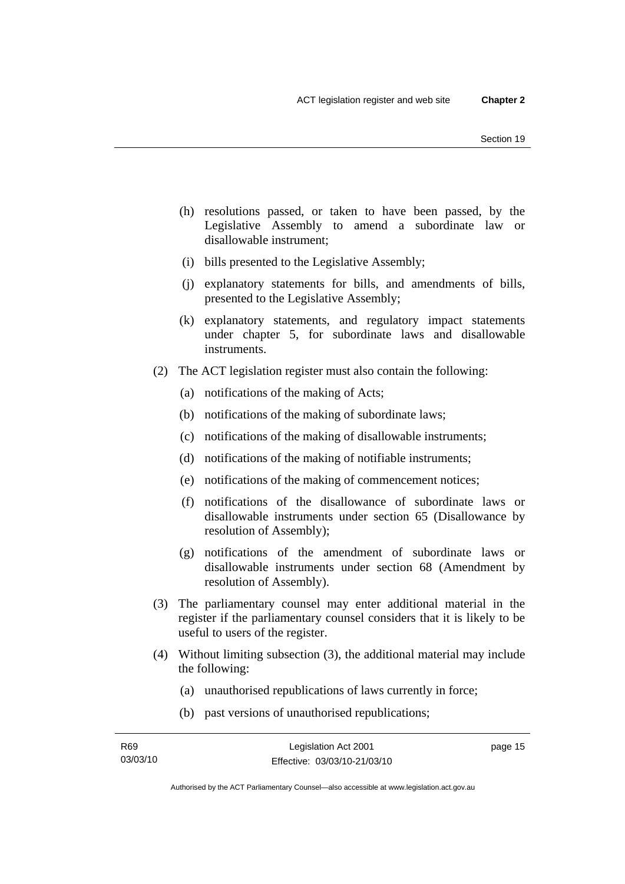- (h) resolutions passed, or taken to have been passed, by the Legislative Assembly to amend a subordinate law or disallowable instrument;
- (i) bills presented to the Legislative Assembly;
- (j) explanatory statements for bills, and amendments of bills, presented to the Legislative Assembly;
- (k) explanatory statements, and regulatory impact statements under chapter 5, for subordinate laws and disallowable instruments.
- (2) The ACT legislation register must also contain the following:
	- (a) notifications of the making of Acts;
	- (b) notifications of the making of subordinate laws;
	- (c) notifications of the making of disallowable instruments;
	- (d) notifications of the making of notifiable instruments;
	- (e) notifications of the making of commencement notices;
	- (f) notifications of the disallowance of subordinate laws or disallowable instruments under section 65 (Disallowance by resolution of Assembly);
	- (g) notifications of the amendment of subordinate laws or disallowable instruments under section 68 (Amendment by resolution of Assembly).
- (3) The parliamentary counsel may enter additional material in the register if the parliamentary counsel considers that it is likely to be useful to users of the register.
- (4) Without limiting subsection (3), the additional material may include the following:
	- (a) unauthorised republications of laws currently in force;
	- (b) past versions of unauthorised republications;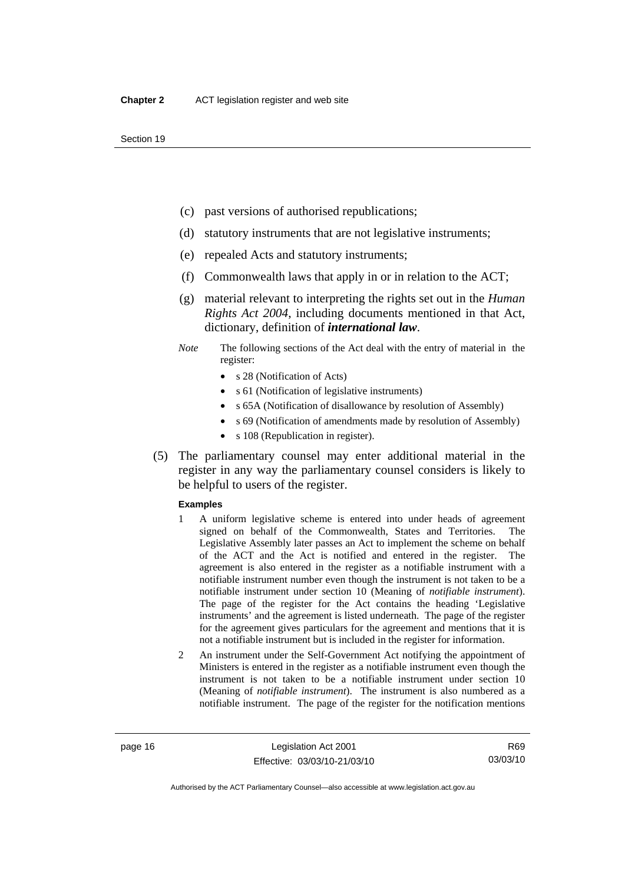- (c) past versions of authorised republications;
- (d) statutory instruments that are not legislative instruments;
- (e) repealed Acts and statutory instruments;
- (f) Commonwealth laws that apply in or in relation to the ACT;
- (g) material relevant to interpreting the rights set out in the *Human Rights Act 2004*, including documents mentioned in that Act, dictionary, definition of *international law*.
- *Note* The following sections of the Act deal with the entry of material in the register:
	- s 28 (Notification of Acts)
	- s 61 (Notification of legislative instruments)
	- s 65A (Notification of disallowance by resolution of Assembly)
	- s 69 (Notification of amendments made by resolution of Assembly)
	- s 108 (Republication in register).
- (5) The parliamentary counsel may enter additional material in the register in any way the parliamentary counsel considers is likely to be helpful to users of the register.

#### **Examples**

- 1 A uniform legislative scheme is entered into under heads of agreement signed on behalf of the Commonwealth, States and Territories. The Legislative Assembly later passes an Act to implement the scheme on behalf of the ACT and the Act is notified and entered in the register. The agreement is also entered in the register as a notifiable instrument with a notifiable instrument number even though the instrument is not taken to be a notifiable instrument under section 10 (Meaning of *notifiable instrument*). The page of the register for the Act contains the heading 'Legislative instruments' and the agreement is listed underneath. The page of the register for the agreement gives particulars for the agreement and mentions that it is not a notifiable instrument but is included in the register for information.
- 2 An instrument under the Self-Government Act notifying the appointment of Ministers is entered in the register as a notifiable instrument even though the instrument is not taken to be a notifiable instrument under section 10 (Meaning of *notifiable instrument*). The instrument is also numbered as a notifiable instrument. The page of the register for the notification mentions

R69 03/03/10

Authorised by the ACT Parliamentary Counsel—also accessible at www.legislation.act.gov.au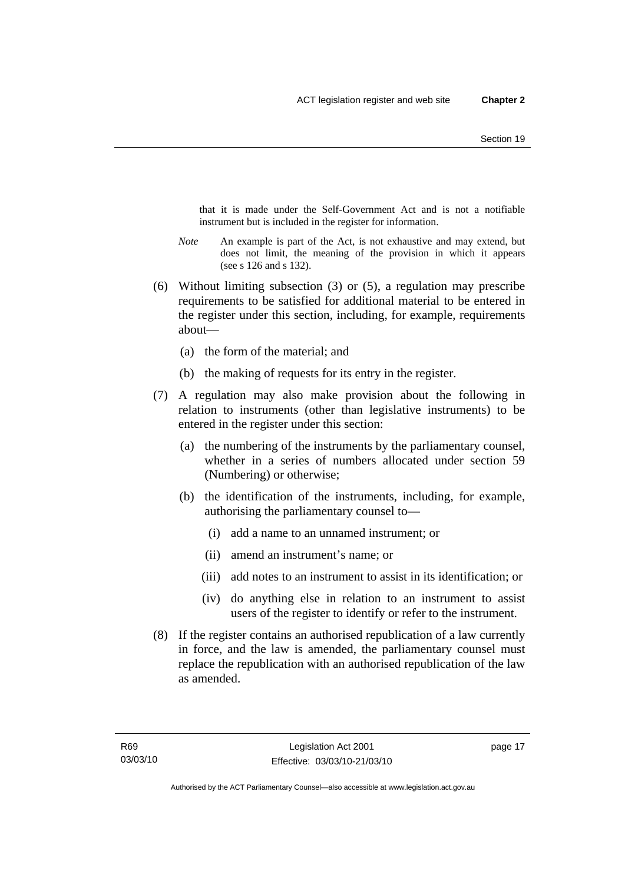that it is made under the Self-Government Act and is not a notifiable instrument but is included in the register for information.

- *Note* An example is part of the Act, is not exhaustive and may extend, but does not limit, the meaning of the provision in which it appears (see s 126 and s 132).
- (6) Without limiting subsection (3) or (5), a regulation may prescribe requirements to be satisfied for additional material to be entered in the register under this section, including, for example, requirements about—
	- (a) the form of the material; and
	- (b) the making of requests for its entry in the register.
- (7) A regulation may also make provision about the following in relation to instruments (other than legislative instruments) to be entered in the register under this section:
	- (a) the numbering of the instruments by the parliamentary counsel, whether in a series of numbers allocated under section 59 (Numbering) or otherwise;
	- (b) the identification of the instruments, including, for example, authorising the parliamentary counsel to—
		- (i) add a name to an unnamed instrument; or
		- (ii) amend an instrument's name; or
		- (iii) add notes to an instrument to assist in its identification; or
		- (iv) do anything else in relation to an instrument to assist users of the register to identify or refer to the instrument.
- (8) If the register contains an authorised republication of a law currently in force, and the law is amended, the parliamentary counsel must replace the republication with an authorised republication of the law as amended.

page 17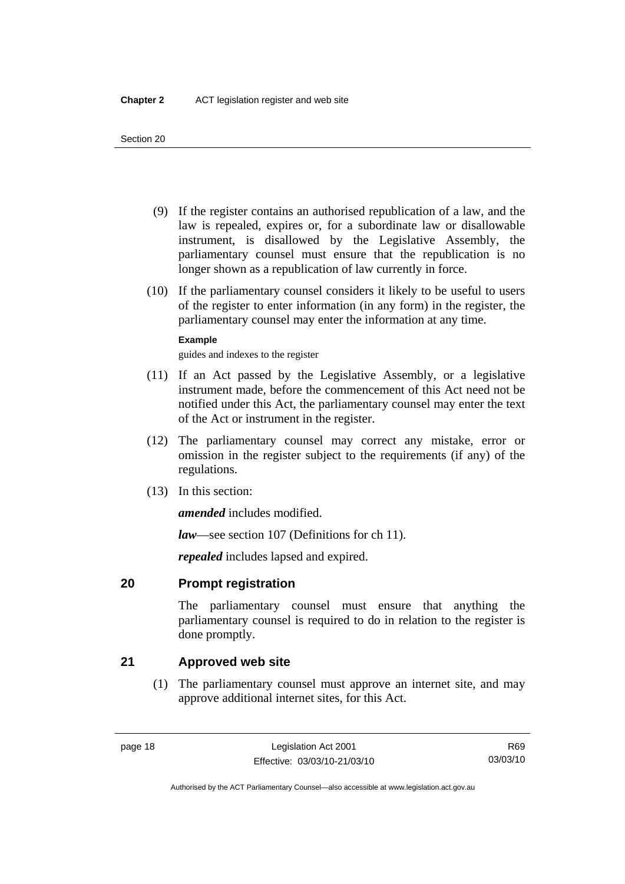- <span id="page-33-0"></span> (9) If the register contains an authorised republication of a law, and the law is repealed, expires or, for a subordinate law or disallowable instrument, is disallowed by the Legislative Assembly, the parliamentary counsel must ensure that the republication is no longer shown as a republication of law currently in force.
- (10) If the parliamentary counsel considers it likely to be useful to users of the register to enter information (in any form) in the register, the parliamentary counsel may enter the information at any time.

### **Example**

guides and indexes to the register

- (11) If an Act passed by the Legislative Assembly, or a legislative instrument made, before the commencement of this Act need not be notified under this Act, the parliamentary counsel may enter the text of the Act or instrument in the register.
- (12) The parliamentary counsel may correct any mistake, error or omission in the register subject to the requirements (if any) of the regulations.
- (13) In this section:

*amended* includes modified.

*law*—see section 107 (Definitions for ch 11).

*repealed* includes lapsed and expired.

## **20 Prompt registration**

The parliamentary counsel must ensure that anything the parliamentary counsel is required to do in relation to the register is done promptly.

## **21 Approved web site**

 (1) The parliamentary counsel must approve an internet site, and may approve additional internet sites, for this Act.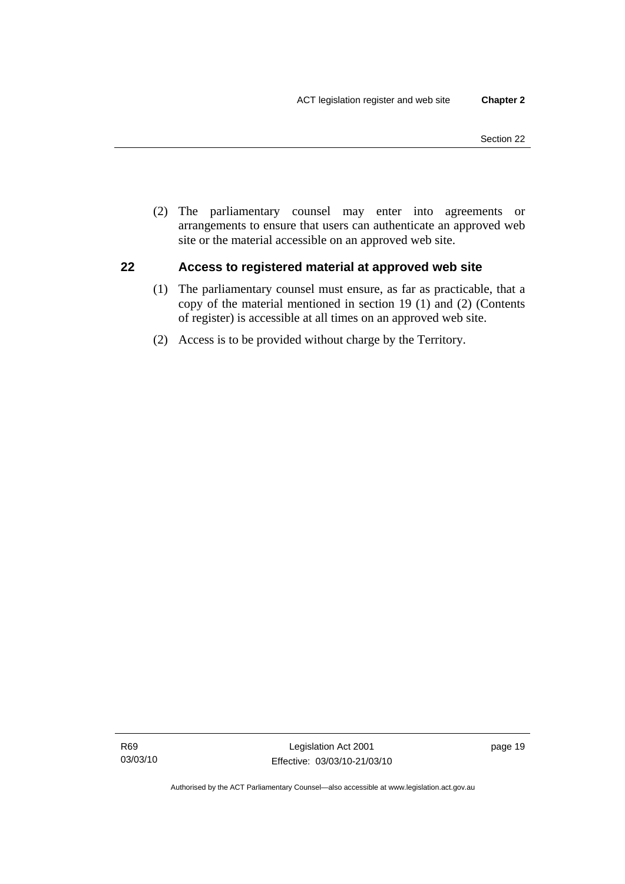<span id="page-34-0"></span> (2) The parliamentary counsel may enter into agreements or arrangements to ensure that users can authenticate an approved web site or the material accessible on an approved web site.

## **22 Access to registered material at approved web site**

- (1) The parliamentary counsel must ensure, as far as practicable, that a copy of the material mentioned in section 19 (1) and (2) (Contents of register) is accessible at all times on an approved web site.
- (2) Access is to be provided without charge by the Territory.

page 19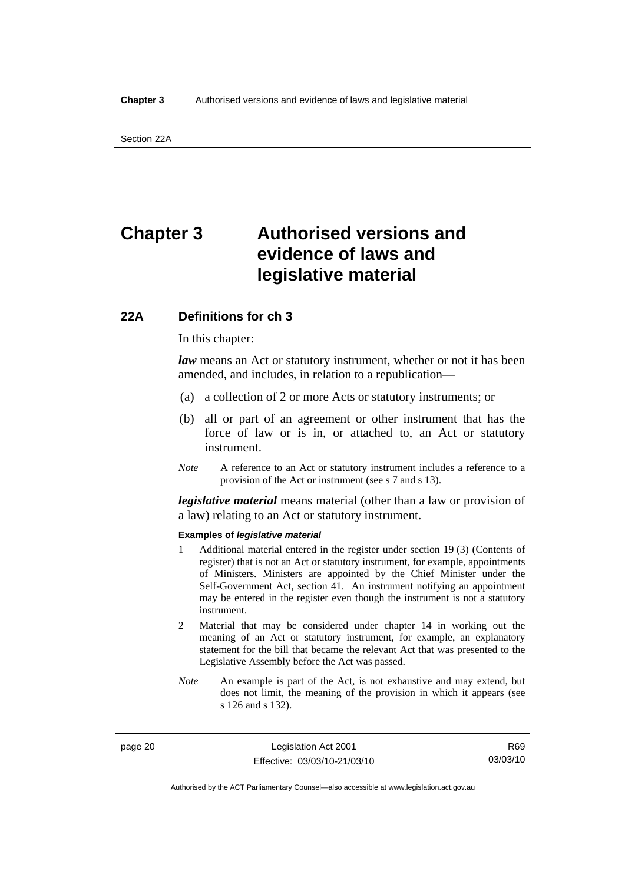## <span id="page-35-0"></span>**Chapter 3 Authorised versions and evidence of laws and legislative material**

## **22A Definitions for ch 3**

In this chapter:

*law* means an Act or statutory instrument, whether or not it has been amended, and includes, in relation to a republication—

- (a) a collection of 2 or more Acts or statutory instruments; or
- (b) all or part of an agreement or other instrument that has the force of law or is in, or attached to, an Act or statutory instrument.
- *Note* A reference to an Act or statutory instrument includes a reference to a provision of the Act or instrument (see s 7 and s 13).

*legislative material* means material (other than a law or provision of a law) relating to an Act or statutory instrument.

#### **Examples of** *legislative material*

- 1 Additional material entered in the register under section 19 (3) (Contents of register) that is not an Act or statutory instrument, for example, appointments of Ministers. Ministers are appointed by the Chief Minister under the Self-Government Act, section 41. An instrument notifying an appointment may be entered in the register even though the instrument is not a statutory instrument.
- 2 Material that may be considered under chapter 14 in working out the meaning of an Act or statutory instrument, for example, an explanatory statement for the bill that became the relevant Act that was presented to the Legislative Assembly before the Act was passed.
- *Note* An example is part of the Act, is not exhaustive and may extend, but does not limit, the meaning of the provision in which it appears (see s 126 and s 132).

page 20 Legislation Act 2001 Effective: 03/03/10-21/03/10

R69 03/03/10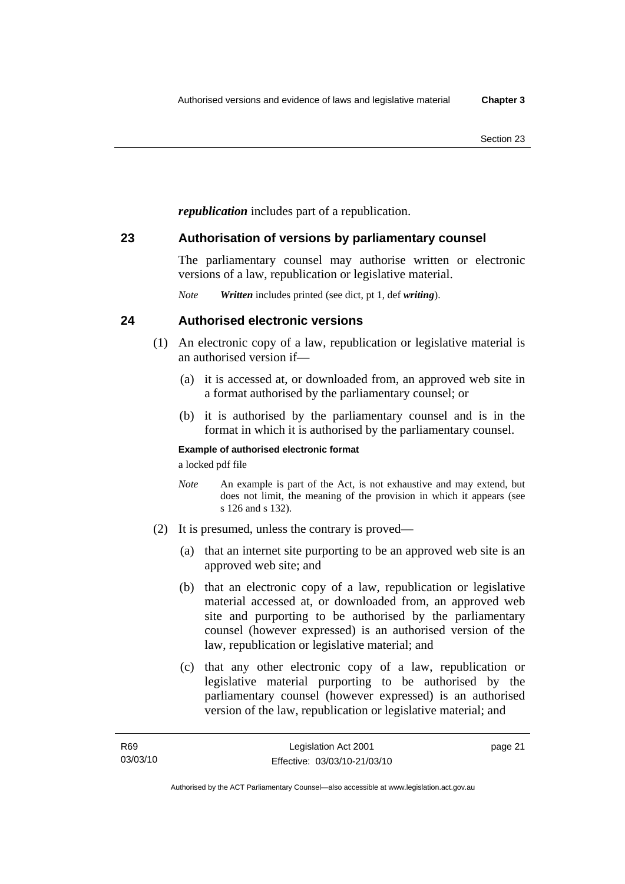*republication* includes part of a republication.

## **23 Authorisation of versions by parliamentary counsel**

The parliamentary counsel may authorise written or electronic versions of a law, republication or legislative material.

*Note Written* includes printed (see dict, pt 1, def *writing*).

## **24 Authorised electronic versions**

- (1) An electronic copy of a law, republication or legislative material is an authorised version if—
	- (a) it is accessed at, or downloaded from, an approved web site in a format authorised by the parliamentary counsel; or
	- (b) it is authorised by the parliamentary counsel and is in the format in which it is authorised by the parliamentary counsel.

## **Example of authorised electronic format**

a locked pdf file

- *Note* An example is part of the Act, is not exhaustive and may extend, but does not limit, the meaning of the provision in which it appears (see s 126 and s 132).
- (2) It is presumed, unless the contrary is proved—
	- (a) that an internet site purporting to be an approved web site is an approved web site; and
	- (b) that an electronic copy of a law, republication or legislative material accessed at, or downloaded from, an approved web site and purporting to be authorised by the parliamentary counsel (however expressed) is an authorised version of the law, republication or legislative material; and
	- (c) that any other electronic copy of a law, republication or legislative material purporting to be authorised by the parliamentary counsel (however expressed) is an authorised version of the law, republication or legislative material; and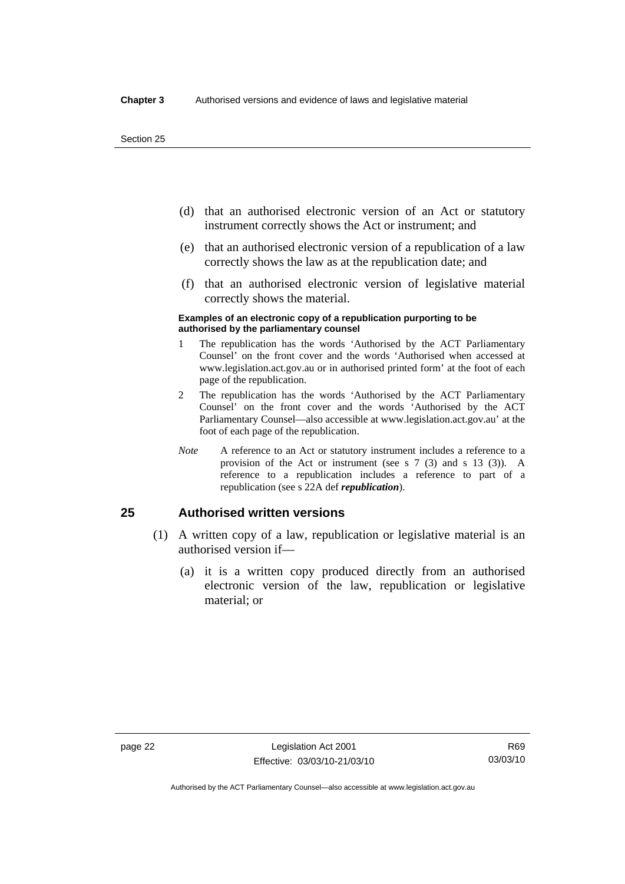- (d) that an authorised electronic version of an Act or statutory instrument correctly shows the Act or instrument; and
- (e) that an authorised electronic version of a republication of a law correctly shows the law as at the republication date; and
- (f) that an authorised electronic version of legislative material correctly shows the material.

#### **Examples of an electronic copy of a republication purporting to be authorised by the parliamentary counsel**

- 1 The republication has the words 'Authorised by the ACT Parliamentary Counsel' on the front cover and the words 'Authorised when accessed at www.legislation.act.gov.au or in authorised printed form' at the foot of each page of the republication.
- 2 The republication has the words 'Authorised by the ACT Parliamentary Counsel' on the front cover and the words 'Authorised by the ACT Parliamentary Counsel—also accessible at www.legislation.act.gov.au' at the foot of each page of the republication.
- *Note* A reference to an Act or statutory instrument includes a reference to a provision of the Act or instrument (see s 7 (3) and s 13 (3)). A reference to a republication includes a reference to part of a republication (see s 22A def *republication*).

## **25 Authorised written versions**

- (1) A written copy of a law, republication or legislative material is an authorised version if—
	- (a) it is a written copy produced directly from an authorised electronic version of the law, republication or legislative material; or

Authorised by the ACT Parliamentary Counsel—also accessible at www.legislation.act.gov.au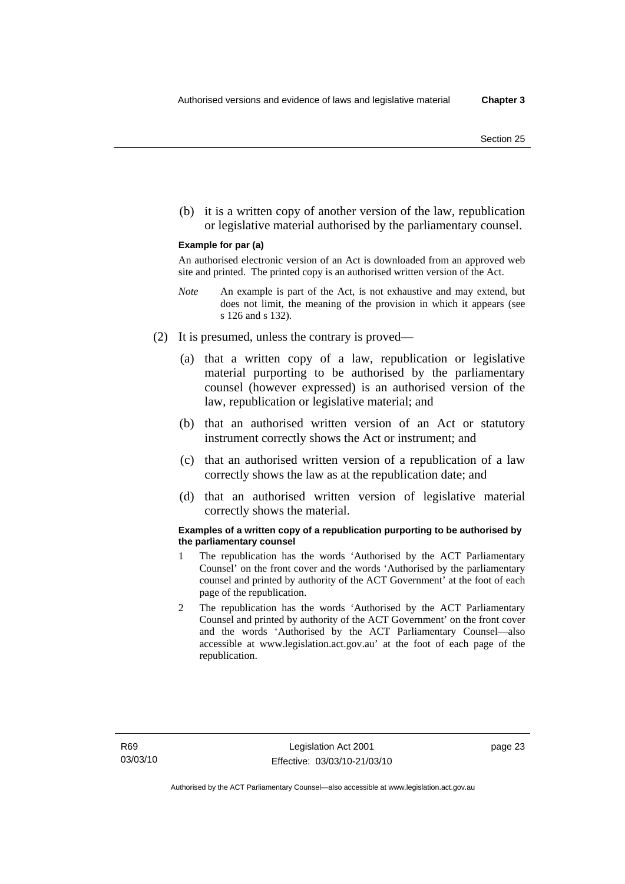(b) it is a written copy of another version of the law, republication or legislative material authorised by the parliamentary counsel.

#### **Example for par (a)**

An authorised electronic version of an Act is downloaded from an approved web site and printed. The printed copy is an authorised written version of the Act.

- *Note* An example is part of the Act, is not exhaustive and may extend, but does not limit, the meaning of the provision in which it appears (see s 126 and s 132).
- (2) It is presumed, unless the contrary is proved—
	- (a) that a written copy of a law, republication or legislative material purporting to be authorised by the parliamentary counsel (however expressed) is an authorised version of the law, republication or legislative material; and
	- (b) that an authorised written version of an Act or statutory instrument correctly shows the Act or instrument; and
	- (c) that an authorised written version of a republication of a law correctly shows the law as at the republication date; and
	- (d) that an authorised written version of legislative material correctly shows the material.

#### **Examples of a written copy of a republication purporting to be authorised by the parliamentary counsel**

- 1 The republication has the words 'Authorised by the ACT Parliamentary Counsel' on the front cover and the words 'Authorised by the parliamentary counsel and printed by authority of the ACT Government' at the foot of each page of the republication.
- 2 The republication has the words 'Authorised by the ACT Parliamentary Counsel and printed by authority of the ACT Government' on the front cover and the words 'Authorised by the ACT Parliamentary Counsel—also accessible at www.legislation.act.gov.au' at the foot of each page of the republication.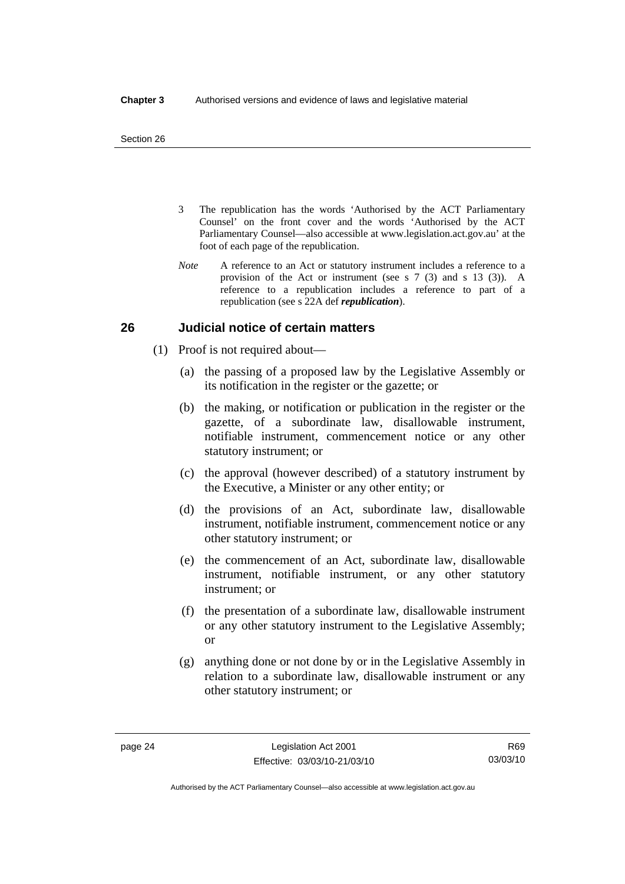- 3 The republication has the words 'Authorised by the ACT Parliamentary Counsel' on the front cover and the words 'Authorised by the ACT Parliamentary Counsel—also accessible at www.legislation.act.gov.au' at the foot of each page of the republication.
- *Note* A reference to an Act or statutory instrument includes a reference to a provision of the Act or instrument (see s 7 (3) and s 13 (3)). A reference to a republication includes a reference to part of a republication (see s 22A def *republication*).

## **26 Judicial notice of certain matters**

- (1) Proof is not required about—
	- (a) the passing of a proposed law by the Legislative Assembly or its notification in the register or the gazette; or
	- (b) the making, or notification or publication in the register or the gazette, of a subordinate law, disallowable instrument, notifiable instrument, commencement notice or any other statutory instrument; or
	- (c) the approval (however described) of a statutory instrument by the Executive, a Minister or any other entity; or
	- (d) the provisions of an Act, subordinate law, disallowable instrument, notifiable instrument, commencement notice or any other statutory instrument; or
	- (e) the commencement of an Act, subordinate law, disallowable instrument, notifiable instrument, or any other statutory instrument; or
	- (f) the presentation of a subordinate law, disallowable instrument or any other statutory instrument to the Legislative Assembly; or
	- (g) anything done or not done by or in the Legislative Assembly in relation to a subordinate law, disallowable instrument or any other statutory instrument; or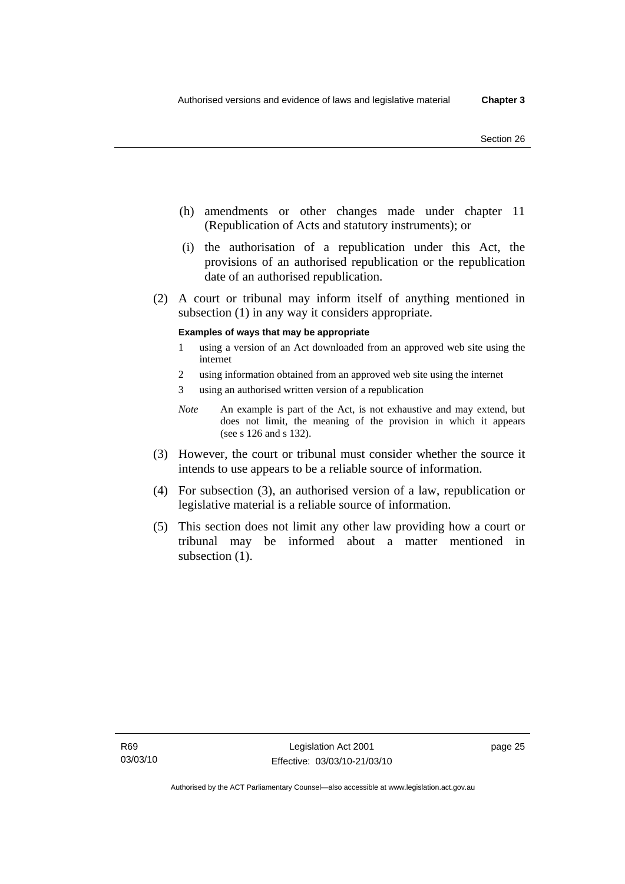- (h) amendments or other changes made under chapter 11 (Republication of Acts and statutory instruments); or
- (i) the authorisation of a republication under this Act, the provisions of an authorised republication or the republication date of an authorised republication.
- (2) A court or tribunal may inform itself of anything mentioned in subsection (1) in any way it considers appropriate.

#### **Examples of ways that may be appropriate**

- 1 using a version of an Act downloaded from an approved web site using the internet
- 2 using information obtained from an approved web site using the internet
- 3 using an authorised written version of a republication
- *Note* An example is part of the Act, is not exhaustive and may extend, but does not limit, the meaning of the provision in which it appears (see s 126 and s 132).
- (3) However, the court or tribunal must consider whether the source it intends to use appears to be a reliable source of information.
- (4) For subsection (3), an authorised version of a law, republication or legislative material is a reliable source of information.
- (5) This section does not limit any other law providing how a court or tribunal may be informed about a matter mentioned in subsection  $(1)$ .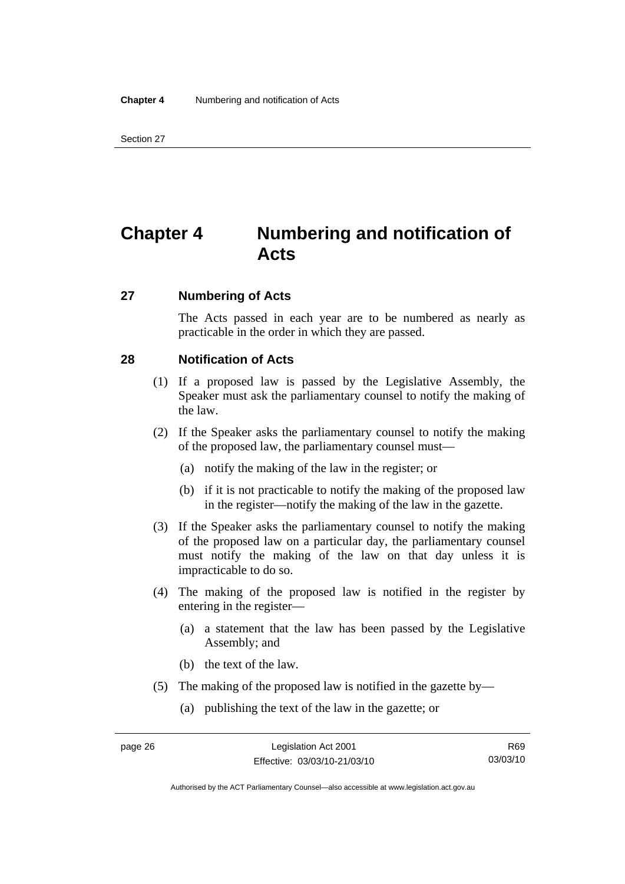## **Chapter 4 Numbering and notification of Acts**

## **27 Numbering of Acts**

The Acts passed in each year are to be numbered as nearly as practicable in the order in which they are passed.

## **28 Notification of Acts**

- (1) If a proposed law is passed by the Legislative Assembly, the Speaker must ask the parliamentary counsel to notify the making of the law.
- (2) If the Speaker asks the parliamentary counsel to notify the making of the proposed law, the parliamentary counsel must—
	- (a) notify the making of the law in the register; or
	- (b) if it is not practicable to notify the making of the proposed law in the register—notify the making of the law in the gazette.
- (3) If the Speaker asks the parliamentary counsel to notify the making of the proposed law on a particular day, the parliamentary counsel must notify the making of the law on that day unless it is impracticable to do so.
- (4) The making of the proposed law is notified in the register by entering in the register—
	- (a) a statement that the law has been passed by the Legislative Assembly; and
	- (b) the text of the law.
- (5) The making of the proposed law is notified in the gazette by—
	- (a) publishing the text of the law in the gazette; or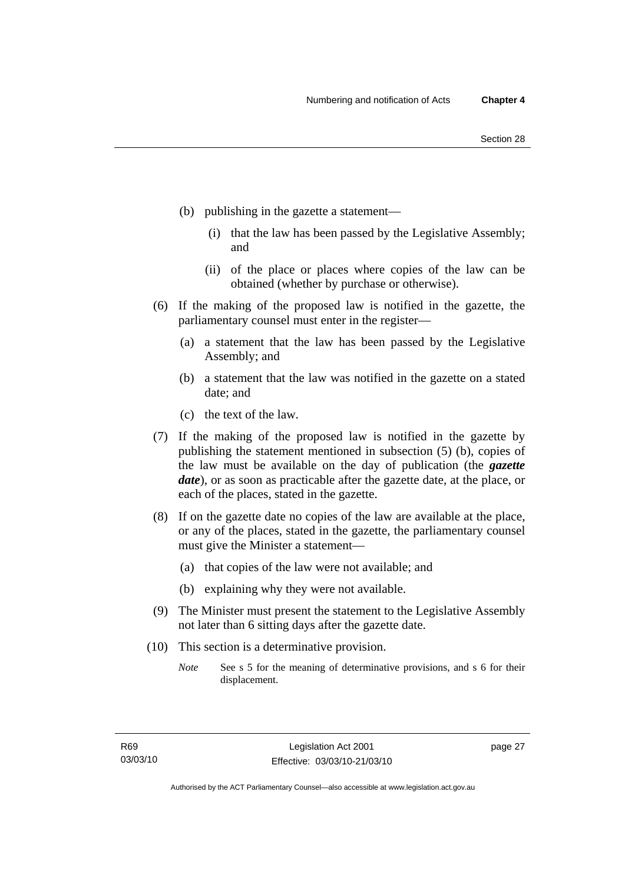- (b) publishing in the gazette a statement—
	- (i) that the law has been passed by the Legislative Assembly; and
	- (ii) of the place or places where copies of the law can be obtained (whether by purchase or otherwise).
- (6) If the making of the proposed law is notified in the gazette, the parliamentary counsel must enter in the register—
	- (a) a statement that the law has been passed by the Legislative Assembly; and
	- (b) a statement that the law was notified in the gazette on a stated date; and
	- (c) the text of the law.
- (7) If the making of the proposed law is notified in the gazette by publishing the statement mentioned in subsection (5) (b), copies of the law must be available on the day of publication (the *gazette date*), or as soon as practicable after the gazette date, at the place, or each of the places, stated in the gazette.
- (8) If on the gazette date no copies of the law are available at the place, or any of the places, stated in the gazette, the parliamentary counsel must give the Minister a statement—
	- (a) that copies of the law were not available; and
	- (b) explaining why they were not available.
- (9) The Minister must present the statement to the Legislative Assembly not later than 6 sitting days after the gazette date.
- (10) This section is a determinative provision.
	- *Note* See s 5 for the meaning of determinative provisions, and s 6 for their displacement.

page 27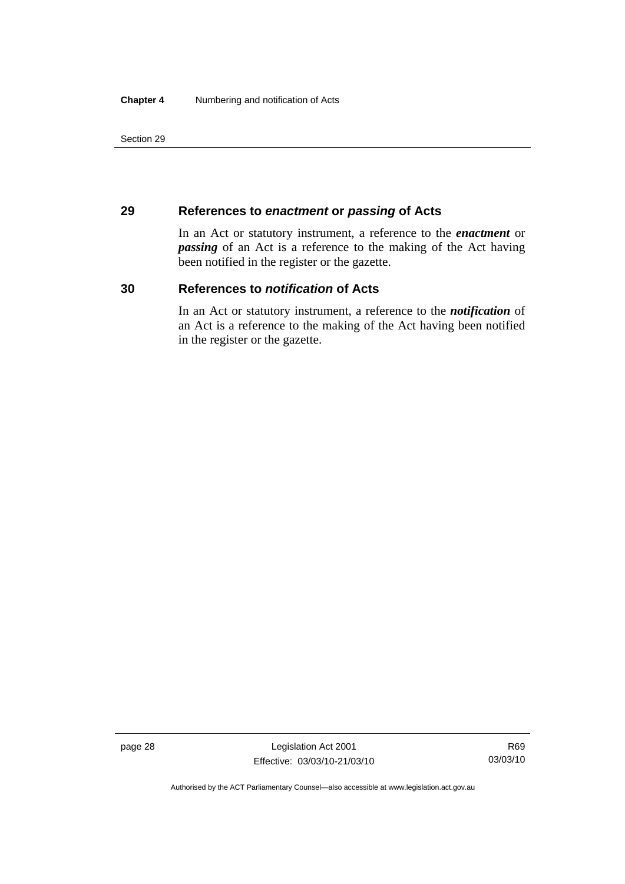## **29 References to** *enactment* **or** *passing* **of Acts**

In an Act or statutory instrument, a reference to the *enactment* or *passing* of an Act is a reference to the making of the Act having been notified in the register or the gazette.

## **30 References to** *notification* **of Acts**

In an Act or statutory instrument, a reference to the *notification* of an Act is a reference to the making of the Act having been notified in the register or the gazette.

page 28 Legislation Act 2001 Effective: 03/03/10-21/03/10

R69 03/03/10

Authorised by the ACT Parliamentary Counsel—also accessible at www.legislation.act.gov.au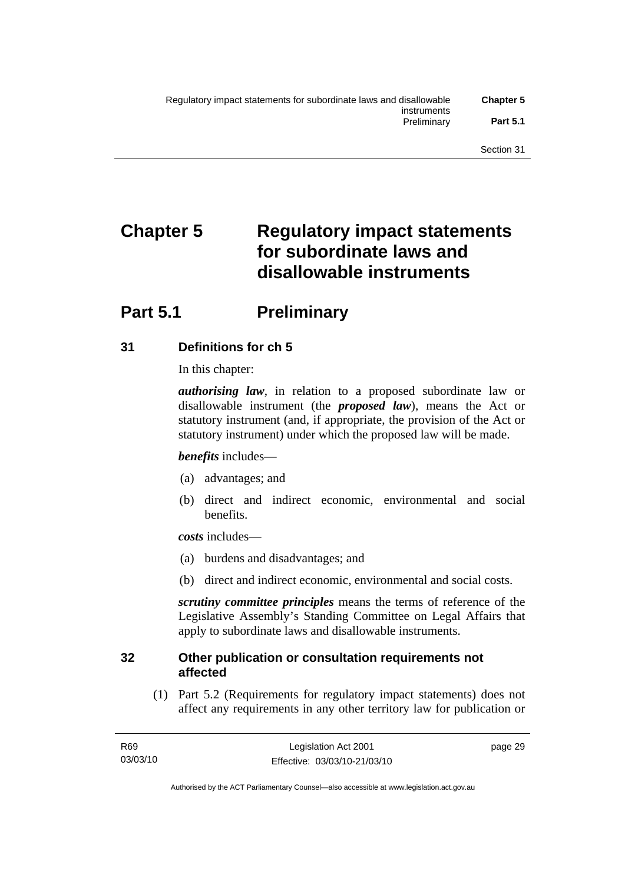# **Chapter 5 Regulatory impact statements for subordinate laws and disallowable instruments**

## **Part 5.1** Preliminary

## **31 Definitions for ch 5**

In this chapter:

*authorising law*, in relation to a proposed subordinate law or disallowable instrument (the *proposed law*), means the Act or statutory instrument (and, if appropriate, the provision of the Act or statutory instrument) under which the proposed law will be made.

## *benefits* includes—

- (a) advantages; and
- (b) direct and indirect economic, environmental and social benefits.

*costs* includes—

- (a) burdens and disadvantages; and
- (b) direct and indirect economic, environmental and social costs.

*scrutiny committee principles* means the terms of reference of the Legislative Assembly's Standing Committee on Legal Affairs that apply to subordinate laws and disallowable instruments.

## **32 Other publication or consultation requirements not affected**

 (1) Part 5.2 (Requirements for regulatory impact statements) does not affect any requirements in any other territory law for publication or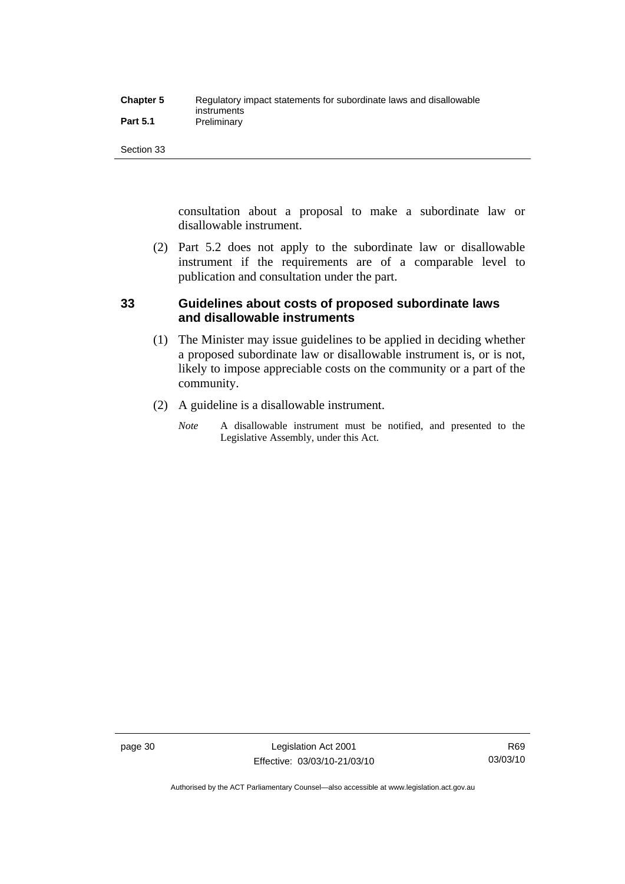| <b>Chapter 5</b> | Regulatory impact statements for subordinate laws and disallowable |
|------------------|--------------------------------------------------------------------|
|                  | instruments                                                        |
| <b>Part 5.1</b>  | Preliminary                                                        |

consultation about a proposal to make a subordinate law or disallowable instrument.

 (2) Part 5.2 does not apply to the subordinate law or disallowable instrument if the requirements are of a comparable level to publication and consultation under the part.

## **33 Guidelines about costs of proposed subordinate laws and disallowable instruments**

- (1) The Minister may issue guidelines to be applied in deciding whether a proposed subordinate law or disallowable instrument is, or is not, likely to impose appreciable costs on the community or a part of the community.
- (2) A guideline is a disallowable instrument.
	- *Note* A disallowable instrument must be notified, and presented to the Legislative Assembly, under this Act.

page 30 Legislation Act 2001 Effective: 03/03/10-21/03/10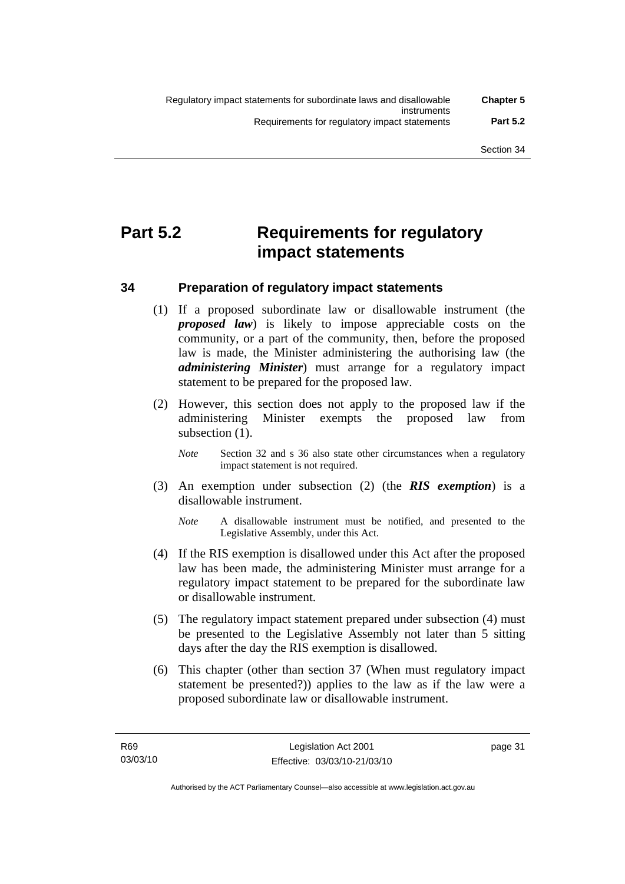## **Part 5.2 Requirements for regulatory impact statements**

## **34 Preparation of regulatory impact statements**

- (1) If a proposed subordinate law or disallowable instrument (the *proposed law*) is likely to impose appreciable costs on the community, or a part of the community, then, before the proposed law is made, the Minister administering the authorising law (the *administering Minister*) must arrange for a regulatory impact statement to be prepared for the proposed law.
- (2) However, this section does not apply to the proposed law if the administering Minister exempts the proposed law from subsection (1).
	- *Note* Section 32 and s 36 also state other circumstances when a regulatory impact statement is not required.
- (3) An exemption under subsection (2) (the *RIS exemption*) is a disallowable instrument.
	- *Note* A disallowable instrument must be notified, and presented to the Legislative Assembly, under this Act.
- (4) If the RIS exemption is disallowed under this Act after the proposed law has been made, the administering Minister must arrange for a regulatory impact statement to be prepared for the subordinate law or disallowable instrument.
- (5) The regulatory impact statement prepared under subsection (4) must be presented to the Legislative Assembly not later than 5 sitting days after the day the RIS exemption is disallowed.
- (6) This chapter (other than section 37 (When must regulatory impact statement be presented?)) applies to the law as if the law were a proposed subordinate law or disallowable instrument.

page 31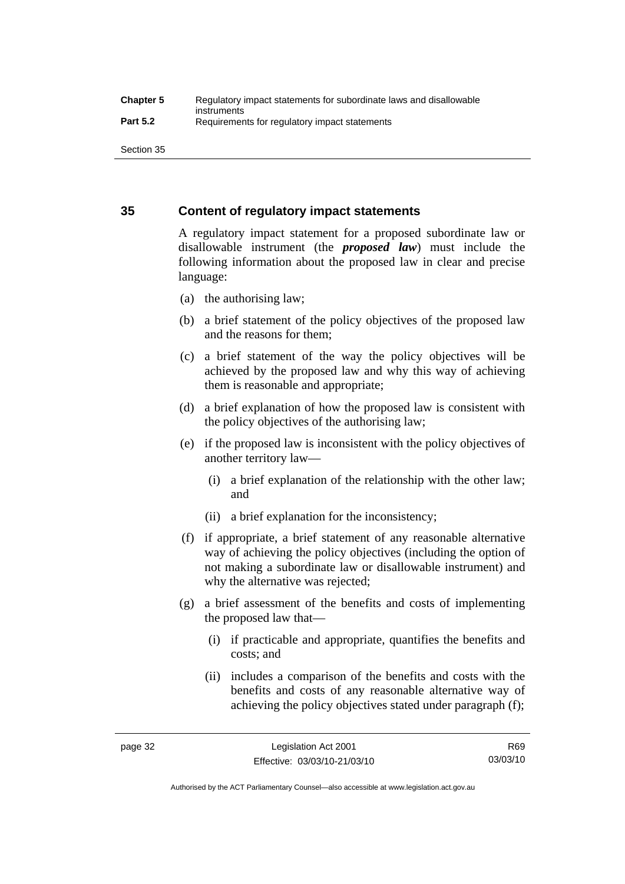## **35 Content of regulatory impact statements**

A regulatory impact statement for a proposed subordinate law or disallowable instrument (the *proposed law*) must include the following information about the proposed law in clear and precise language:

- (a) the authorising law;
- (b) a brief statement of the policy objectives of the proposed law and the reasons for them;
- (c) a brief statement of the way the policy objectives will be achieved by the proposed law and why this way of achieving them is reasonable and appropriate;
- (d) a brief explanation of how the proposed law is consistent with the policy objectives of the authorising law;
- (e) if the proposed law is inconsistent with the policy objectives of another territory law—
	- (i) a brief explanation of the relationship with the other law; and
	- (ii) a brief explanation for the inconsistency;
- (f) if appropriate, a brief statement of any reasonable alternative way of achieving the policy objectives (including the option of not making a subordinate law or disallowable instrument) and why the alternative was rejected;
- (g) a brief assessment of the benefits and costs of implementing the proposed law that—
	- (i) if practicable and appropriate, quantifies the benefits and costs; and
	- (ii) includes a comparison of the benefits and costs with the benefits and costs of any reasonable alternative way of achieving the policy objectives stated under paragraph (f);

Authorised by the ACT Parliamentary Counsel—also accessible at www.legislation.act.gov.au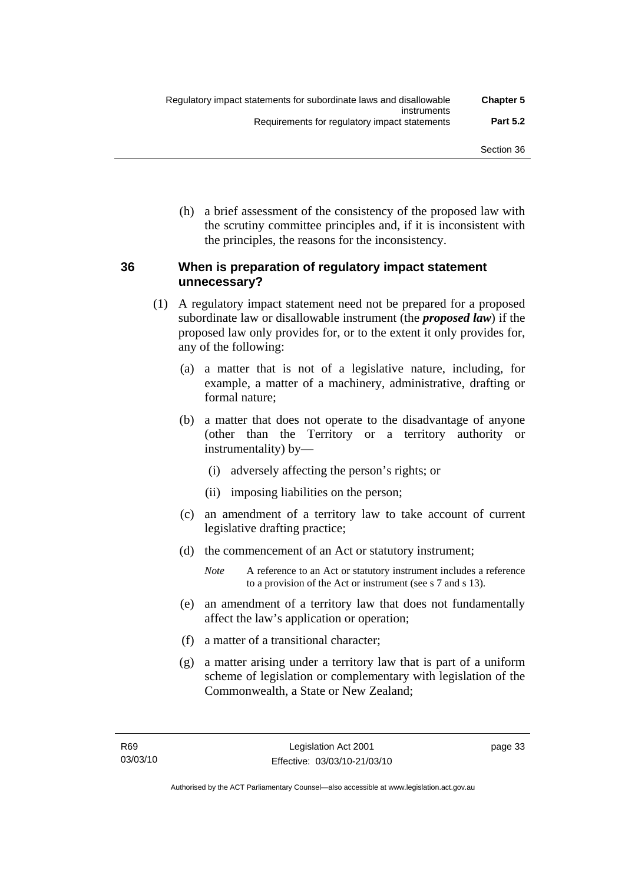(h) a brief assessment of the consistency of the proposed law with the scrutiny committee principles and, if it is inconsistent with the principles, the reasons for the inconsistency.

## **36 When is preparation of regulatory impact statement unnecessary?**

- (1) A regulatory impact statement need not be prepared for a proposed subordinate law or disallowable instrument (the *proposed law*) if the proposed law only provides for, or to the extent it only provides for, any of the following:
	- (a) a matter that is not of a legislative nature, including, for example, a matter of a machinery, administrative, drafting or formal nature;
	- (b) a matter that does not operate to the disadvantage of anyone (other than the Territory or a territory authority or instrumentality) by—
		- (i) adversely affecting the person's rights; or
		- (ii) imposing liabilities on the person;
	- (c) an amendment of a territory law to take account of current legislative drafting practice;
	- (d) the commencement of an Act or statutory instrument;
		- *Note* A reference to an Act or statutory instrument includes a reference to a provision of the Act or instrument (see s 7 and s 13).
	- (e) an amendment of a territory law that does not fundamentally affect the law's application or operation;
	- (f) a matter of a transitional character;
	- (g) a matter arising under a territory law that is part of a uniform scheme of legislation or complementary with legislation of the Commonwealth, a State or New Zealand;

page 33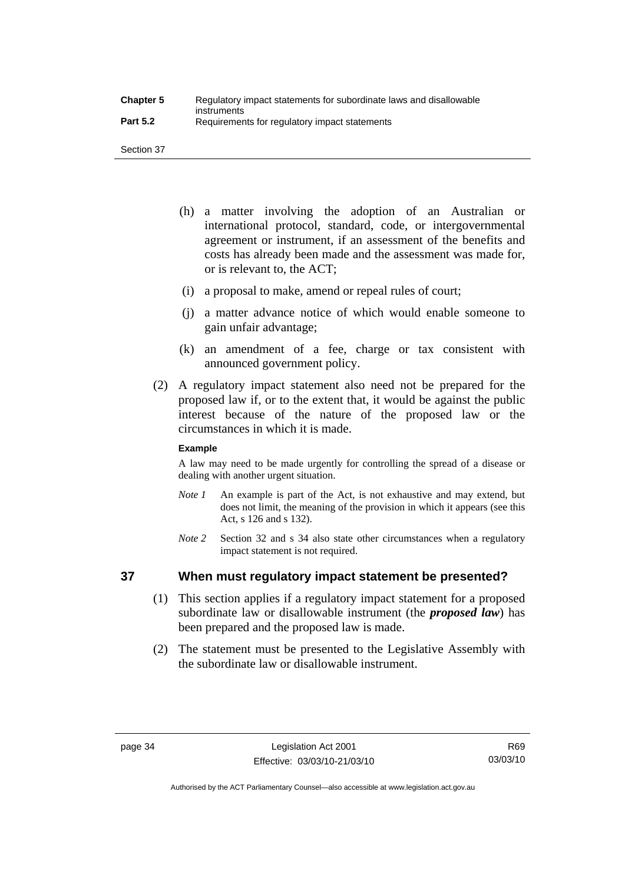- (h) a matter involving the adoption of an Australian or international protocol, standard, code, or intergovernmental agreement or instrument, if an assessment of the benefits and costs has already been made and the assessment was made for, or is relevant to, the ACT;
- (i) a proposal to make, amend or repeal rules of court;
- (j) a matter advance notice of which would enable someone to gain unfair advantage;
- (k) an amendment of a fee, charge or tax consistent with announced government policy.
- (2) A regulatory impact statement also need not be prepared for the proposed law if, or to the extent that, it would be against the public interest because of the nature of the proposed law or the circumstances in which it is made.

## **Example**

A law may need to be made urgently for controlling the spread of a disease or dealing with another urgent situation.

- *Note 1* An example is part of the Act, is not exhaustive and may extend, but does not limit, the meaning of the provision in which it appears (see this Act, s 126 and s 132).
- *Note* 2 Section 32 and s 34 also state other circumstances when a regulatory impact statement is not required.

## **37 When must regulatory impact statement be presented?**

- (1) This section applies if a regulatory impact statement for a proposed subordinate law or disallowable instrument (the *proposed law*) has been prepared and the proposed law is made.
- (2) The statement must be presented to the Legislative Assembly with the subordinate law or disallowable instrument.

R69 03/03/10

Authorised by the ACT Parliamentary Counsel—also accessible at www.legislation.act.gov.au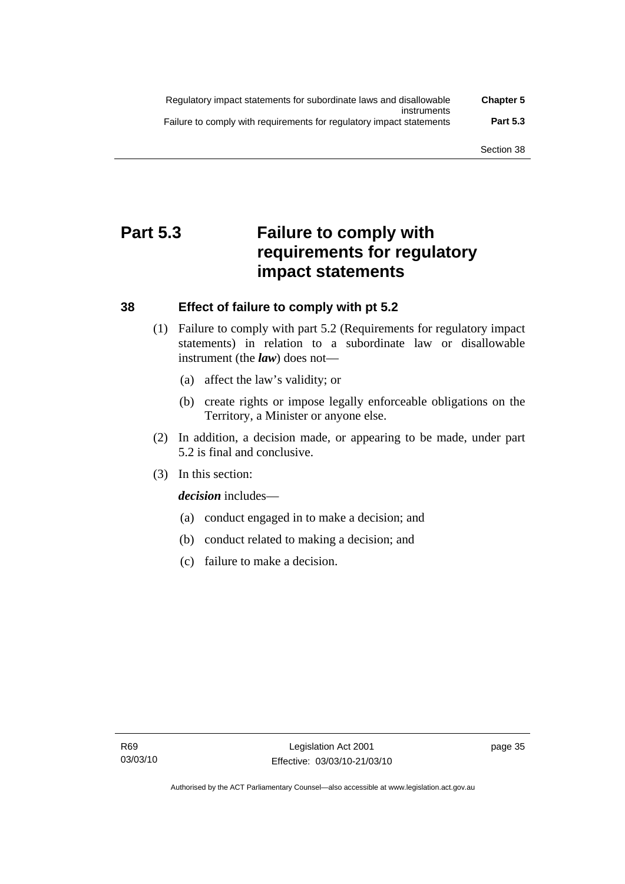| Regulatory impact statements for subordinate laws and disallowable   | <b>Chapter 5</b> |
|----------------------------------------------------------------------|------------------|
| instruments                                                          |                  |
| Failure to comply with requirements for regulatory impact statements | <b>Part 5.3</b>  |

## **Part 5.3 Failure to comply with requirements for regulatory impact statements**

## **38 Effect of failure to comply with pt 5.2**

- (1) Failure to comply with part 5.2 (Requirements for regulatory impact statements) in relation to a subordinate law or disallowable instrument (the *law*) does not—
	- (a) affect the law's validity; or
	- (b) create rights or impose legally enforceable obligations on the Territory, a Minister or anyone else.
- (2) In addition, a decision made, or appearing to be made, under part 5.2 is final and conclusive.
- (3) In this section:

*decision* includes—

- (a) conduct engaged in to make a decision; and
- (b) conduct related to making a decision; and
- (c) failure to make a decision.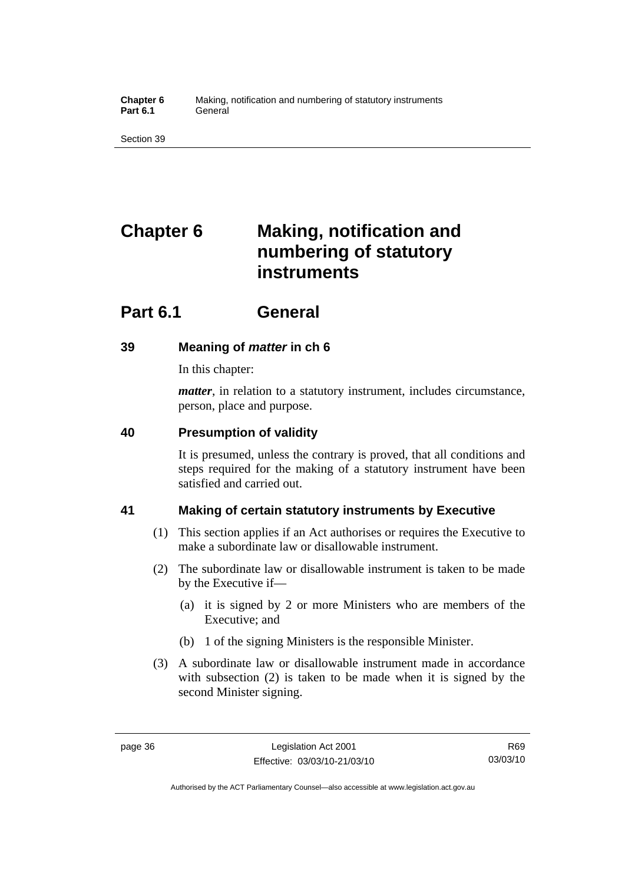**Chapter 6** Making, notification and numbering of statutory instruments Part 6.1 **General** 

Section 39

# **Chapter 6 Making, notification and numbering of statutory instruments**

## **Part 6.1 General**

## **39 Meaning of** *matter* **in ch 6**

In this chapter:

*matter*, in relation to a statutory instrument, includes circumstance, person, place and purpose.

## **40 Presumption of validity**

It is presumed, unless the contrary is proved, that all conditions and steps required for the making of a statutory instrument have been satisfied and carried out.

## **41 Making of certain statutory instruments by Executive**

- (1) This section applies if an Act authorises or requires the Executive to make a subordinate law or disallowable instrument.
- (2) The subordinate law or disallowable instrument is taken to be made by the Executive if—
	- (a) it is signed by 2 or more Ministers who are members of the Executive; and
	- (b) 1 of the signing Ministers is the responsible Minister.
- (3) A subordinate law or disallowable instrument made in accordance with subsection (2) is taken to be made when it is signed by the second Minister signing.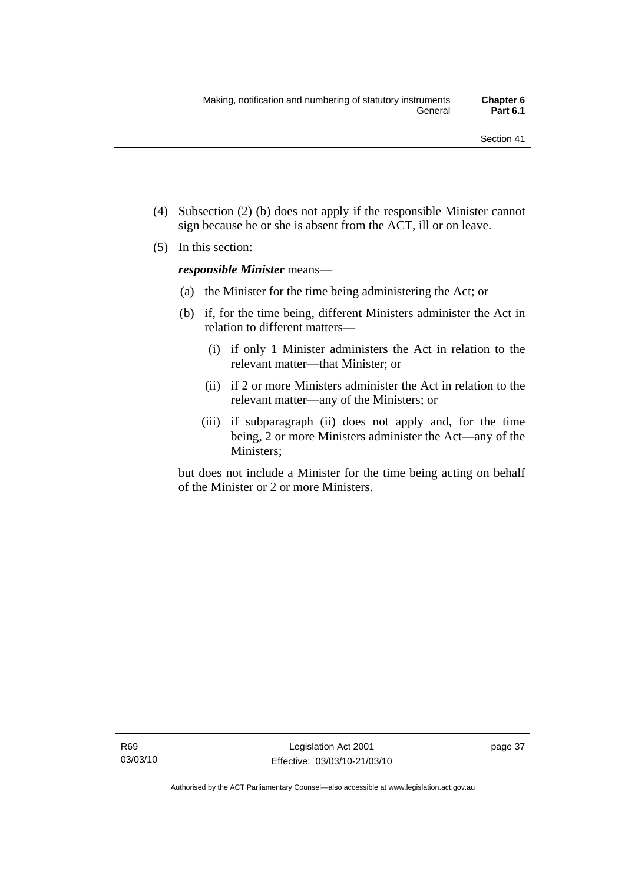- (4) Subsection (2) (b) does not apply if the responsible Minister cannot sign because he or she is absent from the ACT, ill or on leave.
- (5) In this section:

*responsible Minister* means—

- (a) the Minister for the time being administering the Act; or
- (b) if, for the time being, different Ministers administer the Act in relation to different matters—
	- (i) if only 1 Minister administers the Act in relation to the relevant matter—that Minister; or
	- (ii) if 2 or more Ministers administer the Act in relation to the relevant matter—any of the Ministers; or
	- (iii) if subparagraph (ii) does not apply and, for the time being, 2 or more Ministers administer the Act—any of the Ministers;

but does not include a Minister for the time being acting on behalf of the Minister or 2 or more Ministers.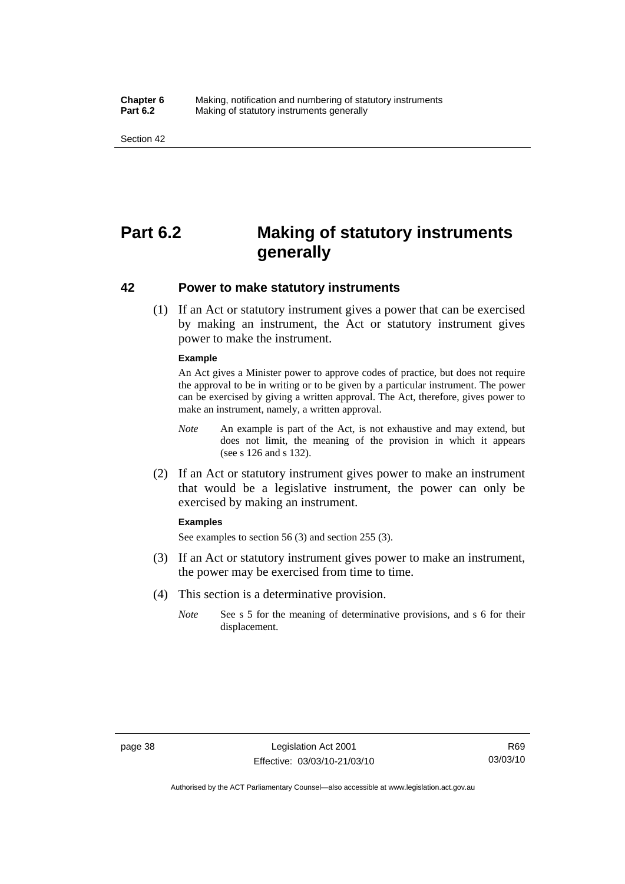#### **Chapter 6** Making, notification and numbering of statutory instruments<br>**Part 6.2** Making of statutory instruments generally **Making of statutory instruments generally**

Section 42

## **Part 6.2 Making of statutory instruments generally**

## **42 Power to make statutory instruments**

 (1) If an Act or statutory instrument gives a power that can be exercised by making an instrument, the Act or statutory instrument gives power to make the instrument.

#### **Example**

An Act gives a Minister power to approve codes of practice, but does not require the approval to be in writing or to be given by a particular instrument. The power can be exercised by giving a written approval. The Act, therefore, gives power to make an instrument, namely, a written approval.

- *Note* An example is part of the Act, is not exhaustive and may extend, but does not limit, the meaning of the provision in which it appears (see s 126 and s 132).
- (2) If an Act or statutory instrument gives power to make an instrument that would be a legislative instrument, the power can only be exercised by making an instrument.

#### **Examples**

See examples to section 56 (3) and section 255 (3).

- (3) If an Act or statutory instrument gives power to make an instrument, the power may be exercised from time to time.
- (4) This section is a determinative provision.
	- *Note* See s 5 for the meaning of determinative provisions, and s 6 for their displacement.

Authorised by the ACT Parliamentary Counsel—also accessible at www.legislation.act.gov.au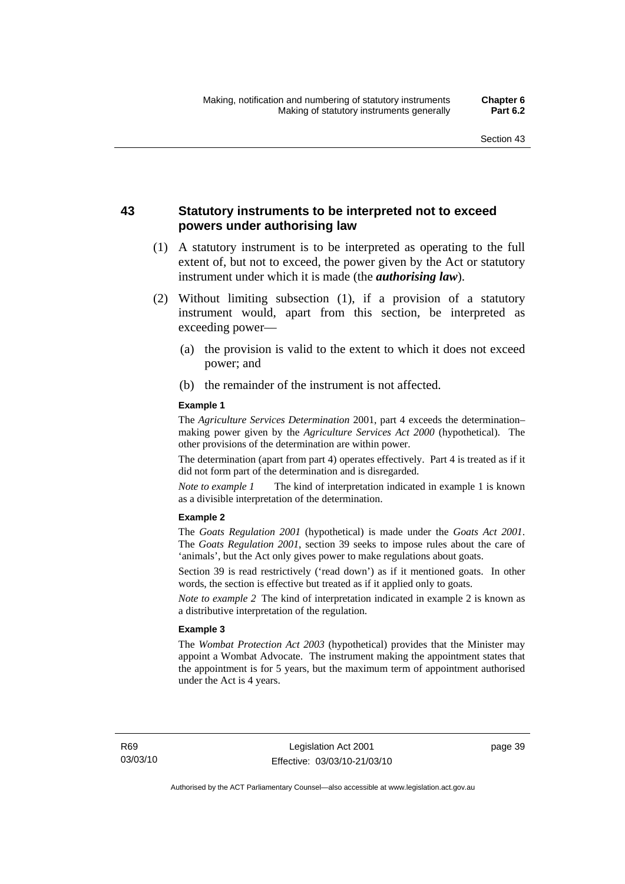## **43 Statutory instruments to be interpreted not to exceed powers under authorising law**

- (1) A statutory instrument is to be interpreted as operating to the full extent of, but not to exceed, the power given by the Act or statutory instrument under which it is made (the *authorising law*).
- (2) Without limiting subsection (1), if a provision of a statutory instrument would, apart from this section, be interpreted as exceeding power—
	- (a) the provision is valid to the extent to which it does not exceed power; and
	- (b) the remainder of the instrument is not affected.

#### **Example 1**

The *Agriculture Services Determination* 2001, part 4 exceeds the determination– making power given by the *Agriculture Services Act 2000* (hypothetical). The other provisions of the determination are within power.

The determination (apart from part 4) operates effectively. Part 4 is treated as if it did not form part of the determination and is disregarded.

*Note to example 1* The kind of interpretation indicated in example 1 is known as a divisible interpretation of the determination.

#### **Example 2**

The *Goats Regulation 2001* (hypothetical) is made under the *Goats Act 2001*. The *Goats Regulation 2001*, section 39 seeks to impose rules about the care of 'animals', but the Act only gives power to make regulations about goats.

Section 39 is read restrictively ('read down') as if it mentioned goats. In other words, the section is effective but treated as if it applied only to goats.

*Note to example 2* The kind of interpretation indicated in example 2 is known as a distributive interpretation of the regulation.

#### **Example 3**

The *Wombat Protection Act 2003* (hypothetical) provides that the Minister may appoint a Wombat Advocate. The instrument making the appointment states that the appointment is for 5 years, but the maximum term of appointment authorised under the Act is 4 years.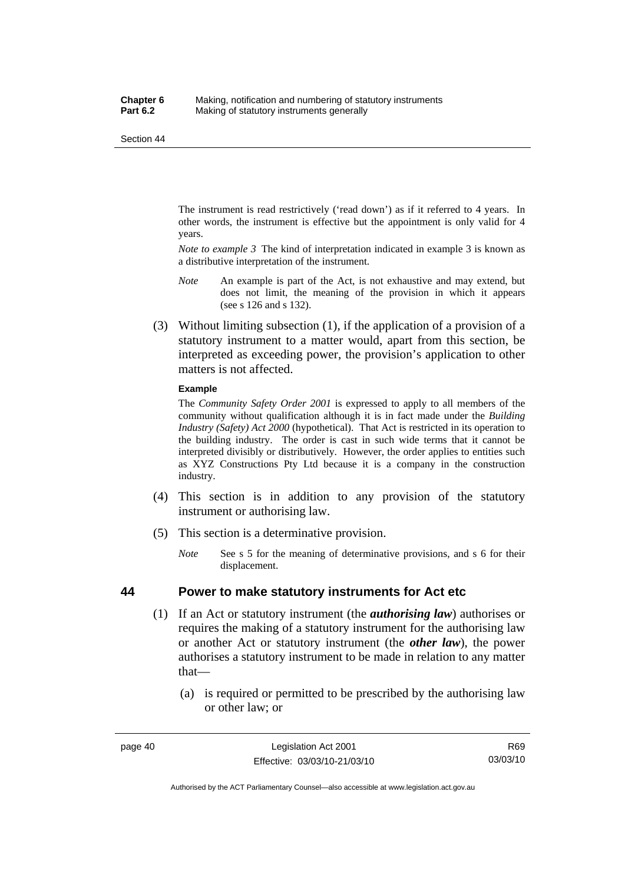The instrument is read restrictively ('read down') as if it referred to 4 years. In other words, the instrument is effective but the appointment is only valid for 4 years.

*Note to example 3* The kind of interpretation indicated in example 3 is known as a distributive interpretation of the instrument.

- *Note* An example is part of the Act, is not exhaustive and may extend, but does not limit, the meaning of the provision in which it appears (see s 126 and s 132).
- (3) Without limiting subsection (1), if the application of a provision of a statutory instrument to a matter would, apart from this section, be interpreted as exceeding power, the provision's application to other matters is not affected.

#### **Example**

The *Community Safety Order 2001* is expressed to apply to all members of the community without qualification although it is in fact made under the *Building Industry (Safety) Act 2000* (hypothetical). That Act is restricted in its operation to the building industry. The order is cast in such wide terms that it cannot be interpreted divisibly or distributively. However, the order applies to entities such as XYZ Constructions Pty Ltd because it is a company in the construction industry.

- (4) This section is in addition to any provision of the statutory instrument or authorising law.
- (5) This section is a determinative provision.
	- *Note* See s 5 for the meaning of determinative provisions, and s 6 for their displacement.

## **44 Power to make statutory instruments for Act etc**

- (1) If an Act or statutory instrument (the *authorising law*) authorises or requires the making of a statutory instrument for the authorising law or another Act or statutory instrument (the *other law*), the power authorises a statutory instrument to be made in relation to any matter that—
	- (a) is required or permitted to be prescribed by the authorising law or other law; or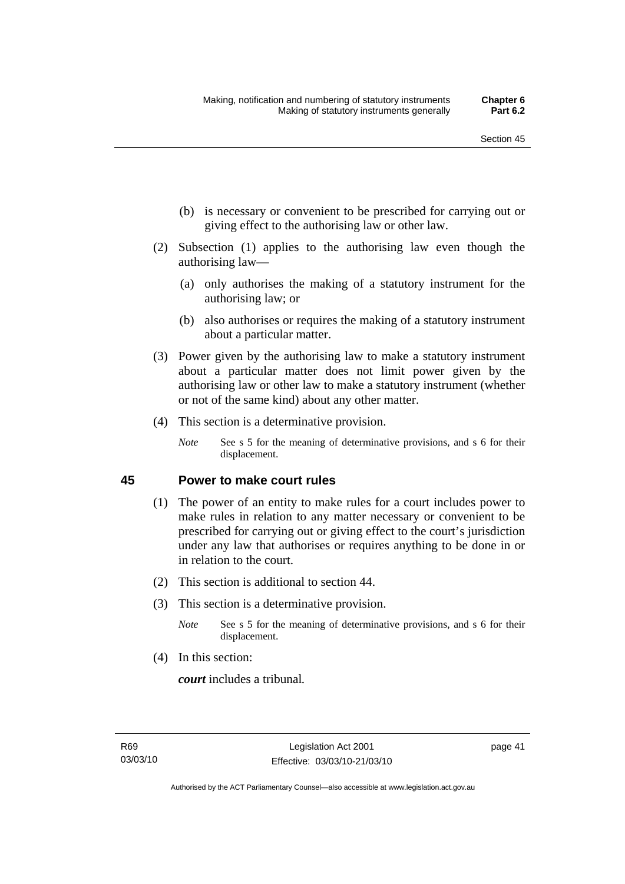- (b) is necessary or convenient to be prescribed for carrying out or giving effect to the authorising law or other law.
- (2) Subsection (1) applies to the authorising law even though the authorising law—
	- (a) only authorises the making of a statutory instrument for the authorising law; or
	- (b) also authorises or requires the making of a statutory instrument about a particular matter.
- (3) Power given by the authorising law to make a statutory instrument about a particular matter does not limit power given by the authorising law or other law to make a statutory instrument (whether or not of the same kind) about any other matter.
- (4) This section is a determinative provision.
	- *Note* See s 5 for the meaning of determinative provisions, and s 6 for their displacement.

## **45 Power to make court rules**

- (1) The power of an entity to make rules for a court includes power to make rules in relation to any matter necessary or convenient to be prescribed for carrying out or giving effect to the court's jurisdiction under any law that authorises or requires anything to be done in or in relation to the court.
- (2) This section is additional to section 44.
- (3) This section is a determinative provision.
	- *Note* See s 5 for the meaning of determinative provisions, and s 6 for their displacement.
- (4) In this section:

*court* includes a tribunal*.*

page 41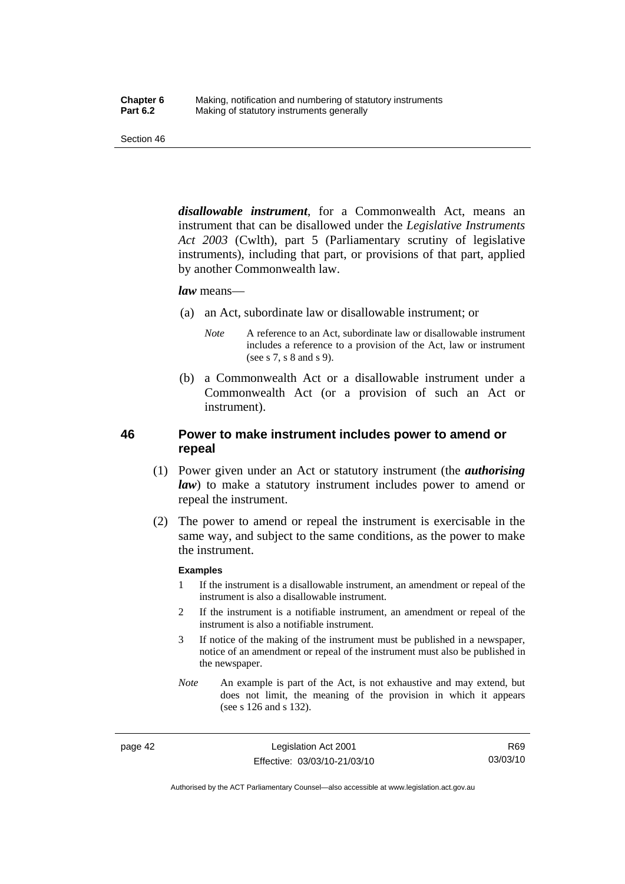*disallowable instrument*, for a Commonwealth Act, means an instrument that can be disallowed under the *Legislative Instruments Act 2003* (Cwlth), part 5 (Parliamentary scrutiny of legislative instruments), including that part, or provisions of that part, applied by another Commonwealth law.

#### *law* means—

- (a) an Act, subordinate law or disallowable instrument; or
	- *Note* A reference to an Act, subordinate law or disallowable instrument includes a reference to a provision of the Act, law or instrument (see s 7, s 8 and s 9).
- (b) a Commonwealth Act or a disallowable instrument under a Commonwealth Act (or a provision of such an Act or instrument).

## **46 Power to make instrument includes power to amend or repeal**

- (1) Power given under an Act or statutory instrument (the *authorising law*) to make a statutory instrument includes power to amend or repeal the instrument.
- (2) The power to amend or repeal the instrument is exercisable in the same way, and subject to the same conditions, as the power to make the instrument.

#### **Examples**

- 1 If the instrument is a disallowable instrument, an amendment or repeal of the instrument is also a disallowable instrument.
- 2 If the instrument is a notifiable instrument, an amendment or repeal of the instrument is also a notifiable instrument.
- 3 If notice of the making of the instrument must be published in a newspaper, notice of an amendment or repeal of the instrument must also be published in the newspaper.
- *Note* An example is part of the Act, is not exhaustive and may extend, but does not limit, the meaning of the provision in which it appears (see s 126 and s 132).

page 42 Legislation Act 2001 Effective: 03/03/10-21/03/10

R69 03/03/10

Authorised by the ACT Parliamentary Counsel—also accessible at www.legislation.act.gov.au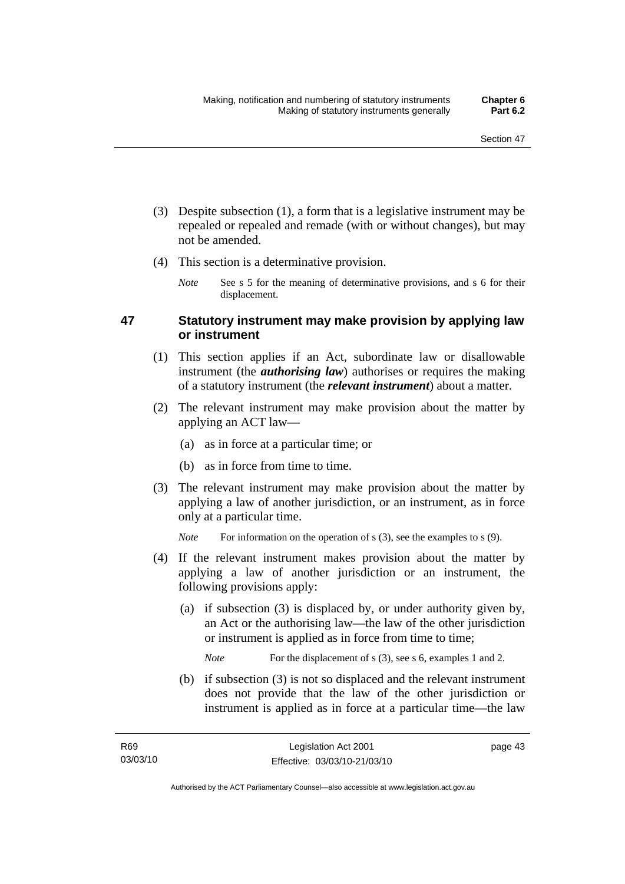- (3) Despite subsection (1), a form that is a legislative instrument may be repealed or repealed and remade (with or without changes), but may not be amended.
- (4) This section is a determinative provision.
	- *Note* See s 5 for the meaning of determinative provisions, and s 6 for their displacement.

## **47 Statutory instrument may make provision by applying law or instrument**

- (1) This section applies if an Act, subordinate law or disallowable instrument (the *authorising law*) authorises or requires the making of a statutory instrument (the *relevant instrument*) about a matter.
- (2) The relevant instrument may make provision about the matter by applying an ACT law—
	- (a) as in force at a particular time; or
	- (b) as in force from time to time.
- (3) The relevant instrument may make provision about the matter by applying a law of another jurisdiction, or an instrument, as in force only at a particular time.

*Note* For information on the operation of s (3), see the examples to s (9).

- (4) If the relevant instrument makes provision about the matter by applying a law of another jurisdiction or an instrument, the following provisions apply:
	- (a) if subsection (3) is displaced by, or under authority given by, an Act or the authorising law—the law of the other jurisdiction or instrument is applied as in force from time to time;

*Note* For the displacement of s (3), see s 6, examples 1 and 2.

 (b) if subsection (3) is not so displaced and the relevant instrument does not provide that the law of the other jurisdiction or instrument is applied as in force at a particular time—the law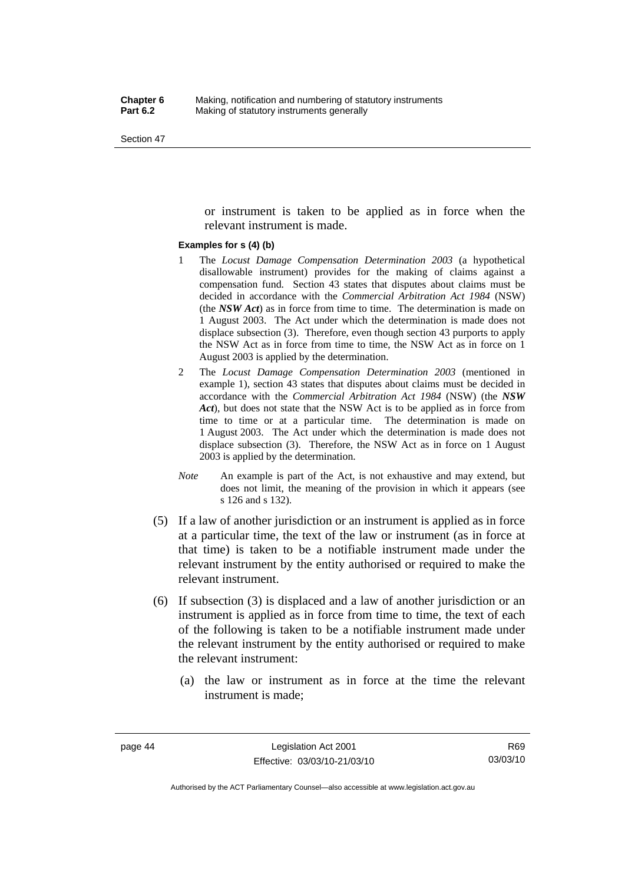or instrument is taken to be applied as in force when the relevant instrument is made.

#### **Examples for s (4) (b)**

- 1 The *Locust Damage Compensation Determination 2003* (a hypothetical disallowable instrument) provides for the making of claims against a compensation fund. Section 43 states that disputes about claims must be decided in accordance with the *Commercial Arbitration Act 1984* (NSW) (the *NSW Act*) as in force from time to time. The determination is made on 1 August 2003. The Act under which the determination is made does not displace subsection (3). Therefore, even though section 43 purports to apply the NSW Act as in force from time to time, the NSW Act as in force on 1 August 2003 is applied by the determination.
- 2 The *Locust Damage Compensation Determination 2003* (mentioned in example 1), section 43 states that disputes about claims must be decided in accordance with the *Commercial Arbitration Act 1984* (NSW) (the *NSW Act*), but does not state that the NSW Act is to be applied as in force from time to time or at a particular time. The determination is made on 1 August 2003. The Act under which the determination is made does not displace subsection (3). Therefore, the NSW Act as in force on 1 August 2003 is applied by the determination.
- *Note* An example is part of the Act, is not exhaustive and may extend, but does not limit, the meaning of the provision in which it appears (see s 126 and s 132).
- (5) If a law of another jurisdiction or an instrument is applied as in force at a particular time, the text of the law or instrument (as in force at that time) is taken to be a notifiable instrument made under the relevant instrument by the entity authorised or required to make the relevant instrument.
- (6) If subsection (3) is displaced and a law of another jurisdiction or an instrument is applied as in force from time to time, the text of each of the following is taken to be a notifiable instrument made under the relevant instrument by the entity authorised or required to make the relevant instrument:
	- (a) the law or instrument as in force at the time the relevant instrument is made;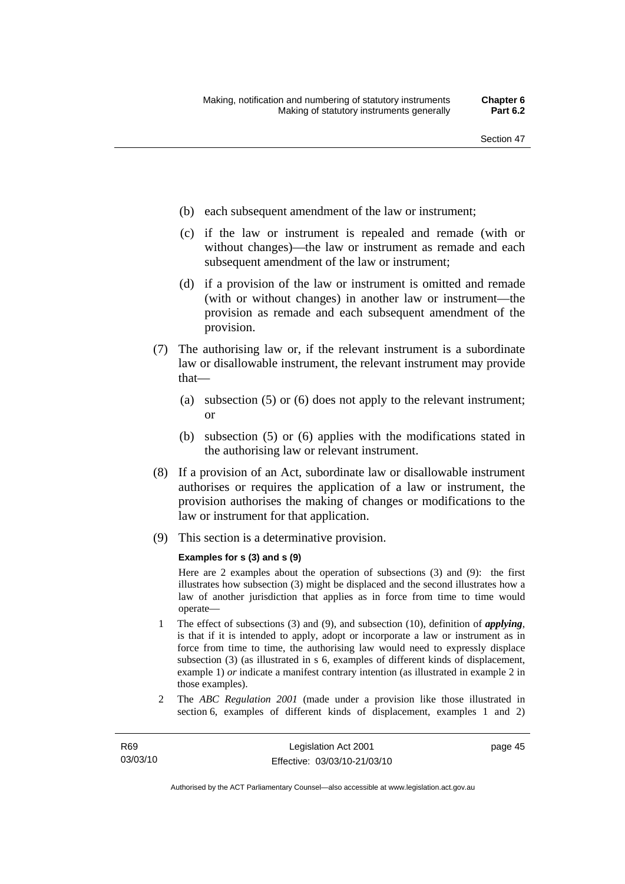- (b) each subsequent amendment of the law or instrument;
- (c) if the law or instrument is repealed and remade (with or without changes)—the law or instrument as remade and each subsequent amendment of the law or instrument;
- (d) if a provision of the law or instrument is omitted and remade (with or without changes) in another law or instrument—the provision as remade and each subsequent amendment of the provision.
- (7) The authorising law or, if the relevant instrument is a subordinate law or disallowable instrument, the relevant instrument may provide that—
	- (a) subsection (5) or (6) does not apply to the relevant instrument; or
	- (b) subsection (5) or (6) applies with the modifications stated in the authorising law or relevant instrument.
- (8) If a provision of an Act, subordinate law or disallowable instrument authorises or requires the application of a law or instrument, the provision authorises the making of changes or modifications to the law or instrument for that application.
- (9) This section is a determinative provision.

#### **Examples for s (3) and s (9)**

Here are 2 examples about the operation of subsections (3) and (9): the first illustrates how subsection (3) might be displaced and the second illustrates how a law of another jurisdiction that applies as in force from time to time would operate—

- 1 The effect of subsections (3) and (9), and subsection (10), definition of *applying*, is that if it is intended to apply, adopt or incorporate a law or instrument as in force from time to time, the authorising law would need to expressly displace subsection (3) (as illustrated in s 6, examples of different kinds of displacement, example 1) *or* indicate a manifest contrary intention (as illustrated in example 2 in those examples).
- 2 The *ABC Regulation 2001* (made under a provision like those illustrated in section 6, examples of different kinds of displacement, examples 1 and 2)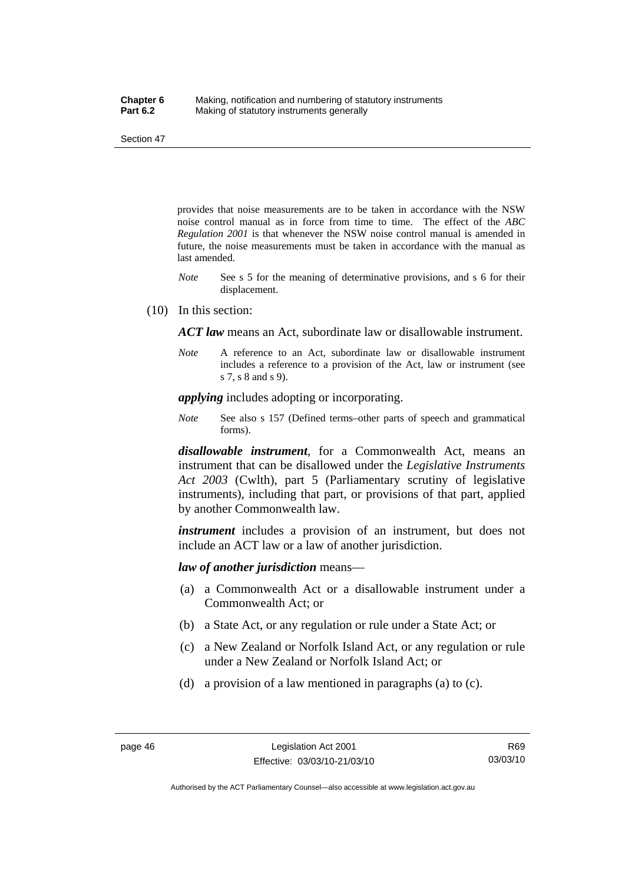provides that noise measurements are to be taken in accordance with the NSW noise control manual as in force from time to time. The effect of the *ABC Regulation 2001* is that whenever the NSW noise control manual is amended in future, the noise measurements must be taken in accordance with the manual as last amended.

- *Note* See s 5 for the meaning of determinative provisions, and s 6 for their displacement.
- (10) In this section:

*ACT law* means an Act, subordinate law or disallowable instrument.

*Note* A reference to an Act, subordinate law or disallowable instrument includes a reference to a provision of the Act, law or instrument (see s 7, s 8 and s 9).

*applying* includes adopting or incorporating.

*Note* See also s 157 (Defined terms–other parts of speech and grammatical forms).

*disallowable instrument*, for a Commonwealth Act, means an instrument that can be disallowed under the *Legislative Instruments Act 2003* (Cwlth), part 5 (Parliamentary scrutiny of legislative instruments), including that part, or provisions of that part, applied by another Commonwealth law.

*instrument* includes a provision of an instrument, but does not include an ACT law or a law of another jurisdiction.

*law of another jurisdiction* means—

- (a) a Commonwealth Act or a disallowable instrument under a Commonwealth Act; or
- (b) a State Act, or any regulation or rule under a State Act; or
- (c) a New Zealand or Norfolk Island Act, or any regulation or rule under a New Zealand or Norfolk Island Act; or
- (d) a provision of a law mentioned in paragraphs (a) to (c).

Authorised by the ACT Parliamentary Counsel—also accessible at www.legislation.act.gov.au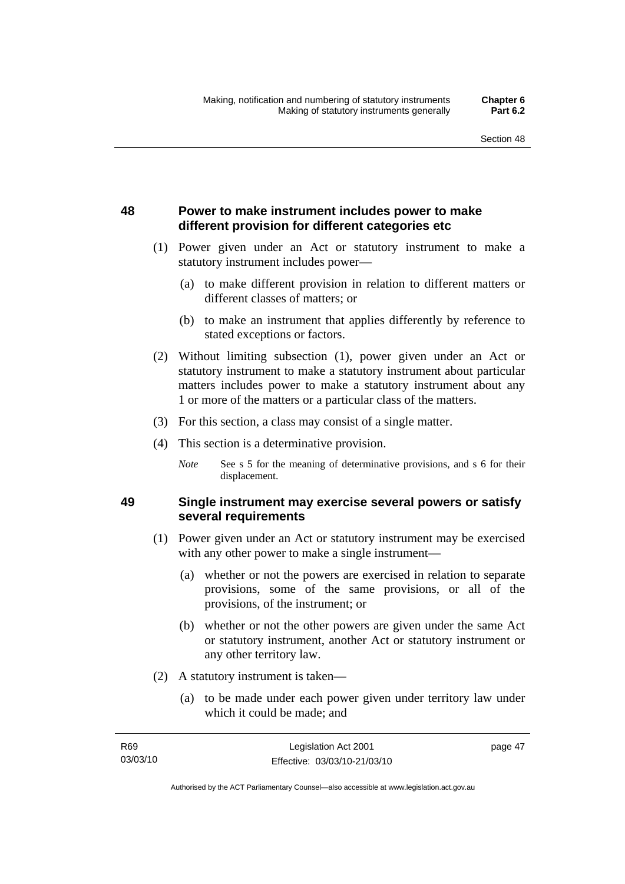## **48 Power to make instrument includes power to make different provision for different categories etc**

- (1) Power given under an Act or statutory instrument to make a statutory instrument includes power—
	- (a) to make different provision in relation to different matters or different classes of matters; or
	- (b) to make an instrument that applies differently by reference to stated exceptions or factors.
- (2) Without limiting subsection (1), power given under an Act or statutory instrument to make a statutory instrument about particular matters includes power to make a statutory instrument about any 1 or more of the matters or a particular class of the matters.
- (3) For this section, a class may consist of a single matter.
- (4) This section is a determinative provision.
	- *Note* See s 5 for the meaning of determinative provisions, and s 6 for their displacement.

## **49 Single instrument may exercise several powers or satisfy several requirements**

- (1) Power given under an Act or statutory instrument may be exercised with any other power to make a single instrument—
	- (a) whether or not the powers are exercised in relation to separate provisions, some of the same provisions, or all of the provisions, of the instrument; or
	- (b) whether or not the other powers are given under the same Act or statutory instrument, another Act or statutory instrument or any other territory law.
- (2) A statutory instrument is taken—
	- (a) to be made under each power given under territory law under which it could be made; and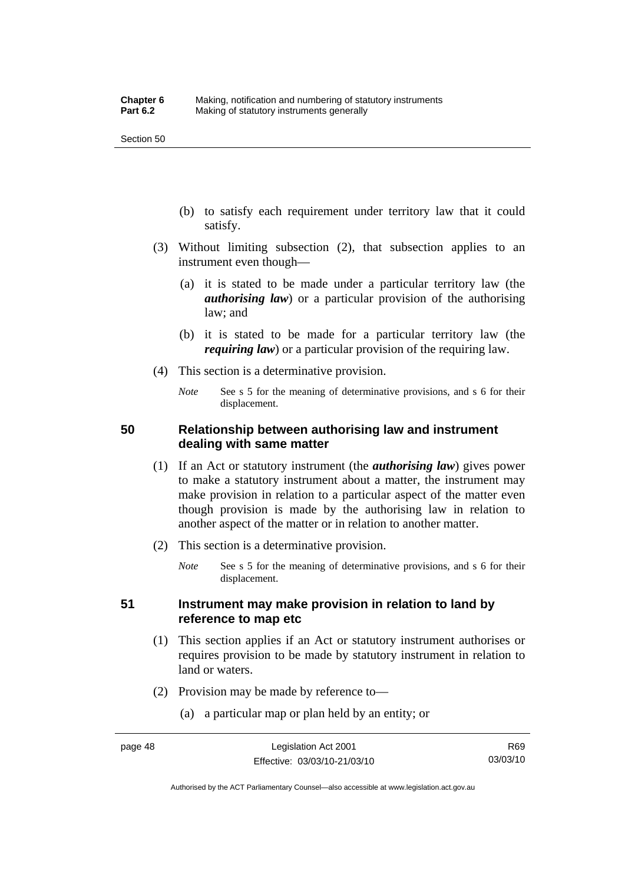- (b) to satisfy each requirement under territory law that it could satisfy.
- (3) Without limiting subsection (2), that subsection applies to an instrument even though—
	- (a) it is stated to be made under a particular territory law (the *authorising law*) or a particular provision of the authorising law; and
	- (b) it is stated to be made for a particular territory law (the *requiring law*) or a particular provision of the requiring law.
- (4) This section is a determinative provision.
	- *Note* See s 5 for the meaning of determinative provisions, and s 6 for their displacement.

## **50 Relationship between authorising law and instrument dealing with same matter**

- (1) If an Act or statutory instrument (the *authorising law*) gives power to make a statutory instrument about a matter, the instrument may make provision in relation to a particular aspect of the matter even though provision is made by the authorising law in relation to another aspect of the matter or in relation to another matter.
- (2) This section is a determinative provision.
	- *Note* See s 5 for the meaning of determinative provisions, and s 6 for their displacement.

## **51 Instrument may make provision in relation to land by reference to map etc**

- (1) This section applies if an Act or statutory instrument authorises or requires provision to be made by statutory instrument in relation to land or waters.
- (2) Provision may be made by reference to—
	- (a) a particular map or plan held by an entity; or

Authorised by the ACT Parliamentary Counsel—also accessible at www.legislation.act.gov.au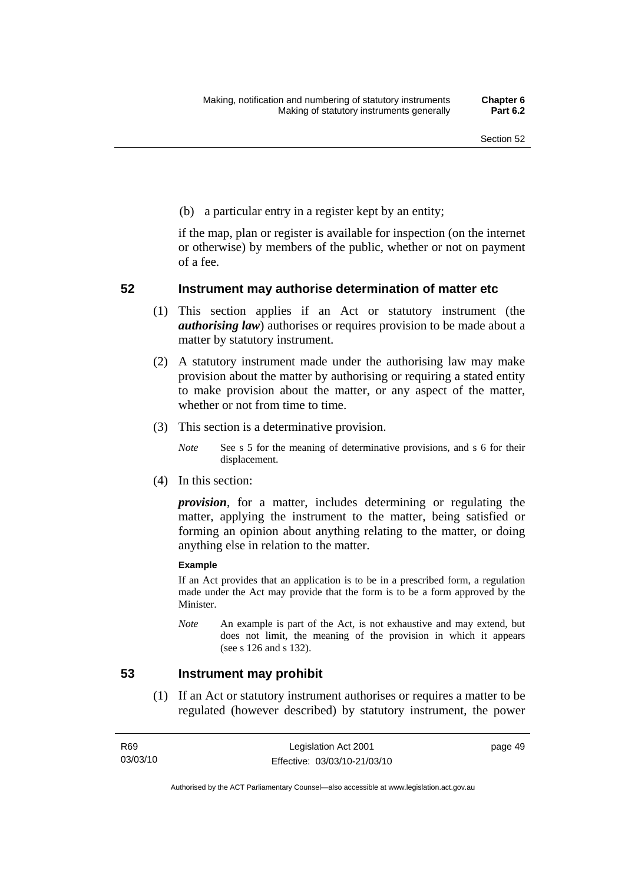(b) a particular entry in a register kept by an entity;

if the map, plan or register is available for inspection (on the internet or otherwise) by members of the public, whether or not on payment of a fee.

## **52 Instrument may authorise determination of matter etc**

- (1) This section applies if an Act or statutory instrument (the *authorising law*) authorises or requires provision to be made about a matter by statutory instrument.
- (2) A statutory instrument made under the authorising law may make provision about the matter by authorising or requiring a stated entity to make provision about the matter, or any aspect of the matter, whether or not from time to time.
- (3) This section is a determinative provision.
	- *Note* See s 5 for the meaning of determinative provisions, and s 6 for their displacement.
- (4) In this section:

*provision*, for a matter, includes determining or regulating the matter, applying the instrument to the matter, being satisfied or forming an opinion about anything relating to the matter, or doing anything else in relation to the matter.

#### **Example**

If an Act provides that an application is to be in a prescribed form, a regulation made under the Act may provide that the form is to be a form approved by the Minister.

*Note* An example is part of the Act, is not exhaustive and may extend, but does not limit, the meaning of the provision in which it appears (see s 126 and s 132).

## **53 Instrument may prohibit**

 (1) If an Act or statutory instrument authorises or requires a matter to be regulated (however described) by statutory instrument, the power

page 49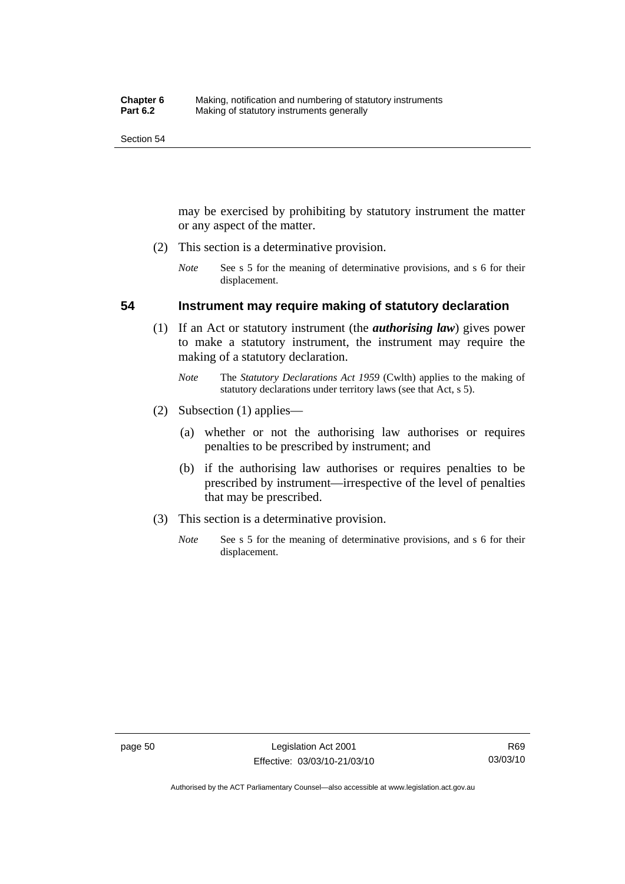may be exercised by prohibiting by statutory instrument the matter or any aspect of the matter.

- (2) This section is a determinative provision.
	- *Note* See s 5 for the meaning of determinative provisions, and s 6 for their displacement.

## **54 Instrument may require making of statutory declaration**

- (1) If an Act or statutory instrument (the *authorising law*) gives power to make a statutory instrument, the instrument may require the making of a statutory declaration.
	- *Note* The *Statutory Declarations Act 1959* (Cwlth) applies to the making of statutory declarations under territory laws (see that Act, s 5).
- (2) Subsection (1) applies—
	- (a) whether or not the authorising law authorises or requires penalties to be prescribed by instrument; and
	- (b) if the authorising law authorises or requires penalties to be prescribed by instrument—irrespective of the level of penalties that may be prescribed.
- (3) This section is a determinative provision.
	- *Note* See s 5 for the meaning of determinative provisions, and s 6 for their displacement.

Authorised by the ACT Parliamentary Counsel—also accessible at www.legislation.act.gov.au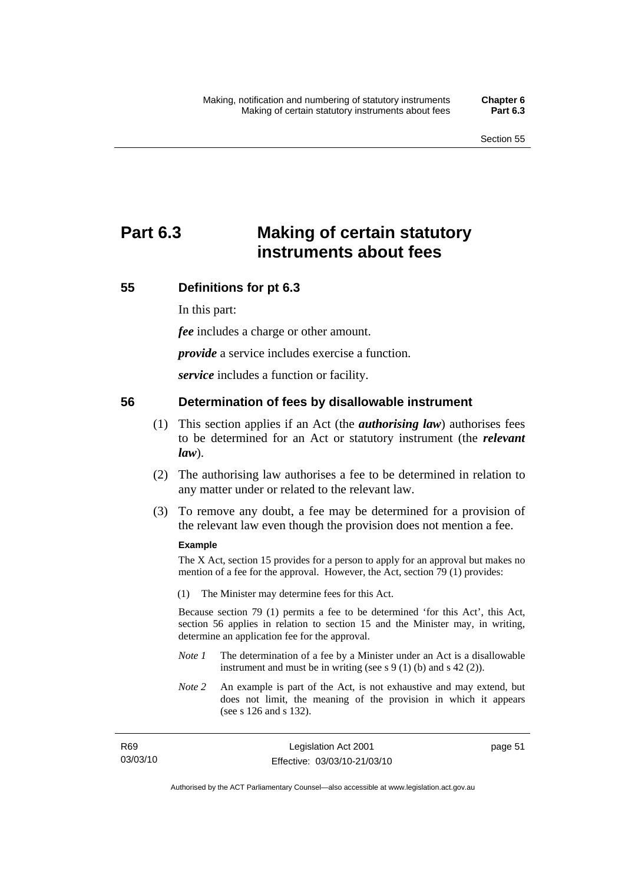# **Part 6.3 Making of certain statutory instruments about fees**

## **55 Definitions for pt 6.3**

In this part:

*fee* includes a charge or other amount.

*provide* a service includes exercise a function.

*service* includes a function or facility.

## **56 Determination of fees by disallowable instrument**

- (1) This section applies if an Act (the *authorising law*) authorises fees to be determined for an Act or statutory instrument (the *relevant law*).
- (2) The authorising law authorises a fee to be determined in relation to any matter under or related to the relevant law.
- (3) To remove any doubt, a fee may be determined for a provision of the relevant law even though the provision does not mention a fee.

## **Example**

The X Act, section 15 provides for a person to apply for an approval but makes no mention of a fee for the approval. However, the Act, section 79 (1) provides:

(1) The Minister may determine fees for this Act.

Because section 79 (1) permits a fee to be determined 'for this Act', this Act, section 56 applies in relation to section 15 and the Minister may, in writing, determine an application fee for the approval.

- *Note 1* The determination of a fee by a Minister under an Act is a disallowable instrument and must be in writing (see s 9 (1) (b) and s 42 (2)).
- *Note 2* An example is part of the Act, is not exhaustive and may extend, but does not limit, the meaning of the provision in which it appears (see s 126 and s 132).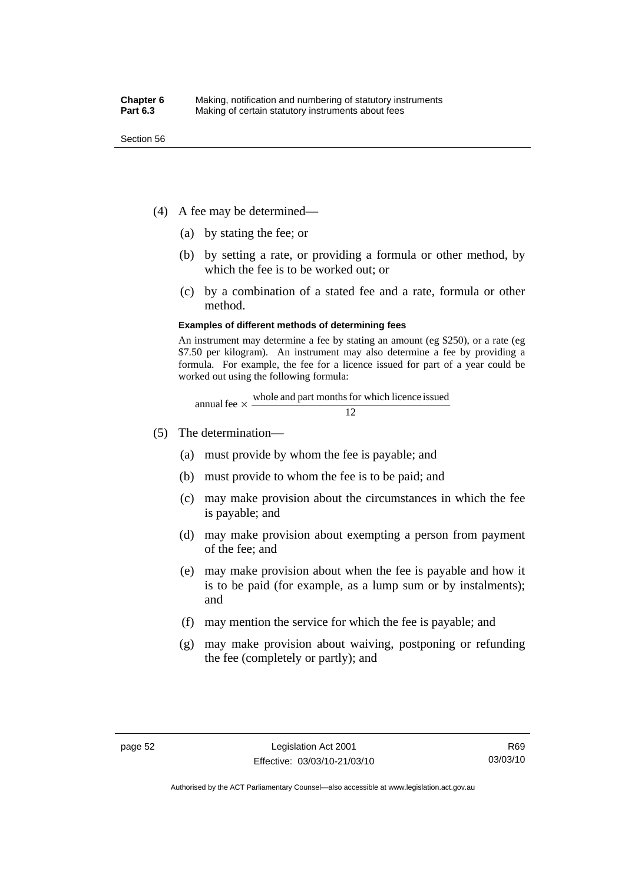- (4) A fee may be determined—
	- (a) by stating the fee; or
	- (b) by setting a rate, or providing a formula or other method, by which the fee is to be worked out; or
	- (c) by a combination of a stated fee and a rate, formula or other method.

#### **Examples of different methods of determining fees**

An instrument may determine a fee by stating an amount (eg \$250), or a rate (eg \$7.50 per kilogram). An instrument may also determine a fee by providing a formula. For example, the fee for a licence issued for part of a year could be worked out using the following formula:

annual fee 
$$
\times
$$
  $\frac{\text{whole and part months for which licence issued}}{12}$ 

- (5) The determination—
	- (a) must provide by whom the fee is payable; and
	- (b) must provide to whom the fee is to be paid; and
	- (c) may make provision about the circumstances in which the fee is payable; and
	- (d) may make provision about exempting a person from payment of the fee; and
	- (e) may make provision about when the fee is payable and how it is to be paid (for example, as a lump sum or by instalments); and
	- (f) may mention the service for which the fee is payable; and
	- (g) may make provision about waiving, postponing or refunding the fee (completely or partly); and

Authorised by the ACT Parliamentary Counsel—also accessible at www.legislation.act.gov.au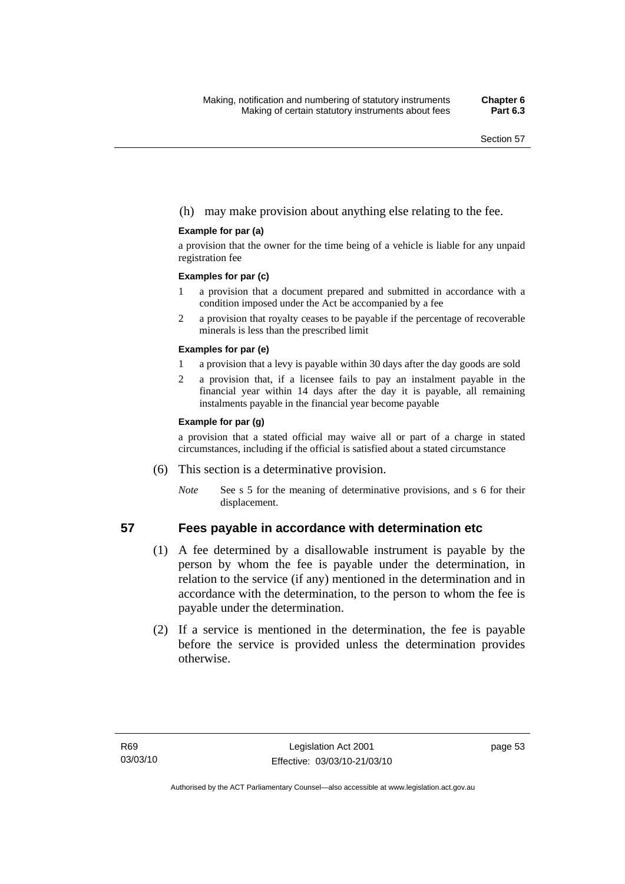## (h) may make provision about anything else relating to the fee.

### **Example for par (a)**

a provision that the owner for the time being of a vehicle is liable for any unpaid registration fee

#### **Examples for par (c)**

- 1 a provision that a document prepared and submitted in accordance with a condition imposed under the Act be accompanied by a fee
- 2 a provision that royalty ceases to be payable if the percentage of recoverable minerals is less than the prescribed limit

### **Examples for par (e)**

- 1 a provision that a levy is payable within 30 days after the day goods are sold
- 2 a provision that, if a licensee fails to pay an instalment payable in the financial year within 14 days after the day it is payable, all remaining instalments payable in the financial year become payable

### **Example for par (g)**

a provision that a stated official may waive all or part of a charge in stated circumstances, including if the official is satisfied about a stated circumstance

- (6) This section is a determinative provision.
	- *Note* See s 5 for the meaning of determinative provisions, and s 6 for their displacement.

## **57 Fees payable in accordance with determination etc**

- (1) A fee determined by a disallowable instrument is payable by the person by whom the fee is payable under the determination, in relation to the service (if any) mentioned in the determination and in accordance with the determination, to the person to whom the fee is payable under the determination.
- (2) If a service is mentioned in the determination, the fee is payable before the service is provided unless the determination provides otherwise.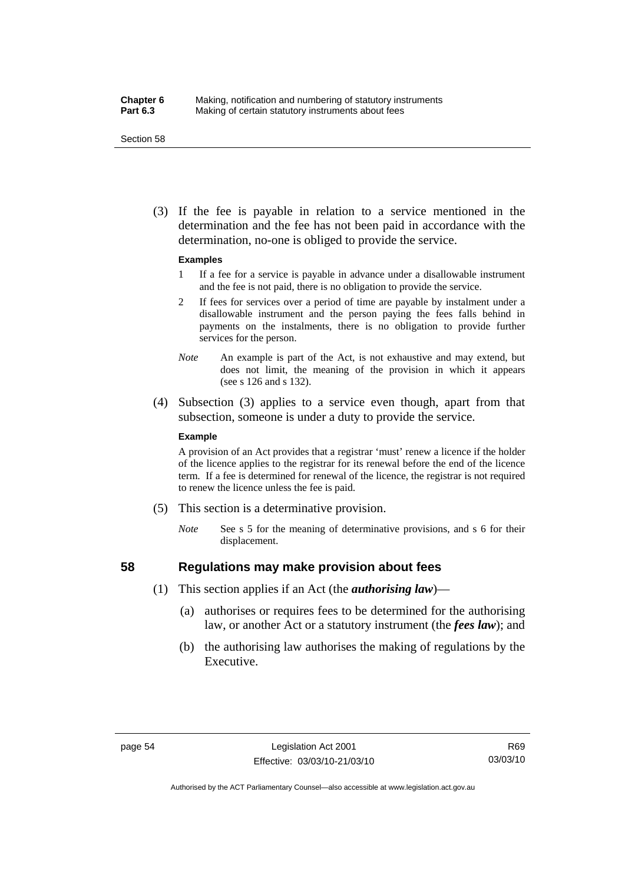### **Chapter 6** Making, notification and numbering of statutory instruments<br>**Part 6.3** Making of certain statutory instruments about fees Making of certain statutory instruments about fees

Section 58

 (3) If the fee is payable in relation to a service mentioned in the determination and the fee has not been paid in accordance with the determination, no-one is obliged to provide the service.

#### **Examples**

- 1 If a fee for a service is payable in advance under a disallowable instrument and the fee is not paid, there is no obligation to provide the service.
- 2 If fees for services over a period of time are payable by instalment under a disallowable instrument and the person paying the fees falls behind in payments on the instalments, there is no obligation to provide further services for the person.
- *Note* An example is part of the Act, is not exhaustive and may extend, but does not limit, the meaning of the provision in which it appears (see s 126 and s 132).
- (4) Subsection (3) applies to a service even though, apart from that subsection, someone is under a duty to provide the service.

#### **Example**

A provision of an Act provides that a registrar 'must' renew a licence if the holder of the licence applies to the registrar for its renewal before the end of the licence term. If a fee is determined for renewal of the licence, the registrar is not required to renew the licence unless the fee is paid.

- (5) This section is a determinative provision.
	- *Note* See s 5 for the meaning of determinative provisions, and s 6 for their displacement.

## **58 Regulations may make provision about fees**

- (1) This section applies if an Act (the *authorising law*)—
	- (a) authorises or requires fees to be determined for the authorising law, or another Act or a statutory instrument (the *fees law*); and
	- (b) the authorising law authorises the making of regulations by the Executive.

R69 03/03/10

Authorised by the ACT Parliamentary Counsel—also accessible at www.legislation.act.gov.au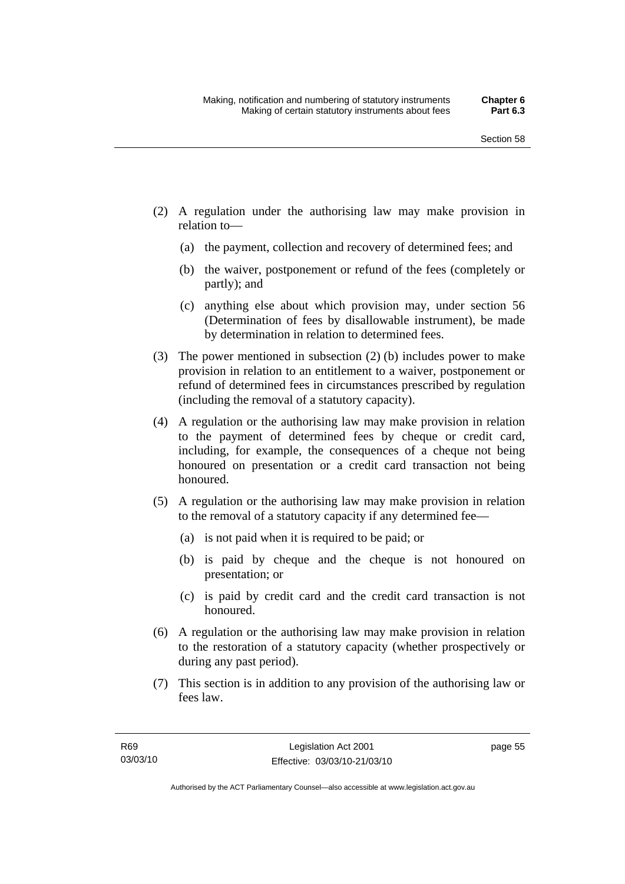- (2) A regulation under the authorising law may make provision in relation to—
	- (a) the payment, collection and recovery of determined fees; and
	- (b) the waiver, postponement or refund of the fees (completely or partly); and
	- (c) anything else about which provision may, under section 56 (Determination of fees by disallowable instrument), be made by determination in relation to determined fees.
- (3) The power mentioned in subsection (2) (b) includes power to make provision in relation to an entitlement to a waiver, postponement or refund of determined fees in circumstances prescribed by regulation (including the removal of a statutory capacity).
- (4) A regulation or the authorising law may make provision in relation to the payment of determined fees by cheque or credit card, including, for example, the consequences of a cheque not being honoured on presentation or a credit card transaction not being honoured.
- (5) A regulation or the authorising law may make provision in relation to the removal of a statutory capacity if any determined fee—
	- (a) is not paid when it is required to be paid; or
	- (b) is paid by cheque and the cheque is not honoured on presentation; or
	- (c) is paid by credit card and the credit card transaction is not honoured.
- (6) A regulation or the authorising law may make provision in relation to the restoration of a statutory capacity (whether prospectively or during any past period).
- (7) This section is in addition to any provision of the authorising law or fees law.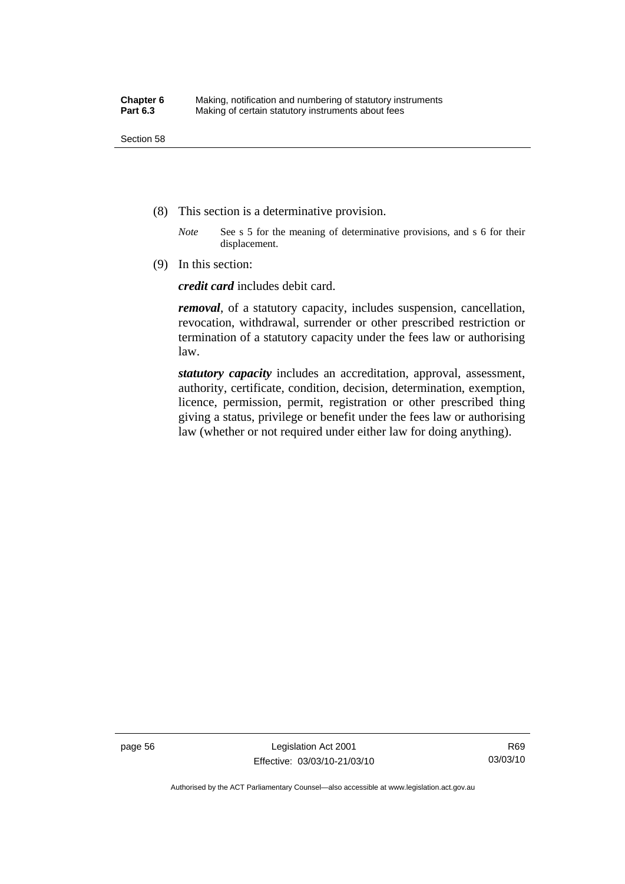- (8) This section is a determinative provision.
	- *Note* See s 5 for the meaning of determinative provisions, and s 6 for their displacement.
- (9) In this section:

*credit card* includes debit card.

*removal*, of a statutory capacity, includes suspension, cancellation, revocation, withdrawal, surrender or other prescribed restriction or termination of a statutory capacity under the fees law or authorising law.

*statutory capacity* includes an accreditation, approval, assessment, authority, certificate, condition, decision, determination, exemption, licence, permission, permit, registration or other prescribed thing giving a status, privilege or benefit under the fees law or authorising law (whether or not required under either law for doing anything).

page 56 Legislation Act 2001 Effective: 03/03/10-21/03/10

Authorised by the ACT Parliamentary Counsel—also accessible at www.legislation.act.gov.au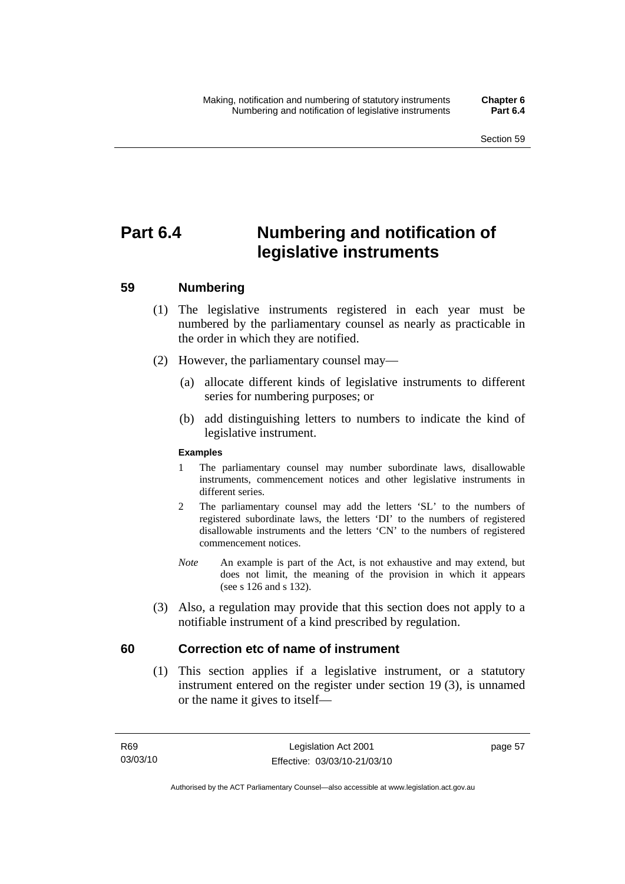# **Part 6.4 Numbering and notification of legislative instruments**

# **59 Numbering**

- (1) The legislative instruments registered in each year must be numbered by the parliamentary counsel as nearly as practicable in the order in which they are notified.
- (2) However, the parliamentary counsel may—
	- (a) allocate different kinds of legislative instruments to different series for numbering purposes; or
	- (b) add distinguishing letters to numbers to indicate the kind of legislative instrument.

## **Examples**

- 1 The parliamentary counsel may number subordinate laws, disallowable instruments, commencement notices and other legislative instruments in different series.
- 2 The parliamentary counsel may add the letters 'SL' to the numbers of registered subordinate laws, the letters 'DI' to the numbers of registered disallowable instruments and the letters 'CN' to the numbers of registered commencement notices.
- *Note* An example is part of the Act, is not exhaustive and may extend, but does not limit, the meaning of the provision in which it appears (see s 126 and s 132).
- (3) Also, a regulation may provide that this section does not apply to a notifiable instrument of a kind prescribed by regulation.

# **60 Correction etc of name of instrument**

 (1) This section applies if a legislative instrument, or a statutory instrument entered on the register under section 19 (3), is unnamed or the name it gives to itself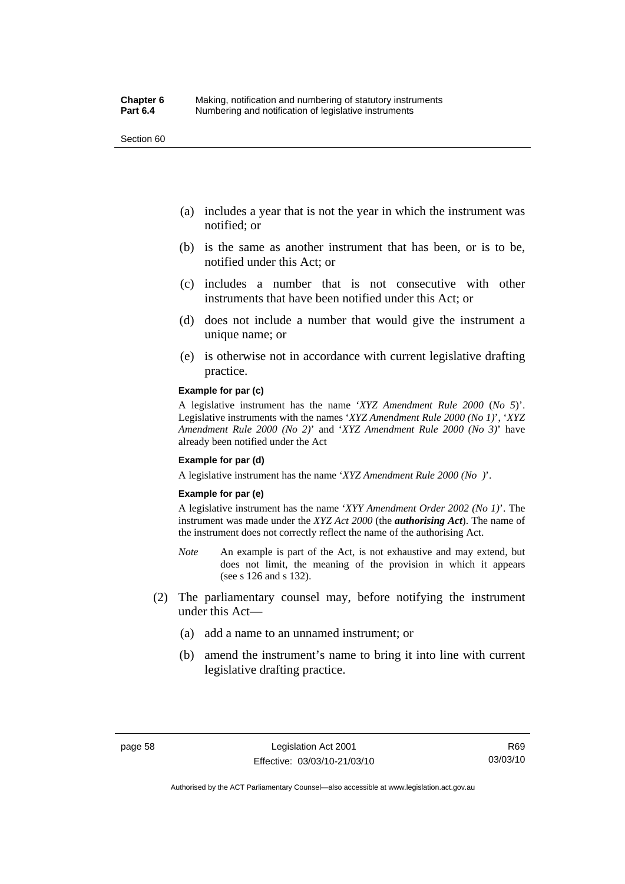Section 60

- (a) includes a year that is not the year in which the instrument was notified; or
- (b) is the same as another instrument that has been, or is to be, notified under this Act; or
- (c) includes a number that is not consecutive with other instruments that have been notified under this Act; or
- (d) does not include a number that would give the instrument a unique name; or
- (e) is otherwise not in accordance with current legislative drafting practice.

#### **Example for par (c)**

A legislative instrument has the name '*XYZ Amendment Rule 2000* (*No 5*)'. Legislative instruments with the names '*XYZ Amendment Rule 2000 (No 1)*', '*XYZ Amendment Rule 2000 (No 2)*' and '*XYZ Amendment Rule 2000 (No 3)*' have already been notified under the Act

#### **Example for par (d)**

A legislative instrument has the name '*XYZ Amendment Rule 2000 (No )*'.

#### **Example for par (e)**

A legislative instrument has the name '*XYY Amendment Order 2002 (No 1)*'. The instrument was made under the *XYZ Act 2000* (the *authorising Act*). The name of the instrument does not correctly reflect the name of the authorising Act.

- *Note* An example is part of the Act, is not exhaustive and may extend, but does not limit, the meaning of the provision in which it appears (see s 126 and s 132).
- (2) The parliamentary counsel may, before notifying the instrument under this Act—
	- (a) add a name to an unnamed instrument; or
	- (b) amend the instrument's name to bring it into line with current legislative drafting practice.

R69 03/03/10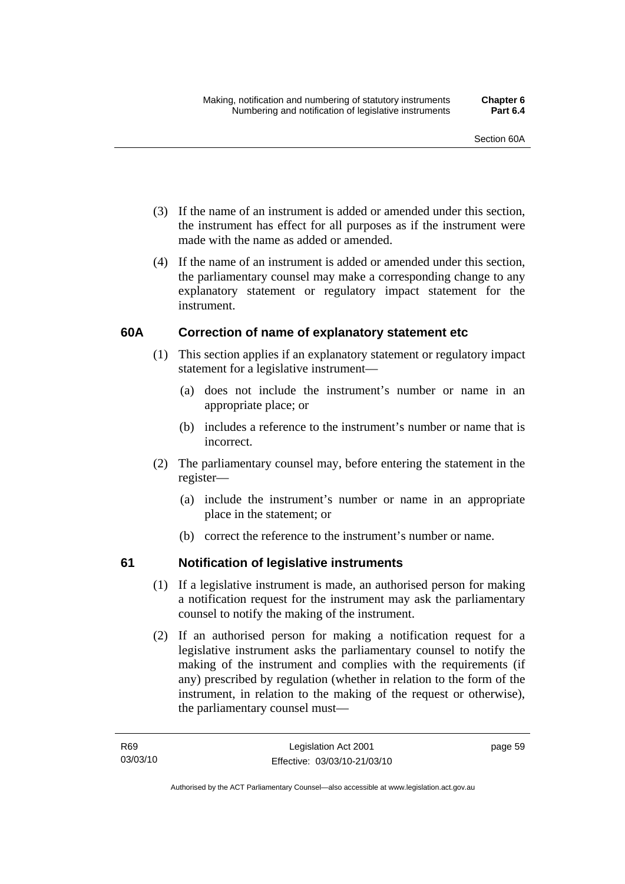- (3) If the name of an instrument is added or amended under this section, the instrument has effect for all purposes as if the instrument were made with the name as added or amended.
- (4) If the name of an instrument is added or amended under this section, the parliamentary counsel may make a corresponding change to any explanatory statement or regulatory impact statement for the instrument.

# **60A Correction of name of explanatory statement etc**

- (1) This section applies if an explanatory statement or regulatory impact statement for a legislative instrument—
	- (a) does not include the instrument's number or name in an appropriate place; or
	- (b) includes a reference to the instrument's number or name that is incorrect.
- (2) The parliamentary counsel may, before entering the statement in the register—
	- (a) include the instrument's number or name in an appropriate place in the statement; or
	- (b) correct the reference to the instrument's number or name.

# **61 Notification of legislative instruments**

- (1) If a legislative instrument is made, an authorised person for making a notification request for the instrument may ask the parliamentary counsel to notify the making of the instrument.
- (2) If an authorised person for making a notification request for a legislative instrument asks the parliamentary counsel to notify the making of the instrument and complies with the requirements (if any) prescribed by regulation (whether in relation to the form of the instrument, in relation to the making of the request or otherwise), the parliamentary counsel must—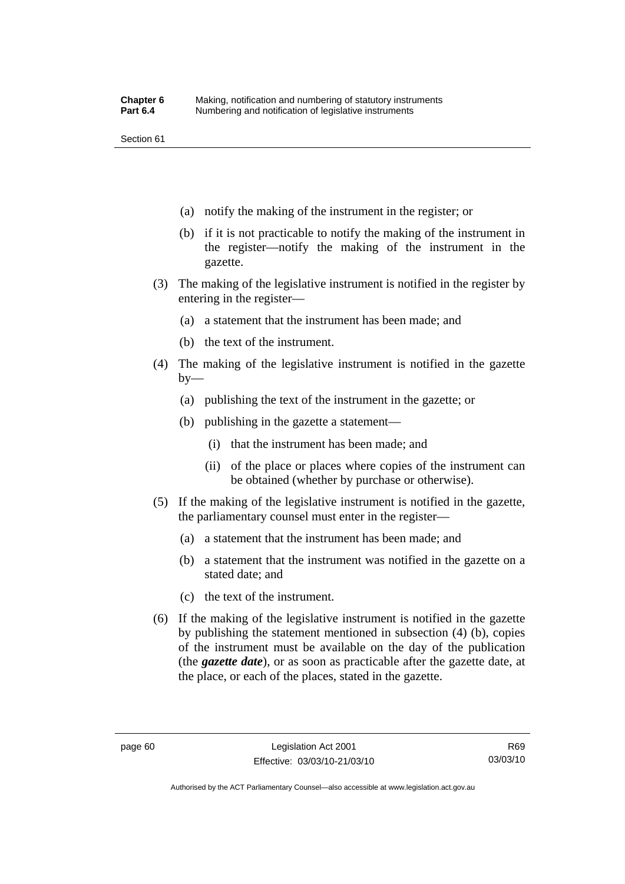Section 61

- (a) notify the making of the instrument in the register; or
- (b) if it is not practicable to notify the making of the instrument in the register—notify the making of the instrument in the gazette.
- (3) The making of the legislative instrument is notified in the register by entering in the register—
	- (a) a statement that the instrument has been made; and
	- (b) the text of the instrument.
- (4) The making of the legislative instrument is notified in the gazette  $by-$ 
	- (a) publishing the text of the instrument in the gazette; or
	- (b) publishing in the gazette a statement—
		- (i) that the instrument has been made; and
		- (ii) of the place or places where copies of the instrument can be obtained (whether by purchase or otherwise).
- (5) If the making of the legislative instrument is notified in the gazette, the parliamentary counsel must enter in the register—
	- (a) a statement that the instrument has been made; and
	- (b) a statement that the instrument was notified in the gazette on a stated date; and
	- (c) the text of the instrument.
- (6) If the making of the legislative instrument is notified in the gazette by publishing the statement mentioned in subsection (4) (b), copies of the instrument must be available on the day of the publication (the *gazette date*), or as soon as practicable after the gazette date, at the place, or each of the places, stated in the gazette.

Authorised by the ACT Parliamentary Counsel—also accessible at www.legislation.act.gov.au

R69 03/03/10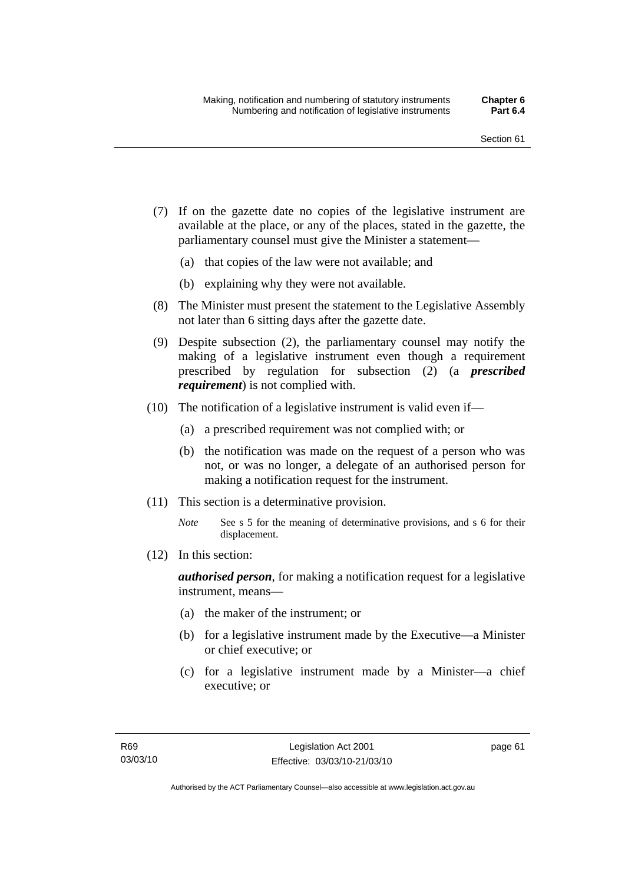- (7) If on the gazette date no copies of the legislative instrument are available at the place, or any of the places, stated in the gazette, the parliamentary counsel must give the Minister a statement—
	- (a) that copies of the law were not available; and
	- (b) explaining why they were not available.
- (8) The Minister must present the statement to the Legislative Assembly not later than 6 sitting days after the gazette date.
- (9) Despite subsection (2), the parliamentary counsel may notify the making of a legislative instrument even though a requirement prescribed by regulation for subsection (2) (a *prescribed requirement*) is not complied with.
- (10) The notification of a legislative instrument is valid even if—
	- (a) a prescribed requirement was not complied with; or
	- (b) the notification was made on the request of a person who was not, or was no longer, a delegate of an authorised person for making a notification request for the instrument.
- (11) This section is a determinative provision.
	- *Note* See s 5 for the meaning of determinative provisions, and s 6 for their displacement.
- (12) In this section:

*authorised person*, for making a notification request for a legislative instrument, means—

- (a) the maker of the instrument; or
- (b) for a legislative instrument made by the Executive—a Minister or chief executive; or
- (c) for a legislative instrument made by a Minister—a chief executive; or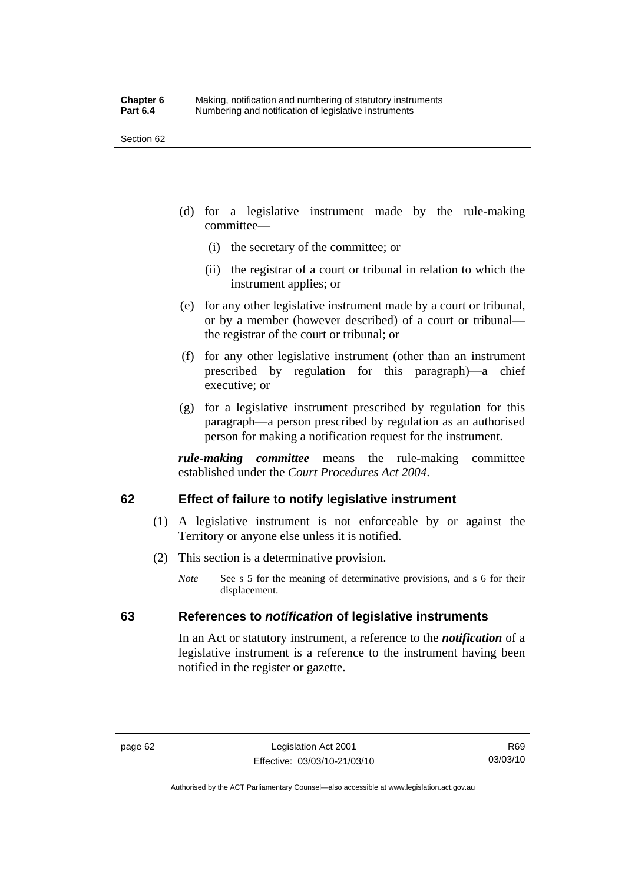Section 62

- (d) for a legislative instrument made by the rule-making committee—
	- (i) the secretary of the committee; or
	- (ii) the registrar of a court or tribunal in relation to which the instrument applies; or
- (e) for any other legislative instrument made by a court or tribunal, or by a member (however described) of a court or tribunal the registrar of the court or tribunal; or
- (f) for any other legislative instrument (other than an instrument prescribed by regulation for this paragraph)—a chief executive; or
- (g) for a legislative instrument prescribed by regulation for this paragraph—a person prescribed by regulation as an authorised person for making a notification request for the instrument.

*rule-making committee* means the rule-making committee established under the *Court Procedures Act 2004*.

# **62 Effect of failure to notify legislative instrument**

- (1) A legislative instrument is not enforceable by or against the Territory or anyone else unless it is notified.
- (2) This section is a determinative provision.
	- *Note* See s 5 for the meaning of determinative provisions, and s 6 for their displacement.

# **63 References to** *notification* **of legislative instruments**

In an Act or statutory instrument, a reference to the *notification* of a legislative instrument is a reference to the instrument having been notified in the register or gazette.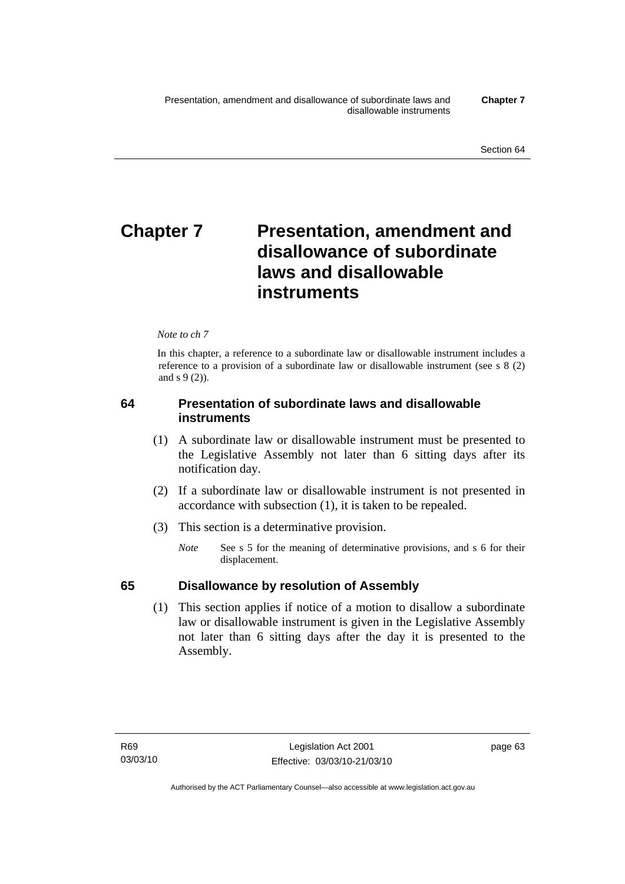# **Chapter 7** Presentation, amendment and **disallowance of subordinate laws and disallowable instruments**

#### *Note to ch 7*

In this chapter, a reference to a subordinate law or disallowable instrument includes a reference to a provision of a subordinate law or disallowable instrument (see s 8 (2) and s 9 (2)).

# **64 Presentation of subordinate laws and disallowable instruments**

- (1) A subordinate law or disallowable instrument must be presented to the Legislative Assembly not later than 6 sitting days after its notification day.
- (2) If a subordinate law or disallowable instrument is not presented in accordance with subsection (1), it is taken to be repealed.
- (3) This section is a determinative provision.
	- *Note* See s 5 for the meaning of determinative provisions, and s 6 for their displacement.

# **65 Disallowance by resolution of Assembly**

 (1) This section applies if notice of a motion to disallow a subordinate law or disallowable instrument is given in the Legislative Assembly not later than 6 sitting days after the day it is presented to the Assembly.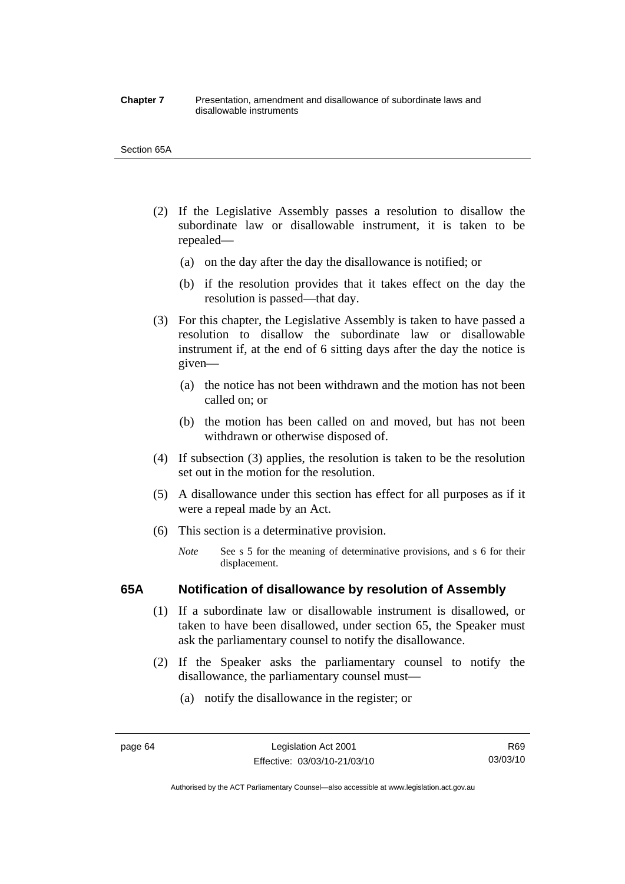#### **Chapter 7** Presentation, amendment and disallowance of subordinate laws and disallowable instruments

#### Section 65A

- (2) If the Legislative Assembly passes a resolution to disallow the subordinate law or disallowable instrument, it is taken to be repealed—
	- (a) on the day after the day the disallowance is notified; or
	- (b) if the resolution provides that it takes effect on the day the resolution is passed—that day.
- (3) For this chapter, the Legislative Assembly is taken to have passed a resolution to disallow the subordinate law or disallowable instrument if, at the end of 6 sitting days after the day the notice is given—
	- (a) the notice has not been withdrawn and the motion has not been called on; or
	- (b) the motion has been called on and moved, but has not been withdrawn or otherwise disposed of.
- (4) If subsection (3) applies, the resolution is taken to be the resolution set out in the motion for the resolution.
- (5) A disallowance under this section has effect for all purposes as if it were a repeal made by an Act.
- (6) This section is a determinative provision.
	- *Note* See s 5 for the meaning of determinative provisions, and s 6 for their displacement.

## **65A Notification of disallowance by resolution of Assembly**

- (1) If a subordinate law or disallowable instrument is disallowed, or taken to have been disallowed, under section 65, the Speaker must ask the parliamentary counsel to notify the disallowance.
- (2) If the Speaker asks the parliamentary counsel to notify the disallowance, the parliamentary counsel must—
	- (a) notify the disallowance in the register; or

Authorised by the ACT Parliamentary Counsel—also accessible at www.legislation.act.gov.au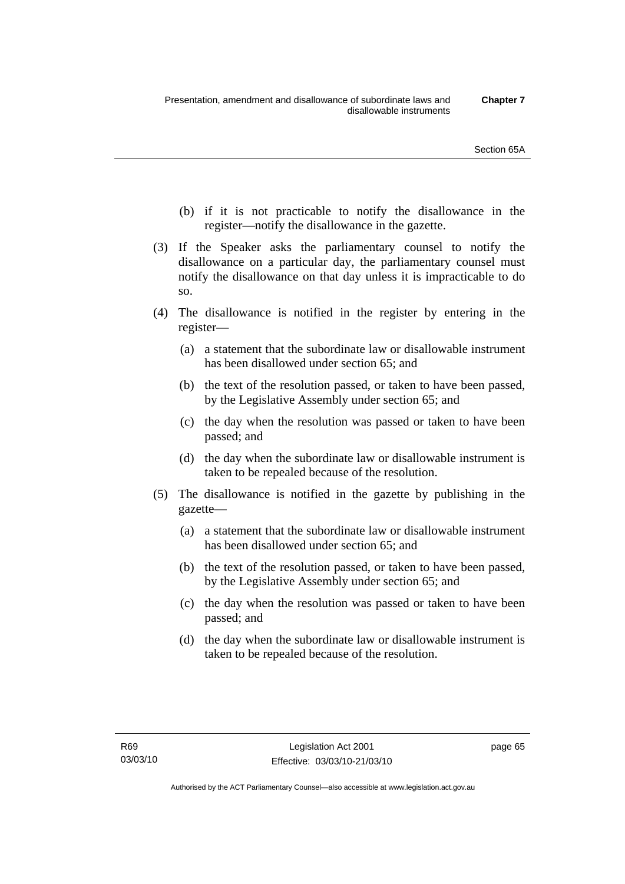- (b) if it is not practicable to notify the disallowance in the register—notify the disallowance in the gazette.
- (3) If the Speaker asks the parliamentary counsel to notify the disallowance on a particular day, the parliamentary counsel must notify the disallowance on that day unless it is impracticable to do so.
- (4) The disallowance is notified in the register by entering in the register—
	- (a) a statement that the subordinate law or disallowable instrument has been disallowed under section 65; and
	- (b) the text of the resolution passed, or taken to have been passed, by the Legislative Assembly under section 65; and
	- (c) the day when the resolution was passed or taken to have been passed; and
	- (d) the day when the subordinate law or disallowable instrument is taken to be repealed because of the resolution.
- (5) The disallowance is notified in the gazette by publishing in the gazette—
	- (a) a statement that the subordinate law or disallowable instrument has been disallowed under section 65; and
	- (b) the text of the resolution passed, or taken to have been passed, by the Legislative Assembly under section 65; and
	- (c) the day when the resolution was passed or taken to have been passed; and
	- (d) the day when the subordinate law or disallowable instrument is taken to be repealed because of the resolution.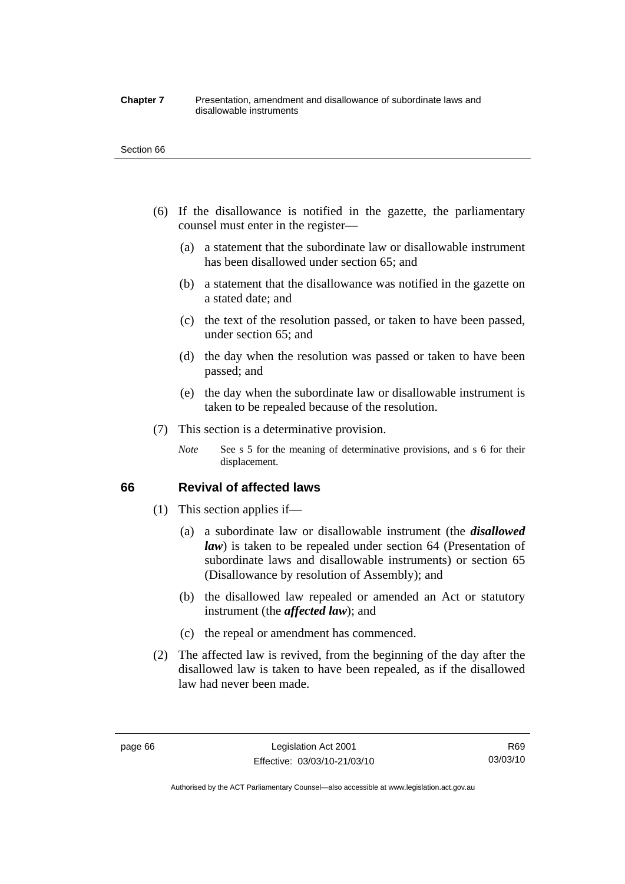#### **Chapter 7** Presentation, amendment and disallowance of subordinate laws and disallowable instruments

#### Section 66

- (6) If the disallowance is notified in the gazette, the parliamentary counsel must enter in the register—
	- (a) a statement that the subordinate law or disallowable instrument has been disallowed under section 65; and
	- (b) a statement that the disallowance was notified in the gazette on a stated date; and
	- (c) the text of the resolution passed, or taken to have been passed, under section 65; and
	- (d) the day when the resolution was passed or taken to have been passed; and
	- (e) the day when the subordinate law or disallowable instrument is taken to be repealed because of the resolution.
- (7) This section is a determinative provision.
	- *Note* See s 5 for the meaning of determinative provisions, and s 6 for their displacement.

## **66 Revival of affected laws**

- (1) This section applies if—
	- (a) a subordinate law or disallowable instrument (the *disallowed law*) is taken to be repealed under section 64 (Presentation of subordinate laws and disallowable instruments) or section 65 (Disallowance by resolution of Assembly); and
	- (b) the disallowed law repealed or amended an Act or statutory instrument (the *affected law*); and
	- (c) the repeal or amendment has commenced.
- (2) The affected law is revived, from the beginning of the day after the disallowed law is taken to have been repealed, as if the disallowed law had never been made.

R69 03/03/10

Authorised by the ACT Parliamentary Counsel—also accessible at www.legislation.act.gov.au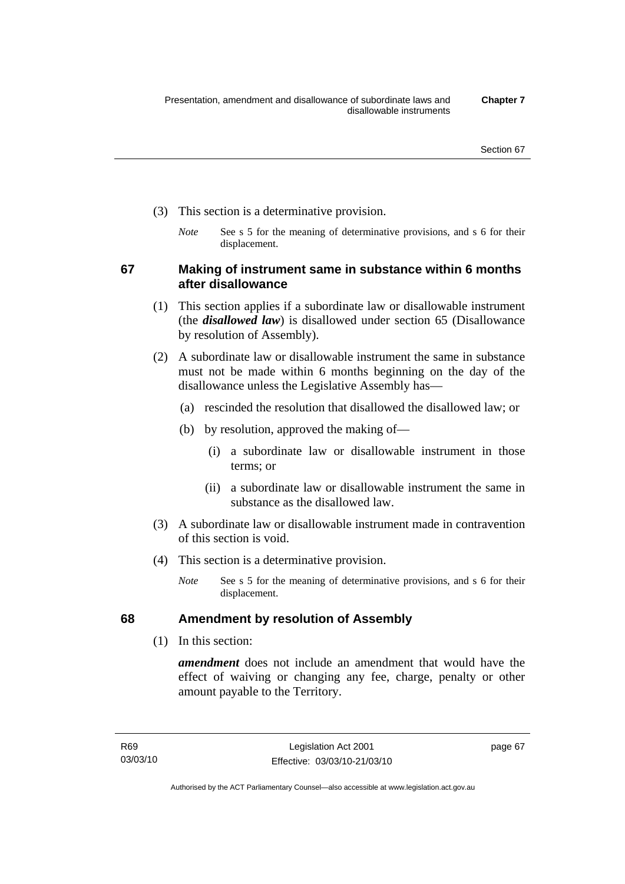- (3) This section is a determinative provision.
	- *Note* See s 5 for the meaning of determinative provisions, and s 6 for their displacement.

**67 Making of instrument same in substance within 6 months after disallowance** 

- (1) This section applies if a subordinate law or disallowable instrument (the *disallowed law*) is disallowed under section 65 (Disallowance by resolution of Assembly).
- (2) A subordinate law or disallowable instrument the same in substance must not be made within 6 months beginning on the day of the disallowance unless the Legislative Assembly has—
	- (a) rescinded the resolution that disallowed the disallowed law; or
	- (b) by resolution, approved the making of—
		- (i) a subordinate law or disallowable instrument in those terms; or
		- (ii) a subordinate law or disallowable instrument the same in substance as the disallowed law.
- (3) A subordinate law or disallowable instrument made in contravention of this section is void.
- (4) This section is a determinative provision.
	- *Note* See s 5 for the meaning of determinative provisions, and s 6 for their displacement.

# **68 Amendment by resolution of Assembly**

(1) In this section:

*amendment* does not include an amendment that would have the effect of waiving or changing any fee, charge, penalty or other amount payable to the Territory.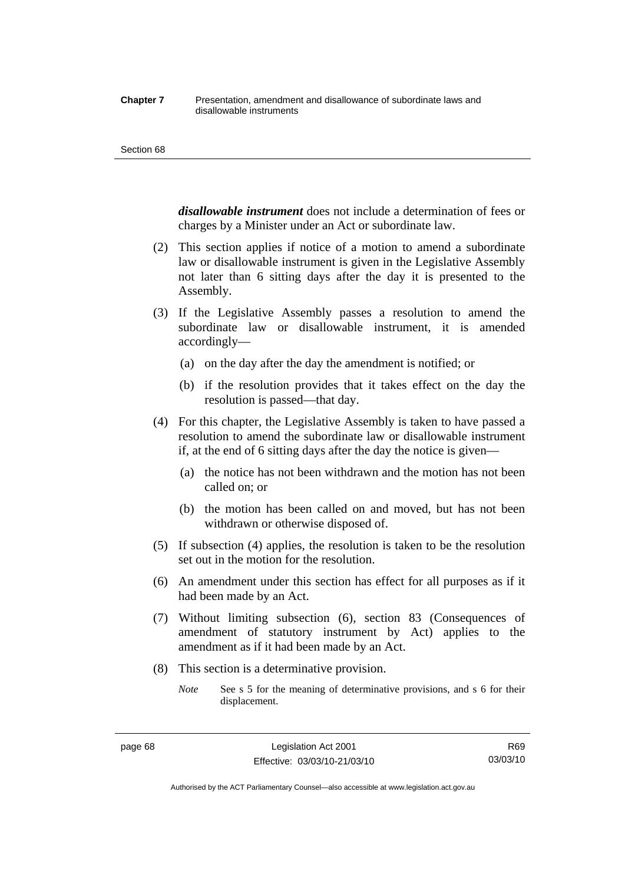#### **Chapter 7** Presentation, amendment and disallowance of subordinate laws and disallowable instruments

#### Section 68

*disallowable instrument* does not include a determination of fees or charges by a Minister under an Act or subordinate law.

- (2) This section applies if notice of a motion to amend a subordinate law or disallowable instrument is given in the Legislative Assembly not later than 6 sitting days after the day it is presented to the Assembly.
- (3) If the Legislative Assembly passes a resolution to amend the subordinate law or disallowable instrument, it is amended accordingly—
	- (a) on the day after the day the amendment is notified; or
	- (b) if the resolution provides that it takes effect on the day the resolution is passed—that day.
- (4) For this chapter, the Legislative Assembly is taken to have passed a resolution to amend the subordinate law or disallowable instrument if, at the end of 6 sitting days after the day the notice is given—
	- (a) the notice has not been withdrawn and the motion has not been called on; or
	- (b) the motion has been called on and moved, but has not been withdrawn or otherwise disposed of.
- (5) If subsection (4) applies, the resolution is taken to be the resolution set out in the motion for the resolution.
- (6) An amendment under this section has effect for all purposes as if it had been made by an Act.
- (7) Without limiting subsection (6), section 83 (Consequences of amendment of statutory instrument by Act) applies to the amendment as if it had been made by an Act.
- (8) This section is a determinative provision.
	- *Note* See s 5 for the meaning of determinative provisions, and s 6 for their displacement.

R69 03/03/10

Authorised by the ACT Parliamentary Counsel—also accessible at www.legislation.act.gov.au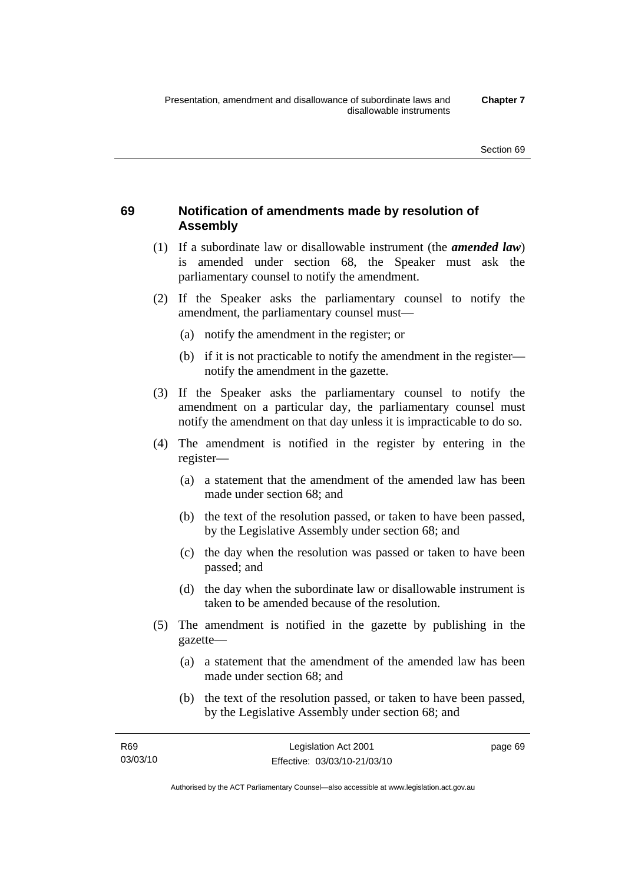# **69 Notification of amendments made by resolution of Assembly**

- (1) If a subordinate law or disallowable instrument (the *amended law*) is amended under section 68, the Speaker must ask the parliamentary counsel to notify the amendment.
- (2) If the Speaker asks the parliamentary counsel to notify the amendment, the parliamentary counsel must—
	- (a) notify the amendment in the register; or
	- (b) if it is not practicable to notify the amendment in the register notify the amendment in the gazette.
- (3) If the Speaker asks the parliamentary counsel to notify the amendment on a particular day, the parliamentary counsel must notify the amendment on that day unless it is impracticable to do so.
- (4) The amendment is notified in the register by entering in the register—
	- (a) a statement that the amendment of the amended law has been made under section 68; and
	- (b) the text of the resolution passed, or taken to have been passed, by the Legislative Assembly under section 68; and
	- (c) the day when the resolution was passed or taken to have been passed; and
	- (d) the day when the subordinate law or disallowable instrument is taken to be amended because of the resolution.
- (5) The amendment is notified in the gazette by publishing in the gazette—
	- (a) a statement that the amendment of the amended law has been made under section 68; and
	- (b) the text of the resolution passed, or taken to have been passed, by the Legislative Assembly under section 68; and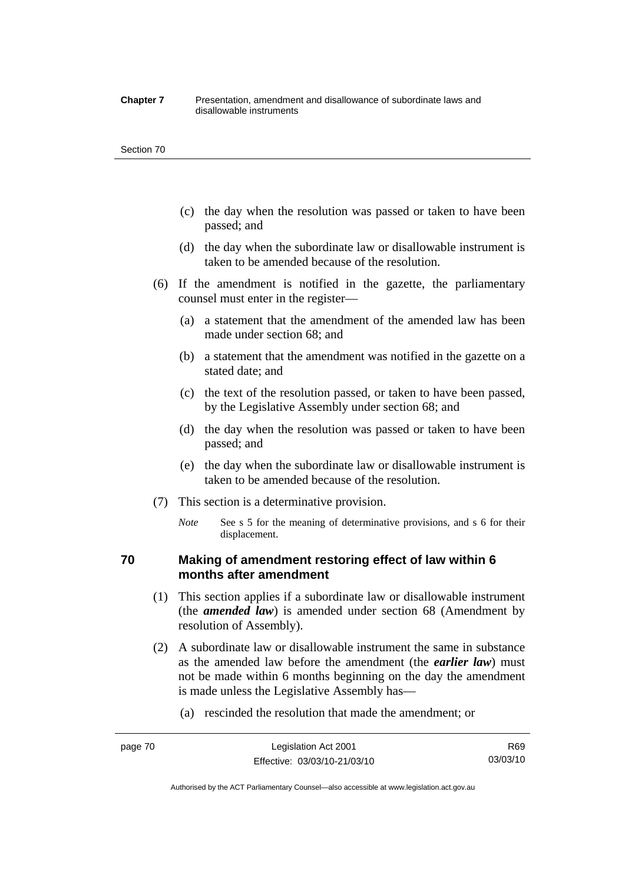#### **Chapter 7** Presentation, amendment and disallowance of subordinate laws and disallowable instruments

#### Section 70

- (c) the day when the resolution was passed or taken to have been passed; and
- (d) the day when the subordinate law or disallowable instrument is taken to be amended because of the resolution.
- (6) If the amendment is notified in the gazette, the parliamentary counsel must enter in the register—
	- (a) a statement that the amendment of the amended law has been made under section 68; and
	- (b) a statement that the amendment was notified in the gazette on a stated date; and
	- (c) the text of the resolution passed, or taken to have been passed, by the Legislative Assembly under section 68; and
	- (d) the day when the resolution was passed or taken to have been passed; and
	- (e) the day when the subordinate law or disallowable instrument is taken to be amended because of the resolution.
- (7) This section is a determinative provision.
	- *Note* See s 5 for the meaning of determinative provisions, and s 6 for their displacement.

# **70 Making of amendment restoring effect of law within 6 months after amendment**

- (1) This section applies if a subordinate law or disallowable instrument (the *amended law*) is amended under section 68 (Amendment by resolution of Assembly).
- (2) A subordinate law or disallowable instrument the same in substance as the amended law before the amendment (the *earlier law*) must not be made within 6 months beginning on the day the amendment is made unless the Legislative Assembly has—
	- (a) rescinded the resolution that made the amendment; or

Authorised by the ACT Parliamentary Counsel—also accessible at www.legislation.act.gov.au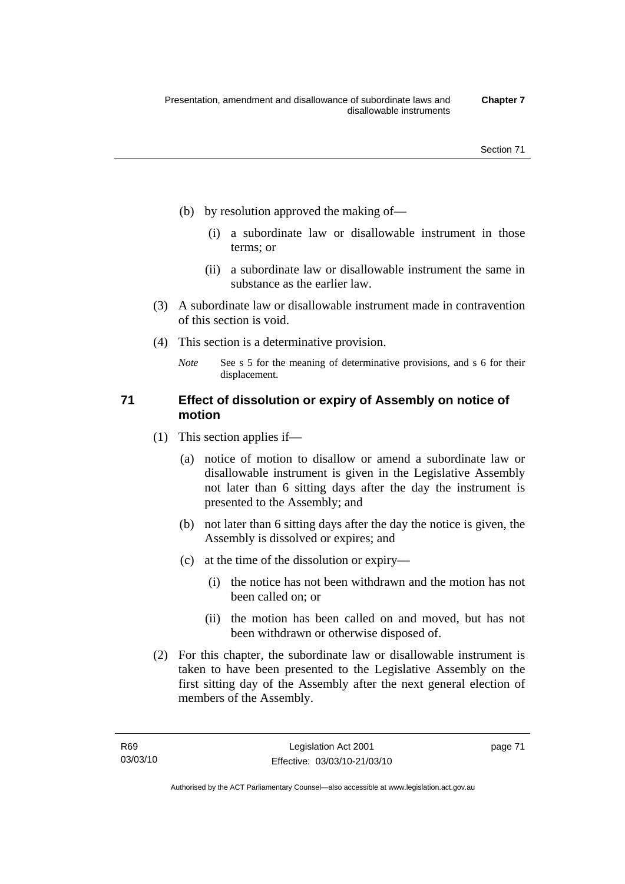- (b) by resolution approved the making of—
	- (i) a subordinate law or disallowable instrument in those terms; or
	- (ii) a subordinate law or disallowable instrument the same in substance as the earlier law.
- (3) A subordinate law or disallowable instrument made in contravention of this section is void.
- (4) This section is a determinative provision.
	- *Note* See s 5 for the meaning of determinative provisions, and s 6 for their displacement.

# **71 Effect of dissolution or expiry of Assembly on notice of motion**

- (1) This section applies if—
	- (a) notice of motion to disallow or amend a subordinate law or disallowable instrument is given in the Legislative Assembly not later than 6 sitting days after the day the instrument is presented to the Assembly; and
	- (b) not later than 6 sitting days after the day the notice is given, the Assembly is dissolved or expires; and
	- (c) at the time of the dissolution or expiry—
		- (i) the notice has not been withdrawn and the motion has not been called on; or
		- (ii) the motion has been called on and moved, but has not been withdrawn or otherwise disposed of.
- (2) For this chapter, the subordinate law or disallowable instrument is taken to have been presented to the Legislative Assembly on the first sitting day of the Assembly after the next general election of members of the Assembly.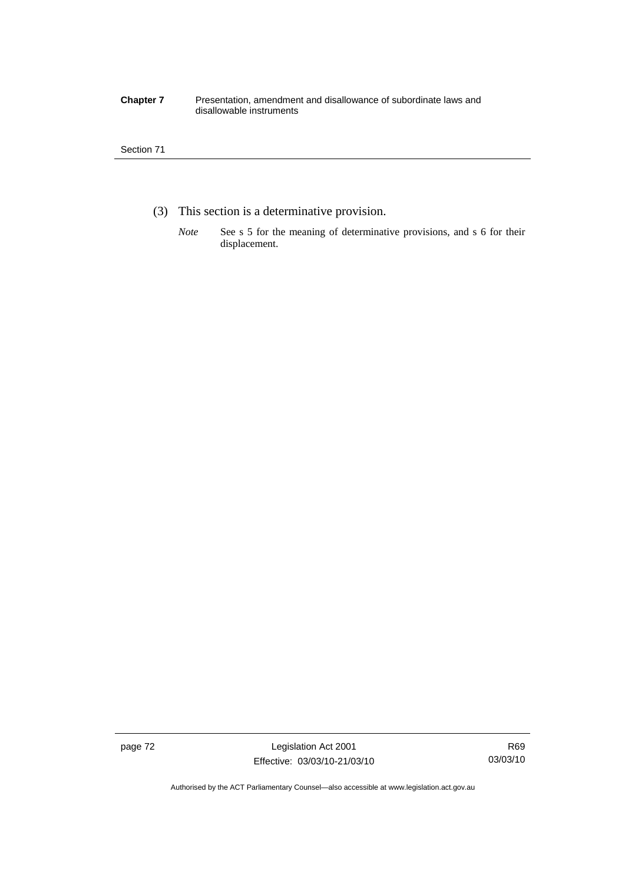#### **Chapter 7** Presentation, amendment and disallowance of subordinate laws and disallowable instruments

## Section 71

- (3) This section is a determinative provision.
	- *Note* See s 5 for the meaning of determinative provisions, and s 6 for their displacement.

page 72 Legislation Act 2001 Effective: 03/03/10-21/03/10

Authorised by the ACT Parliamentary Counsel—also accessible at www.legislation.act.gov.au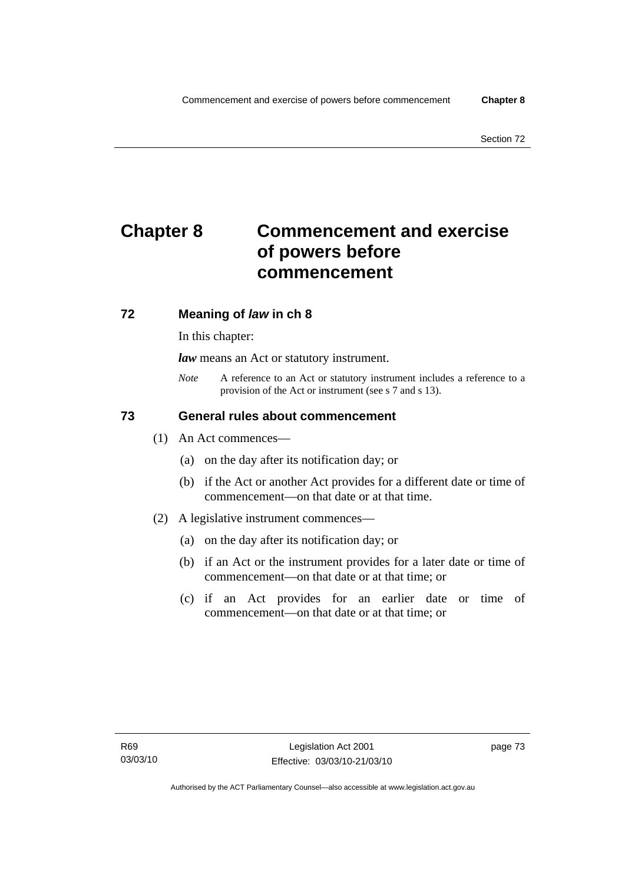# **Chapter 8 Commencement and exercise of powers before commencement**

# **72 Meaning of** *law* **in ch 8**

In this chapter:

*law* means an Act or statutory instrument.

*Note* A reference to an Act or statutory instrument includes a reference to a provision of the Act or instrument (see s 7 and s 13).

# **73 General rules about commencement**

- (1) An Act commences—
	- (a) on the day after its notification day; or
	- (b) if the Act or another Act provides for a different date or time of commencement—on that date or at that time.
- (2) A legislative instrument commences—
	- (a) on the day after its notification day; or
	- (b) if an Act or the instrument provides for a later date or time of commencement—on that date or at that time; or
	- (c) if an Act provides for an earlier date or time of commencement—on that date or at that time; or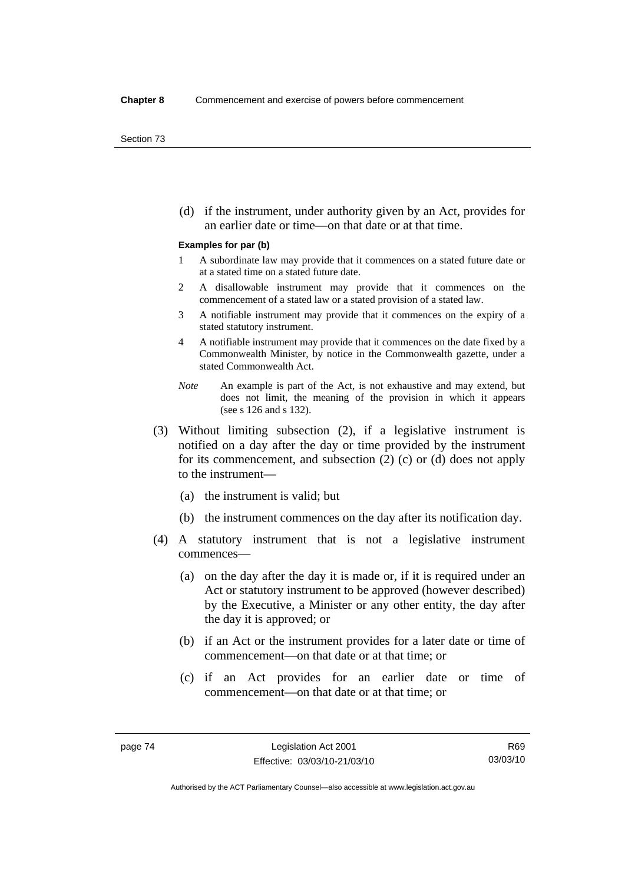(d) if the instrument, under authority given by an Act, provides for an earlier date or time—on that date or at that time.

#### **Examples for par (b)**

- 1 A subordinate law may provide that it commences on a stated future date or at a stated time on a stated future date.
- 2 A disallowable instrument may provide that it commences on the commencement of a stated law or a stated provision of a stated law.
- 3 A notifiable instrument may provide that it commences on the expiry of a stated statutory instrument.
- 4 A notifiable instrument may provide that it commences on the date fixed by a Commonwealth Minister, by notice in the Commonwealth gazette, under a stated Commonwealth Act.
- *Note* An example is part of the Act, is not exhaustive and may extend, but does not limit, the meaning of the provision in which it appears (see s 126 and s 132).
- (3) Without limiting subsection (2), if a legislative instrument is notified on a day after the day or time provided by the instrument for its commencement, and subsection (2) (c) or (d) does not apply to the instrument—
	- (a) the instrument is valid; but
	- (b) the instrument commences on the day after its notification day.
- (4) A statutory instrument that is not a legislative instrument commences—
	- (a) on the day after the day it is made or, if it is required under an Act or statutory instrument to be approved (however described) by the Executive, a Minister or any other entity, the day after the day it is approved; or
	- (b) if an Act or the instrument provides for a later date or time of commencement—on that date or at that time; or
	- (c) if an Act provides for an earlier date or time of commencement—on that date or at that time; or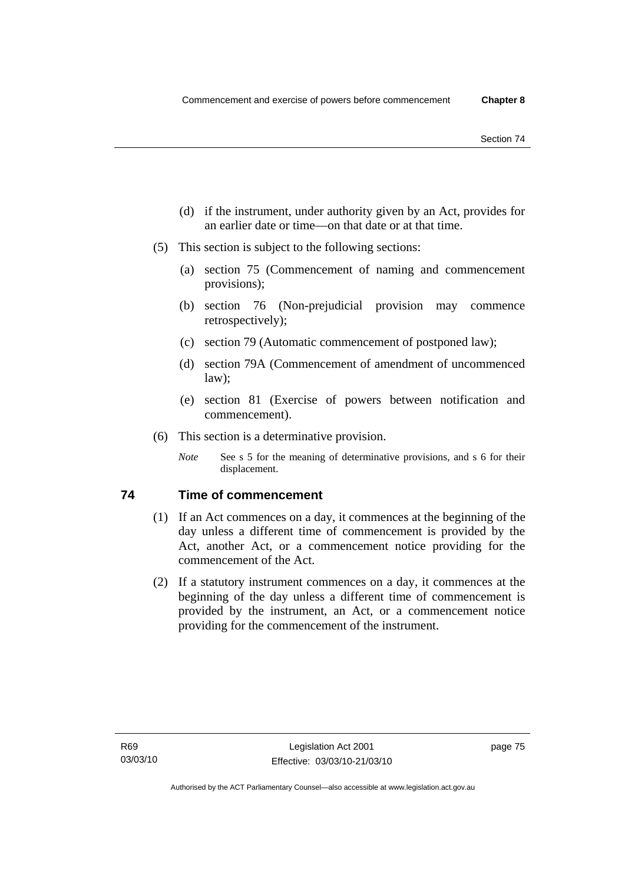- (d) if the instrument, under authority given by an Act, provides for an earlier date or time—on that date or at that time.
- (5) This section is subject to the following sections:
	- (a) section 75 (Commencement of naming and commencement provisions);
	- (b) section 76 (Non-prejudicial provision may commence retrospectively);
	- (c) section 79 (Automatic commencement of postponed law);
	- (d) section 79A (Commencement of amendment of uncommenced law);
	- (e) section 81 (Exercise of powers between notification and commencement).
- (6) This section is a determinative provision.
	- *Note* See s 5 for the meaning of determinative provisions, and s 6 for their displacement.

# **74 Time of commencement**

- (1) If an Act commences on a day, it commences at the beginning of the day unless a different time of commencement is provided by the Act, another Act, or a commencement notice providing for the commencement of the Act.
- (2) If a statutory instrument commences on a day, it commences at the beginning of the day unless a different time of commencement is provided by the instrument, an Act, or a commencement notice providing for the commencement of the instrument.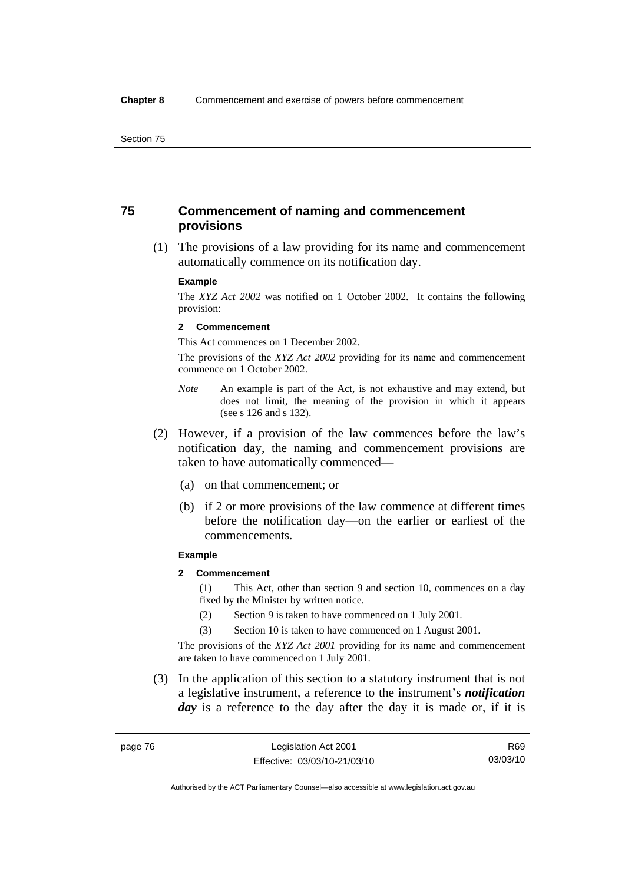# **75 Commencement of naming and commencement provisions**

 (1) The provisions of a law providing for its name and commencement automatically commence on its notification day.

#### **Example**

The *XYZ Act 2002* was notified on 1 October 2002. It contains the following provision:

#### **2 Commencement**

This Act commences on 1 December 2002.

The provisions of the *XYZ Act 2002* providing for its name and commencement commence on 1 October 2002.

- *Note* An example is part of the Act, is not exhaustive and may extend, but does not limit, the meaning of the provision in which it appears (see s 126 and s 132).
- (2) However, if a provision of the law commences before the law's notification day, the naming and commencement provisions are taken to have automatically commenced—
	- (a) on that commencement; or
	- (b) if 2 or more provisions of the law commence at different times before the notification day—on the earlier or earliest of the commencements.

#### **Example**

#### **2 Commencement**

(1) This Act, other than section 9 and section 10, commences on a day fixed by the Minister by written notice.

- (2) Section 9 is taken to have commenced on 1 July 2001.
- (3) Section 10 is taken to have commenced on 1 August 2001.

The provisions of the *XYZ Act 2001* providing for its name and commencement are taken to have commenced on 1 July 2001.

 (3) In the application of this section to a statutory instrument that is not a legislative instrument, a reference to the instrument's *notification*  day is a reference to the day after the day it is made or, if it is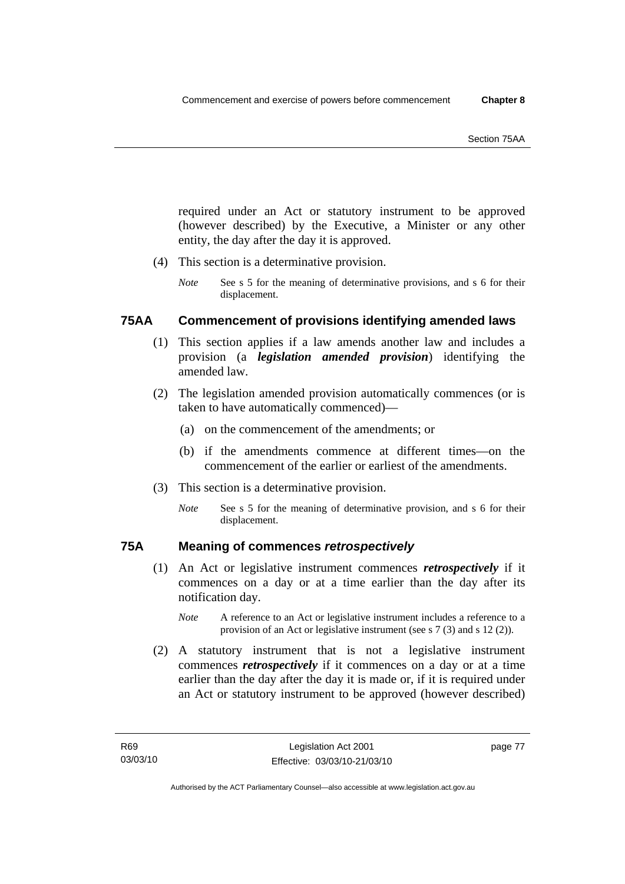required under an Act or statutory instrument to be approved (however described) by the Executive, a Minister or any other entity, the day after the day it is approved.

- (4) This section is a determinative provision.
	- *Note* See s 5 for the meaning of determinative provisions, and s 6 for their displacement.

# **75AA Commencement of provisions identifying amended laws**

- (1) This section applies if a law amends another law and includes a provision (a *legislation amended provision*) identifying the amended law.
- (2) The legislation amended provision automatically commences (or is taken to have automatically commenced)—
	- (a) on the commencement of the amendments; or
	- (b) if the amendments commence at different times—on the commencement of the earlier or earliest of the amendments.
- (3) This section is a determinative provision.
	- *Note* See s 5 for the meaning of determinative provision, and s 6 for their displacement.

# **75A Meaning of commences** *retrospectively*

- (1) An Act or legislative instrument commences *retrospectively* if it commences on a day or at a time earlier than the day after its notification day.
	- *Note* A reference to an Act or legislative instrument includes a reference to a provision of an Act or legislative instrument (see s 7 (3) and s 12 (2)).
- (2) A statutory instrument that is not a legislative instrument commences *retrospectively* if it commences on a day or at a time earlier than the day after the day it is made or, if it is required under an Act or statutory instrument to be approved (however described)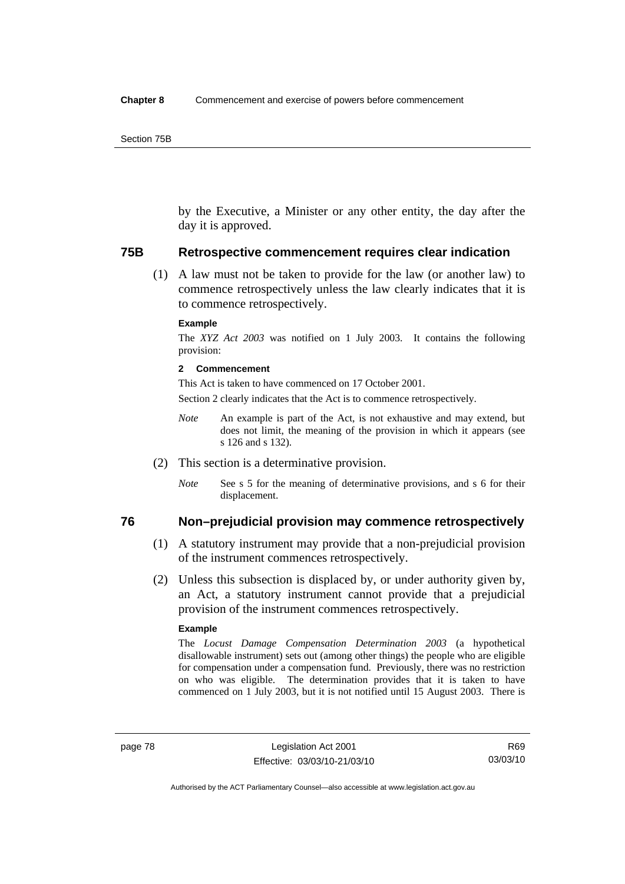by the Executive, a Minister or any other entity, the day after the day it is approved.

### **75B Retrospective commencement requires clear indication**

 (1) A law must not be taken to provide for the law (or another law) to commence retrospectively unless the law clearly indicates that it is to commence retrospectively.

#### **Example**

The *XYZ Act 2003* was notified on 1 July 2003. It contains the following provision:

#### **2 Commencement**

This Act is taken to have commenced on 17 October 2001.

Section 2 clearly indicates that the Act is to commence retrospectively.

- *Note* An example is part of the Act, is not exhaustive and may extend, but does not limit, the meaning of the provision in which it appears (see s 126 and s 132).
- (2) This section is a determinative provision.
	- *Note* See s 5 for the meaning of determinative provisions, and s 6 for their displacement.

# **76 Non–prejudicial provision may commence retrospectively**

- (1) A statutory instrument may provide that a non-prejudicial provision of the instrument commences retrospectively.
- (2) Unless this subsection is displaced by, or under authority given by, an Act, a statutory instrument cannot provide that a prejudicial provision of the instrument commences retrospectively.

#### **Example**

The *Locust Damage Compensation Determination 2003* (a hypothetical disallowable instrument) sets out (among other things) the people who are eligible for compensation under a compensation fund. Previously, there was no restriction on who was eligible. The determination provides that it is taken to have commenced on 1 July 2003, but it is not notified until 15 August 2003. There is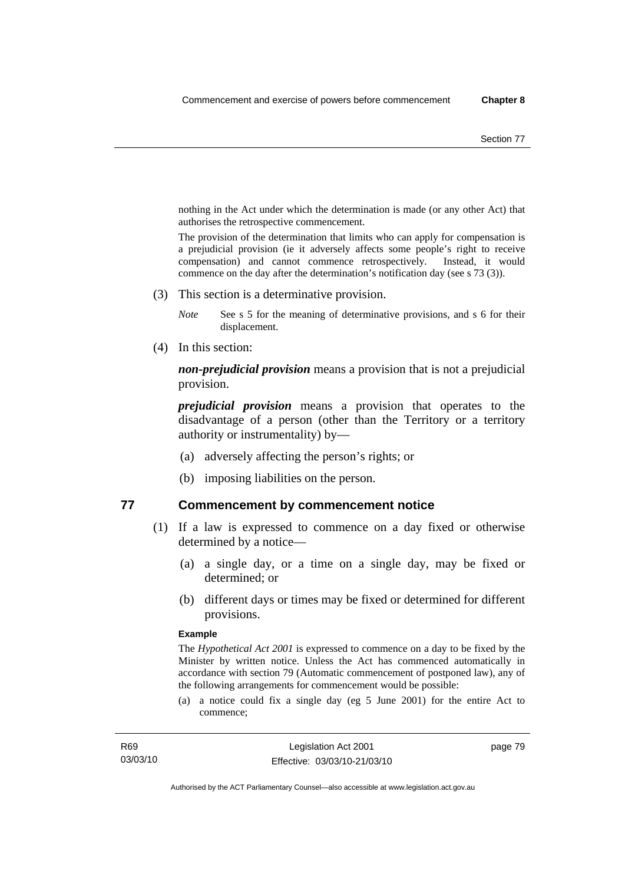nothing in the Act under which the determination is made (or any other Act) that authorises the retrospective commencement.

The provision of the determination that limits who can apply for compensation is a prejudicial provision (ie it adversely affects some people's right to receive compensation) and cannot commence retrospectively. Instead, it would commence on the day after the determination's notification day (see s 73 (3)).

(3) This section is a determinative provision.

*Note* See s 5 for the meaning of determinative provisions, and s 6 for their displacement.

(4) In this section:

*non-prejudicial provision* means a provision that is not a prejudicial provision.

*prejudicial provision* means a provision that operates to the disadvantage of a person (other than the Territory or a territory authority or instrumentality) by—

- (a) adversely affecting the person's rights; or
- (b) imposing liabilities on the person.

## **77 Commencement by commencement notice**

- (1) If a law is expressed to commence on a day fixed or otherwise determined by a notice—
	- (a) a single day, or a time on a single day, may be fixed or determined; or
	- (b) different days or times may be fixed or determined for different provisions.

#### **Example**

The *Hypothetical Act 2001* is expressed to commence on a day to be fixed by the Minister by written notice. Unless the Act has commenced automatically in accordance with section 79 (Automatic commencement of postponed law), any of the following arrangements for commencement would be possible:

(a) a notice could fix a single day (eg 5 June 2001) for the entire Act to commence;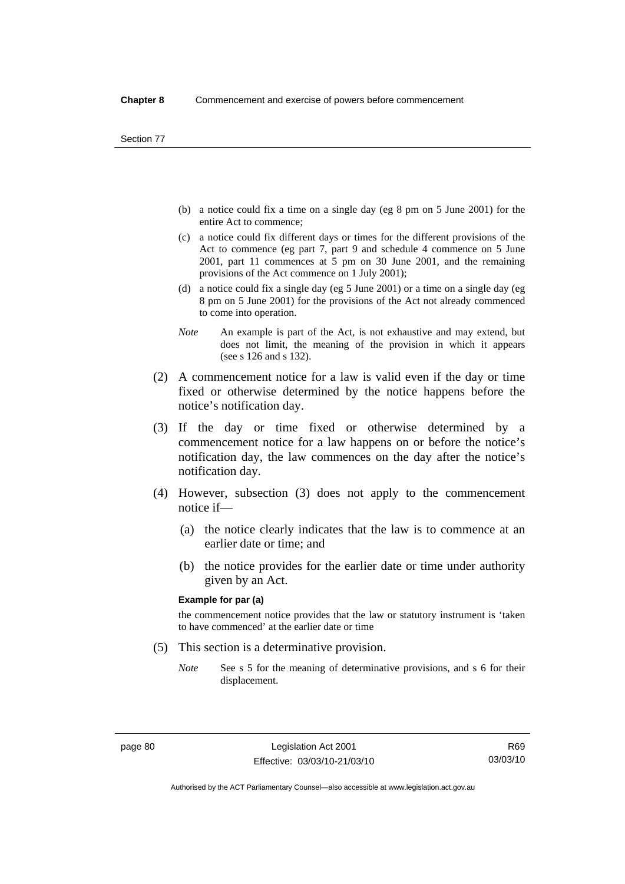- (b) a notice could fix a time on a single day (eg 8 pm on 5 June 2001) for the entire Act to commence;
- (c) a notice could fix different days or times for the different provisions of the Act to commence (eg part 7, part 9 and schedule 4 commence on 5 June 2001, part 11 commences at 5 pm on 30 June 2001, and the remaining provisions of the Act commence on 1 July 2001);
- (d) a notice could fix a single day (eg 5 June 2001) or a time on a single day (eg 8 pm on 5 June 2001) for the provisions of the Act not already commenced to come into operation.
- *Note* An example is part of the Act, is not exhaustive and may extend, but does not limit, the meaning of the provision in which it appears (see s 126 and s 132).
- (2) A commencement notice for a law is valid even if the day or time fixed or otherwise determined by the notice happens before the notice's notification day.
- (3) If the day or time fixed or otherwise determined by a commencement notice for a law happens on or before the notice's notification day, the law commences on the day after the notice's notification day.
- (4) However, subsection (3) does not apply to the commencement notice if—
	- (a) the notice clearly indicates that the law is to commence at an earlier date or time; and
	- (b) the notice provides for the earlier date or time under authority given by an Act.

#### **Example for par (a)**

the commencement notice provides that the law or statutory instrument is 'taken to have commenced' at the earlier date or time

- (5) This section is a determinative provision.
	- *Note* See s 5 for the meaning of determinative provisions, and s 6 for their displacement.

R69 03/03/10

Authorised by the ACT Parliamentary Counsel—also accessible at www.legislation.act.gov.au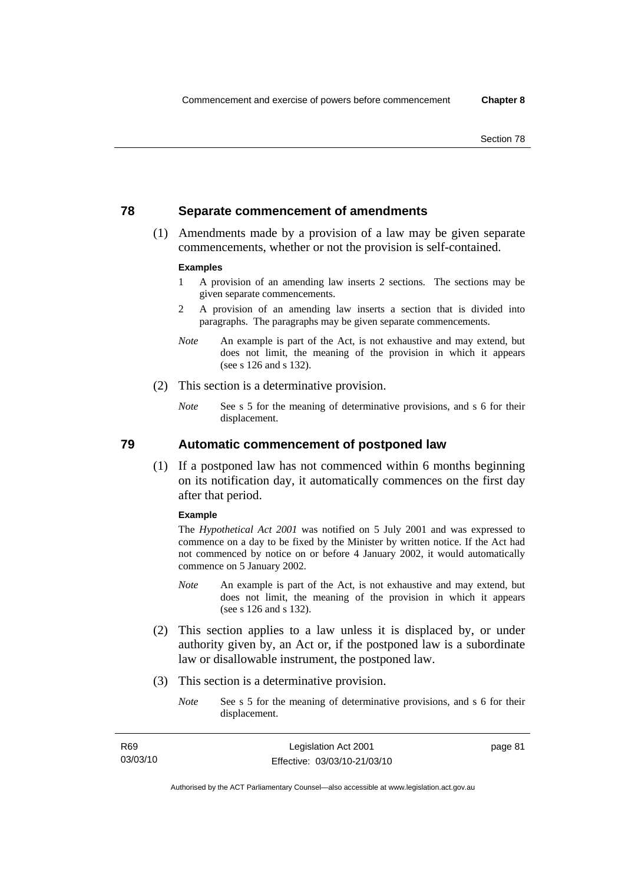# **78 Separate commencement of amendments**

 (1) Amendments made by a provision of a law may be given separate commencements, whether or not the provision is self-contained.

#### **Examples**

- 1 A provision of an amending law inserts 2 sections. The sections may be given separate commencements.
- 2 A provision of an amending law inserts a section that is divided into paragraphs. The paragraphs may be given separate commencements.
- *Note* An example is part of the Act, is not exhaustive and may extend, but does not limit, the meaning of the provision in which it appears (see s 126 and s 132).
- (2) This section is a determinative provision.
	- *Note* See s 5 for the meaning of determinative provisions, and s 6 for their displacement.

**79 Automatic commencement of postponed law** 

 (1) If a postponed law has not commenced within 6 months beginning on its notification day, it automatically commences on the first day after that period.

#### **Example**

The *Hypothetical Act 2001* was notified on 5 July 2001 and was expressed to commence on a day to be fixed by the Minister by written notice. If the Act had not commenced by notice on or before 4 January 2002, it would automatically commence on 5 January 2002.

- *Note* An example is part of the Act, is not exhaustive and may extend, but does not limit, the meaning of the provision in which it appears (see s 126 and s 132).
- (2) This section applies to a law unless it is displaced by, or under authority given by, an Act or, if the postponed law is a subordinate law or disallowable instrument, the postponed law.
- (3) This section is a determinative provision.
	- *Note* See s 5 for the meaning of determinative provisions, and s 6 for their displacement.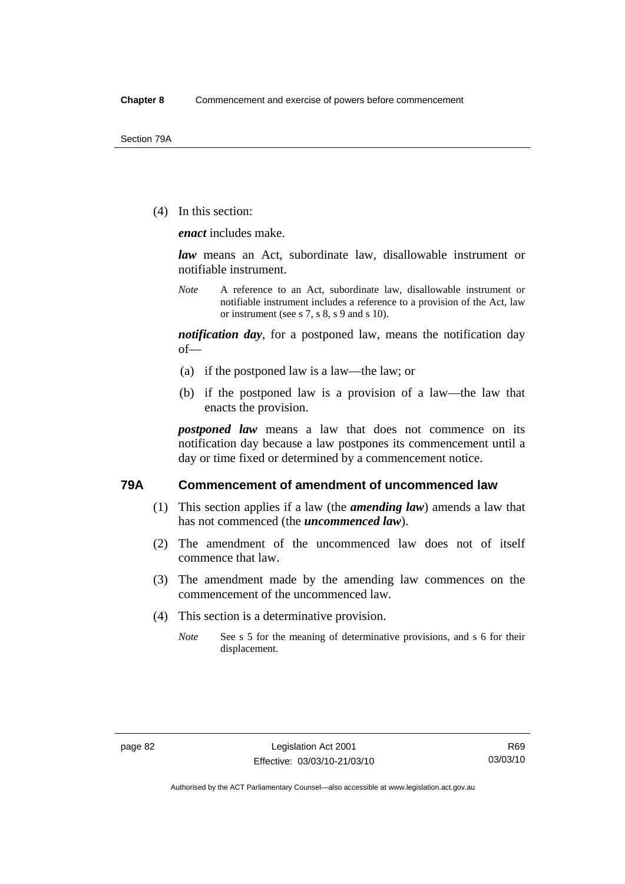(4) In this section:

*enact* includes make.

*law* means an Act, subordinate law, disallowable instrument or notifiable instrument.

*Note* A reference to an Act, subordinate law, disallowable instrument or notifiable instrument includes a reference to a provision of the Act, law or instrument (see s 7, s 8, s 9 and s 10).

*notification day*, for a postponed law, means the notification day of—

- (a) if the postponed law is a law—the law; or
- (b) if the postponed law is a provision of a law—the law that enacts the provision.

*postponed law* means a law that does not commence on its notification day because a law postpones its commencement until a day or time fixed or determined by a commencement notice.

# **79A Commencement of amendment of uncommenced law**

- (1) This section applies if a law (the *amending law*) amends a law that has not commenced (the *uncommenced law*).
- (2) The amendment of the uncommenced law does not of itself commence that law.
- (3) The amendment made by the amending law commences on the commencement of the uncommenced law.
- (4) This section is a determinative provision.
	- *Note* See s 5 for the meaning of determinative provisions, and s 6 for their displacement.

Authorised by the ACT Parliamentary Counsel—also accessible at www.legislation.act.gov.au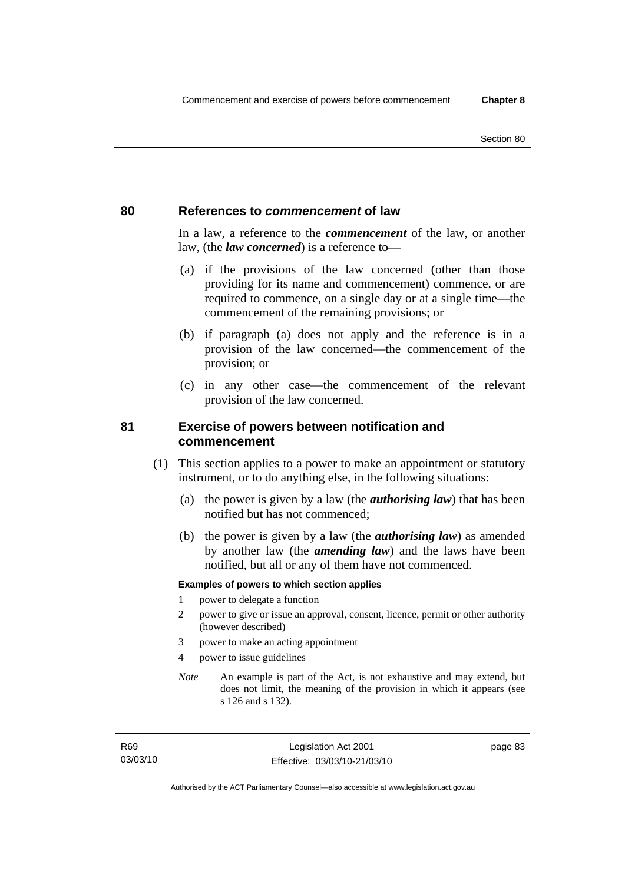# **80 References to** *commencement* **of law**

In a law, a reference to the *commencement* of the law, or another law, (the *law concerned*) is a reference to—

- (a) if the provisions of the law concerned (other than those providing for its name and commencement) commence, or are required to commence, on a single day or at a single time—the commencement of the remaining provisions; or
- (b) if paragraph (a) does not apply and the reference is in a provision of the law concerned—the commencement of the provision; or
- (c) in any other case—the commencement of the relevant provision of the law concerned.

# **81 Exercise of powers between notification and commencement**

- (1) This section applies to a power to make an appointment or statutory instrument, or to do anything else, in the following situations:
	- (a) the power is given by a law (the *authorising law*) that has been notified but has not commenced;
	- (b) the power is given by a law (the *authorising law*) as amended by another law (the *amending law*) and the laws have been notified, but all or any of them have not commenced.

#### **Examples of powers to which section applies**

- 1 power to delegate a function
- 2 power to give or issue an approval, consent, licence, permit or other authority (however described)
- 3 power to make an acting appointment
- 4 power to issue guidelines
- *Note* An example is part of the Act, is not exhaustive and may extend, but does not limit, the meaning of the provision in which it appears (see s 126 and s 132).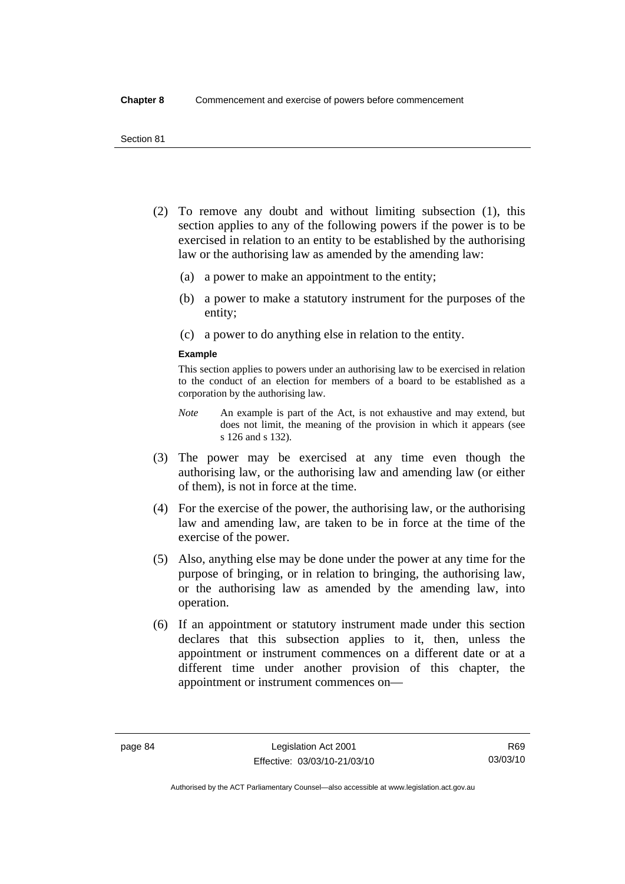- (2) To remove any doubt and without limiting subsection (1), this section applies to any of the following powers if the power is to be exercised in relation to an entity to be established by the authorising law or the authorising law as amended by the amending law:
	- (a) a power to make an appointment to the entity;
	- (b) a power to make a statutory instrument for the purposes of the entity;
	- (c) a power to do anything else in relation to the entity.

#### **Example**

This section applies to powers under an authorising law to be exercised in relation to the conduct of an election for members of a board to be established as a corporation by the authorising law.

- *Note* An example is part of the Act, is not exhaustive and may extend, but does not limit, the meaning of the provision in which it appears (see s 126 and s 132).
- (3) The power may be exercised at any time even though the authorising law, or the authorising law and amending law (or either of them), is not in force at the time.
- (4) For the exercise of the power, the authorising law, or the authorising law and amending law, are taken to be in force at the time of the exercise of the power.
- (5) Also, anything else may be done under the power at any time for the purpose of bringing, or in relation to bringing, the authorising law, or the authorising law as amended by the amending law, into operation.
- (6) If an appointment or statutory instrument made under this section declares that this subsection applies to it, then, unless the appointment or instrument commences on a different date or at a different time under another provision of this chapter, the appointment or instrument commences on—

Authorised by the ACT Parliamentary Counsel—also accessible at www.legislation.act.gov.au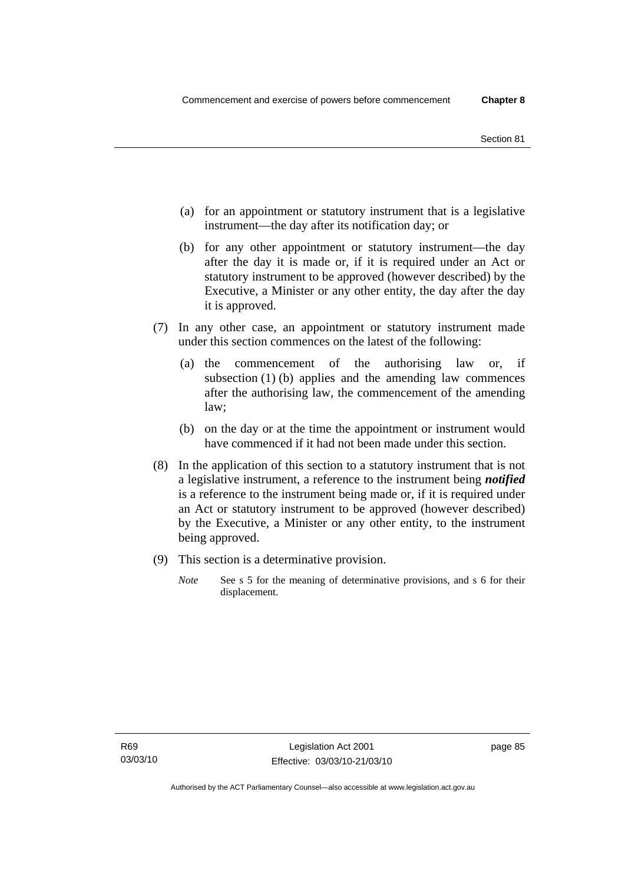- (a) for an appointment or statutory instrument that is a legislative instrument—the day after its notification day; or
- (b) for any other appointment or statutory instrument—the day after the day it is made or, if it is required under an Act or statutory instrument to be approved (however described) by the Executive, a Minister or any other entity, the day after the day it is approved.
- (7) In any other case, an appointment or statutory instrument made under this section commences on the latest of the following:
	- (a) the commencement of the authorising law or, if subsection (1) (b) applies and the amending law commences after the authorising law, the commencement of the amending law;
	- (b) on the day or at the time the appointment or instrument would have commenced if it had not been made under this section.
- (8) In the application of this section to a statutory instrument that is not a legislative instrument, a reference to the instrument being *notified*  is a reference to the instrument being made or, if it is required under an Act or statutory instrument to be approved (however described) by the Executive, a Minister or any other entity, to the instrument being approved.
- (9) This section is a determinative provision.
	- *Note* See s 5 for the meaning of determinative provisions, and s 6 for their displacement.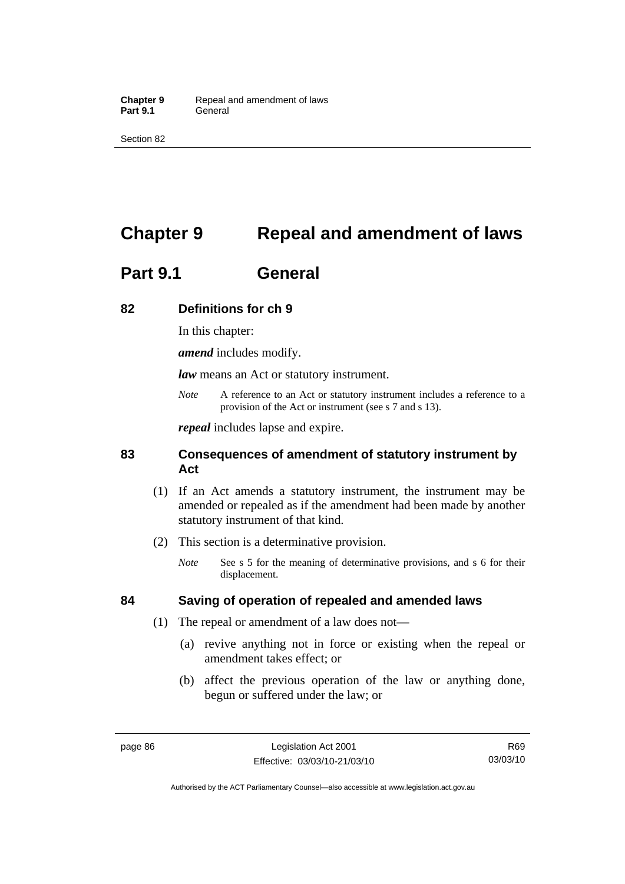Section 82

# **Chapter 9 Repeal and amendment of laws**

# **Part 9.1 General**

# **82 Definitions for ch 9**

In this chapter:

*amend* includes modify.

*law* means an Act or statutory instrument.

*Note* A reference to an Act or statutory instrument includes a reference to a provision of the Act or instrument (see s 7 and s 13).

*repeal* includes lapse and expire.

# **83 Consequences of amendment of statutory instrument by Act**

- (1) If an Act amends a statutory instrument, the instrument may be amended or repealed as if the amendment had been made by another statutory instrument of that kind.
- (2) This section is a determinative provision.
	- *Note* See s 5 for the meaning of determinative provisions, and s 6 for their displacement.

# **84 Saving of operation of repealed and amended laws**

- (1) The repeal or amendment of a law does not—
	- (a) revive anything not in force or existing when the repeal or amendment takes effect; or
	- (b) affect the previous operation of the law or anything done, begun or suffered under the law; or

R69 03/03/10

Authorised by the ACT Parliamentary Counsel—also accessible at www.legislation.act.gov.au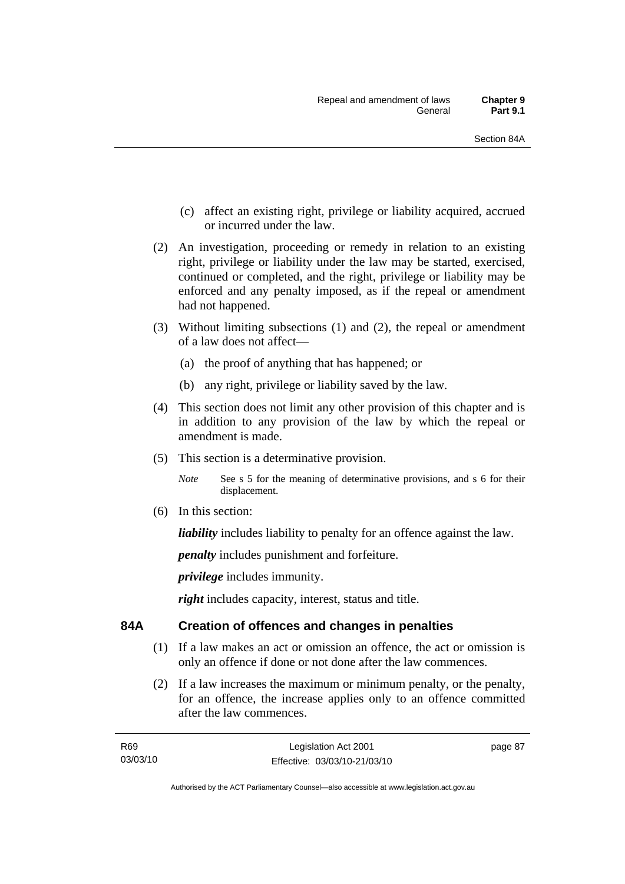- (c) affect an existing right, privilege or liability acquired, accrued or incurred under the law.
- (2) An investigation, proceeding or remedy in relation to an existing right, privilege or liability under the law may be started, exercised, continued or completed, and the right, privilege or liability may be enforced and any penalty imposed, as if the repeal or amendment had not happened.
- (3) Without limiting subsections (1) and (2), the repeal or amendment of a law does not affect—
	- (a) the proof of anything that has happened; or
	- (b) any right, privilege or liability saved by the law.
- (4) This section does not limit any other provision of this chapter and is in addition to any provision of the law by which the repeal or amendment is made.
- (5) This section is a determinative provision.

*Note* See s 5 for the meaning of determinative provisions, and s 6 for their displacement.

(6) In this section:

*liability* includes liability to penalty for an offence against the law.

*penalty* includes punishment and forfeiture.

*privilege* includes immunity.

*right* includes capacity, interest, status and title.

# **84A Creation of offences and changes in penalties**

- (1) If a law makes an act or omission an offence, the act or omission is only an offence if done or not done after the law commences.
- (2) If a law increases the maximum or minimum penalty, or the penalty, for an offence, the increase applies only to an offence committed after the law commences.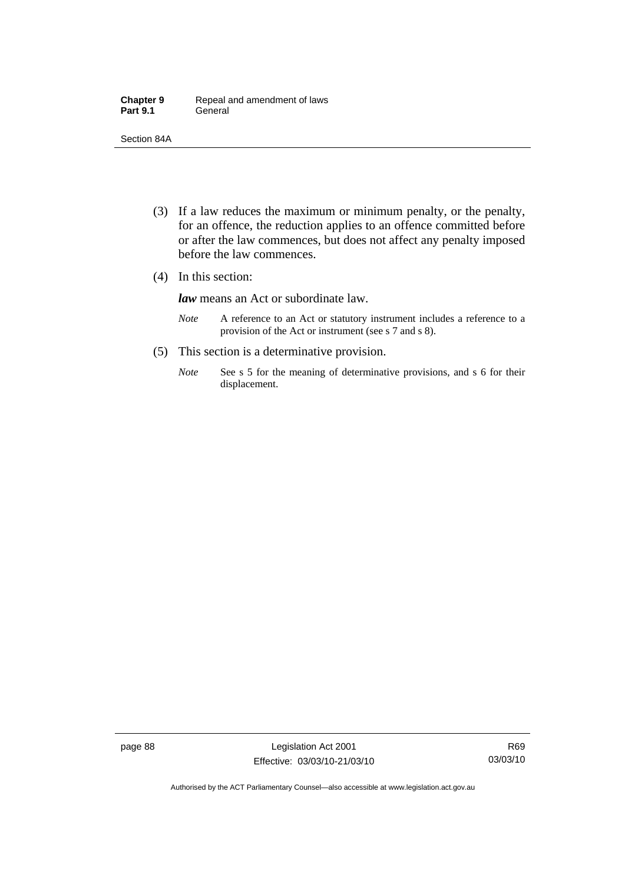| <b>Chapter 9</b> | Repeal and amendment of laws |
|------------------|------------------------------|
| <b>Part 9.1</b>  | General                      |

Section 84A

- (3) If a law reduces the maximum or minimum penalty, or the penalty, for an offence, the reduction applies to an offence committed before or after the law commences, but does not affect any penalty imposed before the law commences.
- (4) In this section:

*law* means an Act or subordinate law.

- *Note* A reference to an Act or statutory instrument includes a reference to a provision of the Act or instrument (see s 7 and s 8).
- (5) This section is a determinative provision.
	- *Note* See s 5 for the meaning of determinative provisions, and s 6 for their displacement.

page 88 Legislation Act 2001 Effective: 03/03/10-21/03/10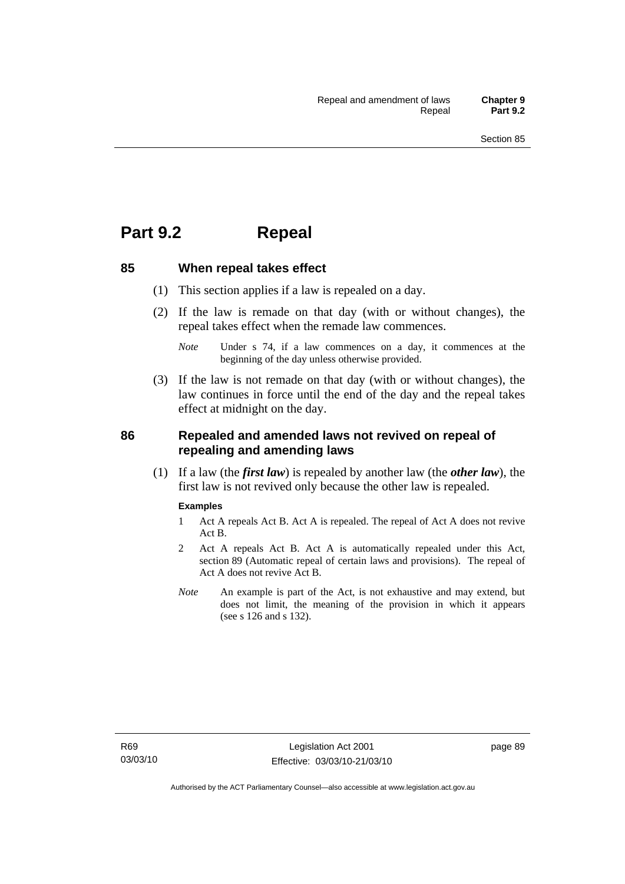# **Part 9.2 Repeal**

### **85 When repeal takes effect**

- (1) This section applies if a law is repealed on a day.
- (2) If the law is remade on that day (with or without changes), the repeal takes effect when the remade law commences.

 (3) If the law is not remade on that day (with or without changes), the law continues in force until the end of the day and the repeal takes effect at midnight on the day.

# **86 Repealed and amended laws not revived on repeal of repealing and amending laws**

 (1) If a law (the *first law*) is repealed by another law (the *other law*), the first law is not revived only because the other law is repealed.

#### **Examples**

- 1 Act A repeals Act B. Act A is repealed. The repeal of Act A does not revive Act B.
- 2 Act A repeals Act B. Act A is automatically repealed under this Act, section 89 (Automatic repeal of certain laws and provisions). The repeal of Act A does not revive Act B.
- *Note* An example is part of the Act, is not exhaustive and may extend, but does not limit, the meaning of the provision in which it appears (see s 126 and s 132).

*Note* Under s 74, if a law commences on a day, it commences at the beginning of the day unless otherwise provided.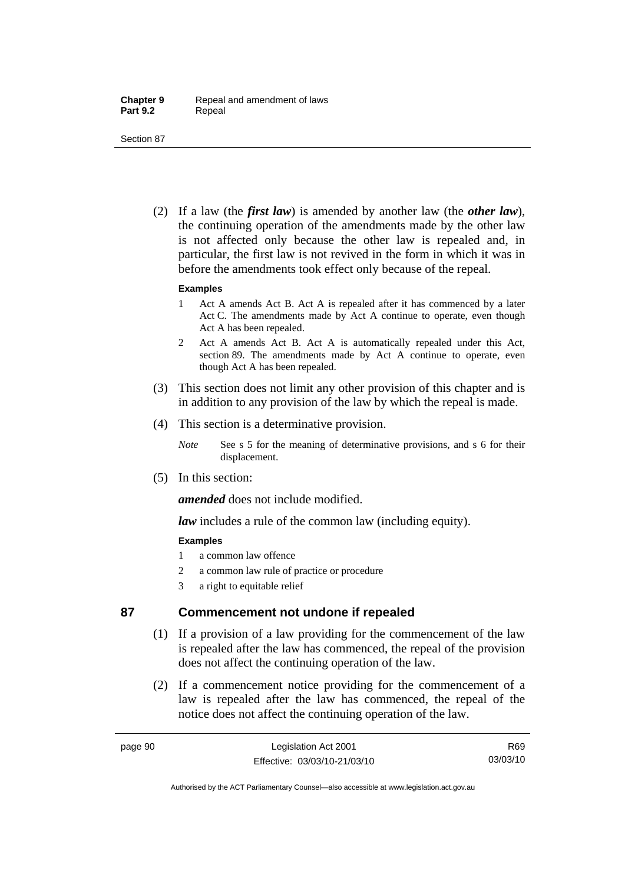Section 87

 (2) If a law (the *first law*) is amended by another law (the *other law*), the continuing operation of the amendments made by the other law is not affected only because the other law is repealed and, in particular, the first law is not revived in the form in which it was in before the amendments took effect only because of the repeal.

#### **Examples**

- 1 Act A amends Act B. Act A is repealed after it has commenced by a later Act C. The amendments made by Act A continue to operate, even though Act A has been repealed.
- 2 Act A amends Act B. Act A is automatically repealed under this Act, section 89. The amendments made by Act A continue to operate, even though Act A has been repealed.
- (3) This section does not limit any other provision of this chapter and is in addition to any provision of the law by which the repeal is made.
- (4) This section is a determinative provision.
	- *Note* See s 5 for the meaning of determinative provisions, and s 6 for their displacement.
- (5) In this section:

*amended* does not include modified.

*law* includes a rule of the common law (including equity).

## **Examples**

- 1 a common law offence
- 2 a common law rule of practice or procedure
- 3 a right to equitable relief

# **87 Commencement not undone if repealed**

- (1) If a provision of a law providing for the commencement of the law is repealed after the law has commenced, the repeal of the provision does not affect the continuing operation of the law.
- (2) If a commencement notice providing for the commencement of a law is repealed after the law has commenced, the repeal of the notice does not affect the continuing operation of the law.

R69 03/03/10

Authorised by the ACT Parliamentary Counsel—also accessible at www.legislation.act.gov.au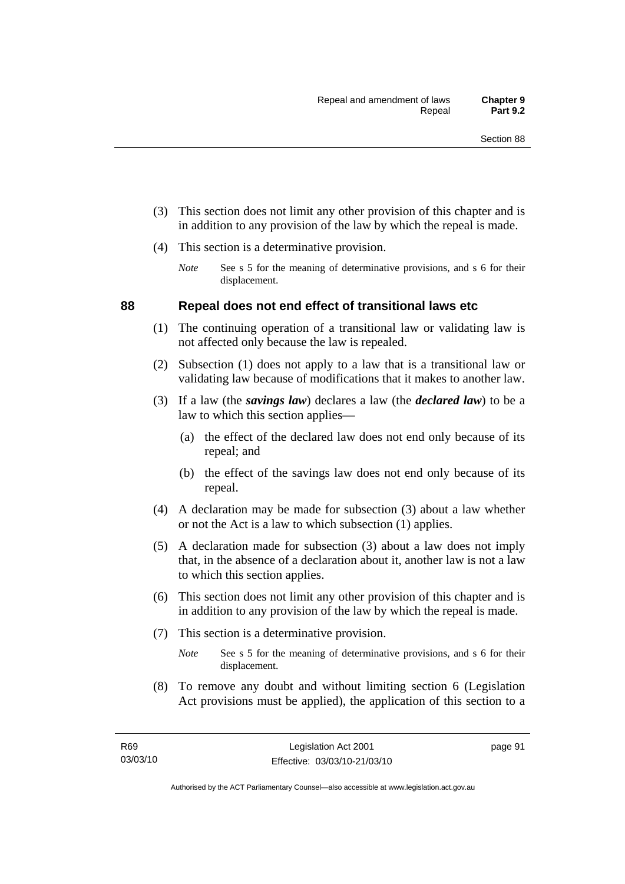- (3) This section does not limit any other provision of this chapter and is in addition to any provision of the law by which the repeal is made.
- (4) This section is a determinative provision.
	- *Note* See s 5 for the meaning of determinative provisions, and s 6 for their displacement.

# **88 Repeal does not end effect of transitional laws etc**

- (1) The continuing operation of a transitional law or validating law is not affected only because the law is repealed.
- (2) Subsection (1) does not apply to a law that is a transitional law or validating law because of modifications that it makes to another law.
- (3) If a law (the *savings law*) declares a law (the *declared law*) to be a law to which this section applies—
	- (a) the effect of the declared law does not end only because of its repeal; and
	- (b) the effect of the savings law does not end only because of its repeal.
- (4) A declaration may be made for subsection (3) about a law whether or not the Act is a law to which subsection (1) applies.
- (5) A declaration made for subsection (3) about a law does not imply that, in the absence of a declaration about it, another law is not a law to which this section applies.
- (6) This section does not limit any other provision of this chapter and is in addition to any provision of the law by which the repeal is made.
- (7) This section is a determinative provision.
	- *Note* See s 5 for the meaning of determinative provisions, and s 6 for their displacement.
- (8) To remove any doubt and without limiting section 6 (Legislation Act provisions must be applied), the application of this section to a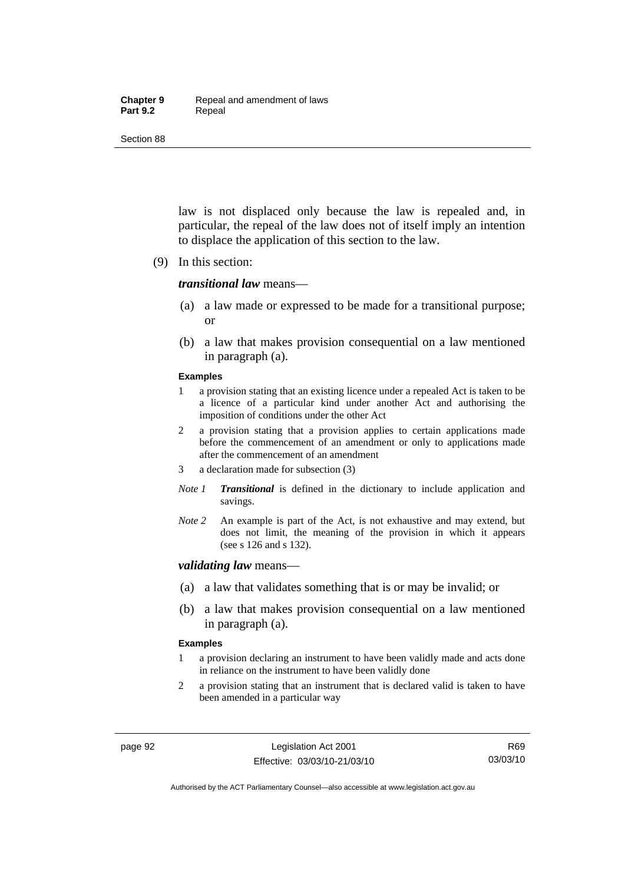#### **Chapter 9** Repeal and amendment of laws Part 9.2 **Repeal**

Section 88

law is not displaced only because the law is repealed and, in particular, the repeal of the law does not of itself imply an intention to displace the application of this section to the law.

(9) In this section:

#### *transitional law* means—

- (a) a law made or expressed to be made for a transitional purpose; or
- (b) a law that makes provision consequential on a law mentioned in paragraph (a).

#### **Examples**

- 1 a provision stating that an existing licence under a repealed Act is taken to be a licence of a particular kind under another Act and authorising the imposition of conditions under the other Act
- 2 a provision stating that a provision applies to certain applications made before the commencement of an amendment or only to applications made after the commencement of an amendment
- 3 a declaration made for subsection (3)
- *Note 1 Transitional* is defined in the dictionary to include application and savings.
- *Note 2* An example is part of the Act, is not exhaustive and may extend, but does not limit, the meaning of the provision in which it appears (see s 126 and s 132).

#### *validating law* means—

- (a) a law that validates something that is or may be invalid; or
- (b) a law that makes provision consequential on a law mentioned in paragraph (a).

#### **Examples**

- 1 a provision declaring an instrument to have been validly made and acts done in reliance on the instrument to have been validly done
- 2 a provision stating that an instrument that is declared valid is taken to have been amended in a particular way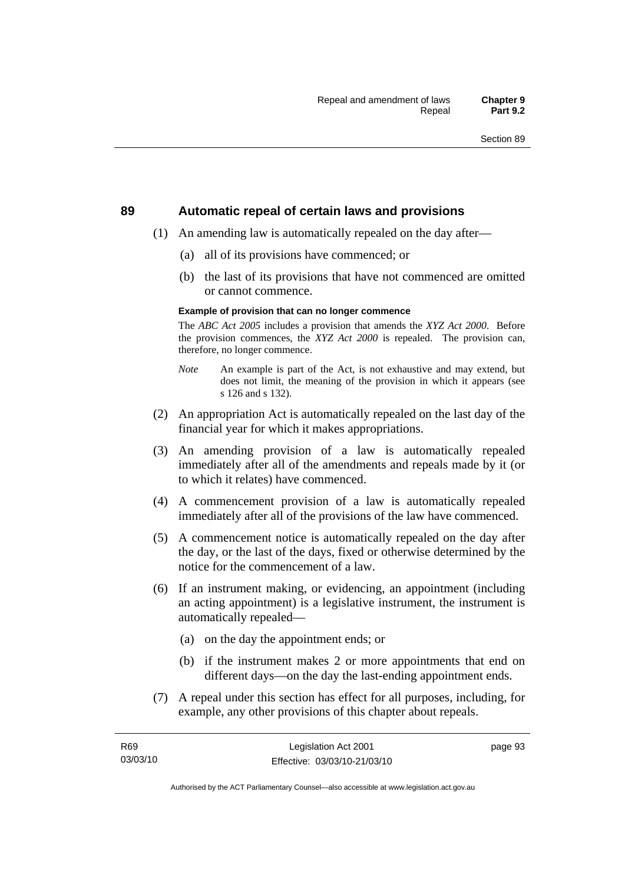#### **89 Automatic repeal of certain laws and provisions**

- (1) An amending law is automatically repealed on the day after—
	- (a) all of its provisions have commenced; or
	- (b) the last of its provisions that have not commenced are omitted or cannot commence.

#### **Example of provision that can no longer commence**

The *ABC Act 2005* includes a provision that amends the *XYZ Act 2000*. Before the provision commences, the *XYZ Act 2000* is repealed. The provision can, therefore, no longer commence.

- *Note* An example is part of the Act, is not exhaustive and may extend, but does not limit, the meaning of the provision in which it appears (see s 126 and s 132).
- (2) An appropriation Act is automatically repealed on the last day of the financial year for which it makes appropriations.
- (3) An amending provision of a law is automatically repealed immediately after all of the amendments and repeals made by it (or to which it relates) have commenced.
- (4) A commencement provision of a law is automatically repealed immediately after all of the provisions of the law have commenced.
- (5) A commencement notice is automatically repealed on the day after the day, or the last of the days, fixed or otherwise determined by the notice for the commencement of a law.
- (6) If an instrument making, or evidencing, an appointment (including an acting appointment) is a legislative instrument, the instrument is automatically repealed—
	- (a) on the day the appointment ends; or
	- (b) if the instrument makes 2 or more appointments that end on different days—on the day the last-ending appointment ends.
- (7) A repeal under this section has effect for all purposes, including, for example, any other provisions of this chapter about repeals.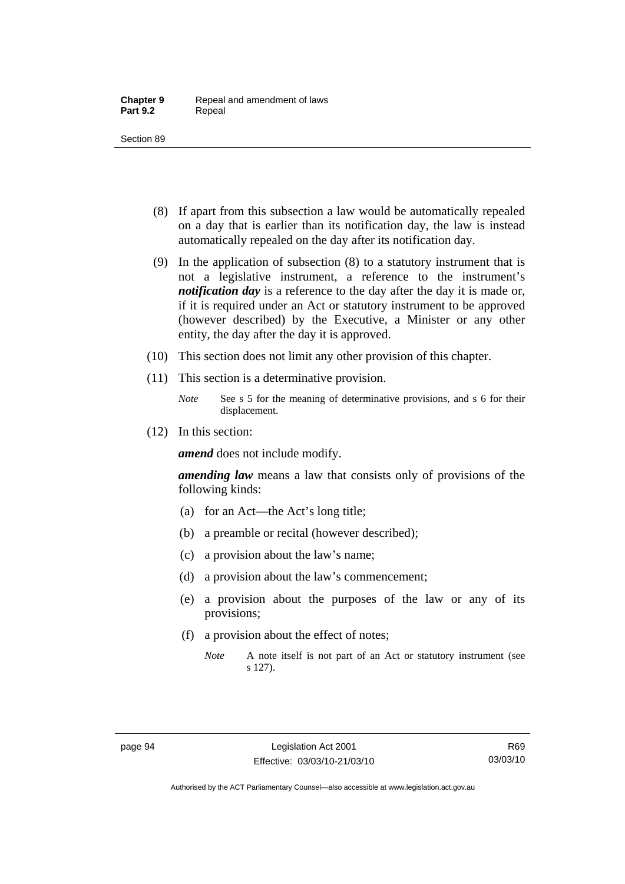- (8) If apart from this subsection a law would be automatically repealed on a day that is earlier than its notification day, the law is instead automatically repealed on the day after its notification day.
- (9) In the application of subsection (8) to a statutory instrument that is not a legislative instrument, a reference to the instrument's *notification day* is a reference to the day after the day it is made or, if it is required under an Act or statutory instrument to be approved (however described) by the Executive, a Minister or any other entity, the day after the day it is approved.
- (10) This section does not limit any other provision of this chapter.
- (11) This section is a determinative provision.
	- *Note* See s 5 for the meaning of determinative provisions, and s 6 for their displacement.
- (12) In this section:

*amend* does not include modify.

*amending law* means a law that consists only of provisions of the following kinds:

- (a) for an Act—the Act's long title;
- (b) a preamble or recital (however described);
- (c) a provision about the law's name;
- (d) a provision about the law's commencement;
- (e) a provision about the purposes of the law or any of its provisions;
- (f) a provision about the effect of notes;
	- *Note* A note itself is not part of an Act or statutory instrument (see s 127).

Authorised by the ACT Parliamentary Counsel—also accessible at www.legislation.act.gov.au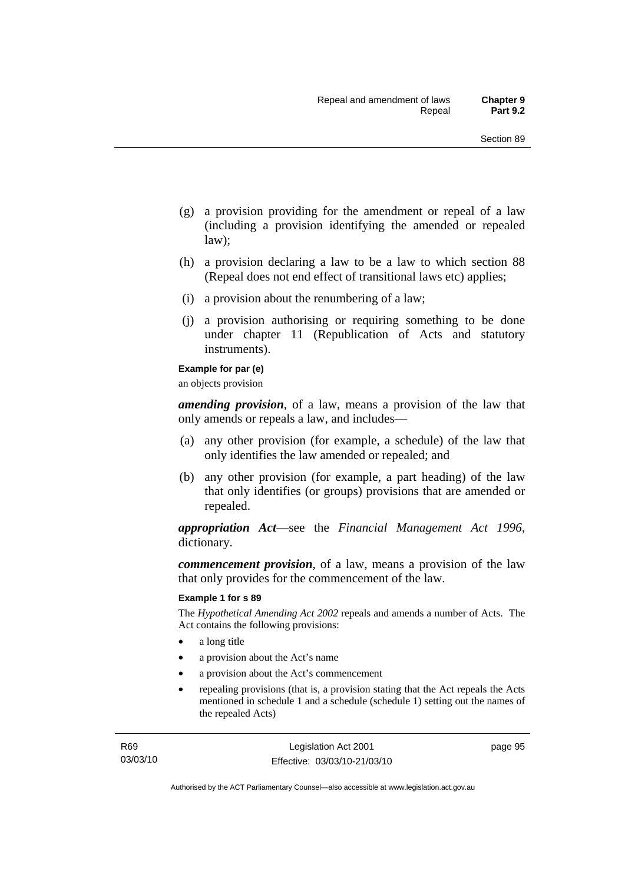- (g) a provision providing for the amendment or repeal of a law (including a provision identifying the amended or repealed law);
- (h) a provision declaring a law to be a law to which section 88 (Repeal does not end effect of transitional laws etc) applies;
- (i) a provision about the renumbering of a law;
- (j) a provision authorising or requiring something to be done under chapter 11 (Republication of Acts and statutory instruments).

#### **Example for par (e)**

an objects provision

*amending provision*, of a law, means a provision of the law that only amends or repeals a law, and includes—

- (a) any other provision (for example, a schedule) of the law that only identifies the law amended or repealed; and
- (b) any other provision (for example, a part heading) of the law that only identifies (or groups) provisions that are amended or repealed.

*appropriation Act*—see the *Financial Management Act 1996*, dictionary.

*commencement provision*, of a law, means a provision of the law that only provides for the commencement of the law.

#### **Example 1 for s 89**

The *Hypothetical Amending Act 2002* repeals and amends a number of Acts. The Act contains the following provisions:

- a long title
- a provision about the Act's name
- a provision about the Act's commencement
- repealing provisions (that is, a provision stating that the Act repeals the Acts mentioned in schedule 1 and a schedule (schedule 1) setting out the names of the repealed Acts)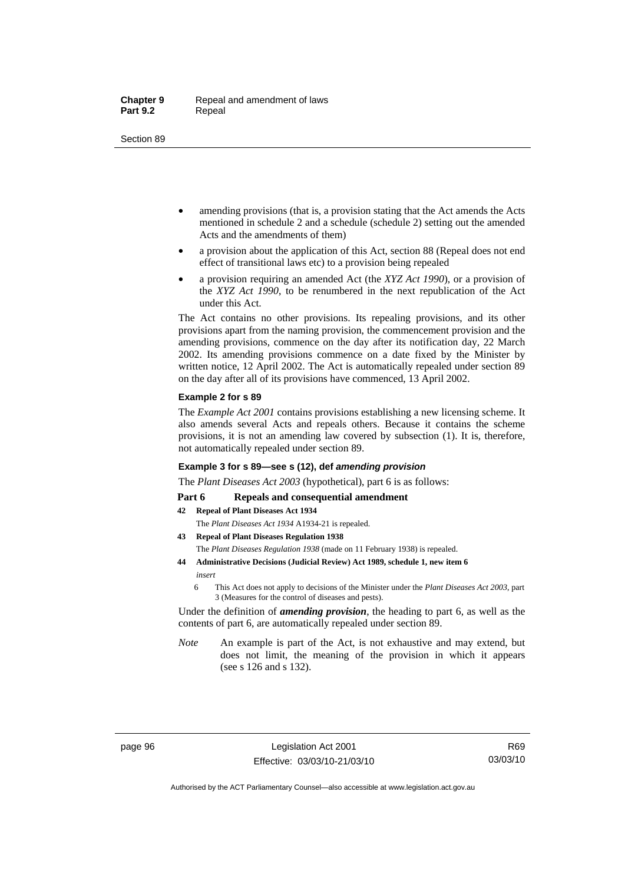- amending provisions (that is, a provision stating that the Act amends the Acts mentioned in schedule 2 and a schedule (schedule 2) setting out the amended Acts and the amendments of them)
- a provision about the application of this Act, section 88 (Repeal does not end effect of transitional laws etc) to a provision being repealed
- a provision requiring an amended Act (the *XYZ Act 1990*), or a provision of the *XYZ Act 1990*, to be renumbered in the next republication of the Act under this Act.

The Act contains no other provisions. Its repealing provisions, and its other provisions apart from the naming provision, the commencement provision and the amending provisions, commence on the day after its notification day, 22 March 2002. Its amending provisions commence on a date fixed by the Minister by written notice, 12 April 2002. The Act is automatically repealed under section 89 on the day after all of its provisions have commenced, 13 April 2002.

#### **Example 2 for s 89**

The *Example Act 2001* contains provisions establishing a new licensing scheme. It also amends several Acts and repeals others. Because it contains the scheme provisions, it is not an amending law covered by subsection (1). It is, therefore, not automatically repealed under section 89.

#### **Example 3 for s 89—see s (12), def** *amending provision*

The *Plant Diseases Act 2003* (hypothetical), part 6 is as follows:

#### Part 6 Repeals and consequential amendment

- **42 Repeal of Plant Diseases Act 1934**
	- The *Plant Diseases Act 1934* A1934-21 is repealed.
- **43 Repeal of Plant Diseases Regulation 1938** The *Plant Diseases Regulation 1938* (made on 11 February 1938) is repealed.
- **44 Administrative Decisions (Judicial Review) Act 1989, schedule 1, new item 6**  *insert* 
	- 6 This Act does not apply to decisions of the Minister under the *Plant Diseases Act 2003*, part 3 (Measures for the control of diseases and pests).

Under the definition of *amending provision*, the heading to part 6, as well as the contents of part 6, are automatically repealed under section 89.

*Note* An example is part of the Act, is not exhaustive and may extend, but does not limit, the meaning of the provision in which it appears (see s 126 and s 132).

Authorised by the ACT Parliamentary Counsel—also accessible at www.legislation.act.gov.au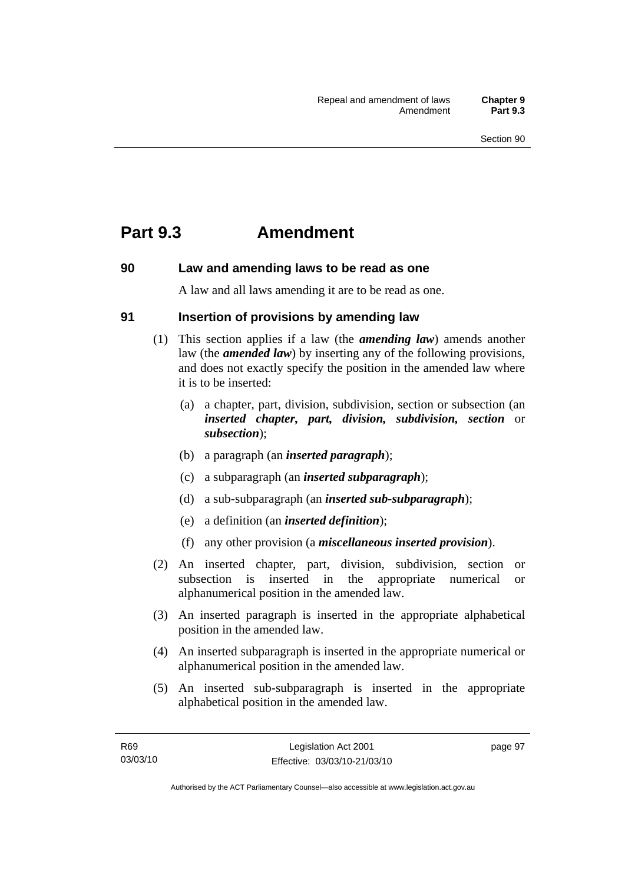## **Part 9.3 Amendment**

## **90 Law and amending laws to be read as one**

A law and all laws amending it are to be read as one.

## **91 Insertion of provisions by amending law**

- (1) This section applies if a law (the *amending law*) amends another law (the *amended law*) by inserting any of the following provisions, and does not exactly specify the position in the amended law where it is to be inserted:
	- (a) a chapter, part, division, subdivision, section or subsection (an *inserted chapter, part, division, subdivision, section* or *subsection*);
	- (b) a paragraph (an *inserted paragraph*);
	- (c) a subparagraph (an *inserted subparagraph*);
	- (d) a sub-subparagraph (an *inserted sub-subparagraph*);
	- (e) a definition (an *inserted definition*);
	- (f) any other provision (a *miscellaneous inserted provision*).
- (2) An inserted chapter, part, division, subdivision, section or subsection is inserted in the appropriate numerical or alphanumerical position in the amended law.
- (3) An inserted paragraph is inserted in the appropriate alphabetical position in the amended law.
- (4) An inserted subparagraph is inserted in the appropriate numerical or alphanumerical position in the amended law.
- (5) An inserted sub-subparagraph is inserted in the appropriate alphabetical position in the amended law.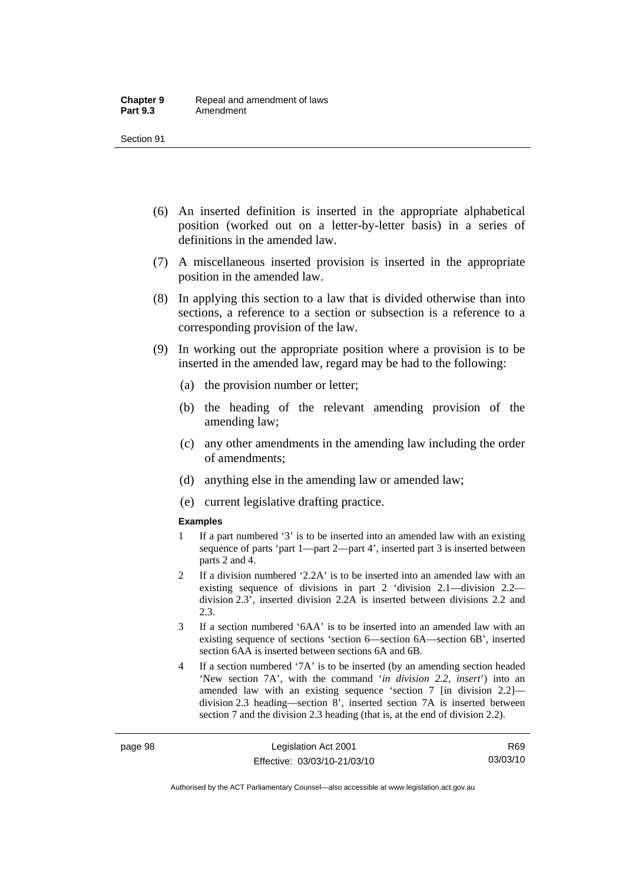- (6) An inserted definition is inserted in the appropriate alphabetical position (worked out on a letter-by-letter basis) in a series of definitions in the amended law.
- (7) A miscellaneous inserted provision is inserted in the appropriate position in the amended law.
- (8) In applying this section to a law that is divided otherwise than into sections, a reference to a section or subsection is a reference to a corresponding provision of the law.
- (9) In working out the appropriate position where a provision is to be inserted in the amended law, regard may be had to the following:
	- (a) the provision number or letter;
	- (b) the heading of the relevant amending provision of the amending law;
	- (c) any other amendments in the amending law including the order of amendments;
	- (d) anything else in the amending law or amended law;
	- (e) current legislative drafting practice.

#### **Examples**

- 1 If a part numbered '3' is to be inserted into an amended law with an existing sequence of parts 'part 1—part 2—part 4', inserted part 3 is inserted between parts 2 and 4.
- 2 If a division numbered '2.2A' is to be inserted into an amended law with an existing sequence of divisions in part 2 'division 2.1—division 2.2 division 2.3', inserted division 2.2A is inserted between divisions 2.2 and 2.3.
- 3 If a section numbered '6AA' is to be inserted into an amended law with an existing sequence of sections 'section 6—section 6A—section 6B', inserted section 6AA is inserted between sections 6A and 6B.
- 4 If a section numbered '7A' is to be inserted (by an amending section headed 'New section 7A', with the command '*in division 2.2, insert*') into an amended law with an existing sequence 'section 7 [in division 2.2] division 2.3 heading—section 8', inserted section 7A is inserted between section 7 and the division 2.3 heading (that is, at the end of division 2.2).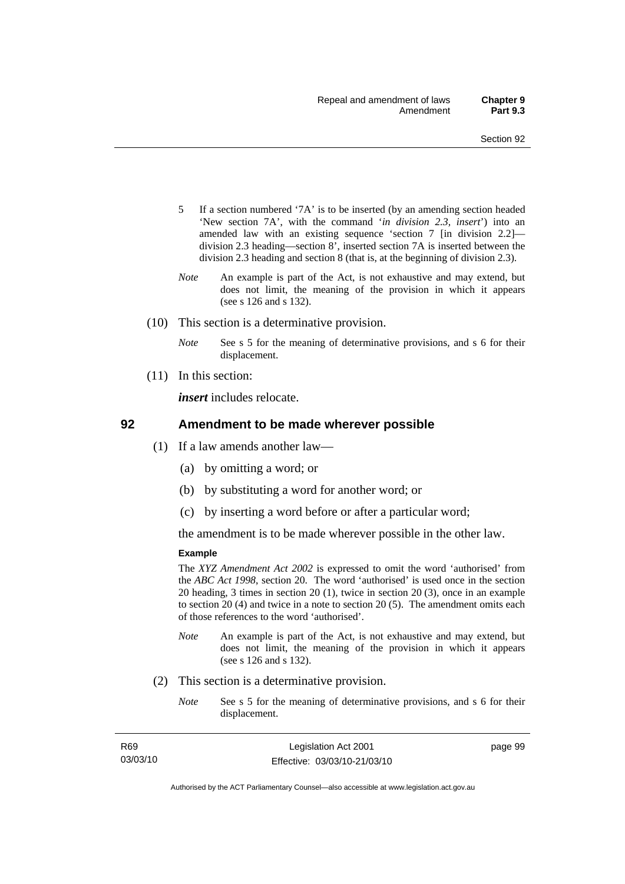- 5 If a section numbered '7A' is to be inserted (by an amending section headed 'New section 7A', with the command '*in division 2.3, insert*') into an amended law with an existing sequence 'section 7 [in division 2.2] division 2.3 heading—section 8', inserted section 7A is inserted between the division 2.3 heading and section 8 (that is, at the beginning of division 2.3).
- *Note* An example is part of the Act, is not exhaustive and may extend, but does not limit, the meaning of the provision in which it appears (see s 126 and s 132).
- (10) This section is a determinative provision.
	- *Note* See s 5 for the meaning of determinative provisions, and s 6 for their displacement.
- (11) In this section:

*insert* includes relocate.

#### **92 Amendment to be made wherever possible**

- (1) If a law amends another law—
	- (a) by omitting a word; or
	- (b) by substituting a word for another word; or
	- (c) by inserting a word before or after a particular word;

the amendment is to be made wherever possible in the other law.

#### **Example**

The *XYZ Amendment Act 2002* is expressed to omit the word 'authorised' from the *ABC Act 1998*, section 20. The word 'authorised' is used once in the section 20 heading, 3 times in section 20 (1), twice in section 20 (3), once in an example to section 20 (4) and twice in a note to section 20 (5). The amendment omits each of those references to the word 'authorised'.

- *Note* An example is part of the Act, is not exhaustive and may extend, but does not limit, the meaning of the provision in which it appears (see s 126 and s 132).
- (2) This section is a determinative provision.
	- *Note* See s 5 for the meaning of determinative provisions, and s 6 for their displacement.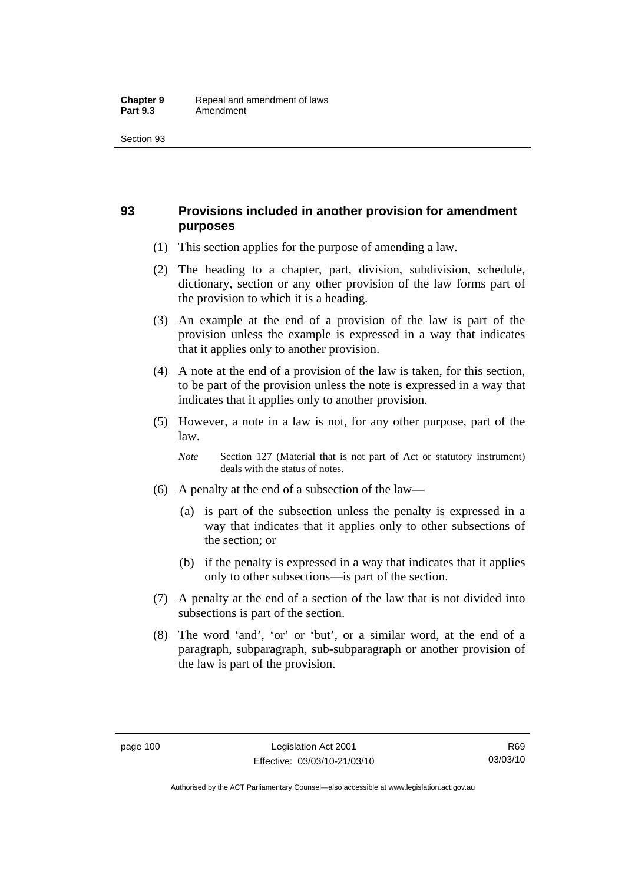## **93 Provisions included in another provision for amendment purposes**

- (1) This section applies for the purpose of amending a law.
- (2) The heading to a chapter, part, division, subdivision, schedule, dictionary, section or any other provision of the law forms part of the provision to which it is a heading.
- (3) An example at the end of a provision of the law is part of the provision unless the example is expressed in a way that indicates that it applies only to another provision.
- (4) A note at the end of a provision of the law is taken, for this section, to be part of the provision unless the note is expressed in a way that indicates that it applies only to another provision.
- (5) However, a note in a law is not, for any other purpose, part of the law.

*Note* Section 127 (Material that is not part of Act or statutory instrument) deals with the status of notes.

- (6) A penalty at the end of a subsection of the law—
	- (a) is part of the subsection unless the penalty is expressed in a way that indicates that it applies only to other subsections of the section; or
	- (b) if the penalty is expressed in a way that indicates that it applies only to other subsections—is part of the section.
- (7) A penalty at the end of a section of the law that is not divided into subsections is part of the section.
- (8) The word 'and', 'or' or 'but', or a similar word, at the end of a paragraph, subparagraph, sub-subparagraph or another provision of the law is part of the provision.

Authorised by the ACT Parliamentary Counsel—also accessible at www.legislation.act.gov.au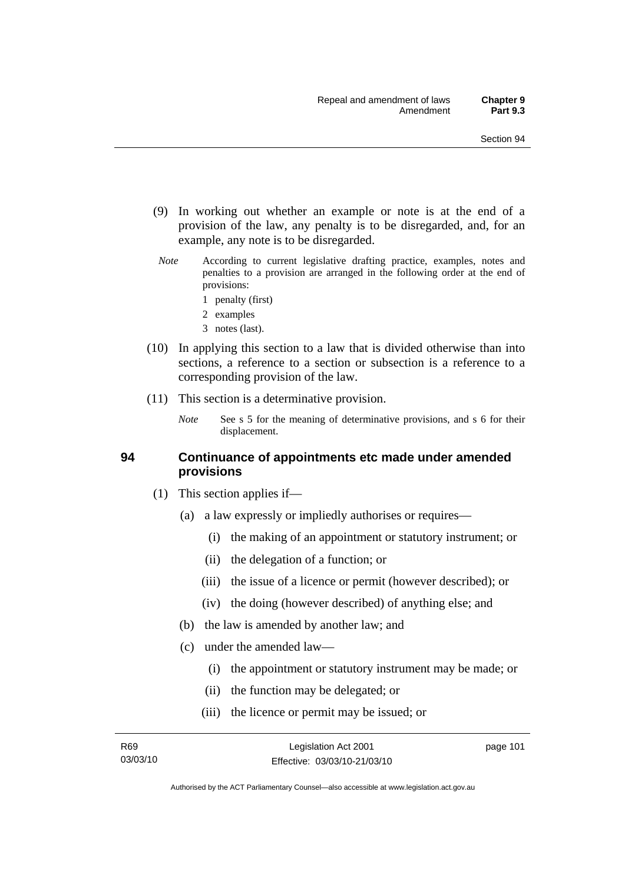- (9) In working out whether an example or note is at the end of a provision of the law, any penalty is to be disregarded, and, for an example, any note is to be disregarded.
- *Note* According to current legislative drafting practice, examples, notes and penalties to a provision are arranged in the following order at the end of provisions:
	- 1 penalty (first)
	- 2 examples
	- 3 notes (last).
- (10) In applying this section to a law that is divided otherwise than into sections, a reference to a section or subsection is a reference to a corresponding provision of the law.
- (11) This section is a determinative provision.
	- *Note* See s 5 for the meaning of determinative provisions, and s 6 for their displacement.

#### **94 Continuance of appointments etc made under amended provisions**

- (1) This section applies if—
	- (a) a law expressly or impliedly authorises or requires—
		- (i) the making of an appointment or statutory instrument; or
		- (ii) the delegation of a function; or
		- (iii) the issue of a licence or permit (however described); or
		- (iv) the doing (however described) of anything else; and
	- (b) the law is amended by another law; and
	- (c) under the amended law—
		- (i) the appointment or statutory instrument may be made; or
		- (ii) the function may be delegated; or
		- (iii) the licence or permit may be issued; or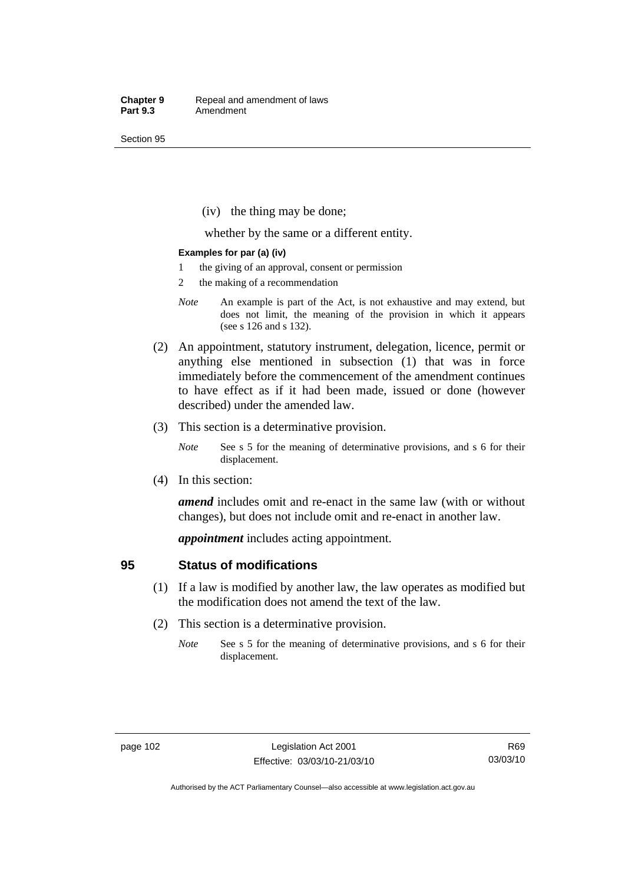(iv) the thing may be done;

whether by the same or a different entity.

#### **Examples for par (a) (iv)**

- 1 the giving of an approval, consent or permission
- 2 the making of a recommendation
- *Note* An example is part of the Act, is not exhaustive and may extend, but does not limit, the meaning of the provision in which it appears (see s 126 and s 132).
- (2) An appointment, statutory instrument, delegation, licence, permit or anything else mentioned in subsection (1) that was in force immediately before the commencement of the amendment continues to have effect as if it had been made, issued or done (however described) under the amended law.
- (3) This section is a determinative provision.
	- *Note* See s 5 for the meaning of determinative provisions, and s 6 for their displacement.
- (4) In this section:

*amend* includes omit and re-enact in the same law (with or without changes), but does not include omit and re-enact in another law.

*appointment* includes acting appointment.

#### **95 Status of modifications**

- (1) If a law is modified by another law, the law operates as modified but the modification does not amend the text of the law.
- (2) This section is a determinative provision.
	- *Note* See s 5 for the meaning of determinative provisions, and s 6 for their displacement.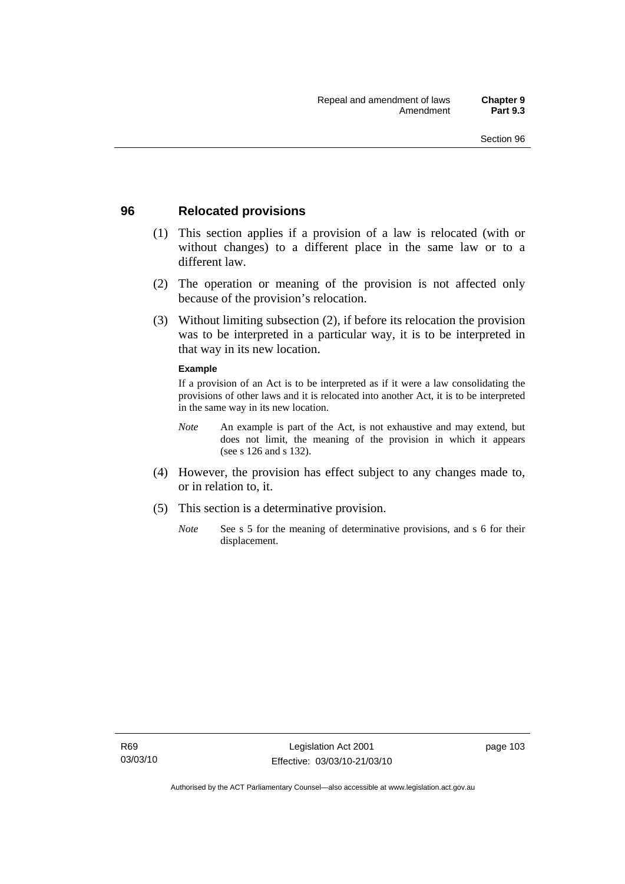### **96 Relocated provisions**

- (1) This section applies if a provision of a law is relocated (with or without changes) to a different place in the same law or to a different law.
- (2) The operation or meaning of the provision is not affected only because of the provision's relocation.
- (3) Without limiting subsection (2), if before its relocation the provision was to be interpreted in a particular way, it is to be interpreted in that way in its new location.

#### **Example**

If a provision of an Act is to be interpreted as if it were a law consolidating the provisions of other laws and it is relocated into another Act, it is to be interpreted in the same way in its new location.

- *Note* An example is part of the Act, is not exhaustive and may extend, but does not limit, the meaning of the provision in which it appears (see s 126 and s 132).
- (4) However, the provision has effect subject to any changes made to, or in relation to, it.
- (5) This section is a determinative provision.
	- *Note* See s 5 for the meaning of determinative provisions, and s 6 for their displacement.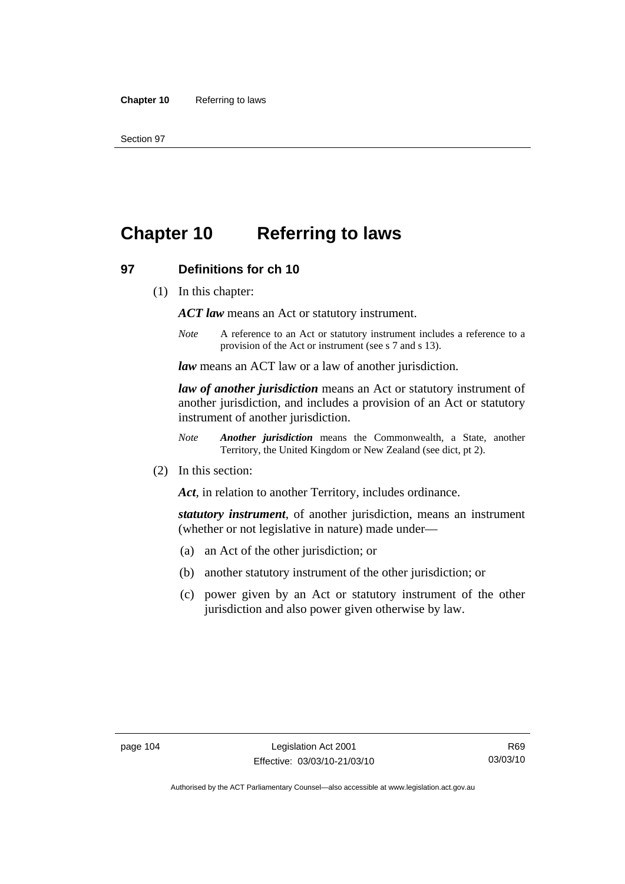# **Chapter 10 Referring to laws**

#### **97 Definitions for ch 10**

(1) In this chapter:

*ACT law* means an Act or statutory instrument.

*Note* A reference to an Act or statutory instrument includes a reference to a provision of the Act or instrument (see s 7 and s 13).

*law* means an ACT law or a law of another jurisdiction.

*law of another jurisdiction* means an Act or statutory instrument of another jurisdiction, and includes a provision of an Act or statutory instrument of another jurisdiction.

- *Note Another jurisdiction* means the Commonwealth, a State, another Territory, the United Kingdom or New Zealand (see dict, pt 2).
- (2) In this section:

*Act*, in relation to another Territory, includes ordinance.

*statutory instrument*, of another jurisdiction, means an instrument (whether or not legislative in nature) made under—

- (a) an Act of the other jurisdiction; or
- (b) another statutory instrument of the other jurisdiction; or
- (c) power given by an Act or statutory instrument of the other jurisdiction and also power given otherwise by law.

R69 03/03/10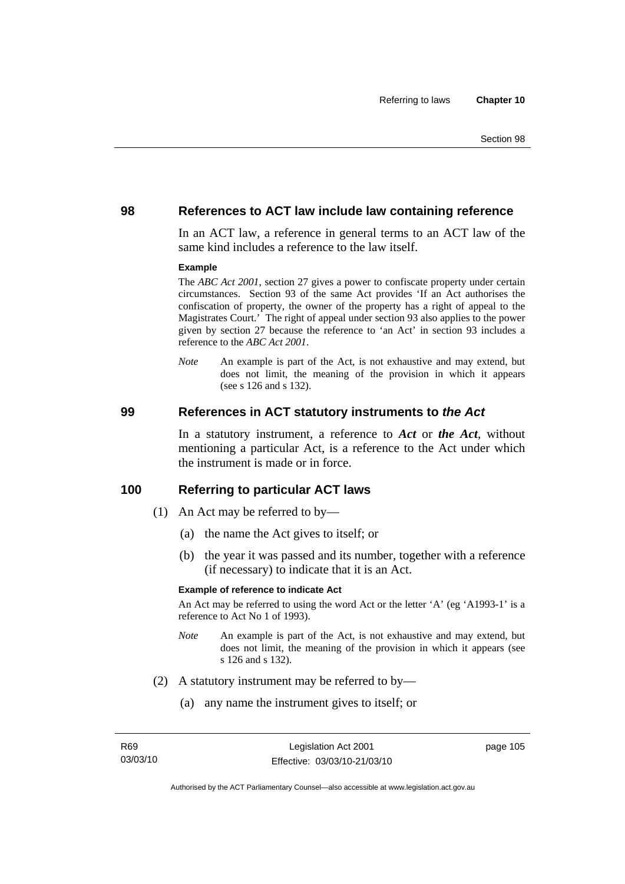#### **98 References to ACT law include law containing reference**

In an ACT law, a reference in general terms to an ACT law of the same kind includes a reference to the law itself.

#### **Example**

The *ABC Act 2001*, section 27 gives a power to confiscate property under certain circumstances. Section 93 of the same Act provides 'If an Act authorises the confiscation of property, the owner of the property has a right of appeal to the Magistrates Court.' The right of appeal under section 93 also applies to the power given by section 27 because the reference to 'an Act' in section 93 includes a reference to the *ABC Act 2001*.

*Note* An example is part of the Act, is not exhaustive and may extend, but does not limit, the meaning of the provision in which it appears (see s 126 and s 132).

#### **99 References in ACT statutory instruments to** *the Act*

In a statutory instrument, a reference to *Act* or *the Act*, without mentioning a particular Act, is a reference to the Act under which the instrument is made or in force.

#### **100 Referring to particular ACT laws**

- (1) An Act may be referred to by—
	- (a) the name the Act gives to itself; or
	- (b) the year it was passed and its number, together with a reference (if necessary) to indicate that it is an Act.

#### **Example of reference to indicate Act**

An Act may be referred to using the word Act or the letter 'A' (eg 'A1993-1' is a reference to Act No 1 of 1993).

- *Note* An example is part of the Act, is not exhaustive and may extend, but does not limit, the meaning of the provision in which it appears (see s 126 and s 132).
- (2) A statutory instrument may be referred to by—
	- (a) any name the instrument gives to itself; or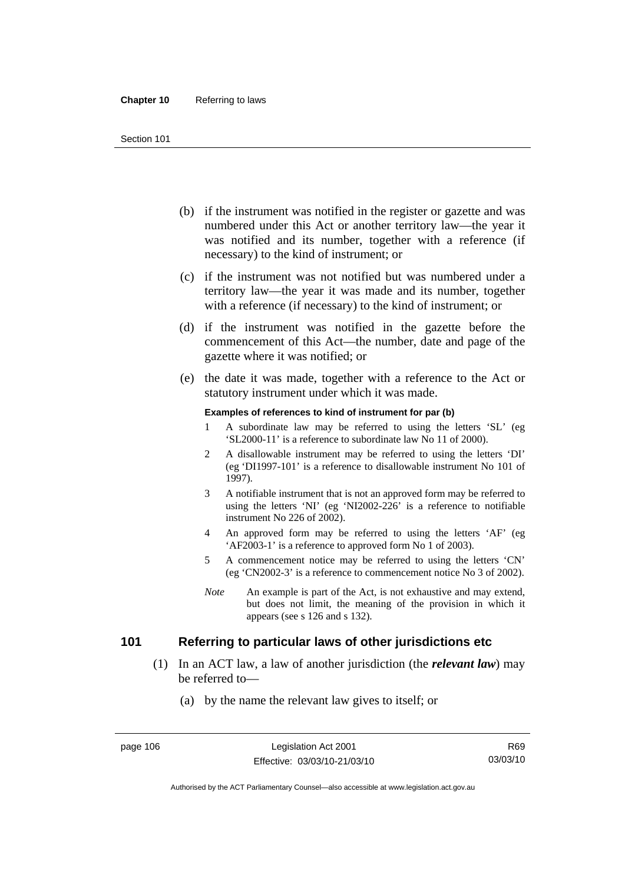- (b) if the instrument was notified in the register or gazette and was numbered under this Act or another territory law—the year it was notified and its number, together with a reference (if necessary) to the kind of instrument; or
- (c) if the instrument was not notified but was numbered under a territory law—the year it was made and its number, together with a reference (if necessary) to the kind of instrument; or
- (d) if the instrument was notified in the gazette before the commencement of this Act—the number, date and page of the gazette where it was notified; or
- (e) the date it was made, together with a reference to the Act or statutory instrument under which it was made.

#### **Examples of references to kind of instrument for par (b)**

- 1 A subordinate law may be referred to using the letters 'SL' (eg 'SL2000-11' is a reference to subordinate law No 11 of 2000).
- 2 A disallowable instrument may be referred to using the letters 'DI' (eg 'DI1997-101' is a reference to disallowable instrument No 101 of 1997).
- 3 A notifiable instrument that is not an approved form may be referred to using the letters 'NI' (eg 'NI2002-226' is a reference to notifiable instrument No 226 of 2002).
- 4 An approved form may be referred to using the letters 'AF' (eg 'AF2003-1' is a reference to approved form No 1 of 2003).
- 5 A commencement notice may be referred to using the letters 'CN' (eg 'CN2002-3' is a reference to commencement notice No 3 of 2002).
- *Note* An example is part of the Act, is not exhaustive and may extend, but does not limit, the meaning of the provision in which it appears (see s 126 and s 132).

## **101 Referring to particular laws of other jurisdictions etc**

- (1) In an ACT law, a law of another jurisdiction (the *relevant law*) may be referred to—
	- (a) by the name the relevant law gives to itself; or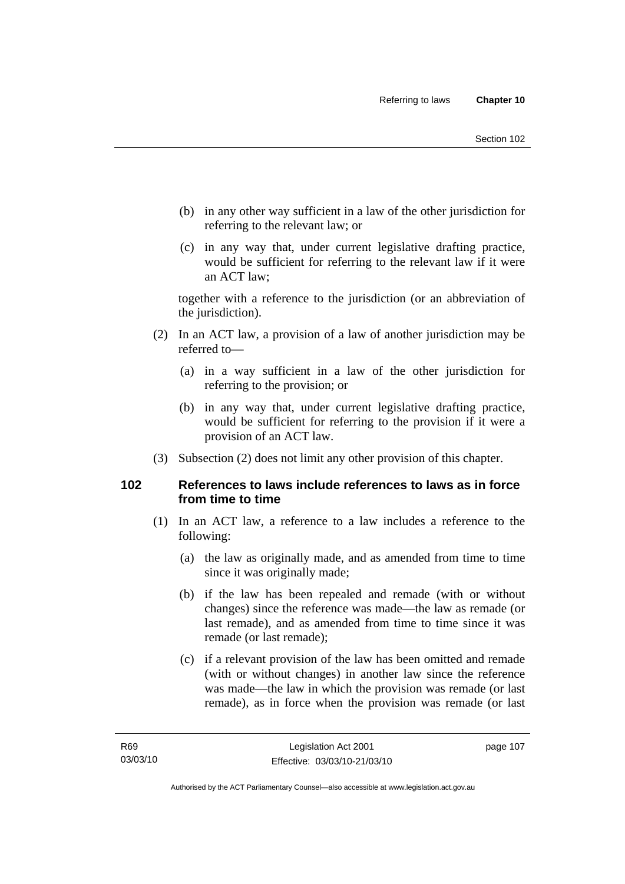- (b) in any other way sufficient in a law of the other jurisdiction for referring to the relevant law; or
- (c) in any way that, under current legislative drafting practice, would be sufficient for referring to the relevant law if it were an ACT law;

together with a reference to the jurisdiction (or an abbreviation of the jurisdiction).

- (2) In an ACT law, a provision of a law of another jurisdiction may be referred to—
	- (a) in a way sufficient in a law of the other jurisdiction for referring to the provision; or
	- (b) in any way that, under current legislative drafting practice, would be sufficient for referring to the provision if it were a provision of an ACT law.
- (3) Subsection (2) does not limit any other provision of this chapter.

## **102 References to laws include references to laws as in force from time to time**

- (1) In an ACT law, a reference to a law includes a reference to the following:
	- (a) the law as originally made, and as amended from time to time since it was originally made;
	- (b) if the law has been repealed and remade (with or without changes) since the reference was made—the law as remade (or last remade), and as amended from time to time since it was remade (or last remade);
	- (c) if a relevant provision of the law has been omitted and remade (with or without changes) in another law since the reference was made—the law in which the provision was remade (or last remade), as in force when the provision was remade (or last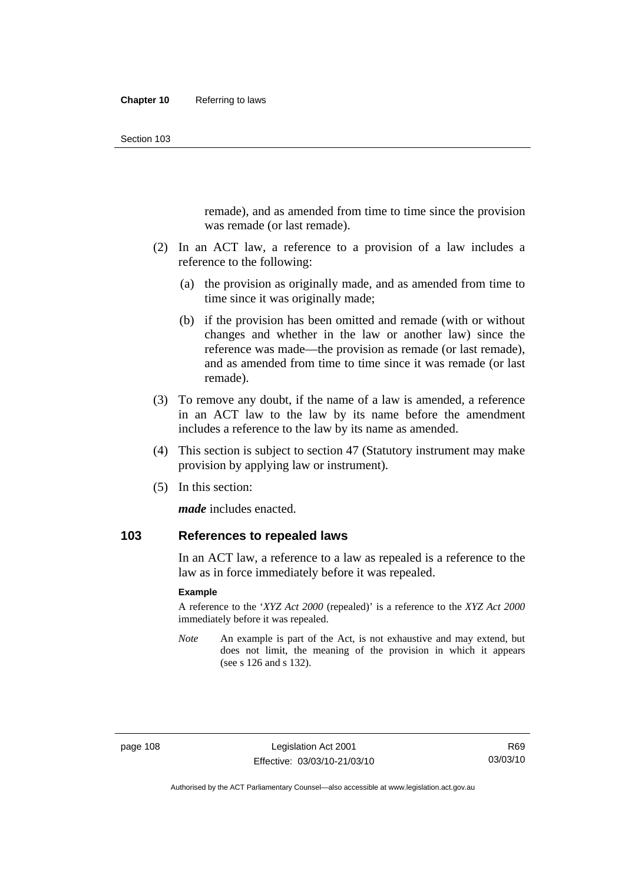remade), and as amended from time to time since the provision was remade (or last remade).

- (2) In an ACT law, a reference to a provision of a law includes a reference to the following:
	- (a) the provision as originally made, and as amended from time to time since it was originally made;
	- (b) if the provision has been omitted and remade (with or without changes and whether in the law or another law) since the reference was made—the provision as remade (or last remade), and as amended from time to time since it was remade (or last remade).
- (3) To remove any doubt, if the name of a law is amended, a reference in an ACT law to the law by its name before the amendment includes a reference to the law by its name as amended.
- (4) This section is subject to section 47 (Statutory instrument may make provision by applying law or instrument).
- (5) In this section:

*made* includes enacted.

## **103 References to repealed laws**

In an ACT law, a reference to a law as repealed is a reference to the law as in force immediately before it was repealed.

#### **Example**

A reference to the '*XYZ Act 2000* (repealed)' is a reference to the *XYZ Act 2000* immediately before it was repealed.

*Note* An example is part of the Act, is not exhaustive and may extend, but does not limit, the meaning of the provision in which it appears (see s 126 and s 132).

Authorised by the ACT Parliamentary Counsel—also accessible at www.legislation.act.gov.au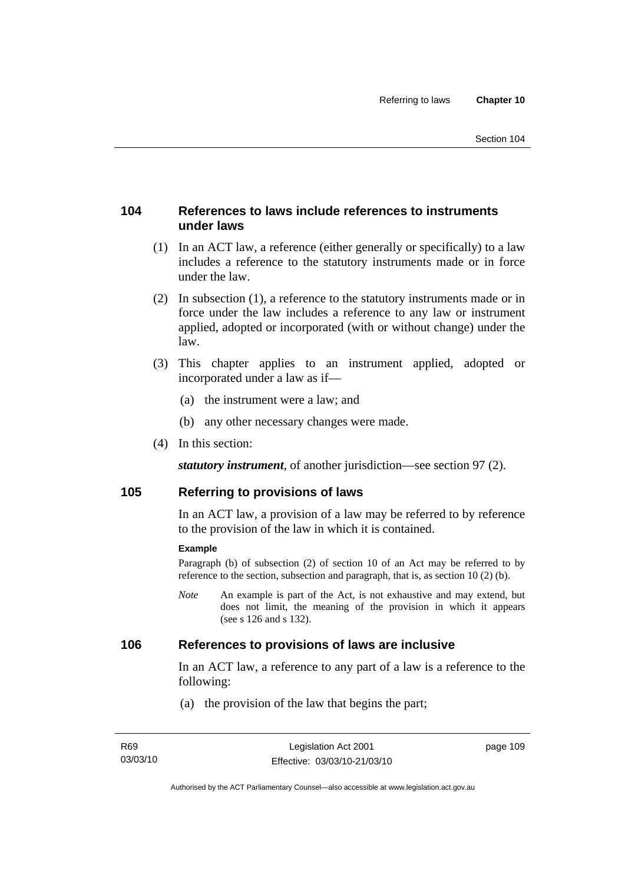## **104 References to laws include references to instruments under laws**

- (1) In an ACT law, a reference (either generally or specifically) to a law includes a reference to the statutory instruments made or in force under the law.
- (2) In subsection (1), a reference to the statutory instruments made or in force under the law includes a reference to any law or instrument applied, adopted or incorporated (with or without change) under the law.
- (3) This chapter applies to an instrument applied, adopted or incorporated under a law as if—
	- (a) the instrument were a law; and
	- (b) any other necessary changes were made.
- (4) In this section:

*statutory instrument*, of another jurisdiction—see section 97 (2).

## **105 Referring to provisions of laws**

In an ACT law, a provision of a law may be referred to by reference to the provision of the law in which it is contained.

#### **Example**

Paragraph (b) of subsection (2) of section 10 of an Act may be referred to by reference to the section, subsection and paragraph, that is, as section 10 (2) (b).

*Note* An example is part of the Act, is not exhaustive and may extend, but does not limit, the meaning of the provision in which it appears (see s 126 and s 132).

#### **106 References to provisions of laws are inclusive**

In an ACT law, a reference to any part of a law is a reference to the following:

(a) the provision of the law that begins the part;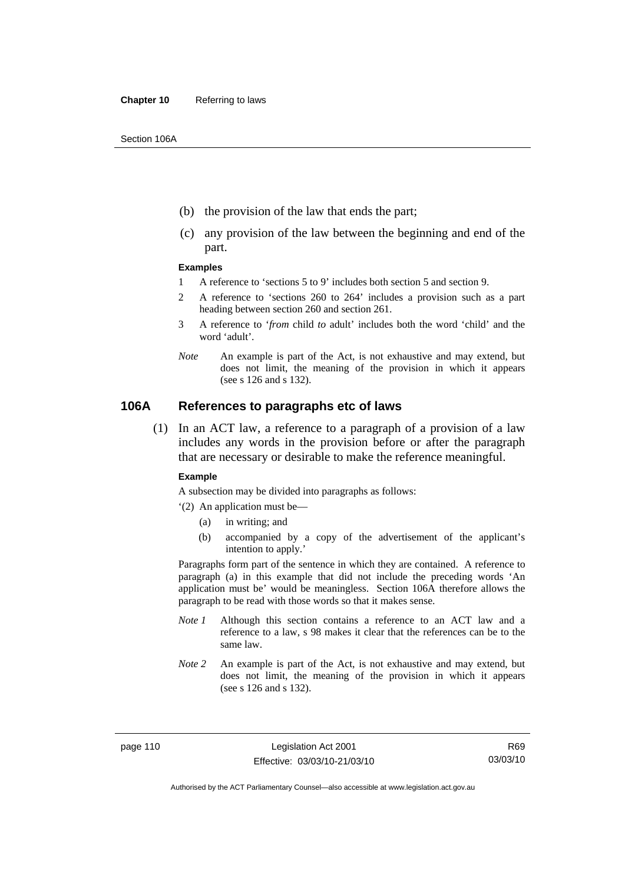- (b) the provision of the law that ends the part;
- (c) any provision of the law between the beginning and end of the part.

#### **Examples**

- 1 A reference to 'sections 5 to 9' includes both section 5 and section 9.
- 2 A reference to 'sections 260 to 264' includes a provision such as a part heading between section 260 and section 261.
- 3 A reference to '*from* child *to* adult' includes both the word 'child' and the word 'adult'.
- *Note* An example is part of the Act, is not exhaustive and may extend, but does not limit, the meaning of the provision in which it appears (see s 126 and s 132).

#### **106A References to paragraphs etc of laws**

 (1) In an ACT law, a reference to a paragraph of a provision of a law includes any words in the provision before or after the paragraph that are necessary or desirable to make the reference meaningful.

#### **Example**

A subsection may be divided into paragraphs as follows:

- '(2) An application must be—
	- (a) in writing; and
	- (b) accompanied by a copy of the advertisement of the applicant's intention to apply.'

Paragraphs form part of the sentence in which they are contained. A reference to paragraph (a) in this example that did not include the preceding words 'An application must be' would be meaningless. Section 106A therefore allows the paragraph to be read with those words so that it makes sense.

- *Note 1* Although this section contains a reference to an ACT law and a reference to a law, s 98 makes it clear that the references can be to the same law.
- *Note 2* An example is part of the Act, is not exhaustive and may extend, but does not limit, the meaning of the provision in which it appears (see s 126 and s 132).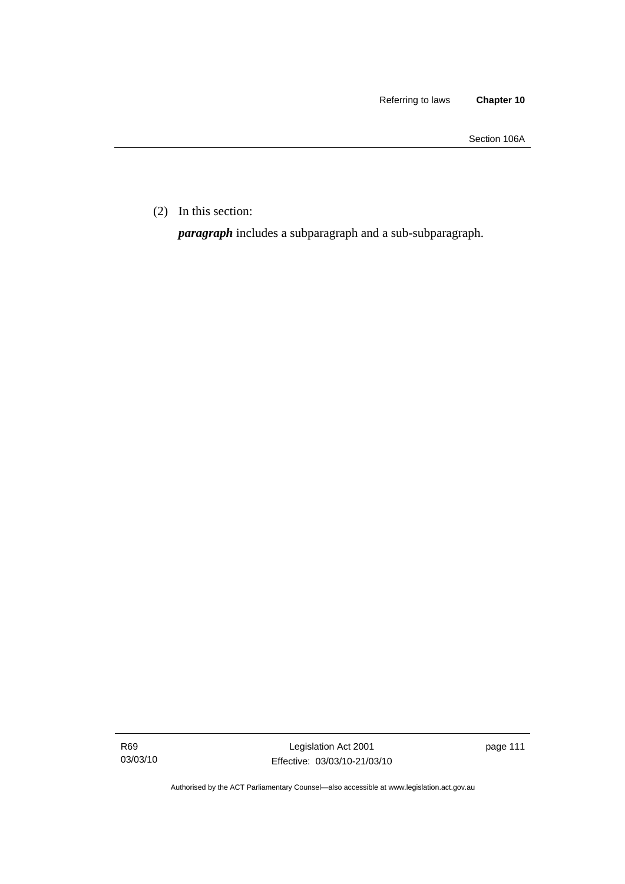Section 106A

(2) In this section:

*paragraph* includes a subparagraph and a sub-subparagraph.

R69 03/03/10

Legislation Act 2001 Effective: 03/03/10-21/03/10 page 111

Authorised by the ACT Parliamentary Counsel—also accessible at www.legislation.act.gov.au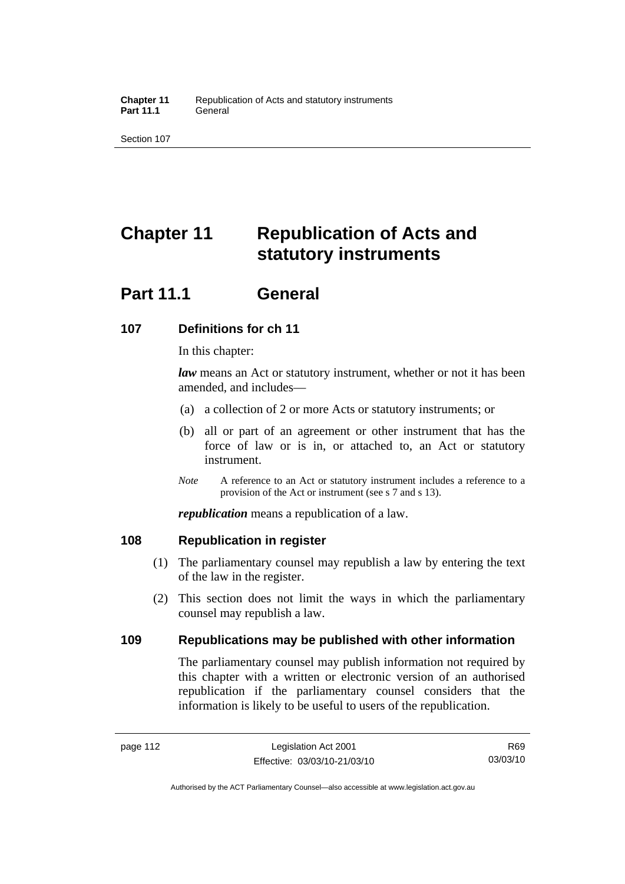# **Chapter 11 Republication of Acts and statutory instruments**

## **Part 11.1 General**

## **107 Definitions for ch 11**

In this chapter:

*law* means an Act or statutory instrument, whether or not it has been amended, and includes—

- (a) a collection of 2 or more Acts or statutory instruments; or
- (b) all or part of an agreement or other instrument that has the force of law or is in, or attached to, an Act or statutory instrument.
- *Note* A reference to an Act or statutory instrument includes a reference to a provision of the Act or instrument (see s 7 and s 13).

*republication* means a republication of a law.

## **108 Republication in register**

- (1) The parliamentary counsel may republish a law by entering the text of the law in the register.
- (2) This section does not limit the ways in which the parliamentary counsel may republish a law.

## **109 Republications may be published with other information**

The parliamentary counsel may publish information not required by this chapter with a written or electronic version of an authorised republication if the parliamentary counsel considers that the information is likely to be useful to users of the republication.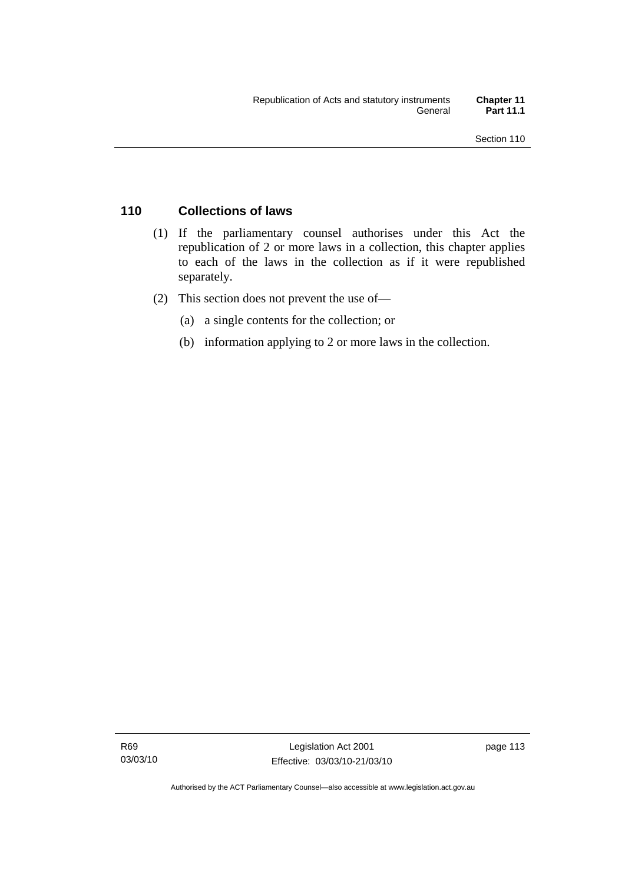## **110 Collections of laws**

- (1) If the parliamentary counsel authorises under this Act the republication of 2 or more laws in a collection, this chapter applies to each of the laws in the collection as if it were republished separately.
- (2) This section does not prevent the use of—
	- (a) a single contents for the collection; or
	- (b) information applying to 2 or more laws in the collection.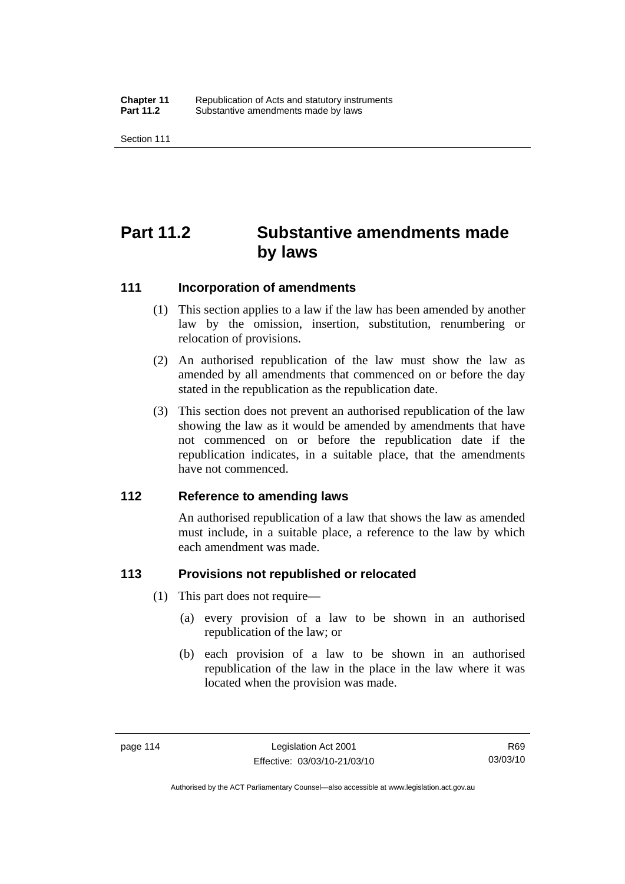# **Part 11.2 Substantive amendments made by laws**

#### **111 Incorporation of amendments**

- (1) This section applies to a law if the law has been amended by another law by the omission, insertion, substitution, renumbering or relocation of provisions.
- (2) An authorised republication of the law must show the law as amended by all amendments that commenced on or before the day stated in the republication as the republication date.
- (3) This section does not prevent an authorised republication of the law showing the law as it would be amended by amendments that have not commenced on or before the republication date if the republication indicates, in a suitable place, that the amendments have not commenced.

#### **112 Reference to amending laws**

An authorised republication of a law that shows the law as amended must include, in a suitable place, a reference to the law by which each amendment was made.

## **113 Provisions not republished or relocated**

- (1) This part does not require—
	- (a) every provision of a law to be shown in an authorised republication of the law; or
	- (b) each provision of a law to be shown in an authorised republication of the law in the place in the law where it was located when the provision was made.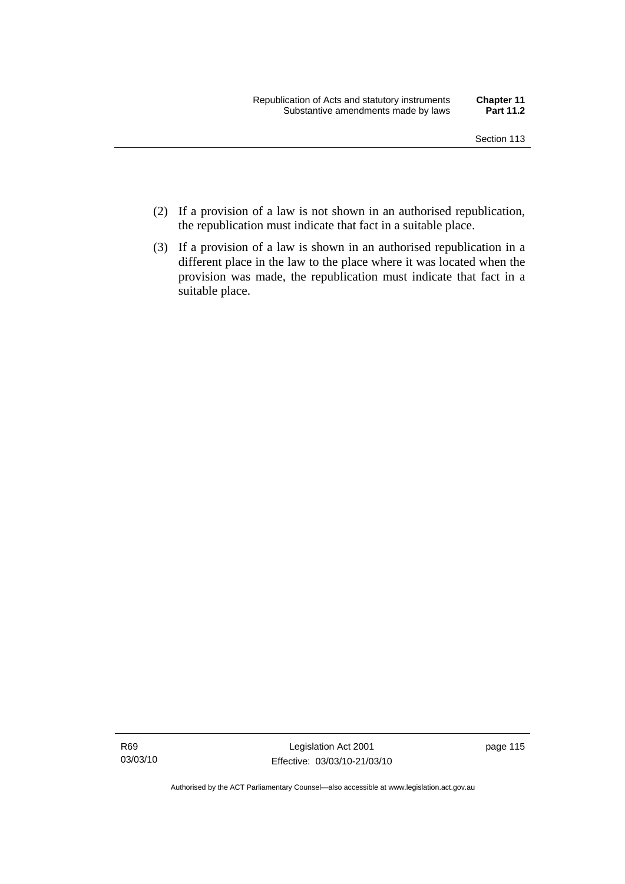- (2) If a provision of a law is not shown in an authorised republication, the republication must indicate that fact in a suitable place.
- (3) If a provision of a law is shown in an authorised republication in a different place in the law to the place where it was located when the provision was made, the republication must indicate that fact in a suitable place.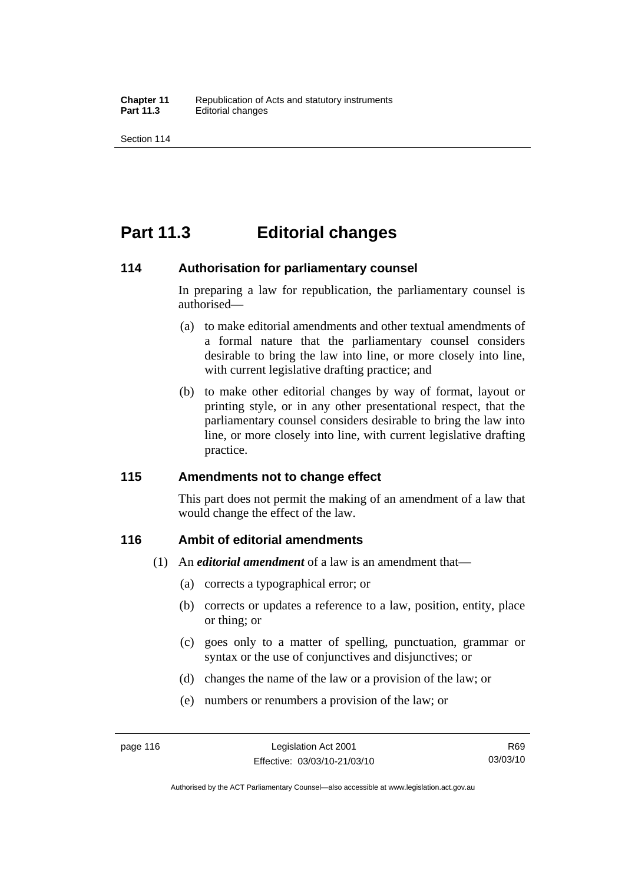## **Part 11.3 Editorial changes**

#### **114 Authorisation for parliamentary counsel**

In preparing a law for republication, the parliamentary counsel is authorised—

- (a) to make editorial amendments and other textual amendments of a formal nature that the parliamentary counsel considers desirable to bring the law into line, or more closely into line, with current legislative drafting practice; and
- (b) to make other editorial changes by way of format, layout or printing style, or in any other presentational respect, that the parliamentary counsel considers desirable to bring the law into line, or more closely into line, with current legislative drafting practice.

## **115 Amendments not to change effect**

This part does not permit the making of an amendment of a law that would change the effect of the law.

## **116 Ambit of editorial amendments**

- (1) An *editorial amendment* of a law is an amendment that—
	- (a) corrects a typographical error; or
	- (b) corrects or updates a reference to a law, position, entity, place or thing; or
	- (c) goes only to a matter of spelling, punctuation, grammar or syntax or the use of conjunctives and disjunctives; or
	- (d) changes the name of the law or a provision of the law; or
	- (e) numbers or renumbers a provision of the law; or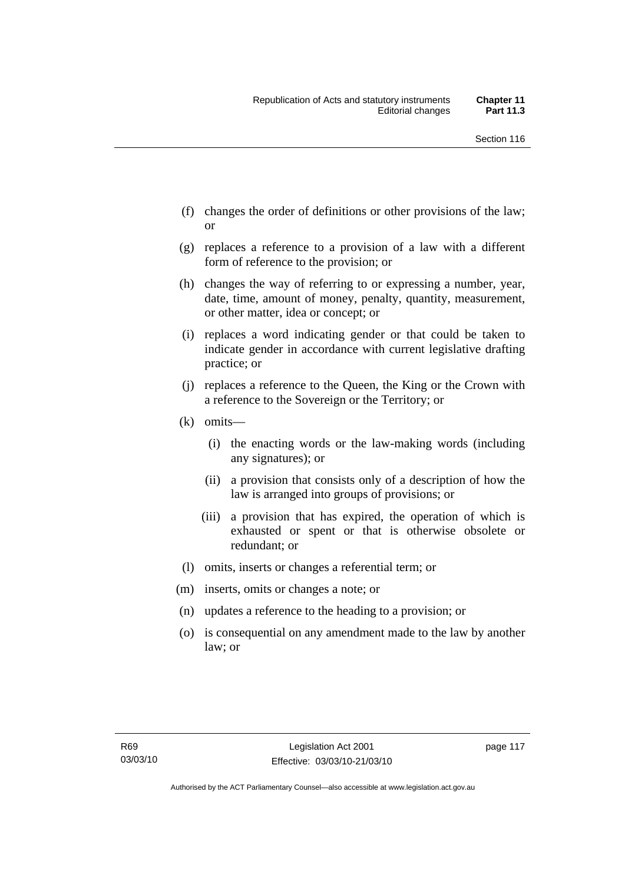- (f) changes the order of definitions or other provisions of the law; or
- (g) replaces a reference to a provision of a law with a different form of reference to the provision; or
- (h) changes the way of referring to or expressing a number, year, date, time, amount of money, penalty, quantity, measurement, or other matter, idea or concept; or
- (i) replaces a word indicating gender or that could be taken to indicate gender in accordance with current legislative drafting practice; or
- (j) replaces a reference to the Queen, the King or the Crown with a reference to the Sovereign or the Territory; or
- (k) omits—
	- (i) the enacting words or the law-making words (including any signatures); or
	- (ii) a provision that consists only of a description of how the law is arranged into groups of provisions; or
	- (iii) a provision that has expired, the operation of which is exhausted or spent or that is otherwise obsolete or redundant; or
- (l) omits, inserts or changes a referential term; or
- (m) inserts, omits or changes a note; or
- (n) updates a reference to the heading to a provision; or
- (o) is consequential on any amendment made to the law by another law; or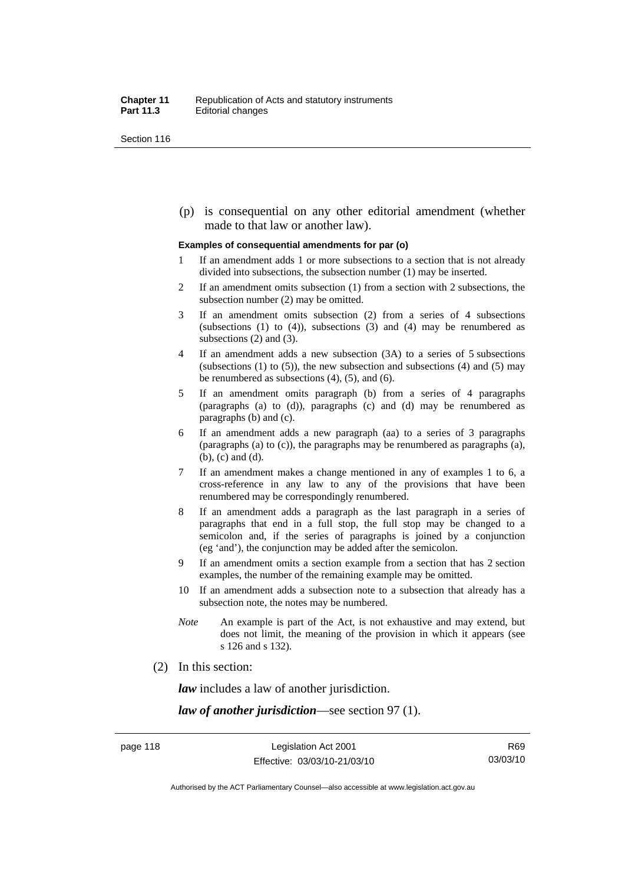(p) is consequential on any other editorial amendment (whether made to that law or another law).

#### **Examples of consequential amendments for par (o)**

- 1 If an amendment adds 1 or more subsections to a section that is not already divided into subsections, the subsection number (1) may be inserted.
- 2 If an amendment omits subsection (1) from a section with 2 subsections, the subsection number (2) may be omitted.
- 3 If an amendment omits subsection (2) from a series of 4 subsections (subsections  $(1)$  to  $(4)$ ), subsections  $(3)$  and  $(4)$  may be renumbered as subsections (2) and (3).
- 4 If an amendment adds a new subsection (3A) to a series of 5 subsections (subsections  $(1)$  to  $(5)$ ), the new subsection and subsections  $(4)$  and  $(5)$  may be renumbered as subsections (4), (5), and (6).
- 5 If an amendment omits paragraph (b) from a series of 4 paragraphs (paragraphs (a) to (d)), paragraphs (c) and (d) may be renumbered as paragraphs (b) and (c).
- 6 If an amendment adds a new paragraph (aa) to a series of 3 paragraphs (paragraphs (a) to (c)), the paragraphs may be renumbered as paragraphs (a), (b), (c) and (d).
- 7 If an amendment makes a change mentioned in any of examples 1 to 6, a cross-reference in any law to any of the provisions that have been renumbered may be correspondingly renumbered.
- 8 If an amendment adds a paragraph as the last paragraph in a series of paragraphs that end in a full stop, the full stop may be changed to a semicolon and, if the series of paragraphs is joined by a conjunction (eg 'and'), the conjunction may be added after the semicolon.
- 9 If an amendment omits a section example from a section that has 2 section examples, the number of the remaining example may be omitted.
- 10 If an amendment adds a subsection note to a subsection that already has a subsection note, the notes may be numbered.
- *Note* An example is part of the Act, is not exhaustive and may extend, but does not limit, the meaning of the provision in which it appears (see s 126 and s 132).
- (2) In this section:

*law* includes a law of another jurisdiction.

*law of another jurisdiction*—see section 97 (1).

Authorised by the ACT Parliamentary Counsel—also accessible at www.legislation.act.gov.au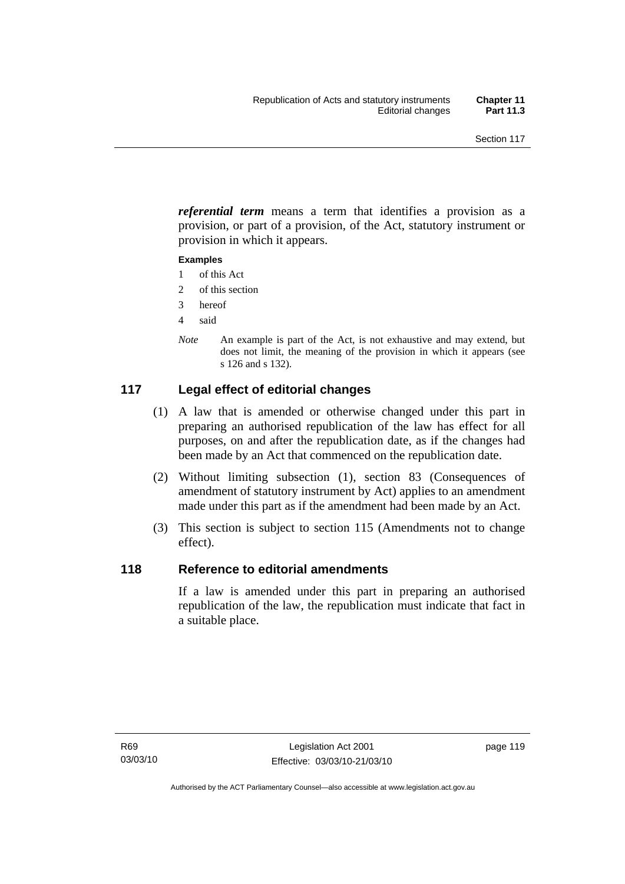*referential term* means a term that identifies a provision as a provision, or part of a provision, of the Act, statutory instrument or provision in which it appears.

#### **Examples**

- 1 of this Act
- 2 of this section
- 3 hereof
- 4 said
- *Note* An example is part of the Act, is not exhaustive and may extend, but does not limit, the meaning of the provision in which it appears (see s 126 and s 132).

## **117 Legal effect of editorial changes**

- (1) A law that is amended or otherwise changed under this part in preparing an authorised republication of the law has effect for all purposes, on and after the republication date, as if the changes had been made by an Act that commenced on the republication date.
- (2) Without limiting subsection (1), section 83 (Consequences of amendment of statutory instrument by Act) applies to an amendment made under this part as if the amendment had been made by an Act.
- (3) This section is subject to section 115 (Amendments not to change effect).

## **118 Reference to editorial amendments**

If a law is amended under this part in preparing an authorised republication of the law, the republication must indicate that fact in a suitable place.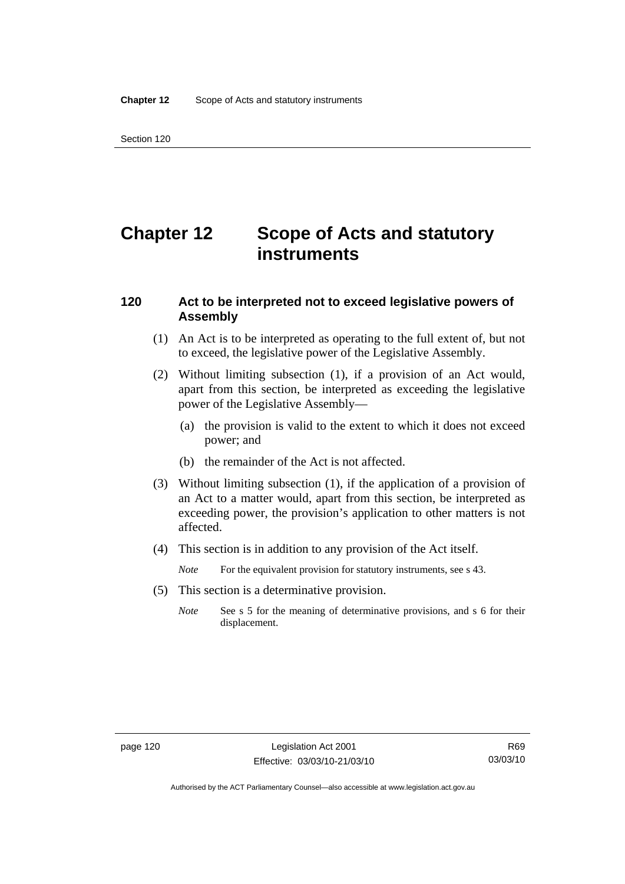# **Chapter 12 Scope of Acts and statutory instruments**

## **120 Act to be interpreted not to exceed legislative powers of Assembly**

- (1) An Act is to be interpreted as operating to the full extent of, but not to exceed, the legislative power of the Legislative Assembly.
- (2) Without limiting subsection (1), if a provision of an Act would, apart from this section, be interpreted as exceeding the legislative power of the Legislative Assembly—
	- (a) the provision is valid to the extent to which it does not exceed power; and
	- (b) the remainder of the Act is not affected.
- (3) Without limiting subsection (1), if the application of a provision of an Act to a matter would, apart from this section, be interpreted as exceeding power, the provision's application to other matters is not affected.
- (4) This section is in addition to any provision of the Act itself.
	- *Note* For the equivalent provision for statutory instruments, see s 43.
- (5) This section is a determinative provision.
	- *Note* See s 5 for the meaning of determinative provisions, and s 6 for their displacement.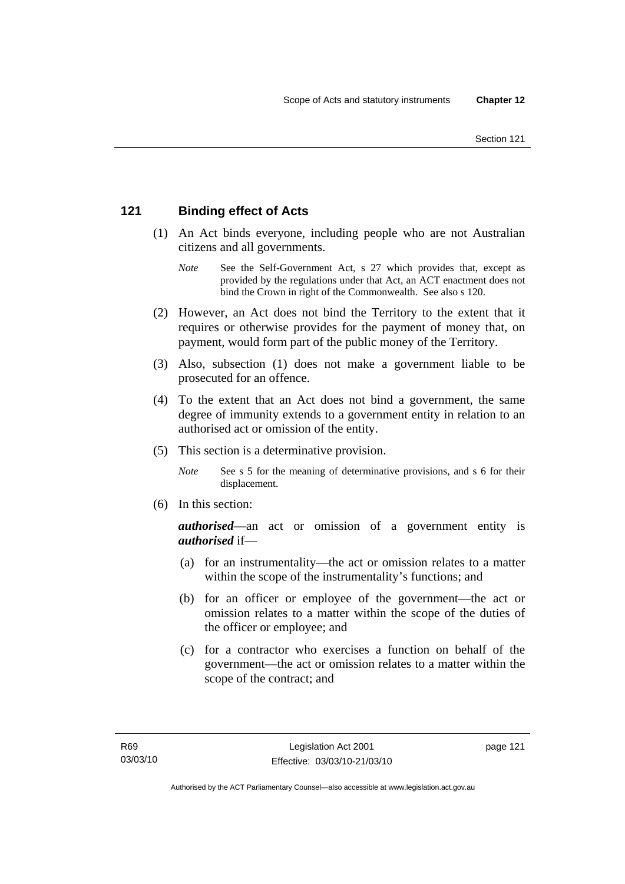## **121 Binding effect of Acts**

- (1) An Act binds everyone, including people who are not Australian citizens and all governments.
	- *Note* See the Self-Government Act, s 27 which provides that, except as provided by the regulations under that Act, an ACT enactment does not bind the Crown in right of the Commonwealth. See also s 120.
- (2) However, an Act does not bind the Territory to the extent that it requires or otherwise provides for the payment of money that, on payment, would form part of the public money of the Territory.
- (3) Also, subsection (1) does not make a government liable to be prosecuted for an offence.
- (4) To the extent that an Act does not bind a government, the same degree of immunity extends to a government entity in relation to an authorised act or omission of the entity.
- (5) This section is a determinative provision.
	- *Note* See s 5 for the meaning of determinative provisions, and s 6 for their displacement.
- (6) In this section:

*authorised*—an act or omission of a government entity is *authorised* if—

- (a) for an instrumentality—the act or omission relates to a matter within the scope of the instrumentality's functions; and
- (b) for an officer or employee of the government—the act or omission relates to a matter within the scope of the duties of the officer or employee; and
- (c) for a contractor who exercises a function on behalf of the government—the act or omission relates to a matter within the scope of the contract; and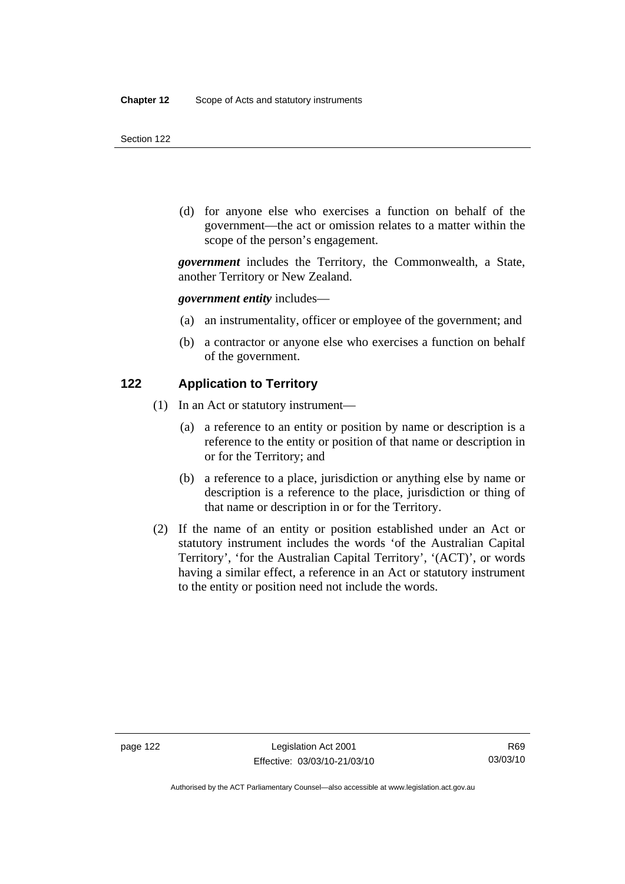(d) for anyone else who exercises a function on behalf of the government—the act or omission relates to a matter within the scope of the person's engagement.

*government* includes the Territory, the Commonwealth, a State, another Territory or New Zealand.

*government entity* includes—

- (a) an instrumentality, officer or employee of the government; and
- (b) a contractor or anyone else who exercises a function on behalf of the government.

#### **122 Application to Territory**

- (1) In an Act or statutory instrument—
	- (a) a reference to an entity or position by name or description is a reference to the entity or position of that name or description in or for the Territory; and
	- (b) a reference to a place, jurisdiction or anything else by name or description is a reference to the place, jurisdiction or thing of that name or description in or for the Territory.
- (2) If the name of an entity or position established under an Act or statutory instrument includes the words 'of the Australian Capital Territory', 'for the Australian Capital Territory', '(ACT)', or words having a similar effect, a reference in an Act or statutory instrument to the entity or position need not include the words.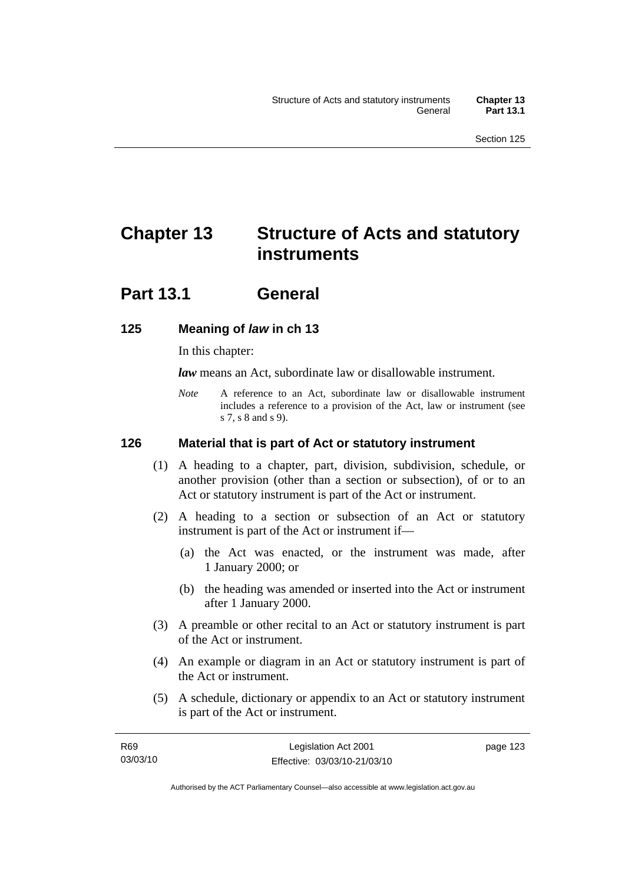# **Chapter 13 Structure of Acts and statutory instruments**

## **Part 13.1 General**

## **125 Meaning of** *law* **in ch 13**

In this chapter:

*law* means an Act, subordinate law or disallowable instrument.

*Note* A reference to an Act, subordinate law or disallowable instrument includes a reference to a provision of the Act, law or instrument (see s 7, s 8 and s 9).

## **126 Material that is part of Act or statutory instrument**

- (1) A heading to a chapter, part, division, subdivision, schedule, or another provision (other than a section or subsection), of or to an Act or statutory instrument is part of the Act or instrument.
- (2) A heading to a section or subsection of an Act or statutory instrument is part of the Act or instrument if—
	- (a) the Act was enacted, or the instrument was made, after 1 January 2000; or
	- (b) the heading was amended or inserted into the Act or instrument after 1 January 2000.
- (3) A preamble or other recital to an Act or statutory instrument is part of the Act or instrument.
- (4) An example or diagram in an Act or statutory instrument is part of the Act or instrument.
- (5) A schedule, dictionary or appendix to an Act or statutory instrument is part of the Act or instrument.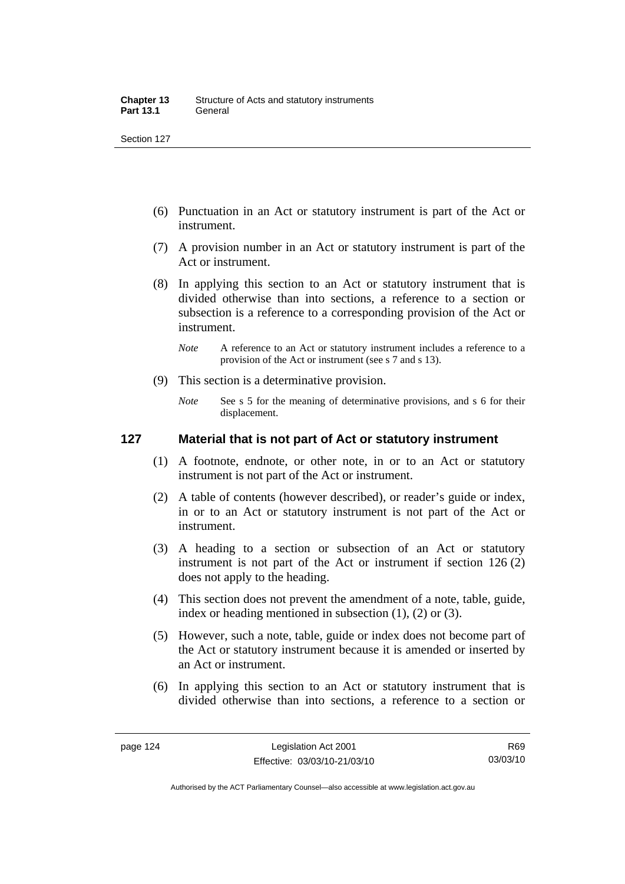- (6) Punctuation in an Act or statutory instrument is part of the Act or instrument.
- (7) A provision number in an Act or statutory instrument is part of the Act or instrument.
- (8) In applying this section to an Act or statutory instrument that is divided otherwise than into sections, a reference to a section or subsection is a reference to a corresponding provision of the Act or instrument.
	- *Note* A reference to an Act or statutory instrument includes a reference to a provision of the Act or instrument (see s 7 and s 13).
- (9) This section is a determinative provision.
	- *Note* See s 5 for the meaning of determinative provisions, and s 6 for their displacement.

### **127 Material that is not part of Act or statutory instrument**

- (1) A footnote, endnote, or other note, in or to an Act or statutory instrument is not part of the Act or instrument.
- (2) A table of contents (however described), or reader's guide or index, in or to an Act or statutory instrument is not part of the Act or instrument.
- (3) A heading to a section or subsection of an Act or statutory instrument is not part of the Act or instrument if section 126 (2) does not apply to the heading.
- (4) This section does not prevent the amendment of a note, table, guide, index or heading mentioned in subsection (1), (2) or (3).
- (5) However, such a note, table, guide or index does not become part of the Act or statutory instrument because it is amended or inserted by an Act or instrument.
- (6) In applying this section to an Act or statutory instrument that is divided otherwise than into sections, a reference to a section or

R69 03/03/10

Authorised by the ACT Parliamentary Counsel—also accessible at www.legislation.act.gov.au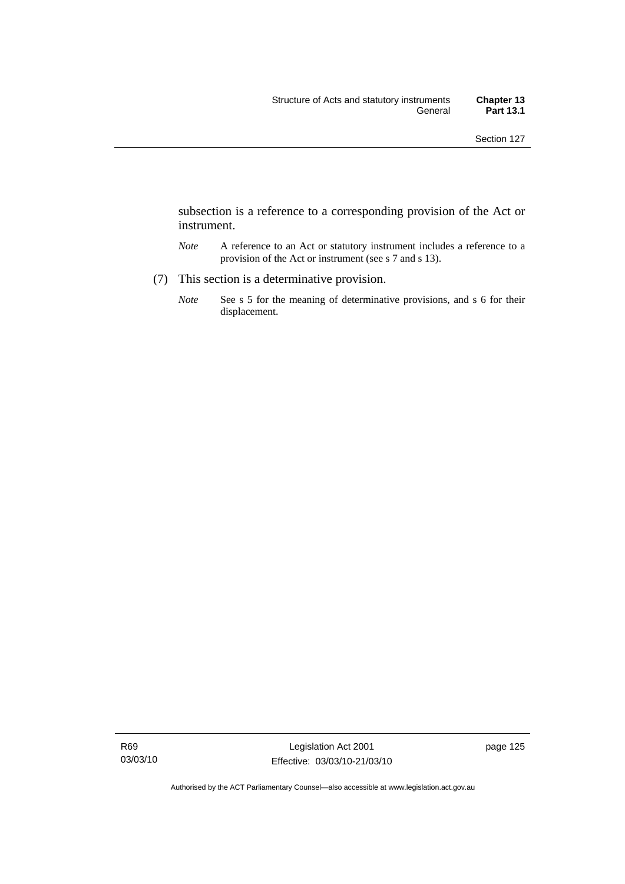subsection is a reference to a corresponding provision of the Act or instrument.

- *Note* A reference to an Act or statutory instrument includes a reference to a provision of the Act or instrument (see s 7 and s 13).
- (7) This section is a determinative provision.
	- *Note* See s 5 for the meaning of determinative provisions, and s 6 for their displacement.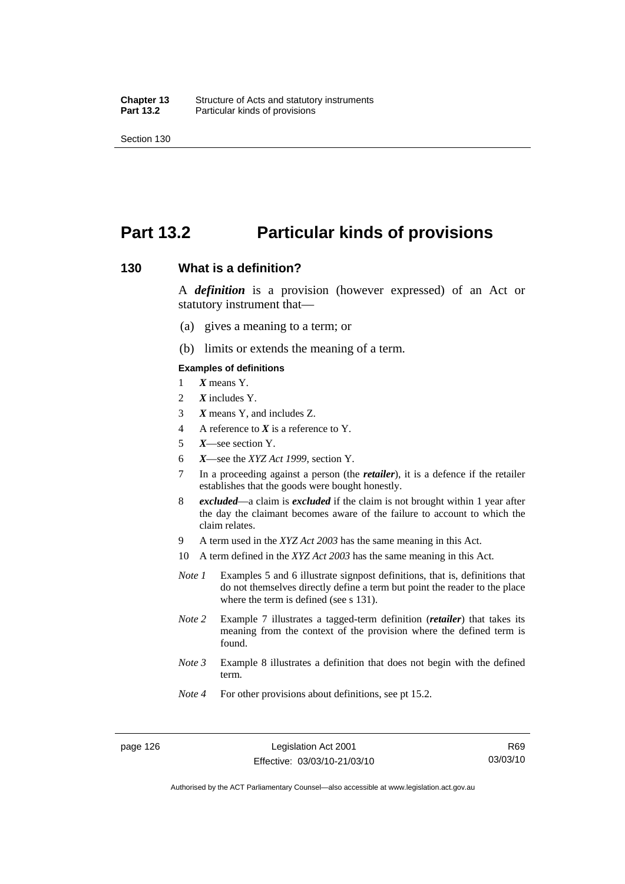## **Part 13.2 Particular kinds of provisions**

#### **130 What is a definition?**

A *definition* is a provision (however expressed) of an Act or statutory instrument that—

- (a) gives a meaning to a term; or
- (b) limits or extends the meaning of a term.

#### **Examples of definitions**

- 1 *X* means Y.
- 2 *X* includes Y.
- 3 *X* means Y, and includes Z.
- 4 A reference to *X* is a reference to Y.
- 5 *X*—see section Y.
- 6 *X*—see the *XYZ Act 1999*, section Y.
- 7 In a proceeding against a person (the *retailer*), it is a defence if the retailer establishes that the goods were bought honestly.
- 8 *excluded*—a claim is *excluded* if the claim is not brought within 1 year after the day the claimant becomes aware of the failure to account to which the claim relates.
- 9 A term used in the *XYZ Act 2003* has the same meaning in this Act.
- 10 A term defined in the *XYZ Act 2003* has the same meaning in this Act.
- *Note 1* Examples 5 and 6 illustrate signpost definitions, that is, definitions that do not themselves directly define a term but point the reader to the place where the term is defined (see s 131).
- *Note 2* Example 7 illustrates a tagged-term definition (*retailer*) that takes its meaning from the context of the provision where the defined term is found.
- *Note 3* Example 8 illustrates a definition that does not begin with the defined term.
- *Note 4* For other provisions about definitions, see pt 15.2.

Authorised by the ACT Parliamentary Counsel—also accessible at www.legislation.act.gov.au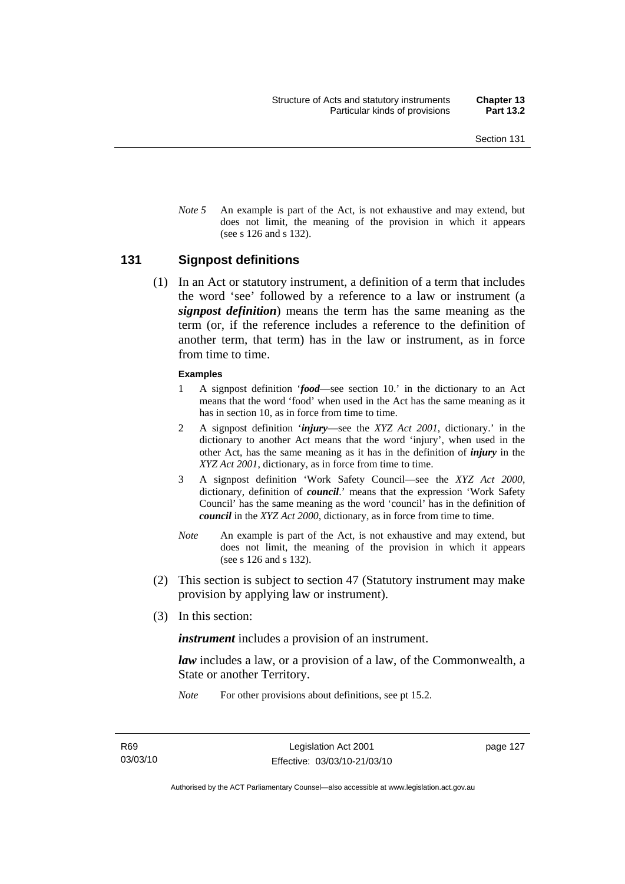*Note* 5 An example is part of the Act, is not exhaustive and may extend, but does not limit, the meaning of the provision in which it appears (see s 126 and s 132).

#### **131 Signpost definitions**

 (1) In an Act or statutory instrument, a definition of a term that includes the word 'see' followed by a reference to a law or instrument (a *signpost definition*) means the term has the same meaning as the term (or, if the reference includes a reference to the definition of another term, that term) has in the law or instrument, as in force from time to time.

#### **Examples**

- 1 A signpost definition '*food*—see section 10.' in the dictionary to an Act means that the word 'food' when used in the Act has the same meaning as it has in section 10, as in force from time to time.
- 2 A signpost definition '*injury*—see the *XYZ Act 2001*, dictionary.' in the dictionary to another Act means that the word 'injury', when used in the other Act, has the same meaning as it has in the definition of *injury* in the *XYZ Act 2001*, dictionary, as in force from time to time.
- 3 A signpost definition 'Work Safety Council—see the *XYZ Act 2000*, dictionary, definition of *council*.' means that the expression 'Work Safety Council' has the same meaning as the word 'council' has in the definition of *council* in the *XYZ Act 2000*, dictionary, as in force from time to time.
- *Note* An example is part of the Act, is not exhaustive and may extend, but does not limit, the meaning of the provision in which it appears (see s 126 and s 132).
- (2) This section is subject to section 47 (Statutory instrument may make provision by applying law or instrument).
- (3) In this section:

*instrument* includes a provision of an instrument.

*law* includes a law, or a provision of a law, of the Commonwealth, a State or another Territory.

*Note* For other provisions about definitions, see pt 15.2.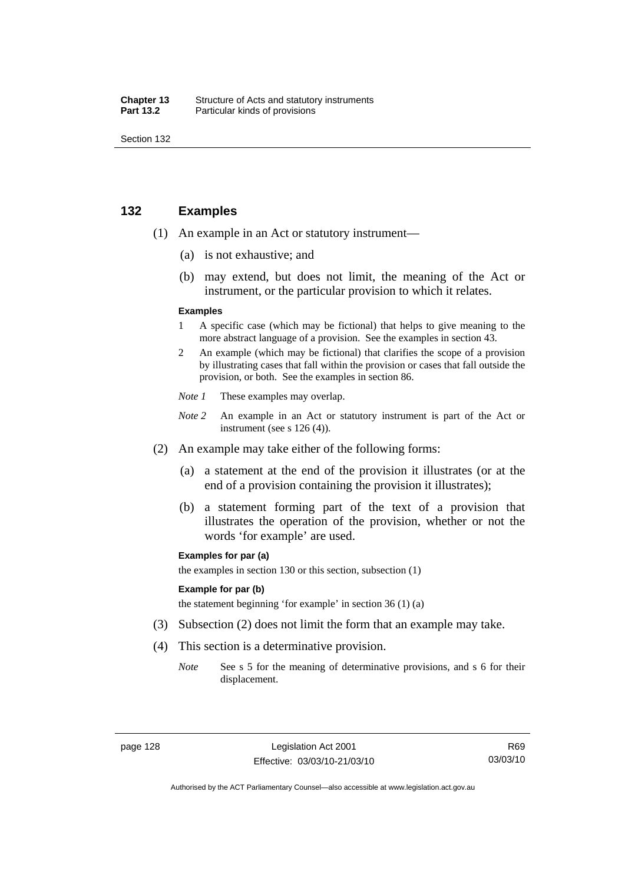| Chapter 13       | Structure of Acts and statutory instruments |
|------------------|---------------------------------------------|
| <b>Part 13.2</b> | Particular kinds of provisions              |

## **132 Examples**

- (1) An example in an Act or statutory instrument—
	- (a) is not exhaustive; and
	- (b) may extend, but does not limit, the meaning of the Act or instrument, or the particular provision to which it relates.

#### **Examples**

- 1 A specific case (which may be fictional) that helps to give meaning to the more abstract language of a provision. See the examples in section 43.
- 2 An example (which may be fictional) that clarifies the scope of a provision by illustrating cases that fall within the provision or cases that fall outside the provision, or both. See the examples in section 86.
- *Note 1* These examples may overlap.
- *Note* 2 An example in an Act or statutory instrument is part of the Act or instrument (see s 126 (4)).
- (2) An example may take either of the following forms:
	- (a) a statement at the end of the provision it illustrates (or at the end of a provision containing the provision it illustrates);
	- (b) a statement forming part of the text of a provision that illustrates the operation of the provision, whether or not the words 'for example' are used.

#### **Examples for par (a)**

the examples in section 130 or this section, subsection (1)

#### **Example for par (b)**

the statement beginning 'for example' in section 36 (1) (a)

- (3) Subsection (2) does not limit the form that an example may take.
- (4) This section is a determinative provision.
	- *Note* See s 5 for the meaning of determinative provisions, and s 6 for their displacement.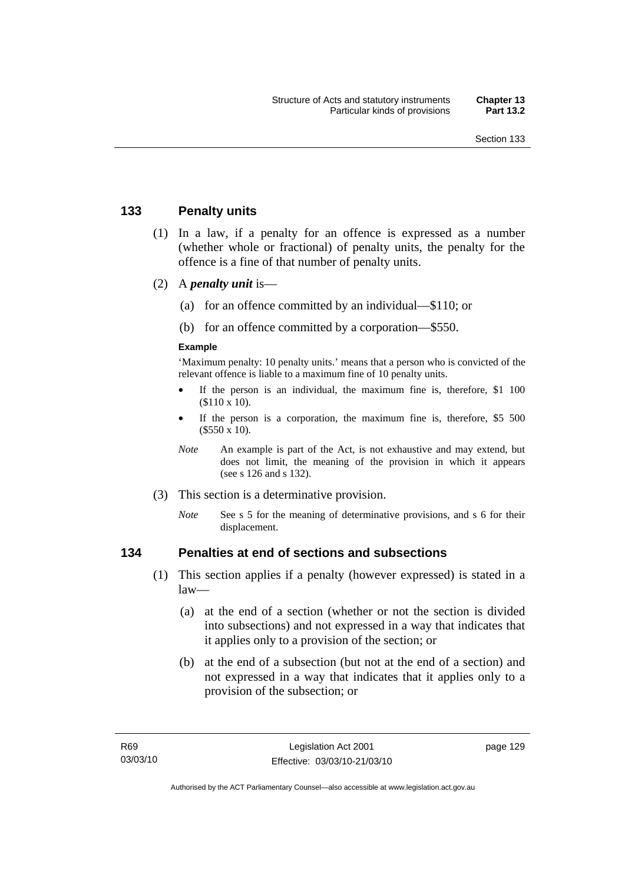## **133 Penalty units**

- (1) In a law, if a penalty for an offence is expressed as a number (whether whole or fractional) of penalty units, the penalty for the offence is a fine of that number of penalty units.
- (2) A *penalty unit* is—
	- (a) for an offence committed by an individual—\$110; or
	- (b) for an offence committed by a corporation—\$550.

#### **Example**

'Maximum penalty: 10 penalty units.' means that a person who is convicted of the relevant offence is liable to a maximum fine of 10 penalty units.

- If the person is an individual, the maximum fine is, therefore, \$1 100 (\$110 x 10).
- If the person is a corporation, the maximum fine is, therefore, \$5 500 (\$550 x 10).
- *Note* An example is part of the Act, is not exhaustive and may extend, but does not limit, the meaning of the provision in which it appears (see s 126 and s 132).
- (3) This section is a determinative provision.
	- *Note* See s 5 for the meaning of determinative provisions, and s 6 for their displacement.

## **134 Penalties at end of sections and subsections**

- (1) This section applies if a penalty (however expressed) is stated in a law—
	- (a) at the end of a section (whether or not the section is divided into subsections) and not expressed in a way that indicates that it applies only to a provision of the section; or
	- (b) at the end of a subsection (but not at the end of a section) and not expressed in a way that indicates that it applies only to a provision of the subsection; or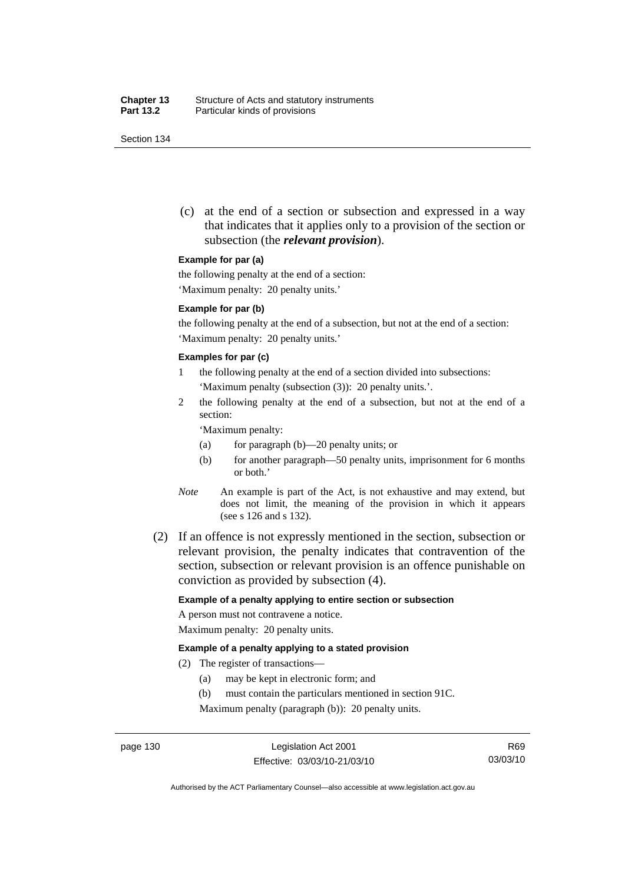(c) at the end of a section or subsection and expressed in a way that indicates that it applies only to a provision of the section or subsection (the *relevant provision*).

#### **Example for par (a)**

the following penalty at the end of a section:

'Maximum penalty: 20 penalty units.'

#### **Example for par (b)**

the following penalty at the end of a subsection, but not at the end of a section: 'Maximum penalty: 20 penalty units.'

#### **Examples for par (c)**

- 1 the following penalty at the end of a section divided into subsections: 'Maximum penalty (subsection (3)): 20 penalty units.'.
- 2 the following penalty at the end of a subsection, but not at the end of a section:

'Maximum penalty:

- (a) for paragraph (b)—20 penalty units; or
- (b) for another paragraph—50 penalty units, imprisonment for 6 months or both.'
- *Note* An example is part of the Act, is not exhaustive and may extend, but does not limit, the meaning of the provision in which it appears (see s 126 and s 132).
- (2) If an offence is not expressly mentioned in the section, subsection or relevant provision, the penalty indicates that contravention of the section, subsection or relevant provision is an offence punishable on conviction as provided by subsection (4).

#### **Example of a penalty applying to entire section or subsection**

A person must not contravene a notice. Maximum penalty: 20 penalty units.

#### **Example of a penalty applying to a stated provision**

- (2) The register of transactions—
	- (a) may be kept in electronic form; and
	- (b) must contain the particulars mentioned in section 91C.

Maximum penalty (paragraph (b)): 20 penalty units.

Authorised by the ACT Parliamentary Counsel—also accessible at www.legislation.act.gov.au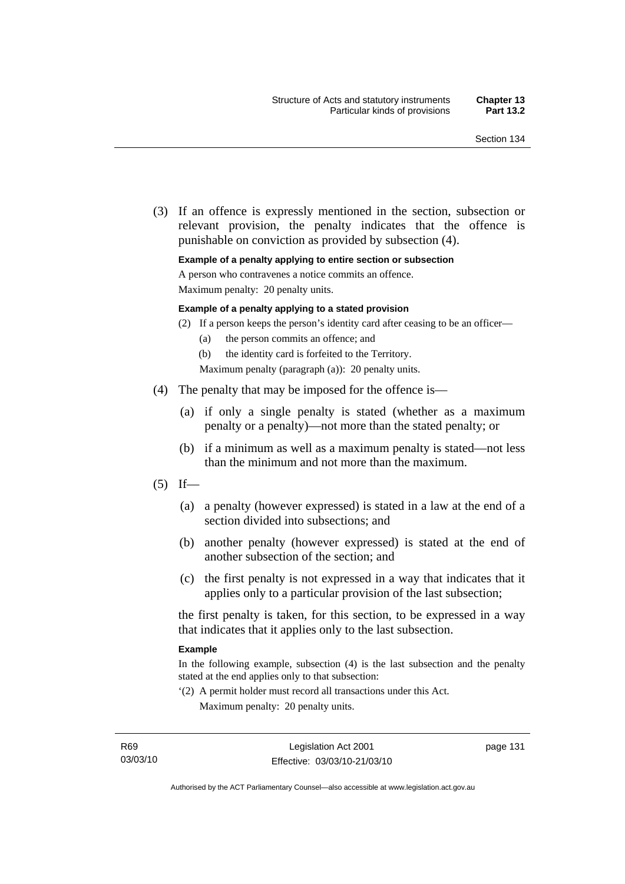(3) If an offence is expressly mentioned in the section, subsection or relevant provision, the penalty indicates that the offence is punishable on conviction as provided by subsection (4).

#### **Example of a penalty applying to entire section or subsection**

A person who contravenes a notice commits an offence.

Maximum penalty: 20 penalty units.

#### **Example of a penalty applying to a stated provision**

- (2) If a person keeps the person's identity card after ceasing to be an officer—
	- (a) the person commits an offence; and
	- (b) the identity card is forfeited to the Territory.

Maximum penalty (paragraph (a)): 20 penalty units.

- (4) The penalty that may be imposed for the offence is—
	- (a) if only a single penalty is stated (whether as a maximum penalty or a penalty)—not more than the stated penalty; or
	- (b) if a minimum as well as a maximum penalty is stated—not less than the minimum and not more than the maximum.
- $(5)$  If—
	- (a) a penalty (however expressed) is stated in a law at the end of a section divided into subsections; and
	- (b) another penalty (however expressed) is stated at the end of another subsection of the section; and
	- (c) the first penalty is not expressed in a way that indicates that it applies only to a particular provision of the last subsection;

the first penalty is taken, for this section, to be expressed in a way that indicates that it applies only to the last subsection.

#### **Example**

In the following example, subsection (4) is the last subsection and the penalty stated at the end applies only to that subsection:

'(2) A permit holder must record all transactions under this Act. Maximum penalty: 20 penalty units.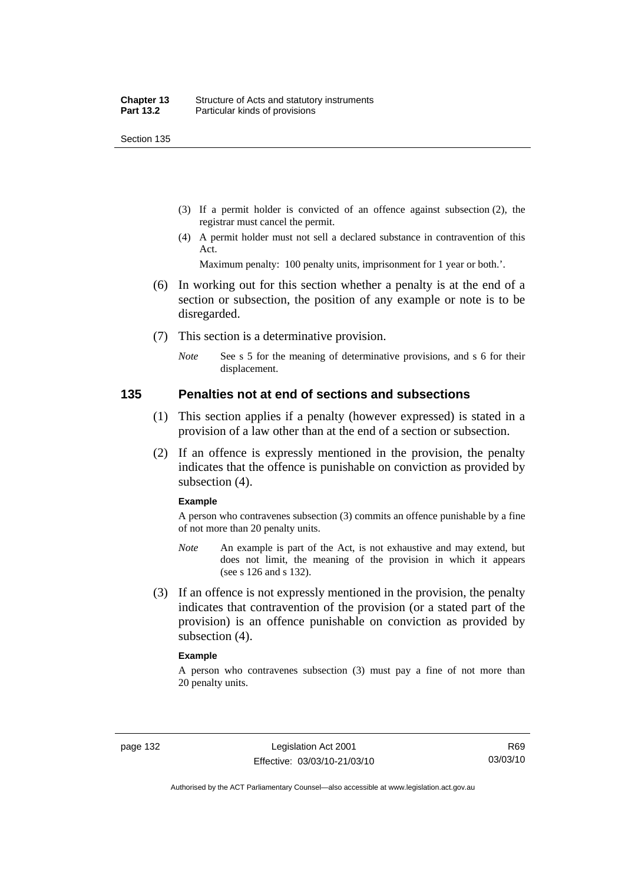- (3) If a permit holder is convicted of an offence against subsection (2), the registrar must cancel the permit.
- (4) A permit holder must not sell a declared substance in contravention of this Act.

Maximum penalty: 100 penalty units, imprisonment for 1 year or both.'.

- (6) In working out for this section whether a penalty is at the end of a section or subsection, the position of any example or note is to be disregarded.
- (7) This section is a determinative provision.
	- *Note* See s 5 for the meaning of determinative provisions, and s 6 for their displacement.

#### **135 Penalties not at end of sections and subsections**

- (1) This section applies if a penalty (however expressed) is stated in a provision of a law other than at the end of a section or subsection.
- (2) If an offence is expressly mentioned in the provision, the penalty indicates that the offence is punishable on conviction as provided by subsection (4).

#### **Example**

A person who contravenes subsection (3) commits an offence punishable by a fine of not more than 20 penalty units.

- *Note* An example is part of the Act, is not exhaustive and may extend, but does not limit, the meaning of the provision in which it appears (see s 126 and s 132).
- (3) If an offence is not expressly mentioned in the provision, the penalty indicates that contravention of the provision (or a stated part of the provision) is an offence punishable on conviction as provided by subsection (4).

#### **Example**

A person who contravenes subsection (3) must pay a fine of not more than 20 penalty units.

Authorised by the ACT Parliamentary Counsel—also accessible at www.legislation.act.gov.au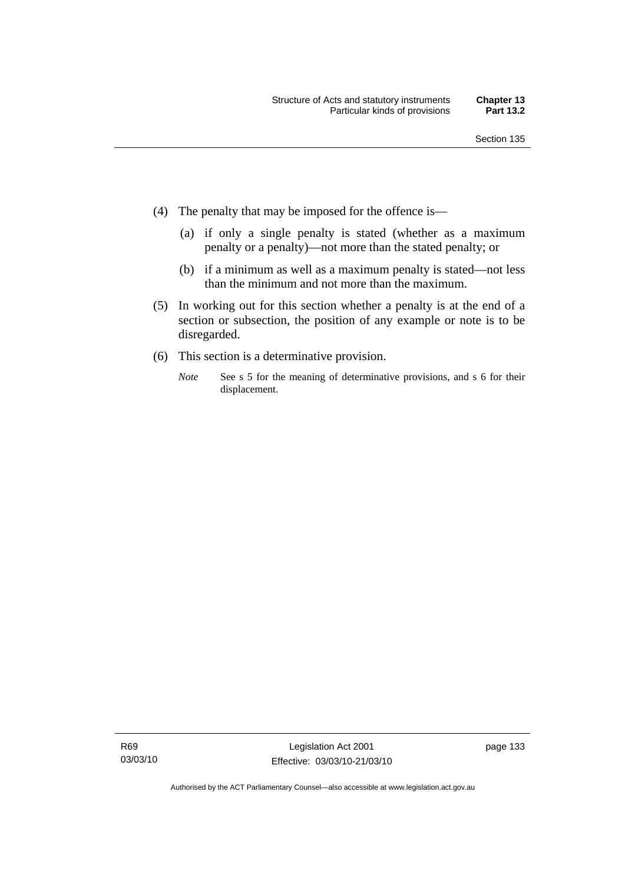- (4) The penalty that may be imposed for the offence is—
	- (a) if only a single penalty is stated (whether as a maximum penalty or a penalty)—not more than the stated penalty; or
	- (b) if a minimum as well as a maximum penalty is stated—not less than the minimum and not more than the maximum.
- (5) In working out for this section whether a penalty is at the end of a section or subsection, the position of any example or note is to be disregarded.
- (6) This section is a determinative provision.
	- *Note* See s 5 for the meaning of determinative provisions, and s 6 for their displacement.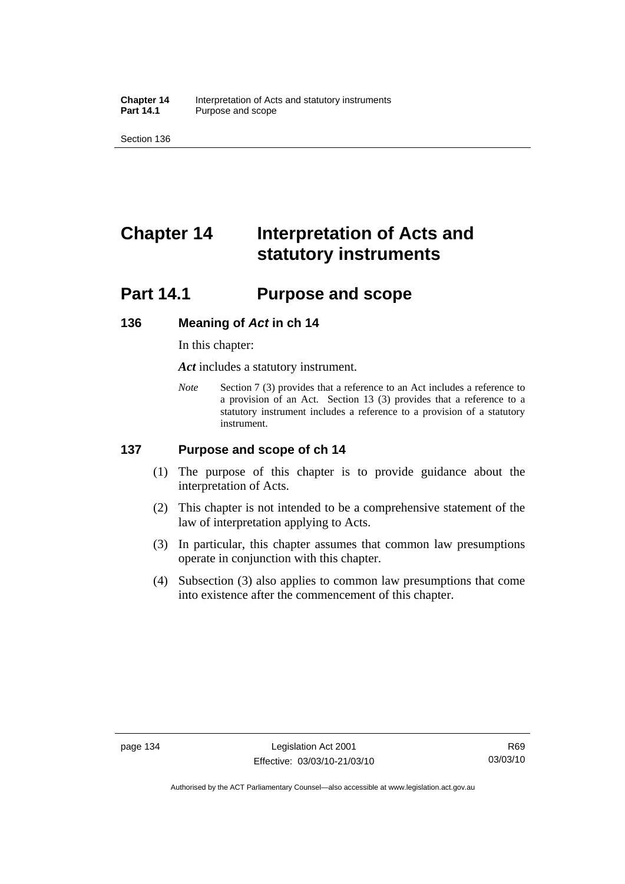**Chapter 14** Interpretation of Acts and statutory instruments<br>**Part 14.1** Purpose and scope Purpose and scope

Section 136

# **Chapter 14 Interpretation of Acts and statutory instruments**

## **Part 14.1 Purpose and scope**

#### **136 Meaning of** *Act* **in ch 14**

In this chapter:

*Act* includes a statutory instrument.

*Note* Section 7 (3) provides that a reference to an Act includes a reference to a provision of an Act. Section 13 (3) provides that a reference to a statutory instrument includes a reference to a provision of a statutory instrument.

## **137 Purpose and scope of ch 14**

- (1) The purpose of this chapter is to provide guidance about the interpretation of Acts.
- (2) This chapter is not intended to be a comprehensive statement of the law of interpretation applying to Acts.
- (3) In particular, this chapter assumes that common law presumptions operate in conjunction with this chapter.
- (4) Subsection (3) also applies to common law presumptions that come into existence after the commencement of this chapter.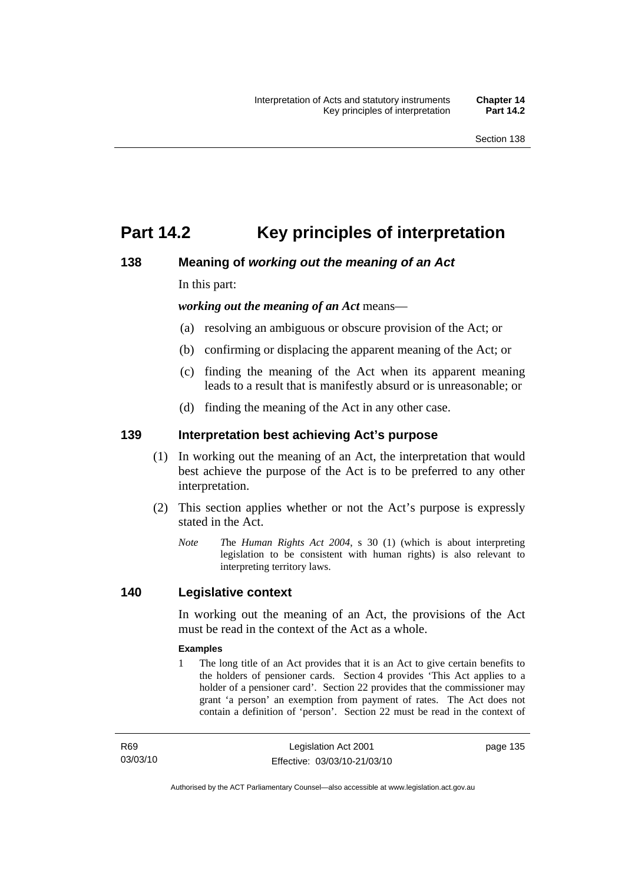## **Part 14.2 Key principles of interpretation**

## **138 Meaning of** *working out the meaning of an Act*

In this part:

*working out the meaning of an Act* means—

- (a) resolving an ambiguous or obscure provision of the Act; or
- (b) confirming or displacing the apparent meaning of the Act; or
- (c) finding the meaning of the Act when its apparent meaning leads to a result that is manifestly absurd or is unreasonable; or
- (d) finding the meaning of the Act in any other case.

## **139 Interpretation best achieving Act's purpose**

- (1) In working out the meaning of an Act, the interpretation that would best achieve the purpose of the Act is to be preferred to any other interpretation.
- (2) This section applies whether or not the Act's purpose is expressly stated in the Act.
	- *Note T*he *Human Rights Act 2004*, s 30 (1) (which is about interpreting legislation to be consistent with human rights) is also relevant to interpreting territory laws.

## **140 Legislative context**

In working out the meaning of an Act, the provisions of the Act must be read in the context of the Act as a whole.

#### **Examples**

1 The long title of an Act provides that it is an Act to give certain benefits to the holders of pensioner cards. Section 4 provides 'This Act applies to a holder of a pensioner card'. Section 22 provides that the commissioner may grant 'a person' an exemption from payment of rates. The Act does not contain a definition of 'person'. Section 22 must be read in the context of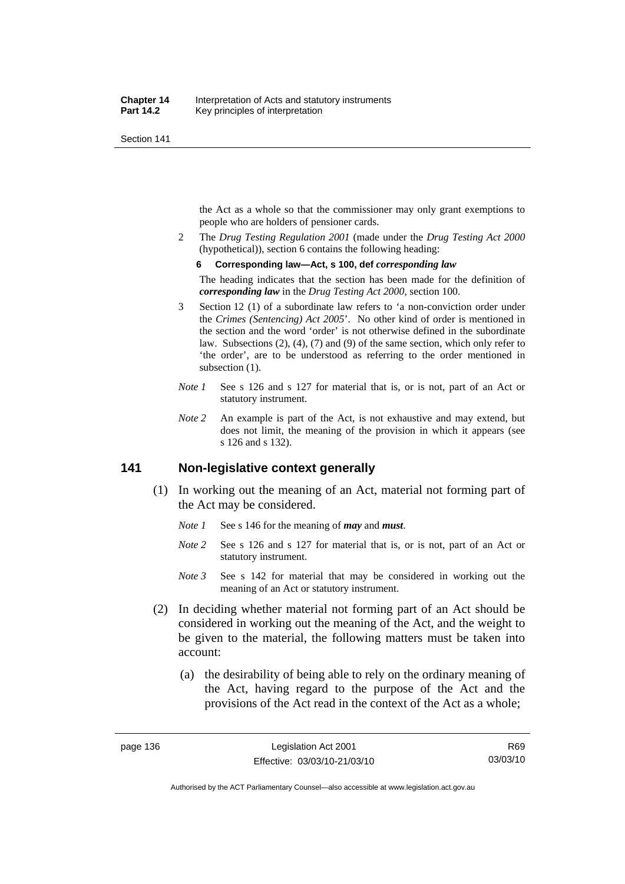the Act as a whole so that the commissioner may only grant exemptions to people who are holders of pensioner cards.

2 The *Drug Testing Regulation 2001* (made under the *Drug Testing Act 2000* (hypothetical)), section 6 contains the following heading:

#### **6 Corresponding law—Act, s 100, def** *corresponding law*

The heading indicates that the section has been made for the definition of *corresponding law* in the *Drug Testing Act 2000*, section 100.

- 3 Section 12 (1) of a subordinate law refers to 'a non-conviction order under the *Crimes (Sentencing) Act 2005*'. No other kind of order is mentioned in the section and the word 'order' is not otherwise defined in the subordinate law. Subsections (2), (4), (7) and (9) of the same section, which only refer to 'the order', are to be understood as referring to the order mentioned in subsection  $(1)$ .
- *Note 1* See s 126 and s 127 for material that is, or is not, part of an Act or statutory instrument.
- *Note 2* An example is part of the Act, is not exhaustive and may extend, but does not limit, the meaning of the provision in which it appears (see s 126 and s 132).

## **141 Non-legislative context generally**

- (1) In working out the meaning of an Act, material not forming part of the Act may be considered.
	- *Note 1* See s 146 for the meaning of *may* and *must*.
	- *Note* 2 See s 126 and s 127 for material that is, or is not, part of an Act or statutory instrument.
	- *Note 3* See s 142 for material that may be considered in working out the meaning of an Act or statutory instrument.
- (2) In deciding whether material not forming part of an Act should be considered in working out the meaning of the Act, and the weight to be given to the material, the following matters must be taken into account:
	- (a) the desirability of being able to rely on the ordinary meaning of the Act, having regard to the purpose of the Act and the provisions of the Act read in the context of the Act as a whole;

R69 03/03/10

Authorised by the ACT Parliamentary Counsel—also accessible at www.legislation.act.gov.au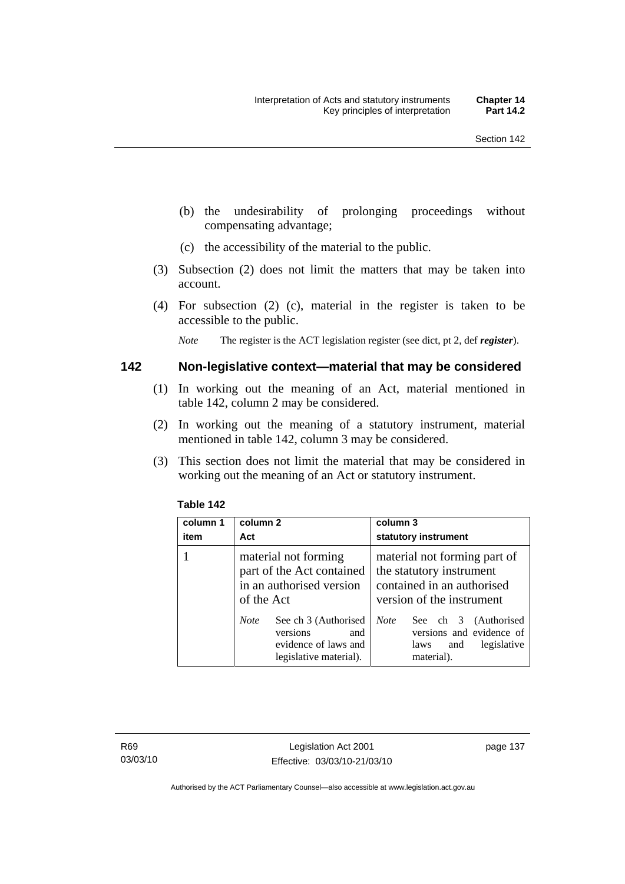- (b) the undesirability of prolonging proceedings without compensating advantage;
- (c) the accessibility of the material to the public.
- (3) Subsection (2) does not limit the matters that may be taken into account.
- (4) For subsection (2) (c), material in the register is taken to be accessible to the public.

*Note* The register is the ACT legislation register (see dict, pt 2, def *register*).

#### **142 Non-legislative context—material that may be considered**

- (1) In working out the meaning of an Act, material mentioned in table 142, column 2 may be considered.
- (2) In working out the meaning of a statutory instrument, material mentioned in table 142, column 3 may be considered.
- (3) This section does not limit the material that may be considered in working out the meaning of an Act or statutory instrument.

| column 1<br>item | column 2<br>Act                                                                                          | column 3<br>statutory instrument                                                                                    |
|------------------|----------------------------------------------------------------------------------------------------------|---------------------------------------------------------------------------------------------------------------------|
|                  | material not forming<br>part of the Act contained<br>in an authorised version<br>of the Act              | material not forming part of<br>the statutory instrument<br>contained in an authorised<br>version of the instrument |
|                  | See ch 3 (Authorised<br><b>Note</b><br>versions<br>and<br>evidence of laws and<br>legislative material). | <b>Note</b><br>See ch 3 (Authorised<br>versions and evidence of<br>legislative<br>laws<br>and<br>material).         |

#### **Table 142**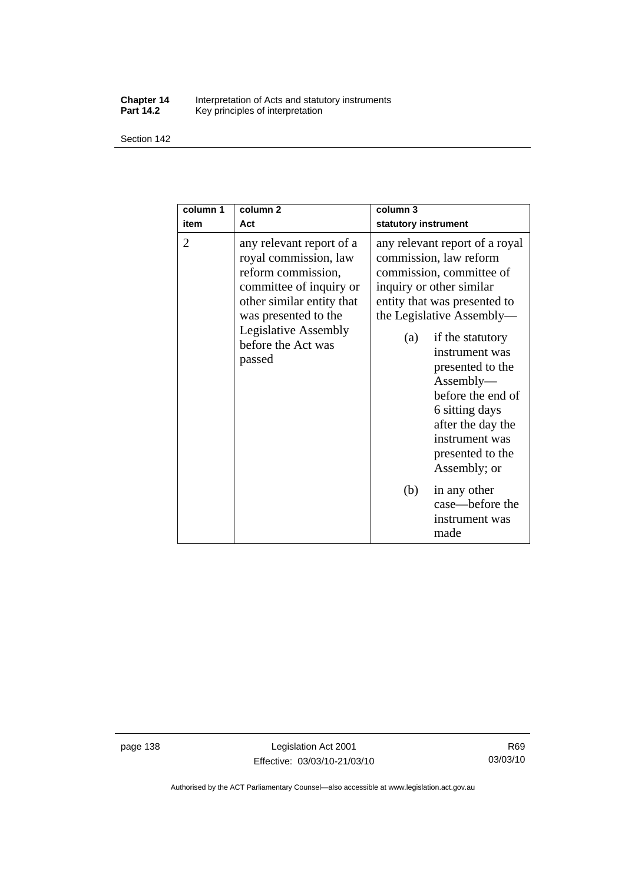#### **Chapter 14** Interpretation of Acts and statutory instruments **Part 14.2** Key principles of interpretation

Section 142

| column 1<br>item | column <sub>2</sub><br>Act                                                                                                                                                                                             | column 3<br>statutory instrument                                                                                                                                                                                                                                                                                                                                              |
|------------------|------------------------------------------------------------------------------------------------------------------------------------------------------------------------------------------------------------------------|-------------------------------------------------------------------------------------------------------------------------------------------------------------------------------------------------------------------------------------------------------------------------------------------------------------------------------------------------------------------------------|
| 2                | any relevant report of a<br>royal commission, law<br>reform commission,<br>committee of inquiry or<br>other similar entity that<br>was presented to the<br><b>Legislative Assembly</b><br>before the Act was<br>passed | any relevant report of a royal<br>commission, law reform<br>commission, committee of<br>inquiry or other similar<br>entity that was presented to<br>the Legislative Assembly—<br>if the statutory<br>(a)<br>instrument was<br>presented to the<br>Assently—<br>before the end of<br>6 sitting days<br>after the day the<br>instrument was<br>presented to the<br>Assembly; or |
|                  |                                                                                                                                                                                                                        | (b)<br>in any other<br>case—before the<br>instrument was<br>made                                                                                                                                                                                                                                                                                                              |

page 138 Legislation Act 2001 Effective: 03/03/10-21/03/10

Authorised by the ACT Parliamentary Counsel—also accessible at www.legislation.act.gov.au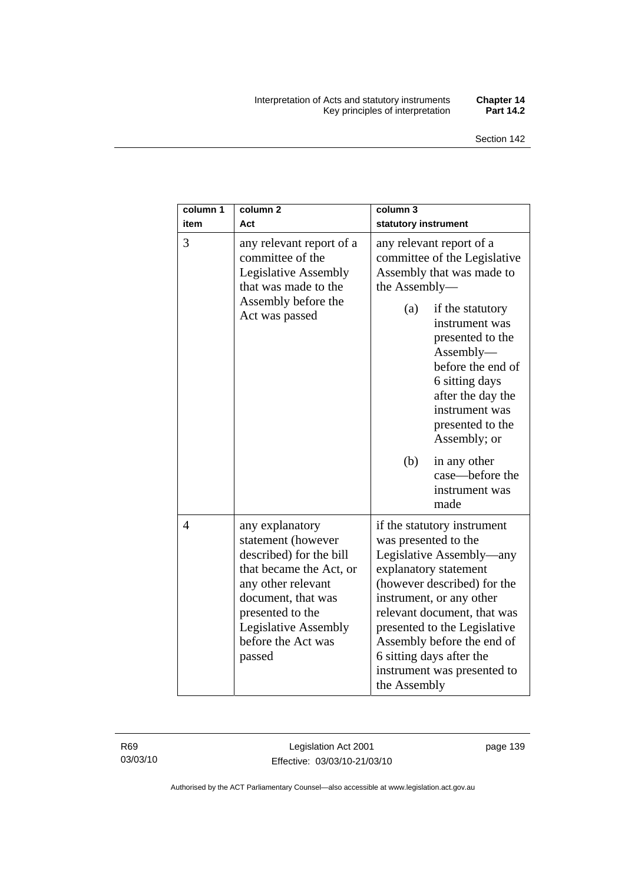#### Interpretation of Acts and statutory instruments **Chapter 14**  Key principles of interpretation **Part 14.2**

| column 1<br>item | column <sub>2</sub><br>Act                                                                                                                                                                                                 | column 3<br>statutory instrument                                                                                                                                                                                                                                                                                                            |
|------------------|----------------------------------------------------------------------------------------------------------------------------------------------------------------------------------------------------------------------------|---------------------------------------------------------------------------------------------------------------------------------------------------------------------------------------------------------------------------------------------------------------------------------------------------------------------------------------------|
| 3                | any relevant report of a<br>committee of the<br><b>Legislative Assembly</b><br>that was made to the<br>Assembly before the<br>Act was passed                                                                               | any relevant report of a<br>committee of the Legislative<br>Assembly that was made to<br>the Assembly-<br>(a)<br>if the statutory<br>instrument was<br>presented to the<br>$\text{Assembly}\text{---}$<br>before the end of<br>6 sitting days<br>after the day the<br>instrument was<br>presented to the<br>Assembly; or                    |
|                  |                                                                                                                                                                                                                            | (b)<br>in any other<br>case—before the<br>instrument was<br>made                                                                                                                                                                                                                                                                            |
| 4                | any explanatory<br>statement (however<br>described) for the bill<br>that became the Act, or<br>any other relevant<br>document, that was<br>presented to the<br><b>Legislative Assembly</b><br>before the Act was<br>passed | if the statutory instrument<br>was presented to the<br>Legislative Assembly—any<br>explanatory statement<br>(however described) for the<br>instrument, or any other<br>relevant document, that was<br>presented to the Legislative<br>Assembly before the end of<br>6 sitting days after the<br>instrument was presented to<br>the Assembly |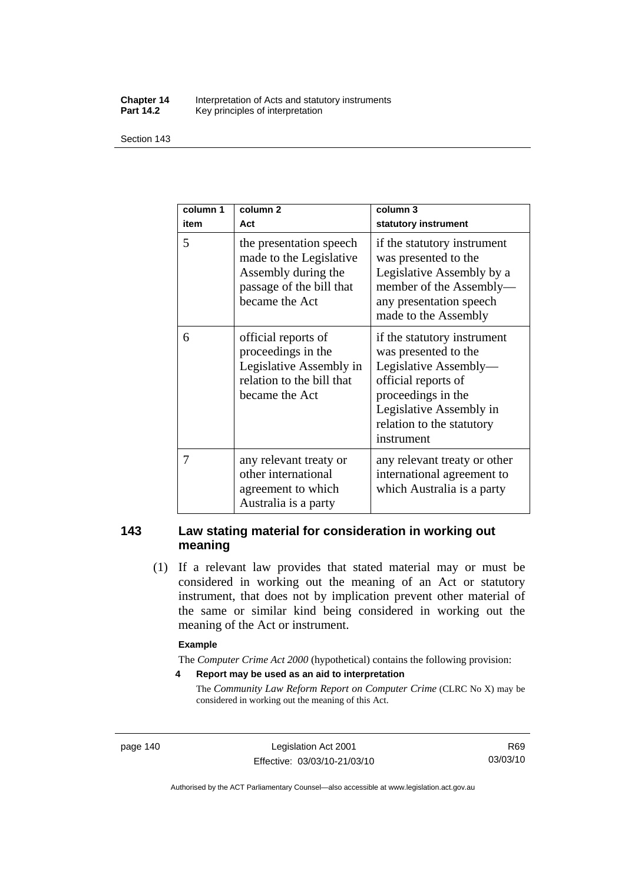#### **Chapter 14** Interpretation of Acts and statutory instruments<br>**Part 14.2** Key principles of interpretation Key principles of interpretation

Section 143

| column 1<br>item | column <sub>2</sub><br>Act                                                                                              | column 3<br>statutory instrument                                                                                                                                                                |
|------------------|-------------------------------------------------------------------------------------------------------------------------|-------------------------------------------------------------------------------------------------------------------------------------------------------------------------------------------------|
| 5                | the presentation speech<br>made to the Legislative<br>Assembly during the<br>passage of the bill that<br>became the Act | if the statutory instrument<br>was presented to the<br>Legislative Assembly by a<br>member of the Assembly-<br>any presentation speech<br>made to the Assembly                                  |
| 6                | official reports of<br>proceedings in the<br>Legislative Assembly in<br>relation to the bill that<br>became the Act     | if the statutory instrument<br>was presented to the<br>Legislative Assembly-<br>official reports of<br>proceedings in the<br>Legislative Assembly in<br>relation to the statutory<br>instrument |
| 7                | any relevant treaty or<br>other international<br>agreement to which<br>Australia is a party                             | any relevant treaty or other<br>international agreement to<br>which Australia is a party                                                                                                        |

## **143 Law stating material for consideration in working out meaning**

 (1) If a relevant law provides that stated material may or must be considered in working out the meaning of an Act or statutory instrument, that does not by implication prevent other material of the same or similar kind being considered in working out the meaning of the Act or instrument.

#### **Example**

The *Computer Crime Act 2000* (hypothetical) contains the following provision:

**4 Report may be used as an aid to interpretation** 

The *Community Law Reform Report on Computer Crime* (CLRC No X) may be considered in working out the meaning of this Act.

page 140 Legislation Act 2001 Effective: 03/03/10-21/03/10

R69 03/03/10

Authorised by the ACT Parliamentary Counsel—also accessible at www.legislation.act.gov.au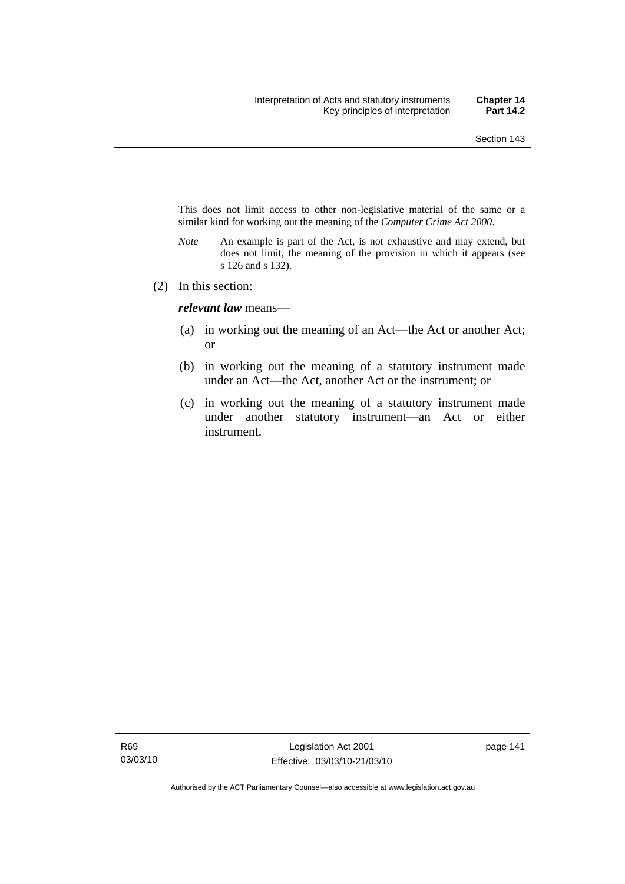This does not limit access to other non-legislative material of the same or a similar kind for working out the meaning of the *Computer Crime Act 2000*.

- *Note* An example is part of the Act, is not exhaustive and may extend, but does not limit, the meaning of the provision in which it appears (see s 126 and s 132).
- (2) In this section:

*relevant law* means—

- (a) in working out the meaning of an Act—the Act or another Act; or
- (b) in working out the meaning of a statutory instrument made under an Act—the Act, another Act or the instrument; or
- (c) in working out the meaning of a statutory instrument made under another statutory instrument—an Act or either instrument.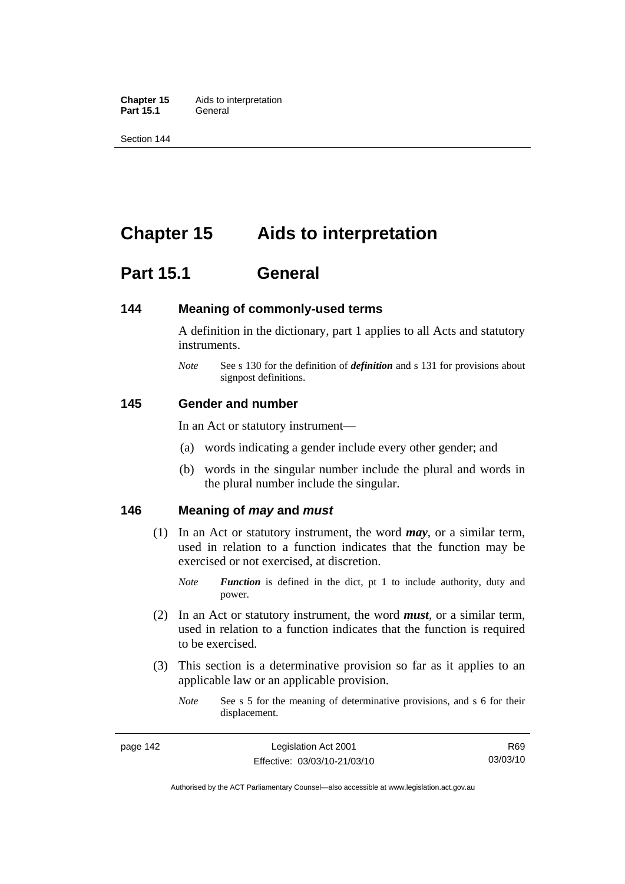**Chapter 15** Aids to interpretation Part 15.1 **General** 

Section 144

## **Chapter 15 Aids to interpretation**

## **Part 15.1 General**

#### **144 Meaning of commonly-used terms**

A definition in the dictionary, part 1 applies to all Acts and statutory instruments.

*Note* See s 130 for the definition of *definition* and s 131 for provisions about signpost definitions.

#### **145 Gender and number**

In an Act or statutory instrument—

- (a) words indicating a gender include every other gender; and
- (b) words in the singular number include the plural and words in the plural number include the singular.

## **146 Meaning of** *may* **and** *must*

- (1) In an Act or statutory instrument, the word *may*, or a similar term, used in relation to a function indicates that the function may be exercised or not exercised, at discretion.
	- *Note Function* is defined in the dict, pt 1 to include authority, duty and power.
- (2) In an Act or statutory instrument, the word *must*, or a similar term, used in relation to a function indicates that the function is required to be exercised.
- (3) This section is a determinative provision so far as it applies to an applicable law or an applicable provision.
	- *Note* See s 5 for the meaning of determinative provisions, and s 6 for their displacement.

Authorised by the ACT Parliamentary Counsel—also accessible at www.legislation.act.gov.au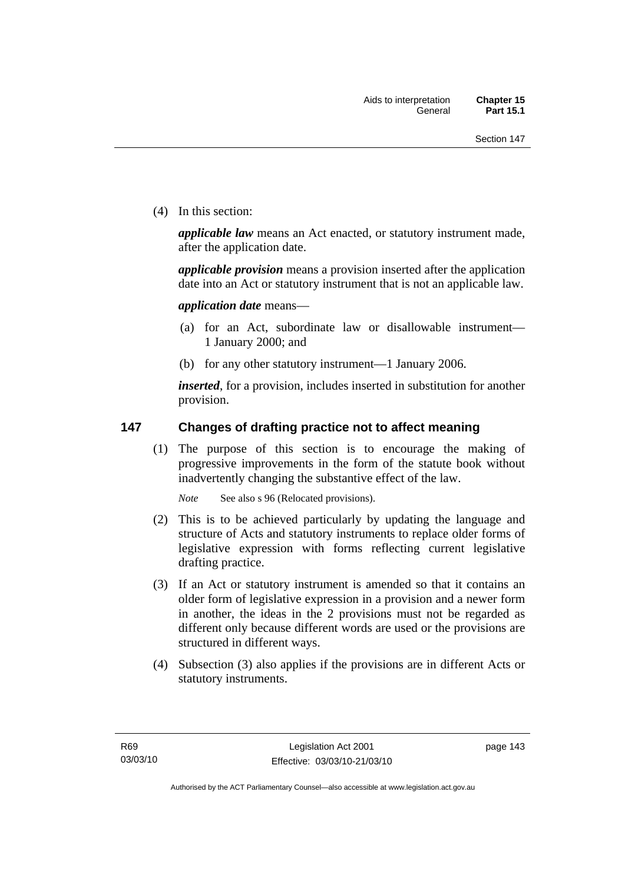(4) In this section:

*applicable law* means an Act enacted, or statutory instrument made, after the application date.

*applicable provision* means a provision inserted after the application date into an Act or statutory instrument that is not an applicable law.

*application date* means—

- (a) for an Act, subordinate law or disallowable instrument— 1 January 2000; and
- (b) for any other statutory instrument—1 January 2006.

*inserted*, for a provision, includes inserted in substitution for another provision.

## **147 Changes of drafting practice not to affect meaning**

 (1) The purpose of this section is to encourage the making of progressive improvements in the form of the statute book without inadvertently changing the substantive effect of the law.

*Note* See also s 96 (Relocated provisions).

- (2) This is to be achieved particularly by updating the language and structure of Acts and statutory instruments to replace older forms of legislative expression with forms reflecting current legislative drafting practice.
- (3) If an Act or statutory instrument is amended so that it contains an older form of legislative expression in a provision and a newer form in another, the ideas in the 2 provisions must not be regarded as different only because different words are used or the provisions are structured in different ways.
- (4) Subsection (3) also applies if the provisions are in different Acts or statutory instruments.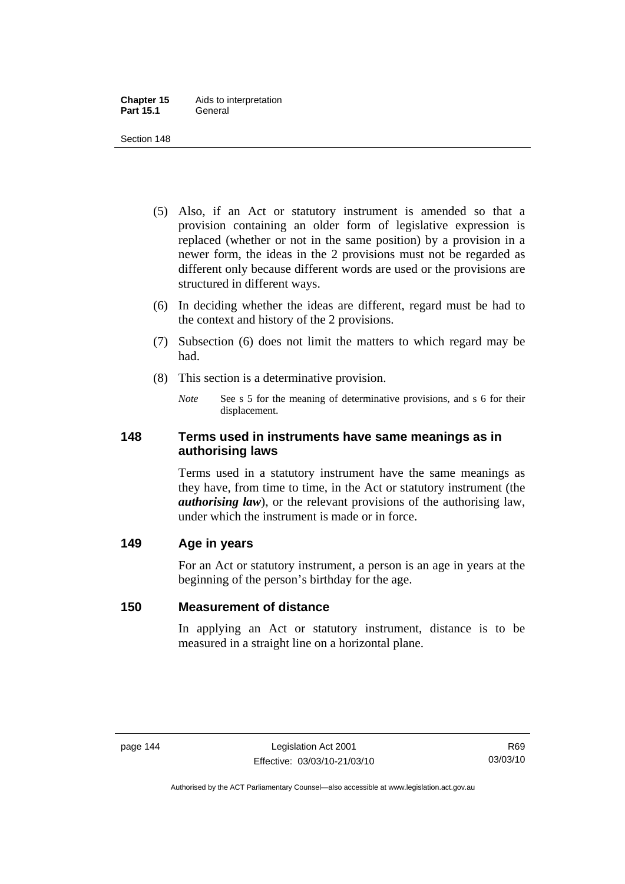- (5) Also, if an Act or statutory instrument is amended so that a provision containing an older form of legislative expression is replaced (whether or not in the same position) by a provision in a newer form, the ideas in the 2 provisions must not be regarded as different only because different words are used or the provisions are structured in different ways.
- (6) In deciding whether the ideas are different, regard must be had to the context and history of the 2 provisions.
- (7) Subsection (6) does not limit the matters to which regard may be had.
- (8) This section is a determinative provision.
	- *Note* See s 5 for the meaning of determinative provisions, and s 6 for their displacement.

## **148 Terms used in instruments have same meanings as in authorising laws**

Terms used in a statutory instrument have the same meanings as they have, from time to time, in the Act or statutory instrument (the *authorising law*), or the relevant provisions of the authorising law, under which the instrument is made or in force.

## **149 Age in years**

For an Act or statutory instrument, a person is an age in years at the beginning of the person's birthday for the age.

## **150 Measurement of distance**

In applying an Act or statutory instrument, distance is to be measured in a straight line on a horizontal plane.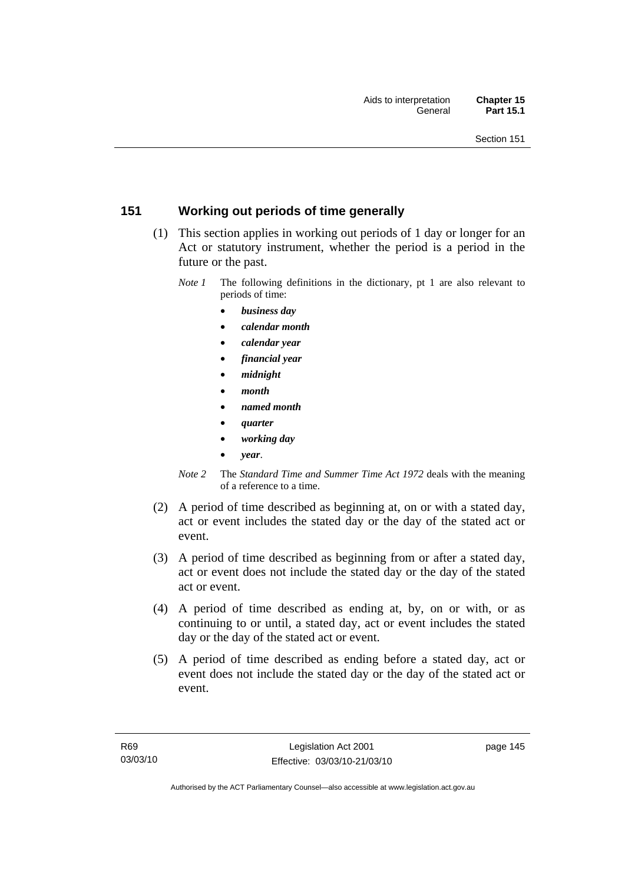## **151 Working out periods of time generally**

- (1) This section applies in working out periods of 1 day or longer for an Act or statutory instrument, whether the period is a period in the future or the past.
	- *Note 1* The following definitions in the dictionary, pt 1 are also relevant to periods of time:
		- *business day*
		- *calendar month*
		- *calendar year*
		- *financial year*
		- *midnight*
		- *month*
		- *named month*
		- *quarter*
		- *working day*
		- *year*.
	- *Note 2* The *Standard Time and Summer Time Act 1972* deals with the meaning of a reference to a time.
- (2) A period of time described as beginning at, on or with a stated day, act or event includes the stated day or the day of the stated act or event.
- (3) A period of time described as beginning from or after a stated day, act or event does not include the stated day or the day of the stated act or event.
- (4) A period of time described as ending at, by, on or with, or as continuing to or until, a stated day, act or event includes the stated day or the day of the stated act or event.
- (5) A period of time described as ending before a stated day, act or event does not include the stated day or the day of the stated act or event.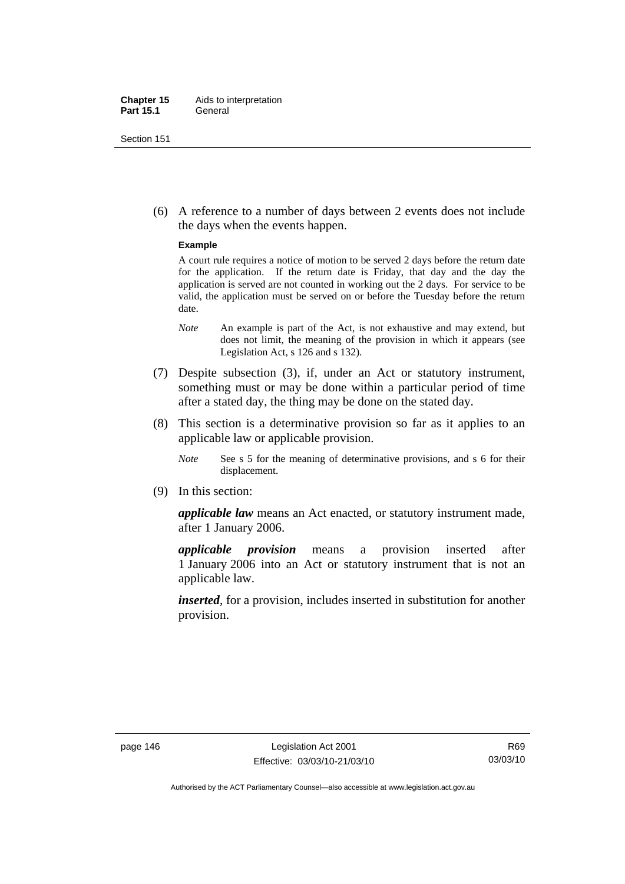#### **Chapter 15** Aids to interpretation **Part 15.1** General

Section 151

 (6) A reference to a number of days between 2 events does not include the days when the events happen.

#### **Example**

A court rule requires a notice of motion to be served 2 days before the return date for the application. If the return date is Friday, that day and the day the application is served are not counted in working out the 2 days. For service to be valid, the application must be served on or before the Tuesday before the return date.

- *Note* An example is part of the Act, is not exhaustive and may extend, but does not limit, the meaning of the provision in which it appears (see Legislation Act, s 126 and s 132).
- (7) Despite subsection (3), if, under an Act or statutory instrument, something must or may be done within a particular period of time after a stated day, the thing may be done on the stated day.
- (8) This section is a determinative provision so far as it applies to an applicable law or applicable provision.
	- *Note* See s 5 for the meaning of determinative provisions, and s 6 for their displacement.
- (9) In this section:

*applicable law* means an Act enacted, or statutory instrument made, after 1 January 2006.

*applicable provision* means a provision inserted after 1 January 2006 into an Act or statutory instrument that is not an applicable law.

*inserted*, for a provision, includes inserted in substitution for another provision.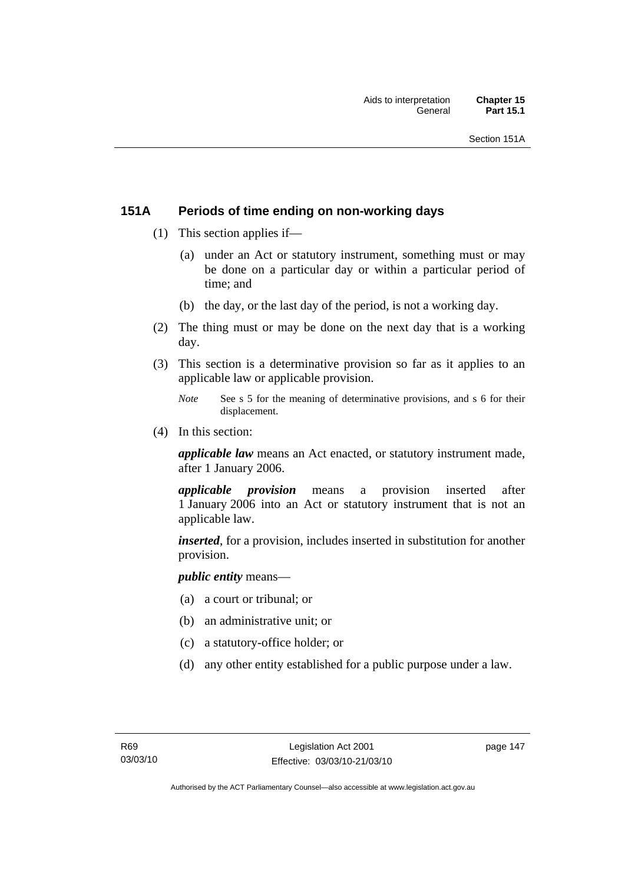## **151A Periods of time ending on non-working days**

- (1) This section applies if—
	- (a) under an Act or statutory instrument, something must or may be done on a particular day or within a particular period of time; and
	- (b) the day, or the last day of the period, is not a working day.
- (2) The thing must or may be done on the next day that is a working day.
- (3) This section is a determinative provision so far as it applies to an applicable law or applicable provision.
	- *Note* See s 5 for the meaning of determinative provisions, and s 6 for their displacement.
- (4) In this section:

*applicable law* means an Act enacted, or statutory instrument made, after 1 January 2006.

*applicable provision* means a provision inserted after 1 January 2006 into an Act or statutory instrument that is not an applicable law.

*inserted*, for a provision, includes inserted in substitution for another provision.

*public entity* means—

- (a) a court or tribunal; or
- (b) an administrative unit; or
- (c) a statutory-office holder; or
- (d) any other entity established for a public purpose under a law.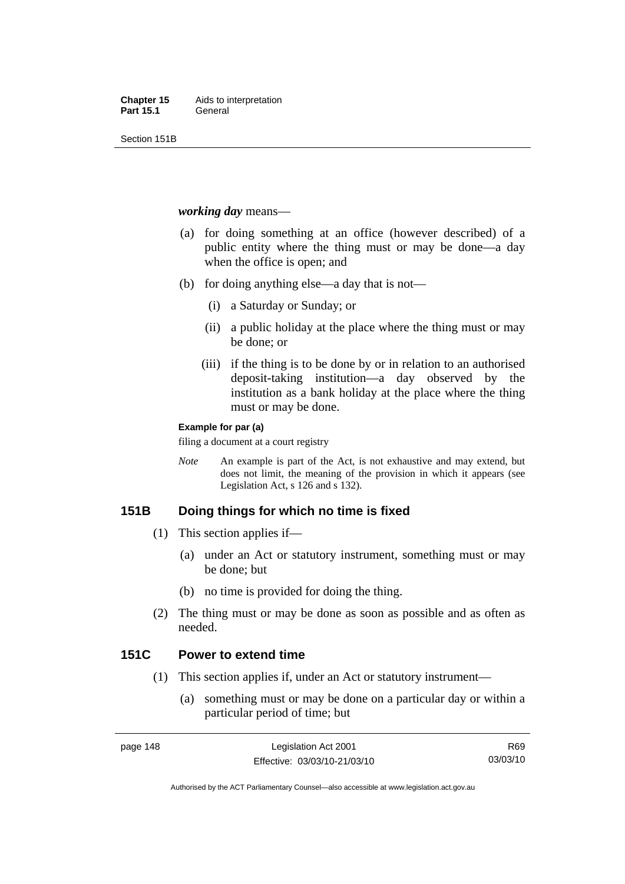Section 151B

#### *working day* means—

- (a) for doing something at an office (however described) of a public entity where the thing must or may be done—a day when the office is open; and
- (b) for doing anything else—a day that is not—
	- (i) a Saturday or Sunday; or
	- (ii) a public holiday at the place where the thing must or may be done; or
	- (iii) if the thing is to be done by or in relation to an authorised deposit-taking institution—a day observed by the institution as a bank holiday at the place where the thing must or may be done.

#### **Example for par (a)**

filing a document at a court registry

*Note* An example is part of the Act, is not exhaustive and may extend, but does not limit, the meaning of the provision in which it appears (see Legislation Act, s 126 and s 132).

## **151B Doing things for which no time is fixed**

- (1) This section applies if—
	- (a) under an Act or statutory instrument, something must or may be done; but
	- (b) no time is provided for doing the thing.
- (2) The thing must or may be done as soon as possible and as often as needed.

## **151C Power to extend time**

- (1) This section applies if, under an Act or statutory instrument—
	- (a) something must or may be done on a particular day or within a particular period of time; but

Authorised by the ACT Parliamentary Counsel—also accessible at www.legislation.act.gov.au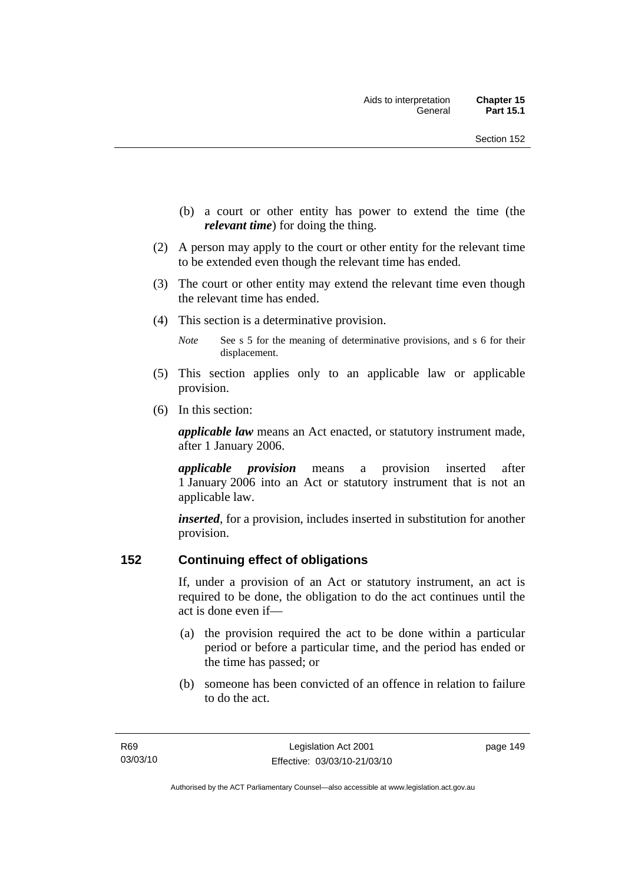- (b) a court or other entity has power to extend the time (the *relevant time*) for doing the thing.
- (2) A person may apply to the court or other entity for the relevant time to be extended even though the relevant time has ended.
- (3) The court or other entity may extend the relevant time even though the relevant time has ended.
- (4) This section is a determinative provision.
	- *Note* See s 5 for the meaning of determinative provisions, and s 6 for their displacement.
- (5) This section applies only to an applicable law or applicable provision.
- (6) In this section:

*applicable law* means an Act enacted, or statutory instrument made, after 1 January 2006.

*applicable provision* means a provision inserted after 1 January 2006 into an Act or statutory instrument that is not an applicable law.

*inserted*, for a provision, includes inserted in substitution for another provision.

## **152 Continuing effect of obligations**

If, under a provision of an Act or statutory instrument, an act is required to be done, the obligation to do the act continues until the act is done even if—

- (a) the provision required the act to be done within a particular period or before a particular time, and the period has ended or the time has passed; or
- (b) someone has been convicted of an offence in relation to failure to do the act.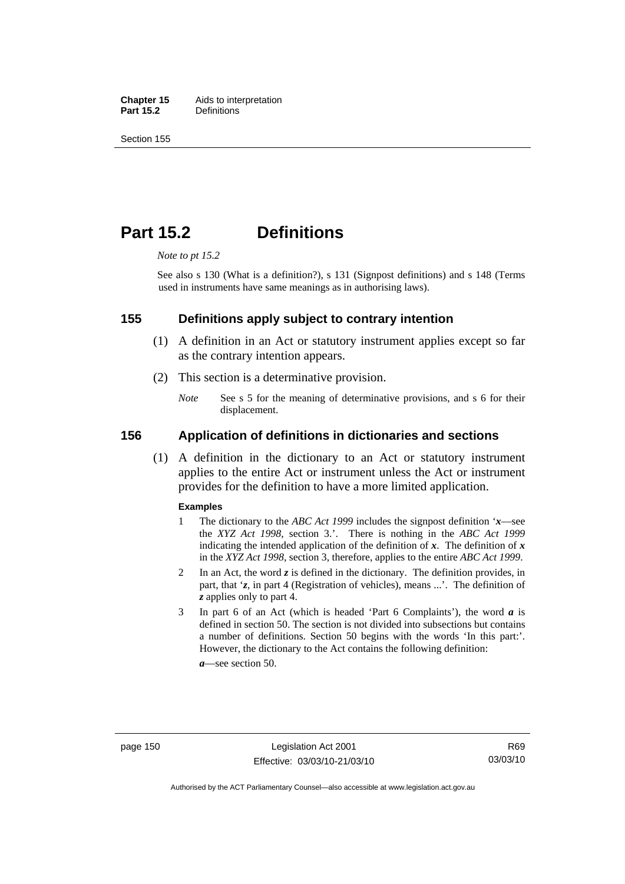**Chapter 15** Aids to interpretation<br>**Part 15.2** Definitions **Definitions** 

Section 155

## **Part 15.2 Definitions**

*Note to pt 15.2* 

See also s 130 (What is a definition?), s 131 (Signpost definitions) and s 148 (Terms used in instruments have same meanings as in authorising laws).

#### **155 Definitions apply subject to contrary intention**

- (1) A definition in an Act or statutory instrument applies except so far as the contrary intention appears.
- (2) This section is a determinative provision.
	- *Note* See s 5 for the meaning of determinative provisions, and s 6 for their displacement.

#### **156 Application of definitions in dictionaries and sections**

 (1) A definition in the dictionary to an Act or statutory instrument applies to the entire Act or instrument unless the Act or instrument provides for the definition to have a more limited application.

#### **Examples**

- 1 The dictionary to the *ABC Act 1999* includes the signpost definition '*x*—see the *XYZ Act 1998*, section 3.'. There is nothing in the *ABC Act 1999* indicating the intended application of the definition of  $x$ . The definition of  $x$ in the *XYZ Act 1998*, section 3, therefore, applies to the entire *ABC Act 1999*.
- 2 In an Act, the word *z* is defined in the dictionary. The definition provides, in part, that '*z*, in part 4 (Registration of vehicles), means ...'. The definition of *z* applies only to part 4.
- 3 In part 6 of an Act (which is headed 'Part 6 Complaints'), the word *a* is defined in section 50. The section is not divided into subsections but contains a number of definitions. Section 50 begins with the words 'In this part:'. However, the dictionary to the Act contains the following definition:

*a*—see section 50.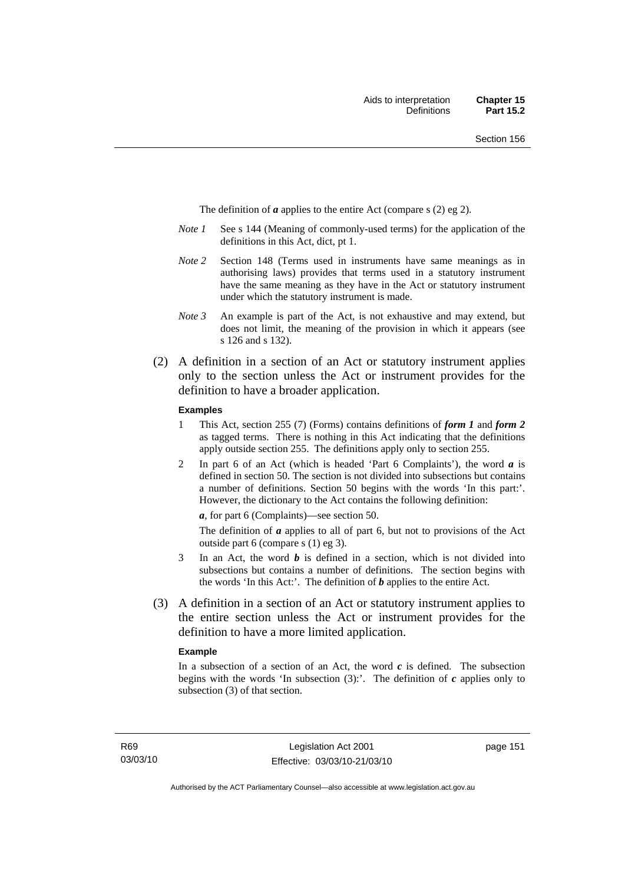The definition of *a* applies to the entire Act (compare s (2) eg 2).

- *Note 1* See s 144 (Meaning of commonly-used terms) for the application of the definitions in this Act, dict, pt 1.
- *Note 2* Section 148 (Terms used in instruments have same meanings as in authorising laws) provides that terms used in a statutory instrument have the same meaning as they have in the Act or statutory instrument under which the statutory instrument is made.
- *Note 3* An example is part of the Act, is not exhaustive and may extend, but does not limit, the meaning of the provision in which it appears (see s 126 and s 132).
- (2) A definition in a section of an Act or statutory instrument applies only to the section unless the Act or instrument provides for the definition to have a broader application.

#### **Examples**

- 1 This Act, section 255 (7) (Forms) contains definitions of *form 1* and *form 2* as tagged terms. There is nothing in this Act indicating that the definitions apply outside section 255. The definitions apply only to section 255.
- 2 In part 6 of an Act (which is headed 'Part 6 Complaints'), the word *a* is defined in section 50. The section is not divided into subsections but contains a number of definitions. Section 50 begins with the words 'In this part:'. However, the dictionary to the Act contains the following definition:

*a*, for part 6 (Complaints)—see section 50.

The definition of *a* applies to all of part 6, but not to provisions of the Act outside part 6 (compare s (1) eg 3).

- 3 In an Act, the word *b* is defined in a section, which is not divided into subsections but contains a number of definitions. The section begins with the words 'In this Act:'. The definition of *b* applies to the entire Act.
- (3) A definition in a section of an Act or statutory instrument applies to the entire section unless the Act or instrument provides for the definition to have a more limited application.

#### **Example**

In a subsection of a section of an Act, the word  $c$  is defined. The subsection begins with the words 'In subsection  $(3)$ :'. The definition of  $c$  applies only to subsection (3) of that section.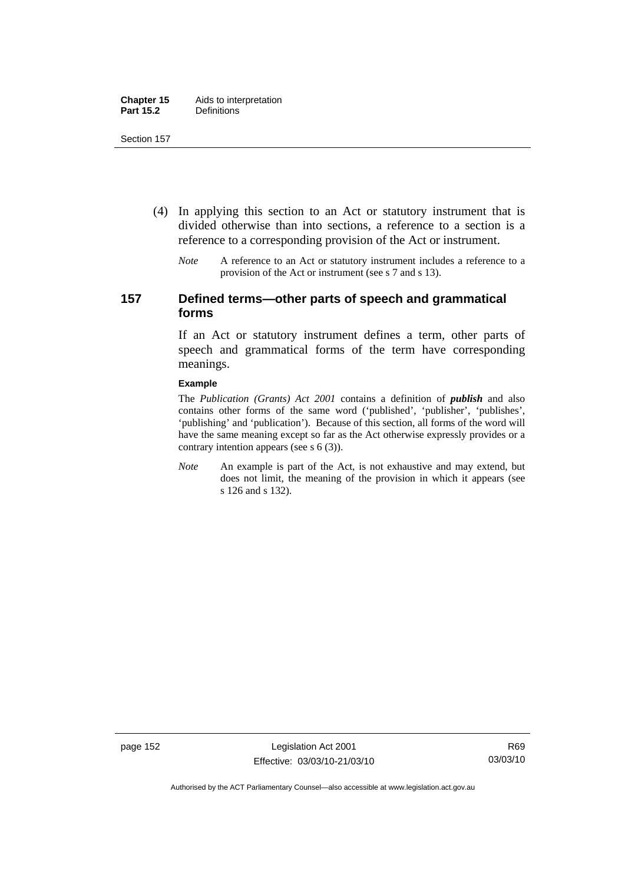- (4) In applying this section to an Act or statutory instrument that is divided otherwise than into sections, a reference to a section is a reference to a corresponding provision of the Act or instrument.
	- *Note* A reference to an Act or statutory instrument includes a reference to a provision of the Act or instrument (see s 7 and s 13).

## **157 Defined terms—other parts of speech and grammatical forms**

If an Act or statutory instrument defines a term, other parts of speech and grammatical forms of the term have corresponding meanings.

#### **Example**

The *Publication (Grants) Act 2001* contains a definition of *publish* and also contains other forms of the same word ('published', 'publisher', 'publishes', 'publishing' and 'publication'). Because of this section, all forms of the word will have the same meaning except so far as the Act otherwise expressly provides or a contrary intention appears (see s 6 (3)).

*Note* An example is part of the Act, is not exhaustive and may extend, but does not limit, the meaning of the provision in which it appears (see s 126 and s 132).

page 152 Legislation Act 2001 Effective: 03/03/10-21/03/10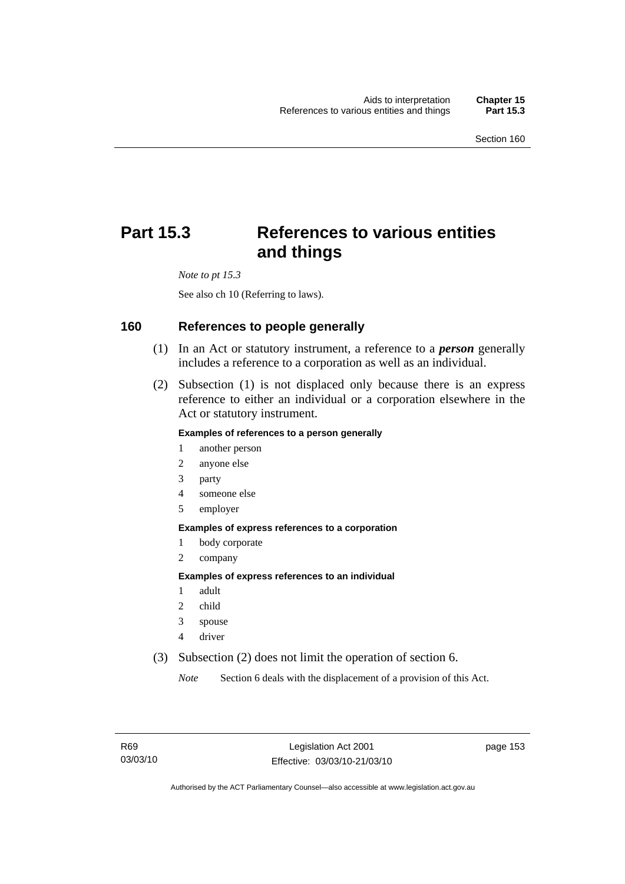# **Part 15.3 References to various entities and things**

*Note to pt 15.3* 

See also ch 10 (Referring to laws).

#### **160 References to people generally**

- (1) In an Act or statutory instrument, a reference to a *person* generally includes a reference to a corporation as well as an individual.
- (2) Subsection (1) is not displaced only because there is an express reference to either an individual or a corporation elsewhere in the Act or statutory instrument.

#### **Examples of references to a person generally**

- 1 another person
- 2 anyone else
- 3 party
- 4 someone else
- 5 employer

#### **Examples of express references to a corporation**

- 1 body corporate
- 2 company

#### **Examples of express references to an individual**

- 1 adult
- 2 child
- 3 spouse
- 4 driver
- (3) Subsection (2) does not limit the operation of section 6.

*Note* Section 6 deals with the displacement of a provision of this Act.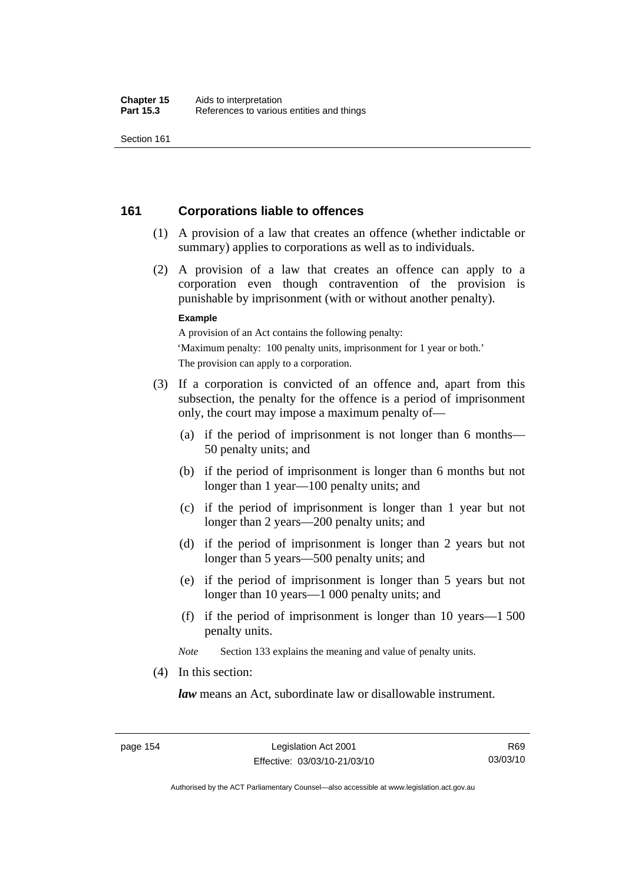## **161 Corporations liable to offences**

- (1) A provision of a law that creates an offence (whether indictable or summary) applies to corporations as well as to individuals.
- (2) A provision of a law that creates an offence can apply to a corporation even though contravention of the provision is punishable by imprisonment (with or without another penalty).

#### **Example**

A provision of an Act contains the following penalty: 'Maximum penalty: 100 penalty units, imprisonment for 1 year or both.' The provision can apply to a corporation.

- (3) If a corporation is convicted of an offence and, apart from this subsection, the penalty for the offence is a period of imprisonment only, the court may impose a maximum penalty of—
	- (a) if the period of imprisonment is not longer than 6 months— 50 penalty units; and
	- (b) if the period of imprisonment is longer than 6 months but not longer than 1 year—100 penalty units; and
	- (c) if the period of imprisonment is longer than 1 year but not longer than 2 years—200 penalty units; and
	- (d) if the period of imprisonment is longer than 2 years but not longer than 5 years—500 penalty units; and
	- (e) if the period of imprisonment is longer than 5 years but not longer than 10 years—1 000 penalty units; and
	- (f) if the period of imprisonment is longer than 10 years—1 500 penalty units.

*Note* Section 133 explains the meaning and value of penalty units.

(4) In this section:

*law* means an Act, subordinate law or disallowable instrument.

Authorised by the ACT Parliamentary Counsel—also accessible at www.legislation.act.gov.au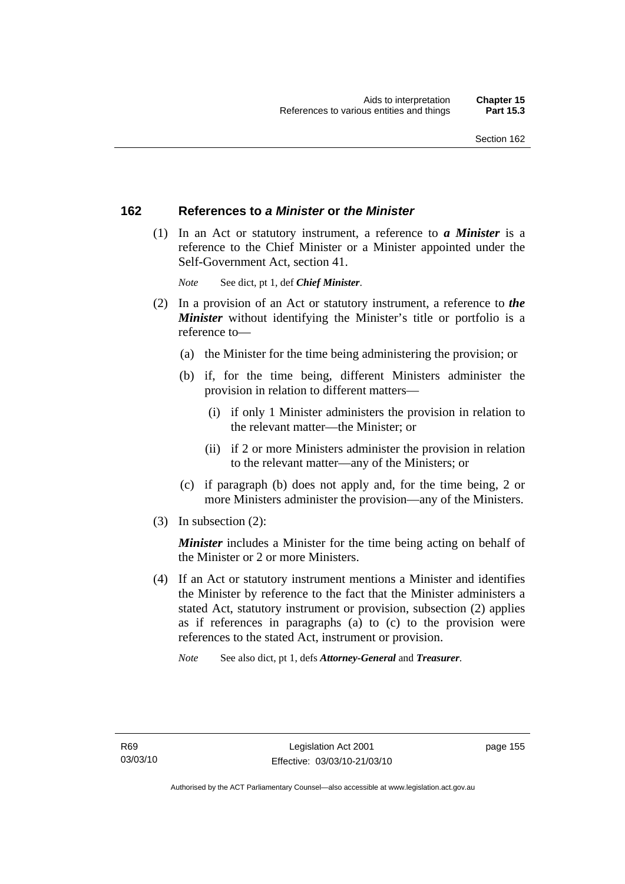## **162 References to** *a Minister* **or** *the Minister*

 (1) In an Act or statutory instrument, a reference to *a Minister* is a reference to the Chief Minister or a Minister appointed under the Self-Government Act, section 41.

*Note* See dict, pt 1, def *Chief Minister*.

- (2) In a provision of an Act or statutory instrument, a reference to *the Minister* without identifying the Minister's title or portfolio is a reference to—
	- (a) the Minister for the time being administering the provision; or
	- (b) if, for the time being, different Ministers administer the provision in relation to different matters—
		- (i) if only 1 Minister administers the provision in relation to the relevant matter—the Minister; or
		- (ii) if 2 or more Ministers administer the provision in relation to the relevant matter—any of the Ministers; or
	- (c) if paragraph (b) does not apply and, for the time being, 2 or more Ministers administer the provision—any of the Ministers.
- (3) In subsection (2):

*Minister* includes a Minister for the time being acting on behalf of the Minister or 2 or more Ministers.

 (4) If an Act or statutory instrument mentions a Minister and identifies the Minister by reference to the fact that the Minister administers a stated Act, statutory instrument or provision, subsection (2) applies as if references in paragraphs (a) to (c) to the provision were references to the stated Act, instrument or provision.

*Note* See also dict, pt 1, defs *Attorney-General* and *Treasurer*.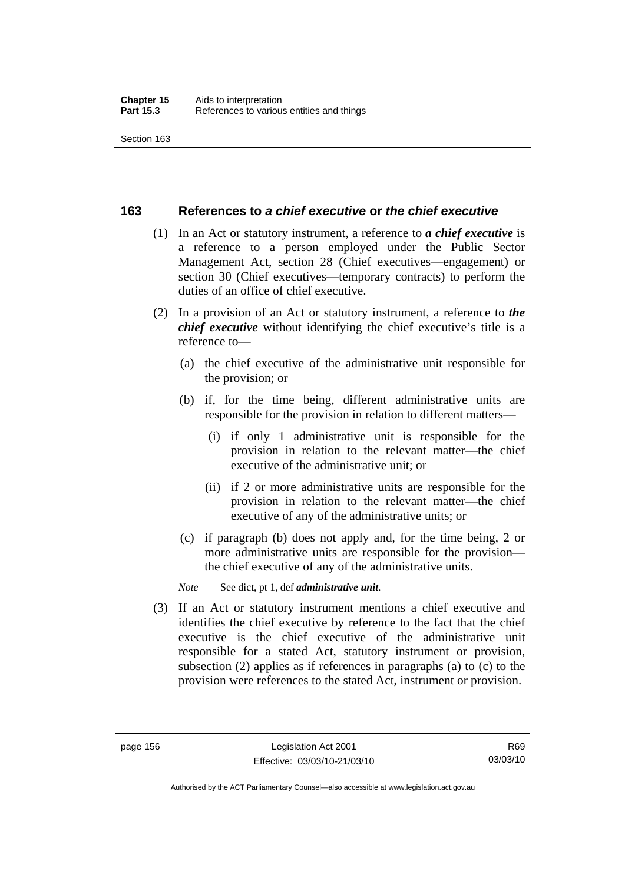## **163 References to** *a chief executive* **or** *the chief executive*

- (1) In an Act or statutory instrument, a reference to *a chief executive* is a reference to a person employed under the Public Sector Management Act, section 28 (Chief executives—engagement) or section 30 (Chief executives—temporary contracts) to perform the duties of an office of chief executive.
- (2) In a provision of an Act or statutory instrument, a reference to *the chief executive* without identifying the chief executive's title is a reference to—
	- (a) the chief executive of the administrative unit responsible for the provision; or
	- (b) if, for the time being, different administrative units are responsible for the provision in relation to different matters—
		- (i) if only 1 administrative unit is responsible for the provision in relation to the relevant matter—the chief executive of the administrative unit; or
		- (ii) if 2 or more administrative units are responsible for the provision in relation to the relevant matter—the chief executive of any of the administrative units; or
	- (c) if paragraph (b) does not apply and, for the time being, 2 or more administrative units are responsible for the provision the chief executive of any of the administrative units.

*Note* See dict, pt 1, def *administrative unit*.

 (3) If an Act or statutory instrument mentions a chief executive and identifies the chief executive by reference to the fact that the chief executive is the chief executive of the administrative unit responsible for a stated Act, statutory instrument or provision, subsection (2) applies as if references in paragraphs (a) to (c) to the provision were references to the stated Act, instrument or provision.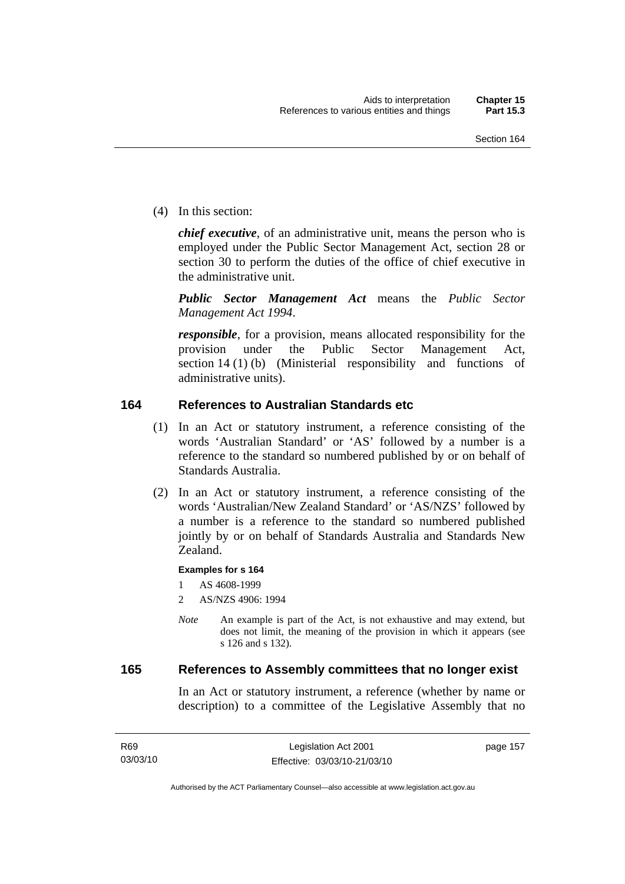(4) In this section:

*chief executive*, of an administrative unit, means the person who is employed under the Public Sector Management Act, section 28 or section 30 to perform the duties of the office of chief executive in the administrative unit.

*Public Sector Management Act* means the *Public Sector Management Act 1994*.

*responsible*, for a provision, means allocated responsibility for the provision under the Public Sector Management Act, section 14 (1) (b) (Ministerial responsibility and functions of administrative units).

## **164 References to Australian Standards etc**

- (1) In an Act or statutory instrument, a reference consisting of the words 'Australian Standard' or 'AS' followed by a number is a reference to the standard so numbered published by or on behalf of Standards Australia.
- (2) In an Act or statutory instrument, a reference consisting of the words 'Australian/New Zealand Standard' or 'AS/NZS' followed by a number is a reference to the standard so numbered published jointly by or on behalf of Standards Australia and Standards New Zealand.

#### **Examples for s 164**

1 AS 4608-1999

- 2 AS/NZS 4906: 1994
- *Note* An example is part of the Act, is not exhaustive and may extend, but does not limit, the meaning of the provision in which it appears (see s 126 and s 132).

#### **165 References to Assembly committees that no longer exist**

In an Act or statutory instrument, a reference (whether by name or description) to a committee of the Legislative Assembly that no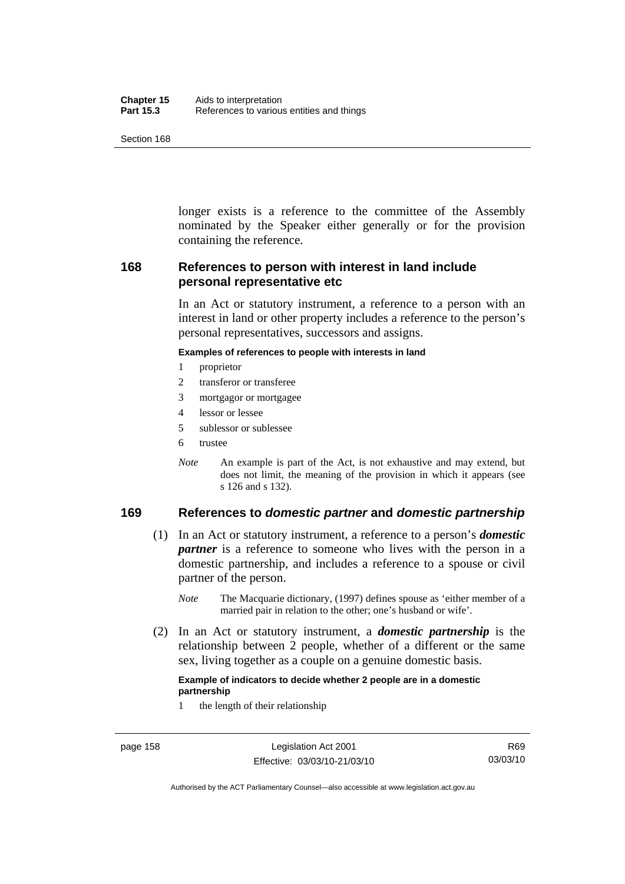| Chapter 15       | Aids to interpretation                    |
|------------------|-------------------------------------------|
| <b>Part 15.3</b> | References to various entities and things |

longer exists is a reference to the committee of the Assembly nominated by the Speaker either generally or for the provision containing the reference.

## **168 References to person with interest in land include personal representative etc**

In an Act or statutory instrument, a reference to a person with an interest in land or other property includes a reference to the person's personal representatives, successors and assigns.

#### **Examples of references to people with interests in land**

- 1 proprietor
- 2 transferor or transferee
- 3 mortgagor or mortgagee
- 4 lessor or lessee
- 5 sublessor or sublessee
- 6 trustee
- *Note* An example is part of the Act, is not exhaustive and may extend, but does not limit, the meaning of the provision in which it appears (see s 126 and s 132).

## **169 References to** *domestic partner* **and** *domestic partnership*

- (1) In an Act or statutory instrument, a reference to a person's *domestic partner* is a reference to someone who lives with the person in a domestic partnership, and includes a reference to a spouse or civil partner of the person.
	- *Note* The Macquarie dictionary, (1997) defines spouse as 'either member of a married pair in relation to the other; one's husband or wife'.
- (2) In an Act or statutory instrument, a *domestic partnership* is the relationship between 2 people, whether of a different or the same sex, living together as a couple on a genuine domestic basis.

#### **Example of indicators to decide whether 2 people are in a domestic partnership**

1 the length of their relationship

Authorised by the ACT Parliamentary Counsel—also accessible at www.legislation.act.gov.au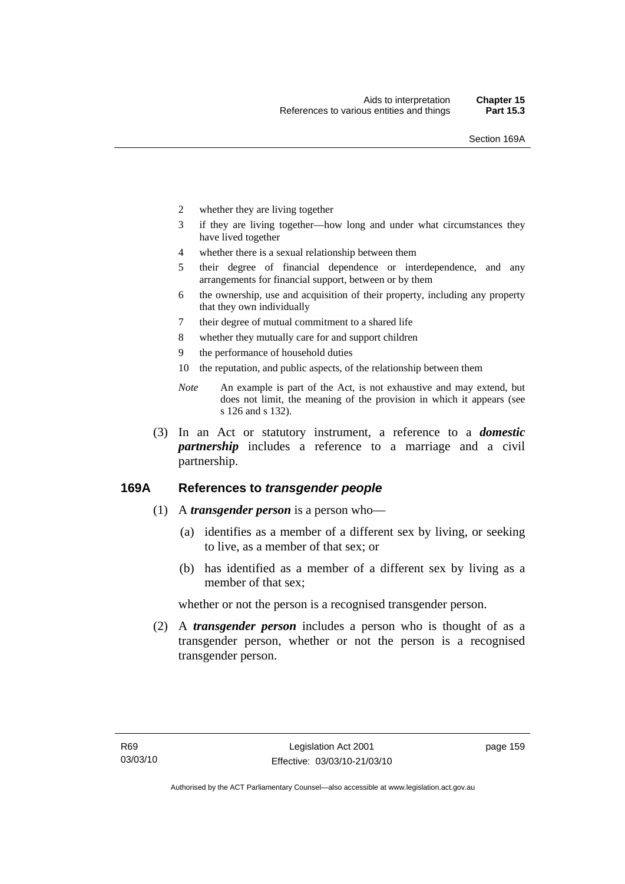- 2 whether they are living together
- 3 if they are living together—how long and under what circumstances they have lived together
- 4 whether there is a sexual relationship between them
- 5 their degree of financial dependence or interdependence, and any arrangements for financial support, between or by them
- 6 the ownership, use and acquisition of their property, including any property that they own individually
- 7 their degree of mutual commitment to a shared life
- 8 whether they mutually care for and support children
- 9 the performance of household duties
- 10 the reputation, and public aspects, of the relationship between them
- *Note* An example is part of the Act, is not exhaustive and may extend, but does not limit, the meaning of the provision in which it appears (see s 126 and s 132).
- (3) In an Act or statutory instrument, a reference to a *domestic partnership* includes a reference to a marriage and a civil partnership.

## **169A References to** *transgender people*

- (1) A *transgender person* is a person who—
	- (a) identifies as a member of a different sex by living, or seeking to live, as a member of that sex; or
	- (b) has identified as a member of a different sex by living as a member of that sex;

whether or not the person is a recognised transgender person.

 (2) A *transgender person* includes a person who is thought of as a transgender person, whether or not the person is a recognised transgender person.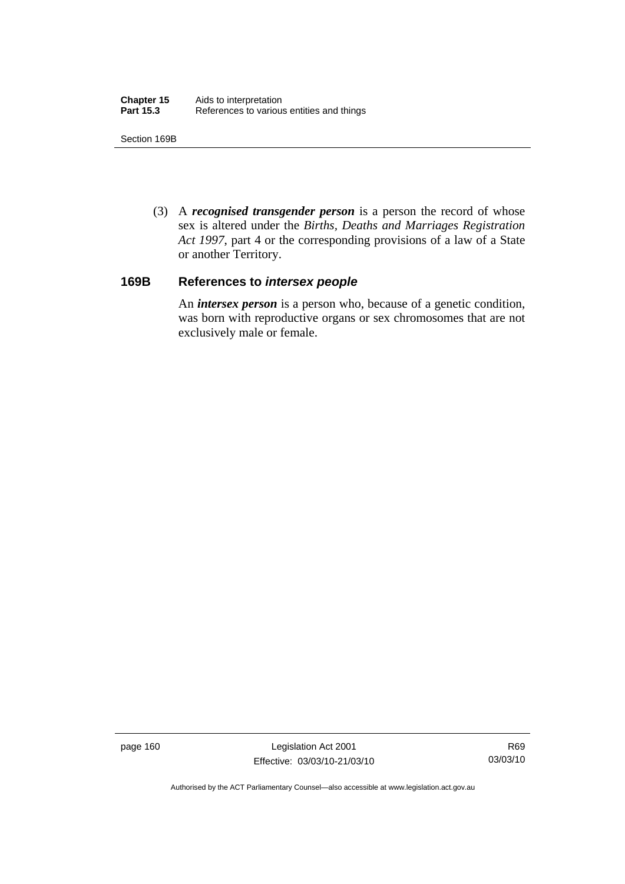Section 169B

 (3) A *recognised transgender person* is a person the record of whose sex is altered under the *Births, Deaths and Marriages Registration Act 1997*, part 4 or the corresponding provisions of a law of a State or another Territory.

#### **169B References to** *intersex people*

An *intersex person* is a person who, because of a genetic condition, was born with reproductive organs or sex chromosomes that are not exclusively male or female.

page 160 Legislation Act 2001 Effective: 03/03/10-21/03/10

R69 03/03/10

Authorised by the ACT Parliamentary Counsel—also accessible at www.legislation.act.gov.au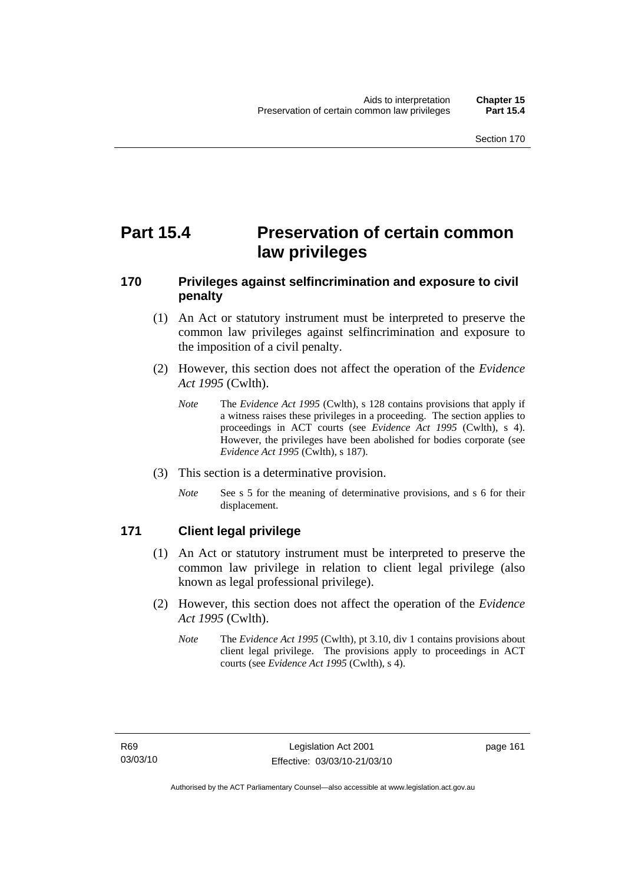# **Part 15.4 Preservation of certain common law privileges**

## **170 Privileges against selfincrimination and exposure to civil penalty**

- (1) An Act or statutory instrument must be interpreted to preserve the common law privileges against selfincrimination and exposure to the imposition of a civil penalty.
- (2) However, this section does not affect the operation of the *Evidence Act 1995* (Cwlth).
	- *Note* The *Evidence Act 1995* (Cwlth), s 128 contains provisions that apply if a witness raises these privileges in a proceeding. The section applies to proceedings in ACT courts (see *Evidence Act 1995* (Cwlth), s 4). However, the privileges have been abolished for bodies corporate (see *Evidence Act 1995* (Cwlth), s 187).
- (3) This section is a determinative provision.
	- *Note* See s 5 for the meaning of determinative provisions, and s 6 for their displacement.

## **171 Client legal privilege**

- (1) An Act or statutory instrument must be interpreted to preserve the common law privilege in relation to client legal privilege (also known as legal professional privilege).
- (2) However, this section does not affect the operation of the *Evidence Act 1995* (Cwlth).
	- *Note* The *Evidence Act 1995* (Cwlth), pt 3.10, div 1 contains provisions about client legal privilege. The provisions apply to proceedings in ACT courts (see *Evidence Act 1995* (Cwlth), s 4).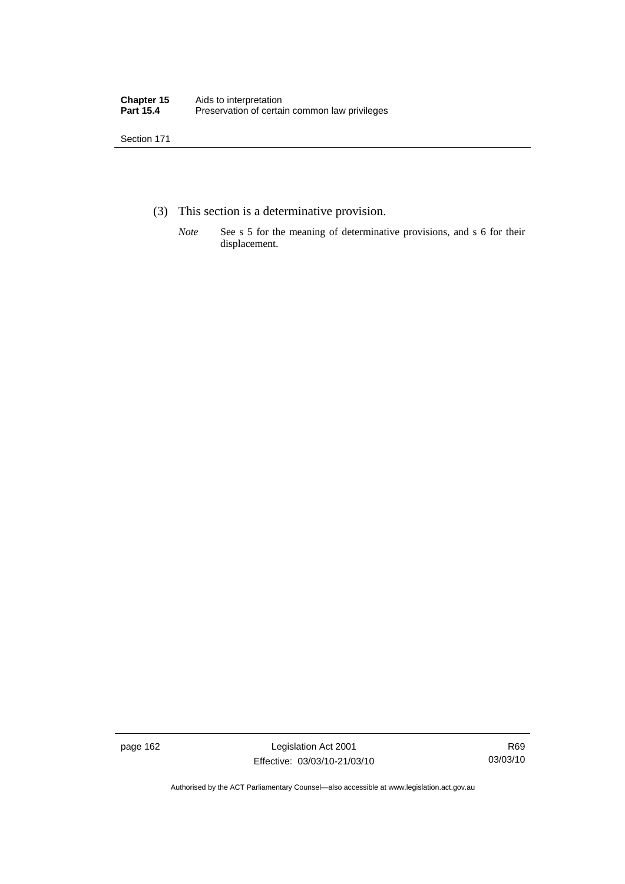- (3) This section is a determinative provision.
	- *Note* See s 5 for the meaning of determinative provisions, and s 6 for their displacement.

page 162 Legislation Act 2001 Effective: 03/03/10-21/03/10

R69 03/03/10

Authorised by the ACT Parliamentary Counsel—also accessible at www.legislation.act.gov.au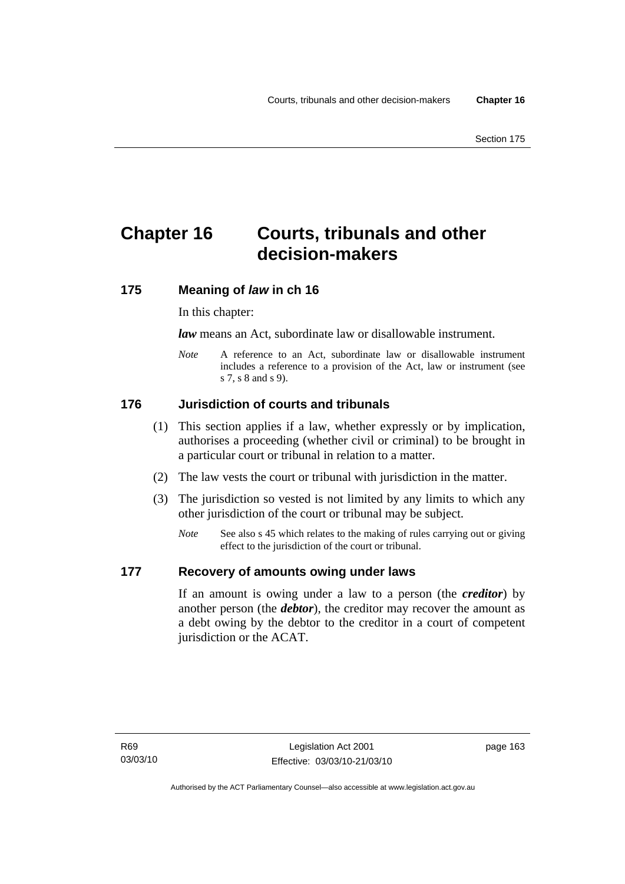# **Chapter 16 Courts, tribunals and other decision-makers**

## **175 Meaning of** *law* **in ch 16**

In this chapter:

*law* means an Act, subordinate law or disallowable instrument.

*Note* A reference to an Act, subordinate law or disallowable instrument includes a reference to a provision of the Act, law or instrument (see s 7, s 8 and s 9).

## **176 Jurisdiction of courts and tribunals**

- (1) This section applies if a law, whether expressly or by implication, authorises a proceeding (whether civil or criminal) to be brought in a particular court or tribunal in relation to a matter.
- (2) The law vests the court or tribunal with jurisdiction in the matter.
- (3) The jurisdiction so vested is not limited by any limits to which any other jurisdiction of the court or tribunal may be subject.
	- *Note* See also s 45 which relates to the making of rules carrying out or giving effect to the jurisdiction of the court or tribunal.

## **177 Recovery of amounts owing under laws**

If an amount is owing under a law to a person (the *creditor*) by another person (the *debtor*), the creditor may recover the amount as a debt owing by the debtor to the creditor in a court of competent jurisdiction or the ACAT.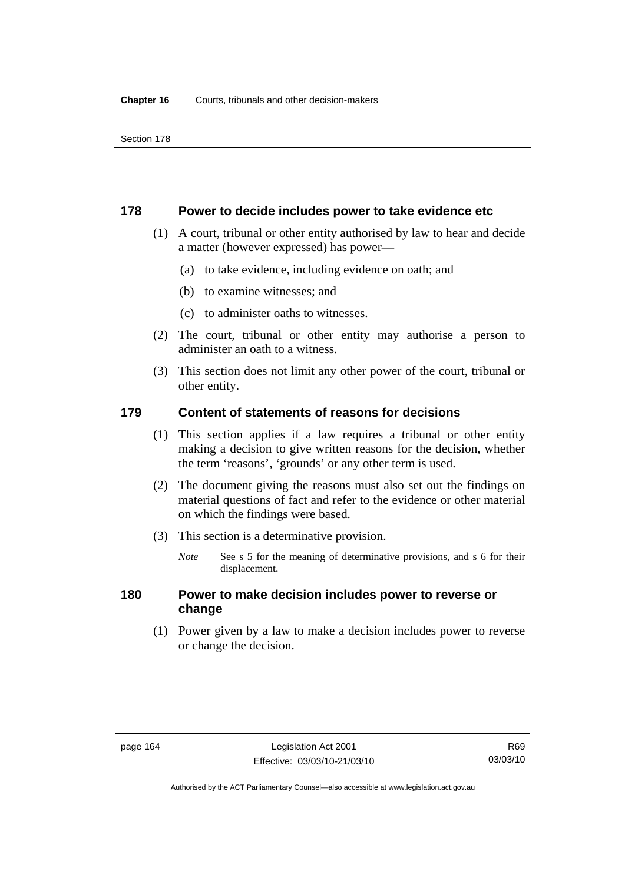#### **178 Power to decide includes power to take evidence etc**

- (1) A court, tribunal or other entity authorised by law to hear and decide a matter (however expressed) has power—
	- (a) to take evidence, including evidence on oath; and
	- (b) to examine witnesses; and
	- (c) to administer oaths to witnesses.
- (2) The court, tribunal or other entity may authorise a person to administer an oath to a witness.
- (3) This section does not limit any other power of the court, tribunal or other entity.

## **179 Content of statements of reasons for decisions**

- (1) This section applies if a law requires a tribunal or other entity making a decision to give written reasons for the decision, whether the term 'reasons', 'grounds' or any other term is used.
- (2) The document giving the reasons must also set out the findings on material questions of fact and refer to the evidence or other material on which the findings were based.
- (3) This section is a determinative provision.
	- *Note* See s 5 for the meaning of determinative provisions, and s 6 for their displacement.

## **180 Power to make decision includes power to reverse or change**

 (1) Power given by a law to make a decision includes power to reverse or change the decision.

Authorised by the ACT Parliamentary Counsel—also accessible at www.legislation.act.gov.au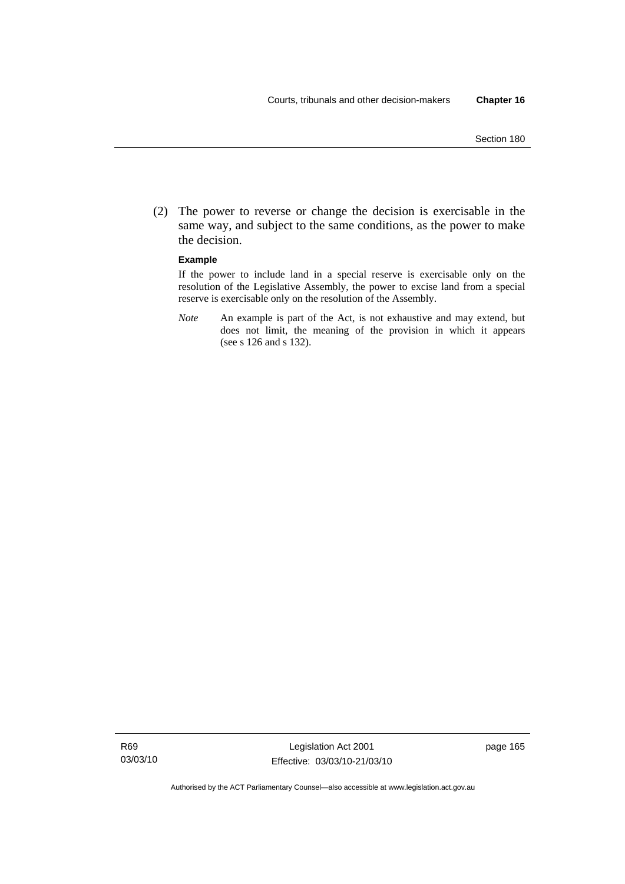(2) The power to reverse or change the decision is exercisable in the same way, and subject to the same conditions, as the power to make the decision.

#### **Example**

If the power to include land in a special reserve is exercisable only on the resolution of the Legislative Assembly, the power to excise land from a special reserve is exercisable only on the resolution of the Assembly.

*Note* An example is part of the Act, is not exhaustive and may extend, but does not limit, the meaning of the provision in which it appears (see s 126 and s 132).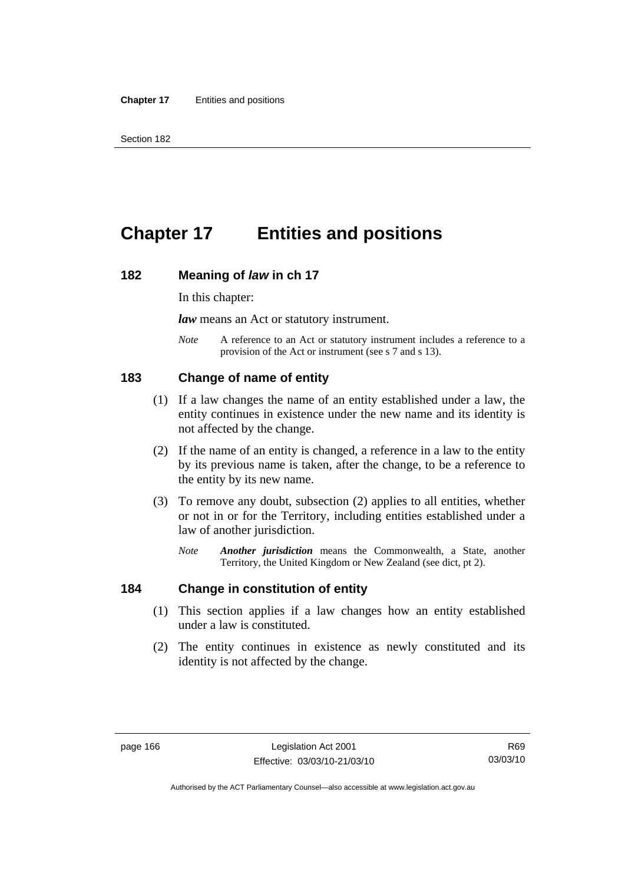# **Chapter 17 Entities and positions**

#### **182 Meaning of** *law* **in ch 17**

In this chapter:

*law* means an Act or statutory instrument.

*Note* A reference to an Act or statutory instrument includes a reference to a provision of the Act or instrument (see s 7 and s 13).

#### **183 Change of name of entity**

- (1) If a law changes the name of an entity established under a law, the entity continues in existence under the new name and its identity is not affected by the change.
- (2) If the name of an entity is changed, a reference in a law to the entity by its previous name is taken, after the change, to be a reference to the entity by its new name.
- (3) To remove any doubt, subsection (2) applies to all entities, whether or not in or for the Territory, including entities established under a law of another jurisdiction.
	- *Note Another jurisdiction* means the Commonwealth, a State, another Territory, the United Kingdom or New Zealand (see dict, pt 2).

#### **184 Change in constitution of entity**

- (1) This section applies if a law changes how an entity established under a law is constituted.
- (2) The entity continues in existence as newly constituted and its identity is not affected by the change.

R69 03/03/10

Authorised by the ACT Parliamentary Counsel—also accessible at www.legislation.act.gov.au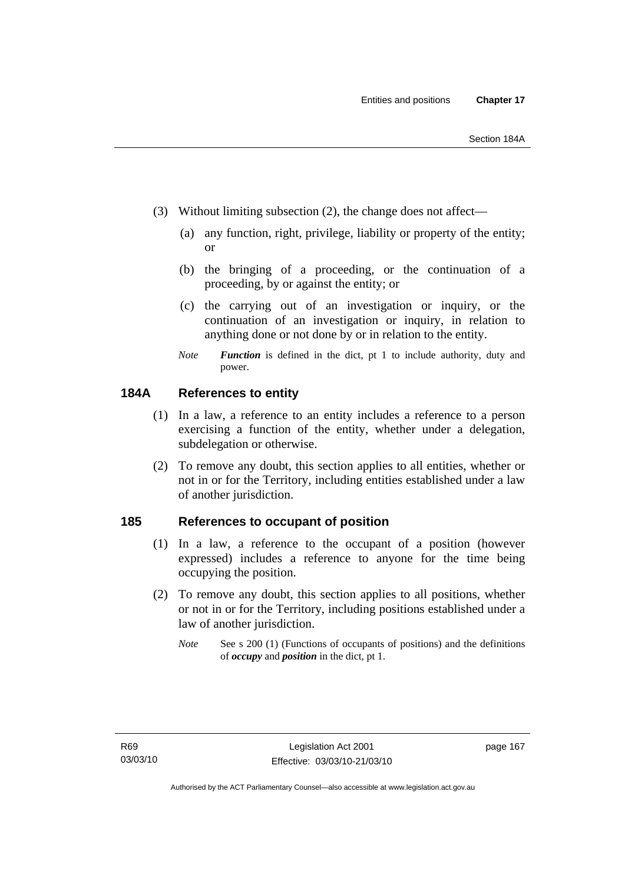- (3) Without limiting subsection (2), the change does not affect—
	- (a) any function, right, privilege, liability or property of the entity; or
	- (b) the bringing of a proceeding, or the continuation of a proceeding, by or against the entity; or
	- (c) the carrying out of an investigation or inquiry, or the continuation of an investigation or inquiry, in relation to anything done or not done by or in relation to the entity.
	- *Note Function* is defined in the dict, pt 1 to include authority, duty and power.

## **184A References to entity**

- (1) In a law, a reference to an entity includes a reference to a person exercising a function of the entity, whether under a delegation, subdelegation or otherwise.
- (2) To remove any doubt, this section applies to all entities, whether or not in or for the Territory, including entities established under a law of another jurisdiction.

### **185 References to occupant of position**

- (1) In a law, a reference to the occupant of a position (however expressed) includes a reference to anyone for the time being occupying the position.
- (2) To remove any doubt, this section applies to all positions, whether or not in or for the Territory, including positions established under a law of another jurisdiction.
	- *Note* See s 200 (1) (Functions of occupants of positions) and the definitions of *occupy* and *position* in the dict, pt 1.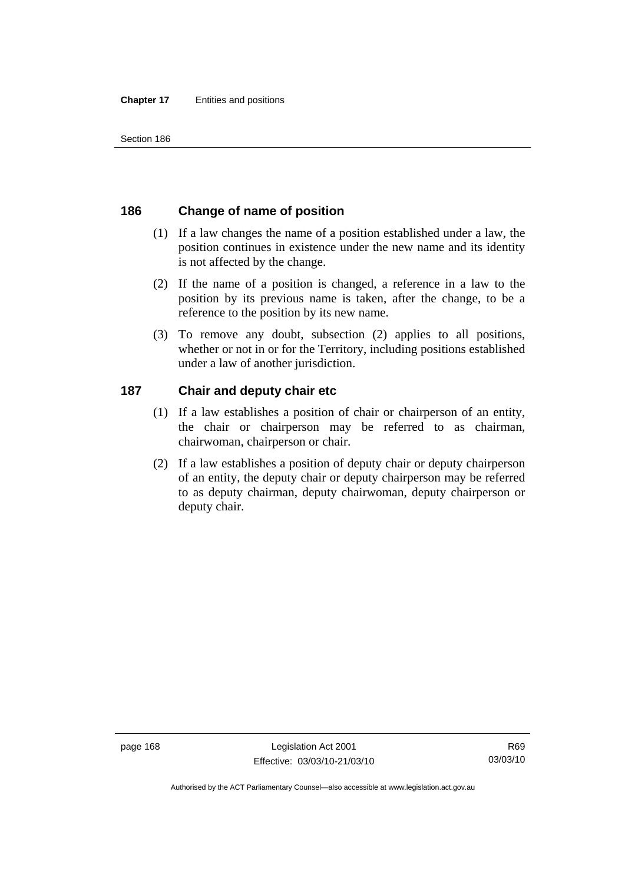# **186 Change of name of position**

- (1) If a law changes the name of a position established under a law, the position continues in existence under the new name and its identity is not affected by the change.
- (2) If the name of a position is changed, a reference in a law to the position by its previous name is taken, after the change, to be a reference to the position by its new name.
- (3) To remove any doubt, subsection (2) applies to all positions, whether or not in or for the Territory, including positions established under a law of another jurisdiction.

## **187 Chair and deputy chair etc**

- (1) If a law establishes a position of chair or chairperson of an entity, the chair or chairperson may be referred to as chairman, chairwoman, chairperson or chair.
- (2) If a law establishes a position of deputy chair or deputy chairperson of an entity, the deputy chair or deputy chairperson may be referred to as deputy chairman, deputy chairwoman, deputy chairperson or deputy chair.

Authorised by the ACT Parliamentary Counsel—also accessible at www.legislation.act.gov.au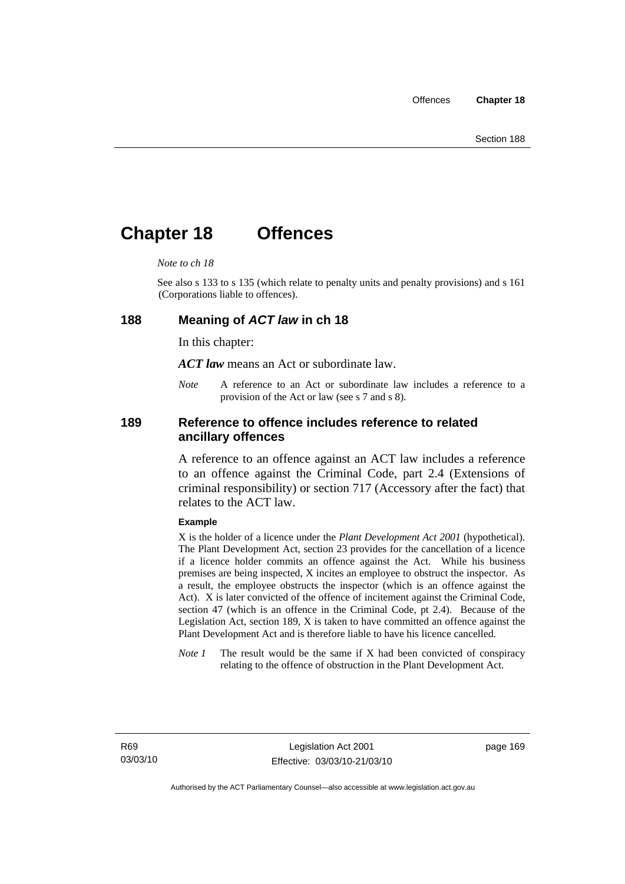# **Chapter 18 Offences**

#### *Note to ch 18*

See also s 133 to s 135 (which relate to penalty units and penalty provisions) and s 161 (Corporations liable to offences).

#### **188 Meaning of** *ACT law* **in ch 18**

In this chapter:

*ACT law* means an Act or subordinate law.

*Note* A reference to an Act or subordinate law includes a reference to a provision of the Act or law (see s 7 and s 8).

### **189 Reference to offence includes reference to related ancillary offences**

A reference to an offence against an ACT law includes a reference to an offence against the Criminal Code, part 2.4 (Extensions of criminal responsibility) or section 717 (Accessory after the fact) that relates to the ACT law.

#### **Example**

X is the holder of a licence under the *Plant Development Act 2001* (hypothetical). The Plant Development Act, section 23 provides for the cancellation of a licence if a licence holder commits an offence against the Act. While his business premises are being inspected, X incites an employee to obstruct the inspector. As a result, the employee obstructs the inspector (which is an offence against the Act). X is later convicted of the offence of incitement against the Criminal Code, section 47 (which is an offence in the Criminal Code, pt 2.4). Because of the Legislation Act, section 189, X is taken to have committed an offence against the Plant Development Act and is therefore liable to have his licence cancelled.

*Note 1* The result would be the same if X had been convicted of conspiracy relating to the offence of obstruction in the Plant Development Act.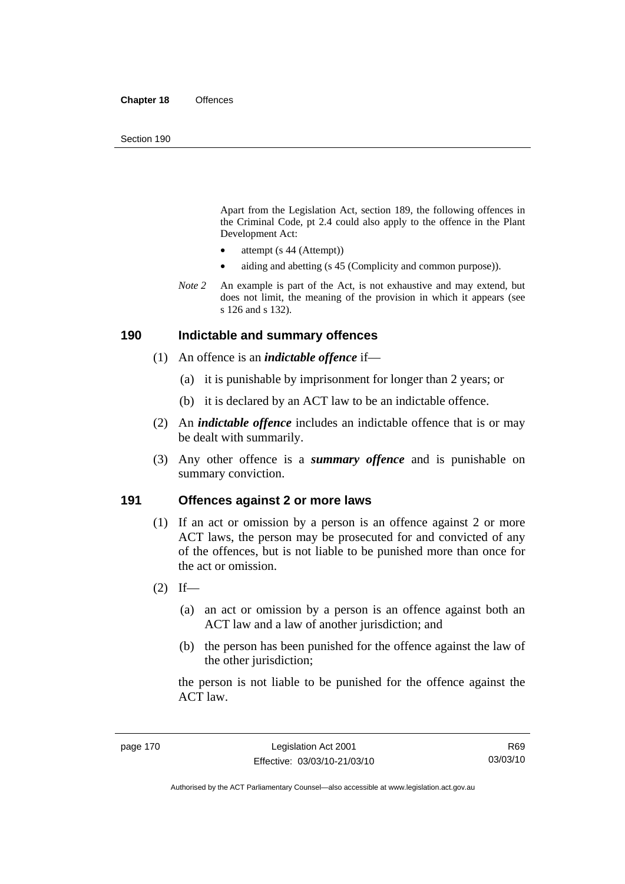Apart from the Legislation Act, section 189, the following offences in the Criminal Code*,* pt 2.4 could also apply to the offence in the Plant Development Act:

- attempt (s 44 (Attempt))
- aiding and abetting (s 45 (Complicity and common purpose)).
- *Note* 2 An example is part of the Act, is not exhaustive and may extend, but does not limit, the meaning of the provision in which it appears (see s 126 and s 132).

#### **190 Indictable and summary offences**

- (1) An offence is an *indictable offence* if—
	- (a) it is punishable by imprisonment for longer than 2 years; or
	- (b) it is declared by an ACT law to be an indictable offence.
- (2) An *indictable offence* includes an indictable offence that is or may be dealt with summarily.
- (3) Any other offence is a *summary offence* and is punishable on summary conviction.

### **191 Offences against 2 or more laws**

- (1) If an act or omission by a person is an offence against 2 or more ACT laws, the person may be prosecuted for and convicted of any of the offences, but is not liable to be punished more than once for the act or omission.
- $(2)$  If—
	- (a) an act or omission by a person is an offence against both an ACT law and a law of another jurisdiction; and
	- (b) the person has been punished for the offence against the law of the other jurisdiction:

the person is not liable to be punished for the offence against the ACT law.

R69 03/03/10

Authorised by the ACT Parliamentary Counsel—also accessible at www.legislation.act.gov.au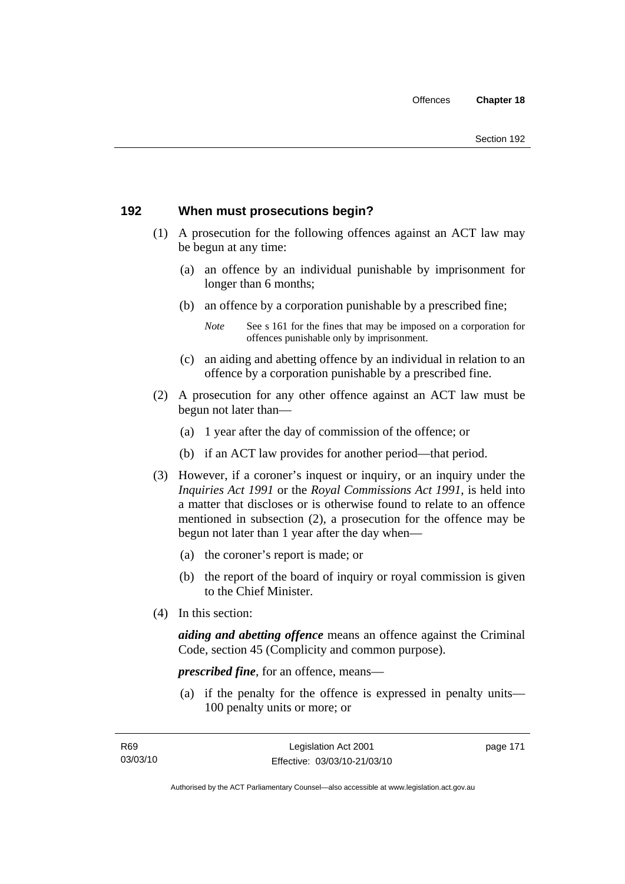# **192 When must prosecutions begin?**

- (1) A prosecution for the following offences against an ACT law may be begun at any time:
	- (a) an offence by an individual punishable by imprisonment for longer than 6 months;
	- (b) an offence by a corporation punishable by a prescribed fine;
		- *Note* See s 161 for the fines that may be imposed on a corporation for offences punishable only by imprisonment.
	- (c) an aiding and abetting offence by an individual in relation to an offence by a corporation punishable by a prescribed fine.
- (2) A prosecution for any other offence against an ACT law must be begun not later than—
	- (a) 1 year after the day of commission of the offence; or
	- (b) if an ACT law provides for another period—that period.
- (3) However, if a coroner's inquest or inquiry, or an inquiry under the *Inquiries Act 1991* or the *Royal Commissions Act 1991*, is held into a matter that discloses or is otherwise found to relate to an offence mentioned in subsection (2), a prosecution for the offence may be begun not later than 1 year after the day when—
	- (a) the coroner's report is made; or
	- (b) the report of the board of inquiry or royal commission is given to the Chief Minister.
- (4) In this section:

*aiding and abetting offence* means an offence against the Criminal Code, section 45 (Complicity and common purpose).

*prescribed fine*, for an offence, means—

 (a) if the penalty for the offence is expressed in penalty units— 100 penalty units or more; or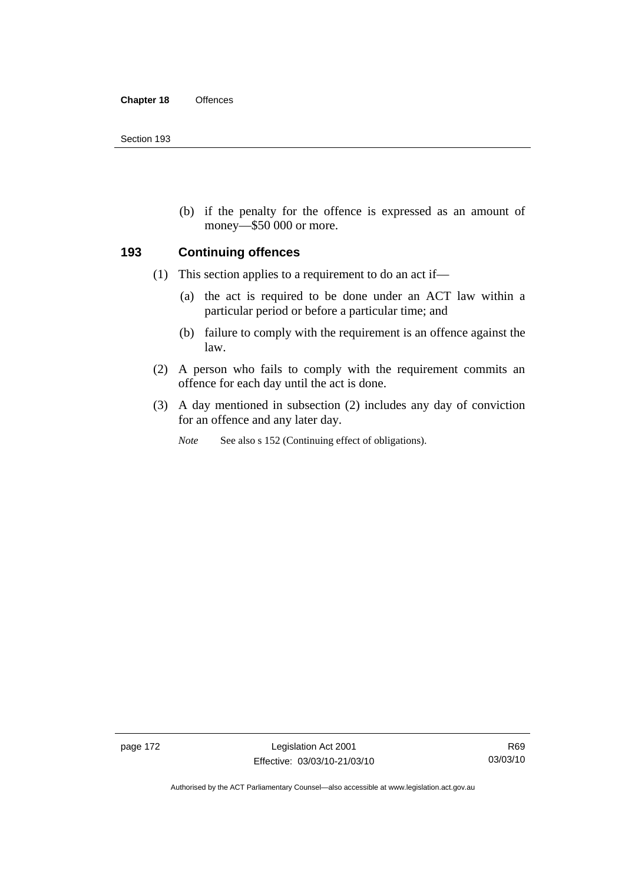(b) if the penalty for the offence is expressed as an amount of money—\$50 000 or more.

### **193 Continuing offences**

- (1) This section applies to a requirement to do an act if—
	- (a) the act is required to be done under an ACT law within a particular period or before a particular time; and
	- (b) failure to comply with the requirement is an offence against the law.
- (2) A person who fails to comply with the requirement commits an offence for each day until the act is done.
- (3) A day mentioned in subsection (2) includes any day of conviction for an offence and any later day.

*Note* See also s 152 (Continuing effect of obligations).

page 172 Legislation Act 2001 Effective: 03/03/10-21/03/10

Authorised by the ACT Parliamentary Counsel—also accessible at www.legislation.act.gov.au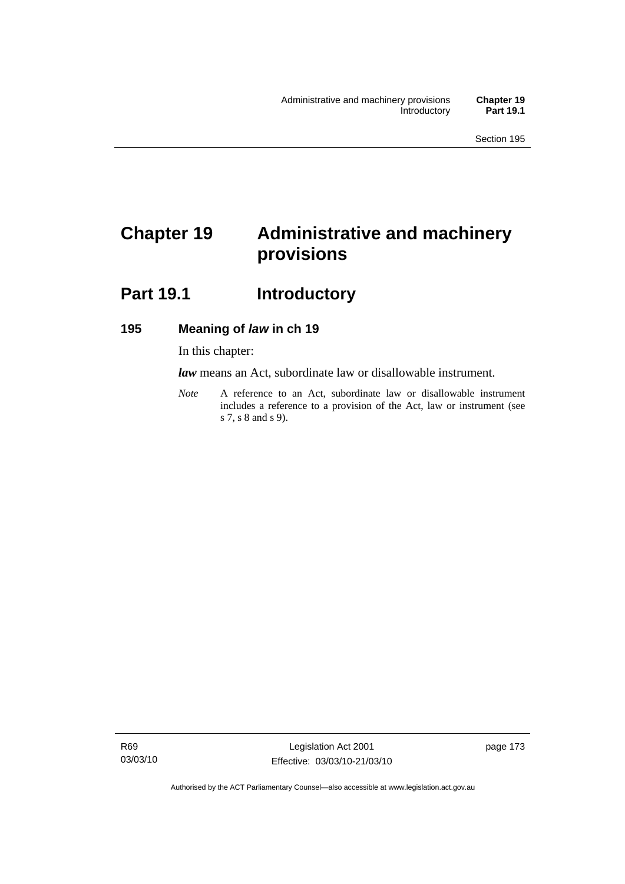# **Chapter 19 Administrative and machinery provisions**

# Part 19.1 **Introductory**

## **195 Meaning of** *law* **in ch 19**

In this chapter:

*law* means an Act, subordinate law or disallowable instrument.

*Note* A reference to an Act, subordinate law or disallowable instrument includes a reference to a provision of the Act, law or instrument (see s 7, s 8 and s 9).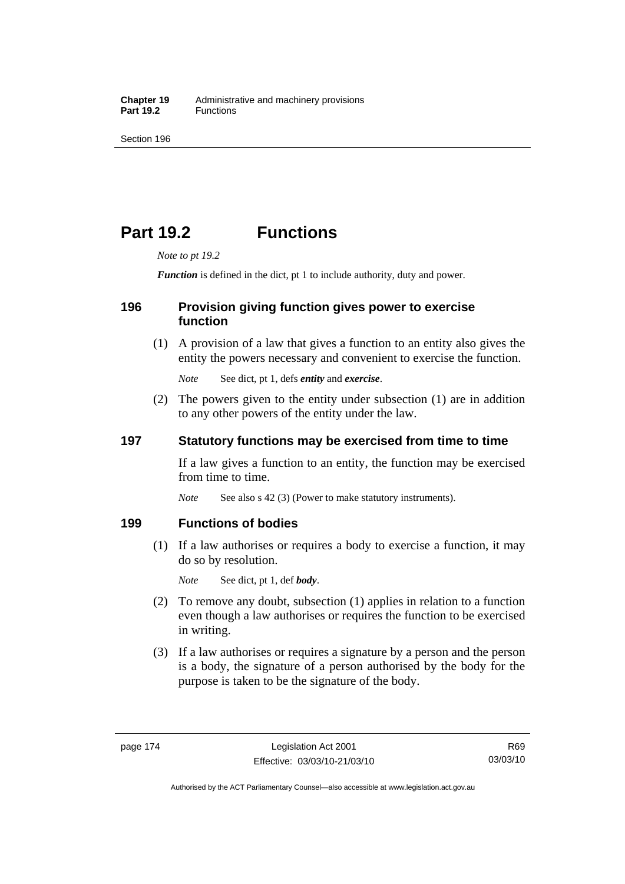# **Part 19.2 Functions**

*Note to pt 19.2* 

*Function* is defined in the dict, pt 1 to include authority, duty and power.

## **196 Provision giving function gives power to exercise function**

 (1) A provision of a law that gives a function to an entity also gives the entity the powers necessary and convenient to exercise the function.

*Note* See dict, pt 1, defs *entity* and *exercise*.

 (2) The powers given to the entity under subsection (1) are in addition to any other powers of the entity under the law.

## **197 Statutory functions may be exercised from time to time**

If a law gives a function to an entity, the function may be exercised from time to time.

*Note* See also s 42 (3) (Power to make statutory instruments).

## **199 Functions of bodies**

 (1) If a law authorises or requires a body to exercise a function, it may do so by resolution.

*Note* See dict, pt 1, def *body*.

- (2) To remove any doubt, subsection (1) applies in relation to a function even though a law authorises or requires the function to be exercised in writing.
- (3) If a law authorises or requires a signature by a person and the person is a body, the signature of a person authorised by the body for the purpose is taken to be the signature of the body.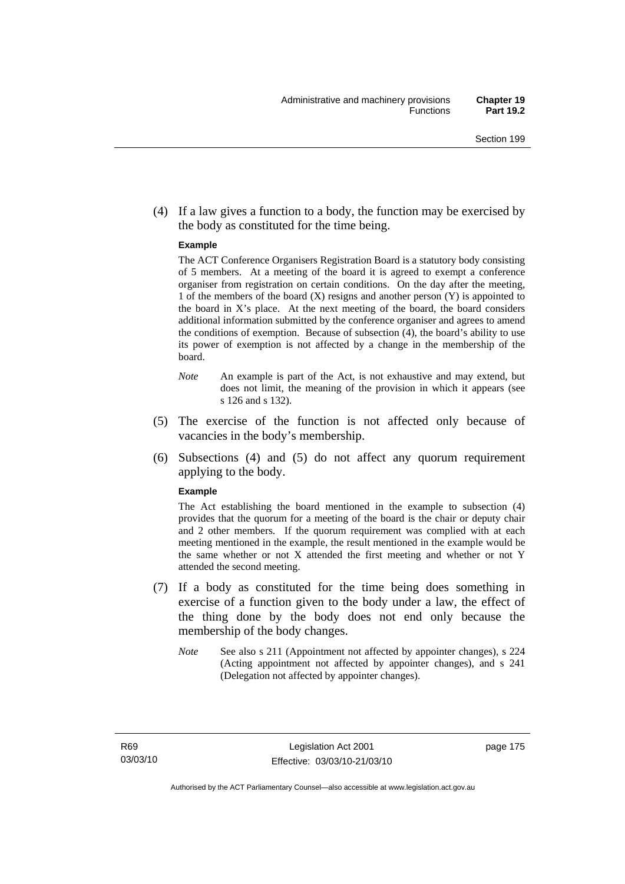(4) If a law gives a function to a body, the function may be exercised by the body as constituted for the time being.

#### **Example**

The ACT Conference Organisers Registration Board is a statutory body consisting of 5 members. At a meeting of the board it is agreed to exempt a conference organiser from registration on certain conditions. On the day after the meeting, 1 of the members of the board (X) resigns and another person (Y) is appointed to the board in  $X$ 's place. At the next meeting of the board, the board considers additional information submitted by the conference organiser and agrees to amend the conditions of exemption. Because of subsection (4), the board's ability to use its power of exemption is not affected by a change in the membership of the board.

- *Note* An example is part of the Act, is not exhaustive and may extend, but does not limit, the meaning of the provision in which it appears (see s 126 and s 132).
- (5) The exercise of the function is not affected only because of vacancies in the body's membership.
- (6) Subsections (4) and (5) do not affect any quorum requirement applying to the body.

#### **Example**

The Act establishing the board mentioned in the example to subsection (4) provides that the quorum for a meeting of the board is the chair or deputy chair and 2 other members. If the quorum requirement was complied with at each meeting mentioned in the example, the result mentioned in the example would be the same whether or not X attended the first meeting and whether or not Y attended the second meeting.

- (7) If a body as constituted for the time being does something in exercise of a function given to the body under a law, the effect of the thing done by the body does not end only because the membership of the body changes.
	- *Note* See also s 211 (Appointment not affected by appointer changes), s 224 (Acting appointment not affected by appointer changes), and s 241 (Delegation not affected by appointer changes).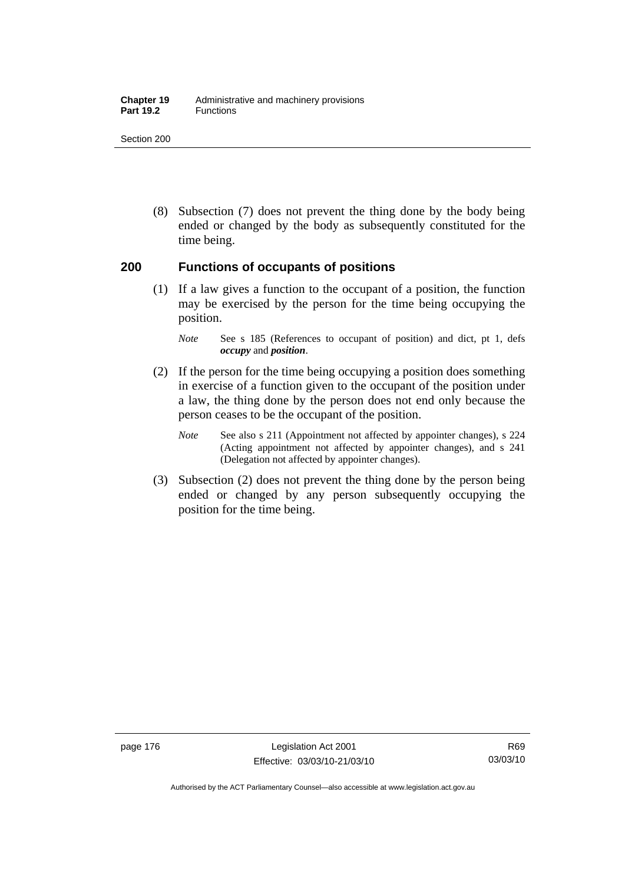#### **Chapter 19** Administrative and machinery provisions Part 19.2 **Functions**

Section 200

 (8) Subsection (7) does not prevent the thing done by the body being ended or changed by the body as subsequently constituted for the time being.

### **200 Functions of occupants of positions**

 (1) If a law gives a function to the occupant of a position, the function may be exercised by the person for the time being occupying the position.

- (2) If the person for the time being occupying a position does something in exercise of a function given to the occupant of the position under a law, the thing done by the person does not end only because the person ceases to be the occupant of the position.
	- *Note* See also s 211 (Appointment not affected by appointer changes), s 224 (Acting appointment not affected by appointer changes), and s 241 (Delegation not affected by appointer changes).
- (3) Subsection (2) does not prevent the thing done by the person being ended or changed by any person subsequently occupying the position for the time being.

*Note* See s 185 (References to occupant of position) and dict, pt 1, defs *occupy* and *position*.

Authorised by the ACT Parliamentary Counsel—also accessible at www.legislation.act.gov.au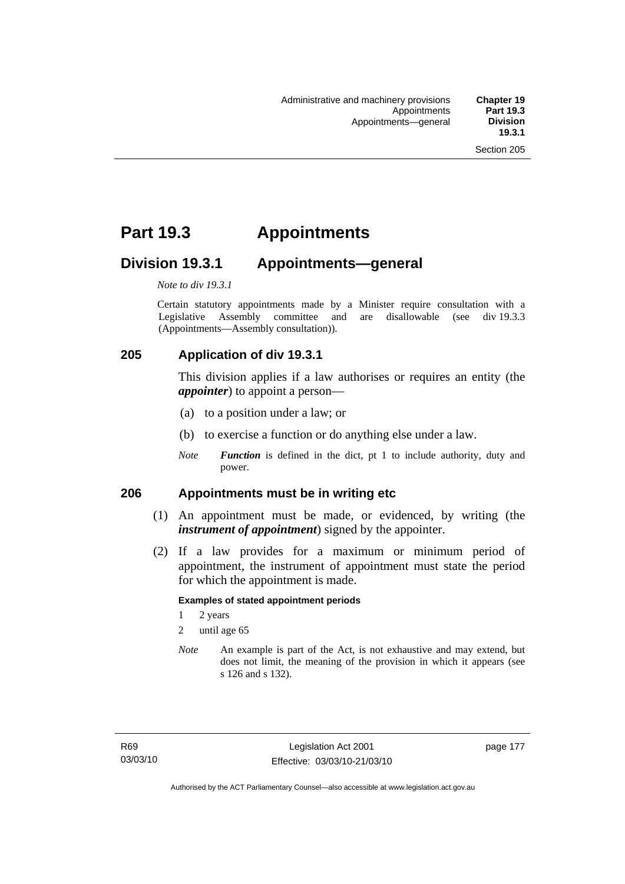# **Part 19.3 Appointments**

# **Division 19.3.1 Appointments—general**

*Note to div 19.3.1* 

Certain statutory appointments made by a Minister require consultation with a Legislative Assembly committee and are disallowable (see div 19.3.3) (Appointments—Assembly consultation)).

# **205 Application of div 19.3.1**

This division applies if a law authorises or requires an entity (the *appointer*) to appoint a person—

- (a) to a position under a law; or
- (b) to exercise a function or do anything else under a law.
- *Note Function* is defined in the dict, pt 1 to include authority, duty and power.

### **206 Appointments must be in writing etc**

- (1) An appointment must be made, or evidenced, by writing (the *instrument of appointment*) signed by the appointer.
- (2) If a law provides for a maximum or minimum period of appointment, the instrument of appointment must state the period for which the appointment is made.

#### **Examples of stated appointment periods**

- 1 2 years
- 2 until age 65
- *Note* An example is part of the Act, is not exhaustive and may extend, but does not limit, the meaning of the provision in which it appears (see s 126 and s 132).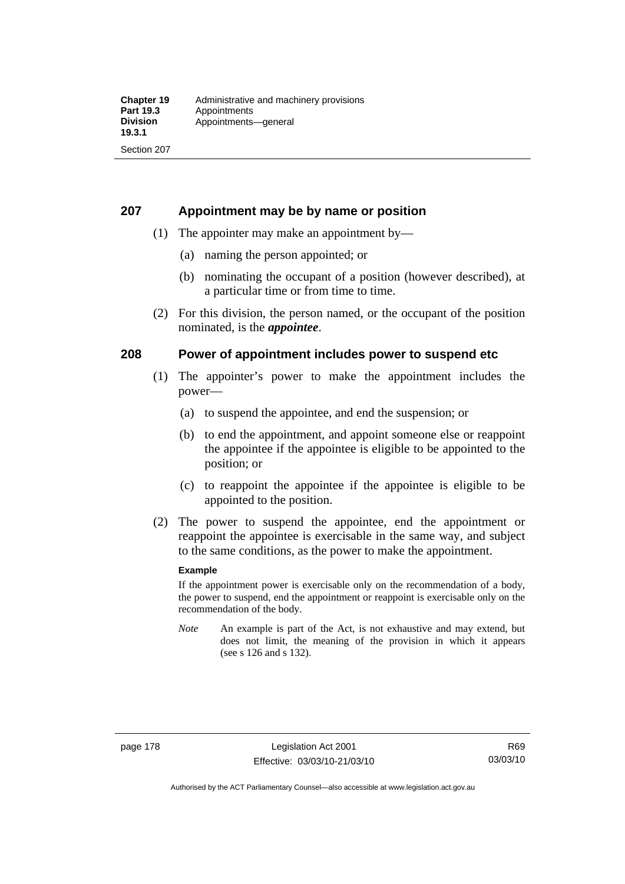## **207 Appointment may be by name or position**

- (1) The appointer may make an appointment by—
	- (a) naming the person appointed; or
	- (b) nominating the occupant of a position (however described), at a particular time or from time to time.
- (2) For this division, the person named, or the occupant of the position nominated, is the *appointee*.

## **208 Power of appointment includes power to suspend etc**

- (1) The appointer's power to make the appointment includes the power—
	- (a) to suspend the appointee, and end the suspension; or
	- (b) to end the appointment, and appoint someone else or reappoint the appointee if the appointee is eligible to be appointed to the position; or
	- (c) to reappoint the appointee if the appointee is eligible to be appointed to the position.
- (2) The power to suspend the appointee, end the appointment or reappoint the appointee is exercisable in the same way, and subject to the same conditions, as the power to make the appointment.

#### **Example**

If the appointment power is exercisable only on the recommendation of a body, the power to suspend, end the appointment or reappoint is exercisable only on the recommendation of the body.

*Note* An example is part of the Act, is not exhaustive and may extend, but does not limit, the meaning of the provision in which it appears (see s 126 and s 132).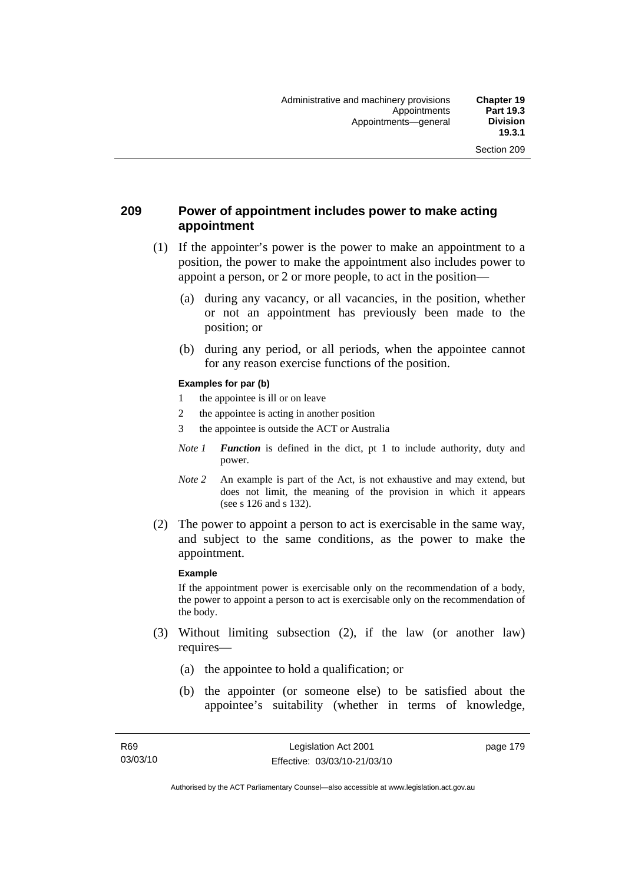## **209 Power of appointment includes power to make acting appointment**

- (1) If the appointer's power is the power to make an appointment to a position, the power to make the appointment also includes power to appoint a person, or 2 or more people, to act in the position—
	- (a) during any vacancy, or all vacancies, in the position, whether or not an appointment has previously been made to the position; or
	- (b) during any period, or all periods, when the appointee cannot for any reason exercise functions of the position.

#### **Examples for par (b)**

- 1 the appointee is ill or on leave
- 2 the appointee is acting in another position
- 3 the appointee is outside the ACT or Australia
- *Note 1 Function* is defined in the dict, pt 1 to include authority, duty and power.
- *Note* 2 An example is part of the Act, is not exhaustive and may extend, but does not limit, the meaning of the provision in which it appears (see s 126 and s 132).
- (2) The power to appoint a person to act is exercisable in the same way, and subject to the same conditions, as the power to make the appointment.

#### **Example**

If the appointment power is exercisable only on the recommendation of a body, the power to appoint a person to act is exercisable only on the recommendation of the body.

- (3) Without limiting subsection (2), if the law (or another law) requires—
	- (a) the appointee to hold a qualification; or
	- (b) the appointer (or someone else) to be satisfied about the appointee's suitability (whether in terms of knowledge,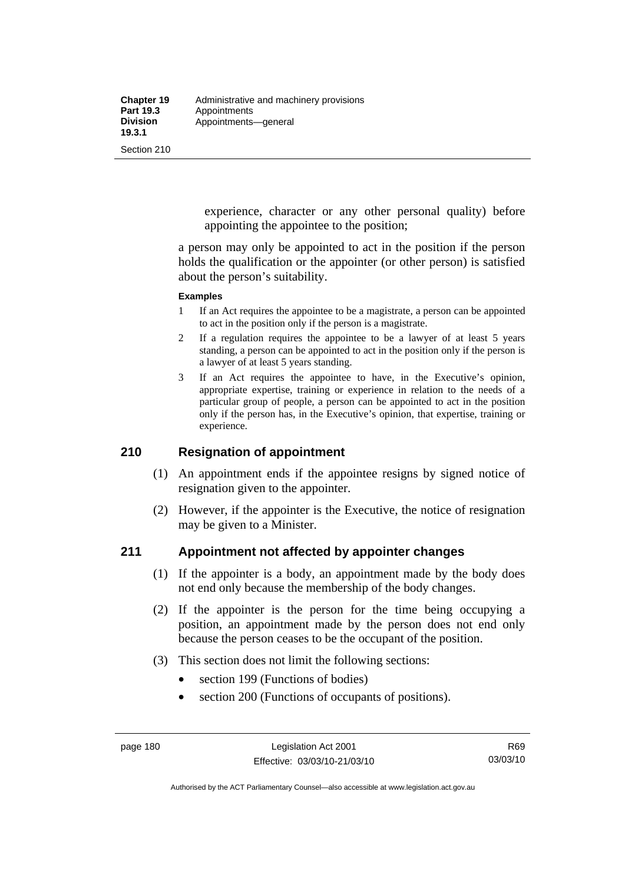experience, character or any other personal quality) before appointing the appointee to the position;

a person may only be appointed to act in the position if the person holds the qualification or the appointer (or other person) is satisfied about the person's suitability.

#### **Examples**

- 1 If an Act requires the appointee to be a magistrate, a person can be appointed to act in the position only if the person is a magistrate.
- 2 If a regulation requires the appointee to be a lawyer of at least 5 years standing, a person can be appointed to act in the position only if the person is a lawyer of at least 5 years standing.
- 3 If an Act requires the appointee to have, in the Executive's opinion, appropriate expertise, training or experience in relation to the needs of a particular group of people, a person can be appointed to act in the position only if the person has, in the Executive's opinion, that expertise, training or experience.

## **210 Resignation of appointment**

- (1) An appointment ends if the appointee resigns by signed notice of resignation given to the appointer.
- (2) However, if the appointer is the Executive, the notice of resignation may be given to a Minister.

### **211 Appointment not affected by appointer changes**

- (1) If the appointer is a body, an appointment made by the body does not end only because the membership of the body changes.
- (2) If the appointer is the person for the time being occupying a position, an appointment made by the person does not end only because the person ceases to be the occupant of the position.
- (3) This section does not limit the following sections:
	- section 199 (Functions of bodies)
	- section 200 (Functions of occupants of positions).

Authorised by the ACT Parliamentary Counsel—also accessible at www.legislation.act.gov.au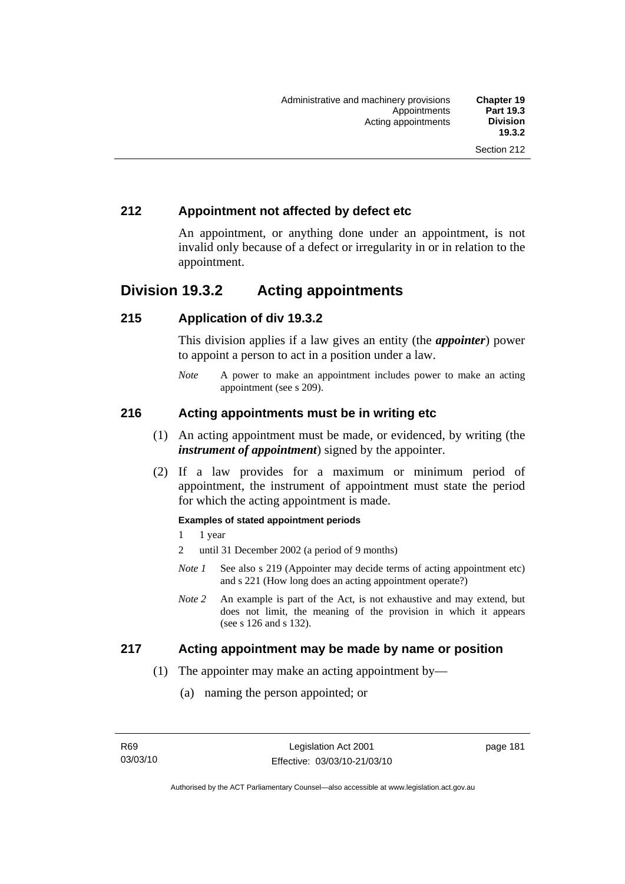## **212 Appointment not affected by defect etc**

An appointment, or anything done under an appointment, is not invalid only because of a defect or irregularity in or in relation to the appointment.

# **Division 19.3.2 Acting appointments**

## **215 Application of div 19.3.2**

This division applies if a law gives an entity (the *appointer*) power to appoint a person to act in a position under a law.

*Note* A power to make an appointment includes power to make an acting appointment (see s 209).

## **216 Acting appointments must be in writing etc**

- (1) An acting appointment must be made, or evidenced, by writing (the *instrument of appointment*) signed by the appointer.
- (2) If a law provides for a maximum or minimum period of appointment, the instrument of appointment must state the period for which the acting appointment is made.

#### **Examples of stated appointment periods**

- 1 1 year
- 2 until 31 December 2002 (a period of 9 months)
- *Note 1* See also s 219 (Appointer may decide terms of acting appointment etc) and s 221 (How long does an acting appointment operate?)
- *Note 2* An example is part of the Act, is not exhaustive and may extend, but does not limit, the meaning of the provision in which it appears (see s 126 and s 132).

### **217 Acting appointment may be made by name or position**

- (1) The appointer may make an acting appointment by—
	- (a) naming the person appointed; or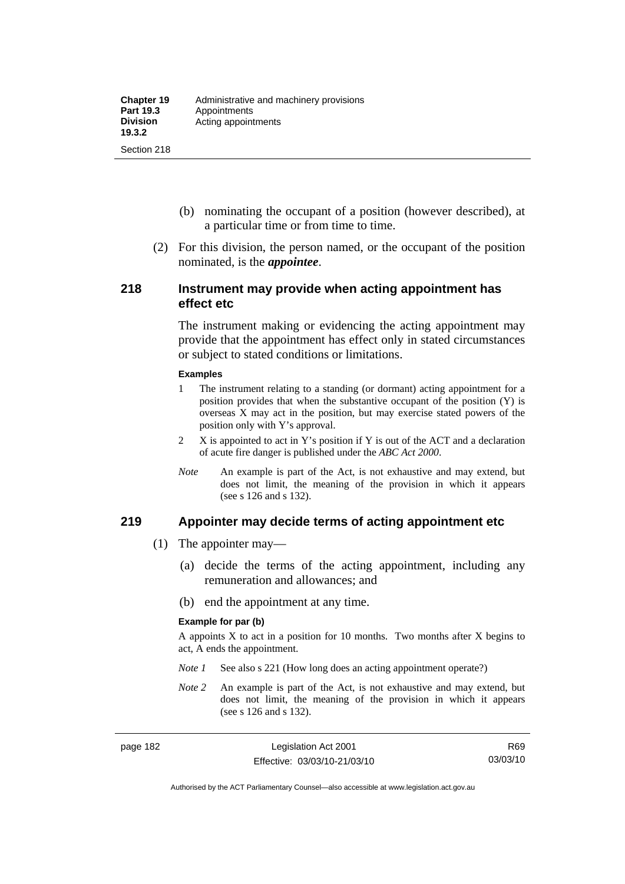- (b) nominating the occupant of a position (however described), at a particular time or from time to time.
- (2) For this division, the person named, or the occupant of the position nominated, is the *appointee*.

#### **218 Instrument may provide when acting appointment has effect etc**

The instrument making or evidencing the acting appointment may provide that the appointment has effect only in stated circumstances or subject to stated conditions or limitations.

#### **Examples**

- 1 The instrument relating to a standing (or dormant) acting appointment for a position provides that when the substantive occupant of the position (Y) is overseas X may act in the position, but may exercise stated powers of the position only with Y's approval.
- 2 X is appointed to act in Y's position if Y is out of the ACT and a declaration of acute fire danger is published under the *ABC Act 2000*.
- *Note* An example is part of the Act, is not exhaustive and may extend, but does not limit, the meaning of the provision in which it appears (see s 126 and s 132).

#### **219 Appointer may decide terms of acting appointment etc**

- (1) The appointer may—
	- (a) decide the terms of the acting appointment, including any remuneration and allowances; and
	- (b) end the appointment at any time.

#### **Example for par (b)**

A appoints  $X$  to act in a position for 10 months. Two months after  $X$  begins to act, A ends the appointment.

- *Note 1* See also s 221 (How long does an acting appointment operate?)
- *Note 2* An example is part of the Act, is not exhaustive and may extend, but does not limit, the meaning of the provision in which it appears (see s 126 and s 132).

R69 03/03/10

Authorised by the ACT Parliamentary Counsel—also accessible at www.legislation.act.gov.au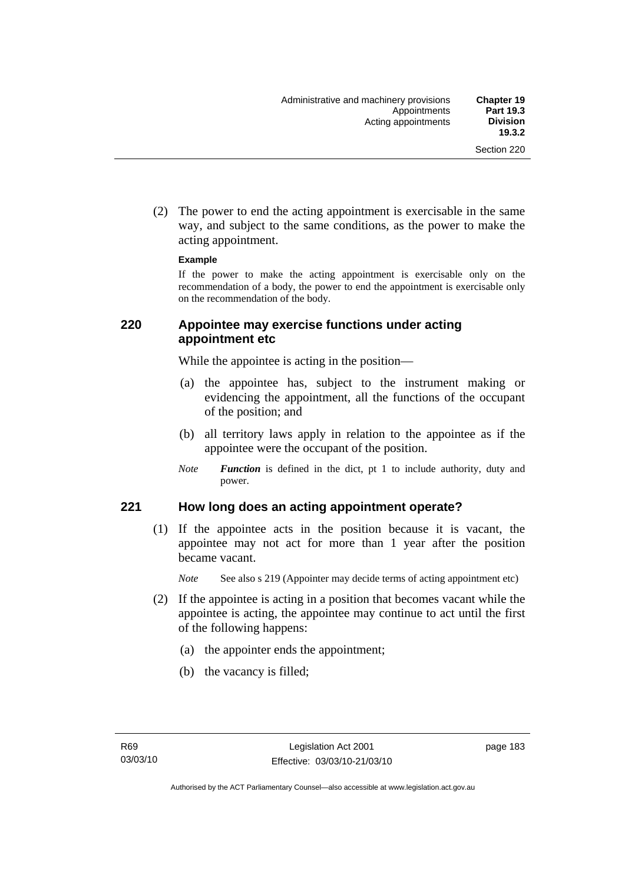(2) The power to end the acting appointment is exercisable in the same way, and subject to the same conditions, as the power to make the acting appointment.

#### **Example**

If the power to make the acting appointment is exercisable only on the recommendation of a body, the power to end the appointment is exercisable only on the recommendation of the body.

## **220 Appointee may exercise functions under acting appointment etc**

While the appointee is acting in the position—

- (a) the appointee has, subject to the instrument making or evidencing the appointment, all the functions of the occupant of the position; and
- (b) all territory laws apply in relation to the appointee as if the appointee were the occupant of the position.
- *Note Function* is defined in the dict, pt 1 to include authority, duty and power.

### **221 How long does an acting appointment operate?**

 (1) If the appointee acts in the position because it is vacant, the appointee may not act for more than 1 year after the position became vacant.

*Note* See also s 219 (Appointer may decide terms of acting appointment etc)

- (2) If the appointee is acting in a position that becomes vacant while the appointee is acting, the appointee may continue to act until the first of the following happens:
	- (a) the appointer ends the appointment;
	- (b) the vacancy is filled;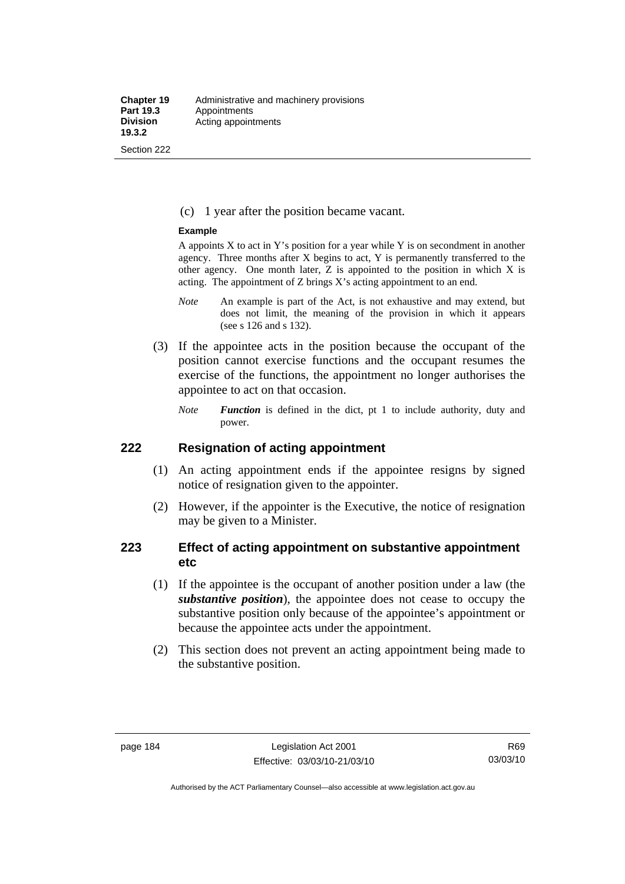(c) 1 year after the position became vacant.

#### **Example**

A appoints  $X$  to act in Y's position for a year while Y is on secondment in another agency. Three months after X begins to act, Y is permanently transferred to the other agency. One month later, Z is appointed to the position in which X is acting. The appointment of Z brings X's acting appointment to an end.

- *Note* An example is part of the Act, is not exhaustive and may extend, but does not limit, the meaning of the provision in which it appears (see s 126 and s 132).
- (3) If the appointee acts in the position because the occupant of the position cannot exercise functions and the occupant resumes the exercise of the functions, the appointment no longer authorises the appointee to act on that occasion.
	- *Note Function* is defined in the dict, pt 1 to include authority, duty and power.

### **222 Resignation of acting appointment**

- (1) An acting appointment ends if the appointee resigns by signed notice of resignation given to the appointer.
- (2) However, if the appointer is the Executive, the notice of resignation may be given to a Minister.

## **223 Effect of acting appointment on substantive appointment etc**

- (1) If the appointee is the occupant of another position under a law (the *substantive position*), the appointee does not cease to occupy the substantive position only because of the appointee's appointment or because the appointee acts under the appointment.
- (2) This section does not prevent an acting appointment being made to the substantive position.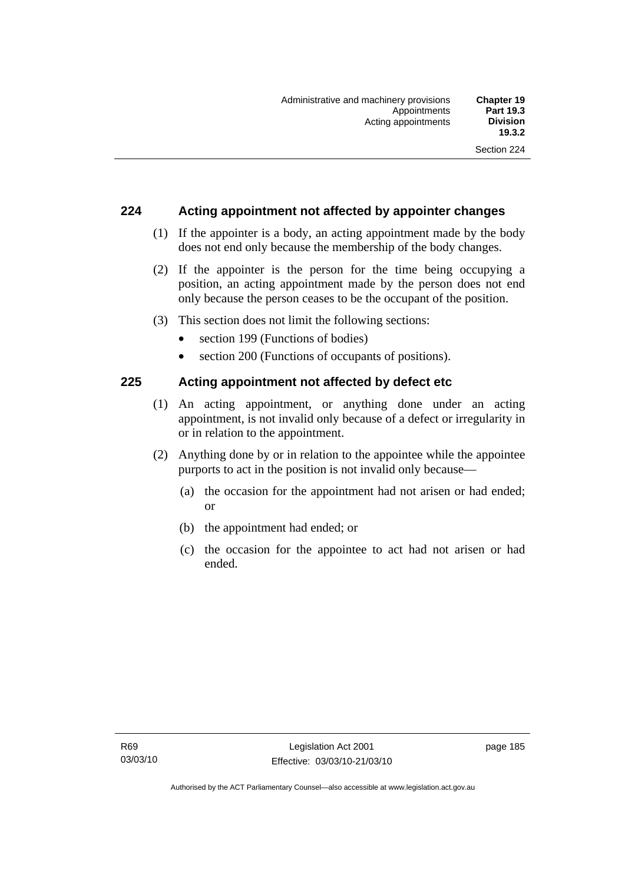## **224 Acting appointment not affected by appointer changes**

- (1) If the appointer is a body, an acting appointment made by the body does not end only because the membership of the body changes.
- (2) If the appointer is the person for the time being occupying a position, an acting appointment made by the person does not end only because the person ceases to be the occupant of the position.
- (3) This section does not limit the following sections:
	- section 199 (Functions of bodies)
	- section 200 (Functions of occupants of positions).

### **225 Acting appointment not affected by defect etc**

- (1) An acting appointment, or anything done under an acting appointment, is not invalid only because of a defect or irregularity in or in relation to the appointment.
- (2) Anything done by or in relation to the appointee while the appointee purports to act in the position is not invalid only because—
	- (a) the occasion for the appointment had not arisen or had ended; or
	- (b) the appointment had ended; or
	- (c) the occasion for the appointee to act had not arisen or had ended.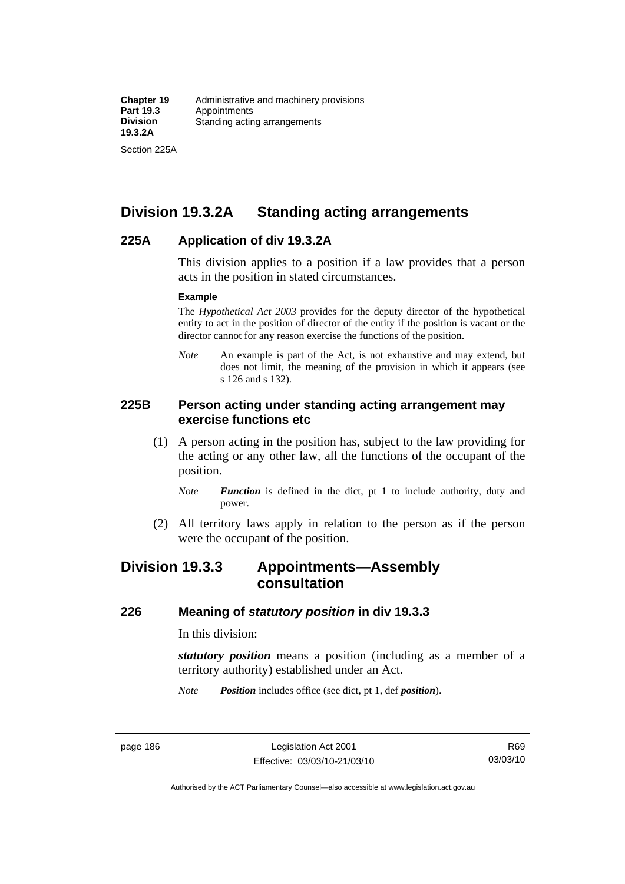Section 225A

# **Division 19.3.2A Standing acting arrangements**

### **225A Application of div 19.3.2A**

This division applies to a position if a law provides that a person acts in the position in stated circumstances.

#### **Example**

The *Hypothetical Act 2003* provides for the deputy director of the hypothetical entity to act in the position of director of the entity if the position is vacant or the director cannot for any reason exercise the functions of the position.

*Note* An example is part of the Act, is not exhaustive and may extend, but does not limit, the meaning of the provision in which it appears (see s 126 and s 132).

### **225B Person acting under standing acting arrangement may exercise functions etc**

- (1) A person acting in the position has, subject to the law providing for the acting or any other law, all the functions of the occupant of the position.
	- *Note Function* is defined in the dict, pt 1 to include authority, duty and power.
- (2) All territory laws apply in relation to the person as if the person were the occupant of the position.

# **Division 19.3.3 Appointments—Assembly consultation**

### **226 Meaning of** *statutory position* **in div 19.3.3**

In this division:

*statutory position* means a position (including as a member of a territory authority) established under an Act.

*Note Position* includes office (see dict, pt 1, def *position*).

R69 03/03/10

Authorised by the ACT Parliamentary Counsel—also accessible at www.legislation.act.gov.au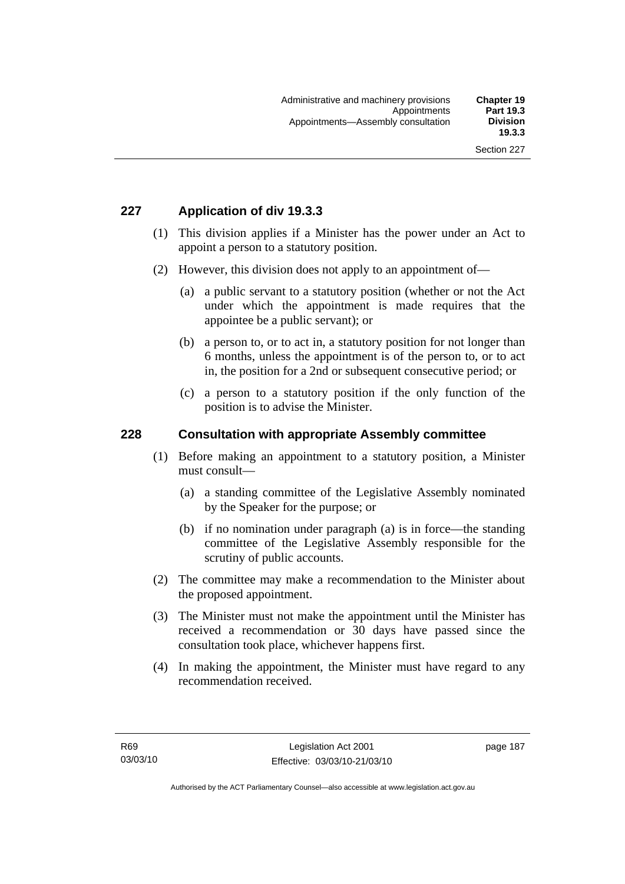# **227 Application of div 19.3.3**

- (1) This division applies if a Minister has the power under an Act to appoint a person to a statutory position.
- (2) However, this division does not apply to an appointment of—
	- (a) a public servant to a statutory position (whether or not the Act under which the appointment is made requires that the appointee be a public servant); or
	- (b) a person to, or to act in, a statutory position for not longer than 6 months, unless the appointment is of the person to, or to act in, the position for a 2nd or subsequent consecutive period; or
	- (c) a person to a statutory position if the only function of the position is to advise the Minister.

### **228 Consultation with appropriate Assembly committee**

- (1) Before making an appointment to a statutory position, a Minister must consult—
	- (a) a standing committee of the Legislative Assembly nominated by the Speaker for the purpose; or
	- (b) if no nomination under paragraph (a) is in force—the standing committee of the Legislative Assembly responsible for the scrutiny of public accounts.
- (2) The committee may make a recommendation to the Minister about the proposed appointment.
- (3) The Minister must not make the appointment until the Minister has received a recommendation or 30 days have passed since the consultation took place, whichever happens first.
- (4) In making the appointment, the Minister must have regard to any recommendation received.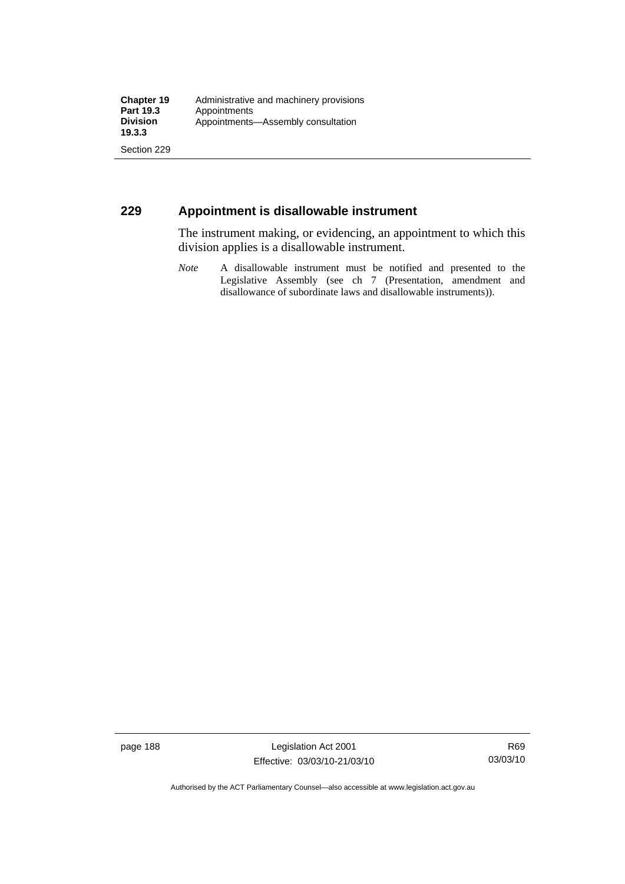## **229 Appointment is disallowable instrument**

The instrument making, or evidencing, an appointment to which this division applies is a disallowable instrument.

*Note* A disallowable instrument must be notified and presented to the Legislative Assembly (see ch 7 (Presentation, amendment and disallowance of subordinate laws and disallowable instruments)).

page 188 Legislation Act 2001 Effective: 03/03/10-21/03/10

Authorised by the ACT Parliamentary Counsel—also accessible at www.legislation.act.gov.au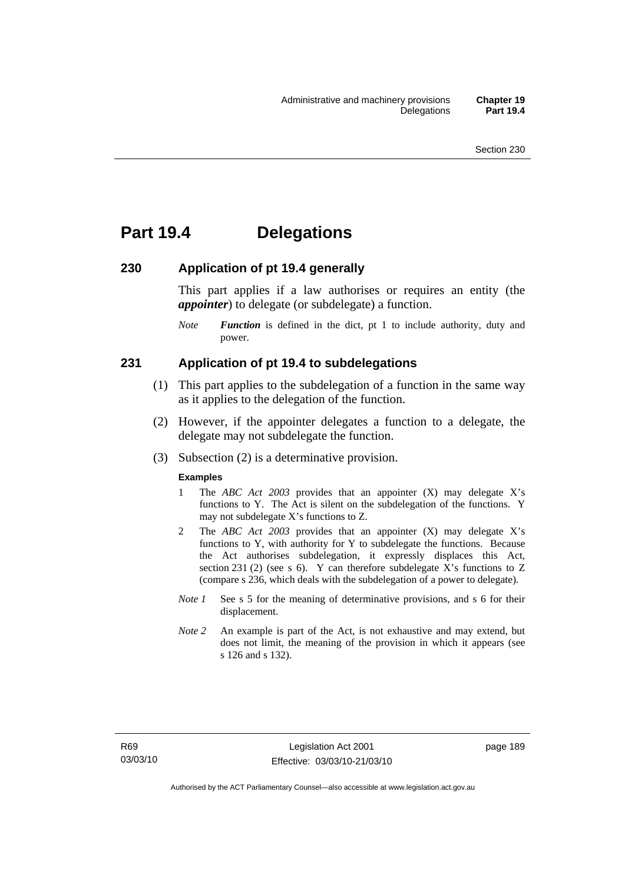# **Part 19.4 Delegations**

#### **230 Application of pt 19.4 generally**

This part applies if a law authorises or requires an entity (the *appointer*) to delegate (or subdelegate) a function.

*Note Function* is defined in the dict, pt 1 to include authority, duty and power.

#### **231 Application of pt 19.4 to subdelegations**

- (1) This part applies to the subdelegation of a function in the same way as it applies to the delegation of the function.
- (2) However, if the appointer delegates a function to a delegate, the delegate may not subdelegate the function.
- (3) Subsection (2) is a determinative provision.

#### **Examples**

- 1 The *ABC Act 2003* provides that an appointer (X) may delegate X's functions to Y. The Act is silent on the subdelegation of the functions. Y may not subdelegate X's functions to Z.
- 2 The *ABC Act 2003* provides that an appointer (X) may delegate X's functions to Y, with authority for Y to subdelegate the functions. Because the Act authorises subdelegation, it expressly displaces this Act, section 231 (2) (see s 6). Y can therefore subdelegate X's functions to  $Z$ (compare s 236, which deals with the subdelegation of a power to delegate)*.*
- *Note 1* See s 5 for the meaning of determinative provisions, and s 6 for their displacement.
- *Note* 2 An example is part of the Act, is not exhaustive and may extend, but does not limit, the meaning of the provision in which it appears (see s 126 and s 132).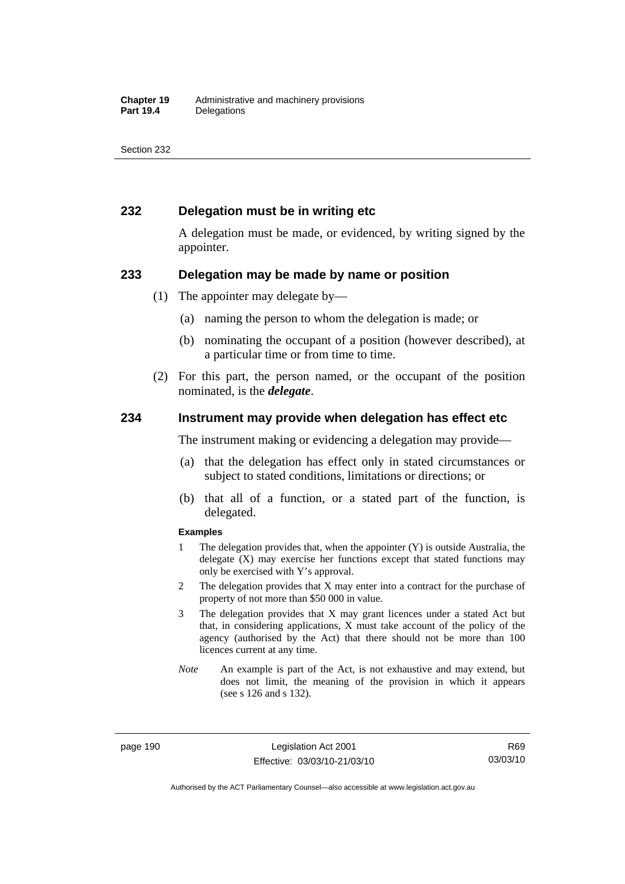## **232 Delegation must be in writing etc**

A delegation must be made, or evidenced, by writing signed by the appointer.

#### **233 Delegation may be made by name or position**

- (1) The appointer may delegate by—
	- (a) naming the person to whom the delegation is made; or
	- (b) nominating the occupant of a position (however described), at a particular time or from time to time.
- (2) For this part, the person named, or the occupant of the position nominated, is the *delegate*.

#### **234 Instrument may provide when delegation has effect etc**

The instrument making or evidencing a delegation may provide—

- (a) that the delegation has effect only in stated circumstances or subject to stated conditions, limitations or directions; or
- (b) that all of a function, or a stated part of the function, is delegated.

#### **Examples**

- 1 The delegation provides that, when the appointer (Y) is outside Australia, the delegate (X) may exercise her functions except that stated functions may only be exercised with Y's approval.
- 2 The delegation provides that X may enter into a contract for the purchase of property of not more than \$50 000 in value.
- 3 The delegation provides that X may grant licences under a stated Act but that, in considering applications, X must take account of the policy of the agency (authorised by the Act) that there should not be more than 100 licences current at any time.
- *Note* An example is part of the Act, is not exhaustive and may extend, but does not limit, the meaning of the provision in which it appears (see s 126 and s 132).

page 190 Legislation Act 2001 Effective: 03/03/10-21/03/10

R69 03/03/10

Authorised by the ACT Parliamentary Counsel—also accessible at www.legislation.act.gov.au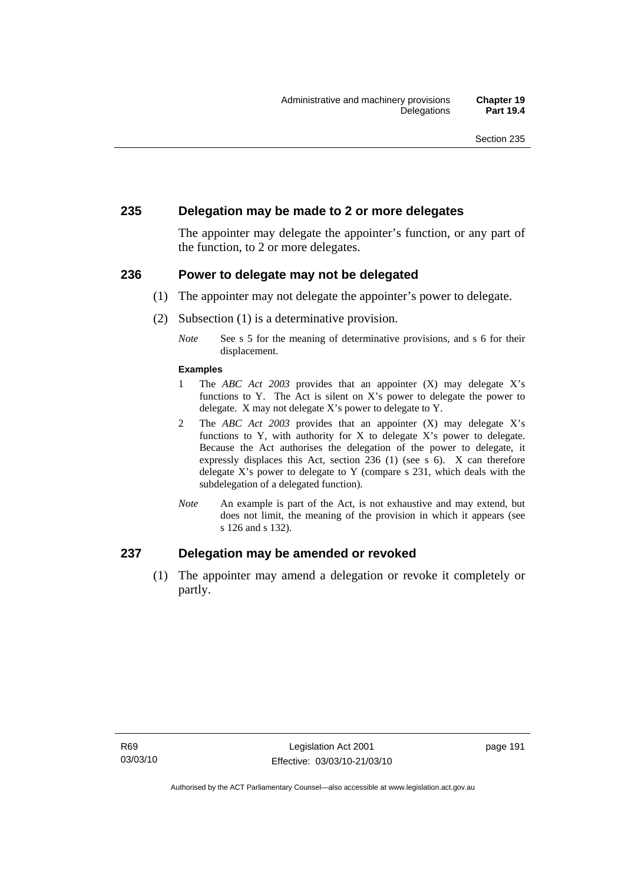### **235 Delegation may be made to 2 or more delegates**

The appointer may delegate the appointer's function, or any part of the function, to 2 or more delegates.

#### **236 Power to delegate may not be delegated**

- (1) The appointer may not delegate the appointer's power to delegate.
- (2) Subsection (1) is a determinative provision.
	- *Note* See s 5 for the meaning of determinative provisions, and s 6 for their displacement.

#### **Examples**

- 1 The *ABC Act 2003* provides that an appointer (X) may delegate X's functions to Y. The Act is silent on X's power to delegate the power to delegate. X may not delegate X's power to delegate to Y.
- 2 The *ABC Act 2003* provides that an appointer (X) may delegate X's functions to Y, with authority for X to delegate  $X$ 's power to delegate. Because the Act authorises the delegation of the power to delegate, it expressly displaces this Act, section 236 (1) (see s 6). X can therefore delegate X's power to delegate to Y (compare s 231, which deals with the subdelegation of a delegated function)*.*
- *Note* An example is part of the Act, is not exhaustive and may extend, but does not limit, the meaning of the provision in which it appears (see s 126 and s 132).

### **237 Delegation may be amended or revoked**

 (1) The appointer may amend a delegation or revoke it completely or partly.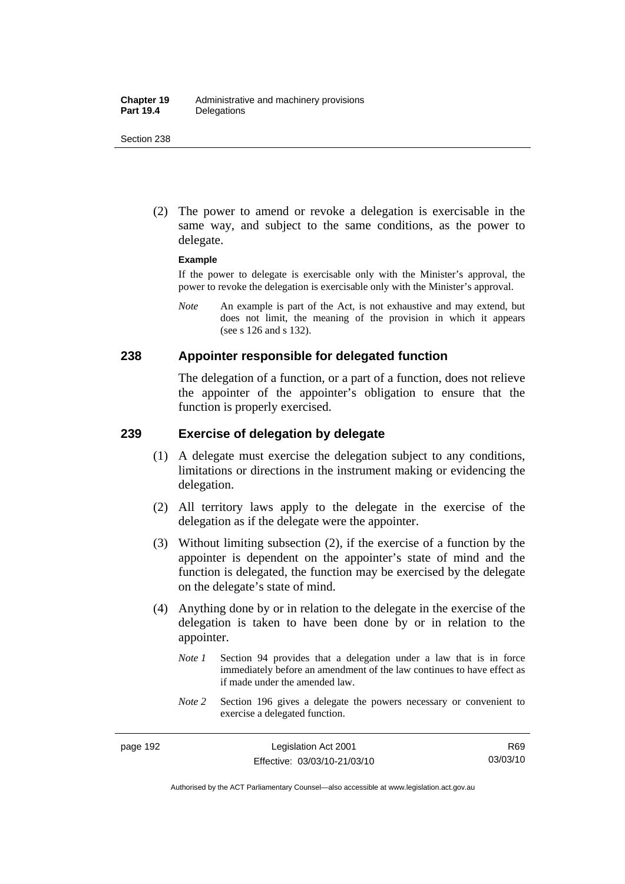(2) The power to amend or revoke a delegation is exercisable in the same way, and subject to the same conditions, as the power to delegate.

#### **Example**

If the power to delegate is exercisable only with the Minister's approval, the power to revoke the delegation is exercisable only with the Minister's approval.

*Note* An example is part of the Act, is not exhaustive and may extend, but does not limit, the meaning of the provision in which it appears (see s 126 and s 132).

#### **238 Appointer responsible for delegated function**

The delegation of a function, or a part of a function, does not relieve the appointer of the appointer's obligation to ensure that the function is properly exercised.

## **239 Exercise of delegation by delegate**

- (1) A delegate must exercise the delegation subject to any conditions, limitations or directions in the instrument making or evidencing the delegation.
- (2) All territory laws apply to the delegate in the exercise of the delegation as if the delegate were the appointer.
- (3) Without limiting subsection (2), if the exercise of a function by the appointer is dependent on the appointer's state of mind and the function is delegated, the function may be exercised by the delegate on the delegate's state of mind.
- (4) Anything done by or in relation to the delegate in the exercise of the delegation is taken to have been done by or in relation to the appointer.
	- *Note 1* Section 94 provides that a delegation under a law that is in force immediately before an amendment of the law continues to have effect as if made under the amended law.
	- *Note* 2 Section 196 gives a delegate the powers necessary or convenient to exercise a delegated function.

Authorised by the ACT Parliamentary Counsel—also accessible at www.legislation.act.gov.au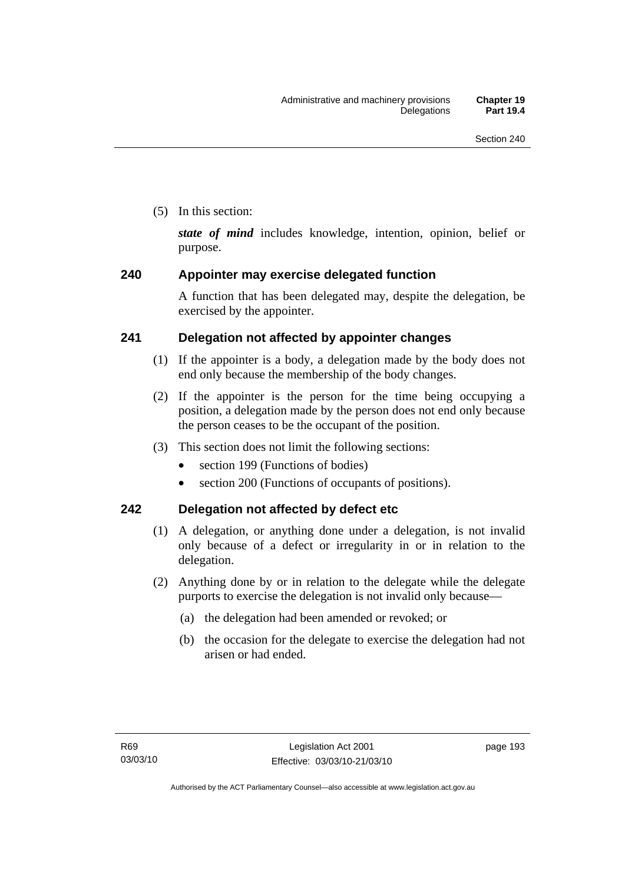(5) In this section:

*state of mind* includes knowledge, intention, opinion, belief or purpose.

## **240 Appointer may exercise delegated function**

A function that has been delegated may, despite the delegation, be exercised by the appointer.

## **241 Delegation not affected by appointer changes**

- (1) If the appointer is a body, a delegation made by the body does not end only because the membership of the body changes.
- (2) If the appointer is the person for the time being occupying a position, a delegation made by the person does not end only because the person ceases to be the occupant of the position.
- (3) This section does not limit the following sections:
	- section 199 (Functions of bodies)
	- section 200 (Functions of occupants of positions).

## **242 Delegation not affected by defect etc**

- (1) A delegation, or anything done under a delegation, is not invalid only because of a defect or irregularity in or in relation to the delegation.
- (2) Anything done by or in relation to the delegate while the delegate purports to exercise the delegation is not invalid only because—
	- (a) the delegation had been amended or revoked; or
	- (b) the occasion for the delegate to exercise the delegation had not arisen or had ended.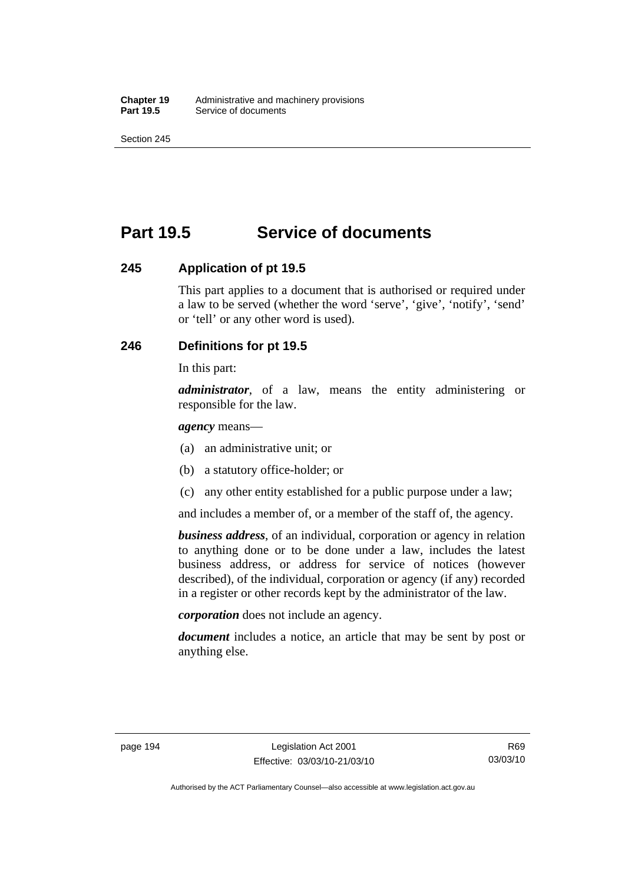# **Part 19.5 Service of documents**

### **245 Application of pt 19.5**

This part applies to a document that is authorised or required under a law to be served (whether the word 'serve', 'give', 'notify', 'send' or 'tell' or any other word is used).

## **246 Definitions for pt 19.5**

In this part:

*administrator*, of a law, means the entity administering or responsible for the law.

*agency* means—

- (a) an administrative unit; or
- (b) a statutory office-holder; or
- (c) any other entity established for a public purpose under a law;

and includes a member of, or a member of the staff of, the agency.

*business address*, of an individual, corporation or agency in relation to anything done or to be done under a law, includes the latest business address, or address for service of notices (however described), of the individual, corporation or agency (if any) recorded in a register or other records kept by the administrator of the law.

*corporation* does not include an agency.

*document* includes a notice, an article that may be sent by post or anything else.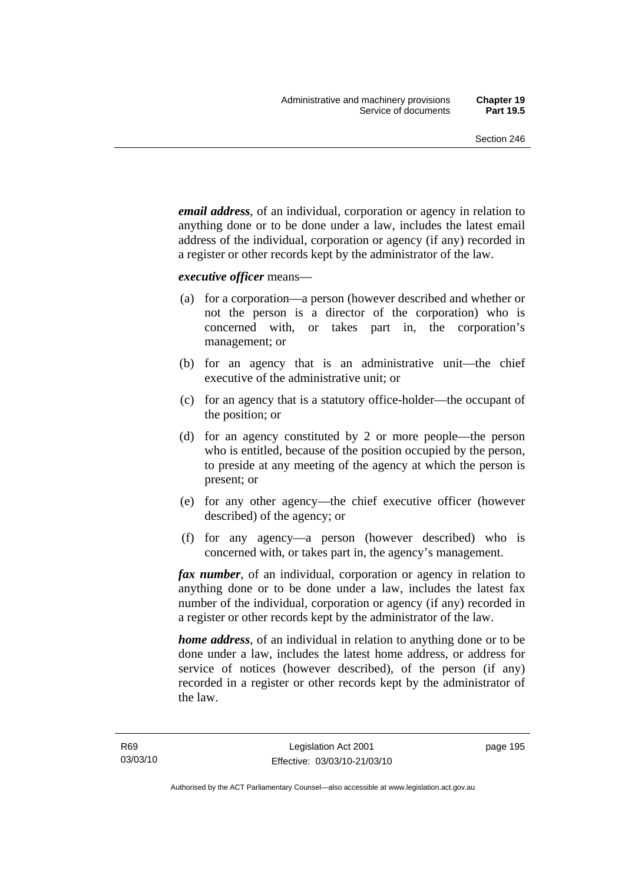*email address*, of an individual, corporation or agency in relation to anything done or to be done under a law, includes the latest email address of the individual, corporation or agency (if any) recorded in a register or other records kept by the administrator of the law.

*executive officer* means—

- (a) for a corporation—a person (however described and whether or not the person is a director of the corporation) who is concerned with, or takes part in, the corporation's management; or
- (b) for an agency that is an administrative unit—the chief executive of the administrative unit; or
- (c) for an agency that is a statutory office-holder—the occupant of the position; or
- (d) for an agency constituted by 2 or more people—the person who is entitled, because of the position occupied by the person, to preside at any meeting of the agency at which the person is present; or
- (e) for any other agency—the chief executive officer (however described) of the agency; or
- (f) for any agency—a person (however described) who is concerned with, or takes part in, the agency's management.

*fax number*, of an individual, corporation or agency in relation to anything done or to be done under a law, includes the latest fax number of the individual, corporation or agency (if any) recorded in a register or other records kept by the administrator of the law.

*home address*, of an individual in relation to anything done or to be done under a law, includes the latest home address, or address for service of notices (however described), of the person (if any) recorded in a register or other records kept by the administrator of the law.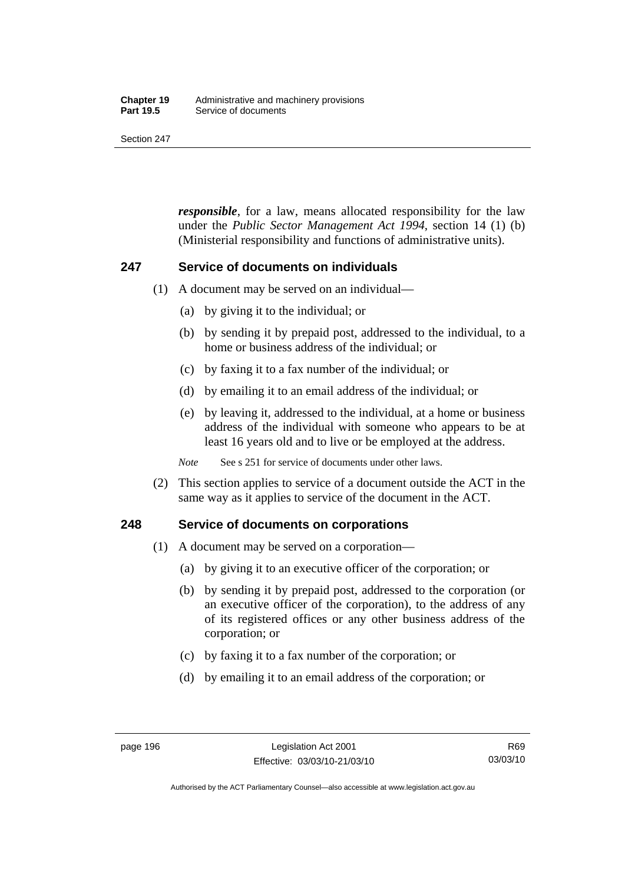#### **Chapter 19** Administrative and machinery provisions<br>**Part 19.5** Service of documents **Service of documents**

Section 247

*responsible*, for a law, means allocated responsibility for the law under the *Public Sector Management Act 1994*, section 14 (1) (b) (Ministerial responsibility and functions of administrative units).

### **247 Service of documents on individuals**

- (1) A document may be served on an individual—
	- (a) by giving it to the individual; or
	- (b) by sending it by prepaid post, addressed to the individual, to a home or business address of the individual; or
	- (c) by faxing it to a fax number of the individual; or
	- (d) by emailing it to an email address of the individual; or
	- (e) by leaving it, addressed to the individual, at a home or business address of the individual with someone who appears to be at least 16 years old and to live or be employed at the address.

*Note* See s 251 for service of documents under other laws.

 (2) This section applies to service of a document outside the ACT in the same way as it applies to service of the document in the ACT.

### **248 Service of documents on corporations**

- (1) A document may be served on a corporation—
	- (a) by giving it to an executive officer of the corporation; or
	- (b) by sending it by prepaid post, addressed to the corporation (or an executive officer of the corporation), to the address of any of its registered offices or any other business address of the corporation; or
	- (c) by faxing it to a fax number of the corporation; or
	- (d) by emailing it to an email address of the corporation; or

Authorised by the ACT Parliamentary Counsel—also accessible at www.legislation.act.gov.au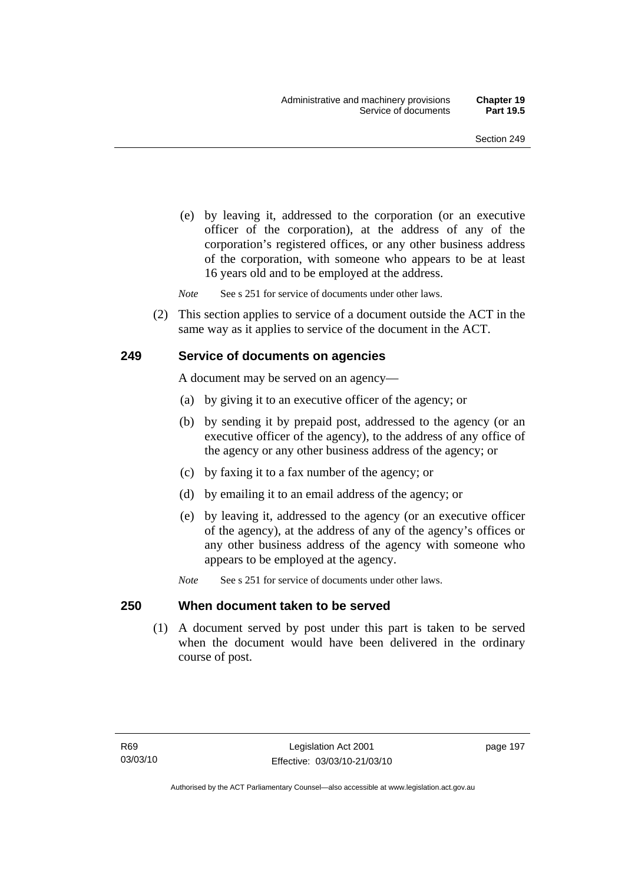(e) by leaving it, addressed to the corporation (or an executive officer of the corporation), at the address of any of the corporation's registered offices, or any other business address of the corporation, with someone who appears to be at least 16 years old and to be employed at the address.

*Note* See s 251 for service of documents under other laws.

 (2) This section applies to service of a document outside the ACT in the same way as it applies to service of the document in the ACT.

#### **249 Service of documents on agencies**

A document may be served on an agency—

- (a) by giving it to an executive officer of the agency; or
- (b) by sending it by prepaid post, addressed to the agency (or an executive officer of the agency), to the address of any office of the agency or any other business address of the agency; or
- (c) by faxing it to a fax number of the agency; or
- (d) by emailing it to an email address of the agency; or
- (e) by leaving it, addressed to the agency (or an executive officer of the agency), at the address of any of the agency's offices or any other business address of the agency with someone who appears to be employed at the agency.
- *Note* See s 251 for service of documents under other laws.

#### **250 When document taken to be served**

 (1) A document served by post under this part is taken to be served when the document would have been delivered in the ordinary course of post.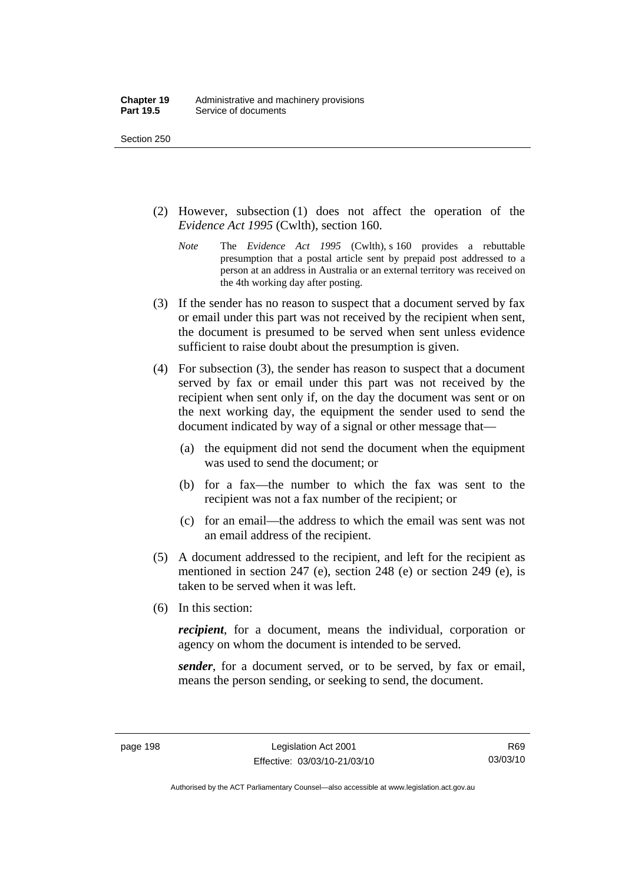- (2) However, subsection (1) does not affect the operation of the *Evidence Act 1995* (Cwlth), section 160.
	- *Note* The *Evidence Act 1995* (Cwlth), s 160 provides a rebuttable presumption that a postal article sent by prepaid post addressed to a person at an address in Australia or an external territory was received on the 4th working day after posting.
- (3) If the sender has no reason to suspect that a document served by fax or email under this part was not received by the recipient when sent, the document is presumed to be served when sent unless evidence sufficient to raise doubt about the presumption is given.
- (4) For subsection (3), the sender has reason to suspect that a document served by fax or email under this part was not received by the recipient when sent only if, on the day the document was sent or on the next working day, the equipment the sender used to send the document indicated by way of a signal or other message that—
	- (a) the equipment did not send the document when the equipment was used to send the document; or
	- (b) for a fax—the number to which the fax was sent to the recipient was not a fax number of the recipient; or
	- (c) for an email—the address to which the email was sent was not an email address of the recipient.
- (5) A document addressed to the recipient, and left for the recipient as mentioned in section 247 (e), section 248 (e) or section 249 (e), is taken to be served when it was left.
- (6) In this section:

*recipient*, for a document, means the individual, corporation or agency on whom the document is intended to be served.

*sender*, for a document served, or to be served, by fax or email, means the person sending, or seeking to send, the document.

R69 03/03/10

Authorised by the ACT Parliamentary Counsel—also accessible at www.legislation.act.gov.au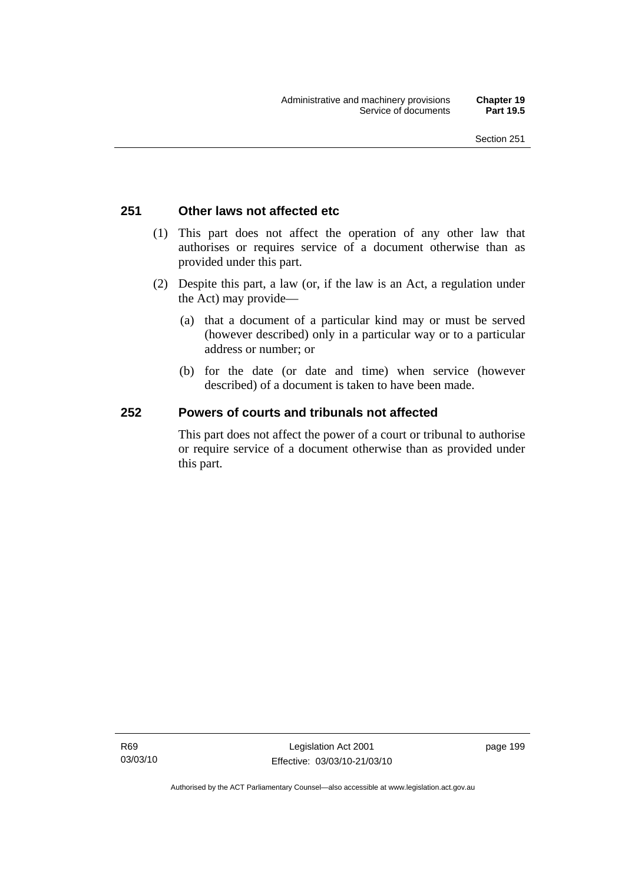## **251 Other laws not affected etc**

- (1) This part does not affect the operation of any other law that authorises or requires service of a document otherwise than as provided under this part.
- (2) Despite this part, a law (or, if the law is an Act, a regulation under the Act) may provide—
	- (a) that a document of a particular kind may or must be served (however described) only in a particular way or to a particular address or number; or
	- (b) for the date (or date and time) when service (however described) of a document is taken to have been made.

## **252 Powers of courts and tribunals not affected**

This part does not affect the power of a court or tribunal to authorise or require service of a document otherwise than as provided under this part.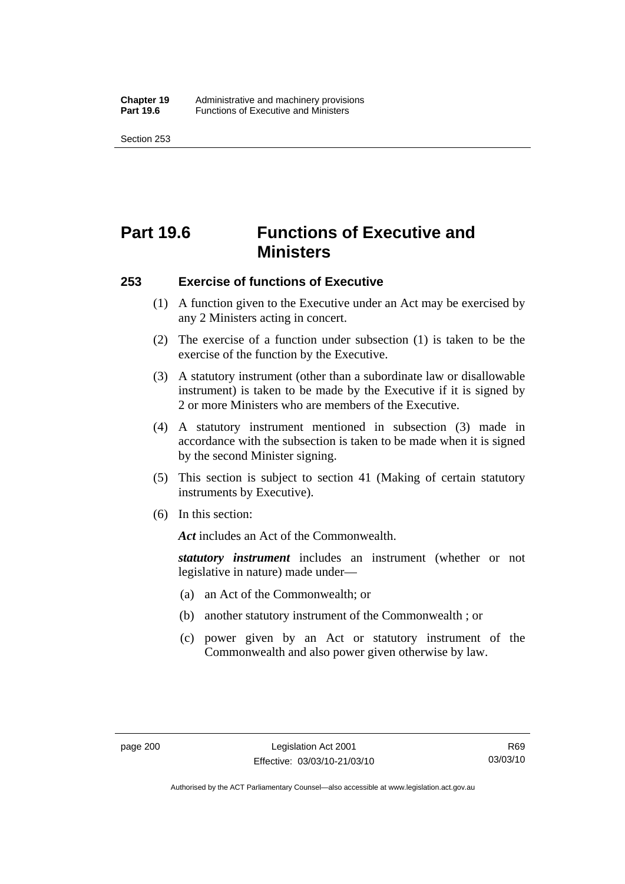# **Part 19.6 Functions of Executive and Ministers**

#### **253 Exercise of functions of Executive**

- (1) A function given to the Executive under an Act may be exercised by any 2 Ministers acting in concert.
- (2) The exercise of a function under subsection (1) is taken to be the exercise of the function by the Executive.
- (3) A statutory instrument (other than a subordinate law or disallowable instrument) is taken to be made by the Executive if it is signed by 2 or more Ministers who are members of the Executive.
- (4) A statutory instrument mentioned in subsection (3) made in accordance with the subsection is taken to be made when it is signed by the second Minister signing.
- (5) This section is subject to section 41 (Making of certain statutory instruments by Executive).
- (6) In this section:

*Act* includes an Act of the Commonwealth.

*statutory instrument* includes an instrument (whether or not legislative in nature) made under—

- (a) an Act of the Commonwealth; or
- (b) another statutory instrument of the Commonwealth ; or
- (c) power given by an Act or statutory instrument of the Commonwealth and also power given otherwise by law.

Authorised by the ACT Parliamentary Counsel—also accessible at www.legislation.act.gov.au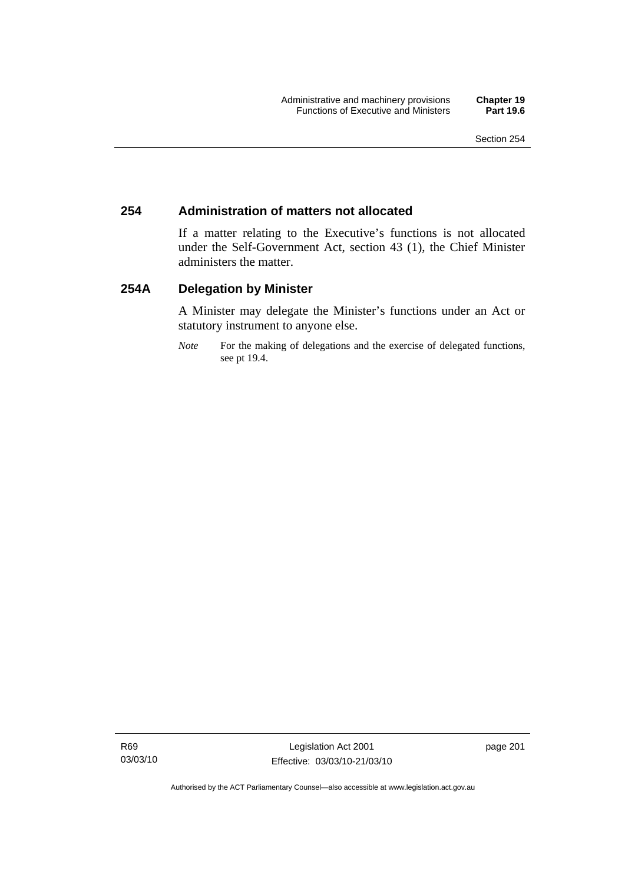## **254 Administration of matters not allocated**

If a matter relating to the Executive's functions is not allocated under the Self-Government Act, section 43 (1), the Chief Minister administers the matter.

## **254A Delegation by Minister**

A Minister may delegate the Minister's functions under an Act or statutory instrument to anyone else.

*Note* For the making of delegations and the exercise of delegated functions, see pt 19.4.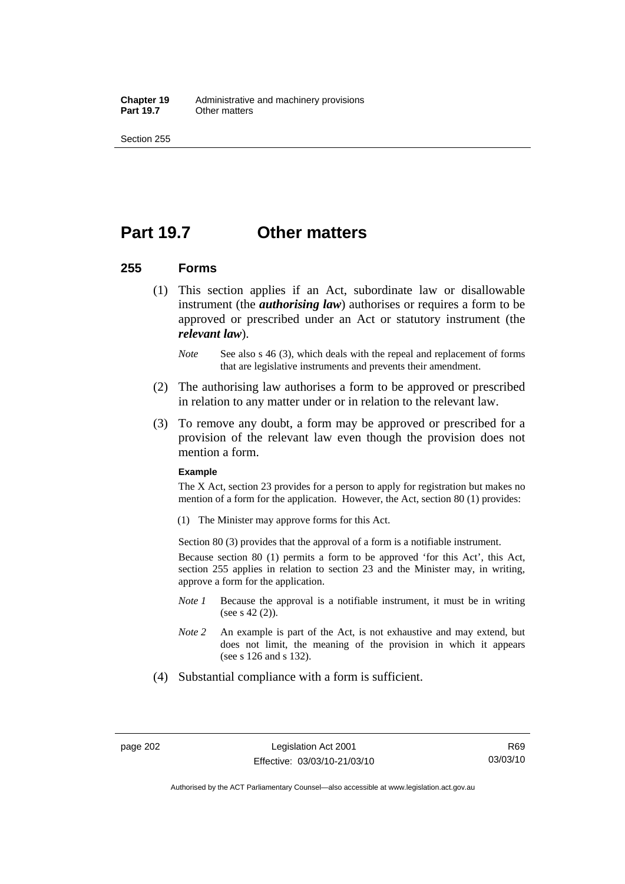**Chapter 19** Administrative and machinery provisions<br>**Part 19.7** Cther matters **Other matters** 

Section 255

## **Part 19.7 Other matters**

### **255 Forms**

- (1) This section applies if an Act, subordinate law or disallowable instrument (the *authorising law*) authorises or requires a form to be approved or prescribed under an Act or statutory instrument (the *relevant law*).
	- *Note* See also s 46 (3), which deals with the repeal and replacement of forms that are legislative instruments and prevents their amendment.
- (2) The authorising law authorises a form to be approved or prescribed in relation to any matter under or in relation to the relevant law.
- (3) To remove any doubt, a form may be approved or prescribed for a provision of the relevant law even though the provision does not mention a form.

#### **Example**

The X Act, section 23 provides for a person to apply for registration but makes no mention of a form for the application. However, the Act, section 80 (1) provides:

(1) The Minister may approve forms for this Act.

Section 80 (3) provides that the approval of a form is a notifiable instrument.

Because section 80 (1) permits a form to be approved 'for this Act', this Act, section 255 applies in relation to section 23 and the Minister may, in writing, approve a form for the application.

- *Note 1* Because the approval is a notifiable instrument, it must be in writing (see s 42 (2)).
- *Note 2* An example is part of the Act, is not exhaustive and may extend, but does not limit, the meaning of the provision in which it appears (see s 126 and s 132).
- (4) Substantial compliance with a form is sufficient.

R69 03/03/10

Authorised by the ACT Parliamentary Counsel—also accessible at www.legislation.act.gov.au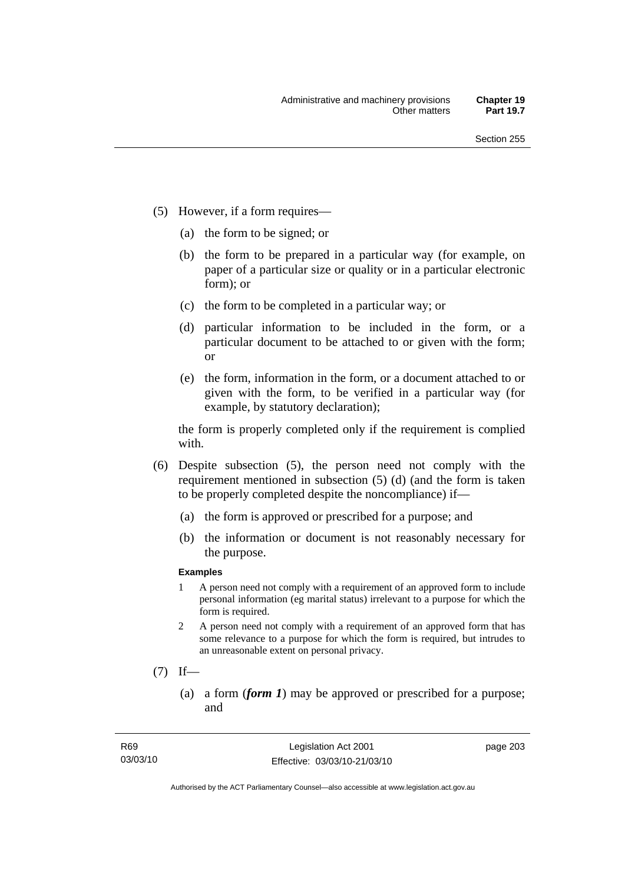- (5) However, if a form requires—
	- (a) the form to be signed; or
	- (b) the form to be prepared in a particular way (for example, on paper of a particular size or quality or in a particular electronic form); or
	- (c) the form to be completed in a particular way; or
	- (d) particular information to be included in the form, or a particular document to be attached to or given with the form; or
	- (e) the form, information in the form, or a document attached to or given with the form, to be verified in a particular way (for example, by statutory declaration);

the form is properly completed only if the requirement is complied with.

- (6) Despite subsection (5), the person need not comply with the requirement mentioned in subsection (5) (d) (and the form is taken to be properly completed despite the noncompliance) if—
	- (a) the form is approved or prescribed for a purpose; and
	- (b) the information or document is not reasonably necessary for the purpose.

### **Examples**

- 1 A person need not comply with a requirement of an approved form to include personal information (eg marital status) irrelevant to a purpose for which the form is required.
- 2 A person need not comply with a requirement of an approved form that has some relevance to a purpose for which the form is required, but intrudes to an unreasonable extent on personal privacy.
- $(7)$  If—
	- (a) a form (*form 1*) may be approved or prescribed for a purpose; and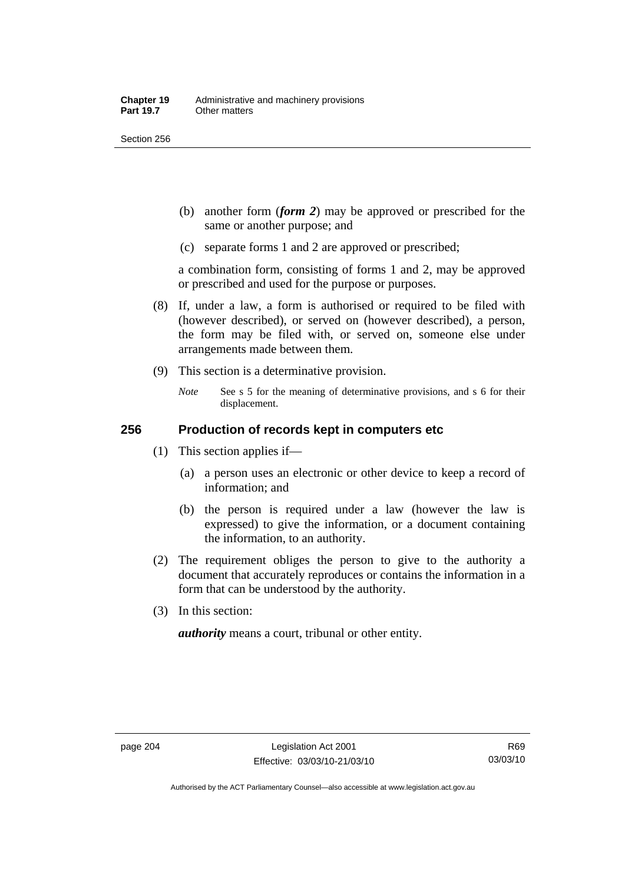Section 256

- (b) another form (*form 2*) may be approved or prescribed for the same or another purpose; and
- (c) separate forms 1 and 2 are approved or prescribed;

a combination form, consisting of forms 1 and 2, may be approved or prescribed and used for the purpose or purposes.

- (8) If, under a law, a form is authorised or required to be filed with (however described), or served on (however described), a person, the form may be filed with, or served on, someone else under arrangements made between them.
- (9) This section is a determinative provision.
	- *Note* See s 5 for the meaning of determinative provisions, and s 6 for their displacement.

## **256 Production of records kept in computers etc**

- (1) This section applies if—
	- (a) a person uses an electronic or other device to keep a record of information; and
	- (b) the person is required under a law (however the law is expressed) to give the information, or a document containing the information, to an authority.
- (2) The requirement obliges the person to give to the authority a document that accurately reproduces or contains the information in a form that can be understood by the authority.
- (3) In this section:

*authority* means a court, tribunal or other entity.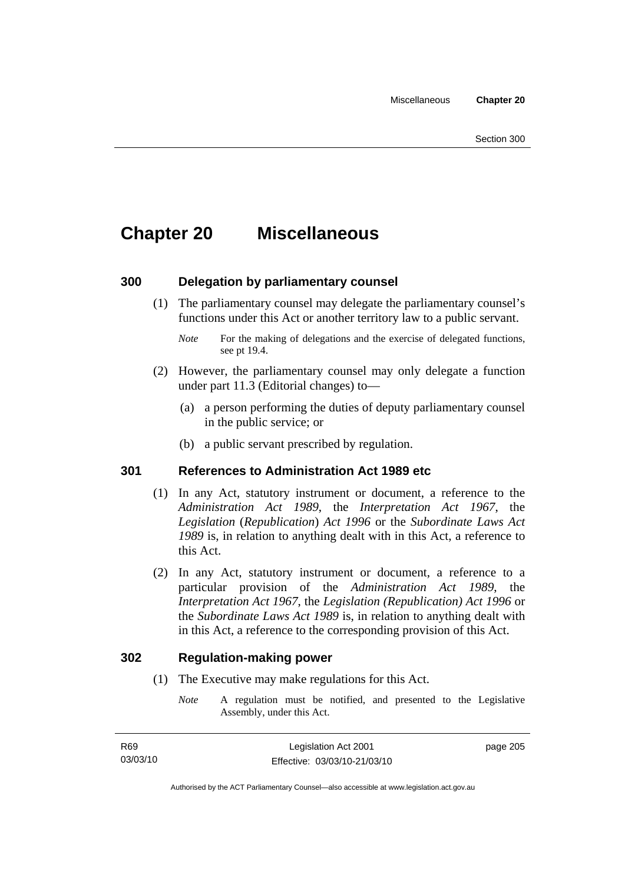## **Chapter 20 Miscellaneous**

## **300 Delegation by parliamentary counsel**

 (1) The parliamentary counsel may delegate the parliamentary counsel's functions under this Act or another territory law to a public servant.

- (2) However, the parliamentary counsel may only delegate a function under part 11.3 (Editorial changes) to—
	- (a) a person performing the duties of deputy parliamentary counsel in the public service; or
	- (b) a public servant prescribed by regulation.

## **301 References to Administration Act 1989 etc**

- (1) In any Act, statutory instrument or document, a reference to the *Administration Act 1989*, the *Interpretation Act 1967*, the *Legislation* (*Republication*) *Act 1996* or the *Subordinate Laws Act 1989* is, in relation to anything dealt with in this Act, a reference to this Act.
- (2) In any Act, statutory instrument or document, a reference to a particular provision of the *Administration Act 1989*, the *Interpretation Act 1967*, the *Legislation (Republication) Act 1996* or the *Subordinate Laws Act 1989* is, in relation to anything dealt with in this Act, a reference to the corresponding provision of this Act.

### **302 Regulation-making power**

- (1) The Executive may make regulations for this Act.
	- *Note* A regulation must be notified, and presented to the Legislative Assembly, under this Act.

*Note* For the making of delegations and the exercise of delegated functions, see pt 19.4.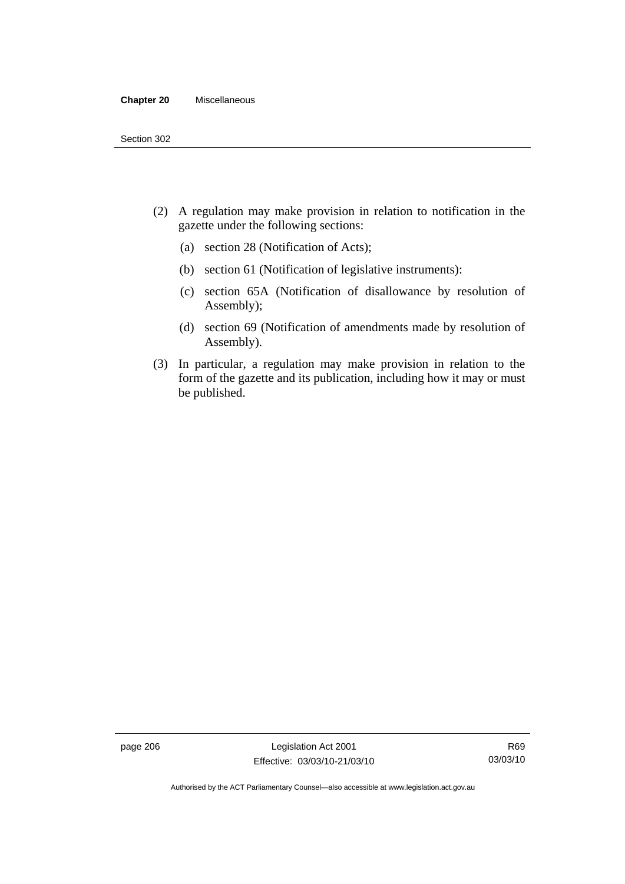#### **Chapter 20** Miscellaneous

- (2) A regulation may make provision in relation to notification in the gazette under the following sections:
	- (a) section 28 (Notification of Acts);
	- (b) section 61 (Notification of legislative instruments):
	- (c) section 65A (Notification of disallowance by resolution of Assembly);
	- (d) section 69 (Notification of amendments made by resolution of Assembly).
- (3) In particular, a regulation may make provision in relation to the form of the gazette and its publication, including how it may or must be published.

page 206 Legislation Act 2001 Effective: 03/03/10-21/03/10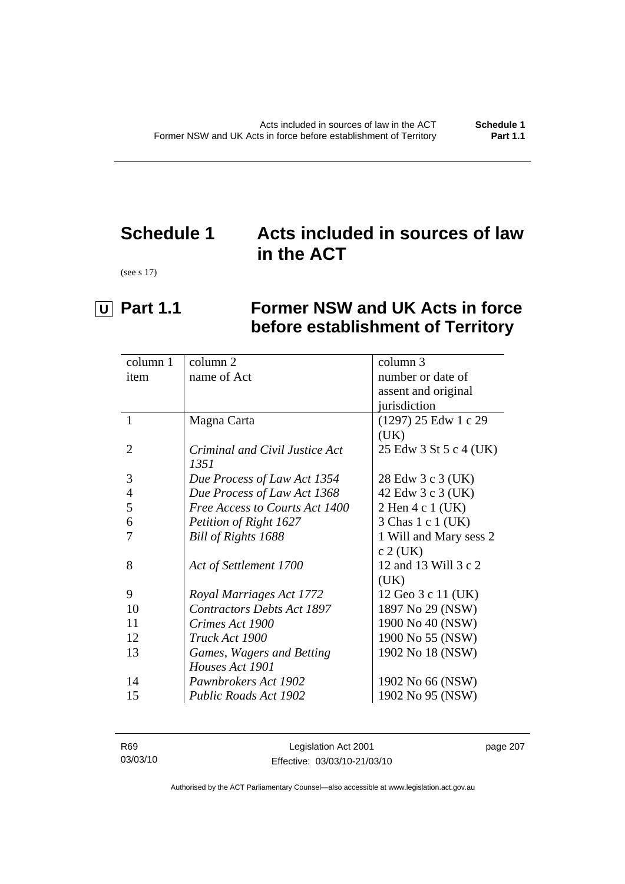## **Schedule 1 Acts included in sources of law in the ACT**

(see s 17)

# **U** Part 1.1 Former NSW and UK Acts in force **before establishment of Territory**

| column 1       | column 2                          | column 3               |
|----------------|-----------------------------------|------------------------|
| item           | name of Act                       | number or date of      |
|                |                                   | assent and original    |
|                |                                   | jurisdiction           |
| $\mathbf{1}$   | Magna Carta                       | (1297) 25 Edw 1 c 29   |
|                |                                   | (UK)                   |
| $\overline{2}$ | Criminal and Civil Justice Act    | 25 Edw 3 St 5 c 4 (UK) |
|                | 1351                              |                        |
| 3              | Due Process of Law Act 1354       | 28 Edw 3 c 3 (UK)      |
| 4              | Due Process of Law Act 1368       | 42 Edw 3 c 3 (UK)      |
| 5              | Free Access to Courts Act 1400    | 2 Hen 4 c 1 (UK)       |
| 6              | Petition of Right 1627            | 3 Chas 1 c 1 (UK)      |
|                | Bill of Rights 1688               | 1 Will and Mary sess 2 |
|                |                                   | $c$ 2 (UK)             |
| 8              | Act of Settlement 1700            | 12 and 13 Will 3 c 2   |
|                |                                   | (UK)                   |
| 9              | Royal Marriages Act 1772          | 12 Geo 3 c 11 (UK)     |
| 10             | <b>Contractors Debts Act 1897</b> | 1897 No 29 (NSW)       |
| 11             | Crimes Act 1900                   | 1900 No 40 (NSW)       |
| 12             | Truck Act 1900                    | 1900 No 55 (NSW)       |
| 13             | Games, Wagers and Betting         | 1902 No 18 (NSW)       |
|                | Houses Act 1901                   |                        |
| 14             | Pawnbrokers Act 1902              | 1902 No 66 (NSW)       |
| 15             | Public Roads Act 1902             | 1902 No 95 (NSW)       |
|                |                                   |                        |

| R69      | Legislation Act 2001         | page 207 |
|----------|------------------------------|----------|
| 03/03/10 | Effective: 03/03/10-21/03/10 |          |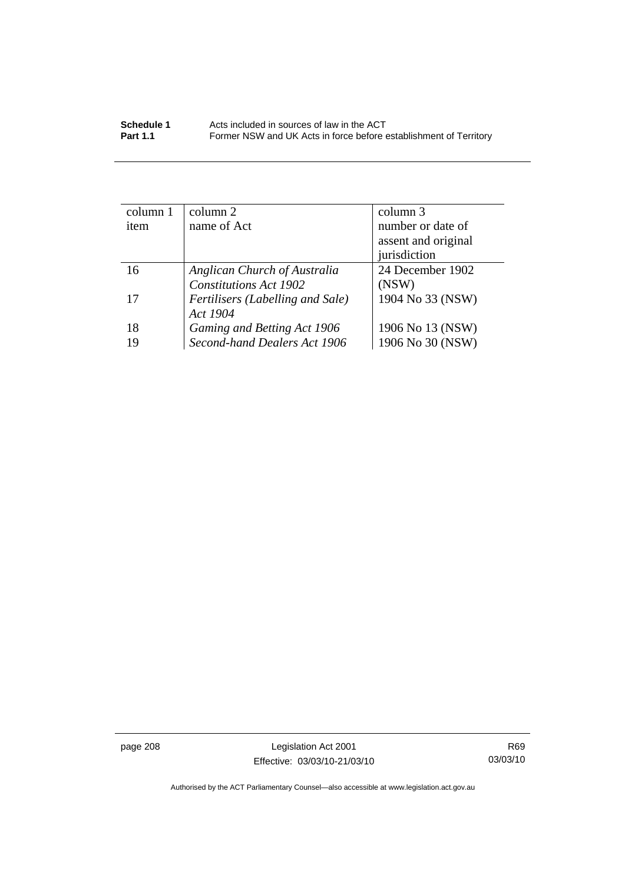| column 1 | column 2                         | column 3            |
|----------|----------------------------------|---------------------|
| item     | name of Act                      | number or date of   |
|          |                                  | assent and original |
|          |                                  | jurisdiction        |
| 16       | Anglican Church of Australia     | 24 December 1902    |
|          | <b>Constitutions Act 1902</b>    | (NSW)               |
| 17       | Fertilisers (Labelling and Sale) | 1904 No 33 (NSW)    |
|          | Act 1904                         |                     |
| 18       | Gaming and Betting Act 1906      | 1906 No 13 (NSW)    |
| 19       | Second-hand Dealers Act 1906     | 1906 No 30 (NSW)    |

page 208 Legislation Act 2001 Effective: 03/03/10-21/03/10

R69 03/03/10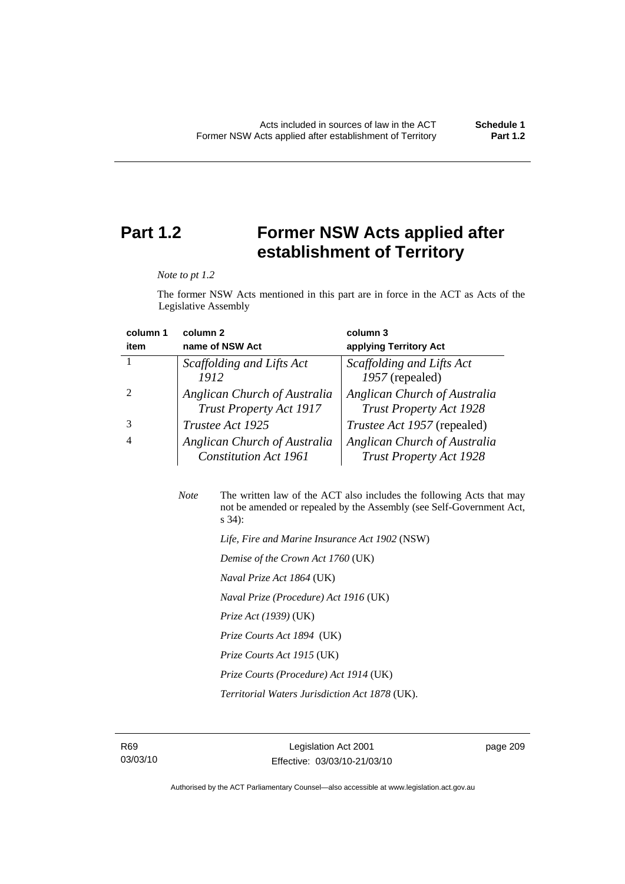## **Part 1.2 Former NSW Acts applied after establishment of Territory**

*Note to pt 1.2* 

The former NSW Acts mentioned in this part are in force in the ACT as Acts of the Legislative Assembly

| column 1 | column <sub>2</sub>                                            | column 3                                                       |
|----------|----------------------------------------------------------------|----------------------------------------------------------------|
| item     | name of NSW Act                                                | applying Territory Act                                         |
|          | Scaffolding and Lifts Act                                      | Scaffolding and Lifts Act                                      |
|          | 1912                                                           | 1957 (repealed)                                                |
|          | Anglican Church of Australia<br><b>Trust Property Act 1917</b> | Anglican Church of Australia<br><b>Trust Property Act 1928</b> |
|          | Trustee Act 1925                                               | <i>Trustee Act 1957</i> (repealed)                             |
| 4        | Anglican Church of Australia<br><b>Constitution Act 1961</b>   | Anglican Church of Australia<br><b>Trust Property Act 1928</b> |

*Note* The written law of the ACT also includes the following Acts that may not be amended or repealed by the Assembly (see Self-Government Act, s 34):  *Life, Fire and Marine Insurance Act 1902* (NSW)  *Demise of the Crown Act 1760* (UK)  *Naval Prize Act 1864* (UK)  *Naval Prize (Procedure) Act 1916* (UK)

 *Prize Act (1939)* (UK)

 *Prize Courts Act 1894* (UK)

 *Prize Courts Act 1915* (UK)

 *Prize Courts (Procedure) Act 1914* (UK)

 *Territorial Waters Jurisdiction Act 1878* (UK).

R69 03/03/10 page 209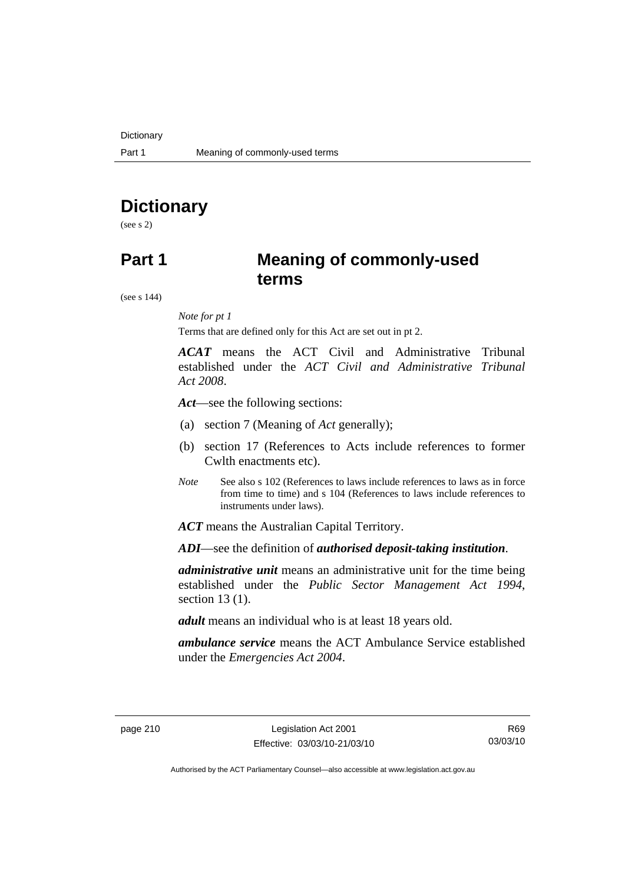## **Dictionary**

(see s 2)

## **Part 1 Meaning of commonly-used terms**

(see s 144)

### *Note for pt 1*

Terms that are defined only for this Act are set out in pt 2.

*ACAT* means the ACT Civil and Administrative Tribunal established under the *ACT Civil and Administrative Tribunal Act 2008*.

*Act*—see the following sections:

- (a) section 7 (Meaning of *Act* generally);
- (b) section 17 (References to Acts include references to former Cwlth enactments etc).
- *Note* See also s 102 (References to laws include references to laws as in force from time to time) and s 104 (References to laws include references to instruments under laws).

*ACT* means the Australian Capital Territory.

*ADI*—see the definition of *authorised deposit-taking institution*.

*administrative unit* means an administrative unit for the time being established under the *Public Sector Management Act 1994*, section 13 (1).

*adult* means an individual who is at least 18 years old.

*ambulance service* means the ACT Ambulance Service established under the *Emergencies Act 2004*.

R69 03/03/10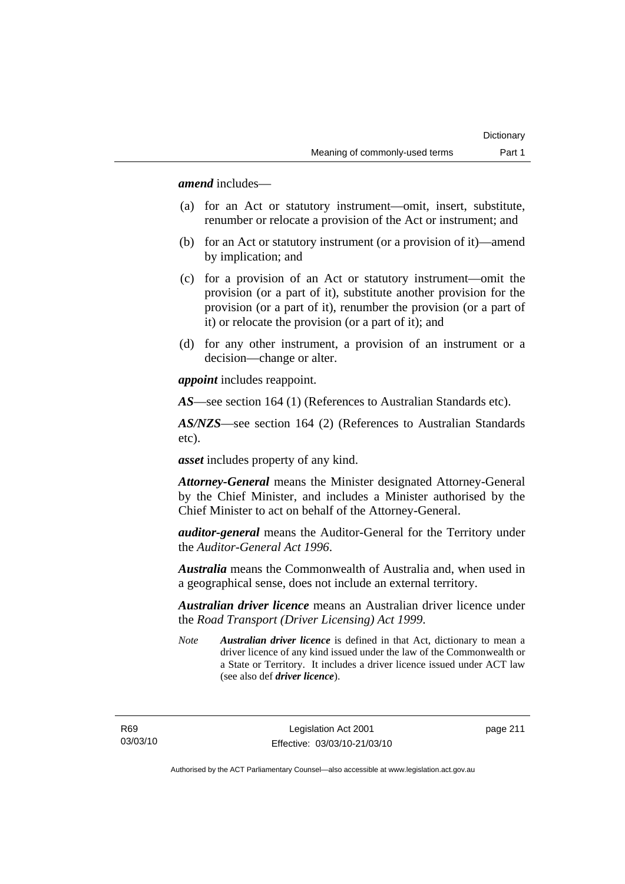*amend* includes—

- (a) for an Act or statutory instrument—omit, insert, substitute, renumber or relocate a provision of the Act or instrument; and
- (b) for an Act or statutory instrument (or a provision of it)—amend by implication; and
- (c) for a provision of an Act or statutory instrument—omit the provision (or a part of it), substitute another provision for the provision (or a part of it), renumber the provision (or a part of it) or relocate the provision (or a part of it); and
- (d) for any other instrument, a provision of an instrument or a decision—change or alter.

*appoint* includes reappoint.

*AS*—see section 164 (1) (References to Australian Standards etc).

*AS/NZS*—see section 164 (2) (References to Australian Standards etc).

*asset* includes property of any kind.

*Attorney-General* means the Minister designated Attorney-General by the Chief Minister, and includes a Minister authorised by the Chief Minister to act on behalf of the Attorney-General.

*auditor-general* means the Auditor-General for the Territory under the *Auditor-General Act 1996*.

*Australia* means the Commonwealth of Australia and, when used in a geographical sense, does not include an external territory.

*Australian driver licence* means an Australian driver licence under the *Road Transport (Driver Licensing) Act 1999*.

*Note Australian driver licence* is defined in that Act, dictionary to mean a driver licence of any kind issued under the law of the Commonwealth or a State or Territory. It includes a driver licence issued under ACT law (see also def *driver licence*).

R69 03/03/10 page 211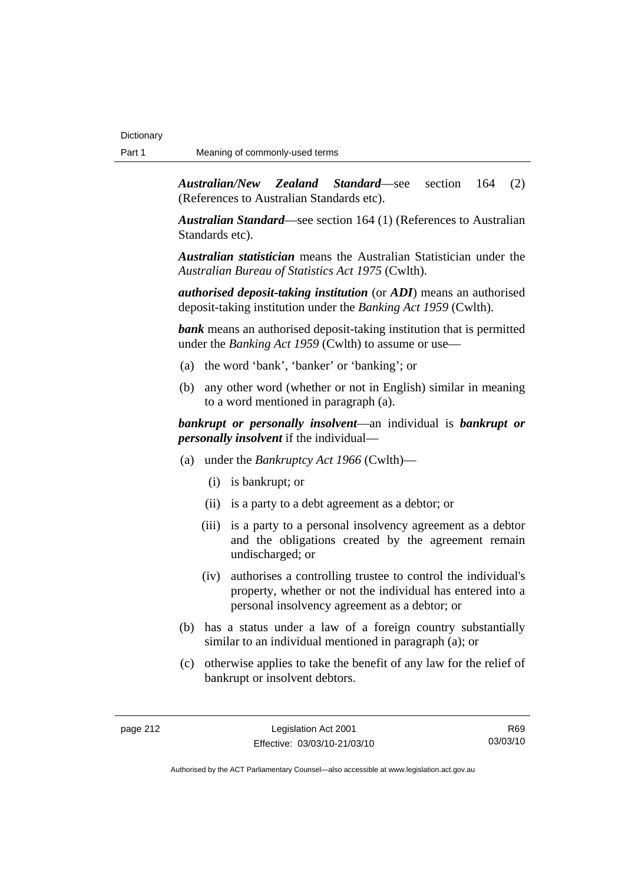*Australian/New Zealand Standard*—see section 164 (2) (References to Australian Standards etc).

*Australian Standard*—see section 164 (1) (References to Australian Standards etc).

*Australian statistician* means the Australian Statistician under the *Australian Bureau of Statistics Act 1975* (Cwlth).

*authorised deposit-taking institution* (or *ADI*) means an authorised deposit-taking institution under the *Banking Act 1959* (Cwlth).

*bank* means an authorised deposit-taking institution that is permitted under the *Banking Act 1959* (Cwlth) to assume or use—

- (a) the word 'bank', 'banker' or 'banking'; or
- (b) any other word (whether or not in English) similar in meaning to a word mentioned in paragraph (a).

*bankrupt or personally insolvent*—an individual is *bankrupt or personally insolvent* if the individual—

- (a) under the *Bankruptcy Act 1966* (Cwlth)—
	- (i) is bankrupt; or
	- (ii) is a party to a debt agreement as a debtor; or
	- (iii) is a party to a personal insolvency agreement as a debtor and the obligations created by the agreement remain undischarged; or
	- (iv) authorises a controlling trustee to control the individual's property, whether or not the individual has entered into a personal insolvency agreement as a debtor; or
- (b) has a status under a law of a foreign country substantially similar to an individual mentioned in paragraph (a); or
- (c) otherwise applies to take the benefit of any law for the relief of bankrupt or insolvent debtors.

R69 03/03/10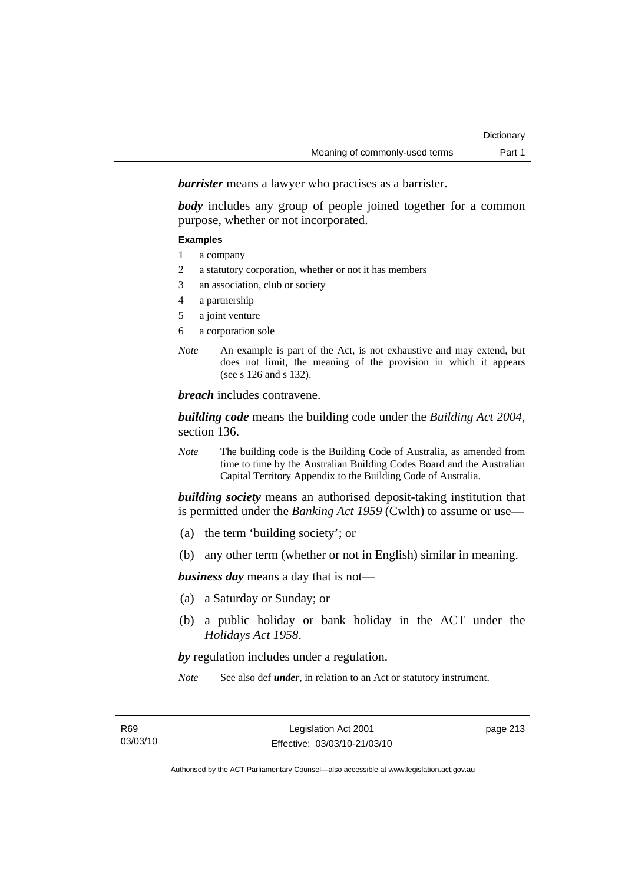*barrister* means a lawyer who practises as a barrister.

*body* includes any group of people joined together for a common purpose, whether or not incorporated.

### **Examples**

- 1 a company
- 2 a statutory corporation, whether or not it has members
- 3 an association, club or society
- 4 a partnership
- 5 a joint venture
- 6 a corporation sole
- *Note* An example is part of the Act, is not exhaustive and may extend, but does not limit, the meaning of the provision in which it appears (see s 126 and s 132).

*breach* includes contravene.

*building code* means the building code under the *Building Act 2004*, section 136.

*Note* The building code is the Building Code of Australia, as amended from time to time by the Australian Building Codes Board and the Australian Capital Territory Appendix to the Building Code of Australia.

*building society* means an authorised deposit-taking institution that is permitted under the *Banking Act 1959* (Cwlth) to assume or use—

- (a) the term 'building society'; or
- (b) any other term (whether or not in English) similar in meaning.

*business day* means a day that is not—

- (a) a Saturday or Sunday; or
- (b) a public holiday or bank holiday in the ACT under the *Holidays Act 1958*.

*by* regulation includes under a regulation.

*Note* See also def *under*, in relation to an Act or statutory instrument.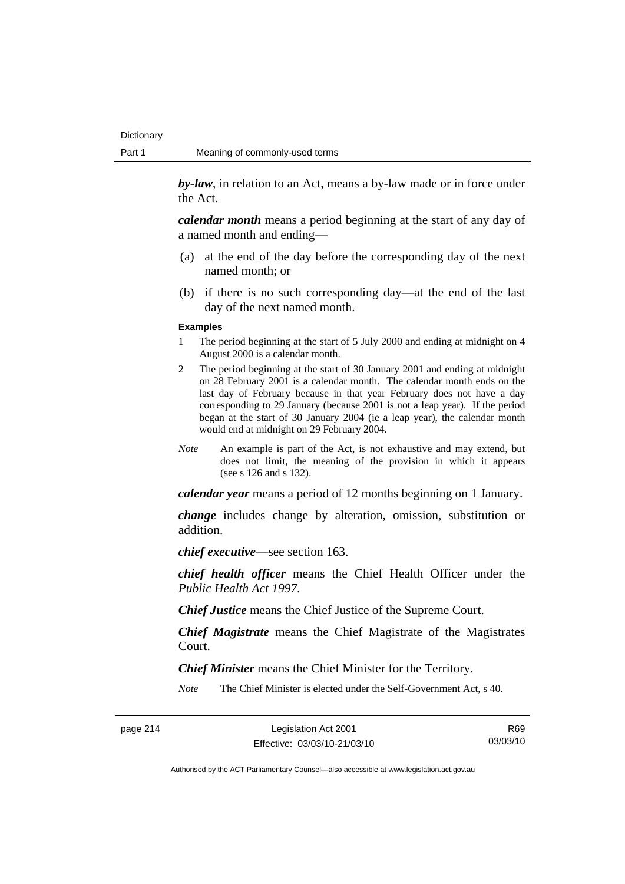*by-law*, in relation to an Act, means a by-law made or in force under the Act.

*calendar month* means a period beginning at the start of any day of a named month and ending—

- (a) at the end of the day before the corresponding day of the next named month; or
- (b) if there is no such corresponding day—at the end of the last day of the next named month.

#### **Examples**

- 1 The period beginning at the start of 5 July 2000 and ending at midnight on 4 August 2000 is a calendar month.
- 2 The period beginning at the start of 30 January 2001 and ending at midnight on 28 February 2001 is a calendar month. The calendar month ends on the last day of February because in that year February does not have a day corresponding to 29 January (because 2001 is not a leap year). If the period began at the start of 30 January 2004 (ie a leap year), the calendar month would end at midnight on 29 February 2004.
- *Note* An example is part of the Act, is not exhaustive and may extend, but does not limit, the meaning of the provision in which it appears (see s 126 and s 132).

*calendar year* means a period of 12 months beginning on 1 January.

*change* includes change by alteration, omission, substitution or addition.

*chief executive*—see section 163.

*chief health officer* means the Chief Health Officer under the *Public Health Act 1997*.

*Chief Justice* means the Chief Justice of the Supreme Court.

*Chief Magistrate* means the Chief Magistrate of the Magistrates Court.

*Chief Minister* means the Chief Minister for the Territory.

*Note* The Chief Minister is elected under the Self-Government Act, s 40.

R69 03/03/10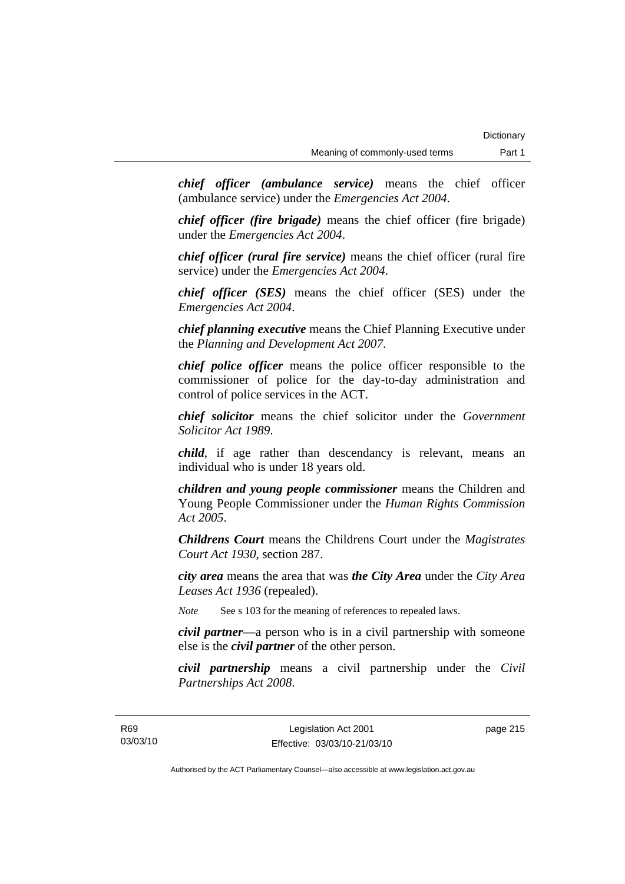*chief officer (ambulance service)* means the chief officer (ambulance service) under the *Emergencies Act 2004*.

*chief officer (fire brigade)* means the chief officer (fire brigade) under the *Emergencies Act 2004*.

*chief officer (rural fire service)* means the chief officer (rural fire service) under the *Emergencies Act 2004*.

*chief officer (SES)* means the chief officer (SES) under the *Emergencies Act 2004*.

*chief planning executive* means the Chief Planning Executive under the *Planning and Development Act 2007*.

*chief police officer* means the police officer responsible to the commissioner of police for the day-to-day administration and control of police services in the ACT.

*chief solicitor* means the chief solicitor under the *Government Solicitor Act 1989*.

*child*, if age rather than descendancy is relevant, means an individual who is under 18 years old.

*children and young people commissioner* means the Children and Young People Commissioner under the *Human Rights Commission Act 2005*.

*Childrens Court* means the Childrens Court under the *Magistrates Court Act 1930*, section 287.

*city area* means the area that was *the City Area* under the *City Area Leases Act 1936* (repealed).

*Note* See s 103 for the meaning of references to repealed laws.

*civil partner*—a person who is in a civil partnership with someone else is the *civil partner* of the other person.

*civil partnership* means a civil partnership under the *Civil Partnerships Act 2008*.

page 215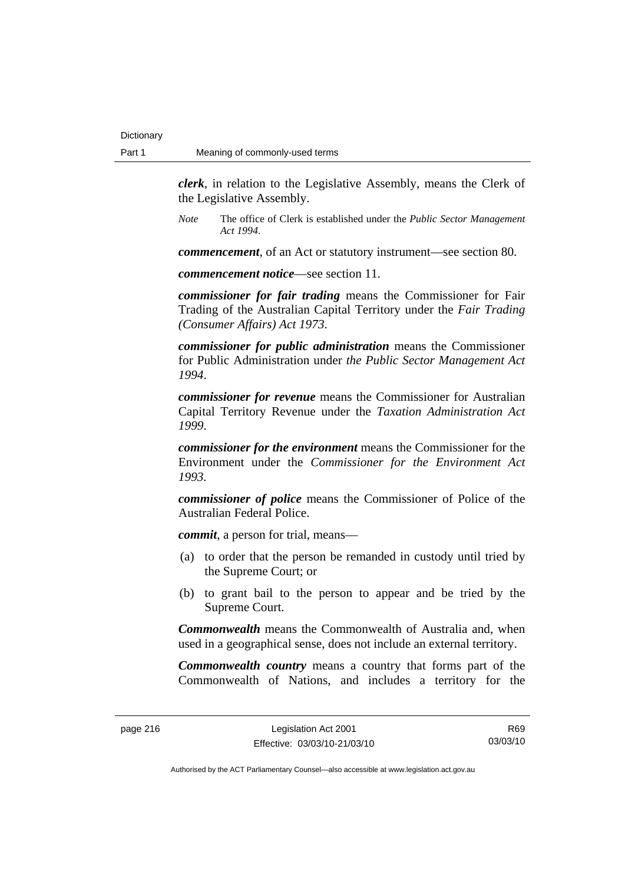*clerk*, in relation to the Legislative Assembly, means the Clerk of the Legislative Assembly.

*Note* The office of Clerk is established under the *Public Sector Management Act 1994*.

*commencement*, of an Act or statutory instrument—see section 80.

*commencement notice*—see section 11.

*commissioner for fair trading* means the Commissioner for Fair Trading of the Australian Capital Territory under the *Fair Trading (Consumer Affairs) Act 1973*.

*commissioner for public administration* means the Commissioner for Public Administration under *the Public Sector Management Act 1994*.

*commissioner for revenue* means the Commissioner for Australian Capital Territory Revenue under the *Taxation Administration Act 1999*.

*commissioner for the environment* means the Commissioner for the Environment under the *Commissioner for the Environment Act 1993.* 

*commissioner of police* means the Commissioner of Police of the Australian Federal Police.

*commit*, a person for trial, means—

- (a) to order that the person be remanded in custody until tried by the Supreme Court; or
- (b) to grant bail to the person to appear and be tried by the Supreme Court.

*Commonwealth* means the Commonwealth of Australia and, when used in a geographical sense, does not include an external territory.

*Commonwealth country* means a country that forms part of the Commonwealth of Nations, and includes a territory for the

R69 03/03/10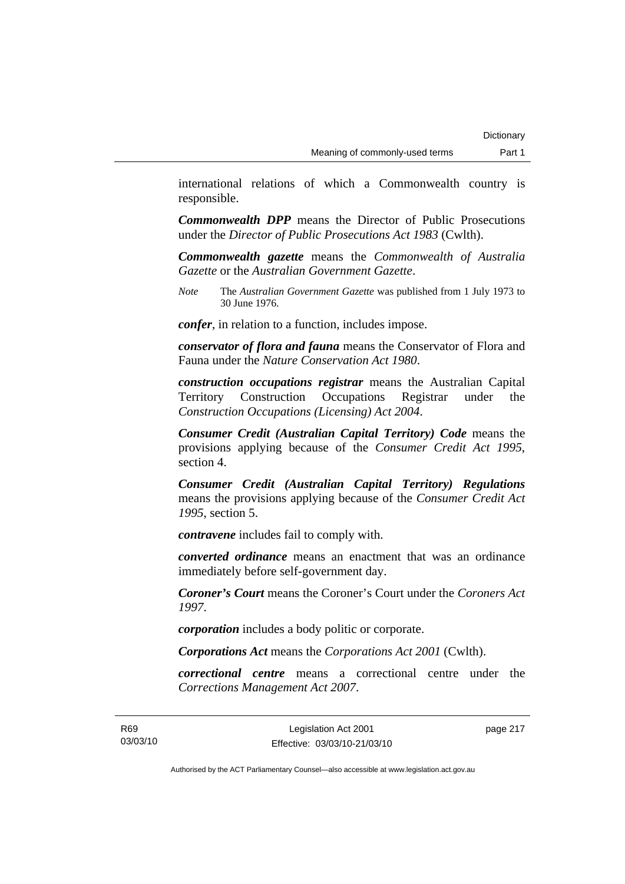international relations of which a Commonwealth country is responsible.

*Commonwealth DPP* means the Director of Public Prosecutions under the *Director of Public Prosecutions Act 1983* (Cwlth).

*Commonwealth gazette* means the *Commonwealth of Australia Gazette* or the *Australian Government Gazette*.

*Note* The *Australian Government Gazette* was published from 1 July 1973 to 30 June 1976.

*confer*, in relation to a function, includes impose.

*conservator of flora and fauna* means the Conservator of Flora and Fauna under the *Nature Conservation Act 1980*.

*construction occupations registrar* means the Australian Capital Territory Construction Occupations Registrar under the *Construction Occupations (Licensing) Act 2004*.

*Consumer Credit (Australian Capital Territory) Code* means the provisions applying because of the *Consumer Credit Act 1995*, section 4.

*Consumer Credit (Australian Capital Territory) Regulations* means the provisions applying because of the *Consumer Credit Act 1995*, section 5.

*contravene* includes fail to comply with.

*converted ordinance* means an enactment that was an ordinance immediately before self-government day.

*Coroner's Court* means the Coroner's Court under the *Coroners Act 1997*.

*corporation* includes a body politic or corporate.

*Corporations Act* means the *Corporations Act 2001* (Cwlth).

*correctional centre* means a correctional centre under the *Corrections Management Act 2007*.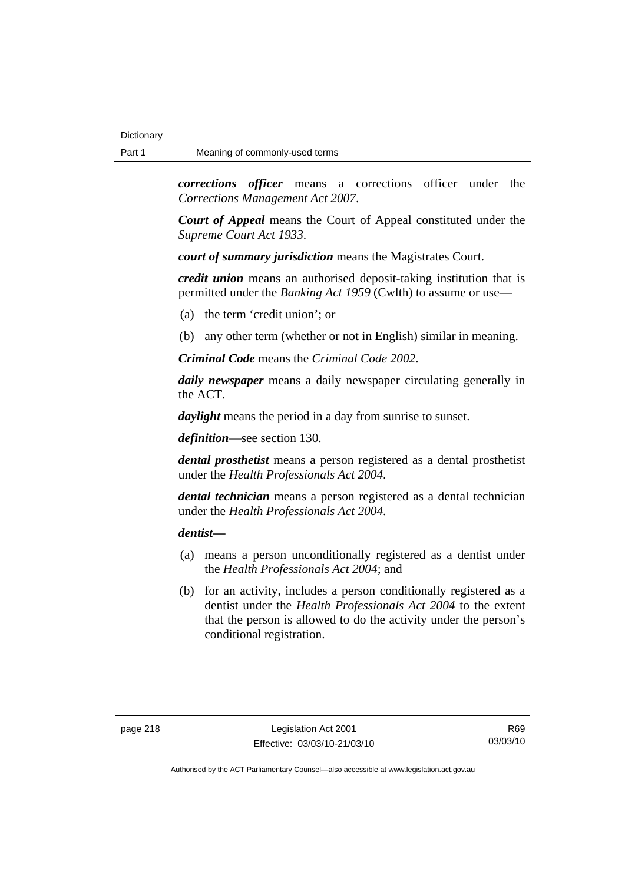*corrections officer* means a corrections officer under the *Corrections Management Act 2007*.

*Court of Appeal* means the Court of Appeal constituted under the *Supreme Court Act 1933*.

*court of summary jurisdiction* means the Magistrates Court.

*credit union* means an authorised deposit-taking institution that is permitted under the *Banking Act 1959* (Cwlth) to assume or use—

- (a) the term 'credit union'; or
- (b) any other term (whether or not in English) similar in meaning.

*Criminal Code* means the *Criminal Code 2002*.

*daily newspaper* means a daily newspaper circulating generally in the ACT.

*daylight* means the period in a day from sunrise to sunset.

*definition*—see section 130.

*dental prosthetist* means a person registered as a dental prosthetist under the *Health Professionals Act 2004*.

*dental technician* means a person registered as a dental technician under the *Health Professionals Act 2004*.

*dentist***—**

- (a) means a person unconditionally registered as a dentist under the *Health Professionals Act 2004*; and
- (b) for an activity, includes a person conditionally registered as a dentist under the *Health Professionals Act 2004* to the extent that the person is allowed to do the activity under the person's conditional registration.

R69 03/03/10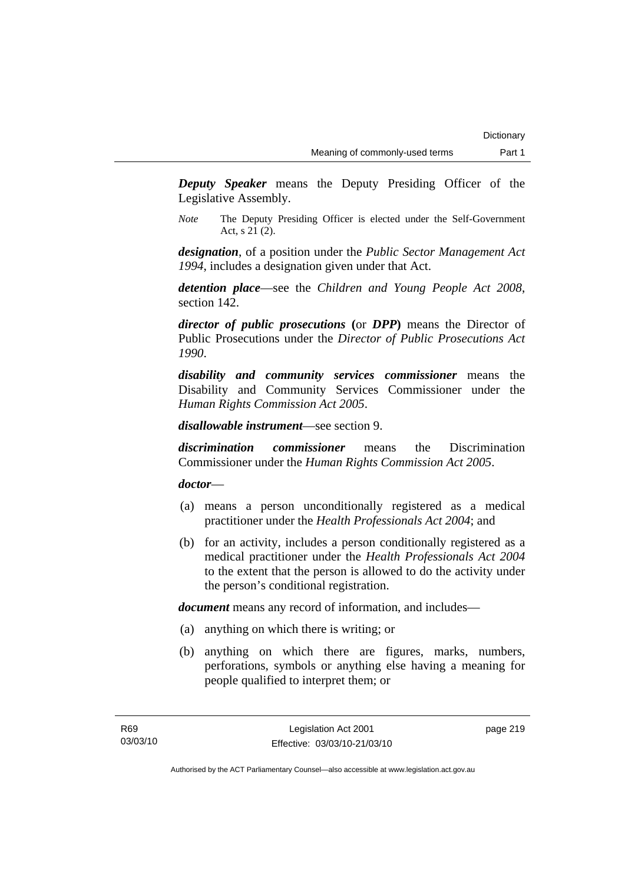*Deputy Speaker* means the Deputy Presiding Officer of the Legislative Assembly.

*Note* The Deputy Presiding Officer is elected under the Self-Government Act, s 21 (2).

*designation*, of a position under the *Public Sector Management Act 1994*, includes a designation given under that Act.

*detention place*—see the *Children and Young People Act 2008*, section 142.

*director of public prosecutions* **(**or *DPP***)** means the Director of Public Prosecutions under the *Director of Public Prosecutions Act 1990*.

*disability and community services commissioner* means the Disability and Community Services Commissioner under the *Human Rights Commission Act 2005*.

*disallowable instrument*—see section 9.

*discrimination commissioner* means the Discrimination Commissioner under the *Human Rights Commission Act 2005*.

*doctor*—

- (a) means a person unconditionally registered as a medical practitioner under the *Health Professionals Act 2004*; and
- (b) for an activity, includes a person conditionally registered as a medical practitioner under the *Health Professionals Act 2004*  to the extent that the person is allowed to do the activity under the person's conditional registration.

*document* means any record of information, and includes—

- (a) anything on which there is writing; or
- (b) anything on which there are figures, marks, numbers, perforations, symbols or anything else having a meaning for people qualified to interpret them; or

page 219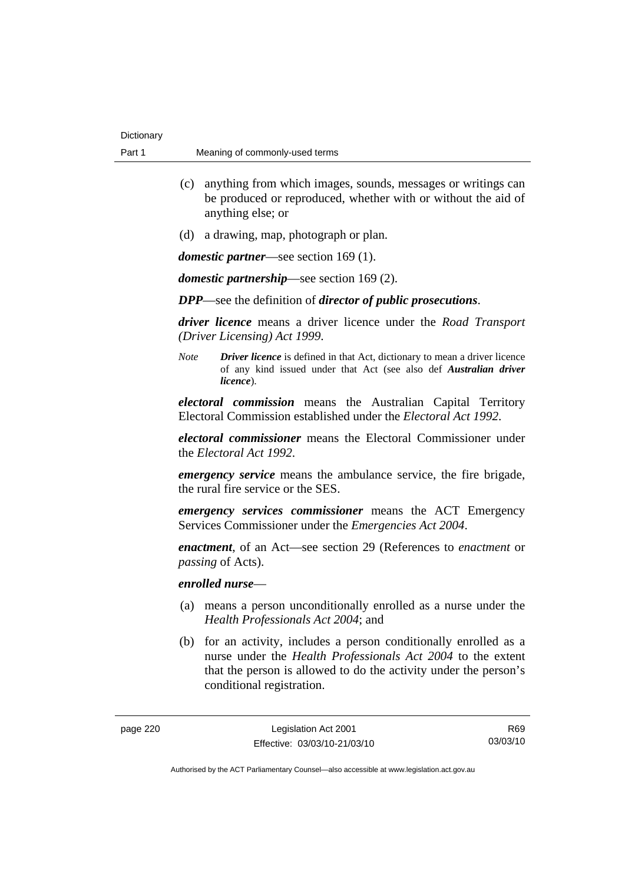- (c) anything from which images, sounds, messages or writings can be produced or reproduced, whether with or without the aid of anything else; or
- (d) a drawing, map, photograph or plan.

*domestic partner*—see section 169 (1).

*domestic partnership*—see section 169 (2).

*DPP*—see the definition of *director of public prosecutions*.

*driver licence* means a driver licence under the *Road Transport (Driver Licensing) Act 1999*.

*Note Driver licence* is defined in that Act, dictionary to mean a driver licence of any kind issued under that Act (see also def *Australian driver licence*).

*electoral commission* means the Australian Capital Territory Electoral Commission established under the *Electoral Act 1992*.

*electoral commissioner* means the Electoral Commissioner under the *Electoral Act 1992*.

*emergency service* means the ambulance service, the fire brigade, the rural fire service or the SES.

*emergency services commissioner* means the ACT Emergency Services Commissioner under the *Emergencies Act 2004*.

*enactment*, of an Act—see section 29 (References to *enactment* or *passing* of Acts).

### *enrolled nurse*—

- (a) means a person unconditionally enrolled as a nurse under the *Health Professionals Act 2004*; and
- (b) for an activity, includes a person conditionally enrolled as a nurse under the *Health Professionals Act 2004* to the extent that the person is allowed to do the activity under the person's conditional registration.

R69 03/03/10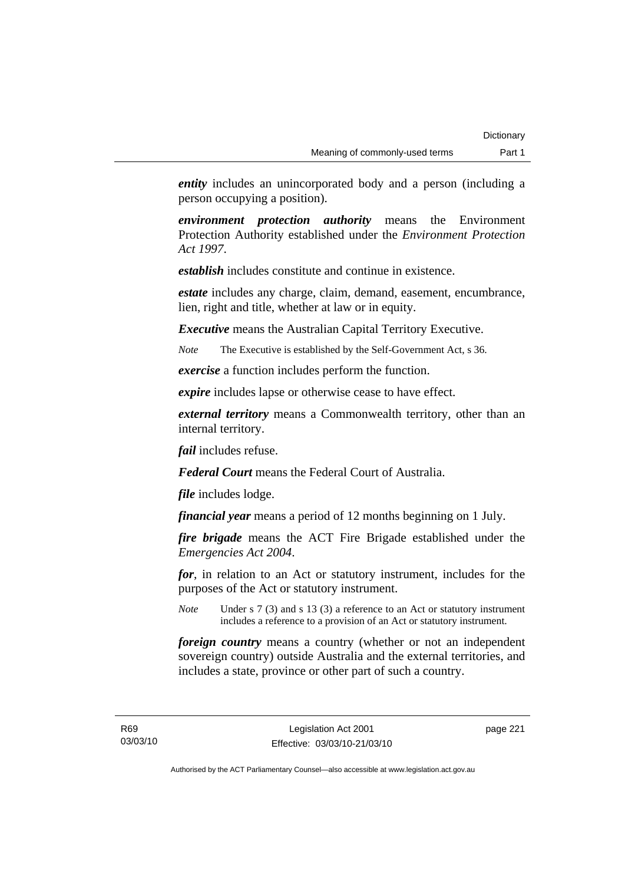*entity* includes an unincorporated body and a person (including a person occupying a position).

*environment protection authority* means the Environment Protection Authority established under the *Environment Protection Act 1997*.

*establish* includes constitute and continue in existence.

*estate* includes any charge, claim, demand, easement, encumbrance, lien, right and title, whether at law or in equity.

*Executive* means the Australian Capital Territory Executive.

*Note* The Executive is established by the Self-Government Act, s 36.

*exercise* a function includes perform the function.

*expire* includes lapse or otherwise cease to have effect.

*external territory* means a Commonwealth territory, other than an internal territory.

*fail* includes refuse.

*Federal Court* means the Federal Court of Australia.

*file* includes lodge.

*financial year* means a period of 12 months beginning on 1 July.

*fire brigade* means the ACT Fire Brigade established under the *Emergencies Act 2004*.

*for*, in relation to an Act or statutory instrument, includes for the purposes of the Act or statutory instrument.

*Note* Under s 7 (3) and s 13 (3) a reference to an Act or statutory instrument includes a reference to a provision of an Act or statutory instrument.

*foreign country* means a country (whether or not an independent sovereign country) outside Australia and the external territories, and includes a state, province or other part of such a country.

R69 03/03/10 page 221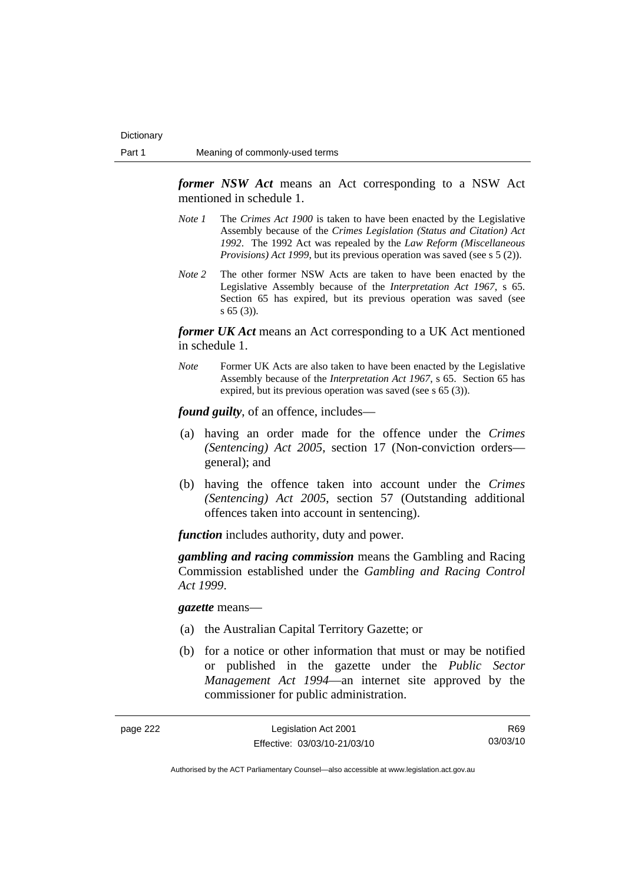*former NSW Act* means an Act corresponding to a NSW Act mentioned in schedule 1.

- *Note 1* The *Crimes Act 1900* is taken to have been enacted by the Legislative Assembly because of the *Crimes Legislation (Status and Citation) Act 1992*. The 1992 Act was repealed by the *Law Reform (Miscellaneous Provisions) Act 1999*, but its previous operation was saved (see s 5 (2)).
- *Note 2* The other former NSW Acts are taken to have been enacted by the Legislative Assembly because of the *Interpretation Act 1967*, s 65. Section 65 has expired, but its previous operation was saved (see s 65 (3)).

*former UK Act* means an Act corresponding to a UK Act mentioned in schedule 1.

*Note* Former UK Acts are also taken to have been enacted by the Legislative Assembly because of the *Interpretation Act 1967*, s 65. Section 65 has expired, but its previous operation was saved (see s 65 (3)).

*found guilty*, of an offence, includes—

- (a) having an order made for the offence under the *Crimes (Sentencing) Act 2005*, section 17 (Non-conviction orders general); and
- (b) having the offence taken into account under the *Crimes (Sentencing) Act 2005*, section 57 (Outstanding additional offences taken into account in sentencing).

*function* includes authority, duty and power.

*gambling and racing commission* means the Gambling and Racing Commission established under the *Gambling and Racing Control Act 1999*.

*gazette* means—

- (a) the Australian Capital Territory Gazette; or
- (b) for a notice or other information that must or may be notified or published in the gazette under the *Public Sector Management Act 1994*—an internet site approved by the commissioner for public administration.

| page 222 | Legislation Act 2001         | R69.     |
|----------|------------------------------|----------|
|          | Effective: 03/03/10-21/03/10 | 03/03/10 |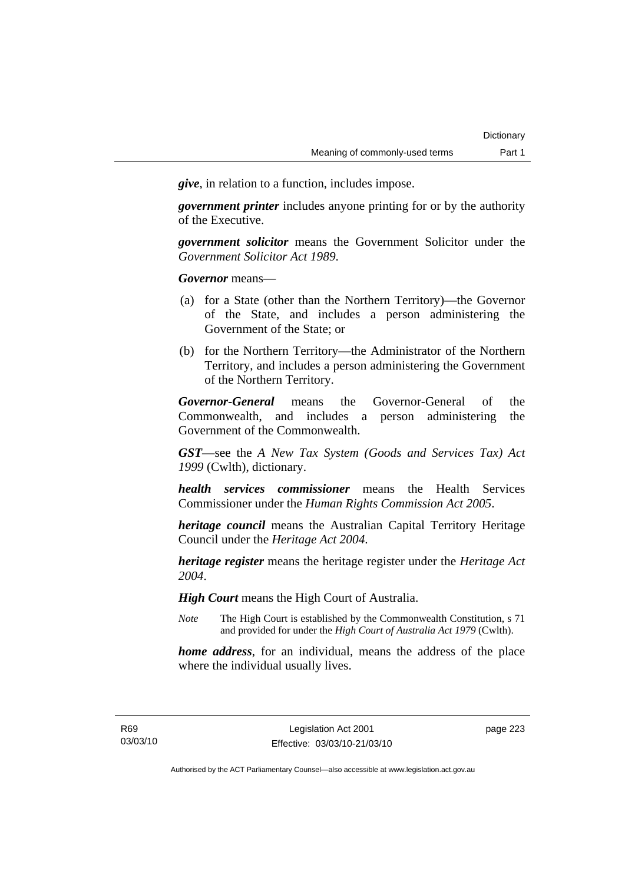*give*, in relation to a function, includes impose.

*government printer* includes anyone printing for or by the authority of the Executive.

*government solicitor* means the Government Solicitor under the *Government Solicitor Act 1989*.

*Governor* means—

- (a) for a State (other than the Northern Territory)—the Governor of the State, and includes a person administering the Government of the State; or
- (b) for the Northern Territory—the Administrator of the Northern Territory, and includes a person administering the Government of the Northern Territory.

*Governor-General* means the Governor-General of the Commonwealth, and includes a person administering the Government of the Commonwealth.

*GST*—see the *A New Tax System (Goods and Services Tax) Act 1999* (Cwlth), dictionary.

*health services commissioner* means the Health Services Commissioner under the *Human Rights Commission Act 2005*.

*heritage council* means the Australian Capital Territory Heritage Council under the *Heritage Act 2004*.

*heritage register* means the heritage register under the *Heritage Act 2004*.

*High Court* means the High Court of Australia.

*Note* The High Court is established by the Commonwealth Constitution, s 71 and provided for under the *High Court of Australia Act 1979* (Cwlth).

*home address*, for an individual, means the address of the place where the individual usually lives.

R69 03/03/10 page 223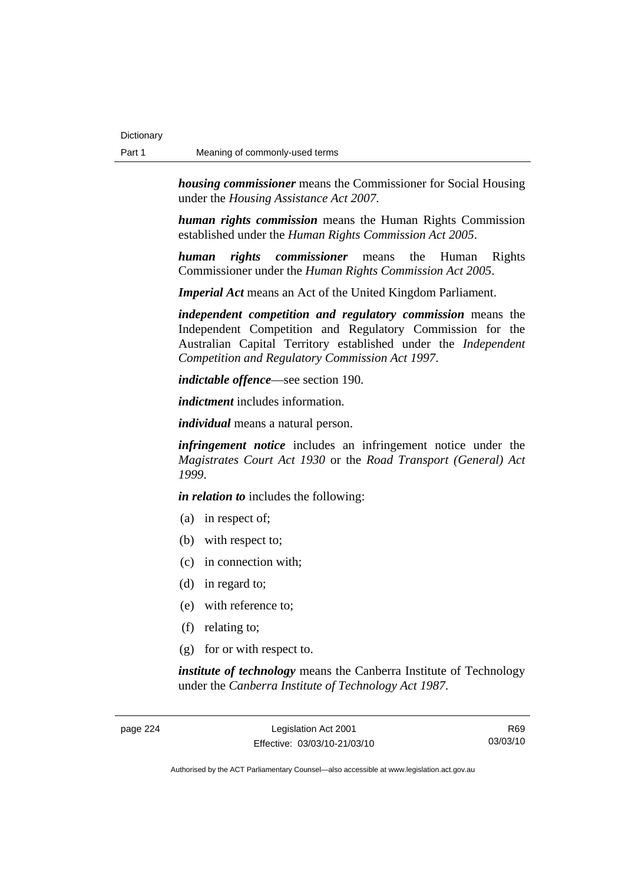*housing commissioner* means the Commissioner for Social Housing under the *Housing Assistance Act 2007*.

*human rights commission* means the Human Rights Commission established under the *Human Rights Commission Act 2005*.

*human rights commissioner* means the Human Rights Commissioner under the *Human Rights Commission Act 2005*.

*Imperial Act* means an Act of the United Kingdom Parliament.

*independent competition and regulatory commission* means the Independent Competition and Regulatory Commission for the Australian Capital Territory established under the *Independent Competition and Regulatory Commission Act 1997*.

*indictable offence*—see section 190.

*indictment* includes information.

*individual* means a natural person.

*infringement notice* includes an infringement notice under the *Magistrates Court Act 1930* or the *Road Transport (General) Act 1999*.

*in relation to* includes the following:

- (a) in respect of;
- (b) with respect to;
- (c) in connection with;
- (d) in regard to;
- (e) with reference to;
- (f) relating to;
- (g) for or with respect to.

*institute of technology* means the Canberra Institute of Technology under the *Canberra Institute of Technology Act 1987*.

page 224 Legislation Act 2001 Effective: 03/03/10-21/03/10

R69 03/03/10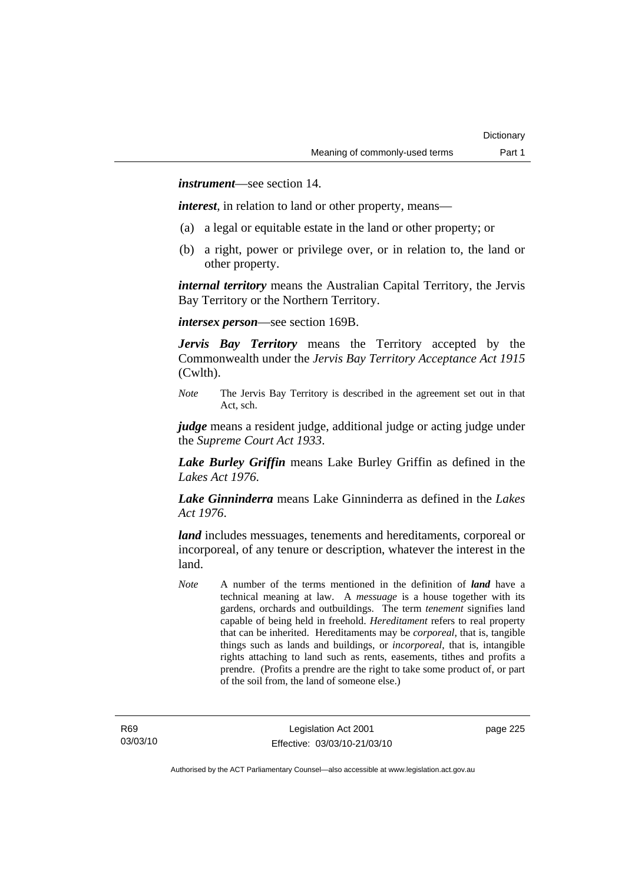*instrument*—see section 14.

*interest*, in relation to land or other property, means—

- (a) a legal or equitable estate in the land or other property; or
- (b) a right, power or privilege over, or in relation to, the land or other property.

*internal territory* means the Australian Capital Territory, the Jervis Bay Territory or the Northern Territory.

*intersex person*—see section 169B.

*Jervis Bay Territory* means the Territory accepted by the Commonwealth under the *Jervis Bay Territory Acceptance Act 1915* (Cwlth).

*Note* The Jervis Bay Territory is described in the agreement set out in that Act, sch.

*judge* means a resident judge, additional judge or acting judge under the *Supreme Court Act 1933*.

*Lake Burley Griffin* means Lake Burley Griffin as defined in the *Lakes Act 1976*.

*Lake Ginninderra* means Lake Ginninderra as defined in the *Lakes Act 1976*.

*land* includes messuages, tenements and hereditaments, corporeal or incorporeal, of any tenure or description, whatever the interest in the land.

*Note* A number of the terms mentioned in the definition of *land* have a technical meaning at law. A *messuage* is a house together with its gardens, orchards and outbuildings. The term *tenement* signifies land capable of being held in freehold. *Hereditament* refers to real property that can be inherited. Hereditaments may be *corporeal*, that is, tangible things such as lands and buildings, or *incorporeal*, that is, intangible rights attaching to land such as rents, easements, tithes and profits a prendre. (Profits a prendre are the right to take some product of, or part of the soil from, the land of someone else.)

page 225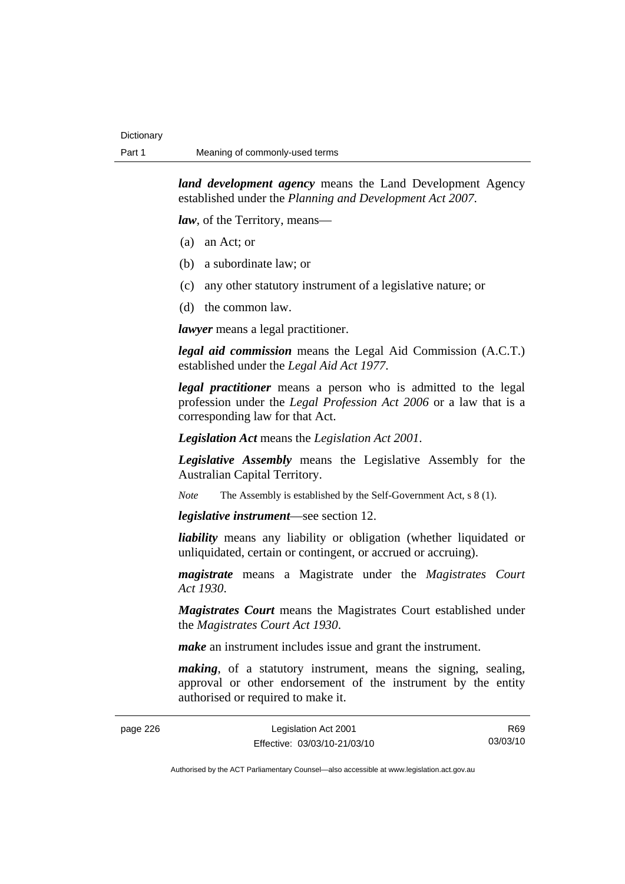*land development agency* means the Land Development Agency established under the *Planning and Development Act 2007*.

*law*, of the Territory, means—

- (a) an Act; or
- (b) a subordinate law; or
- (c) any other statutory instrument of a legislative nature; or
- (d) the common law.

*lawyer* means a legal practitioner.

*legal aid commission* means the Legal Aid Commission (A.C.T.) established under the *Legal Aid Act 1977*.

*legal practitioner* means a person who is admitted to the legal profession under the *Legal Profession Act 2006* or a law that is a corresponding law for that Act.

*Legislation Act* means the *Legislation Act 2001*.

*Legislative Assembly* means the Legislative Assembly for the Australian Capital Territory.

*Note* The Assembly is established by the Self-Government Act, s 8 (1).

*legislative instrument*—see section 12.

*liability* means any liability or obligation (whether liquidated or unliquidated, certain or contingent, or accrued or accruing).

*magistrate* means a Magistrate under the *Magistrates Court Act 1930*.

*Magistrates Court* means the Magistrates Court established under the *Magistrates Court Act 1930*.

*make* an instrument includes issue and grant the instrument.

*making*, of a statutory instrument, means the signing, sealing, approval or other endorsement of the instrument by the entity authorised or required to make it.

| page 226 | Legislation Act 2001         | R69      |
|----------|------------------------------|----------|
|          | Effective: 03/03/10-21/03/10 | 03/03/10 |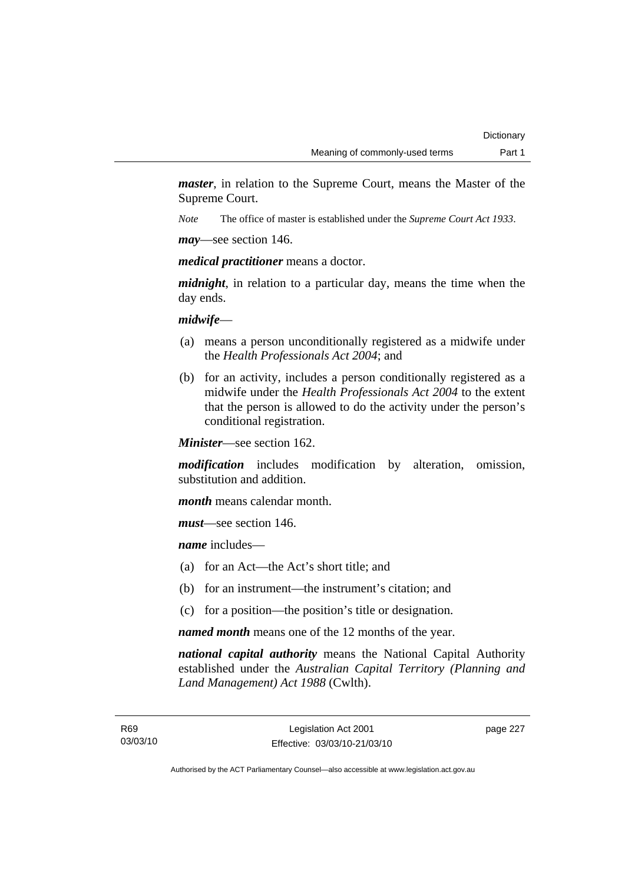*master*, in relation to the Supreme Court, means the Master of the Supreme Court.

*Note* The office of master is established under the *Supreme Court Act 1933*.

*may*—see section 146.

*medical practitioner* means a doctor.

*midnight*, in relation to a particular day, means the time when the day ends.

### *midwife*—

- (a) means a person unconditionally registered as a midwife under the *Health Professionals Act 2004*; and
- (b) for an activity, includes a person conditionally registered as a midwife under the *Health Professionals Act 2004* to the extent that the person is allowed to do the activity under the person's conditional registration.

*Minister*—see section 162.

*modification* includes modification by alteration, omission, substitution and addition.

*month* means calendar month.

*must*—see section 146.

*name* includes—

- (a) for an Act—the Act's short title; and
- (b) for an instrument—the instrument's citation; and
- (c) for a position—the position's title or designation.

*named month* means one of the 12 months of the year.

*national capital authority* means the National Capital Authority established under the *Australian Capital Territory (Planning and Land Management) Act 1988* (Cwlth).

page 227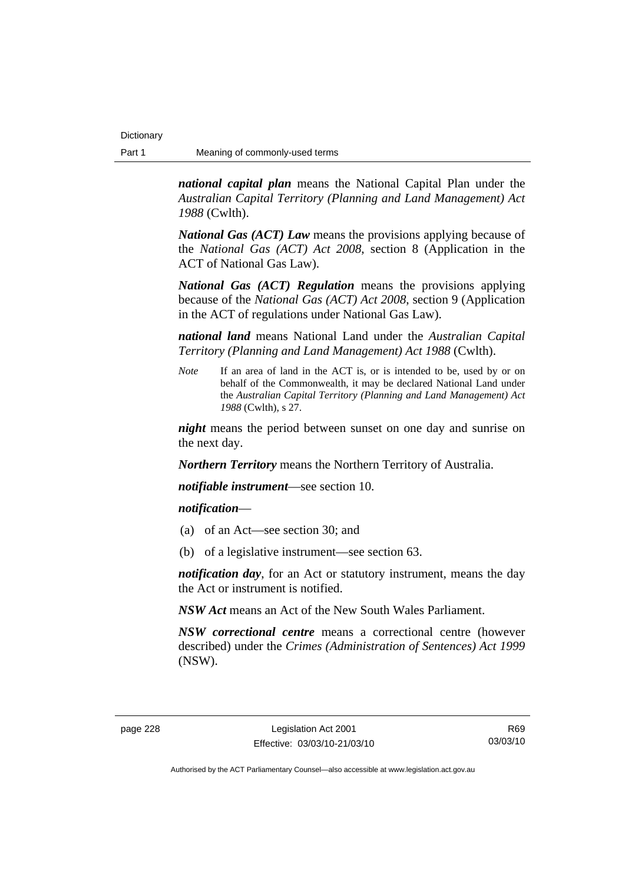*national capital plan* means the National Capital Plan under the *Australian Capital Territory (Planning and Land Management) Act 1988* (Cwlth).

*National Gas (ACT) Law* means the provisions applying because of the *National Gas (ACT) Act 2008*, section 8 (Application in the ACT of National Gas Law).

*National Gas (ACT) Regulation* means the provisions applying because of the *National Gas (ACT) Act 2008*, section 9 (Application in the ACT of regulations under National Gas Law).

*national land* means National Land under the *Australian Capital Territory (Planning and Land Management) Act 1988* (Cwlth).

*Note* If an area of land in the ACT is, or is intended to be, used by or on behalf of the Commonwealth, it may be declared National Land under the *Australian Capital Territory (Planning and Land Management) Act 1988* (Cwlth), s 27.

*night* means the period between sunset on one day and sunrise on the next day.

*Northern Territory* means the Northern Territory of Australia.

*notifiable instrument*—see section 10.

### *notification*—

- (a) of an Act—see section 30; and
- (b) of a legislative instrument—see section 63.

*notification day*, for an Act or statutory instrument, means the day the Act or instrument is notified.

*NSW Act* means an Act of the New South Wales Parliament.

*NSW correctional centre* means a correctional centre (however described) under the *Crimes (Administration of Sentences) Act 1999* (NSW).

R69 03/03/10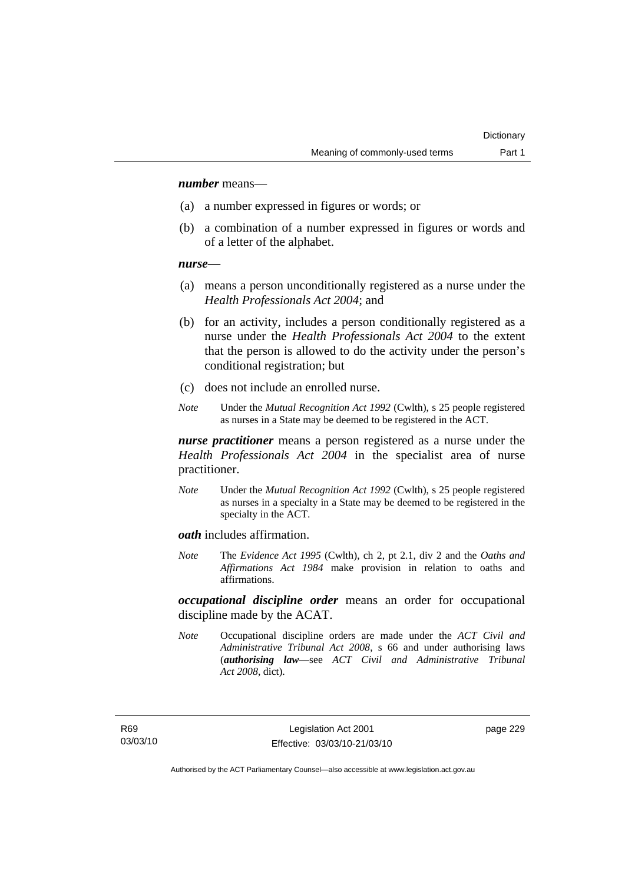### *number* means—

- (a) a number expressed in figures or words; or
- (b) a combination of a number expressed in figures or words and of a letter of the alphabet.

#### *nurse***—**

- (a) means a person unconditionally registered as a nurse under the *Health Professionals Act 2004*; and
- (b) for an activity, includes a person conditionally registered as a nurse under the *Health Professionals Act 2004* to the extent that the person is allowed to do the activity under the person's conditional registration; but
- (c) does not include an enrolled nurse.
- *Note* Under the *Mutual Recognition Act 1992* (Cwlth), s 25 people registered as nurses in a State may be deemed to be registered in the ACT.

*nurse practitioner* means a person registered as a nurse under the *Health Professionals Act 2004* in the specialist area of nurse practitioner.

*Note* Under the *Mutual Recognition Act 1992* (Cwlth), s 25 people registered as nurses in a specialty in a State may be deemed to be registered in the specialty in the ACT.

*oath* includes affirmation.

*Note* The *Evidence Act 1995* (Cwlth), ch 2, pt 2.1, div 2 and the *Oaths and Affirmations Act 1984* make provision in relation to oaths and affirmations.

*occupational discipline order* means an order for occupational discipline made by the ACAT.

*Note* Occupational discipline orders are made under the *ACT Civil and Administrative Tribunal Act 2008*, s 66 and under authorising laws (*authorising law*—see *ACT Civil and Administrative Tribunal Act 2008*, dict).

page 229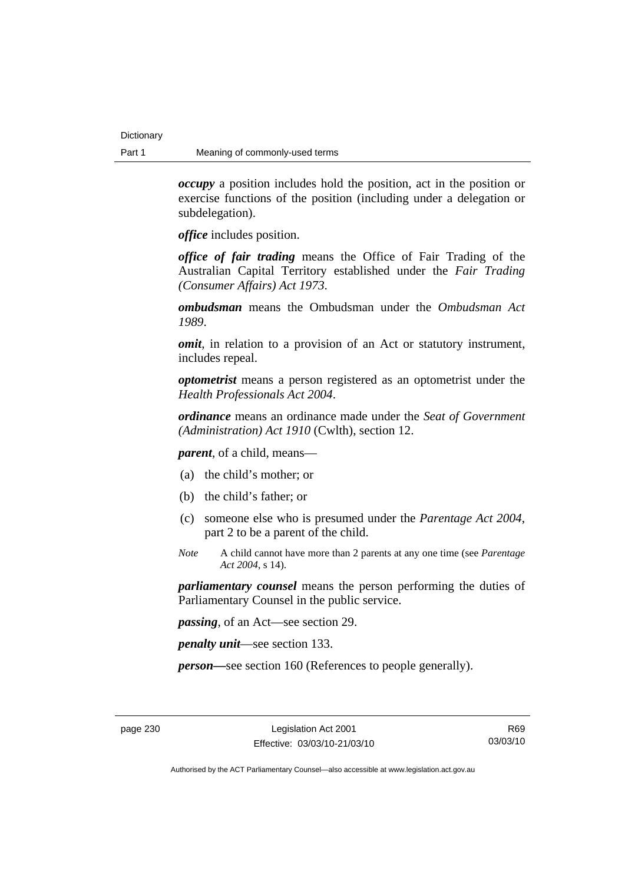*occupy* a position includes hold the position, act in the position or exercise functions of the position (including under a delegation or subdelegation).

*office* includes position.

*office of fair trading* means the Office of Fair Trading of the Australian Capital Territory established under the *Fair Trading (Consumer Affairs) Act 1973*.

*ombudsman* means the Ombudsman under the *Ombudsman Act 1989*.

*omit*, in relation to a provision of an Act or statutory instrument, includes repeal.

*optometrist* means a person registered as an optometrist under the *Health Professionals Act 2004*.

*ordinance* means an ordinance made under the *Seat of Government (Administration) Act 1910* (Cwlth), section 12.

*parent*, of a child, means—

- (a) the child's mother; or
- (b) the child's father; or
- (c) someone else who is presumed under the *Parentage Act 2004*, part 2 to be a parent of the child.
- *Note* A child cannot have more than 2 parents at any one time (see *Parentage Act 2004*, s 14).

*parliamentary counsel* means the person performing the duties of Parliamentary Counsel in the public service.

*passing*, of an Act—see section 29.

*penalty unit*—see section 133.

*person—*see section 160 (References to people generally).

R69 03/03/10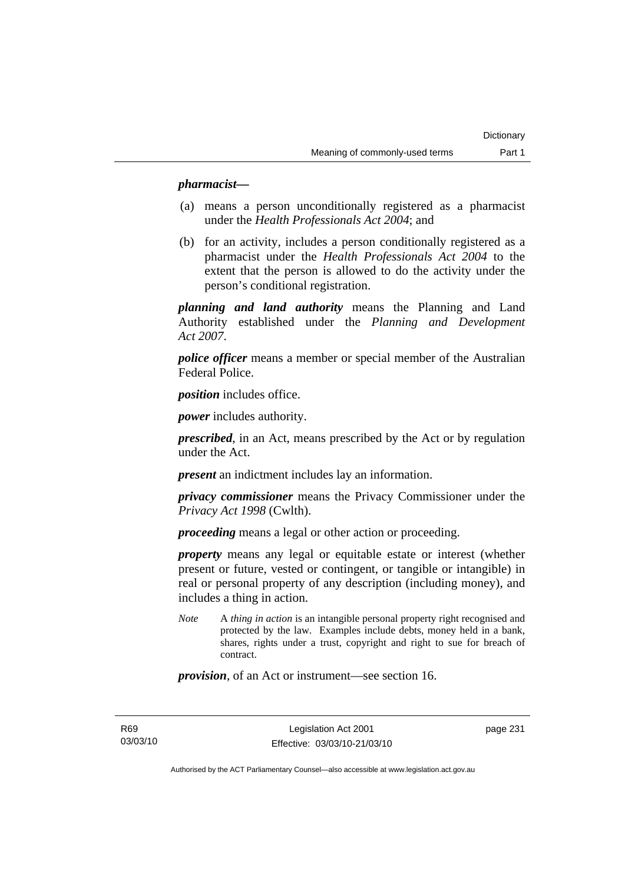## *pharmacist***—**

- (a) means a person unconditionally registered as a pharmacist under the *Health Professionals Act 2004*; and
- (b) for an activity, includes a person conditionally registered as a pharmacist under the *Health Professionals Act 2004* to the extent that the person is allowed to do the activity under the person's conditional registration.

*planning and land authority* means the Planning and Land Authority established under the *Planning and Development Act 2007*.

*police officer* means a member or special member of the Australian Federal Police.

*position* includes office.

*power* includes authority.

*prescribed*, in an Act, means prescribed by the Act or by regulation under the Act.

*present* an indictment includes lay an information.

*privacy commissioner* means the Privacy Commissioner under the *Privacy Act 1998* (Cwlth).

*proceeding* means a legal or other action or proceeding.

*property* means any legal or equitable estate or interest (whether present or future, vested or contingent, or tangible or intangible) in real or personal property of any description (including money), and includes a thing in action.

*Note* A *thing in action* is an intangible personal property right recognised and protected by the law. Examples include debts, money held in a bank, shares, rights under a trust, copyright and right to sue for breach of contract.

*provision*, of an Act or instrument—see section 16.

R69 03/03/10 page 231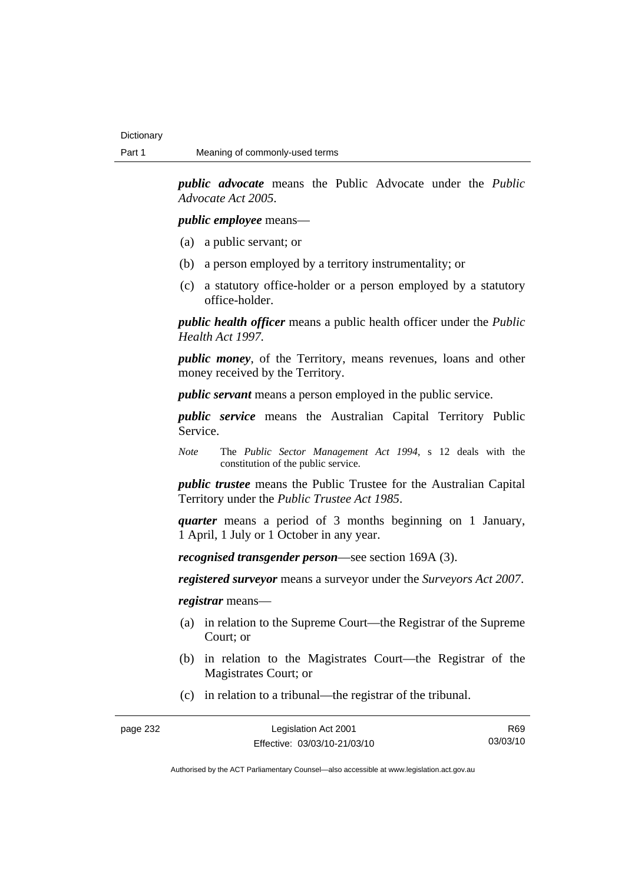*public advocate* means the Public Advocate under the *Public Advocate Act 2005*.

*public employee* means—

- (a) a public servant; or
- (b) a person employed by a territory instrumentality; or
- (c) a statutory office-holder or a person employed by a statutory office-holder.

*public health officer* means a public health officer under the *Public Health Act 1997.*

*public money*, of the Territory, means revenues, loans and other money received by the Territory.

*public servant* means a person employed in the public service.

*public service* means the Australian Capital Territory Public Service.

*Note* The *Public Sector Management Act 1994*, s 12 deals with the constitution of the public service.

*public trustee* means the Public Trustee for the Australian Capital Territory under the *Public Trustee Act 1985*.

*quarter* means a period of 3 months beginning on 1 January, 1 April, 1 July or 1 October in any year.

*recognised transgender person*—see section 169A (3).

*registered surveyor* means a surveyor under the *Surveyors Act 2007*.

*registrar* means—

- (a) in relation to the Supreme Court—the Registrar of the Supreme Court; or
- (b) in relation to the Magistrates Court—the Registrar of the Magistrates Court; or
- (c) in relation to a tribunal—the registrar of the tribunal.

R69 03/03/10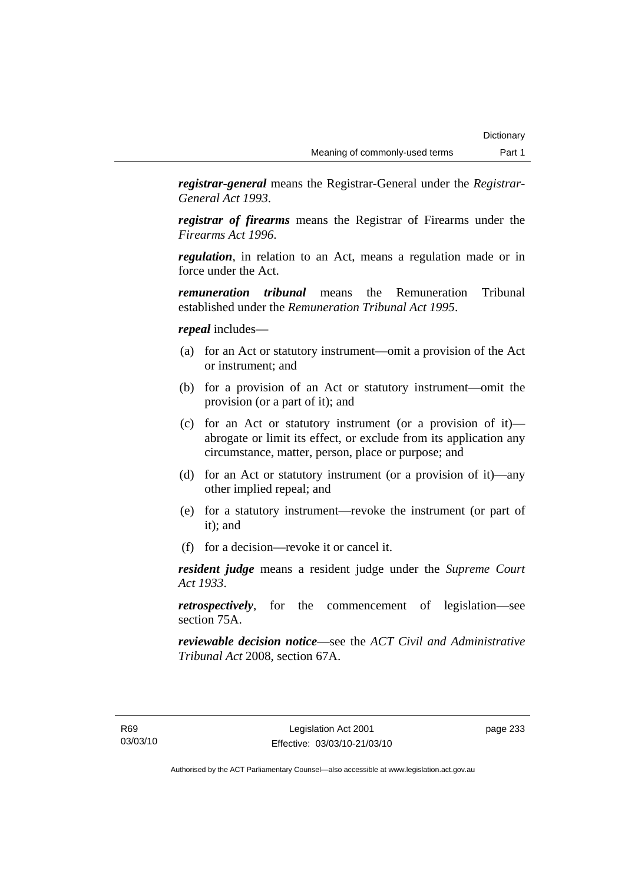*registrar-general* means the Registrar-General under the *Registrar-General Act 1993*.

*registrar of firearms* means the Registrar of Firearms under the *Firearms Act 1996*.

*regulation*, in relation to an Act, means a regulation made or in force under the Act.

*remuneration tribunal* means the Remuneration Tribunal established under the *Remuneration Tribunal Act 1995*.

### *repeal* includes—

- (a) for an Act or statutory instrument—omit a provision of the Act or instrument; and
- (b) for a provision of an Act or statutory instrument—omit the provision (or a part of it); and
- (c) for an Act or statutory instrument (or a provision of it) abrogate or limit its effect, or exclude from its application any circumstance, matter, person, place or purpose; and
- (d) for an Act or statutory instrument (or a provision of it)—any other implied repeal; and
- (e) for a statutory instrument—revoke the instrument (or part of it); and
- (f) for a decision—revoke it or cancel it.

*resident judge* means a resident judge under the *Supreme Court Act 1933*.

*retrospectively*, for the commencement of legislation—see section 75A.

*reviewable decision notice*—see the *ACT Civil and Administrative Tribunal Act* 2008, section 67A.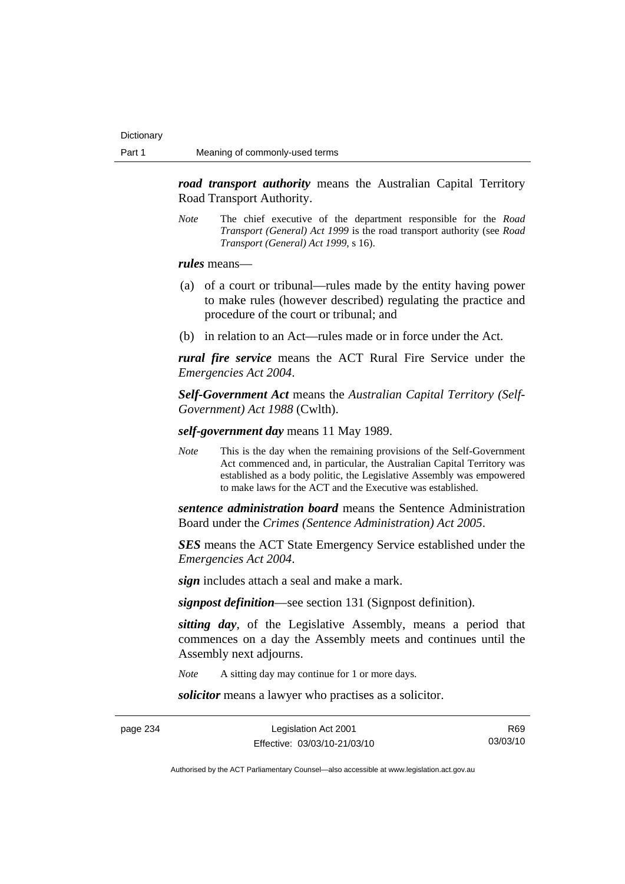*road transport authority* means the Australian Capital Territory Road Transport Authority.

*Note* The chief executive of the department responsible for the *Road Transport (General) Act 1999* is the road transport authority (see *Road Transport (General) Act 1999*, s 16).

*rules* means—

- (a) of a court or tribunal—rules made by the entity having power to make rules (however described) regulating the practice and procedure of the court or tribunal; and
- (b) in relation to an Act—rules made or in force under the Act.

*rural fire service* means the ACT Rural Fire Service under the *Emergencies Act 2004*.

*Self-Government Act* means the *Australian Capital Territory (Self-Government) Act 1988* (Cwlth).

*self-government day* means 11 May 1989.

*Note* This is the day when the remaining provisions of the Self-Government Act commenced and, in particular, the Australian Capital Territory was established as a body politic, the Legislative Assembly was empowered to make laws for the ACT and the Executive was established.

*sentence administration board* means the Sentence Administration Board under the *Crimes (Sentence Administration) Act 2005*.

*SES* means the ACT State Emergency Service established under the *Emergencies Act 2004*.

*sign* includes attach a seal and make a mark.

*signpost definition*—see section 131 (Signpost definition).

*sitting day*, of the Legislative Assembly, means a period that commences on a day the Assembly meets and continues until the Assembly next adjourns.

*Note* A sitting day may continue for 1 or more days.

*solicitor* means a lawyer who practises as a solicitor.

page 234 Legislation Act 2001 Effective: 03/03/10-21/03/10

R69 03/03/10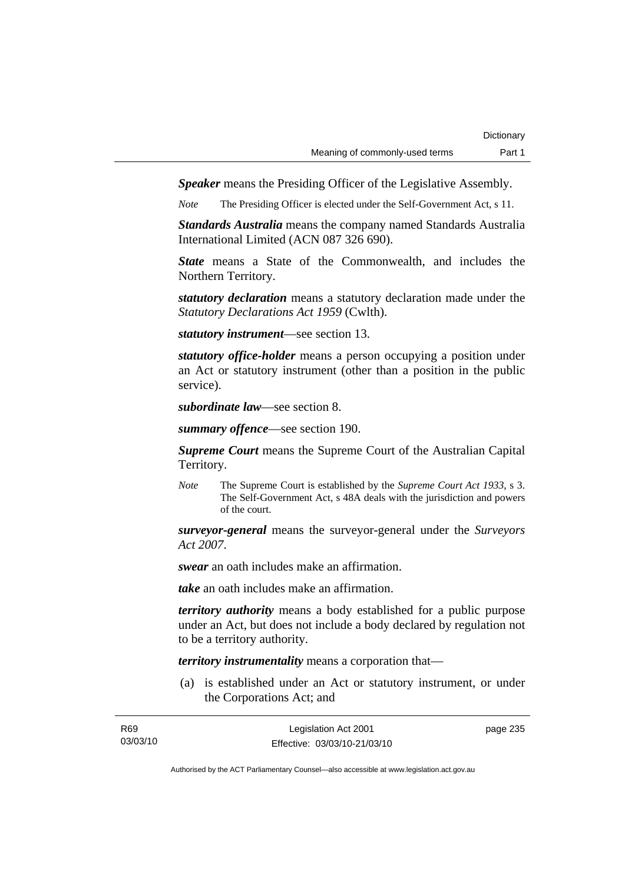*Speaker* means the Presiding Officer of the Legislative Assembly.

*Note* The Presiding Officer is elected under the Self-Government Act, s 11.

*Standards Australia* means the company named Standards Australia International Limited (ACN 087 326 690).

*State* means a State of the Commonwealth, and includes the Northern Territory.

*statutory declaration* means a statutory declaration made under the *Statutory Declarations Act 1959* (Cwlth).

*statutory instrument*—see section 13.

*statutory office-holder* means a person occupying a position under an Act or statutory instrument (other than a position in the public service).

*subordinate law*—see section 8.

*summary offence*—see section 190.

*Supreme Court* means the Supreme Court of the Australian Capital Territory.

*Note* The Supreme Court is established by the *Supreme Court Act 1933*, s 3. The Self-Government Act, s 48A deals with the jurisdiction and powers of the court.

*surveyor-general* means the surveyor-general under the *Surveyors Act 2007*.

*swear* an oath includes make an affirmation.

*take* an oath includes make an affirmation.

*territory authority* means a body established for a public purpose under an Act, but does not include a body declared by regulation not to be a territory authority.

*territory instrumentality* means a corporation that—

 (a) is established under an Act or statutory instrument, or under the Corporations Act; and

| R <sub>69</sub> | Legislation Act 2001         | page 235 |
|-----------------|------------------------------|----------|
| 03/03/10        | Effective: 03/03/10-21/03/10 |          |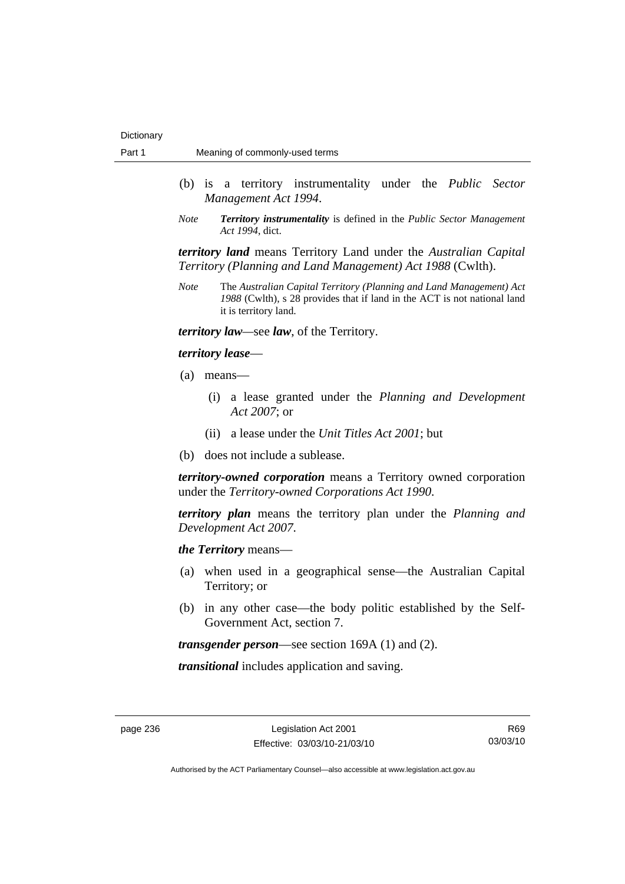- (b) is a territory instrumentality under the *Public Sector Management Act 1994*.
- *Note Territory instrumentality* is defined in the *Public Sector Management Act 1994*, dict.

*territory land* means Territory Land under the *Australian Capital Territory (Planning and Land Management) Act 1988* (Cwlth).

*Note* The *Australian Capital Territory (Planning and Land Management) Act 1988* (Cwlth), s 28 provides that if land in the ACT is not national land it is territory land.

*territory law—*see *law*, of the Territory.

#### *territory lease*—

- (a) means—
	- (i) a lease granted under the *Planning and Development Act 2007*; or
	- (ii) a lease under the *Unit Titles Act 2001*; but
- (b) does not include a sublease.

*territory-owned corporation* means a Territory owned corporation under the *Territory-owned Corporations Act 1990*.

*territory plan* means the territory plan under the *Planning and Development Act 2007*.

*the Territory* means—

- (a) when used in a geographical sense—the Australian Capital Territory; or
- (b) in any other case—the body politic established by the Self-Government Act, section 7.

*transgender person*—see section 169A (1) and (2).

*transitional* includes application and saving.

R69 03/03/10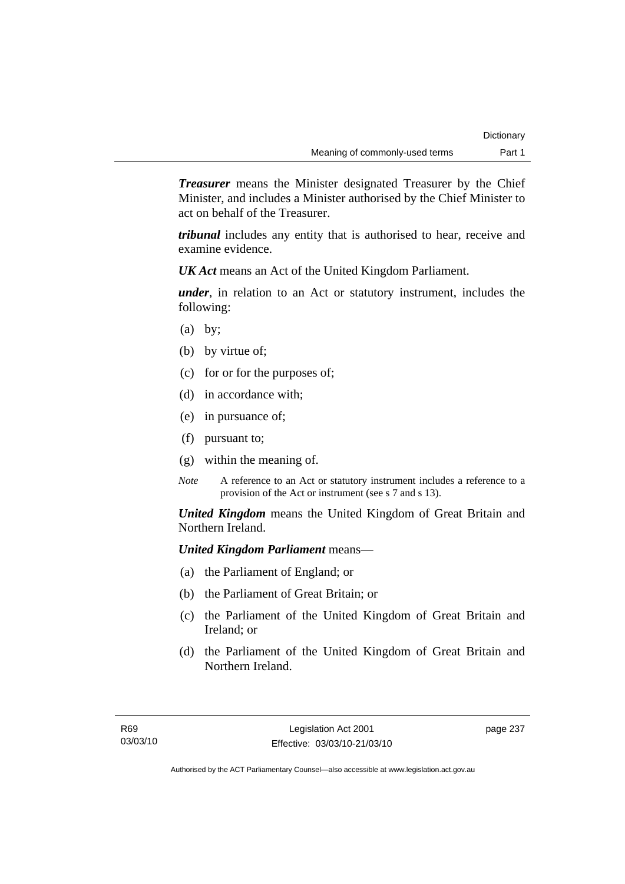*Treasurer* means the Minister designated Treasurer by the Chief Minister, and includes a Minister authorised by the Chief Minister to act on behalf of the Treasurer.

*tribunal* includes any entity that is authorised to hear, receive and examine evidence.

*UK Act* means an Act of the United Kingdom Parliament.

*under*, in relation to an Act or statutory instrument, includes the following:

- $(a)$  by;
- (b) by virtue of;
- (c) for or for the purposes of;
- (d) in accordance with;
- (e) in pursuance of;
- (f) pursuant to;
- (g) within the meaning of.
- *Note* A reference to an Act or statutory instrument includes a reference to a provision of the Act or instrument (see s 7 and s 13).

*United Kingdom* means the United Kingdom of Great Britain and Northern Ireland.

## *United Kingdom Parliament* means—

- (a) the Parliament of England; or
- (b) the Parliament of Great Britain; or
- (c) the Parliament of the United Kingdom of Great Britain and Ireland; or
- (d) the Parliament of the United Kingdom of Great Britain and Northern Ireland.

page 237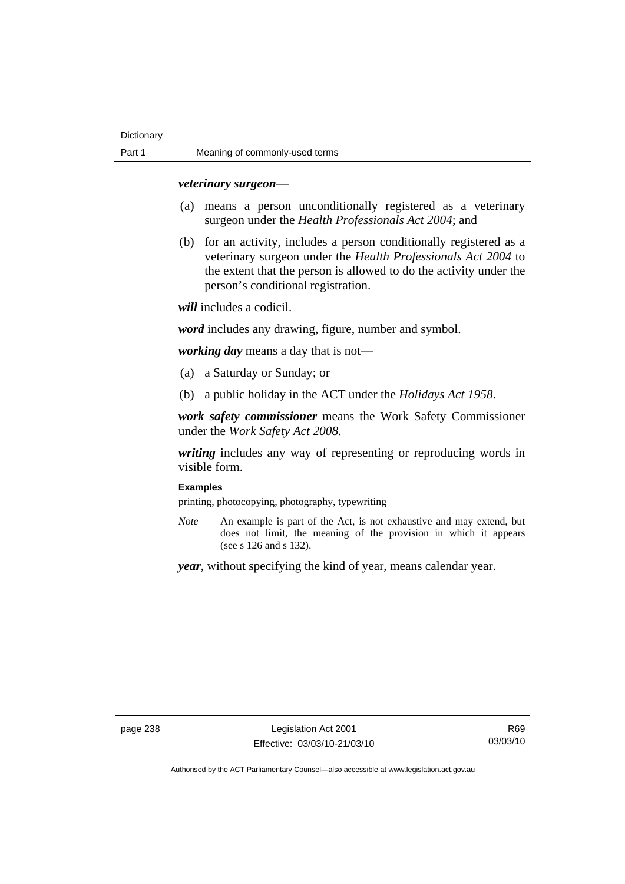## *veterinary surgeon*—

- (a) means a person unconditionally registered as a veterinary surgeon under the *Health Professionals Act 2004*; and
- (b) for an activity, includes a person conditionally registered as a veterinary surgeon under the *Health Professionals Act 2004* to the extent that the person is allowed to do the activity under the person's conditional registration.

*will* includes a codicil.

*word* includes any drawing, figure, number and symbol.

*working day* means a day that is not—

- (a) a Saturday or Sunday; or
- (b) a public holiday in the ACT under the *Holidays Act 1958*.

*work safety commissioner* means the Work Safety Commissioner under the *Work Safety Act 2008*.

*writing* includes any way of representing or reproducing words in visible form.

## **Examples**

printing, photocopying, photography, typewriting

*Note* An example is part of the Act, is not exhaustive and may extend, but does not limit, the meaning of the provision in which it appears (see s 126 and s 132).

*year*, without specifying the kind of year, means calendar year.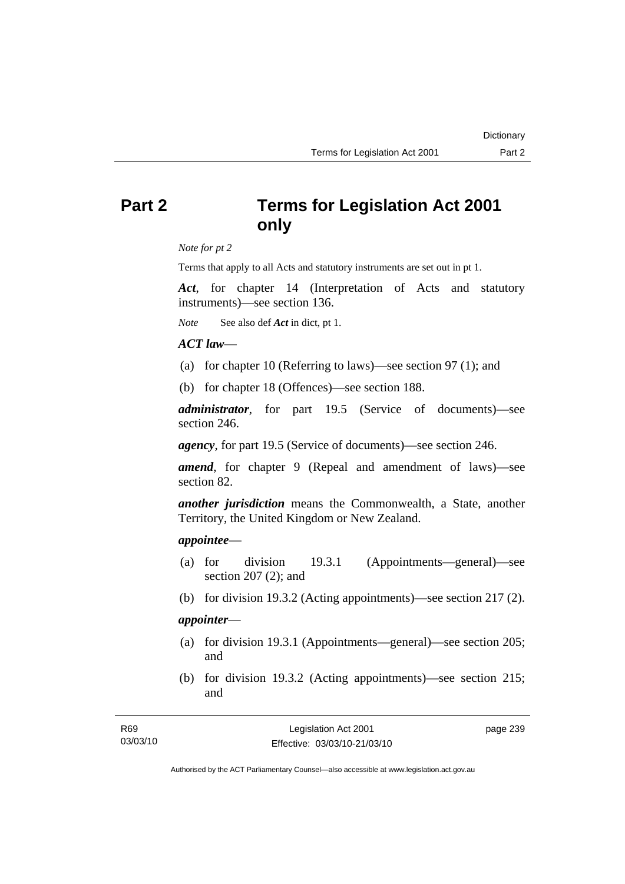# **Part 2 Terms for Legislation Act 2001 only**

*Note for pt 2* 

Terms that apply to all Acts and statutory instruments are set out in pt 1.

*Act*, for chapter 14 (Interpretation of Acts and statutory instruments)—see section 136.

*Note* See also def *Act* in dict, pt 1.

## *ACT law*—

- (a) for chapter 10 (Referring to laws)—see section 97 (1); and
- (b) for chapter 18 (Offences)—see section 188.

*administrator*, for part 19.5 (Service of documents)—see section 246.

*agency*, for part 19.5 (Service of documents)—see section 246.

*amend*, for chapter 9 (Repeal and amendment of laws)—see section 82.

*another jurisdiction* means the Commonwealth, a State, another Territory, the United Kingdom or New Zealand.

## *appointee*—

- (a) for division 19.3.1 (Appointments—general)—see section 207 (2); and
- (b) for division 19.3.2 (Acting appointments)—see section 217 (2).

## *appointer*—

- (a) for division 19.3.1 (Appointments—general)—see section 205; and
- (b) for division 19.3.2 (Acting appointments)—see section 215; and

**Dictionary**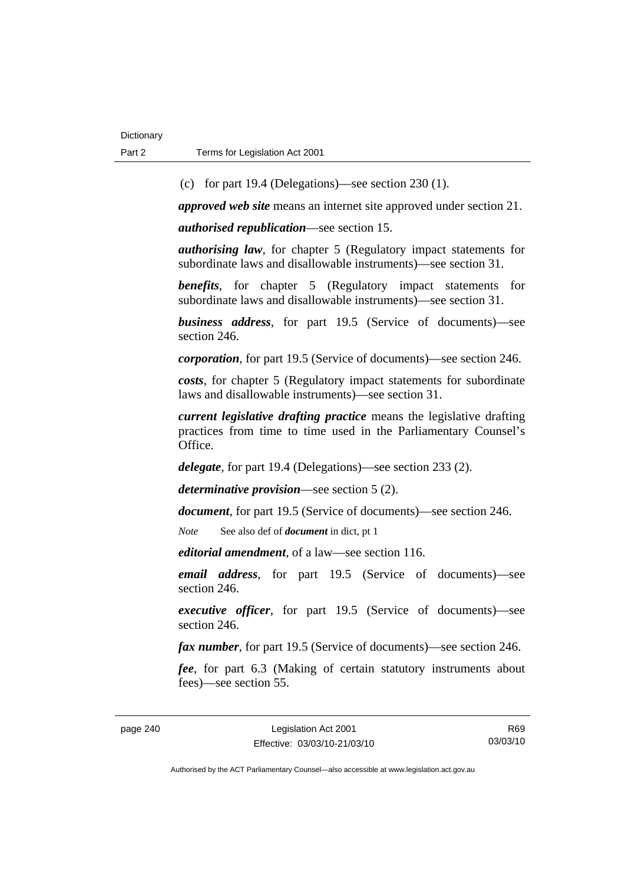(c) for part 19.4 (Delegations)—see section 230 (1).

*approved web site* means an internet site approved under section 21.

*authorised republication*—see section 15.

*authorising law*, for chapter 5 (Regulatory impact statements for subordinate laws and disallowable instruments)—see section 31.

*benefits*, for chapter 5 (Regulatory impact statements for subordinate laws and disallowable instruments)—see section 31.

*business address*, for part 19.5 (Service of documents)—see section 246.

*corporation*, for part 19.5 (Service of documents)—see section 246.

*costs*, for chapter 5 (Regulatory impact statements for subordinate laws and disallowable instruments)—see section 31.

*current legislative drafting practice* means the legislative drafting practices from time to time used in the Parliamentary Counsel's Office.

*delegate*, for part 19.4 (Delegations)—see section 233 (2).

*determinative provision*—see section 5 (2).

*document*, for part 19.5 (Service of documents)—see section 246.

*Note* See also def of *document* in dict, pt 1

*editorial amendment*, of a law—see section 116.

*email address*, for part 19.5 (Service of documents)—see section 246.

*executive officer*, for part 19.5 (Service of documents)—see section 246.

*fax number*, for part 19.5 (Service of documents)—see section 246.

*fee*, for part 6.3 (Making of certain statutory instruments about fees)—see section 55.

R69 03/03/10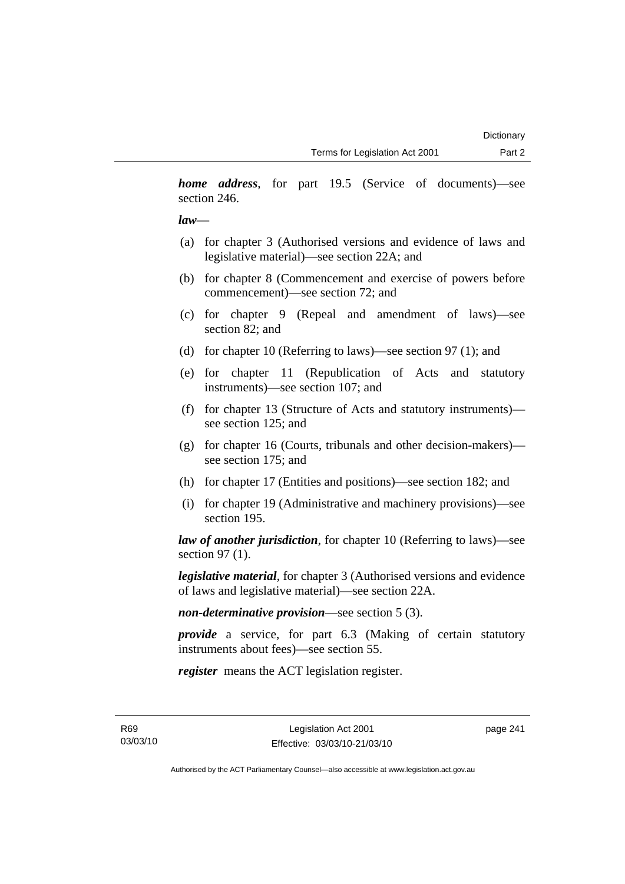*home address*, for part 19.5 (Service of documents)—see section 246.

## *law*—

- (a) for chapter 3 (Authorised versions and evidence of laws and legislative material)—see section 22A; and
- (b) for chapter 8 (Commencement and exercise of powers before commencement)—see section 72; and
- (c) for chapter 9 (Repeal and amendment of laws)—see section 82; and
- (d) for chapter 10 (Referring to laws)—see section 97 (1); and
- (e) for chapter 11 (Republication of Acts and statutory instruments)—see section 107; and
- (f) for chapter 13 (Structure of Acts and statutory instruments) see section 125; and
- (g) for chapter 16 (Courts, tribunals and other decision-makers) see section 175; and
- (h) for chapter 17 (Entities and positions)—see section 182; and
- (i) for chapter 19 (Administrative and machinery provisions)—see section 195.

*law of another jurisdiction*, for chapter 10 (Referring to laws)—see section 97 (1).

*legislative material*, for chapter 3 (Authorised versions and evidence of laws and legislative material)—see section 22A.

*non-determinative provision*—see section 5 (3).

*provide* a service, for part 6.3 (Making of certain statutory instruments about fees)—see section 55.

*register* means the ACT legislation register.

R69 03/03/10 page 241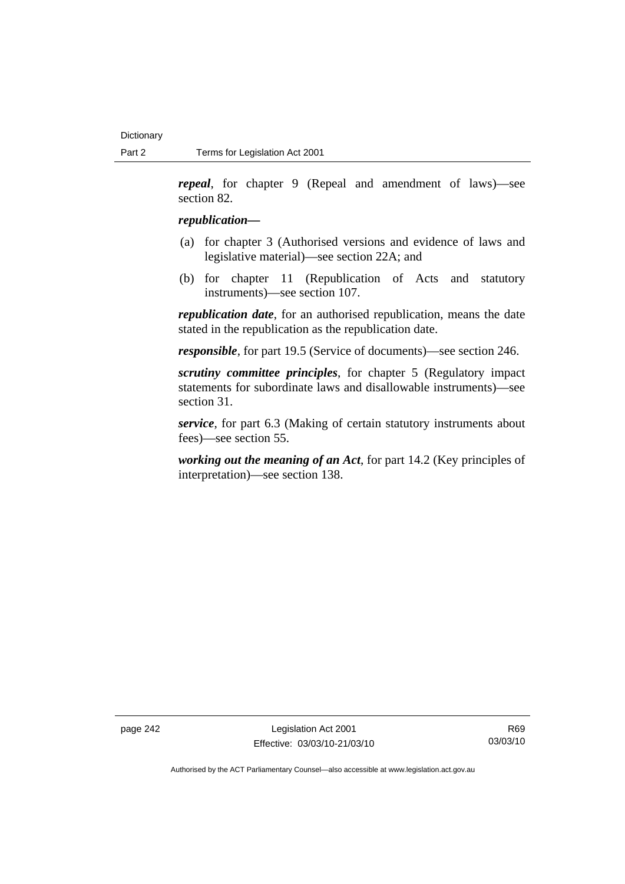*repeal*, for chapter 9 (Repeal and amendment of laws)—see section 82.

## *republication—*

- (a) for chapter 3 (Authorised versions and evidence of laws and legislative material)—see section 22A; and
- (b) for chapter 11 (Republication of Acts and statutory instruments)—see section 107.

*republication date*, for an authorised republication, means the date stated in the republication as the republication date.

*responsible*, for part 19.5 (Service of documents)—see section 246.

*scrutiny committee principles*, for chapter 5 (Regulatory impact statements for subordinate laws and disallowable instruments)—see section 31.

*service*, for part 6.3 (Making of certain statutory instruments about fees)—see section 55.

*working out the meaning of an Act*, for part 14.2 (Key principles of interpretation)—see section 138.

page 242 Legislation Act 2001 Effective: 03/03/10-21/03/10

R69 03/03/10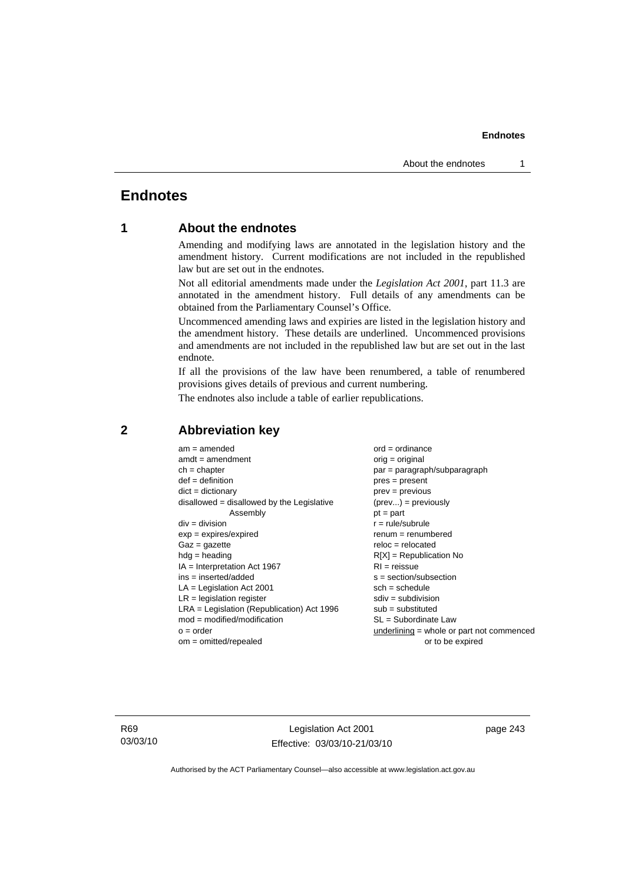# **Endnotes**

# **1 About the endnotes**

Amending and modifying laws are annotated in the legislation history and the amendment history. Current modifications are not included in the republished law but are set out in the endnotes.

Not all editorial amendments made under the *Legislation Act 2001*, part 11.3 are annotated in the amendment history. Full details of any amendments can be obtained from the Parliamentary Counsel's Office.

Uncommenced amending laws and expiries are listed in the legislation history and the amendment history. These details are underlined. Uncommenced provisions and amendments are not included in the republished law but are set out in the last endnote.

If all the provisions of the law have been renumbered, a table of renumbered provisions gives details of previous and current numbering.

The endnotes also include a table of earlier republications.

| $am = amended$                               | $ord = ordinance$                         |
|----------------------------------------------|-------------------------------------------|
| $amdt = amendment$                           | orig = original                           |
| $ch = chapter$                               | par = paragraph/subparagraph              |
| $def = definition$                           | $pres = present$                          |
| $dict = dictionary$                          | $prev = previous$                         |
| disallowed = disallowed by the Legislative   | $(\text{prev}) = \text{previously}$       |
| Assembly                                     | $pt = part$                               |
| $div = division$                             | $r = rule/subrule$                        |
| $exp = expires/expired$                      | $renum = renumbered$                      |
| $Gaz = gazette$                              | $reloc = relocated$                       |
| $hdg =$ heading                              | $R[X]$ = Republication No                 |
| $IA = Interpretation Act 1967$               | $RI = reissue$                            |
| $ins = inserted/added$                       | $s = section/subsection$                  |
| $LA =$ Legislation Act 2001                  | $sch = schedule$                          |
| $LR =$ legislation register                  | $sdiv = subdivision$                      |
| $LRA =$ Legislation (Republication) Act 1996 | $sub =$ substituted                       |
| $mod = modified/modification$                | SL = Subordinate Law                      |
| $o = order$                                  | underlining = whole or part not commenced |
| $om = omitted/repealed$                      | or to be expired                          |
|                                              |                                           |

## **2 Abbreviation key**

R69 03/03/10

Legislation Act 2001 Effective: 03/03/10-21/03/10 page 243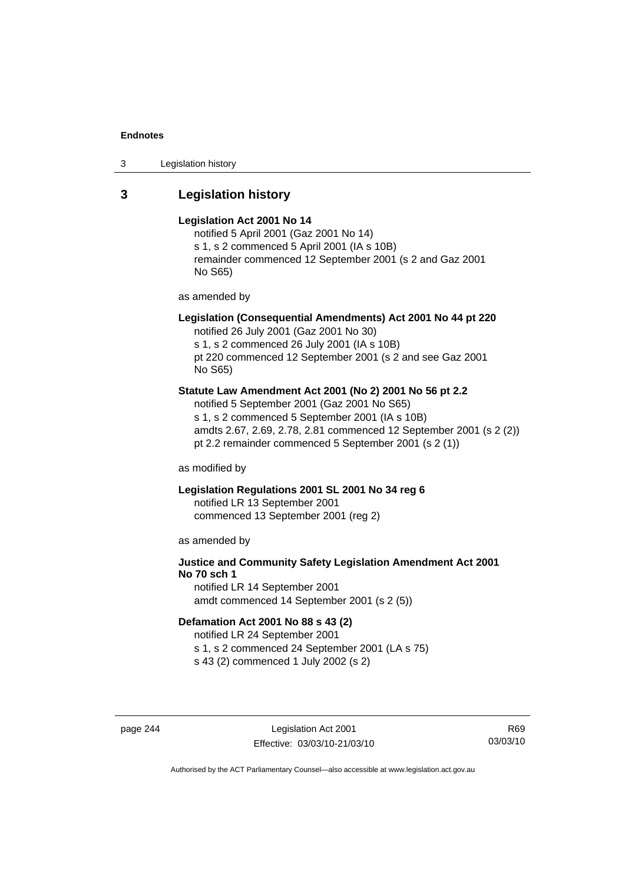3 Legislation history

# **3 Legislation history**

#### **Legislation Act 2001 No 14**

notified 5 April 2001 (Gaz 2001 No 14) s 1, s 2 commenced 5 April 2001 (IA s 10B) remainder commenced 12 September 2001 (s 2 and Gaz 2001 No S65)

as amended by

# **Legislation (Consequential Amendments) Act 2001 No 44 pt 220**

notified 26 July 2001 (Gaz 2001 No 30) s 1, s 2 commenced 26 July 2001 (IA s 10B) pt 220 commenced 12 September 2001 (s 2 and see Gaz 2001 No S65)

## **Statute Law Amendment Act 2001 (No 2) 2001 No 56 pt 2.2**

notified 5 September 2001 (Gaz 2001 No S65) s 1, s 2 commenced 5 September 2001 (IA s 10B) amdts 2.67, 2.69, 2.78, 2.81 commenced 12 September 2001 (s 2 (2)) pt 2.2 remainder commenced 5 September 2001 (s 2 (1))

as modified by

## **Legislation Regulations 2001 SL 2001 No 34 reg 6**

notified LR 13 September 2001 commenced 13 September 2001 (reg 2)

as amended by

# **Justice and Community Safety Legislation Amendment Act 2001 No 70 sch 1**

notified LR 14 September 2001 amdt commenced 14 September 2001 (s 2 (5))

# **Defamation Act 2001 No 88 s 43 (2)**

notified LR 24 September 2001 s 1, s 2 commenced 24 September 2001 (LA s 75)

s 43 (2) commenced 1 July 2002 (s 2)

page 244 Legislation Act 2001 Effective: 03/03/10-21/03/10

R69 03/03/10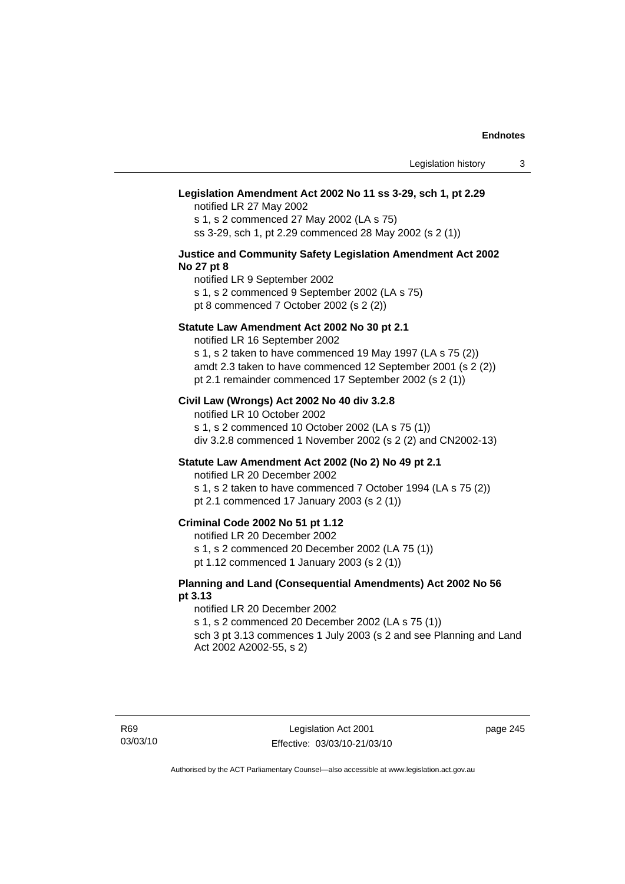## **Legislation Amendment Act 2002 No 11 ss 3-29, sch 1, pt 2.29**

notified LR 27 May 2002 s 1, s 2 commenced 27 May 2002 (LA s 75) ss 3-29, sch 1, pt 2.29 commenced 28 May 2002 (s 2 (1))

## **Justice and Community Safety Legislation Amendment Act 2002 No 27 pt 8**

notified LR 9 September 2002 s 1, s 2 commenced 9 September 2002 (LA s 75)

pt 8 commenced 7 October 2002 (s 2 (2))

## **Statute Law Amendment Act 2002 No 30 pt 2.1**

notified LR 16 September 2002 s 1, s 2 taken to have commenced 19 May 1997 (LA s 75 (2)) amdt 2.3 taken to have commenced 12 September 2001 (s 2 (2))

pt 2.1 remainder commenced 17 September 2002 (s 2 (1))

## **Civil Law (Wrongs) Act 2002 No 40 div 3.2.8**

notified LR 10 October 2002 s 1, s 2 commenced 10 October 2002 (LA s 75 (1)) div 3.2.8 commenced 1 November 2002 (s 2 (2) and CN2002-13)

## **Statute Law Amendment Act 2002 (No 2) No 49 pt 2.1**

notified LR 20 December 2002

s 1, s 2 taken to have commenced 7 October 1994 (LA s 75 (2)) pt 2.1 commenced 17 January 2003 (s 2 (1))

## **Criminal Code 2002 No 51 pt 1.12**

notified LR 20 December 2002

s 1, s 2 commenced 20 December 2002 (LA 75 (1))

pt 1.12 commenced 1 January 2003 (s 2 (1))

## **Planning and Land (Consequential Amendments) Act 2002 No 56 pt 3.13**

#### notified LR 20 December 2002

s 1, s 2 commenced 20 December 2002 (LA s 75 (1)) sch 3 pt 3.13 commences 1 July 2003 (s 2 and see Planning and Land

Act 2002 A2002-55, s 2)

page 245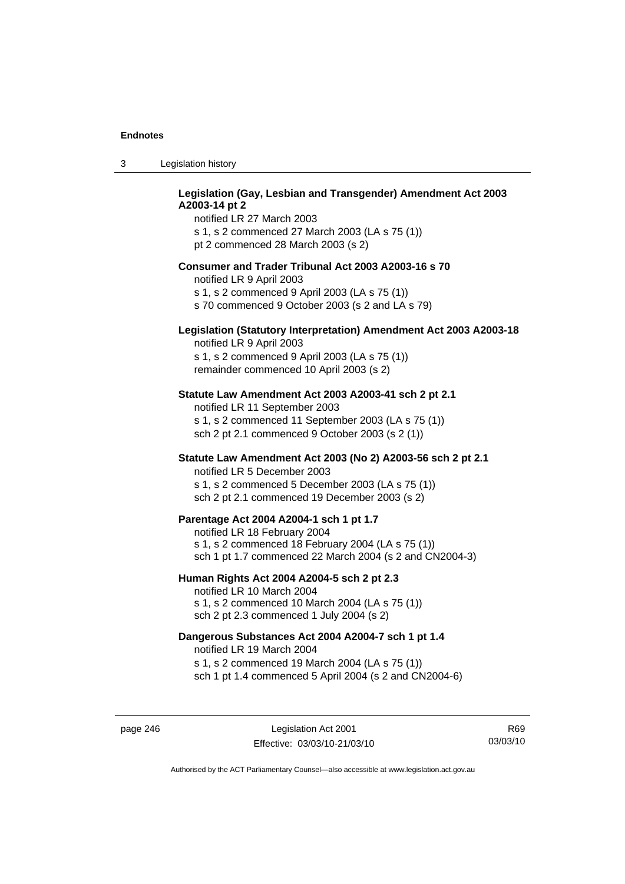## **Legislation (Gay, Lesbian and Transgender) Amendment Act 2003 A2003-14 pt 2**

notified LR 27 March 2003 s 1, s 2 commenced 27 March 2003 (LA s 75 (1)) pt 2 commenced 28 March 2003 (s 2)

## **Consumer and Trader Tribunal Act 2003 A2003-16 s 70**

notified LR 9 April 2003

s 1, s 2 commenced 9 April 2003 (LA s 75 (1))

s 70 commenced 9 October 2003 (s 2 and LA s 79)

# **Legislation (Statutory Interpretation) Amendment Act 2003 A2003-18**

notified LR 9 April 2003 s 1, s 2 commenced 9 April 2003 (LA s 75 (1)) remainder commenced 10 April 2003 (s 2)

## **Statute Law Amendment Act 2003 A2003-41 sch 2 pt 2.1**

notified LR 11 September 2003 s 1, s 2 commenced 11 September 2003 (LA s 75 (1)) sch 2 pt 2.1 commenced 9 October 2003 (s 2 (1))

## **Statute Law Amendment Act 2003 (No 2) A2003-56 sch 2 pt 2.1**

notified LR 5 December 2003 s 1, s 2 commenced 5 December 2003 (LA s 75 (1)) sch 2 pt 2.1 commenced 19 December 2003 (s 2)

## **Parentage Act 2004 A2004-1 sch 1 pt 1.7**

notified LR 18 February 2004 s 1, s 2 commenced 18 February 2004 (LA s 75 (1)) sch 1 pt 1.7 commenced 22 March 2004 (s 2 and CN2004-3)

#### **Human Rights Act 2004 A2004-5 sch 2 pt 2.3**

notified LR 10 March 2004 s 1, s 2 commenced 10 March 2004 (LA s 75 (1)) sch 2 pt 2.3 commenced 1 July 2004 (s 2)

## **Dangerous Substances Act 2004 A2004-7 sch 1 pt 1.4**

notified LR 19 March 2004 s 1, s 2 commenced 19 March 2004 (LA s 75 (1)) sch 1 pt 1.4 commenced 5 April 2004 (s 2 and CN2004-6)

page 246 Legislation Act 2001 Effective: 03/03/10-21/03/10

R69 03/03/10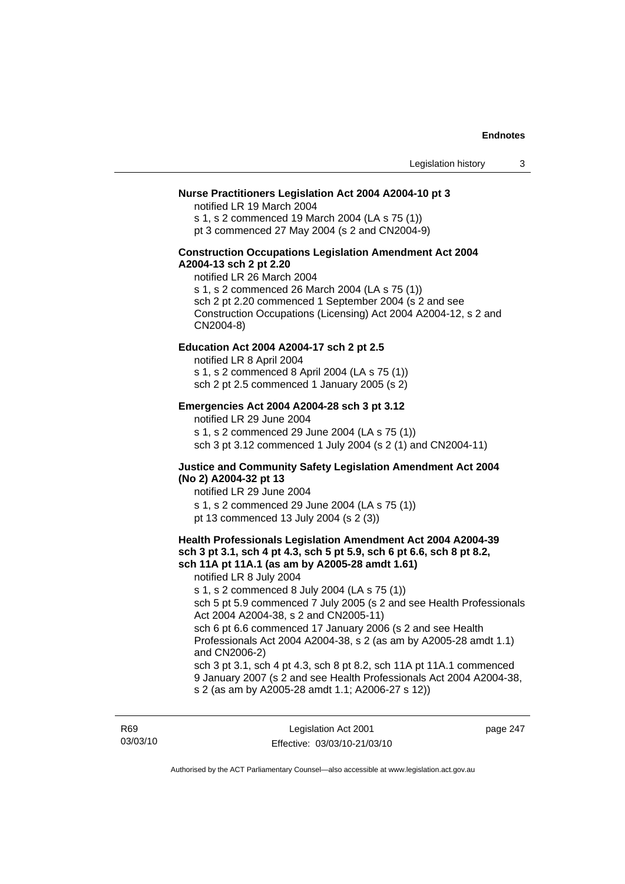## **Nurse Practitioners Legislation Act 2004 A2004-10 pt 3**

notified LR 19 March 2004 s 1, s 2 commenced 19 March 2004 (LA s 75 (1)) pt 3 commenced 27 May 2004 (s 2 and CN2004-9)

## **Construction Occupations Legislation Amendment Act 2004 A2004-13 sch 2 pt 2.20**

notified LR 26 March 2004 s 1, s 2 commenced 26 March 2004 (LA s 75 (1)) sch 2 pt 2.20 commenced 1 September 2004 (s 2 and see Construction Occupations (Licensing) Act 2004 A2004-12, s 2 and CN2004-8)

#### **Education Act 2004 A2004-17 sch 2 pt 2.5**

notified LR 8 April 2004 s 1, s 2 commenced 8 April 2004 (LA s 75 (1)) sch 2 pt 2.5 commenced 1 January 2005 (s 2)

## **Emergencies Act 2004 A2004-28 sch 3 pt 3.12**

notified LR 29 June 2004

s 1, s 2 commenced 29 June 2004 (LA s 75 (1)) sch 3 pt 3.12 commenced 1 July 2004 (s 2 (1) and CN2004-11)

## **Justice and Community Safety Legislation Amendment Act 2004 (No 2) A2004-32 pt 13**

notified LR 29 June 2004 s 1, s 2 commenced 29 June 2004 (LA s 75 (1)) pt 13 commenced 13 July 2004 (s 2 (3))

## **Health Professionals Legislation Amendment Act 2004 A2004-39 sch 3 pt 3.1, sch 4 pt 4.3, sch 5 pt 5.9, sch 6 pt 6.6, sch 8 pt 8.2, sch 11A pt 11A.1 (as am by A2005-28 amdt 1.61)**

notified LR 8 July 2004 s 1, s 2 commenced 8 July 2004 (LA s 75 (1)) sch 5 pt 5.9 commenced 7 July 2005 (s 2 and see Health Professionals Act 2004 A2004-38, s 2 and CN2005-11) sch 6 pt 6.6 commenced 17 January 2006 (s 2 and see Health Professionals Act 2004 A2004-38, s 2 (as am by A2005-28 amdt 1.1) and CN2006-2) sch 3 pt 3.1, sch 4 pt 4.3, sch 8 pt 8.2, sch 11A pt 11A.1 commenced 9 January 2007 (s 2 and see Health Professionals Act 2004 A2004-38,

s 2 (as am by A2005-28 amdt 1.1; A2006-27 s 12))

R69 03/03/10 page 247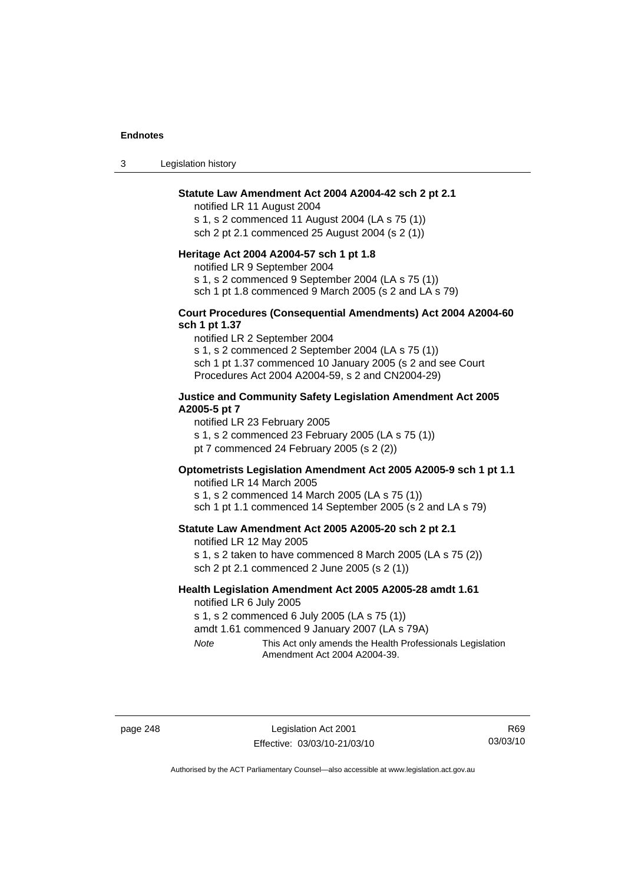3 Legislation history

## **Statute Law Amendment Act 2004 A2004-42 sch 2 pt 2.1**

notified LR 11 August 2004 s 1, s 2 commenced 11 August 2004 (LA s 75 (1)) sch 2 pt 2.1 commenced 25 August 2004 (s 2 (1))

## **Heritage Act 2004 A2004-57 sch 1 pt 1.8**

notified LR 9 September 2004

s 1, s 2 commenced 9 September 2004 (LA s 75 (1))

sch 1 pt 1.8 commenced 9 March 2005 (s 2 and LA s 79)

## **Court Procedures (Consequential Amendments) Act 2004 A2004-60 sch 1 pt 1.37**

notified LR 2 September 2004 s 1, s 2 commenced 2 September 2004 (LA s 75 (1)) sch 1 pt 1.37 commenced 10 January 2005 (s 2 and see Court Procedures Act 2004 A2004-59, s 2 and CN2004-29)

## **Justice and Community Safety Legislation Amendment Act 2005 A2005-5 pt 7**

notified LR 23 February 2005

s 1, s 2 commenced 23 February 2005 (LA s 75 (1))

pt 7 commenced 24 February 2005 (s 2 (2))

# **Optometrists Legislation Amendment Act 2005 A2005-9 sch 1 pt 1.1**

notified LR 14 March 2005 s 1, s 2 commenced 14 March 2005 (LA s 75 (1)) sch 1 pt 1.1 commenced 14 September 2005 (s 2 and LA s 79)

## **Statute Law Amendment Act 2005 A2005-20 sch 2 pt 2.1**

notified LR 12 May 2005 s 1, s 2 taken to have commenced 8 March 2005 (LA s 75 (2)) sch 2 pt 2.1 commenced 2 June 2005 (s 2 (1))

## **Health Legislation Amendment Act 2005 A2005-28 amdt 1.61**  notified LR 6 July 2005

s 1, s 2 commenced 6 July 2005 (LA s 75 (1))

amdt 1.61 commenced 9 January 2007 (LA s 79A)

*Note* This Act only amends the Health Professionals Legislation Amendment Act 2004 A2004-39.

page 248 Legislation Act 2001 Effective: 03/03/10-21/03/10

R69 03/03/10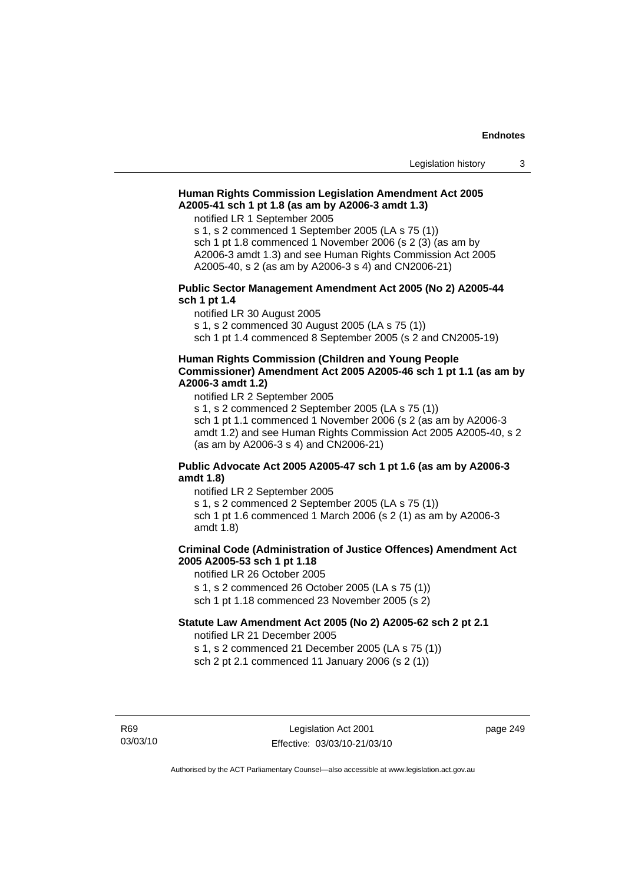## **Human Rights Commission Legislation Amendment Act 2005 A2005-41 sch 1 pt 1.8 (as am by A2006-3 amdt 1.3)**

notified LR 1 September 2005

s 1, s 2 commenced 1 September 2005 (LA s 75 (1)) sch 1 pt 1.8 commenced 1 November 2006 (s 2 (3) (as am by A2006-3 amdt 1.3) and see Human Rights Commission Act 2005 A2005-40, s 2 (as am by A2006-3 s 4) and CN2006-21)

## **Public Sector Management Amendment Act 2005 (No 2) A2005-44 sch 1 pt 1.4**

notified LR 30 August 2005

s 1, s 2 commenced 30 August 2005 (LA s 75 (1))

sch 1 pt 1.4 commenced 8 September 2005 (s 2 and CN2005-19)

## **Human Rights Commission (Children and Young People Commissioner) Amendment Act 2005 A2005-46 sch 1 pt 1.1 (as am by A2006-3 amdt 1.2)**

notified LR 2 September 2005

s 1, s 2 commenced 2 September 2005 (LA s 75 (1)) sch 1 pt 1.1 commenced 1 November 2006 (s 2 (as am by A2006-3 amdt 1.2) and see Human Rights Commission Act 2005 A2005-40, s 2 (as am by A2006-3 s 4) and CN2006-21)

## **Public Advocate Act 2005 A2005-47 sch 1 pt 1.6 (as am by A2006-3 amdt 1.8)**

notified LR 2 September 2005 s 1, s 2 commenced 2 September 2005 (LA s 75 (1)) sch 1 pt 1.6 commenced 1 March 2006 (s 2 (1) as am by A2006-3 amdt 1.8)

# **Criminal Code (Administration of Justice Offences) Amendment Act 2005 A2005-53 sch 1 pt 1.18**

notified LR 26 October 2005 s 1, s 2 commenced 26 October 2005 (LA s 75 (1)) sch 1 pt 1.18 commenced 23 November 2005 (s 2)

## **Statute Law Amendment Act 2005 (No 2) A2005-62 sch 2 pt 2.1**

notified LR 21 December 2005 s 1, s 2 commenced 21 December 2005 (LA s 75 (1))

sch 2 pt 2.1 commenced 11 January 2006 (s 2 (1))

R69 03/03/10 page 249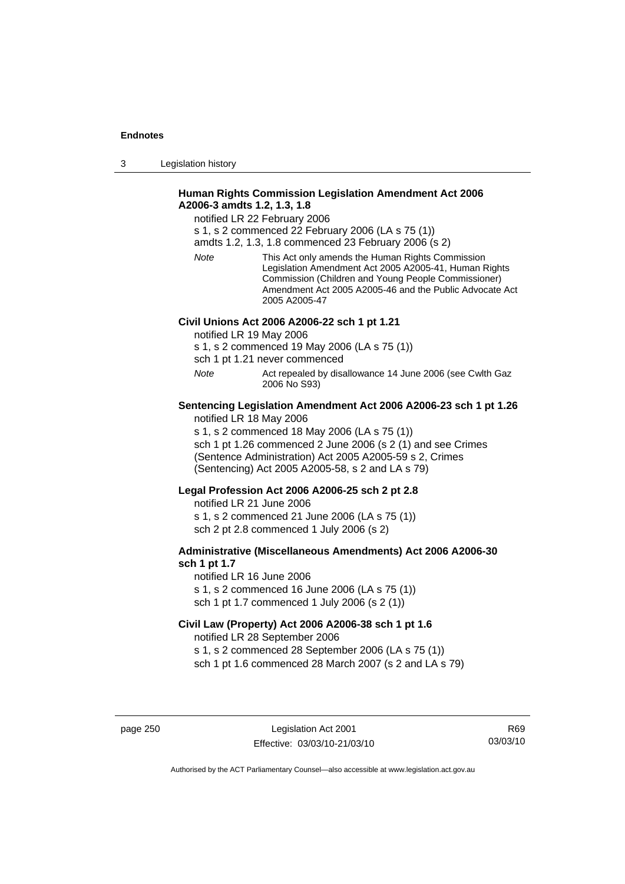3 Legislation history

## **Human Rights Commission Legislation Amendment Act 2006 A2006-3 amdts 1.2, 1.3, 1.8**

notified LR 22 February 2006

s 1, s 2 commenced 22 February 2006 (LA s 75 (1))

amdts 1.2, 1.3, 1.8 commenced 23 February 2006 (s 2)

*Note* This Act only amends the Human Rights Commission Legislation Amendment Act 2005 A2005-41, Human Rights Commission (Children and Young People Commissioner) Amendment Act 2005 A2005-46 and the Public Advocate Act 2005 A2005-47

## **Civil Unions Act 2006 A2006-22 sch 1 pt 1.21**

notified LR 19 May 2006

s 1, s 2 commenced 19 May 2006 (LA s 75 (1))

sch 1 pt 1.21 never commenced

*Note* Act repealed by disallowance 14 June 2006 (see Cwlth Gaz 2006 No S93)

## **Sentencing Legislation Amendment Act 2006 A2006-23 sch 1 pt 1.26**  notified LR 18 May 2006

s 1, s 2 commenced 18 May 2006 (LA s 75 (1))

sch 1 pt 1.26 commenced 2 June 2006 (s 2 (1) and see Crimes (Sentence Administration) Act 2005 A2005-59 s 2, Crimes (Sentencing) Act 2005 A2005-58, s 2 and LA s 79)

## **Legal Profession Act 2006 A2006-25 sch 2 pt 2.8**

notified LR 21 June 2006 s 1, s 2 commenced 21 June 2006 (LA s 75 (1)) sch 2 pt 2.8 commenced 1 July 2006 (s 2)

## **Administrative (Miscellaneous Amendments) Act 2006 A2006-30 sch 1 pt 1.7**

notified LR 16 June 2006 s 1, s 2 commenced 16 June 2006 (LA s 75 (1)) sch 1 pt 1.7 commenced 1 July 2006 (s 2 (1))

# **Civil Law (Property) Act 2006 A2006-38 sch 1 pt 1.6**  notified LR 28 September 2006

s 1, s 2 commenced 28 September 2006 (LA s 75 (1)) sch 1 pt 1.6 commenced 28 March 2007 (s 2 and LA s 79)

page 250 Legislation Act 2001 Effective: 03/03/10-21/03/10

R69 03/03/10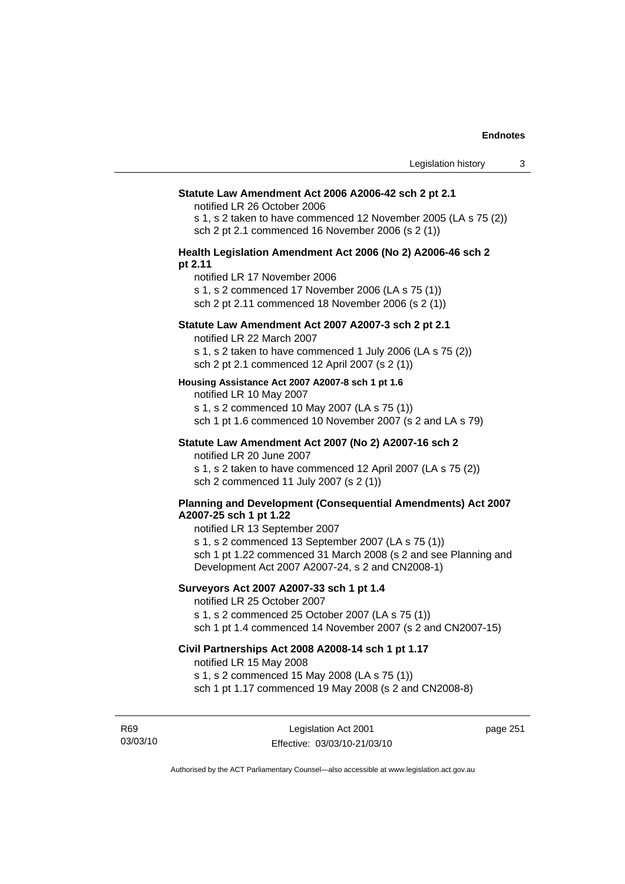#### **Statute Law Amendment Act 2006 A2006-42 sch 2 pt 2.1**

notified LR 26 October 2006

s 1, s 2 taken to have commenced 12 November 2005 (LA s 75 (2)) sch 2 pt 2.1 commenced 16 November 2006 (s 2 (1))

## **Health Legislation Amendment Act 2006 (No 2) A2006-46 sch 2 pt 2.11**

notified LR 17 November 2006

s 1, s 2 commenced 17 November 2006 (LA s 75 (1))

sch 2 pt 2.11 commenced 18 November 2006 (s 2 (1))

## **Statute Law Amendment Act 2007 A2007-3 sch 2 pt 2.1**

notified LR 22 March 2007

s 1, s 2 taken to have commenced 1 July 2006 (LA s 75 (2)) sch 2 pt 2.1 commenced 12 April 2007 (s 2 (1))

#### **Housing Assistance Act 2007 A2007-8 sch 1 pt 1.6**

notified LR 10 May 2007

s 1, s 2 commenced 10 May 2007 (LA s 75 (1)) sch 1 pt 1.6 commenced 10 November 2007 (s 2 and LA s 79)

# **Statute Law Amendment Act 2007 (No 2) A2007-16 sch 2**

notified LR 20 June 2007

s 1, s 2 taken to have commenced 12 April 2007 (LA s 75 (2)) sch 2 commenced 11 July 2007 (s 2 (1))

## **Planning and Development (Consequential Amendments) Act 2007 A2007-25 sch 1 pt 1.22**

notified LR 13 September 2007

s 1, s 2 commenced 13 September 2007 (LA s 75 (1)) sch 1 pt 1.22 commenced 31 March 2008 (s 2 and see Planning and Development Act 2007 A2007-24, s 2 and CN2008-1)

## **Surveyors Act 2007 A2007-33 sch 1 pt 1.4**

notified LR 25 October 2007 s 1, s 2 commenced 25 October 2007 (LA s 75 (1))

sch 1 pt 1.4 commenced 14 November 2007 (s 2 and CN2007-15)

## **Civil Partnerships Act 2008 A2008-14 sch 1 pt 1.17**

notified LR 15 May 2008

s 1, s 2 commenced 15 May 2008 (LA s 75 (1))

sch 1 pt 1.17 commenced 19 May 2008 (s 2 and CN2008-8)

R69 03/03/10 page 251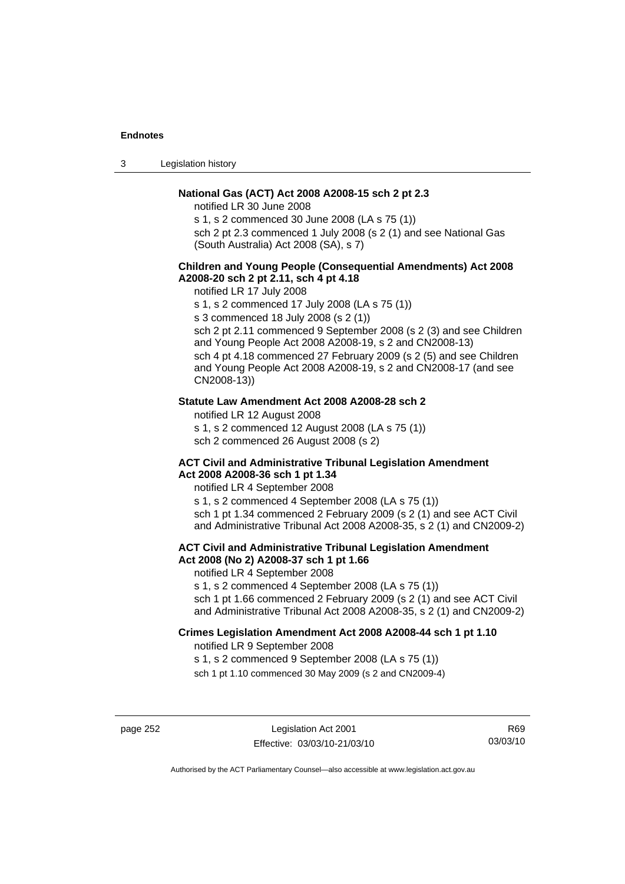3 Legislation history

## **National Gas (ACT) Act 2008 A2008-15 sch 2 pt 2.3**

notified LR 30 June 2008

s 1, s 2 commenced 30 June 2008 (LA s 75 (1))

sch 2 pt 2.3 commenced 1 July 2008 (s 2 (1) and see National Gas (South Australia) Act 2008 (SA), s 7)

## **Children and Young People (Consequential Amendments) Act 2008 A2008-20 sch 2 pt 2.11, sch 4 pt 4.18**

notified LR 17 July 2008

s 1, s 2 commenced 17 July 2008 (LA s 75 (1))

s 3 commenced 18 July 2008 (s 2 (1))

sch 2 pt 2.11 commenced 9 September 2008 (s 2 (3) and see Children and Young People Act 2008 A2008-19, s 2 and CN2008-13) sch 4 pt 4.18 commenced 27 February 2009 (s 2 (5) and see Children and Young People Act 2008 A2008-19, s 2 and CN2008-17 (and see CN2008-13))

## **Statute Law Amendment Act 2008 A2008-28 sch 2**

notified LR 12 August 2008 s 1, s 2 commenced 12 August 2008 (LA s 75 (1)) sch 2 commenced 26 August 2008 (s 2)

### **ACT Civil and Administrative Tribunal Legislation Amendment Act 2008 A2008-36 sch 1 pt 1.34**

notified LR 4 September 2008

s 1, s 2 commenced 4 September 2008 (LA s 75 (1)) sch 1 pt 1.34 commenced 2 February 2009 (s 2 (1) and see ACT Civil and Administrative Tribunal Act 2008 A2008-35, s 2 (1) and CN2009-2)

## **ACT Civil and Administrative Tribunal Legislation Amendment Act 2008 (No 2) A2008-37 sch 1 pt 1.66**

notified LR 4 September 2008

s 1, s 2 commenced 4 September 2008 (LA s 75 (1))

sch 1 pt 1.66 commenced 2 February 2009 (s 2 (1) and see ACT Civil and Administrative Tribunal Act 2008 A2008-35, s 2 (1) and CN2009-2)

# **Crimes Legislation Amendment Act 2008 A2008-44 sch 1 pt 1.10**

notified LR 9 September 2008

s 1, s 2 commenced 9 September 2008 (LA s 75 (1))

sch 1 pt 1.10 commenced 30 May 2009 (s 2 and CN2009-4)

page 252 Legislation Act 2001 Effective: 03/03/10-21/03/10

R69 03/03/10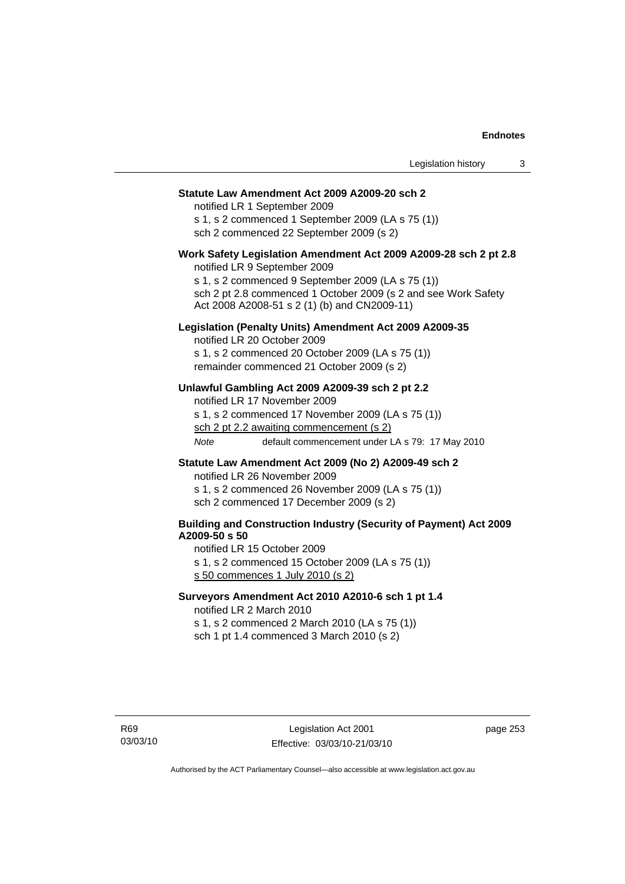#### **Statute Law Amendment Act 2009 A2009-20 sch 2**

notified LR 1 September 2009 s 1, s 2 commenced 1 September 2009 (LA s 75 (1)) sch 2 commenced 22 September 2009 (s 2)

# **Work Safety Legislation Amendment Act 2009 A2009-28 sch 2 pt 2.8**

notified LR 9 September 2009

s 1, s 2 commenced 9 September 2009 (LA s 75 (1)) sch 2 pt 2.8 commenced 1 October 2009 (s 2 and see Work Safety Act 2008 A2008-51 s 2 (1) (b) and CN2009-11)

## **Legislation (Penalty Units) Amendment Act 2009 A2009-35**

notified LR 20 October 2009 s 1, s 2 commenced 20 October 2009 (LA s 75 (1)) remainder commenced 21 October 2009 (s 2)

## **Unlawful Gambling Act 2009 A2009-39 sch 2 pt 2.2**

notified LR 17 November 2009 s 1, s 2 commenced 17 November 2009 (LA s 75 (1)) sch 2 pt 2.2 awaiting commencement (s 2) *Note* default commencement under LA s 79: 17 May 2010

## **Statute Law Amendment Act 2009 (No 2) A2009-49 sch 2**

notified LR 26 November 2009 s 1, s 2 commenced 26 November 2009 (LA s 75 (1)) sch 2 commenced 17 December 2009 (s 2)

## **Building and Construction Industry (Security of Payment) Act 2009 A2009-50 s 50**

notified LR 15 October 2009

s 1, s 2 commenced 15 October 2009 (LA s 75 (1)) s 50 commences 1 July 2010 (s 2)

## **Surveyors Amendment Act 2010 A2010-6 sch 1 pt 1.4**

notified LR 2 March 2010

s 1, s 2 commenced 2 March 2010 (LA s 75 (1)) sch 1 pt 1.4 commenced 3 March 2010 (s 2)

page 253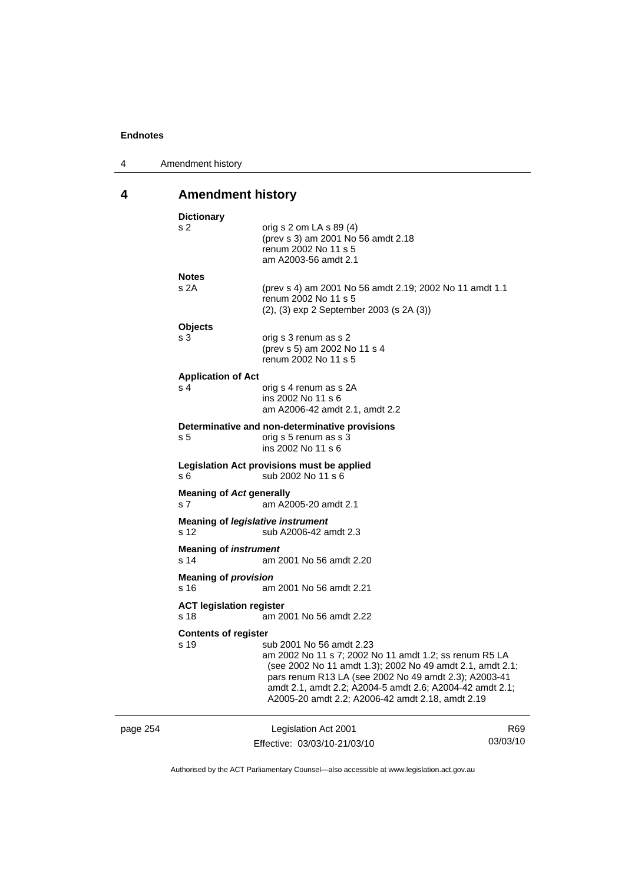| 4 | Amendment history |
|---|-------------------|
|---|-------------------|

# **4 Amendment history**

|          | <b>Dictionary</b>                       |                                                                                                                                                                                                                                                                                                                          |                 |
|----------|-----------------------------------------|--------------------------------------------------------------------------------------------------------------------------------------------------------------------------------------------------------------------------------------------------------------------------------------------------------------------------|-----------------|
|          | s 2                                     | orig s 2 om LA s $89(4)$<br>(prev s 3) am 2001 No 56 amdt 2.18<br>renum 2002 No 11 s 5<br>am A2003-56 amdt 2.1                                                                                                                                                                                                           |                 |
|          | <b>Notes</b>                            |                                                                                                                                                                                                                                                                                                                          |                 |
|          | s 2A                                    | (prev s 4) am 2001 No 56 amdt 2.19; 2002 No 11 amdt 1.1<br>renum 2002 No 11 s 5<br>$(2)$ , $(3)$ exp 2 September 2003 (s 2A $(3)$ )                                                                                                                                                                                      |                 |
|          | <b>Objects</b>                          |                                                                                                                                                                                                                                                                                                                          |                 |
|          | s <sub>3</sub>                          | orig s 3 renum as s 2<br>(prev s 5) am 2002 No 11 s 4<br>renum 2002 No 11 s 5                                                                                                                                                                                                                                            |                 |
|          | <b>Application of Act</b>               |                                                                                                                                                                                                                                                                                                                          |                 |
|          | s 4                                     | orig s 4 renum as s 2A<br>ins 2002 No 11 s 6<br>am A2006-42 amdt 2.1, amdt 2.2                                                                                                                                                                                                                                           |                 |
|          |                                         | Determinative and non-determinative provisions                                                                                                                                                                                                                                                                           |                 |
|          | s 5                                     | orig s 5 renum as s 3<br>ins 2002 No 11 s 6                                                                                                                                                                                                                                                                              |                 |
|          | s 6                                     | Legislation Act provisions must be applied<br>sub 2002 No 11 s 6                                                                                                                                                                                                                                                         |                 |
|          | <b>Meaning of Act generally</b><br>s 7  | am A2005-20 amdt 2.1                                                                                                                                                                                                                                                                                                     |                 |
|          | s 12                                    | <b>Meaning of legislative instrument</b><br>sub A2006-42 amdt 2.3                                                                                                                                                                                                                                                        |                 |
|          | <b>Meaning of instrument</b><br>s 14    | am 2001 No 56 amdt 2.20                                                                                                                                                                                                                                                                                                  |                 |
|          | <b>Meaning of provision</b>             |                                                                                                                                                                                                                                                                                                                          |                 |
|          | s 16                                    | am 2001 No 56 amdt 2.21                                                                                                                                                                                                                                                                                                  |                 |
|          | <b>ACT legislation register</b><br>s 18 | am 2001 No 56 amdt 2.22                                                                                                                                                                                                                                                                                                  |                 |
|          | <b>Contents of register</b>             |                                                                                                                                                                                                                                                                                                                          |                 |
|          | s 19                                    | sub 2001 No 56 amdt 2.23<br>am 2002 No 11 s 7; 2002 No 11 amdt 1.2; ss renum R5 LA<br>(see 2002 No 11 amdt 1.3); 2002 No 49 amdt 2.1, amdt 2.1;<br>pars renum R13 LA (see 2002 No 49 amdt 2.3); A2003-41<br>amdt 2.1, amdt 2.2; A2004-5 amdt 2.6; A2004-42 amdt 2.1;<br>A2005-20 amdt 2.2; A2006-42 amdt 2.18, amdt 2.19 |                 |
| page 254 |                                         | Legislation Act 2001                                                                                                                                                                                                                                                                                                     | R <sub>69</sub> |
|          |                                         | Effective: 03/03/10-21/03/10                                                                                                                                                                                                                                                                                             | 03/03/10        |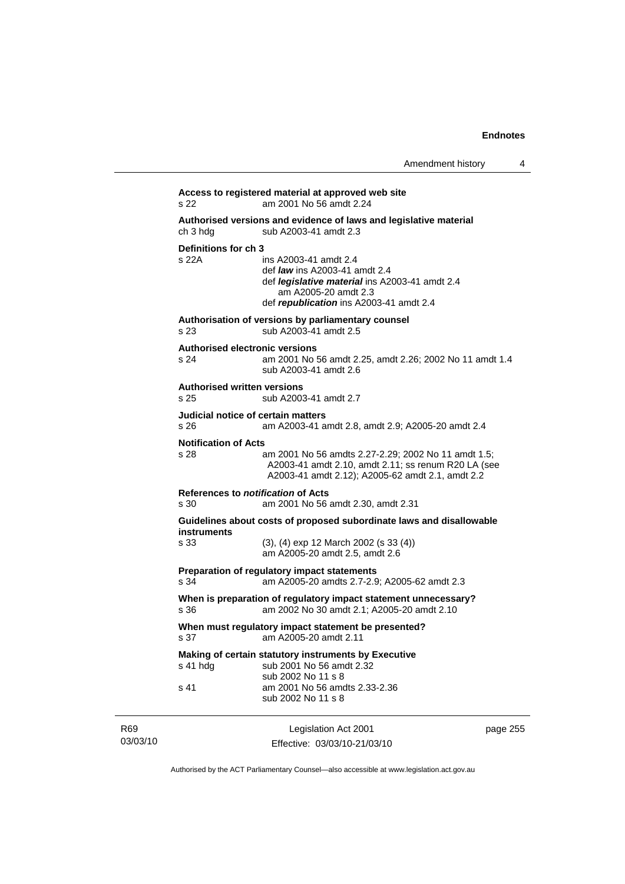| Amendment history |  |
|-------------------|--|
|-------------------|--|

|                 |                                               | Access to registered material at approved web site                                                                                                                                        |          |
|-----------------|-----------------------------------------------|-------------------------------------------------------------------------------------------------------------------------------------------------------------------------------------------|----------|
|                 | s 22                                          | am 2001 No 56 amdt 2.24                                                                                                                                                                   |          |
|                 | ch 3 hdg                                      | Authorised versions and evidence of laws and legislative material<br>sub A2003-41 amdt 2.3                                                                                                |          |
|                 | Definitions for ch 3<br>s 22A                 | ins A2003-41 amdt 2.4<br>def <i>law</i> ins A2003-41 amdt 2.4<br>def <i>legislative material</i> ins A2003-41 amdt 2.4<br>am A2005-20 amdt 2.3<br>def republication ins A2003-41 amdt 2.4 |          |
|                 | s 23                                          | Authorisation of versions by parliamentary counsel<br>sub A2003-41 amdt 2.5                                                                                                               |          |
|                 | <b>Authorised electronic versions</b><br>s 24 | am 2001 No 56 amdt 2.25, amdt 2.26; 2002 No 11 amdt 1.4<br>sub A2003-41 amdt 2.6                                                                                                          |          |
|                 | <b>Authorised written versions</b><br>s 25    | sub A2003-41 amdt 2.7                                                                                                                                                                     |          |
|                 | Judicial notice of certain matters<br>s 26    | am A2003-41 amdt 2.8, amdt 2.9; A2005-20 amdt 2.4                                                                                                                                         |          |
|                 | <b>Notification of Acts</b><br>s 28           | am 2001 No 56 amdts 2.27-2.29; 2002 No 11 amdt 1.5;<br>A2003-41 amdt 2.10, amdt 2.11; ss renum R20 LA (see<br>A2003-41 amdt 2.12); A2005-62 amdt 2.1, amdt 2.2                            |          |
|                 | References to notification of Acts<br>s 30    | am 2001 No 56 amdt 2.30, amdt 2.31                                                                                                                                                        |          |
|                 | instruments<br>s 33                           | Guidelines about costs of proposed subordinate laws and disallowable<br>$(3)$ , $(4)$ exp 12 March 2002 (s 33 $(4)$ )<br>am A2005-20 amdt 2.5, amdt 2.6                                   |          |
|                 | s 34                                          | Preparation of regulatory impact statements<br>am A2005-20 amdts 2.7-2.9; A2005-62 amdt 2.3                                                                                               |          |
|                 | s 36                                          | When is preparation of regulatory impact statement unnecessary?<br>am 2002 No 30 amdt 2.1; A2005-20 amdt 2.10                                                                             |          |
|                 | s 37                                          | When must regulatory impact statement be presented?<br>am A2005-20 amdt 2.11                                                                                                              |          |
|                 | s 41 hdg                                      | Making of certain statutory instruments by Executive<br>sub 2001 No 56 amdt 2.32                                                                                                          |          |
|                 | s 41                                          | sub 2002 No 11 s 8<br>am 2001 No 56 amdts 2.33-2.36<br>sub 2002 No 11 s 8                                                                                                                 |          |
| R69<br>03/03/10 |                                               | Legislation Act 2001<br>Effective: 03/03/10-21/03/10                                                                                                                                      | page 255 |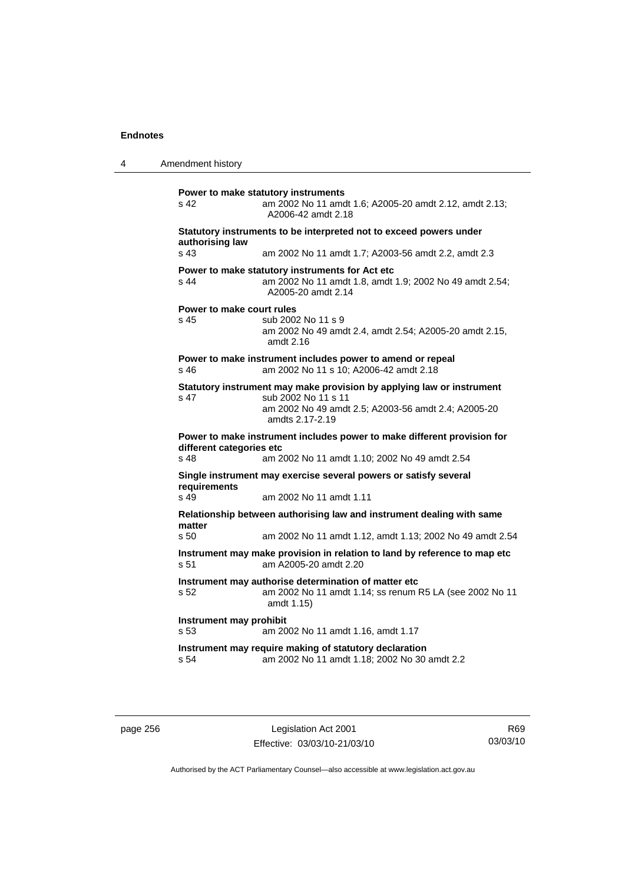4 Amendment history **Power to make statutory instruments**  s 42 am 2002 No 11 amdt 1.6; A2005-20 amdt 2.12, amdt 2.13; A2006-42 amdt 2.18 **Statutory instruments to be interpreted not to exceed powers under authorising law**  s 43 am 2002 No 11 amdt 1.7; A2003-56 amdt 2.2, amdt 2.3 **Power to make statutory instruments for Act etc**  s 44 am 2002 No 11 amdt 1.8, amdt 1.9; 2002 No 49 amdt 2.54; A2005-20 amdt 2.14 **Power to make court rules**  s 45 sub 2002 No 11 s 9 am 2002 No 49 amdt 2.4, amdt 2.54; A2005-20 amdt 2.15, amdt 2.16 **Power to make instrument includes power to amend or repeal**  s 46 am 2002 No 11 s 10; A2006-42 amdt 2.18 **Statutory instrument may make provision by applying law or instrument**  s 47 sub 2002 No 11 s 11 am 2002 No 49 amdt 2.5; A2003-56 amdt 2.4; A2005-20 amdts 2.17-2.19 **Power to make instrument includes power to make different provision for different categories etc**  s 48 am 2002 No 11 amdt 1.10; 2002 No 49 amdt 2.54 **Single instrument may exercise several powers or satisfy several requirements**  s 49 am 2002 No 11 amdt 1.11 **Relationship between authorising law and instrument dealing with same matter**  s 50 am 2002 No 11 amdt 1.12, amdt 1.13; 2002 No 49 amdt 2.54 **Instrument may make provision in relation to land by reference to map etc**  s 51 am A2005-20 amdt 2.20 **Instrument may authorise determination of matter etc**  s 52 am 2002 No 11 amdt 1.14; ss renum R5 LA (see 2002 No 11 amdt 1.15) **Instrument may prohibit**  s 53 am 2002 No 11 amdt 1.16, amdt 1.17 **Instrument may require making of statutory declaration**  s 54 am 2002 No 11 amdt 1.18; 2002 No 30 amdt 2.2

page 256 Legislation Act 2001 Effective: 03/03/10-21/03/10

R69 03/03/10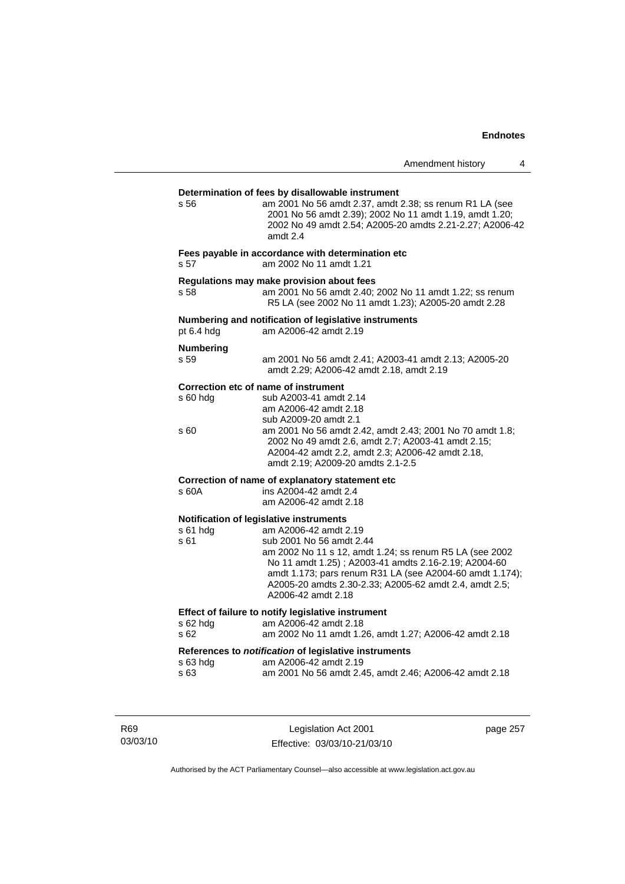## **Determination of fees by disallowable instrument**  s 56 am 2001 No 56 amdt 2.37, amdt 2.38; ss renum R1 LA (see 2001 No 56 amdt 2.39); 2002 No 11 amdt 1.19, amdt 1.20; 2002 No 49 amdt 2.54; A2005-20 amdts 2.21-2.27; A2006-42 amdt 2.4 **Fees payable in accordance with determination etc**  s 57 am 2002 No 11 amdt 1.21 **Regulations may make provision about fees**  s 58 am 2001 No 56 amdt 2.40; 2002 No 11 amdt 1.22; ss renum R5 LA (see 2002 No 11 amdt 1.23); A2005-20 amdt 2.28 **Numbering and notification of legislative instruments**  am A2006-42 amdt 2.19 **Numbering**  s 59 am 2001 No 56 amdt 2.41; A2003-41 amdt 2.13; A2005-20 amdt 2.29; A2006-42 amdt 2.18, amdt 2.19 **Correction etc of name of instrument**  s 60 hdg sub A2003-41 amdt 2.14 am A2006-42 amdt 2.18 sub A2009-20 amdt 2.1<br>S 60 am 2001 No 56 amdt 2. am 2001 No 56 amdt 2.42, amdt 2.43; 2001 No 70 amdt 1.8; 2002 No 49 amdt 2.6, amdt 2.7; A2003-41 amdt 2.15; A2004-42 amdt 2.2, amdt 2.3; A2006-42 amdt 2.18, amdt 2.19; A2009-20 amdts 2.1-2.5 **Correction of name of explanatory statement etc**  s 60A ins A2004-42 amdt 2.4 am A2006-42 amdt 2.18 **Notification of legislative instruments**  s 61 hdg am A2006-42 amdt 2.19 s 61 sub 2001 No 56 amdt 2.44 am 2002 No 11 s 12, amdt 1.24; ss renum R5 LA (see 2002 No 11 amdt 1.25) ; A2003-41 amdts 2.16-2.19; A2004-60 amdt 1.173; pars renum R31 LA (see A2004-60 amdt 1.174); A2005-20 amdts 2.30-2.33; A2005-62 amdt 2.4, amdt 2.5; A2006-42 amdt 2.18 **Effect of failure to notify legislative instrument**  s 62 hdg am A2006-42 amdt 2.18 s 62 am 2002 No 11 amdt 1.26, amdt 1.27; A2006-42 amdt 2.18 **References to** *notification* **of legislative instruments**  s 63 hdg am A2006-42 amdt 2.19 s 63 am 2001 No 56 amdt 2.45, amdt 2.46; A2006-42 amdt 2.18

R69 03/03/10

Legislation Act 2001 Effective: 03/03/10-21/03/10 page 257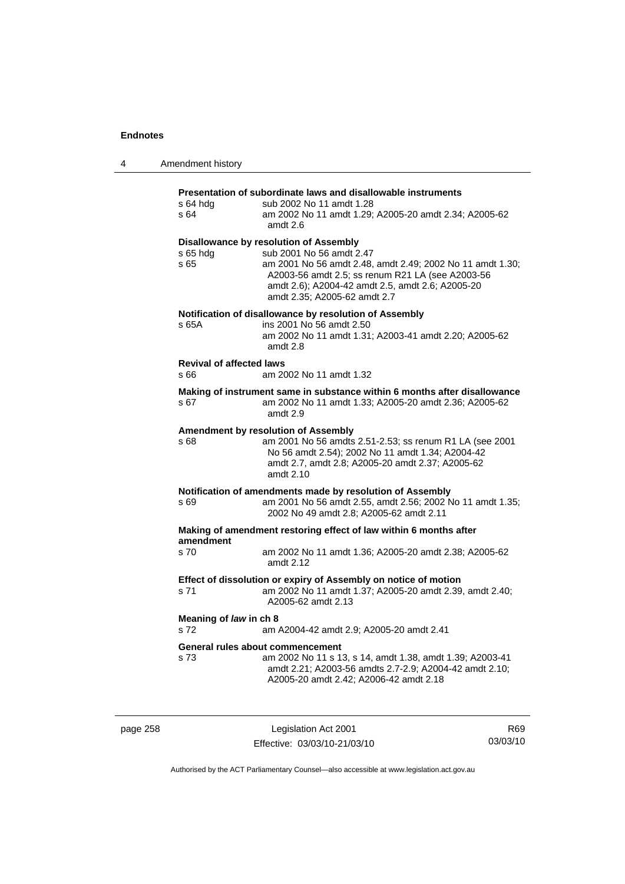| 4 | Amendment history                       |                                                                                                                                                                                                                                                                         |
|---|-----------------------------------------|-------------------------------------------------------------------------------------------------------------------------------------------------------------------------------------------------------------------------------------------------------------------------|
|   | s 64 hdg<br>s 64                        | Presentation of subordinate laws and disallowable instruments<br>sub 2002 No 11 amdt 1.28<br>am 2002 No 11 amdt 1.29; A2005-20 amdt 2.34; A2005-62<br>amdt $2.6$                                                                                                        |
|   | $s$ 65 hdg<br>s 65                      | Disallowance by resolution of Assembly<br>sub 2001 No 56 amdt 2.47<br>am 2001 No 56 amdt 2.48, amdt 2.49; 2002 No 11 amdt 1.30;<br>A2003-56 amdt 2.5; ss renum R21 LA (see A2003-56<br>amdt 2.6); A2004-42 amdt 2.5, amdt 2.6; A2005-20<br>amdt 2.35; A2005-62 amdt 2.7 |
|   | s 65A                                   | Notification of disallowance by resolution of Assembly<br>ins 2001 No 56 amdt 2.50<br>am 2002 No 11 amdt 1.31; A2003-41 amdt 2.20; A2005-62<br>amdt 2.8                                                                                                                 |
|   | <b>Revival of affected laws</b><br>s 66 | am 2002 No 11 amdt 1.32                                                                                                                                                                                                                                                 |
|   | s 67                                    | Making of instrument same in substance within 6 months after disallowance<br>am 2002 No 11 amdt 1.33; A2005-20 amdt 2.36; A2005-62<br>amdt 2.9                                                                                                                          |
|   | s 68                                    | Amendment by resolution of Assembly<br>am 2001 No 56 amdts 2.51-2.53; ss renum R1 LA (see 2001<br>No 56 amdt 2.54); 2002 No 11 amdt 1.34; A2004-42<br>amdt 2.7, amdt 2.8; A2005-20 amdt 2.37; A2005-62<br>amdt 2.10                                                     |
|   | s 69                                    | Notification of amendments made by resolution of Assembly<br>am 2001 No 56 amdt 2.55, amdt 2.56; 2002 No 11 amdt 1.35;<br>2002 No 49 amdt 2.8; A2005-62 amdt 2.11                                                                                                       |
|   | amendment                               | Making of amendment restoring effect of law within 6 months after                                                                                                                                                                                                       |
|   | s 70                                    | am 2002 No 11 amdt 1.36; A2005-20 amdt 2.38; A2005-62<br>amdt 2.12                                                                                                                                                                                                      |
|   | s 71                                    | Effect of dissolution or expiry of Assembly on notice of motion<br>am 2002 No 11 amdt 1.37; A2005-20 amdt 2.39, amdt 2.40;<br>A2005-62 amdt 2.13                                                                                                                        |
|   | Meaning of law in ch 8<br>s 72          | am A2004-42 amdt 2.9; A2005-20 amdt 2.41                                                                                                                                                                                                                                |
|   | s 73                                    | General rules about commencement<br>am 2002 No 11 s 13, s 14, amdt 1.38, amdt 1.39; A2003-41<br>amdt 2.21; A2003-56 amdts 2.7-2.9; A2004-42 amdt 2.10;<br>A2005-20 amdt 2.42; A2006-42 amdt 2.18                                                                        |

page 258 Legislation Act 2001 Effective: 03/03/10-21/03/10

R69 03/03/10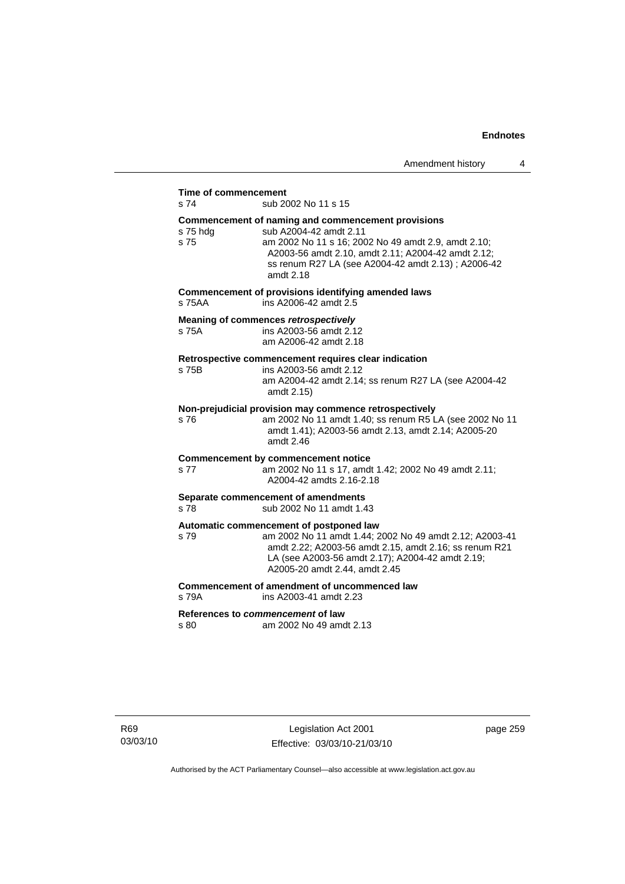## **Time of commencement**

s 74 sub 2002 No 11 s 15

#### **Commencement of naming and commencement provisions**

s 75 hdg sub A2004-42 amdt 2.11 s 75 am 2002 No 11 s 16; 2002 No 49 amdt 2.9, amdt 2.10; A2003-56 amdt 2.10, amdt 2.11; A2004-42 amdt 2.12; ss renum R27 LA (see A2004-42 amdt 2.13) ; A2006-42 amdt 2.18 **Commencement of provisions identifying amended laws**  s 75AA ins A2006-42 amdt 2.5 **Meaning of commences** *retrospectively*  s 75A ins A2003-56 amdt 2.12 am A2006-42 amdt 2.18 **Retrospective commencement requires clear indication**  s 75B ins A2003-56 amdt 2.12 am A2004-42 amdt 2.14; ss renum R27 LA (see A2004-42 amdt 2.15) **Non-prejudicial provision may commence retrospectively**  s 76 am 2002 No 11 amdt 1.40; ss renum R5 LA (see 2002 No 11 amdt 1.41); A2003-56 amdt 2.13, amdt 2.14; A2005-20 amdt 2.46 **Commencement by commencement notice**  s 77 am 2002 No 11 s 17, amdt 1.42; 2002 No 49 amdt 2.11; A2004-42 amdts 2.16-2.18 **Separate commencement of amendments**  s 78 sub 2002 No 11 amdt 1.43 **Automatic commencement of postponed law**  s 79 am 2002 No 11 amdt 1.44; 2002 No 49 amdt 2.12; A2003-41 amdt 2.22; A2003-56 amdt 2.15, amdt 2.16; ss renum R21 LA (see A2003-56 amdt 2.17); A2004-42 amdt 2.19; A2005-20 amdt 2.44, amdt 2.45 **Commencement of amendment of uncommenced law**  s 79A ins A2003-41 amdt 2.23 **References to** *commencement* **of law** 

s 80 am 2002 No 49 amdt 2.13

R69 03/03/10 page 259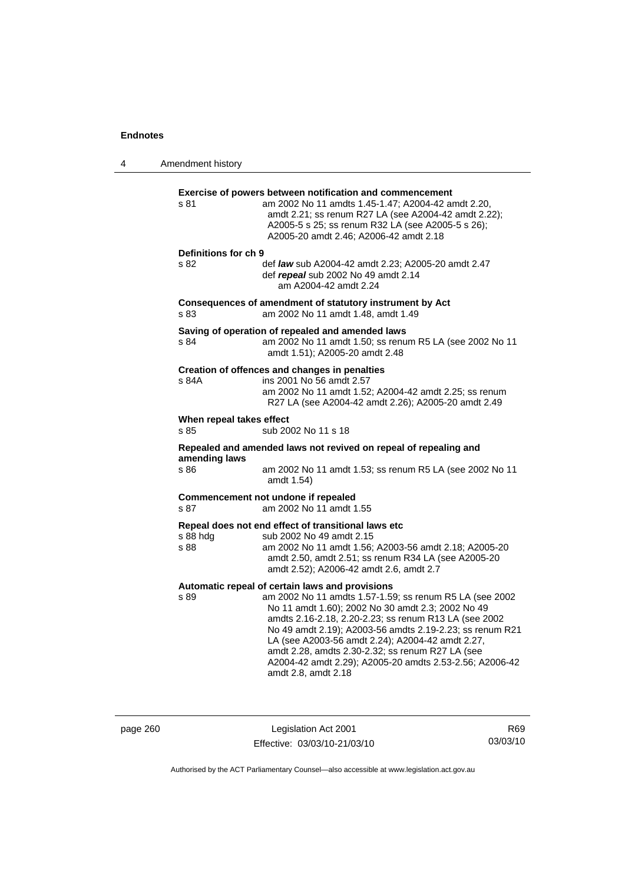4 Amendment history **Exercise of powers between notification and commencement**  s 81 am 2002 No 11 amdts 1.45-1.47; A2004-42 amdt 2.20, amdt 2.21; ss renum R27 LA (see A2004-42 amdt 2.22); A2005-5 s 25; ss renum R32 LA (see A2005-5 s 26); A2005-20 amdt 2.46; A2006-42 amdt 2.18 **Definitions for ch 9**  s 82 def *law* sub A2004-42 amdt 2.23; A2005-20 amdt 2.47 def *repeal* sub 2002 No 49 amdt 2.14 am A2004-42 amdt 2.24 **Consequences of amendment of statutory instrument by Act**  s 83 am 2002 No 11 amdt 1.48, amdt 1.49 **Saving of operation of repealed and amended laws**  s 84 am 2002 No 11 amdt 1.50; ss renum R5 LA (see 2002 No 11 amdt 1.51); A2005-20 amdt 2.48 **Creation of offences and changes in penalties**  s 84A ins 2001 No 56 amdt 2.57 am 2002 No 11 amdt 1.52; A2004-42 amdt 2.25; ss renum R27 LA (see A2004-42 amdt 2.26); A2005-20 amdt 2.49 **When repeal takes effect**  s 85 sub 2002 No 11 s 18 **Repealed and amended laws not revived on repeal of repealing and amending laws**  s 86 am 2002 No 11 amdt 1.53; ss renum R5 LA (see 2002 No 11 amdt 1.54) **Commencement not undone if repealed**  s 87 am 2002 No 11 amdt 1.55 **Repeal does not end effect of transitional laws etc**  s 88 hdg sub 2002 No 49 amdt 2.15 s 88 am 2002 No 11 amdt 1.56; A2003-56 amdt 2.18; A2005-20 amdt 2.50, amdt 2.51; ss renum R34 LA (see A2005-20 amdt 2.52); A2006-42 amdt 2.6, amdt 2.7 **Automatic repeal of certain laws and provisions**  s 89 am 2002 No 11 amdts 1.57-1.59; ss renum R5 LA (see 2002 No 11 amdt 1.60); 2002 No 30 amdt 2.3; 2002 No 49 amdts 2.16-2.18, 2.20-2.23; ss renum R13 LA (see 2002 No 49 amdt 2.19); A2003-56 amdts 2.19-2.23; ss renum R21 LA (see A2003-56 amdt 2.24); A2004-42 amdt 2.27, amdt 2.28, amdts 2.30-2.32; ss renum R27 LA (see A2004-42 amdt 2.29); A2005-20 amdts 2.53-2.56; A2006-42 amdt 2.8, amdt 2.18

page 260 Legislation Act 2001 Effective: 03/03/10-21/03/10

R69 03/03/10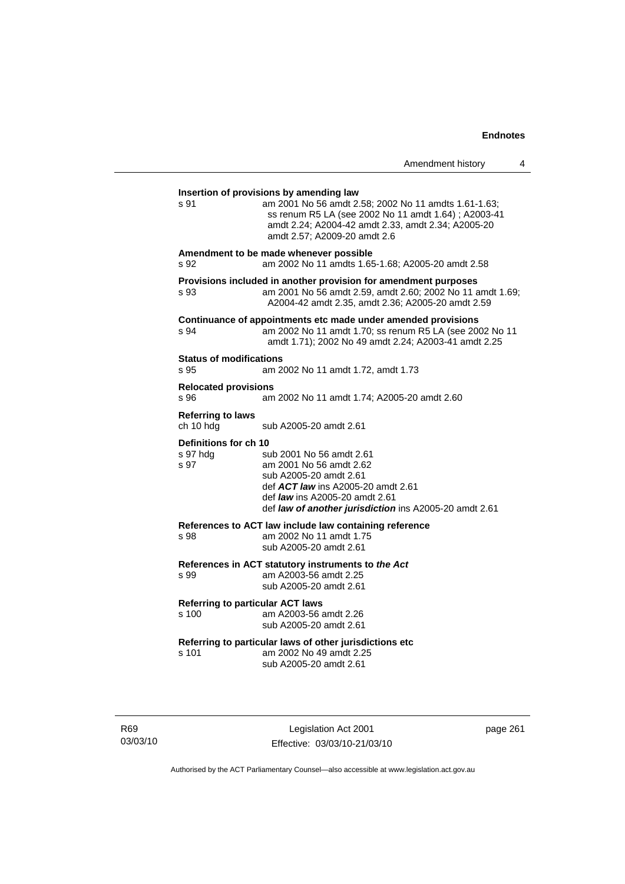| Amendment history |  |  |
|-------------------|--|--|
|-------------------|--|--|

# **Insertion of provisions by amending law**  s 91 am 2001 No 56 amdt 2.58; 2002 No 11 amdts 1.61-1.63; ss renum R5 LA (see 2002 No 11 amdt 1.64) ; A2003-41 amdt 2.24; A2004-42 amdt 2.33, amdt 2.34; A2005-20 amdt 2.57; A2009-20 amdt 2.6 **Amendment to be made whenever possible**  s 92 am 2002 No 11 amdts 1.65-1.68; A2005-20 amdt 2.58 **Provisions included in another provision for amendment purposes**  s 93 am 2001 No 56 amdt 2.59, amdt 2.60; 2002 No 11 amdt 1.69; A2004-42 amdt 2.35, amdt 2.36; A2005-20 amdt 2.59 **Continuance of appointments etc made under amended provisions**  s 94 am 2002 No 11 amdt 1.70; ss renum R5 LA (see 2002 No 11 amdt 1.71); 2002 No 49 amdt 2.24; A2003-41 amdt 2.25 **Status of modifications**  s 95 am 2002 No 11 amdt 1.72, amdt 1.73 **Relocated provisions**  s 96 am 2002 No 11 amdt 1.74; A2005-20 amdt 2.60 **Referring to laws**  ch 10 hdg sub A2005-20 amdt 2.61 **Definitions for ch 10**  sub 2001 No 56 amdt 2.61 s 97 am 2001 No 56 amdt 2.62 sub A2005-20 amdt 2.61 def *ACT law* ins A2005-20 amdt 2.61 def *law* ins A2005-20 amdt 2.61 def *law of another jurisdiction* ins A2005-20 amdt 2.61 **References to ACT law include law containing reference**  s 98 am 2002 No 11 amdt 1.75 sub A2005-20 amdt 2.61 **References in ACT statutory instruments to** *the Act* s 99 am A2003-56 amdt 2.25 sub A2005-20 amdt 2.61 **Referring to particular ACT laws** am A2003-56 amdt 2.26 sub A2005-20 amdt 2.61 **Referring to particular laws of other jurisdictions etc**  s 101 am 2002 No 49 amdt 2.25 sub A2005-20 amdt 2.61

R69 03/03/10

Legislation Act 2001 Effective: 03/03/10-21/03/10 page 261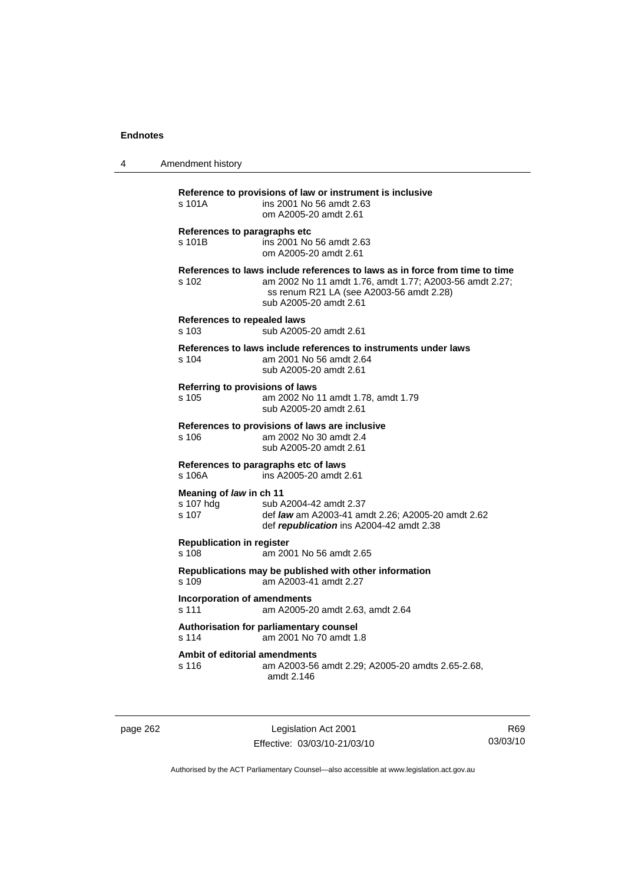| 4 | Amendment history                             |                                                                                                                                                                                                              |
|---|-----------------------------------------------|--------------------------------------------------------------------------------------------------------------------------------------------------------------------------------------------------------------|
|   | s 101A                                        | Reference to provisions of law or instrument is inclusive<br>ins 2001 No 56 amdt 2.63<br>om A2005-20 amdt 2.61                                                                                               |
|   | References to paragraphs etc<br>s 101B        | ins 2001 No 56 amdt 2.63<br>om A2005-20 amdt 2.61                                                                                                                                                            |
|   | s 102                                         | References to laws include references to laws as in force from time to time<br>am 2002 No 11 amdt 1.76, amdt 1.77; A2003-56 amdt 2.27;<br>ss renum R21 LA (see A2003-56 amdt 2.28)<br>sub A2005-20 amdt 2.61 |
|   | References to repealed laws<br>s 103          | sub A2005-20 amdt 2.61                                                                                                                                                                                       |
|   | s 104                                         | References to laws include references to instruments under laws<br>am 2001 No 56 amdt 2.64<br>sub A2005-20 amdt 2.61                                                                                         |
|   | Referring to provisions of laws<br>s 105      | am 2002 No 11 amdt 1.78, amdt 1.79<br>sub A2005-20 amdt 2.61                                                                                                                                                 |
|   | s 106                                         | References to provisions of laws are inclusive<br>am 2002 No 30 amdt 2.4<br>sub A2005-20 amdt 2.61                                                                                                           |
|   | s 106A                                        | References to paragraphs etc of laws<br>ins A2005-20 amdt 2.61                                                                                                                                               |
|   | Meaning of law in ch 11<br>s 107 hdg<br>s 107 | sub A2004-42 amdt 2.37<br>def <i>law</i> am A2003-41 amdt 2.26; A2005-20 amdt 2.62<br>def republication ins A2004-42 amdt 2.38                                                                               |
|   | <b>Republication in register</b><br>$s$ 108   | am 2001 No 56 amdt 2.65                                                                                                                                                                                      |
|   | s 109                                         | Republications may be published with other information<br>am A2003-41 amdt 2.27                                                                                                                              |
|   | <b>Incorporation of amendments</b><br>s 111   | am A2005-20 amdt 2.63, amdt 2.64                                                                                                                                                                             |
|   | s 114                                         | Authorisation for parliamentary counsel<br>am 2001 No 70 amdt 1.8                                                                                                                                            |
|   | Ambit of editorial amendments<br>s 116        | am A2003-56 amdt 2.29; A2005-20 amdts 2.65-2.68,<br>amdt 2.146                                                                                                                                               |

page 262 Legislation Act 2001 Effective: 03/03/10-21/03/10

R69 03/03/10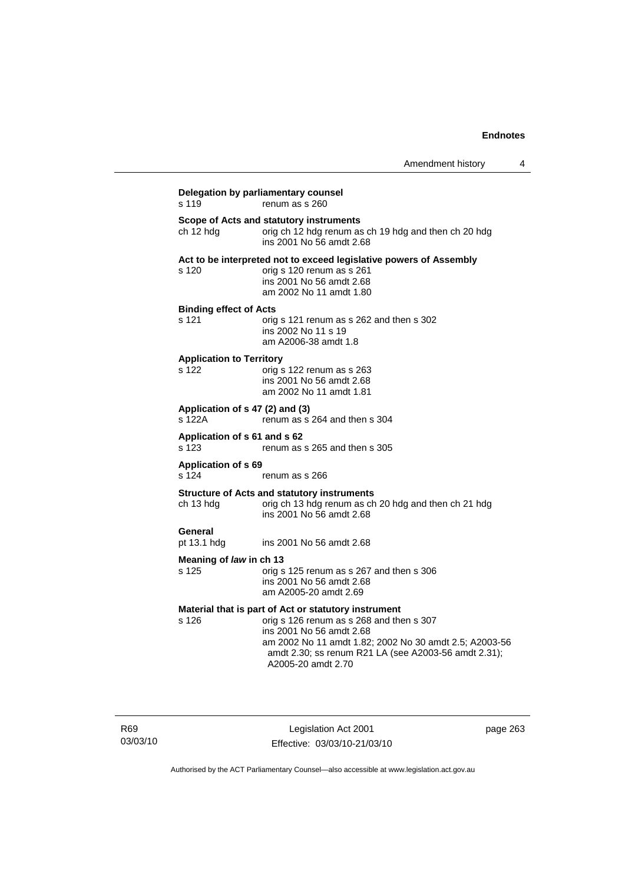| s 119                                     | renum as s 260                                                                                                                                                                                                                                                       |
|-------------------------------------------|----------------------------------------------------------------------------------------------------------------------------------------------------------------------------------------------------------------------------------------------------------------------|
| ch 12 hdg                                 | Scope of Acts and statutory instruments<br>orig ch 12 hdg renum as ch 19 hdg and then ch 20 hdg<br>ins 2001 No 56 amdt 2.68                                                                                                                                          |
| s 120                                     | Act to be interpreted not to exceed legislative powers of Assembly<br>orig s 120 renum as s 261<br>ins 2001 No 56 amdt 2.68<br>am 2002 No 11 amdt 1.80                                                                                                               |
| <b>Binding effect of Acts</b><br>s 121    | orig s 121 renum as s 262 and then s 302<br>ins 2002 No 11 s 19<br>am A2006-38 amdt 1.8                                                                                                                                                                              |
| <b>Application to Territory</b><br>s 122  | orig s 122 renum as s 263<br>ins 2001 No 56 amdt 2.68<br>am 2002 No 11 amdt 1.81                                                                                                                                                                                     |
| Application of s 47 (2) and (3)<br>s 122A | renum as s 264 and then s 304                                                                                                                                                                                                                                        |
| Application of s 61 and s 62<br>s 123     | renum as s 265 and then s 305                                                                                                                                                                                                                                        |
| <b>Application of s 69</b><br>s 124       | renum as s 266                                                                                                                                                                                                                                                       |
| ch 13 hdg                                 | <b>Structure of Acts and statutory instruments</b><br>orig ch 13 hdg renum as ch 20 hdg and then ch 21 hdg<br>ins 2001 No 56 amdt 2.68                                                                                                                               |
| General<br>pt 13.1 hdg                    | ins 2001 No 56 amdt 2.68                                                                                                                                                                                                                                             |
| Meaning of law in ch 13<br>s 125          | orig s 125 renum as s 267 and then s 306<br>ins 2001 No 56 amdt 2.68<br>am A2005-20 amdt 2.69                                                                                                                                                                        |
| s 126                                     | Material that is part of Act or statutory instrument<br>orig s 126 renum as s 268 and then s 307<br>ins 2001 No 56 amdt 2.68<br>am 2002 No 11 amdt 1.82; 2002 No 30 amdt 2.5; A2003-56<br>amdt 2.30; ss renum R21 LA (see A2003-56 amdt 2.31);<br>A2005-20 amdt 2.70 |

R69 03/03/10

Legislation Act 2001 Effective: 03/03/10-21/03/10 page 263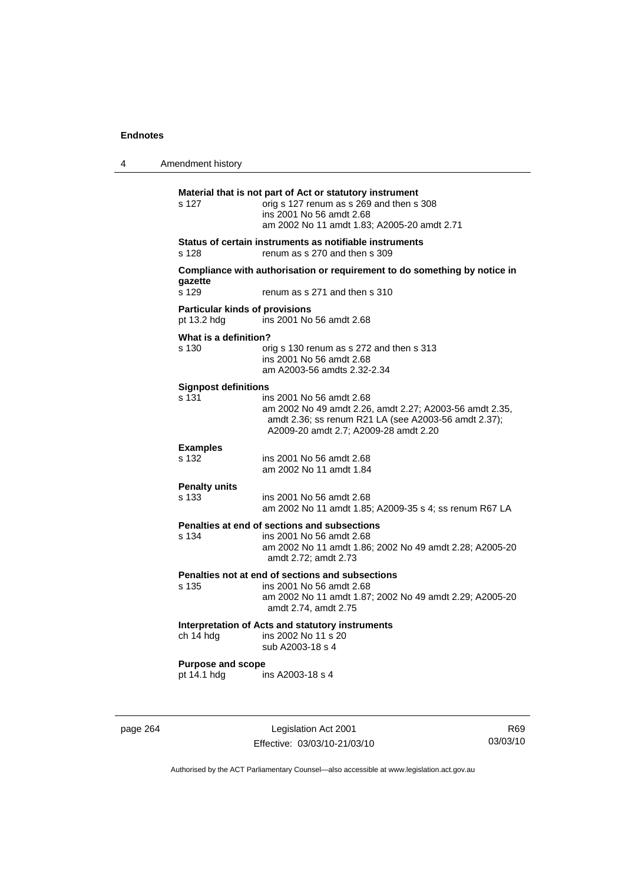| 4 | Amendment history                                    |                                                                                                                                                                                      |
|---|------------------------------------------------------|--------------------------------------------------------------------------------------------------------------------------------------------------------------------------------------|
|   | s 127                                                | Material that is not part of Act or statutory instrument<br>orig s 127 renum as s 269 and then s 308<br>ins 2001 No 56 amdt 2.68<br>am 2002 No 11 amdt 1.83; A2005-20 amdt 2.71      |
|   | s 128                                                | Status of certain instruments as notifiable instruments<br>renum as s 270 and then s 309                                                                                             |
|   | gazette<br>s 129                                     | Compliance with authorisation or requirement to do something by notice in<br>renum as s 271 and then s 310                                                                           |
|   | <b>Particular kinds of provisions</b><br>pt 13.2 hdg | ins 2001 No 56 amdt 2.68                                                                                                                                                             |
|   | What is a definition?<br>s 130                       | orig s 130 renum as s 272 and then s 313<br>ins 2001 No 56 amdt 2.68<br>am A2003-56 amdts 2.32-2.34                                                                                  |
|   | <b>Signpost definitions</b><br>s 131                 | ins 2001 No 56 amdt 2.68<br>am 2002 No 49 amdt 2.26, amdt 2.27; A2003-56 amdt 2.35,<br>amdt 2.36; ss renum R21 LA (see A2003-56 amdt 2.37);<br>A2009-20 amdt 2.7; A2009-28 amdt 2.20 |
|   | <b>Examples</b><br>s 132                             | ins 2001 No 56 amdt 2.68<br>am 2002 No 11 amdt 1.84                                                                                                                                  |
|   | <b>Penalty units</b><br>s 133                        | ins 2001 No 56 amdt 2.68<br>am 2002 No 11 amdt 1.85; A2009-35 s 4; ss renum R67 LA                                                                                                   |
|   | s 134                                                | Penalties at end of sections and subsections<br>ins 2001 No 56 amdt 2.68<br>am 2002 No 11 amdt 1.86; 2002 No 49 amdt 2.28; A2005-20<br>amdt 2.72; amdt 2.73                          |
|   | s 135                                                | Penalties not at end of sections and subsections<br>ins 2001 No 56 amdt 2.68<br>am 2002 No 11 amdt 1.87; 2002 No 49 amdt 2.29; A2005-20<br>amdt 2.74, amdt 2.75                      |
|   | ch 14 hdg                                            | Interpretation of Acts and statutory instruments<br>ins 2002 No 11 s 20<br>sub A2003-18 s 4                                                                                          |
|   | <b>Purpose and scope</b><br>pt 14.1 hdg              | ins A2003-18 s 4                                                                                                                                                                     |
|   |                                                      |                                                                                                                                                                                      |

page 264 Legislation Act 2001 Effective: 03/03/10-21/03/10

R69 03/03/10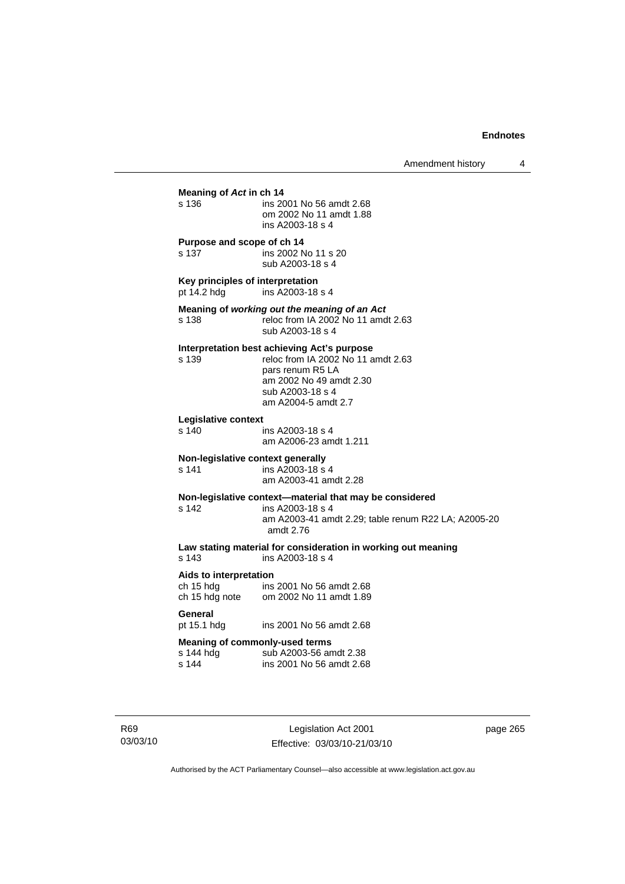| Meaning of Act in ch 14                                            |                                                                                                                                                                             |
|--------------------------------------------------------------------|-----------------------------------------------------------------------------------------------------------------------------------------------------------------------------|
| s 136                                                              | ins 2001 No 56 amdt 2.68<br>om 2002 No 11 amdt 1.88<br>ins A2003-18 s 4                                                                                                     |
| Purpose and scope of ch 14<br>s 137                                | ins 2002 No 11 s 20<br>sub A2003-18 s 4                                                                                                                                     |
| Key principles of interpretation<br>pt 14.2 hdg                    | ins A2003-18 s 4                                                                                                                                                            |
| s 138                                                              | Meaning of working out the meaning of an Act<br>reloc from IA 2002 No 11 amdt 2.63<br>sub A2003-18 s 4                                                                      |
| s 139                                                              | Interpretation best achieving Act's purpose<br>reloc from IA 2002 No 11 amdt 2.63<br>pars renum R5 LA<br>am 2002 No 49 amdt 2.30<br>sub A2003-18 s 4<br>am A2004-5 amdt 2.7 |
| Legislative context<br>s 140                                       | ins A2003-18 s 4<br>am A2006-23 amdt 1.211                                                                                                                                  |
| s 141                                                              | Non-legislative context generally<br>ins A2003-18 s 4<br>am A2003-41 amdt 2.28                                                                                              |
| s 142                                                              | Non-legislative context-material that may be considered<br>ins A2003-18 s 4<br>am A2003-41 amdt 2.29; table renum R22 LA; A2005-20<br>amdt 2.76                             |
| s 143                                                              | Law stating material for consideration in working out meaning<br>ins A2003-18 s 4                                                                                           |
| Aids to interpretation<br>ch 15 hdg<br>un 15 hdg<br>ch 15 hdg note | ins 2001 No 56 amdt 2.68<br>om 2002 No 11 amdt 1.89                                                                                                                         |
| General<br>pt 15.1 hdg                                             | ins 2001 No 56 amdt 2.68                                                                                                                                                    |
| s 144 hdg<br>s 144                                                 | Meaning of commonly-used terms<br>sub A2003-56 amdt 2.38<br>ins 2001 No 56 amdt 2.68                                                                                        |
|                                                                    |                                                                                                                                                                             |

R69 03/03/10

Legislation Act 2001 Effective: 03/03/10-21/03/10 page 265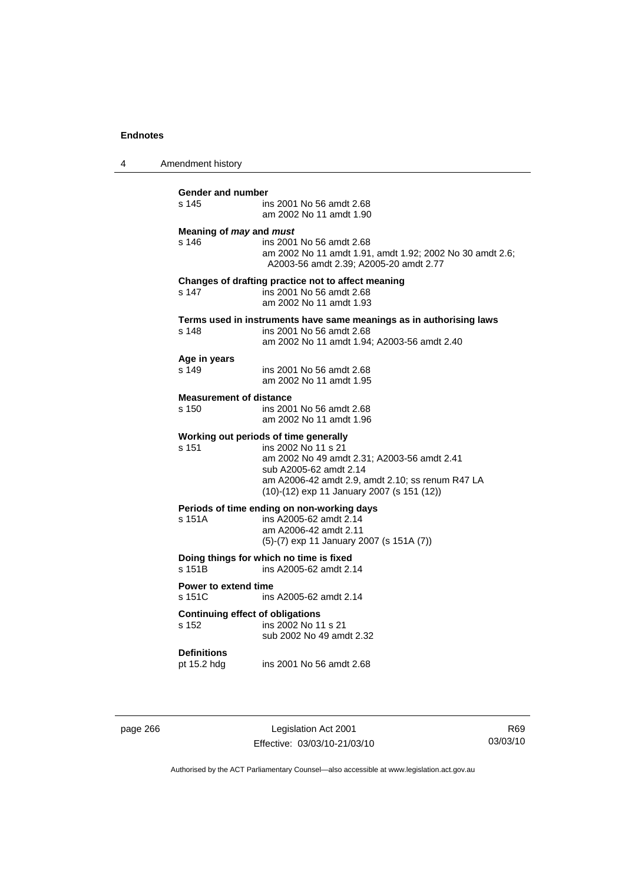4 Amendment history

| <b>Gender and number</b><br>s 145                | ins 2001 No 56 amdt 2.68<br>am 2002 No 11 amdt 1.90                                                                                                                                                                                     |
|--------------------------------------------------|-----------------------------------------------------------------------------------------------------------------------------------------------------------------------------------------------------------------------------------------|
| Meaning of may and must<br>s 146                 | ins 2001 No 56 amdt 2.68<br>am 2002 No 11 amdt 1.91, amdt 1.92; 2002 No 30 amdt 2.6;<br>A2003-56 amdt 2.39; A2005-20 amdt 2.77                                                                                                          |
| s 147                                            | Changes of drafting practice not to affect meaning<br>ins 2001 No 56 amdt 2.68<br>am 2002 No 11 amdt 1.93                                                                                                                               |
| s 148                                            | Terms used in instruments have same meanings as in authorising laws<br>ins 2001 No 56 amdt 2.68<br>am 2002 No 11 amdt 1.94: A2003-56 amdt 2.40                                                                                          |
| Age in years<br>s 149                            | ins 2001 No 56 amdt 2.68<br>am 2002 No 11 amdt 1.95                                                                                                                                                                                     |
| <b>Measurement of distance</b><br>s 150          | ins 2001 No 56 amdt 2.68<br>am 2002 No 11 amdt 1.96                                                                                                                                                                                     |
| s 151                                            | Working out periods of time generally<br>ins 2002 No 11 s 21<br>am 2002 No 49 amdt 2.31; A2003-56 amdt 2.41<br>sub A2005-62 amdt 2.14<br>am A2006-42 amdt 2.9, amdt 2.10; ss renum R47 LA<br>(10)-(12) exp 11 January 2007 (s 151 (12)) |
| s 151A                                           | Periods of time ending on non-working days<br>ins A2005-62 amdt 2.14<br>am A2006-42 amdt 2.11<br>(5)-(7) exp 11 January 2007 (s 151A (7))                                                                                               |
| s 151B                                           | Doing things for which no time is fixed<br>ins A2005-62 amdt 2.14                                                                                                                                                                       |
| Power to extend time<br>s 151C                   | ins A2005-62 amdt 2.14                                                                                                                                                                                                                  |
| <b>Continuing effect of obligations</b><br>s 152 | ins 2002 No 11 s 21<br>sub 2002 No 49 amdt 2.32                                                                                                                                                                                         |
| <b>Definitions</b><br>pt 15.2 hdg                | ins 2001 No 56 amdt 2.68                                                                                                                                                                                                                |

page 266 Legislation Act 2001 Effective: 03/03/10-21/03/10

R69 03/03/10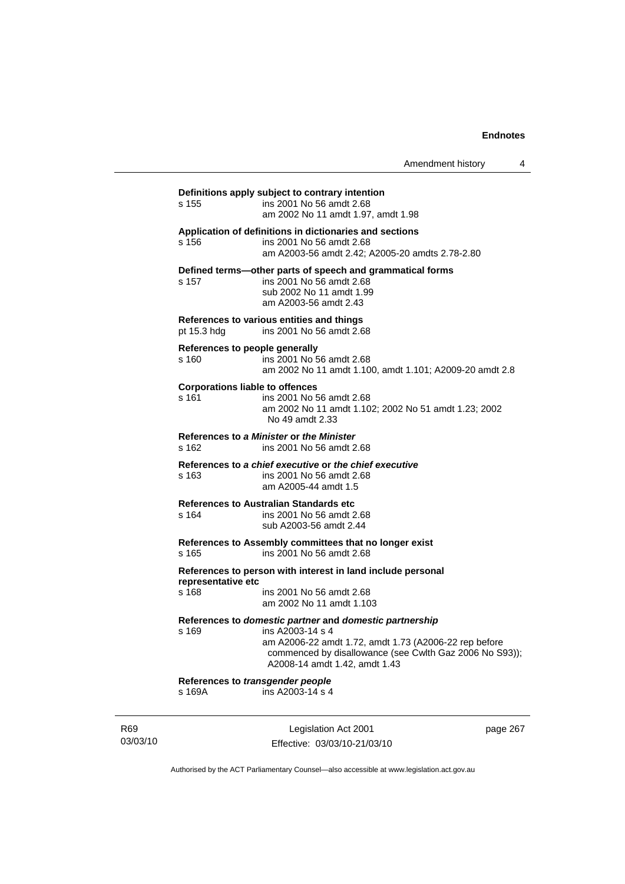Amendment history 4

# **Definitions apply subject to contrary intention**  s 155 ins 2001 No 56 amdt 2.68 am 2002 No 11 amdt 1.97, amdt 1.98 **Application of definitions in dictionaries and sections**  s 156 ins 2001 No 56 amdt 2.68 am A2003-56 amdt 2.42; A2005-20 amdts 2.78-2.80 **Defined terms—other parts of speech and grammatical forms**  s 157 ins 2001 No 56 amdt 2.68 sub 2002 No 11 amdt 1.99 am A2003-56 amdt 2.43 **References to various entities and things**  pt 15.3 hdg ins 2001 No 56 amdt 2.68 **References to people generally**  s 160 ins 2001 No 56 amdt 2.68 am 2002 No 11 amdt 1.100, amdt 1.101; A2009-20 amdt 2.8 **Corporations liable to offences**  s 161 ins 2001 No 56 amdt 2.68 am 2002 No 11 amdt 1.102; 2002 No 51 amdt 1.23; 2002 No 49 amdt 2.33 **References to** *a Minister* **or** *the Minister* s 162 ins 2001 No 56 amdt 2.68 **References to** *a chief executive* **or** *the chief executive* s 163 ins 2001 No 56 amdt 2.68 am A2005-44 amdt 1.5 **References to Australian Standards etc**  s 164 ins 2001 No 56 amdt 2.68 sub A2003-56 amdt 2.44 **References to Assembly committees that no longer exist**  s 165 ins 2001 No 56 amdt 2.68 **References to person with interest in land include personal representative etc**  ins 2001 No 56 amdt 2.68 am 2002 No 11 amdt 1.103 **References to** *domestic partner* **and** *domestic partnership*  s 169 ins A2003-14 s 4 am A2006-22 amdt 1.72, amdt 1.73 (A2006-22 rep before commenced by disallowance (see Cwlth Gaz 2006 No S93)); A2008-14 amdt 1.42, amdt 1.43 **References to** *transgender people*  s 169A ins A2003-14 s 4

R69 03/03/10

Legislation Act 2001 Effective: 03/03/10-21/03/10 page 267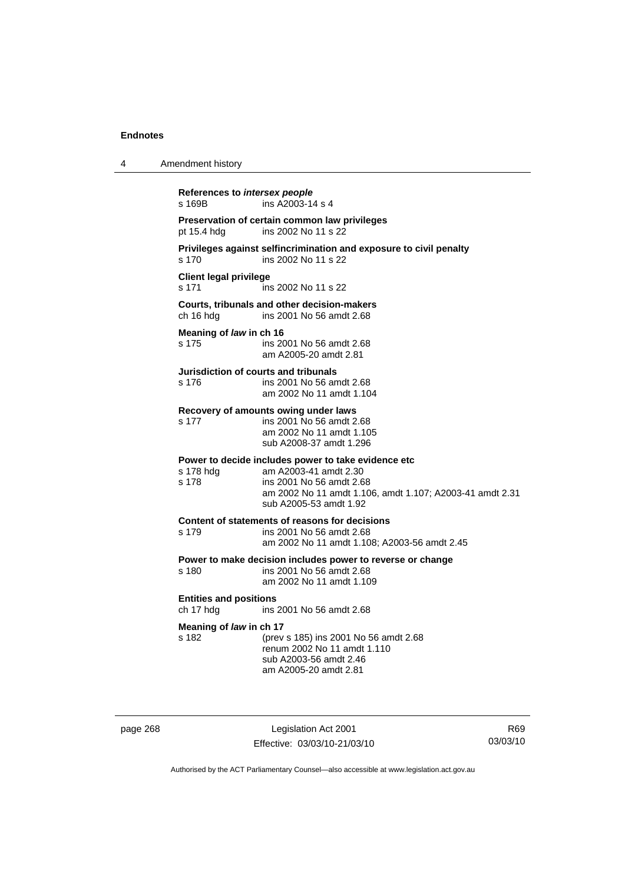| 4 | Amendment history                          |                                                                                                                                                                                                |
|---|--------------------------------------------|------------------------------------------------------------------------------------------------------------------------------------------------------------------------------------------------|
|   | References to intersex people<br>s 169B    | ins A2003-14 s 4                                                                                                                                                                               |
|   | pt 15.4 hdg                                | Preservation of certain common law privileges<br>ins 2002 No 11 s 22                                                                                                                           |
|   | s 170                                      | Privileges against selfincrimination and exposure to civil penalty<br>ins 2002 No 11 s 22                                                                                                      |
|   | <b>Client legal privilege</b><br>s 171     | ins 2002 No 11 s 22                                                                                                                                                                            |
|   | ch 16 hdg                                  | Courts, tribunals and other decision-makers<br>ins 2001 No 56 amdt 2.68                                                                                                                        |
|   | Meaning of law in ch 16<br>s 175           | ins 2001 No 56 amdt 2.68<br>am A2005-20 amdt 2.81                                                                                                                                              |
|   | s 176                                      | Jurisdiction of courts and tribunals<br>ins 2001 No 56 amdt 2.68<br>am 2002 No 11 amdt 1.104                                                                                                   |
|   | s 177                                      | Recovery of amounts owing under laws<br>ins 2001 No 56 amdt 2.68<br>am 2002 No 11 amdt 1.105<br>sub A2008-37 amdt 1.296                                                                        |
|   | s 178 hdg<br>s 178                         | Power to decide includes power to take evidence etc<br>am A2003-41 amdt 2.30<br>ins 2001 No 56 amdt 2.68<br>am 2002 No 11 amdt 1.106, amdt 1.107; A2003-41 amdt 2.31<br>sub A2005-53 amdt 1.92 |
|   | s 179                                      | Content of statements of reasons for decisions<br>ins 2001 No 56 amdt 2.68<br>am 2002 No 11 amdt 1.108; A2003-56 amdt 2.45                                                                     |
|   | s 180                                      | Power to make decision includes power to reverse or change<br>ins 2001 No 56 amdt 2.68<br>am 2002 No 11 amdt 1.109                                                                             |
|   | <b>Entities and positions</b><br>ch 17 hdg | ins 2001 No 56 amdt 2.68                                                                                                                                                                       |
|   | Meaning of law in ch 17<br>s 182           | (prev s 185) ins 2001 No 56 amdt 2.68<br>renum 2002 No 11 amdt 1.110<br>sub A2003-56 amdt 2.46<br>am A2005-20 amdt 2.81                                                                        |

page 268 Legislation Act 2001 Effective: 03/03/10-21/03/10

R69 03/03/10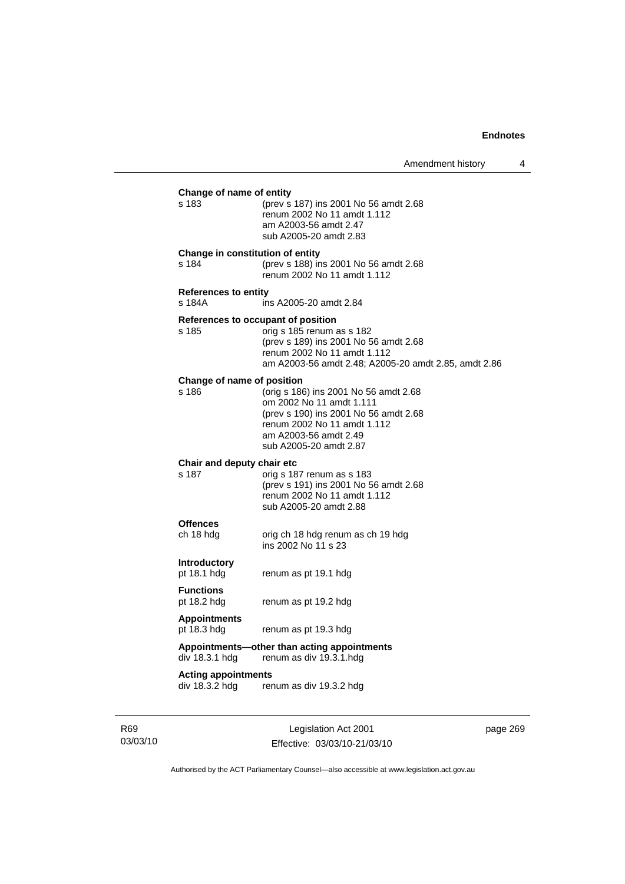| Change of name of entity |                                              |                                                                                                                                                                                              |
|--------------------------|----------------------------------------------|----------------------------------------------------------------------------------------------------------------------------------------------------------------------------------------------|
|                          | s 183                                        | (prev s 187) ins 2001 No 56 amdt 2.68<br>renum 2002 No 11 amdt 1.112<br>am A2003-56 amdt 2.47<br>sub A2005-20 amdt 2.83                                                                      |
|                          | Change in constitution of entity<br>s 184    | (prev s 188) ins 2001 No 56 amdt 2.68<br>renum 2002 No 11 amdt 1.112                                                                                                                         |
|                          | <b>References to entity</b><br>s 184A        | ins A2005-20 amdt 2.84                                                                                                                                                                       |
|                          | References to occupant of position<br>s 185  | orig s 185 renum as s 182<br>(prev s 189) ins 2001 No 56 amdt 2.68<br>renum 2002 No 11 amdt 1.112<br>am A2003-56 amdt 2.48; A2005-20 amdt 2.85, amdt 2.86                                    |
|                          | Change of name of position<br>s 186          | (orig s 186) ins 2001 No 56 amdt 2.68<br>om 2002 No 11 amdt 1.111<br>(prev s 190) ins 2001 No 56 amdt 2.68<br>renum 2002 No 11 amdt 1.112<br>am A2003-56 amdt 2.49<br>sub A2005-20 amdt 2.87 |
|                          | Chair and deputy chair etc<br>s 187          | orig s 187 renum as s 183<br>(prev s 191) ins 2001 No 56 amdt 2.68<br>renum 2002 No 11 amdt 1.112<br>sub A2005-20 amdt 2.88                                                                  |
|                          | <b>Offences</b><br>ch 18 hdg                 | orig ch 18 hdg renum as ch 19 hdg<br>ins 2002 No 11 s 23                                                                                                                                     |
|                          | <b>Introductory</b><br>pt 18.1 hdg           | renum as pt 19.1 hdg                                                                                                                                                                         |
|                          | <b>Functions</b><br>pt 18.2 hdg              | renum as pt 19.2 hdg                                                                                                                                                                         |
|                          | <b>Appointments</b><br>pt 18.3 hdg           | renum as pt 19.3 hdg                                                                                                                                                                         |
|                          | div 18.3.1 hdg                               | Appointments-other than acting appointments<br>renum as div 19.3.1.hdg                                                                                                                       |
|                          | <b>Acting appointments</b><br>div 18.3.2 hdg | renum as div 19.3.2 hdg                                                                                                                                                                      |
|                          |                                              |                                                                                                                                                                                              |

R69 03/03/10

Legislation Act 2001 Effective: 03/03/10-21/03/10 page 269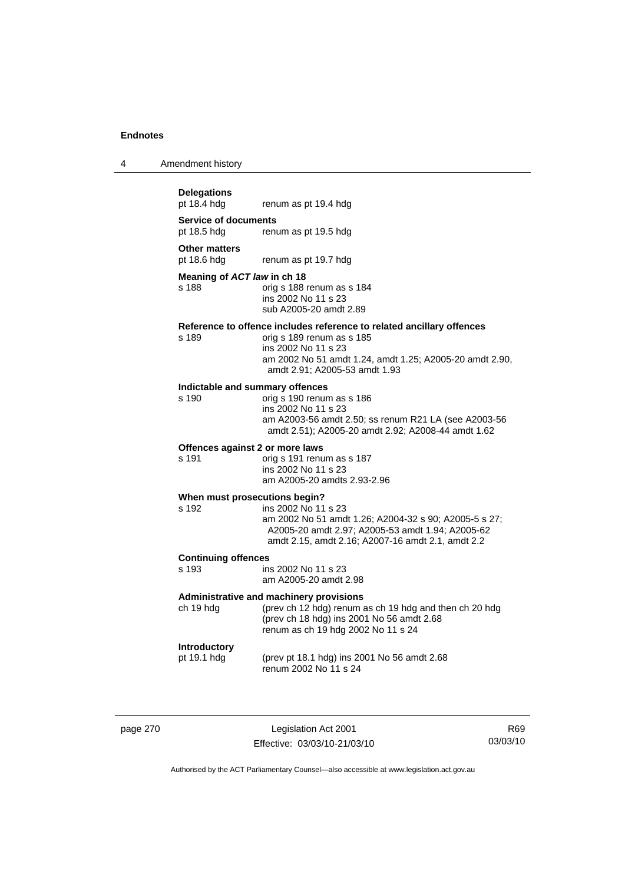| 4 | Amendment history |
|---|-------------------|
|---|-------------------|

# **Delegations**

**Service of documents** 

pt 18.5 hdg renum as pt 19.5 hdg

**Other matters** 

pt 18.6 hdg renum as pt 19.7 hdg

#### **Meaning of** *ACT law* **in ch 18**

s 188 orig s 188 renum as s 184 ins 2002 No 11 s 23 sub A2005-20 amdt 2.89

renum as pt 19.4 hdg

#### **Reference to offence includes reference to related ancillary offences**

s 189 orig s 189 renum as s 185 ins 2002 No 11 s 23 am 2002 No 51 amdt 1.24, amdt 1.25; A2005-20 amdt 2.90, amdt 2.91; A2005-53 amdt 1.93

# **Indictable and summary offences**

orig s 190 renum as s 186 ins 2002 No 11 s 23 am A2003-56 amdt 2.50; ss renum R21 LA (see A2003-56 amdt 2.51); A2005-20 amdt 2.92; A2008-44 amdt 1.62

## **Offences against 2 or more laws**

s 191 orig s 191 renum as s 187 ins 2002 No 11 s 23 am A2005-20 amdts 2.93-2.96

#### **When must prosecutions begin?**

s 192 ins 2002 No 11 s 23 am 2002 No 51 amdt 1.26; A2004-32 s 90; A2005-5 s 27; A2005-20 amdt 2.97; A2005-53 amdt 1.94; A2005-62 amdt 2.15, amdt 2.16; A2007-16 amdt 2.1, amdt 2.2

# **Continuing offences**

ins 2002 No 11 s 23 am A2005-20 amdt 2.98

## **Administrative and machinery provisions**

ch 19 hdg (prev ch 12 hdg) renum as ch 19 hdg and then ch 20 hdg (prev ch 18 hdg) ins 2001 No 56 amdt 2.68 renum as ch 19 hdg 2002 No 11 s 24

## **Introductory**

pt 19.1 hdg (prev pt 18.1 hdg) ins 2001 No 56 amdt 2.68 renum 2002 No 11 s 24

page 270 Legislation Act 2001 Effective: 03/03/10-21/03/10

R69 03/03/10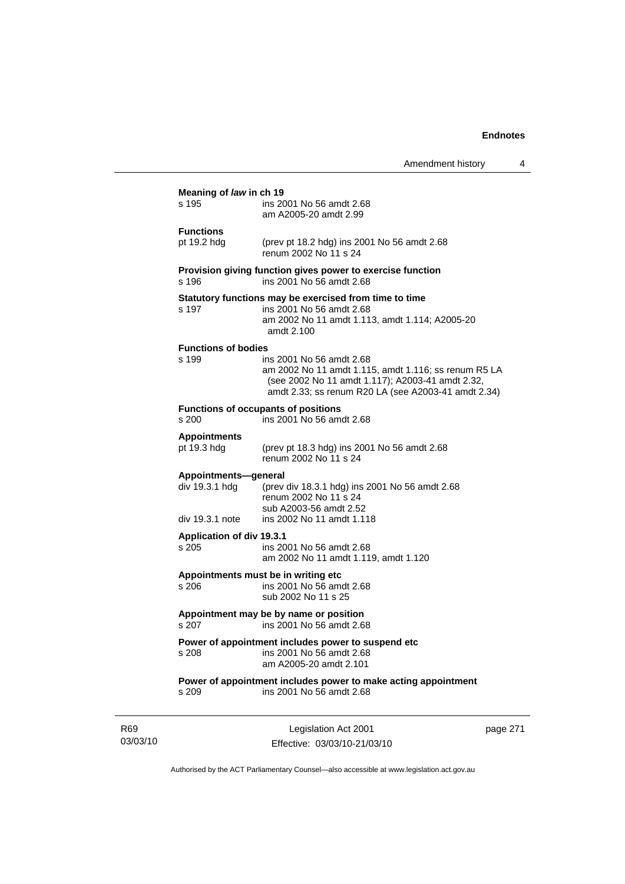|                                                           | Amendment history                                                                                                                                                                           | 4 |
|-----------------------------------------------------------|---------------------------------------------------------------------------------------------------------------------------------------------------------------------------------------------|---|
| Meaning of law in ch 19<br>s 195                          | ins 2001 No 56 amdt 2.68<br>am A2005-20 amdt 2.99                                                                                                                                           |   |
| <b>Functions</b><br>pt 19.2 hdg                           | (prev pt 18.2 hdg) ins 2001 No 56 amdt 2.68<br>renum 2002 No 11 s 24                                                                                                                        |   |
| s 196                                                     | Provision giving function gives power to exercise function<br>ins 2001 No 56 amdt 2.68                                                                                                      |   |
| s 197                                                     | Statutory functions may be exercised from time to time<br>ins 2001 No 56 amdt 2.68<br>am 2002 No 11 amdt 1.113, amdt 1.114; A2005-20<br>amdt 2.100                                          |   |
| <b>Functions of bodies</b><br>s 199                       | ins 2001 No 56 amdt 2.68<br>am 2002 No 11 amdt 1.115, amdt 1.116; ss renum R5 LA<br>(see 2002 No 11 amdt 1.117); A2003-41 amdt 2.32,<br>amdt 2.33; ss renum R20 LA (see A2003-41 amdt 2.34) |   |
| s 200                                                     | <b>Functions of occupants of positions</b><br>ins 2001 No 56 amdt 2.68                                                                                                                      |   |
| <b>Appointments</b><br>pt 19.3 hdg                        | (prev pt 18.3 hdg) ins 2001 No 56 amdt 2.68<br>renum 2002 No 11 s 24                                                                                                                        |   |
| Appointments-general<br>div 19.3.1 hdg<br>div 19.3.1 note | (prev div 18.3.1 hdg) ins 2001 No 56 amdt 2.68<br>renum 2002 No 11 s 24<br>sub A2003-56 amdt 2.52<br>ins 2002 No 11 amdt 1.118                                                              |   |
| <b>Application of div 19.3.1</b><br>s 205                 | ins 2001 No 56 amdt 2.68<br>am 2002 No 11 amdt 1.119, amdt 1.120                                                                                                                            |   |
| s 206                                                     | Appointments must be in writing etc<br>ins 2001 No 56 amdt 2.68<br>sub 2002 No 11 s 25                                                                                                      |   |
|                                                           | Appointment may be by name or position<br>s 207 ins 2001 No 56 amdt 2.68                                                                                                                    |   |
| s 208                                                     | Power of appointment includes power to suspend etc<br>ins 2001 No 56 amdt 2.68<br>am A2005-20 amdt 2.101                                                                                    |   |
| s 209                                                     | Power of appointment includes power to make acting appointment<br>ins 2001 No 56 amdt 2.68                                                                                                  |   |
|                                                           |                                                                                                                                                                                             |   |

R69 03/03/10

Legislation Act 2001 Effective: 03/03/10-21/03/10 page 271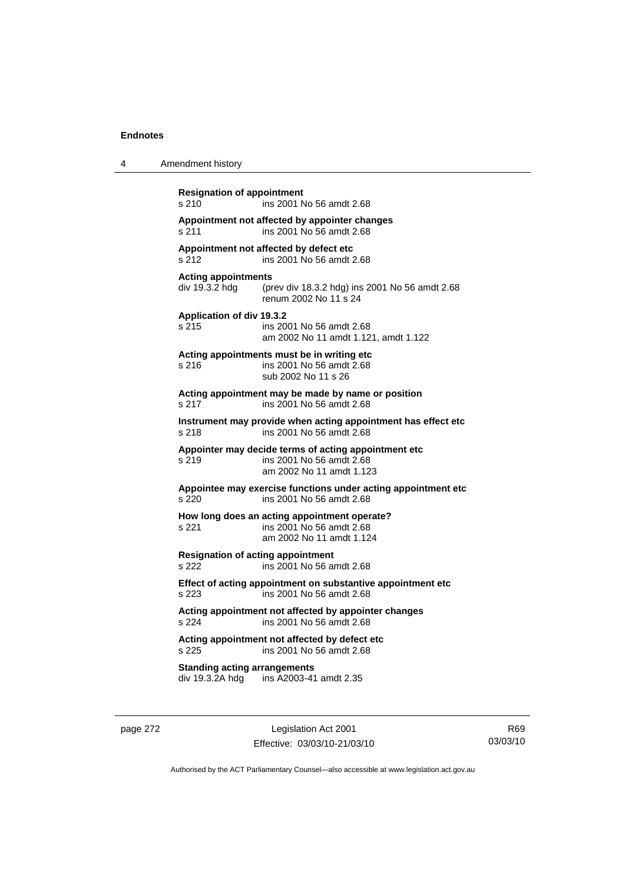| 4 | Amendment history                                                                                                       |
|---|-------------------------------------------------------------------------------------------------------------------------|
|   | <b>Resignation of appointment</b><br>s 210<br>ins 2001 No 56 amdt 2.68                                                  |
|   | Appointment not affected by appointer changes<br>ins 2001 No 56 amdt 2.68<br>s 211                                      |
|   | Appointment not affected by defect etc<br>ins 2001 No 56 amdt 2.68<br>s 212                                             |
|   | <b>Acting appointments</b><br>div 19.3.2 hdg<br>(prev div 18.3.2 hdg) ins 2001 No 56 amdt 2.68<br>renum 2002 No 11 s 24 |
|   | Application of div 19.3.2<br>s 215<br>ins 2001 No 56 amdt 2.68<br>am 2002 No 11 amdt 1.121, amdt 1.122                  |
|   | Acting appointments must be in writing etc<br>ins 2001 No 56 amdt 2.68<br>s 216<br>sub 2002 No 11 s 26                  |
|   | Acting appointment may be made by name or position<br>s 217<br>ins 2001 No 56 amdt 2.68                                 |
|   | Instrument may provide when acting appointment has effect etc<br>ins 2001 No 56 amdt 2.68<br>s 218                      |
|   | Appointer may decide terms of acting appointment etc.<br>s 219<br>ins 2001 No 56 amdt 2.68<br>am 2002 No 11 amdt 1.123  |
|   | Appointee may exercise functions under acting appointment etc<br>ins 2001 No 56 amdt 2.68<br>s 220                      |
|   | How long does an acting appointment operate?<br>s.221<br>ins 2001 No 56 amdt 2.68<br>am 2002 No 11 amdt 1.124           |
|   | <b>Resignation of acting appointment</b><br>s 222<br>ins 2001 No 56 amdt 2.68                                           |
|   | Effect of acting appointment on substantive appointment etc<br>s 223<br>ins 2001 No 56 amdt 2.68                        |
|   | Acting appointment not affected by appointer changes<br>s 224<br>ins 2001 No 56 amdt 2.68                               |
|   | Acting appointment not affected by defect etc<br>s 225<br>ins 2001 No 56 amdt 2.68                                      |
|   | <b>Standing acting arrangements</b><br>div 19.3.2A hdg<br>ins A2003-41 amdt 2.35                                        |

page 272 Legislation Act 2001 Effective: 03/03/10-21/03/10

R69 03/03/10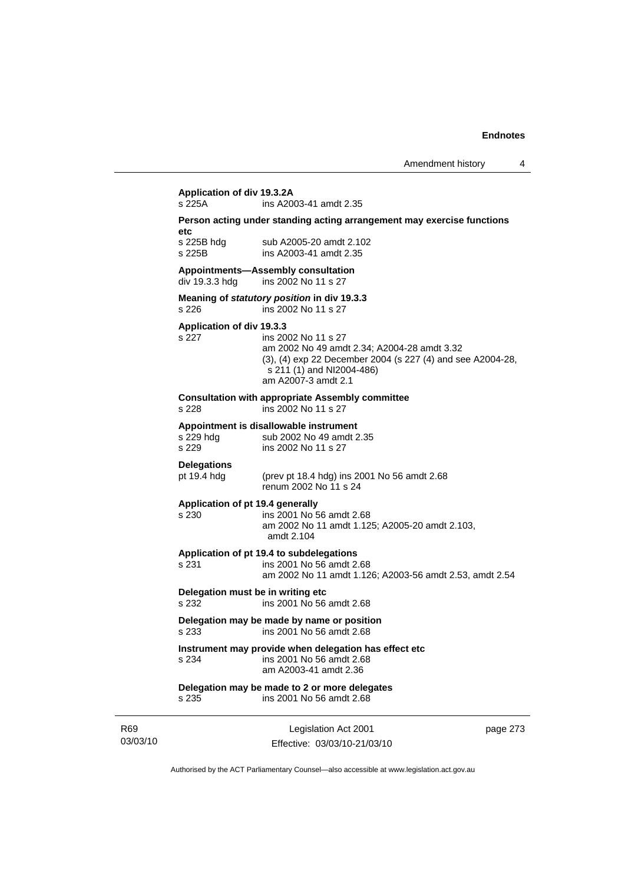# **Application of div 19.3.2A**

ins A2003-41 amdt 2.35

#### **Person acting under standing acting arrangement may exercise functions etc**

s 225B hdg sub A2005-20 amdt 2.102 s 225B ins A2003-41 amdt 2.35

#### **Appointments—Assembly consultation**

div 19.3.3 hdg ins 2002 No 11 s 27

#### **Meaning of** *statutory position* **in div 19.3.3**  s 226 ins 2002 No 11 s 27

#### **Application of div 19.3.3**

#### s 227 ins 2002 No 11 s 27 am 2002 No 49 amdt 2.34; A2004-28 amdt 3.32 (3), (4) exp 22 December 2004 (s 227 (4) and see A2004-28, s 211 (1) and NI2004-486) am A2007-3 amdt 2.1

#### **Consultation with appropriate Assembly committee**

s 228 ins 2002 No 11 s 27

# **Appointment is disallowable instrument**

sub 2002 No 49 amdt 2.35 s 229 ins 2002 No 11 s 27

## **Delegations**

pt 19.4 hdg (prev pt 18.4 hdg) ins 2001 No 56 amdt 2.68 renum 2002 No 11 s 24

#### **Application of pt 19.4 generally**

### s 230 ins 2001 No 56 amdt 2.68

 am 2002 No 11 amdt 1.125; A2005-20 amdt 2.103, amdt 2.104

#### **Application of pt 19.4 to subdelegations**

s 231 ins 2001 No 56 amdt 2.68 am 2002 No 11 amdt 1.126; A2003-56 amdt 2.53, amdt 2.54

### **Delegation must be in writing etc**

s 232 ins 2001 No 56 amdt 2.68

#### **Delegation may be made by name or position**  s 233 ins 2001 No 56 amdt 2.68

## **Instrument may provide when delegation has effect etc**

s 234 ins 2001 No 56 amdt 2.68 am A2003-41 amdt 2.36

#### **Delegation may be made to 2 or more delegates**  s 235 ins 2001 No 56 amdt 2.68

R69 03/03/10

Legislation Act 2001 Effective: 03/03/10-21/03/10 page 273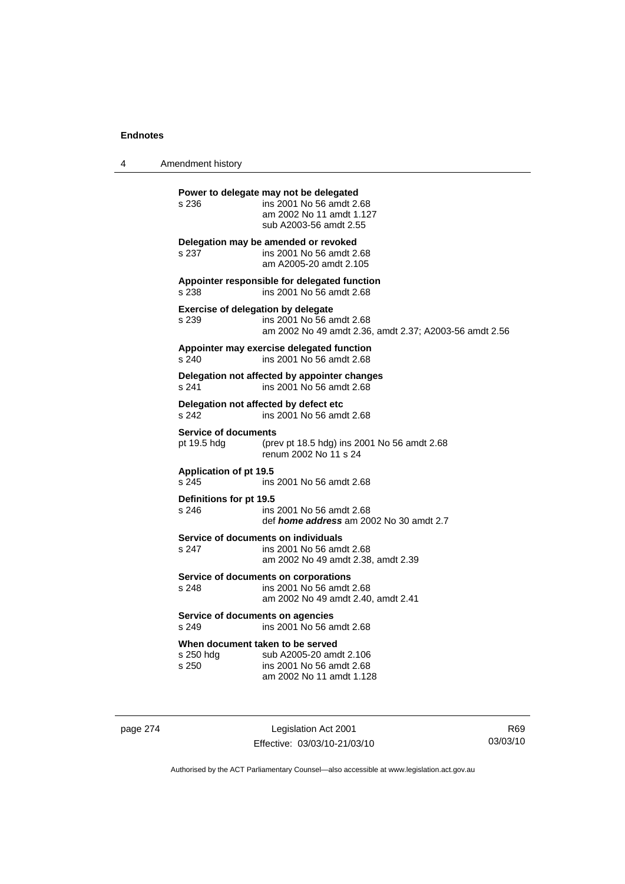4 Amendment history

**Power to delegate may not be delegated**  s 236 ins 2001 No 56 amdt 2.68 am 2002 No 11 amdt 1.127 sub A2003-56 amdt 2.55 **Delegation may be amended or revoked**  s 237 ins 2001 No 56 amdt 2.68 am A2005-20 amdt 2.105 **Appointer responsible for delegated function**  s 238 ins 2001 No 56 amdt 2.68 **Exercise of delegation by delegate**  s 239 ins 2001 No 56 amdt 2.68 am 2002 No 49 amdt 2.36, amdt 2.37; A2003-56 amdt 2.56 **Appointer may exercise delegated function**  s 240 ins 2001 No 56 amdt 2.68 **Delegation not affected by appointer changes**  s 241 ins 2001 No 56 amdt 2.68 **Delegation not affected by defect etc**  s 242 ins 2001 No 56 amdt 2.68 **Service of documents**<br>pt 19.5 hdg (pre (prev pt 18.5 hdg) ins 2001 No 56 amdt  $2.68$ renum 2002 No 11 s 24 **Application of pt 19.5**  s 245 ins 2001 No 56 amdt 2.68 **Definitions for pt 19.5**  ins 2001 No 56 amdt 2.68 def *home address* am 2002 No 30 amdt 2.7 **Service of documents on individuals**<br>s 247 **ins 2001 No 56 am** ins 2001 No 56 amdt 2.68 am 2002 No 49 amdt 2.38, amdt 2.39 **Service of documents on corporations**  s 248 ins 2001 No 56 amdt 2.68 am 2002 No 49 amdt 2.40, amdt 2.41 **Service of documents on agencies**  s 249 ins 2001 No 56 amdt 2.68 **When document taken to be served**  s 250 hdg sub A2005-20 amdt 2.106 s 250 ins 2001 No 56 amdt 2.68 am 2002 No 11 amdt 1.128

page 274 Legislation Act 2001 Effective: 03/03/10-21/03/10

R69 03/03/10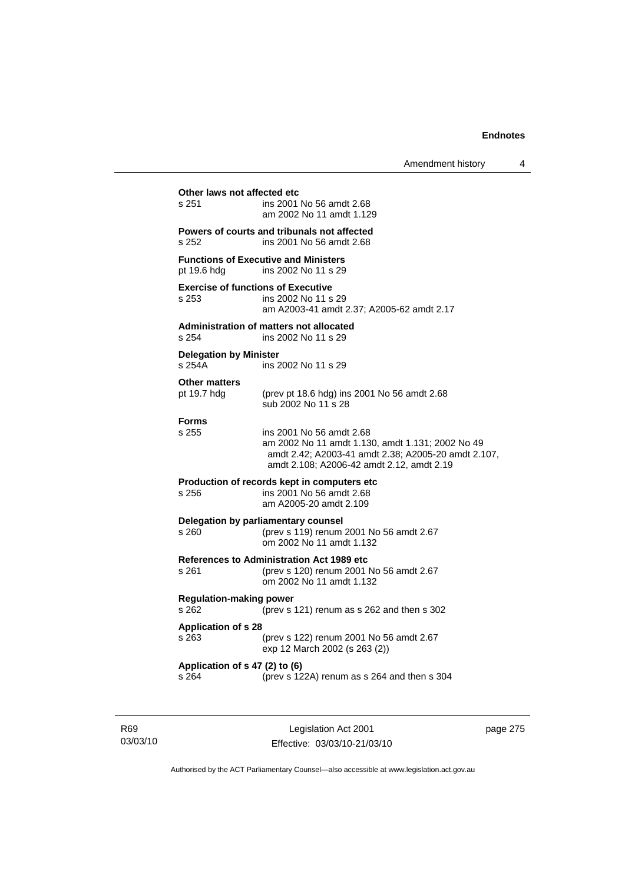### **Other laws not affected etc**<br>s 251 ins 2001 ins 2001 No 56 amdt 2.68 am 2002 No 11 amdt 1.129 **Powers of courts and tribunals not affected**  s 252 ins 2001 No 56 amdt 2.68 **Functions of Executive and Ministers**  pt 19.6 hdg ins 2002 No 11 s 29 **Exercise of functions of Executive**  s 253 ins 2002 No 11 s 29 am A2003-41 amdt 2.37; A2005-62 amdt 2.17 **Administration of matters not allocated**  s 254 ins 2002 No 11 s 29 **Delegation by Minister**  s 254A ins 2002 No 11 s 29 **Other matters**  pt 19.7 hdg (prev pt 18.6 hdg) ins 2001 No 56 amdt 2.68 sub 2002 No 11 s 28 **Forms**  s 255 ins 2001 No 56 amdt 2.68 am 2002 No 11 amdt 1.130, amdt 1.131; 2002 No 49 amdt 2.42; A2003-41 amdt 2.38; A2005-20 amdt 2.107, amdt 2.108; A2006-42 amdt 2.12, amdt 2.19 **Production of records kept in computers etc**  s 256 ins 2001 No 56 amdt 2.68 am A2005-20 amdt 2.109 **Delegation by parliamentary counsel**  s 260 (prev s 119) renum 2001 No 56 amdt 2.67 om 2002 No 11 amdt 1.132 **References to Administration Act 1989 etc**  s 261 (prev s 120) renum 2001 No 56 amdt 2.67 om 2002 No 11 amdt 1.132 **Regulation-making power**  s 262 (prev s 121) renum as s 262 and then s 302 **Application of s 28**  s 263 (prev s 122) renum 2001 No 56 amdt 2.67 exp 12 March 2002 (s 263 (2)) **Application of s 47 (2) to (6)**  s 264 (prev s 122A) renum as s 264 and then s 304

R69 03/03/10

Legislation Act 2001 Effective: 03/03/10-21/03/10 page 275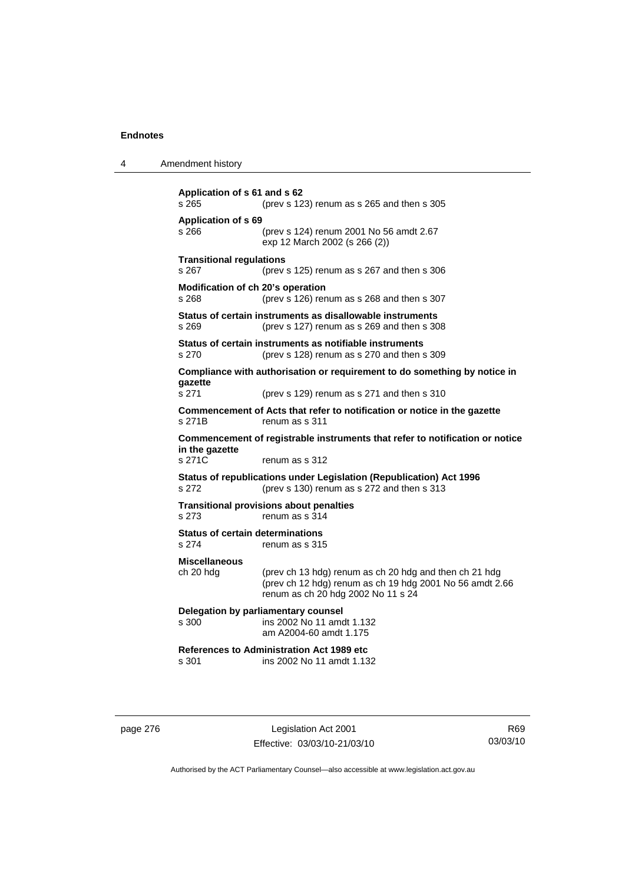| Amendment history<br>4 |  |
|------------------------|--|
|------------------------|--|

```
Application of s 61 and s 62 
s 265 (prev s 123) renum as s 265 and then s 305 
Application of s 69 
s 266 (prev s 124) renum 2001 No 56 amdt 2.67 
                  exp 12 March 2002 (s 266 (2)) 
Transitional regulations 
s 267 (prev s 125) renum as s 267 and then s 306 
Modification of ch 20's operation 
s 268 (prev s 126) renum as s 268 and then s 307 
Status of certain instruments as disallowable instruments 
s 269 (prev s 127) renum as s 269 and then s 308 
Status of certain instruments as notifiable instruments 
s 270 (prev s 128) renum as s 270 and then s 309 
Compliance with authorisation or requirement to do something by notice in 
gazette 
s 271 (prev s 129) renum as s 271 and then s 310 
Commencement of Acts that refer to notification or notice in the gazette 
s 271B renum as s 311
Commencement of registrable instruments that refer to notification or notice 
in the gazette 
s 271C renum as s 312
Status of republications under Legislation (Republication) Act 1996 
s 272 (prev s 130) renum as s 272 and then s 313 
Transitional provisions about penalties
s 273 renum as s 314 
Status of certain determinations 
s 274 renum as s 315
Miscellaneous 
ch 20 hdg (prev ch 13 hdg) renum as ch 20 hdg and then ch 21 hdg 
                  (prev ch 12 hdg) renum as ch 19 hdg 2001 No 56 amdt 2.66 
                  renum as ch 20 hdg 2002 No 11 s 24 
Delegation by parliamentary counsel 
s 300 ins 2002 No 11 amdt 1.132 
                  am A2004-60 amdt 1.175 
References to Administration Act 1989 etc 
                 ins 2002 No 11 amdt 1.132
```
page 276 Legislation Act 2001 Effective: 03/03/10-21/03/10

R69 03/03/10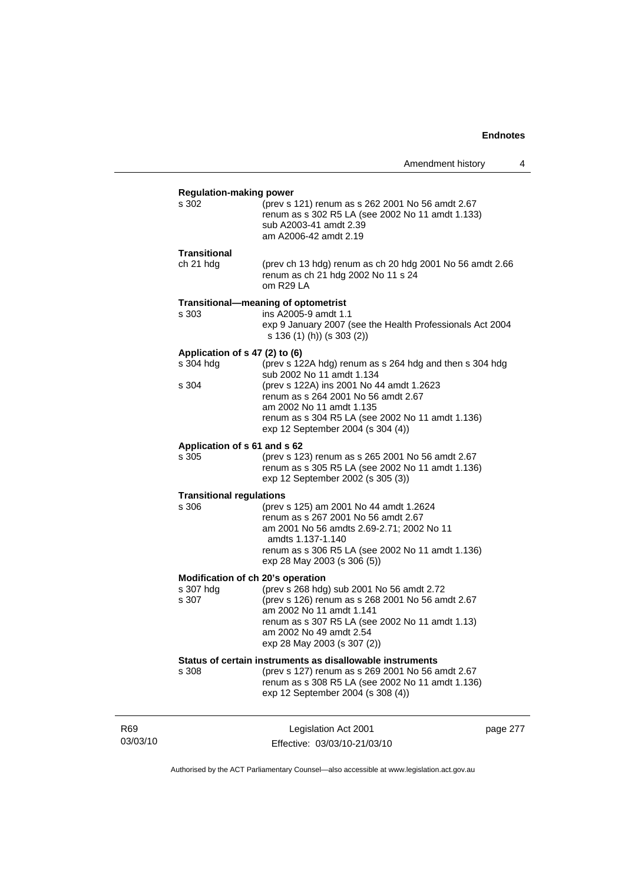page 277

|                                                         |                                                                                                                                                                                                                                                                                              | Amendment history | 4 |
|---------------------------------------------------------|----------------------------------------------------------------------------------------------------------------------------------------------------------------------------------------------------------------------------------------------------------------------------------------------|-------------------|---|
| <b>Regulation-making power</b><br>s 302                 | (prev s 121) renum as s 262 2001 No 56 amdt 2.67<br>renum as s 302 R5 LA (see 2002 No 11 amdt 1.133)<br>sub A2003-41 amdt 2.39<br>am A2006-42 amdt 2.19                                                                                                                                      |                   |   |
| Transitional<br>ch 21 hdg                               | (prev ch 13 hdg) renum as ch 20 hdg 2001 No 56 amdt 2.66<br>renum as ch 21 hdg 2002 No 11 s 24<br>om R29 LA                                                                                                                                                                                  |                   |   |
| s 303                                                   | Transitional-meaning of optometrist<br>ins A2005-9 amdt 1.1<br>exp 9 January 2007 (see the Health Professionals Act 2004<br>s 136 (1) (h)) (s 303 (2))                                                                                                                                       |                   |   |
| Application of s 47 (2) to (6)<br>s 304 hdg<br>s 304    | (prev s 122A hdg) renum as s 264 hdg and then s 304 hdg<br>sub 2002 No 11 amdt 1.134<br>(prev s 122A) ins 2001 No 44 amdt 1.2623<br>renum as s 264 2001 No 56 amdt 2.67<br>am 2002 No 11 amdt 1.135<br>renum as s 304 R5 LA (see 2002 No 11 amdt 1.136)<br>exp 12 September 2004 (s 304 (4)) |                   |   |
| Application of s 61 and s 62<br>s 305                   | (prev s 123) renum as s 265 2001 No 56 amdt 2.67<br>renum as s 305 R5 LA (see 2002 No 11 amdt 1.136)<br>exp 12 September 2002 (s 305 (3))                                                                                                                                                    |                   |   |
| <b>Transitional regulations</b><br>s 306                | (prev s 125) am 2001 No 44 amdt 1.2624<br>renum as s 267 2001 No 56 amdt 2.67<br>am 2001 No 56 amdts 2.69-2.71; 2002 No 11<br>amdts 1.137-1.140<br>renum as s 306 R5 LA (see 2002 No 11 amdt 1.136)<br>exp 28 May 2003 (s 306 (5))                                                           |                   |   |
| Modification of ch 20's operation<br>s 307 hdg<br>s 307 | (prev s 268 hdg) sub 2001 No 56 amdt 2.72<br>(prev s 126) renum as s 268 2001 No 56 amdt 2.67<br>am 2002 No 11 amdt 1.141<br>renum as s 307 R5 LA (see 2002 No 11 amdt 1.13)<br>am 2002 No 49 amdt 2.54<br>exp 28 May 2003 (s 307 (2))                                                       |                   |   |
| s 308                                                   | Status of certain instruments as disallowable instruments<br>(prev s 127) renum as s 269 2001 No 56 amdt 2.67<br>renum as s 308 R5 LA (see 2002 No 11 amdt 1.136)<br>exp 12 September 2004 (s 308 (4))                                                                                       |                   |   |

Authorised by the ACT Parliamentary Counsel—also accessible at www.legislation.act.gov.au

Legislation Act 2001 Effective: 03/03/10-21/03/10

R69 03/03/10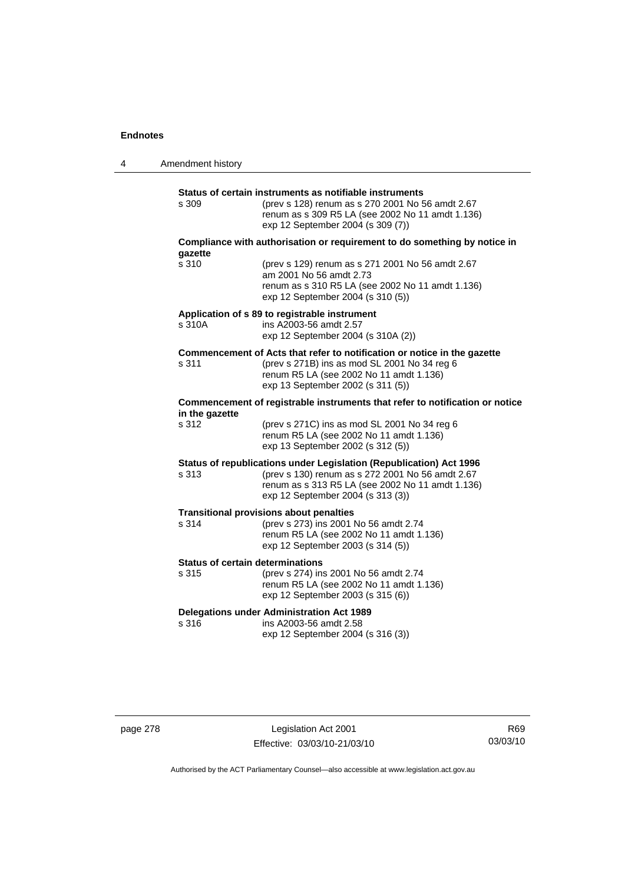| 4 | Amendment history |                                                                                                                                                                                                                  |
|---|-------------------|------------------------------------------------------------------------------------------------------------------------------------------------------------------------------------------------------------------|
|   | s 309             | Status of certain instruments as notifiable instruments<br>(prev s 128) renum as s 270 2001 No 56 amdt 2.67<br>renum as s 309 R5 LA (see 2002 No 11 amdt 1.136)<br>exp 12 September 2004 (s 309 (7))             |
|   |                   | Compliance with authorisation or requirement to do something by notice in                                                                                                                                        |
|   | qazette<br>s 310  | (prev s 129) renum as s 271 2001 No 56 amdt 2.67<br>am 2001 No 56 amdt 2.73<br>renum as s 310 R5 LA (see 2002 No 11 amdt 1.136)<br>exp 12 September 2004 (s 310 (5))                                             |
|   | s 310A            | Application of s 89 to registrable instrument<br>ins A2003-56 amdt 2.57<br>exp 12 September 2004 (s 310A (2))                                                                                                    |
|   | s 311             | Commencement of Acts that refer to notification or notice in the gazette<br>(prev s 271B) ins as mod SL 2001 No 34 reg 6<br>renum R5 LA (see 2002 No 11 amdt 1.136)<br>exp 13 September 2002 (s 311 (5))         |
|   | in the gazette    | Commencement of registrable instruments that refer to notification or notice                                                                                                                                     |
|   | s 312             | (prev s 271C) ins as mod SL 2001 No 34 reg 6<br>renum R5 LA (see 2002 No 11 amdt 1.136)<br>exp 13 September 2002 (s 312 (5))                                                                                     |
|   | s 313             | Status of republications under Legislation (Republication) Act 1996<br>(prev s 130) renum as s 272 2001 No 56 amdt 2.67<br>renum as s 313 R5 LA (see 2002 No 11 amdt 1.136)<br>exp 12 September 2004 (s 313 (3)) |
|   | s 314             | <b>Transitional provisions about penalties</b><br>(prev s 273) ins 2001 No 56 amdt 2.74<br>renum R5 LA (see 2002 No 11 amdt 1.136)<br>exp 12 September 2003 (s 314 (5))                                          |
|   | s 315             | <b>Status of certain determinations</b><br>(prev s 274) ins 2001 No 56 amdt 2.74<br>renum R5 LA (see 2002 No 11 amdt 1.136)<br>exp 12 September 2003 (s 315 (6))                                                 |
|   | s 316             | <b>Delegations under Administration Act 1989</b><br>ins A2003-56 amdt 2.58<br>exp 12 September 2004 (s 316 (3))                                                                                                  |

page 278 Legislation Act 2001 Effective: 03/03/10-21/03/10

R69 03/03/10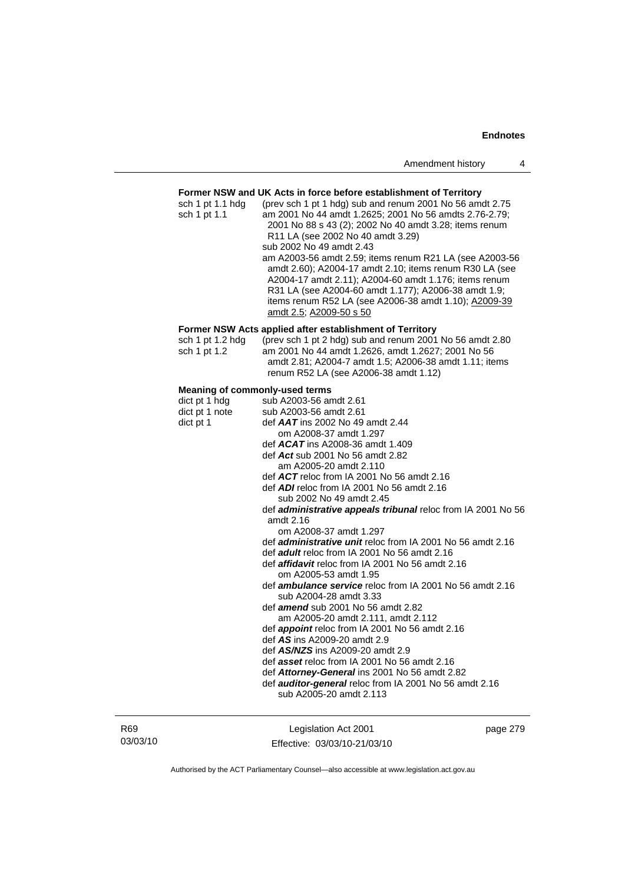### **Former NSW and UK Acts in force before establishment of Territory**

| sch 1 pt 1.1 hdg | (prev sch 1 pt 1 hdg) sub and renum 2001 No 56 amdt 2.75 |
|------------------|----------------------------------------------------------|
| sch 1 pt 1.1     | am 2001 No 44 amdt 1.2625; 2001 No 56 amdts 2.76-2.79;   |
|                  | 2001 No 88 s 43 (2); 2002 No 40 amdt 3.28; items renum   |
|                  | R11 LA (see 2002 No 40 amdt 3.29)                        |
|                  | sub 2002 No 49 amdt 2.43                                 |
|                  | am A2003-56 amdt 2.59; items renum R21 LA (see A2003-56  |
|                  | amdt 2.60); A2004-17 amdt 2.10; items renum R30 LA (see  |
|                  | A2004-17 amdt 2.11); A2004-60 amdt 1.176; items renum    |
|                  | R31 LA (see A2004-60 amdt 1.177); A2006-38 amdt 1.9;     |
|                  | items renum R52 LA (see A2006-38 amdt 1.10); A2009-39    |
|                  | amdt 2.5; A2009-50 s 50                                  |
|                  | Former NSW Acts applied after establishment of Territory |
| sch 1 pt 1.2 hdg | (prev sch 1 pt 2 hdg) sub and renum 2001 No 56 amdt 2.80 |
|                  |                                                          |
| sch 1 pt 1.2     | am 2001 No 44 amdt 1.2626, amdt 1.2627; 2001 No 56       |
|                  | amdt 2.81; A2004-7 amdt 1.5; A2006-38 amdt 1.11; items   |
|                  | renum R52 LA (see A2006-38 amdt 1.12)                    |
|                  |                                                          |

### **Meaning of commonly-used terms**

| dict pt 1 hdg<br>dict pt 1 note | sub A2003-56 amdt 2.61<br>sub A2003-56 amdt 2.61                  |
|---------------------------------|-------------------------------------------------------------------|
| dict pt 1                       | def $AAT$ ins 2002 No 49 amdt 2.44                                |
|                                 | om A2008-37 amdt 1.297                                            |
|                                 | def $ACAT$ ins A2008-36 amdt 1.409                                |
|                                 | def $Act$ sub 2001 No 56 amdt 2.82<br>am A2005-20 amdt 2.110      |
|                                 | def $ACT$ reloc from IA 2001 No 56 amdt 2.16                      |
|                                 | def $ADI$ reloc from IA 2001 No 56 amdt 2.16                      |
|                                 | sub 2002 No 49 amdt 2.45                                          |
|                                 | def administrative appeals tribunal reloc from IA 2001 No 56      |
|                                 | amdt $2.16$                                                       |
|                                 | om A2008-37 amdt 1.297                                            |
|                                 | def <i>administrative unit</i> reloc from IA 2001 No 56 amdt 2.16 |
|                                 | def <b>adult</b> reloc from IA 2001 No 56 amdt 2.16               |
|                                 | def affidavit reloc from IA 2001 No 56 amdt 2.16                  |
|                                 | om A2005-53 amdt 1.95                                             |
|                                 | def <b>ambulance service</b> reloc from IA 2001 No 56 amdt 2.16   |
|                                 | sub A2004-28 amdt 3.33                                            |
|                                 | def <b>amend</b> sub 2001 No 56 amdt 2.82                         |
|                                 | am A2005-20 amdt 2.111, amdt 2.112                                |
|                                 | def <i>appoint</i> reloc from IA 2001 No 56 amdt 2.16             |
|                                 | def $AS$ ins A2009-20 amdt 2.9                                    |
|                                 | def <b>AS/NZS</b> ins A2009-20 amdt 2.9                           |
|                                 | def asset reloc from IA 2001 No 56 amdt 2.16                      |
|                                 | def Attorney-General ins 2001 No 56 amdt 2.82                     |
|                                 | def auditor-general reloc from IA 2001 No 56 amdt 2.16            |
|                                 | sub A2005-20 amdt 2.113                                           |
|                                 |                                                                   |
|                                 |                                                                   |

R69 03/03/10

Legislation Act 2001 Effective: 03/03/10-21/03/10 page 279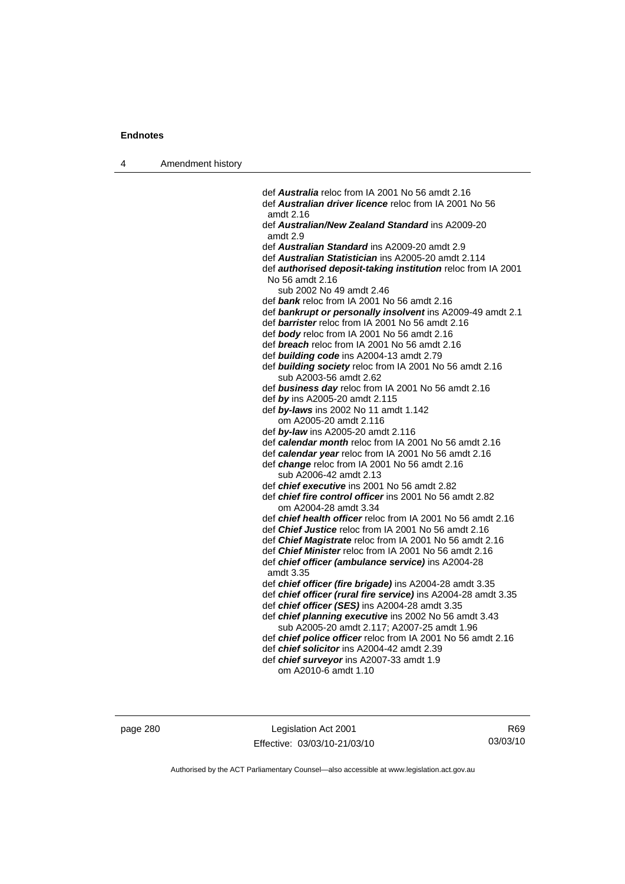4 Amendment history

 def *Australia* reloc from IA 2001 No 56 amdt 2.16 def *Australian driver licence* reloc from IA 2001 No 56 amdt 2.16 def *Australian/New Zealand Standard* ins A2009-20 amdt 2.9 def *Australian Standard* ins A2009-20 amdt 2.9 def *Australian Statistician* ins A2005-20 amdt 2.114 def *authorised deposit-taking institution* reloc from IA 2001 No 56 amdt 2.16 sub 2002 No 49 amdt 2.46 def *bank* reloc from IA 2001 No 56 amdt 2.16 def *bankrupt or personally insolvent* ins A2009-49 amdt 2.1 def *barrister* reloc from IA 2001 No 56 amdt 2.16 def *body* reloc from IA 2001 No 56 amdt 2.16 def *breach* reloc from IA 2001 No 56 amdt 2.16 def *building code* ins A2004-13 amdt 2.79 def *building society* reloc from IA 2001 No 56 amdt 2.16 sub A2003-56 amdt 2.62 def *business day* reloc from IA 2001 No 56 amdt 2.16 def *by* ins A2005-20 amdt 2.115 def *by-laws* ins 2002 No 11 amdt 1.142 om A2005-20 amdt 2.116 def *by-law* ins A2005-20 amdt 2.116 def *calendar month* reloc from IA 2001 No 56 amdt 2.16 def *calendar year* reloc from IA 2001 No 56 amdt 2.16 def *change* reloc from IA 2001 No 56 amdt 2.16 sub A2006-42 amdt 2.13 def *chief executive* ins 2001 No 56 amdt 2.82 def *chief fire control officer* ins 2001 No 56 amdt 2.82 om A2004-28 amdt 3.34 def *chief health officer* reloc from IA 2001 No 56 amdt 2.16 def *Chief Justice* reloc from IA 2001 No 56 amdt 2.16 def *Chief Magistrate* reloc from IA 2001 No 56 amdt 2.16 def *Chief Minister* reloc from IA 2001 No 56 amdt 2.16 def *chief officer (ambulance service)* ins A2004-28 amdt 3.35 def *chief officer (fire brigade)* ins A2004-28 amdt 3.35 def *chief officer (rural fire service)* ins A2004-28 amdt 3.35 def *chief officer (SES)* ins A2004-28 amdt 3.35 def *chief planning executive* ins 2002 No 56 amdt 3.43 sub A2005-20 amdt 2.117; A2007-25 amdt 1.96 def *chief police officer* reloc from IA 2001 No 56 amdt 2.16 def *chief solicitor* ins A2004-42 amdt 2.39 def *chief surveyor* ins A2007-33 amdt 1.9

om A2010-6 amdt 1.10

page 280 Legislation Act 2001 Effective: 03/03/10-21/03/10

R69 03/03/10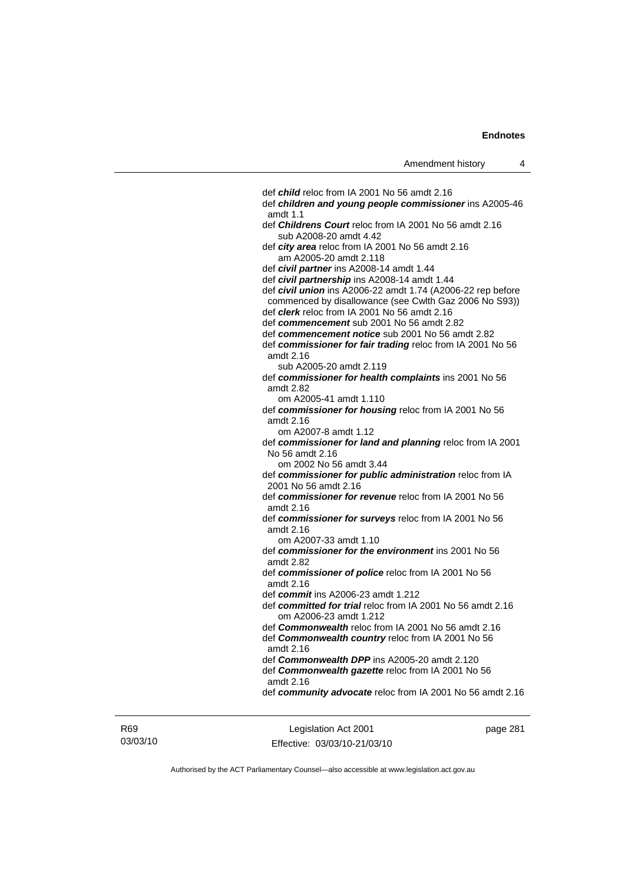def *child* reloc from IA 2001 No 56 amdt 2.16 def *children and young people commissioner* ins A2005-46 amdt 1.1 def *Childrens Court* reloc from IA 2001 No 56 amdt 2.16 sub A2008-20 amdt 4.42 def *city area* reloc from IA 2001 No 56 amdt 2.16 am A2005-20 amdt 2.118 def *civil partner* ins A2008-14 amdt 1.44 def *civil partnership* ins A2008-14 amdt 1.44 def *civil union* ins A2006-22 amdt 1.74 (A2006-22 rep before commenced by disallowance (see Cwlth Gaz 2006 No S93)) def *clerk* reloc from IA 2001 No 56 amdt 2.16 def *commencement* sub 2001 No 56 amdt 2.82 def *commencement notice* sub 2001 No 56 amdt 2.82 def *commissioner for fair trading* reloc from IA 2001 No 56 amdt 2.16 sub A2005-20 amdt 2.119 def *commissioner for health complaints* ins 2001 No 56 amdt 2.82 om A2005-41 amdt 1.110 def *commissioner for housing* reloc from IA 2001 No 56 amdt 2.16 om A2007-8 amdt 1.12 def *commissioner for land and planning* reloc from IA 2001 No 56 amdt 2.16 om 2002 No 56 amdt 3.44 def *commissioner for public administration* reloc from IA 2001 No 56 amdt 2.16 def *commissioner for revenue* reloc from IA 2001 No 56 amdt 2.16 def *commissioner for surveys* reloc from IA 2001 No 56 amdt 2.16 om A2007-33 amdt 1.10 def *commissioner for the environment* ins 2001 No 56 amdt 2.82 def *commissioner of police* reloc from IA 2001 No 56 amdt 2.16 def *commit* ins A2006-23 amdt 1.212 def *committed for trial* reloc from IA 2001 No 56 amdt 2.16 om A2006-23 amdt 1.212 def *Commonwealth* reloc from IA 2001 No 56 amdt 2.16 def *Commonwealth country* reloc from IA 2001 No 56 amdt 2.16 def *Commonwealth DPP* ins A2005-20 amdt 2.120 def *Commonwealth gazette* reloc from IA 2001 No 56 amdt 2.16 def *community advocate* reloc from IA 2001 No 56 amdt 2.16

R69 03/03/10

Legislation Act 2001 Effective: 03/03/10-21/03/10 page 281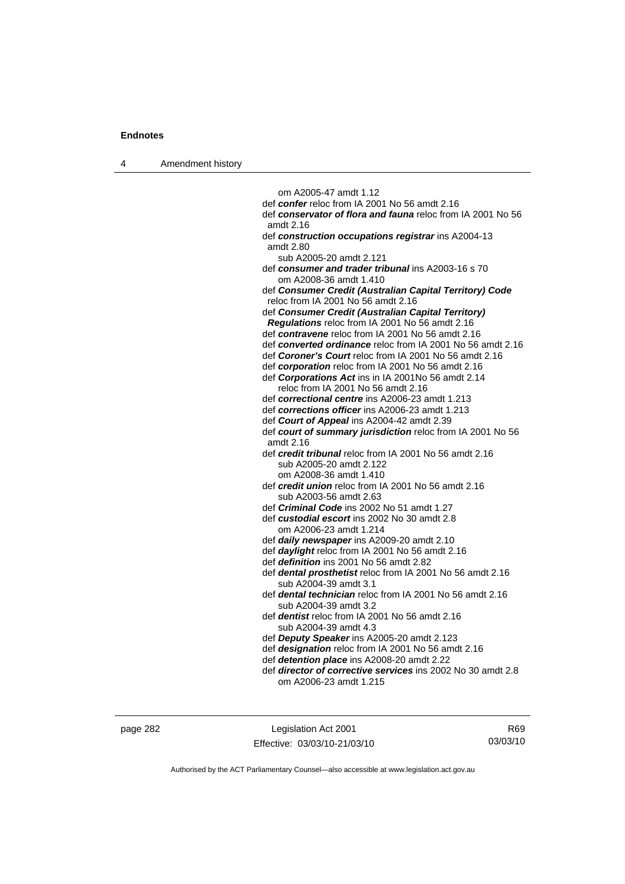4 Amendment history

 om A2005-47 amdt 1.12 def *confer* reloc from IA 2001 No 56 amdt 2.16 def *conservator of flora and fauna* reloc from IA 2001 No 56 amdt 2.16 def *construction occupations registrar* ins A2004-13 amdt 2.80 sub A2005-20 amdt 2.121 def *consumer and trader tribunal* ins A2003-16 s 70 om A2008-36 amdt 1.410 def *Consumer Credit (Australian Capital Territory) Code* reloc from IA 2001 No 56 amdt 2.16 def *Consumer Credit (Australian Capital Territory) Regulations* reloc from IA 2001 No 56 amdt 2.16 def *contravene* reloc from IA 2001 No 56 amdt 2.16 def *converted ordinance* reloc from IA 2001 No 56 amdt 2.16 def *Coroner's Court* reloc from IA 2001 No 56 amdt 2.16 def *corporation* reloc from IA 2001 No 56 amdt 2.16 def *Corporations Act* ins in IA 2001No 56 amdt 2.14 reloc from IA 2001 No 56 amdt 2.16 def *correctional centre* ins A2006-23 amdt 1.213 def *corrections officer* ins A2006-23 amdt 1.213 def *Court of Appeal* ins A2004-42 amdt 2.39 def *court of summary jurisdiction* reloc from IA 2001 No 56 amdt 2.16 def *credit tribunal* reloc from IA 2001 No 56 amdt 2.16 sub A2005-20 amdt 2.122 om A2008-36 amdt 1.410 def *credit union* reloc from IA 2001 No 56 amdt 2.16 sub A2003-56 amdt 2.63 def *Criminal Code* ins 2002 No 51 amdt 1.27 def *custodial escort* ins 2002 No 30 amdt 2.8 om A2006-23 amdt 1.214 def *daily newspaper* ins A2009-20 amdt 2.10 def *daylight* reloc from IA 2001 No 56 amdt 2.16 def *definition* ins 2001 No 56 amdt 2.82 def *dental prosthetist* reloc from IA 2001 No 56 amdt 2.16 sub A2004-39 amdt 3.1 def *dental technician* reloc from IA 2001 No 56 amdt 2.16 sub A2004-39 amdt 3.2 def *dentist* reloc from IA 2001 No 56 amdt 2.16 sub A2004-39 amdt 4.3 def *Deputy Speaker* ins A2005-20 amdt 2.123 def *designation* reloc from IA 2001 No 56 amdt 2.16 def *detention place* ins A2008-20 amdt 2.22 def *director of corrective services* ins 2002 No 30 amdt 2.8

page 282 Legislation Act 2001 Effective: 03/03/10-21/03/10

R69 03/03/10

Authorised by the ACT Parliamentary Counsel—also accessible at www.legislation.act.gov.au

om A2006-23 amdt 1.215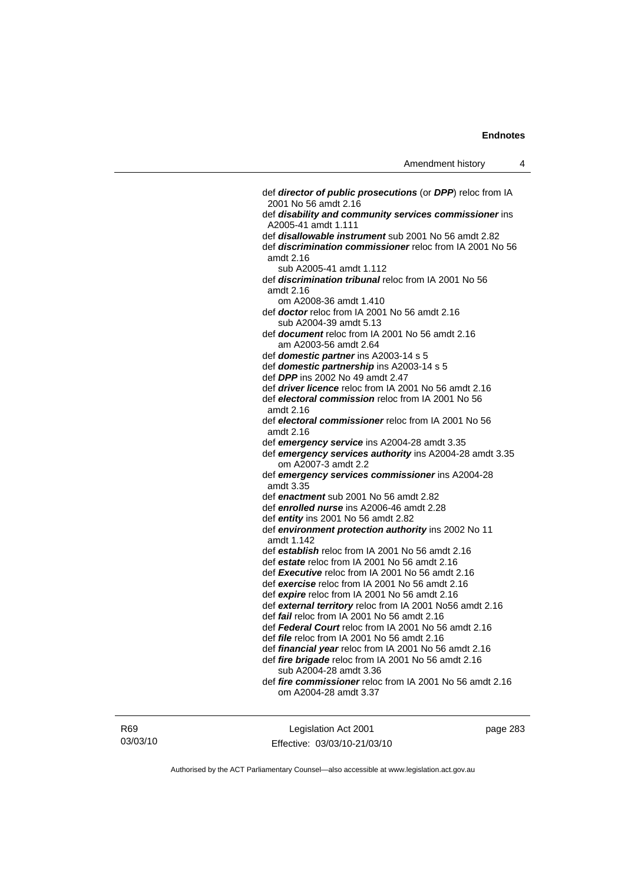def *director of public prosecutions* (or *DPP*) reloc from IA 2001 No 56 amdt 2.16 def *disability and community services commissioner* ins A2005-41 amdt 1.111 def *disallowable instrument* sub 2001 No 56 amdt 2.82 def *discrimination commissioner* reloc from IA 2001 No 56 amdt 2.16 sub A2005-41 amdt 1.112 def *discrimination tribunal* reloc from IA 2001 No 56 amdt 2.16 om A2008-36 amdt 1.410 def *doctor* reloc from IA 2001 No 56 amdt 2.16 sub A2004-39 amdt 5.13 def *document* reloc from IA 2001 No 56 amdt 2.16 am A2003-56 amdt 2.64 def *domestic partner* ins A2003-14 s 5 def *domestic partnership* ins A2003-14 s 5 def *DPP* ins 2002 No 49 amdt 2.47 def *driver licence* reloc from IA 2001 No 56 amdt 2.16 def *electoral commission* reloc from IA 2001 No 56 amdt 2.16 def *electoral commissioner* reloc from IA 2001 No 56 amdt 2.16 def *emergency service* ins A2004-28 amdt 3.35 def *emergency services authority* ins A2004-28 amdt 3.35 om A2007-3 amdt 2.2 def *emergency services commissioner* ins A2004-28 amdt 3.35 def *enactment* sub 2001 No 56 amdt 2.82 def *enrolled nurse* ins A2006-46 amdt 2.28 def *entity* ins 2001 No 56 amdt 2.82 def *environment protection authority* ins 2002 No 11 amdt 1.142 def *establish* reloc from IA 2001 No 56 amdt 2.16 def *estate* reloc from IA 2001 No 56 amdt 2.16 def *Executive* reloc from IA 2001 No 56 amdt 2.16 def *exercise* reloc from IA 2001 No 56 amdt 2.16 def *expire* reloc from IA 2001 No 56 amdt 2.16 def *external territory* reloc from IA 2001 No56 amdt 2.16 def *fail* reloc from IA 2001 No 56 amdt 2.16 def *Federal Court* reloc from IA 2001 No 56 amdt 2.16 def *file* reloc from IA 2001 No 56 amdt 2.16 def *financial year* reloc from IA 2001 No 56 amdt 2.16 def *fire brigade* reloc from IA 2001 No 56 amdt 2.16 sub A2004-28 amdt 3.36 def *fire commissioner* reloc from IA 2001 No 56 amdt 2.16 om A2004-28 amdt 3.37

R69 03/03/10

Legislation Act 2001 Effective: 03/03/10-21/03/10 page 283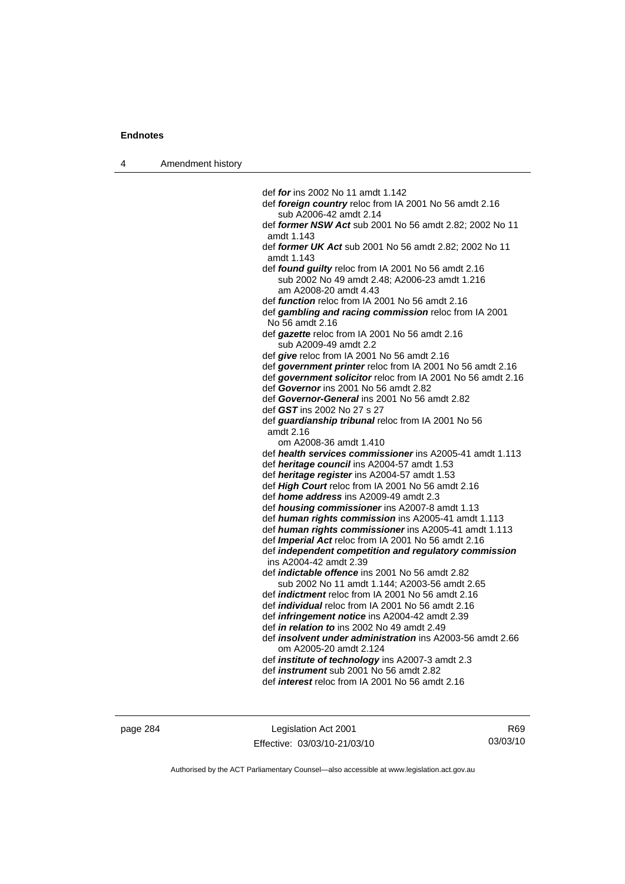4 Amendment history

 def *for* ins 2002 No 11 amdt 1.142 def *foreign country* reloc from IA 2001 No 56 amdt 2.16 sub A2006-42 amdt 2.14 def *former NSW Act* sub 2001 No 56 amdt 2.82; 2002 No 11 amdt 1.143 def *former UK Act* sub 2001 No 56 amdt 2.82; 2002 No 11 amdt 1.143 def *found guilty* reloc from IA 2001 No 56 amdt 2.16 sub 2002 No 49 amdt 2.48; A2006-23 amdt 1.216 am A2008-20 amdt 4.43 def *function* reloc from IA 2001 No 56 amdt 2.16 def *gambling and racing commission* reloc from IA 2001 No 56 amdt 2.16 def *gazette* reloc from IA 2001 No 56 amdt 2.16 sub A2009-49 amdt 2.2 def *give* reloc from IA 2001 No 56 amdt 2.16 def *government printer* reloc from IA 2001 No 56 amdt 2.16 def *government solicitor* reloc from IA 2001 No 56 amdt 2.16 def *Governor* ins 2001 No 56 amdt 2.82 def *Governor-General* ins 2001 No 56 amdt 2.82 def *GST* ins 2002 No 27 s 27 def *guardianship tribunal* reloc from IA 2001 No 56 amdt 2.16 om A2008-36 amdt 1.410 def *health services commissioner* ins A2005-41 amdt 1.113 def *heritage council* ins A2004-57 amdt 1.53 def *heritage register* ins A2004-57 amdt 1.53 def *High Court* reloc from IA 2001 No 56 amdt 2.16 def *home address* ins A2009-49 amdt 2.3 def *housing commissioner* ins A2007-8 amdt 1.13 def *human rights commission* ins A2005-41 amdt 1.113 def *human rights commissioner* ins A2005-41 amdt 1.113 def *Imperial Act* reloc from IA 2001 No 56 amdt 2.16 def *independent competition and regulatory commission*  ins A2004-42 amdt 2.39 def *indictable offence* ins 2001 No 56 amdt 2.82 sub 2002 No 11 amdt 1.144; A2003-56 amdt 2.65 def *indictment* reloc from IA 2001 No 56 amdt 2.16 def *individual* reloc from IA 2001 No 56 amdt 2.16 def *infringement notice* ins A2004-42 amdt 2.39 def *in relation to* ins 2002 No 49 amdt 2.49

 def *insolvent under administration* ins A2003-56 amdt 2.66 om A2005-20 amdt 2.124

def *institute of technology* ins A2007-3 amdt 2.3

def *instrument* sub 2001 No 56 amdt 2.82

def *interest* reloc from IA 2001 No 56 amdt 2.16

page 284 Legislation Act 2001 Effective: 03/03/10-21/03/10

R69 03/03/10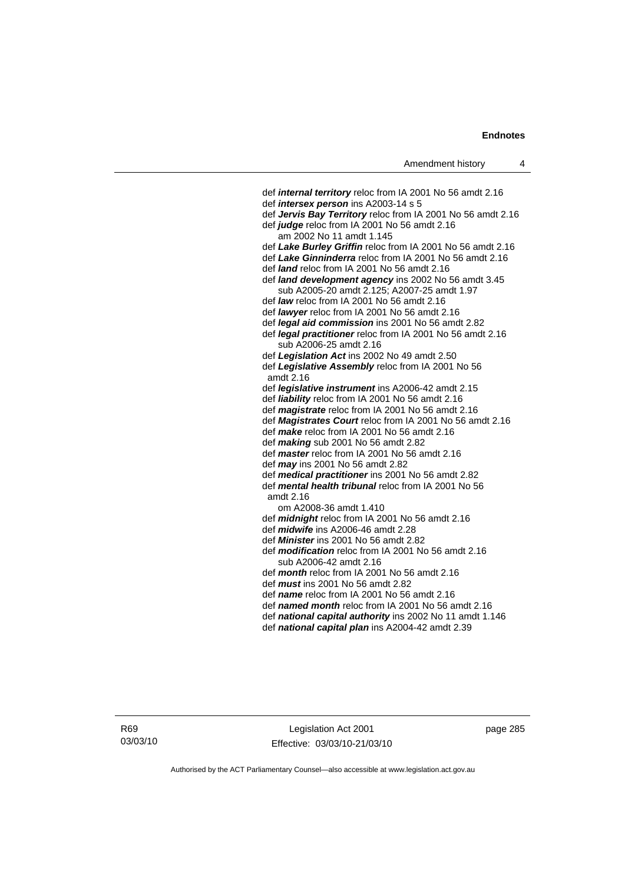def *internal territory* reloc from IA 2001 No 56 amdt 2.16 def *intersex person* ins A2003-14 s 5 def *Jervis Bay Territory* reloc from IA 2001 No 56 amdt 2.16 def *judge* reloc from IA 2001 No 56 amdt 2.16 am 2002 No 11 amdt 1.145 def *Lake Burley Griffin* reloc from IA 2001 No 56 amdt 2.16 def *Lake Ginninderra* reloc from IA 2001 No 56 amdt 2.16 def *land* reloc from IA 2001 No 56 amdt 2.16 def *land development agency* ins 2002 No 56 amdt 3.45 sub A2005-20 amdt 2.125; A2007-25 amdt 1.97 def *law* reloc from IA 2001 No 56 amdt 2.16 def *lawyer* reloc from IA 2001 No 56 amdt 2.16 def *legal aid commission* ins 2001 No 56 amdt 2.82 def *legal practitioner* reloc from IA 2001 No 56 amdt 2.16 sub A2006-25 amdt 2.16 def *Legislation Act* ins 2002 No 49 amdt 2.50 def *Legislative Assembly* reloc from IA 2001 No 56 amdt 2.16 def *legislative instrument* ins A2006-42 amdt 2.15 def *liability* reloc from IA 2001 No 56 amdt 2.16 def *magistrate* reloc from IA 2001 No 56 amdt 2.16 def *Magistrates Court* reloc from IA 2001 No 56 amdt 2.16 def *make* reloc from IA 2001 No 56 amdt 2.16 def *making* sub 2001 No 56 amdt 2.82 def *master* reloc from IA 2001 No 56 amdt 2.16 def *may* ins 2001 No 56 amdt 2.82 def *medical practitioner* ins 2001 No 56 amdt 2.82 def *mental health tribunal* reloc from IA 2001 No 56 amdt 2.16 om A2008-36 amdt 1.410 def *midnight* reloc from IA 2001 No 56 amdt 2.16 def *midwife* ins A2006-46 amdt 2.28 def *Minister* ins 2001 No 56 amdt 2.82 def *modification* reloc from IA 2001 No 56 amdt 2.16 sub A2006-42 amdt 2.16 def *month* reloc from IA 2001 No 56 amdt 2.16 def *must* ins 2001 No 56 amdt 2.82 def *name* reloc from IA 2001 No 56 amdt 2.16 def *named month* reloc from IA 2001 No 56 amdt 2.16 def *national capital authority* ins 2002 No 11 amdt 1.146

def *national capital plan* ins A2004-42 amdt 2.39

R69 03/03/10

Legislation Act 2001 Effective: 03/03/10-21/03/10 page 285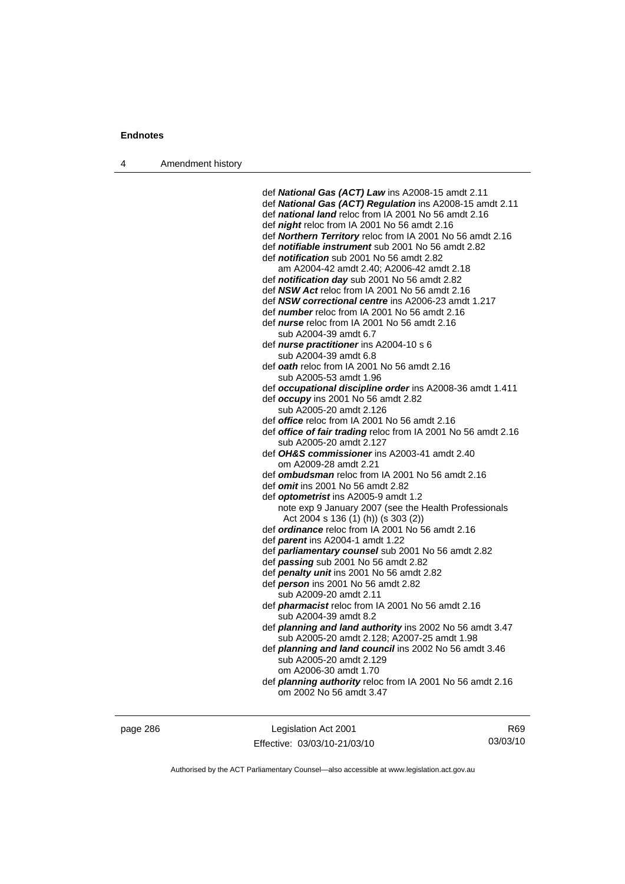4 Amendment history

 def *National Gas (ACT) Law* ins A2008-15 amdt 2.11 def *National Gas (ACT) Regulation* ins A2008-15 amdt 2.11 def *national land* reloc from IA 2001 No 56 amdt 2.16 def *night* reloc from IA 2001 No 56 amdt 2.16 def *Northern Territory* reloc from IA 2001 No 56 amdt 2.16 def *notifiable instrument* sub 2001 No 56 amdt 2.82 def *notification* sub 2001 No 56 amdt 2.82 am A2004-42 amdt 2.40; A2006-42 amdt 2.18 def *notification day* sub 2001 No 56 amdt 2.82 def *NSW Act* reloc from IA 2001 No 56 amdt 2.16 def *NSW correctional centre* ins A2006-23 amdt 1.217 def *number* reloc from IA 2001 No 56 amdt 2.16 def *nurse* reloc from IA 2001 No 56 amdt 2.16 sub A2004-39 amdt 6.7 def *nurse practitioner* ins A2004-10 s 6 sub A2004-39 amdt 6.8 def *oath* reloc from IA 2001 No 56 amdt 2.16 sub A2005-53 amdt 1.96 def *occupational discipline order* ins A2008-36 amdt 1.411 def *occupy* ins 2001 No 56 amdt 2.82 sub A2005-20 amdt 2.126 def *office* reloc from IA 2001 No 56 amdt 2.16 def *office of fair trading* reloc from IA 2001 No 56 amdt 2.16 sub A2005-20 amdt 2.127 def *OH&S commissioner* ins A2003-41 amdt 2.40 om A2009-28 amdt 2.21 def *ombudsman* reloc from IA 2001 No 56 amdt 2.16 def *omit* ins 2001 No 56 amdt 2.82 def *optometrist* ins A2005-9 amdt 1.2 note exp 9 January 2007 (see the Health Professionals Act 2004 s 136 (1) (h)) (s 303 (2)) def *ordinance* reloc from IA 2001 No 56 amdt 2.16 def *parent* ins A2004-1 amdt 1.22 def *parliamentary counsel* sub 2001 No 56 amdt 2.82 def *passing* sub 2001 No 56 amdt 2.82 def *penalty unit* ins 2001 No 56 amdt 2.82 def *person* ins 2001 No 56 amdt 2.82 sub A2009-20 amdt 2.11 def *pharmacist* reloc from IA 2001 No 56 amdt 2.16 sub A2004-39 amdt 8.2 def *planning and land authority* ins 2002 No 56 amdt 3.47 sub A2005-20 amdt 2.128; A2007-25 amdt 1.98 def *planning and land council* ins 2002 No 56 amdt 3.46 sub A2005-20 amdt 2.129 om A2006-30 amdt 1.70 def *planning authority* reloc from IA 2001 No 56 amdt 2.16 om 2002 No 56 amdt 3.47

page 286 Legislation Act 2001 Effective: 03/03/10-21/03/10

R69 03/03/10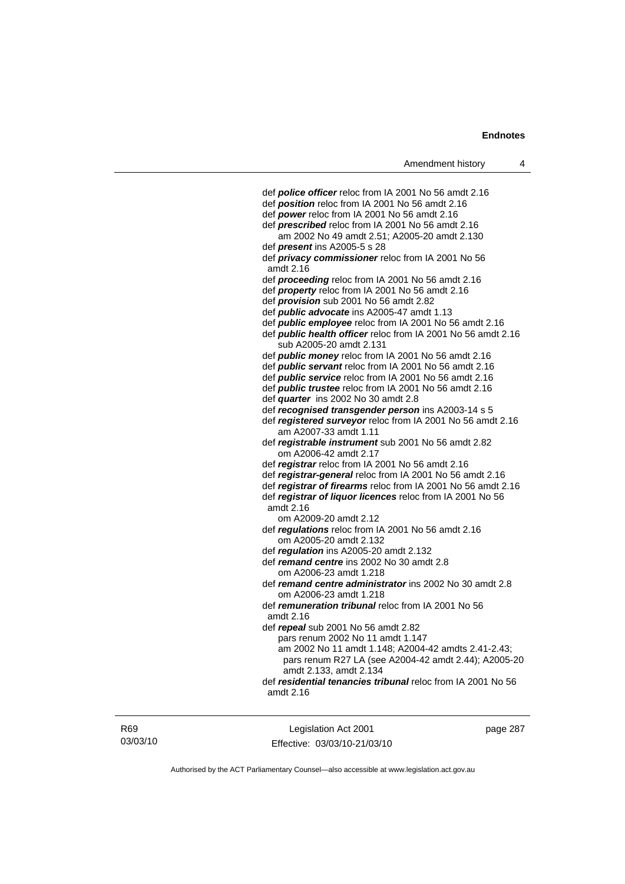| Amendment history                                                                                           | 4 |
|-------------------------------------------------------------------------------------------------------------|---|
|                                                                                                             |   |
| def <b>police officer</b> reloc from IA 2001 No 56 amdt 2.16                                                |   |
| def <b>position</b> reloc from IA 2001 No 56 amdt 2.16<br>def power reloc from IA 2001 No 56 amdt 2.16      |   |
|                                                                                                             |   |
| def <i>prescribed</i> reloc from IA 2001 No 56 amdt 2.16<br>am 2002 No 49 amdt 2.51; A2005-20 amdt 2.130    |   |
| def <i>present</i> ins A2005-5 s 28                                                                         |   |
| def <i>privacy commissioner</i> reloc from IA 2001 No 56                                                    |   |
| amdt 2.16                                                                                                   |   |
| def proceeding reloc from IA 2001 No 56 amdt 2.16                                                           |   |
| def property reloc from IA 2001 No 56 amdt 2.16                                                             |   |
| def <i>provision</i> sub 2001 No 56 amdt 2.82                                                               |   |
| def <i>public advocate</i> ins A2005-47 amdt 1.13                                                           |   |
| def public employee reloc from IA 2001 No 56 amdt 2.16                                                      |   |
| def public health officer reloc from IA 2001 No 56 amdt 2.16                                                |   |
| sub A2005-20 amdt 2.131                                                                                     |   |
| def <i>public money</i> reloc from IA 2001 No 56 amdt 2.16                                                  |   |
| def public servant reloc from IA 2001 No 56 amdt 2.16                                                       |   |
| def public service reloc from IA 2001 No 56 amdt 2.16                                                       |   |
| def <i>public trustee</i> reloc from IA 2001 No 56 amdt 2.16                                                |   |
| def <i>quarter</i> ins 2002 No 30 amdt 2.8                                                                  |   |
| def recognised transgender person ins A2003-14 s 5                                                          |   |
| def registered surveyor reloc from IA 2001 No 56 amdt 2.16<br>am A2007-33 amdt 1.11                         |   |
| def registrable instrument sub 2001 No 56 amdt 2.82                                                         |   |
| om A2006-42 amdt 2.17                                                                                       |   |
| def registrar reloc from IA 2001 No 56 amdt 2.16                                                            |   |
| def registrar-general reloc from IA 2001 No 56 amdt 2.16                                                    |   |
| def registrar of firearms reloc from IA 2001 No 56 amdt 2.16                                                |   |
| def registrar of liquor licences reloc from IA 2001 No 56                                                   |   |
| amdt 2.16                                                                                                   |   |
| om A2009-20 amdt 2.12                                                                                       |   |
| def regulations reloc from IA 2001 No 56 amdt 2.16                                                          |   |
| om A2005-20 amdt 2.132                                                                                      |   |
| def regulation ins A2005-20 amdt 2.132                                                                      |   |
| def remand centre ins 2002 No 30 amdt 2.8<br>om A2006-23 amdt 1.218                                         |   |
| def remand centre administrator ins 2002 No 30 amdt 2.8                                                     |   |
| om A2006-23 amdt 1.218                                                                                      |   |
| def remuneration tribunal reloc from IA 2001 No 56                                                          |   |
| amdt 2.16                                                                                                   |   |
| def repeal sub 2001 No 56 amdt 2.82                                                                         |   |
| pars renum 2002 No 11 amdt 1.147                                                                            |   |
| am 2002 No 11 amdt 1.148; A2004-42 amdts 2.41-2.43;<br>pars renum R27 LA (see A2004-42 amdt 2.44); A2005-20 |   |
| amdt 2.133, amdt 2.134                                                                                      |   |
| def residential tenancies tribunal reloc from IA 2001 No 56                                                 |   |
| amdt 2.16                                                                                                   |   |
|                                                                                                             |   |

R69 03/03/10

Legislation Act 2001 Effective: 03/03/10-21/03/10 page 287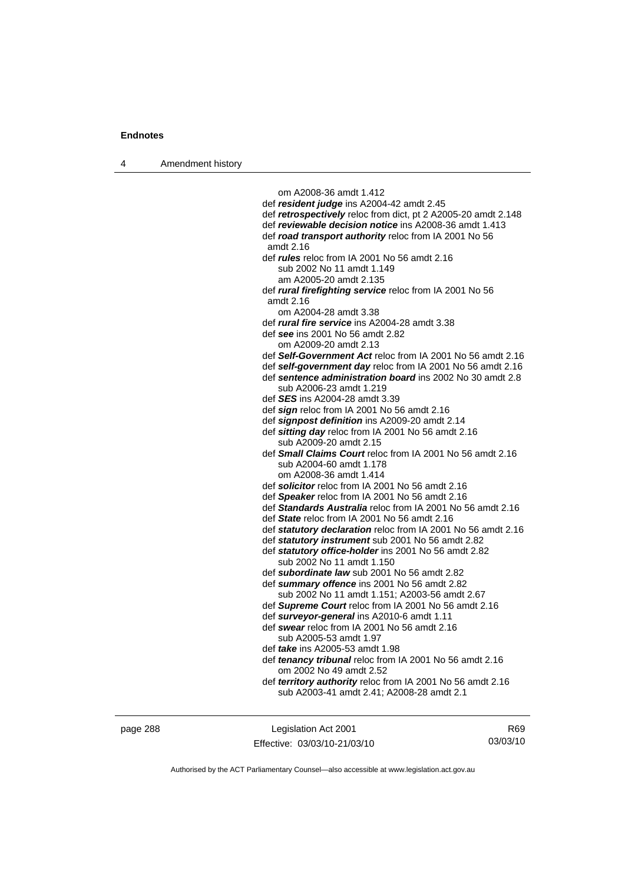4 Amendment history

 om A2008-36 amdt 1.412 def *resident judge* ins A2004-42 amdt 2.45 def *retrospectively* reloc from dict, pt 2 A2005-20 amdt 2.148 def *reviewable decision notice* ins A2008-36 amdt 1.413 def *road transport authority* reloc from IA 2001 No 56 amdt 2.16 def *rules* reloc from IA 2001 No 56 amdt 2.16 sub 2002 No 11 amdt 1.149 am A2005-20 amdt 2.135 def *rural firefighting service* reloc from IA 2001 No 56 amdt 2.16 om A2004-28 amdt 3.38 def *rural fire service* ins A2004-28 amdt 3.38 def *see* ins 2001 No 56 amdt 2.82 om A2009-20 amdt 2.13 def *Self-Government Act* reloc from IA 2001 No 56 amdt 2.16 def *self-government day* reloc from IA 2001 No 56 amdt 2.16 def *sentence administration board* ins 2002 No 30 amdt 2.8 sub A2006-23 amdt 1.219 def *SES* ins A2004-28 amdt 3.39 def *sign* reloc from IA 2001 No 56 amdt 2.16 def *signpost definition* ins A2009-20 amdt 2.14 def *sitting day* reloc from IA 2001 No 56 amdt 2.16 sub A2009-20 amdt 2.15 def *Small Claims Court* reloc from IA 2001 No 56 amdt 2.16 sub A2004-60 amdt 1.178 om A2008-36 amdt 1.414 def *solicitor* reloc from IA 2001 No 56 amdt 2.16 def *Speaker* reloc from IA 2001 No 56 amdt 2.16 def *Standards Australia* reloc from IA 2001 No 56 amdt 2.16 def *State* reloc from IA 2001 No 56 amdt 2.16 def *statutory declaration* reloc from IA 2001 No 56 amdt 2.16 def *statutory instrument* sub 2001 No 56 amdt 2.82 def *statutory office-holder* ins 2001 No 56 amdt 2.82 sub 2002 No 11 amdt 1.150 def *subordinate law* sub 2001 No 56 amdt 2.82 def *summary offence* ins 2001 No 56 amdt 2.82 sub 2002 No 11 amdt 1.151; A2003-56 amdt 2.67 def *Supreme Court* reloc from IA 2001 No 56 amdt 2.16 def *surveyor-general* ins A2010-6 amdt 1.11 def *swear* reloc from IA 2001 No 56 amdt 2.16 sub A2005-53 amdt 1.97 def *take* ins A2005-53 amdt 1.98 def *tenancy tribunal* reloc from IA 2001 No 56 amdt 2.16 om 2002 No 49 amdt 2.52 def *territory authority* reloc from IA 2001 No 56 amdt 2.16 sub A2003-41 amdt 2.41; A2008-28 amdt 2.1

page 288 Legislation Act 2001 Effective: 03/03/10-21/03/10

R69 03/03/10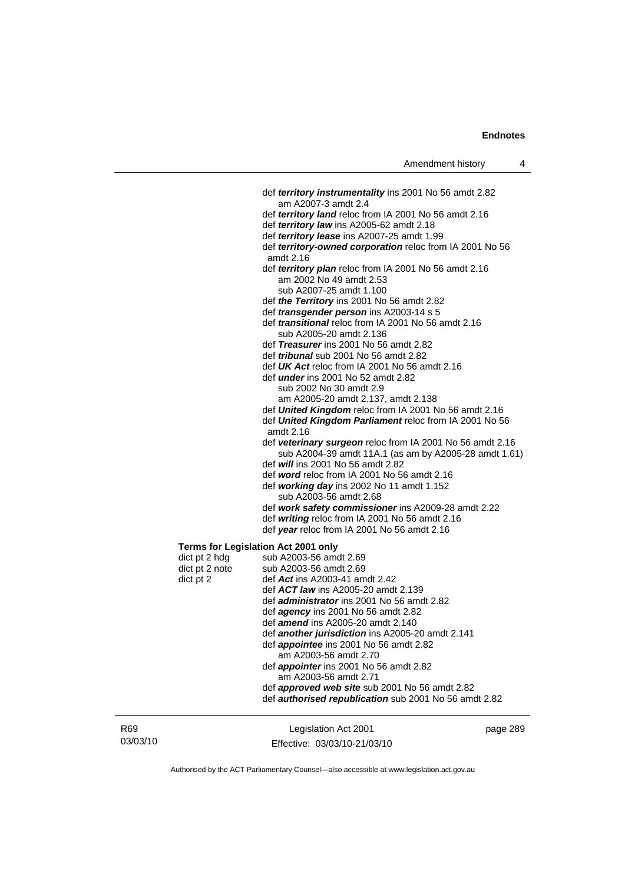|                                            | def <i>territory instrumentality</i> ins 2001 No 56 amdt 2.82                                |
|--------------------------------------------|----------------------------------------------------------------------------------------------|
|                                            | am A2007-3 amdt 2.4                                                                          |
|                                            | def territory land reloc from IA 2001 No 56 amdt 2.16                                        |
|                                            | def territory law ins A2005-62 amdt 2.18<br>def territory lease ins A2007-25 amdt 1.99       |
|                                            | def territory-owned corporation reloc from IA 2001 No 56                                     |
|                                            | amdt 2.16                                                                                    |
|                                            | def territory plan reloc from IA 2001 No 56 amdt 2.16                                        |
|                                            | am 2002 No 49 amdt 2.53                                                                      |
|                                            | sub A2007-25 amdt 1.100                                                                      |
|                                            | def the Territory ins 2001 No 56 amdt 2.82                                                   |
|                                            | def <i>transgender person</i> ins A2003-14 s 5                                               |
|                                            | def <i>transitional</i> reloc from IA 2001 No 56 amdt 2.16                                   |
|                                            | sub A2005-20 amdt 2.136                                                                      |
|                                            | def Treasurer ins 2001 No 56 amdt 2.82                                                       |
|                                            | def <i>tribunal</i> sub 2001 No 56 amdt 2.82                                                 |
|                                            | def $UK$ Act reloc from IA 2001 No 56 amdt 2.16<br>def <i>under</i> ins 2001 No 52 amdt 2.82 |
|                                            | sub 2002 No 30 amdt 2.9                                                                      |
|                                            |                                                                                              |
|                                            | am A2005-20 amdt 2.137, amdt 2.138<br>def United Kingdom reloc from IA 2001 No 56 amdt 2.16  |
|                                            | def United Kingdom Parliament reloc from IA 2001 No 56                                       |
|                                            | amdt 2.16                                                                                    |
|                                            | def veterinary surgeon reloc from IA 2001 No 56 amdt 2.16                                    |
|                                            | sub A2004-39 amdt 11A.1 (as am by A2005-28 amdt 1.61)                                        |
|                                            | def will ins 2001 No 56 amdt 2.82                                                            |
|                                            | def word reloc from IA 2001 No 56 amdt 2.16                                                  |
|                                            | def working day ins 2002 No 11 amdt 1.152                                                    |
|                                            | sub A2003-56 amdt 2.68                                                                       |
|                                            | def work safety commissioner ins A2009-28 amdt 2.22                                          |
|                                            | def writing reloc from IA 2001 No 56 amdt 2.16                                               |
|                                            | def year reloc from IA 2001 No 56 amdt 2.16                                                  |
| <b>Terms for Legislation Act 2001 only</b> |                                                                                              |
| dict pt 2 hdg                              | sub A2003-56 amdt 2.69                                                                       |
| dict pt 2 note                             | sub A2003-56 amdt 2.69                                                                       |
| dict pt 2                                  | def Act ins A2003-41 amdt 2.42                                                               |
|                                            | def ACT law ins A2005-20 amdt 2.139                                                          |
|                                            | def <i>administrator</i> ins 2001 No 56 amdt 2.82                                            |
|                                            | def agency ins 2001 No 56 amdt 2.82                                                          |
|                                            | def <i>amend</i> ins A2005-20 amdt 2.140                                                     |
|                                            | def <b>another jurisdiction</b> ins A2005-20 amdt 2.141                                      |
|                                            | def appointee ins 2001 No 56 amdt 2.82                                                       |
|                                            | am A2003-56 amdt 2.70                                                                        |
|                                            | def <i>appointer</i> ins 2001 No 56 amdt 2.82                                                |
|                                            | am A2003-56 amdt 2.71                                                                        |
|                                            | def approved web site sub 2001 No 56 amdt 2.82                                               |
|                                            | def authorised republication sub 2001 No 56 amdt 2.82                                        |
|                                            |                                                                                              |

| R <sub>69</sub> | Legislation Act 2001         | page 289 |
|-----------------|------------------------------|----------|
| 03/03/10        | Effective: 03/03/10-21/03/10 |          |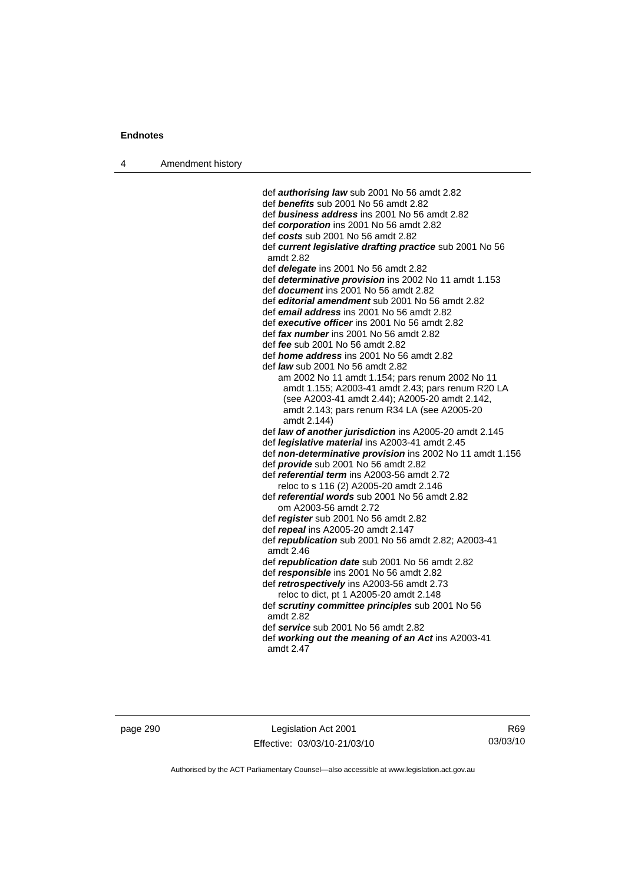| Amendment history<br>4 |  |
|------------------------|--|
|------------------------|--|

 def *authorising law* sub 2001 No 56 amdt 2.82 def *benefits* sub 2001 No 56 amdt 2.82 def *business address* ins 2001 No 56 amdt 2.82 def *corporation* ins 2001 No 56 amdt 2.82 def *costs* sub 2001 No 56 amdt 2.82 def *current legislative drafting practice* sub 2001 No 56 amdt 2.82 def *delegate* ins 2001 No 56 amdt 2.82 def *determinative provision* ins 2002 No 11 amdt 1.153 def *document* ins 2001 No 56 amdt 2.82 def *editorial amendment* sub 2001 No 56 amdt 2.82 def *email address* ins 2001 No 56 amdt 2.82 def *executive officer* ins 2001 No 56 amdt 2.82 def *fax number* ins 2001 No 56 amdt 2.82 def *fee* sub 2001 No 56 amdt 2.82 def *home address* ins 2001 No 56 amdt 2.82 def *law* sub 2001 No 56 amdt 2.82 am 2002 No 11 amdt 1.154; pars renum 2002 No 11 amdt 1.155; A2003-41 amdt 2.43; pars renum R20 LA (see A2003-41 amdt 2.44); A2005-20 amdt 2.142, amdt 2.143; pars renum R34 LA (see A2005-20 amdt 2.144) def *law of another jurisdiction* ins A2005-20 amdt 2.145 def *legislative material* ins A2003-41 amdt 2.45 def *non-determinative provision* ins 2002 No 11 amdt 1.156 def *provide* sub 2001 No 56 amdt 2.82 def *referential term* ins A2003-56 amdt 2.72 reloc to s 116 (2) A2005-20 amdt 2.146 def *referential words* sub 2001 No 56 amdt 2.82 om A2003-56 amdt 2.72 def *register* sub 2001 No 56 amdt 2.82 def *repeal* ins A2005-20 amdt 2.147 def *republication* sub 2001 No 56 amdt 2.82; A2003-41 amdt 2.46 def *republication date* sub 2001 No 56 amdt 2.82 def *responsible* ins 2001 No 56 amdt 2.82 def *retrospectively* ins A2003-56 amdt 2.73 reloc to dict, pt 1 A2005-20 amdt 2.148 def *scrutiny committee principles* sub 2001 No 56 amdt 2.82 def *service* sub 2001 No 56 amdt 2.82 def *working out the meaning of an Act* ins A2003-41 amdt 2.47

page 290 Legislation Act 2001 Effective: 03/03/10-21/03/10

R69 03/03/10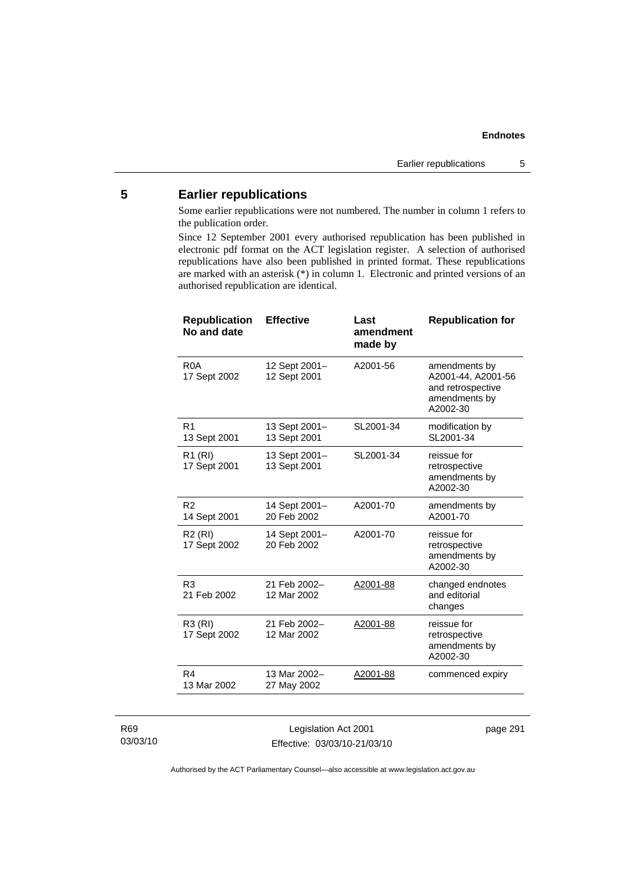### **5 Earlier republications**

Some earlier republications were not numbered. The number in column 1 refers to the publication order.

Since 12 September 2001 every authorised republication has been published in electronic pdf format on the ACT legislation register. A selection of authorised republications have also been published in printed format. These republications are marked with an asterisk (\*) in column 1. Electronic and printed versions of an authorised republication are identical.

| <b>Republication</b><br>No and date | <b>Effective</b>              | Last<br>amendment<br>made by | <b>Republication for</b>                                                              |
|-------------------------------------|-------------------------------|------------------------------|---------------------------------------------------------------------------------------|
| R <sub>0</sub> A<br>17 Sept 2002    | 12 Sept 2001-<br>12 Sept 2001 | A2001-56                     | amendments by<br>A2001-44, A2001-56<br>and retrospective<br>amendments by<br>A2002-30 |
| R <sub>1</sub><br>13 Sept 2001      | 13 Sept 2001-<br>13 Sept 2001 | SL2001-34                    | modification by<br>SL2001-34                                                          |
| R <sub>1</sub> (RI)<br>17 Sept 2001 | 13 Sept 2001-<br>13 Sept 2001 | SL2001-34                    | reissue for<br>retrospective<br>amendments by<br>A2002-30                             |
| R <sub>2</sub><br>14 Sept 2001      | 14 Sept 2001-<br>20 Feb 2002  | A2001-70                     | amendments by<br>A2001-70                                                             |
| R <sub>2</sub> (RI)<br>17 Sept 2002 | 14 Sept 2001-<br>20 Feb 2002  | A2001-70                     | reissue for<br>retrospective<br>amendments by<br>A2002-30                             |
| R <sub>3</sub><br>21 Feb 2002       | 21 Feb 2002-<br>12 Mar 2002   | A2001-88                     | changed endnotes<br>and editorial<br>changes                                          |
| R3 (RI)<br>17 Sept 2002             | 21 Feb 2002-<br>12 Mar 2002   | A2001-88                     | reissue for<br>retrospective<br>amendments by<br>A2002-30                             |
| R <sub>4</sub><br>13 Mar 2002       | 13 Mar 2002-<br>27 May 2002   | A2001-88                     | commenced expiry                                                                      |

### R69 03/03/10

Legislation Act 2001 Effective: 03/03/10-21/03/10 page 291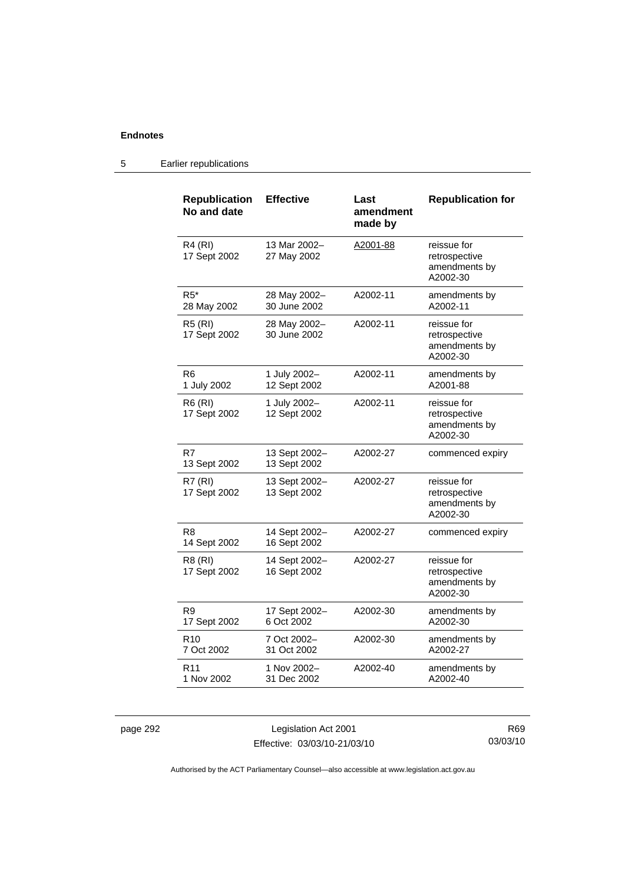### 5 Earlier republications

| <b>Republication</b><br>No and date | <b>Effective</b>              | Last<br>amendment<br>made by | <b>Republication for</b>                                  |
|-------------------------------------|-------------------------------|------------------------------|-----------------------------------------------------------|
| R4 (RI)<br>17 Sept 2002             | 13 Mar 2002-<br>27 May 2002   | A2001-88                     | reissue for<br>retrospective<br>amendments by<br>A2002-30 |
| $R5^*$<br>28 May 2002               | 28 May 2002-<br>30 June 2002  | A2002-11                     | amendments by<br>A2002-11                                 |
| <b>R5 (RI)</b><br>17 Sept 2002      | 28 May 2002-<br>30 June 2002  | A2002-11                     | reissue for<br>retrospective<br>amendments by<br>A2002-30 |
| R <sub>6</sub><br>1 July 2002       | 1 July 2002-<br>12 Sept 2002  | A2002-11                     | amendments by<br>A2001-88                                 |
| <b>R6 (RI)</b><br>17 Sept 2002      | 1 July 2002-<br>12 Sept 2002  | A2002-11                     | reissue for<br>retrospective<br>amendments by<br>A2002-30 |
| R7<br>13 Sept 2002                  | 13 Sept 2002-<br>13 Sept 2002 | A2002-27                     | commenced expiry                                          |
| R7 (RI)<br>17 Sept 2002             | 13 Sept 2002-<br>13 Sept 2002 | A2002-27                     | reissue for<br>retrospective<br>amendments by<br>A2002-30 |
| R <sub>8</sub><br>14 Sept 2002      | 14 Sept 2002-<br>16 Sept 2002 | A2002-27                     | commenced expiry                                          |
| R8 (RI)<br>17 Sept 2002             | 14 Sept 2002-<br>16 Sept 2002 | A2002-27                     | reissue for<br>retrospective<br>amendments by<br>A2002-30 |
| R <sub>9</sub><br>17 Sept 2002      | 17 Sept 2002-<br>6 Oct 2002   | A2002-30                     | amendments by<br>A2002-30                                 |
| R <sub>10</sub><br>7 Oct 2002       | 7 Oct 2002-<br>31 Oct 2002    | A2002-30                     | amendments by<br>A2002-27                                 |
| R <sub>11</sub><br>1 Nov 2002       | 1 Nov 2002-<br>31 Dec 2002    | A2002-40                     | amendments by<br>A2002-40                                 |

page 292 Legislation Act 2001 Effective: 03/03/10-21/03/10

R69 03/03/10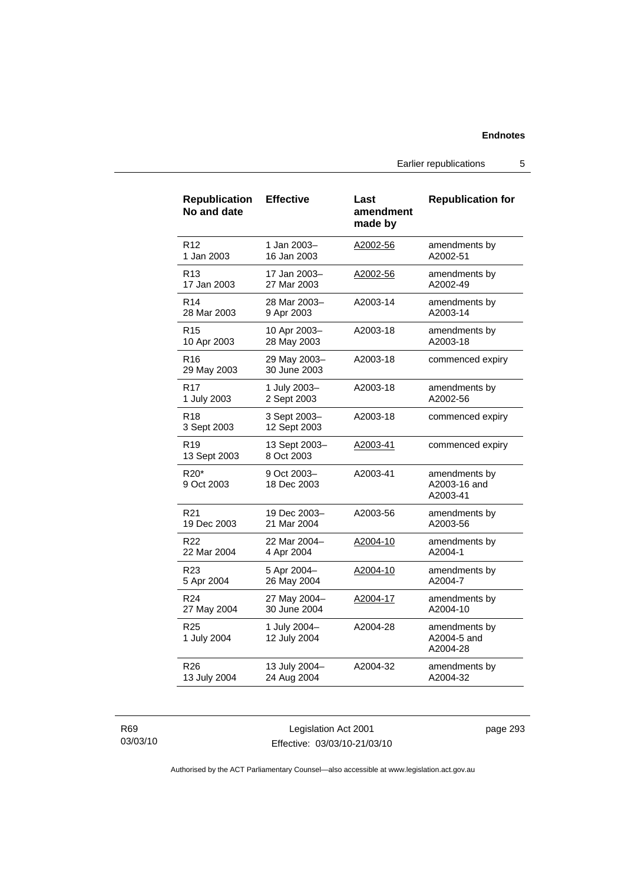Earlier republications 5

| <b>Republication</b><br>No and date | <b>Effective</b>             | Last<br>amendment<br>made by | <b>Republication for</b>                  |
|-------------------------------------|------------------------------|------------------------------|-------------------------------------------|
| R <sub>12</sub>                     | 1 Jan 2003-                  | A2002-56                     | amendments by                             |
| 1 Jan 2003                          | 16 Jan 2003                  |                              | A2002-51                                  |
| R <sub>13</sub>                     | 17 Jan 2003-                 | A2002-56                     | amendments by                             |
| 17 Jan 2003                         | 27 Mar 2003                  |                              | A2002-49                                  |
| R <sub>14</sub>                     | 28 Mar 2003-                 | A2003-14                     | amendments by                             |
| 28 Mar 2003                         | 9 Apr 2003                   |                              | A2003-14                                  |
| R <sub>15</sub>                     | 10 Apr 2003-                 | A2003-18                     | amendments by                             |
| 10 Apr 2003                         | 28 May 2003                  |                              | A2003-18                                  |
| R <sub>16</sub><br>29 May 2003      | 29 May 2003-<br>30 June 2003 | A2003-18                     | commenced expiry                          |
| R <sub>17</sub>                     | 1 July 2003-                 | A2003-18                     | amendments by                             |
| 1 July 2003                         | 2 Sept 2003                  |                              | A2002-56                                  |
| R <sub>18</sub><br>3 Sept 2003      | 3 Sept 2003-<br>12 Sept 2003 | A2003-18                     | commenced expiry                          |
| R <sub>19</sub><br>13 Sept 2003     | 13 Sept 2003-<br>8 Oct 2003  | A2003-41                     | commenced expiry                          |
| R <sub>20</sub> *<br>9 Oct 2003     | 9 Oct 2003-<br>18 Dec 2003   | A2003-41                     | amendments by<br>A2003-16 and<br>A2003-41 |
| R <sub>21</sub>                     | 19 Dec 2003-                 | A2003-56                     | amendments by                             |
| 19 Dec 2003                         | 21 Mar 2004                  |                              | A2003-56                                  |
| R22                                 | 22 Mar 2004-                 | A2004-10                     | amendments by                             |
| 22 Mar 2004                         | 4 Apr 2004                   |                              | A2004-1                                   |
| R23                                 | 5 Apr 2004-                  | A2004-10                     | amendments by                             |
| 5 Apr 2004                          | 26 May 2004                  |                              | A2004-7                                   |
| R <sub>24</sub>                     | 27 May 2004-                 | A2004-17                     | amendments by                             |
| 27 May 2004                         | 30 June 2004                 |                              | A2004-10                                  |
| R <sub>25</sub><br>1 July 2004      | 1 July 2004-<br>12 July 2004 | A2004-28                     | amendments by<br>A2004-5 and<br>A2004-28  |
| R <sub>26</sub>                     | 13 July 2004-                | A2004-32                     | amendments by                             |
| 13 July 2004                        | 24 Aug 2004                  |                              | A2004-32                                  |

### R69 03/03/10

Legislation Act 2001 Effective: 03/03/10-21/03/10 page 293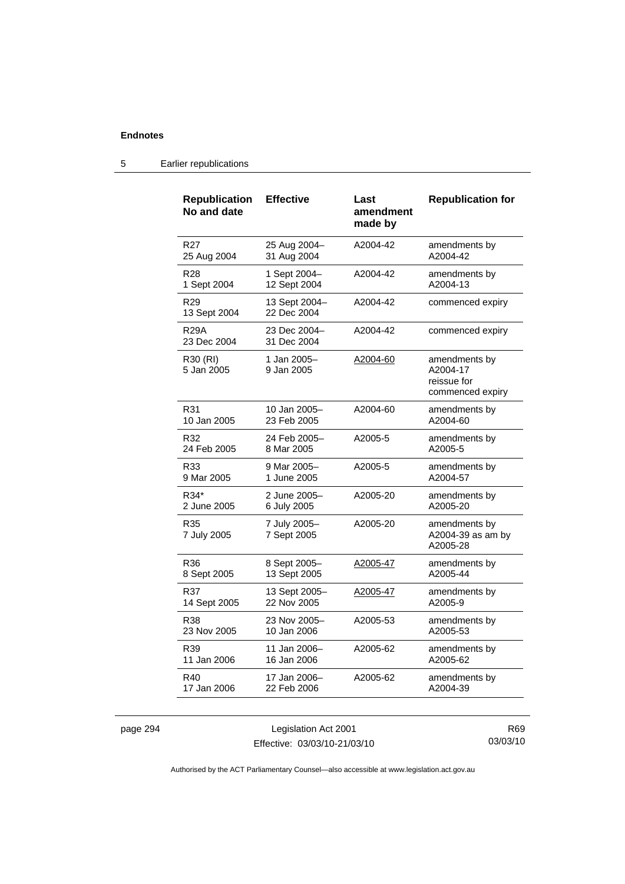| <b>Republication</b><br>No and date | <b>Effective</b>             | Last<br>amendment<br>made by | <b>Republication for</b>                                     |
|-------------------------------------|------------------------------|------------------------------|--------------------------------------------------------------|
| R <sub>27</sub>                     | 25 Aug 2004-                 | A2004-42                     | amendments by                                                |
| 25 Aug 2004                         | 31 Aug 2004                  |                              | A2004-42                                                     |
| R <sub>28</sub>                     | 1 Sept 2004-                 | A2004-42                     | amendments by                                                |
| 1 Sept 2004                         | 12 Sept 2004                 |                              | A2004-13                                                     |
| R <sub>29</sub><br>13 Sept 2004     | 13 Sept 2004-<br>22 Dec 2004 | A2004-42                     | commenced expiry                                             |
| R29A<br>23 Dec 2004                 | 23 Dec 2004-<br>31 Dec 2004  | A2004-42                     | commenced expiry                                             |
| R30 (RI)<br>5 Jan 2005              | 1 Jan 2005-<br>9 Jan 2005    | A2004-60                     | amendments by<br>A2004-17<br>reissue for<br>commenced expiry |
| R31                                 | 10 Jan 2005-                 | A2004-60                     | amendments by                                                |
| 10 Jan 2005                         | 23 Feb 2005                  |                              | A2004-60                                                     |
| R32                                 | 24 Feb 2005-                 | A2005-5                      | amendments by                                                |
| 24 Feb 2005                         | 8 Mar 2005                   |                              | A2005-5                                                      |
| R33                                 | 9 Mar 2005-                  | A2005-5                      | amendments by                                                |
| 9 Mar 2005                          | 1 June 2005                  |                              | A2004-57                                                     |
| R34*                                | 2 June 2005-                 | A2005-20                     | amendments by                                                |
| 2 June 2005                         | 6 July 2005                  |                              | A2005-20                                                     |
| R35<br>7 July 2005                  | 7 July 2005-<br>7 Sept 2005  | A2005-20                     | amendments by<br>A2004-39 as am by<br>A2005-28               |
| R36                                 | 8 Sept 2005-                 | A2005-47                     | amendments by                                                |
| 8 Sept 2005                         | 13 Sept 2005                 |                              | A2005-44                                                     |
| R37                                 | 13 Sept 2005-                | A2005-47                     | amendments by                                                |
| 14 Sept 2005                        | 22 Nov 2005                  |                              | A2005-9                                                      |
| <b>R38</b>                          | 23 Nov 2005-                 | A2005-53                     | amendments by                                                |
| 23 Nov 2005                         | 10 Jan 2006                  |                              | A2005-53                                                     |
| R39                                 | 11 Jan 2006–                 | A2005-62                     | amendments by                                                |
| 11 Jan 2006                         | 16 Jan 2006                  |                              | A2005-62                                                     |
| R40                                 | 17 Jan 2006–                 | A2005-62                     | amendments by                                                |
| 17 Jan 2006                         | 22 Feb 2006                  |                              | A2004-39                                                     |

### 5 Earlier republications

page 294 Legislation Act 2001 Effective: 03/03/10-21/03/10

R69 03/03/10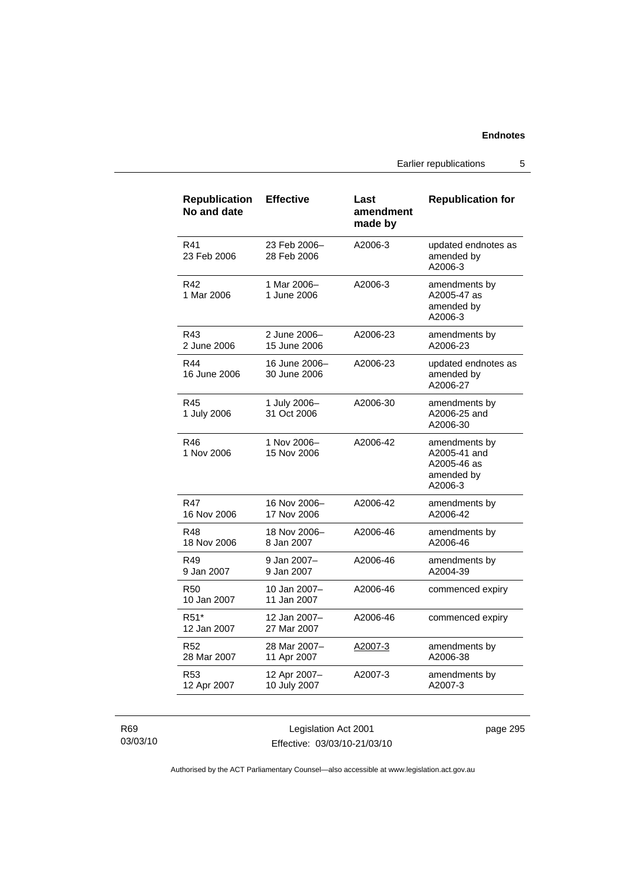Earlier republications 5

| <b>Republication</b><br>No and date | <b>Effective</b>              | Last<br>amendment<br>made by | <b>Republication for</b>                                              |
|-------------------------------------|-------------------------------|------------------------------|-----------------------------------------------------------------------|
| R41<br>23 Feb 2006                  | 23 Feb 2006-<br>28 Feb 2006   | A2006-3                      | updated endnotes as<br>amended by<br>A2006-3                          |
| R42<br>1 Mar 2006                   | 1 Mar 2006-<br>1 June 2006    | A2006-3                      | amendments by<br>A2005-47 as<br>amended by<br>A2006-3                 |
| R43<br>2 June 2006                  | 2 June 2006-<br>15 June 2006  | A2006-23                     | amendments by<br>A2006-23                                             |
| R44<br>16 June 2006                 | 16 June 2006-<br>30 June 2006 | A2006-23                     | updated endnotes as<br>amended by<br>A2006-27                         |
| R45<br>1 July 2006                  | 1 July 2006-<br>31 Oct 2006   | A2006-30                     | amendments by<br>A2006-25 and<br>A2006-30                             |
| R46<br>1 Nov 2006                   | 1 Nov 2006-<br>15 Nov 2006    | A2006-42                     | amendments by<br>A2005-41 and<br>A2005-46 as<br>amended by<br>A2006-3 |
| R47<br>16 Nov 2006                  | 16 Nov 2006-<br>17 Nov 2006   | A2006-42                     | amendments by<br>A2006-42                                             |
| R48<br>18 Nov 2006                  | 18 Nov 2006-<br>8 Jan 2007    | A2006-46                     | amendments by<br>A2006-46                                             |
| R49<br>9 Jan 2007                   | 9 Jan 2007-<br>9 Jan 2007     | A2006-46                     | amendments by<br>A2004-39                                             |
| <b>R50</b><br>10 Jan 2007           | 10 Jan 2007-<br>11 Jan 2007   | A2006-46                     | commenced expiry                                                      |
| R51*<br>12 Jan 2007                 | 12 Jan 2007-<br>27 Mar 2007   | A2006-46                     | commenced expiry                                                      |
| R <sub>52</sub><br>28 Mar 2007      | 28 Mar 2007-<br>11 Apr 2007   | A2007-3                      | amendments by<br>A2006-38                                             |
| R <sub>53</sub><br>12 Apr 2007      | 12 Apr 2007-<br>10 July 2007  | A2007-3                      | amendments by<br>A2007-3                                              |

R69 03/03/10

Legislation Act 2001 Effective: 03/03/10-21/03/10 page 295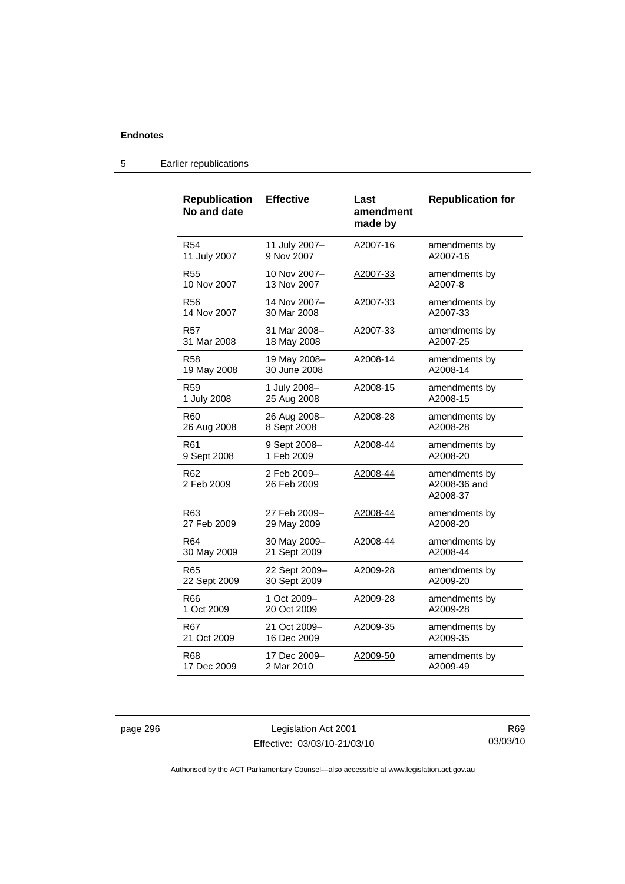| <b>Republication</b><br>No and date | <b>Effective</b>           | Last<br>amendment | <b>Republication for</b>                  |
|-------------------------------------|----------------------------|-------------------|-------------------------------------------|
|                                     |                            | made by           |                                           |
| R <sub>54</sub>                     | 11 July 2007-              | A2007-16          | amendments by                             |
| 11 July 2007                        | 9 Nov 2007                 |                   | A2007-16                                  |
| R55                                 | 10 Nov 2007-               | A2007-33          | amendments by                             |
| 10 Nov 2007                         | 13 Nov 2007                |                   | A2007-8                                   |
| <b>R56</b>                          | 14 Nov 2007-               | A2007-33          | amendments by                             |
| 14 Nov 2007                         | 30 Mar 2008                |                   | A2007-33                                  |
| R57                                 | 31 Mar 2008-               | A2007-33          | amendments by                             |
| 31 Mar 2008                         | 18 May 2008                |                   | A2007-25                                  |
| <b>R58</b>                          | 19 May 2008-               | A2008-14          | amendments by                             |
| 19 May 2008                         | 30 June 2008               |                   | A2008-14                                  |
| R <sub>59</sub>                     | 1 July 2008-               | A2008-15          | amendments by                             |
| 1 July 2008                         | 25 Aug 2008                |                   | A2008-15                                  |
| R60                                 | 26 Aug 2008-               | A2008-28          | amendments by                             |
| 26 Aug 2008                         | 8 Sept 2008                |                   | A2008-28                                  |
| R61                                 | 9 Sept 2008-               | A2008-44          | amendments by                             |
| 9 Sept 2008                         | 1 Feb 2009                 |                   | A2008-20                                  |
| R62<br>2 Feb 2009                   | 2 Feb 2009-<br>26 Feb 2009 | A2008-44          | amendments by<br>A2008-36 and<br>A2008-37 |
| R63                                 | 27 Feb 2009-               | A2008-44          | amendments by                             |
| 27 Feb 2009                         | 29 May 2009                |                   | A2008-20                                  |
| R <sub>64</sub>                     | 30 May 2009-               | A2008-44          | amendments by                             |
| 30 May 2009                         | 21 Sept 2009               |                   | A2008-44                                  |
| R65                                 | 22 Sept 2009-              | A2009-28          | amendments by                             |
| 22 Sept 2009                        | 30 Sept 2009               |                   | A2009-20                                  |
| R66                                 | 1 Oct 2009-                | A2009-28          | amendments by                             |
| 1 Oct 2009                          | 20 Oct 2009                |                   | A2009-28                                  |
| R67                                 | 21 Oct 2009-               | A2009-35          | amendments by                             |
| 21 Oct 2009                         | 16 Dec 2009                |                   | A2009-35                                  |
| R68                                 | 17 Dec 2009–               | A2009-50          | amendments by                             |
| 17 Dec 2009                         | 2 Mar 2010                 |                   | A2009-49                                  |

### 5 Earlier republications

page 296 Legislation Act 2001 Effective: 03/03/10-21/03/10

R69 03/03/10